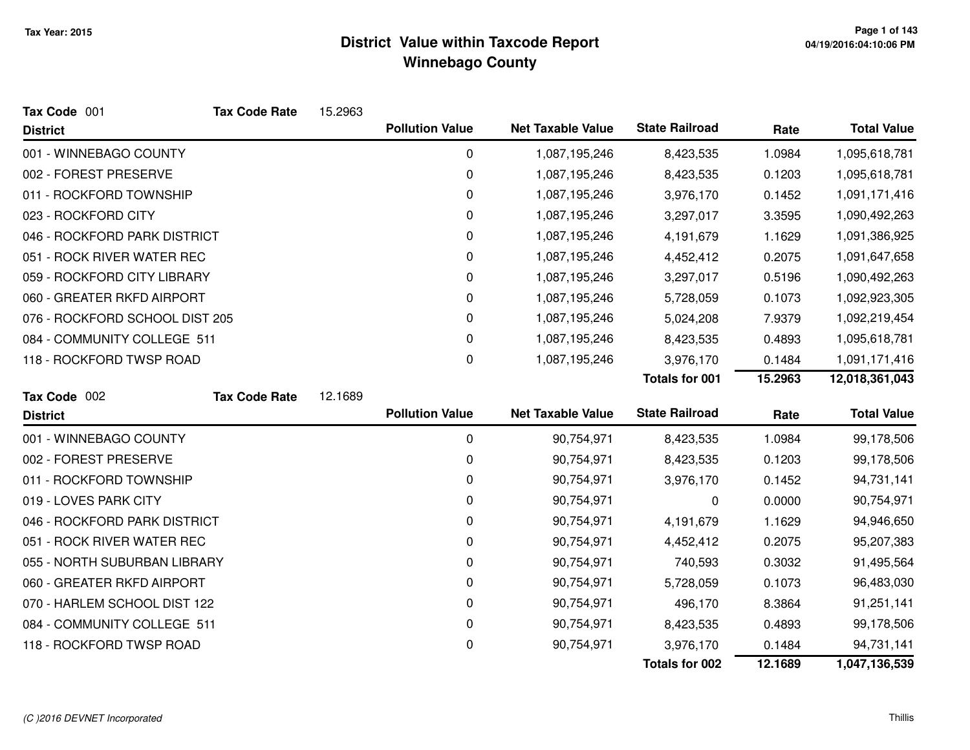| Tax Code 001                   | <b>Tax Code Rate</b> | 15.2963 |                        |                          |                       |         |                    |
|--------------------------------|----------------------|---------|------------------------|--------------------------|-----------------------|---------|--------------------|
| <b>District</b>                |                      |         | <b>Pollution Value</b> | <b>Net Taxable Value</b> | <b>State Railroad</b> | Rate    | <b>Total Value</b> |
| 001 - WINNEBAGO COUNTY         |                      |         | $\mathbf 0$            | 1,087,195,246            | 8,423,535             | 1.0984  | 1,095,618,781      |
| 002 - FOREST PRESERVE          |                      |         | 0                      | 1,087,195,246            | 8,423,535             | 0.1203  | 1,095,618,781      |
| 011 - ROCKFORD TOWNSHIP        |                      |         | 0                      | 1,087,195,246            | 3,976,170             | 0.1452  | 1,091,171,416      |
| 023 - ROCKFORD CITY            |                      |         | 0                      | 1,087,195,246            | 3,297,017             | 3.3595  | 1,090,492,263      |
| 046 - ROCKFORD PARK DISTRICT   |                      |         | 0                      | 1,087,195,246            | 4,191,679             | 1.1629  | 1,091,386,925      |
| 051 - ROCK RIVER WATER REC     |                      |         | 0                      | 1,087,195,246            | 4,452,412             | 0.2075  | 1,091,647,658      |
| 059 - ROCKFORD CITY LIBRARY    |                      |         | 0                      | 1,087,195,246            | 3,297,017             | 0.5196  | 1,090,492,263      |
| 060 - GREATER RKFD AIRPORT     |                      |         | 0                      | 1,087,195,246            | 5,728,059             | 0.1073  | 1,092,923,305      |
| 076 - ROCKFORD SCHOOL DIST 205 |                      |         | 0                      | 1,087,195,246            | 5,024,208             | 7.9379  | 1,092,219,454      |
| 084 - COMMUNITY COLLEGE 511    |                      |         | $\pmb{0}$              | 1,087,195,246            | 8,423,535             | 0.4893  | 1,095,618,781      |
| 118 - ROCKFORD TWSP ROAD       |                      |         | 0                      | 1,087,195,246            | 3,976,170             | 0.1484  | 1,091,171,416      |
|                                |                      |         |                        |                          | <b>Totals for 001</b> | 15.2963 | 12,018,361,043     |
| Tax Code 002                   | <b>Tax Code Rate</b> | 12.1689 |                        |                          |                       |         |                    |
| <b>District</b>                |                      |         | <b>Pollution Value</b> | <b>Net Taxable Value</b> | <b>State Railroad</b> | Rate    | <b>Total Value</b> |
| 001 - WINNEBAGO COUNTY         |                      |         | $\boldsymbol{0}$       | 90,754,971               | 8,423,535             | 1.0984  | 99,178,506         |
| 002 - FOREST PRESERVE          |                      |         | 0                      | 90,754,971               | 8,423,535             | 0.1203  | 99,178,506         |
| 011 - ROCKFORD TOWNSHIP        |                      |         | 0                      | 90,754,971               | 3,976,170             | 0.1452  | 94,731,141         |
| 019 - LOVES PARK CITY          |                      |         | 0                      | 90,754,971               | 0                     | 0.0000  | 90,754,971         |
| 046 - ROCKFORD PARK DISTRICT   |                      |         | 0                      | 90,754,971               | 4,191,679             | 1.1629  | 94,946,650         |
| 051 - ROCK RIVER WATER REC     |                      |         | 0                      | 90,754,971               | 4,452,412             | 0.2075  | 95,207,383         |
| 055 - NORTH SUBURBAN LIBRARY   |                      |         | 0                      | 90,754,971               | 740,593               | 0.3032  | 91,495,564         |
| 060 - GREATER RKFD AIRPORT     |                      |         | 0                      | 90,754,971               | 5,728,059             | 0.1073  | 96,483,030         |
| 070 - HARLEM SCHOOL DIST 122   |                      |         | 0                      | 90,754,971               | 496,170               | 8.3864  | 91,251,141         |
| 084 - COMMUNITY COLLEGE 511    |                      |         | $\pmb{0}$              | 90,754,971               | 8,423,535             | 0.4893  | 99,178,506         |
| 118 - ROCKFORD TWSP ROAD       |                      |         | 0                      | 90,754,971               | 3,976,170             | 0.1484  | 94,731,141         |
|                                |                      |         |                        |                          | <b>Totals for 002</b> | 12.1689 | 1,047,136,539      |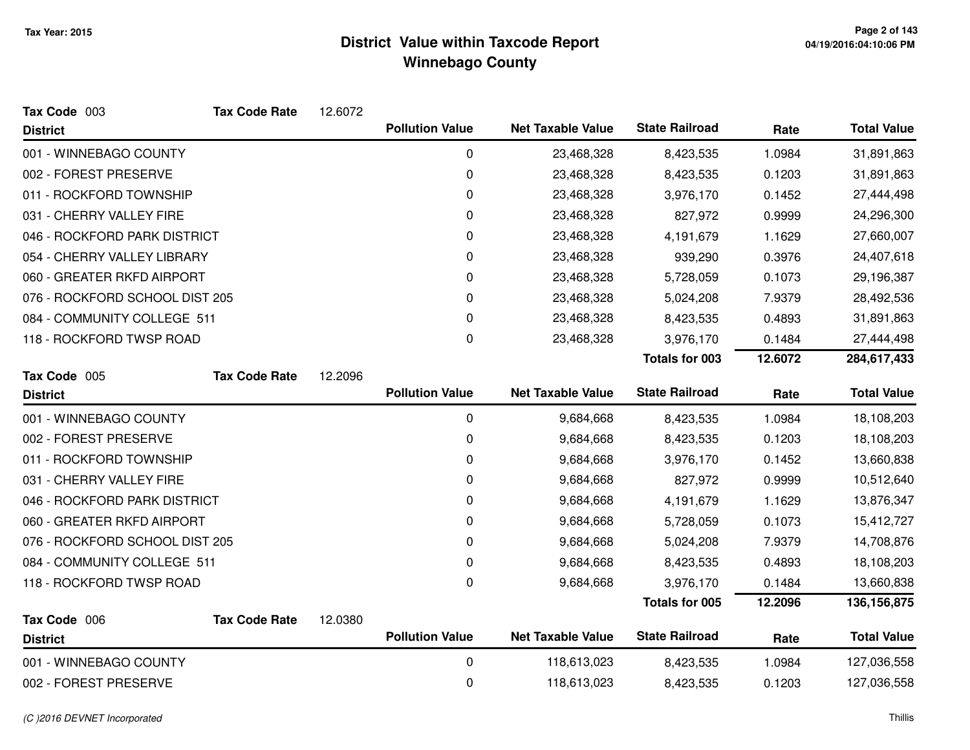| Tax Code 003                   | <b>Tax Code Rate</b> | 12.6072 |                        |                          |                       |         |                    |
|--------------------------------|----------------------|---------|------------------------|--------------------------|-----------------------|---------|--------------------|
| <b>District</b>                |                      |         | <b>Pollution Value</b> | <b>Net Taxable Value</b> | <b>State Railroad</b> | Rate    | <b>Total Value</b> |
| 001 - WINNEBAGO COUNTY         |                      |         | 0                      | 23,468,328               | 8,423,535             | 1.0984  | 31,891,863         |
| 002 - FOREST PRESERVE          |                      |         | 0                      | 23,468,328               | 8,423,535             | 0.1203  | 31,891,863         |
| 011 - ROCKFORD TOWNSHIP        |                      |         | 0                      | 23,468,328               | 3,976,170             | 0.1452  | 27,444,498         |
| 031 - CHERRY VALLEY FIRE       |                      |         | 0                      | 23,468,328               | 827,972               | 0.9999  | 24,296,300         |
| 046 - ROCKFORD PARK DISTRICT   |                      |         | 0                      | 23,468,328               | 4,191,679             | 1.1629  | 27,660,007         |
| 054 - CHERRY VALLEY LIBRARY    |                      |         | 0                      | 23,468,328               | 939,290               | 0.3976  | 24,407,618         |
| 060 - GREATER RKFD AIRPORT     |                      |         | 0                      | 23,468,328               | 5,728,059             | 0.1073  | 29,196,387         |
| 076 - ROCKFORD SCHOOL DIST 205 |                      |         | 0                      | 23,468,328               | 5,024,208             | 7.9379  | 28,492,536         |
| 084 - COMMUNITY COLLEGE 511    |                      |         | 0                      | 23,468,328               | 8,423,535             | 0.4893  | 31,891,863         |
| 118 - ROCKFORD TWSP ROAD       |                      |         | 0                      | 23,468,328               | 3,976,170             | 0.1484  | 27,444,498         |
|                                |                      |         |                        |                          | <b>Totals for 003</b> | 12.6072 | 284,617,433        |
| Tax Code 005                   | <b>Tax Code Rate</b> | 12.2096 |                        |                          |                       |         |                    |
| <b>District</b>                |                      |         | <b>Pollution Value</b> | <b>Net Taxable Value</b> | <b>State Railroad</b> | Rate    | <b>Total Value</b> |
| 001 - WINNEBAGO COUNTY         |                      |         | 0                      | 9,684,668                | 8,423,535             | 1.0984  | 18,108,203         |
| 002 - FOREST PRESERVE          |                      |         | 0                      | 9,684,668                | 8,423,535             | 0.1203  | 18,108,203         |
| 011 - ROCKFORD TOWNSHIP        |                      |         | 0                      | 9,684,668                | 3,976,170             | 0.1452  | 13,660,838         |
| 031 - CHERRY VALLEY FIRE       |                      |         | 0                      | 9,684,668                | 827,972               | 0.9999  | 10,512,640         |
| 046 - ROCKFORD PARK DISTRICT   |                      |         | 0                      | 9,684,668                | 4,191,679             | 1.1629  | 13,876,347         |
| 060 - GREATER RKFD AIRPORT     |                      |         | 0                      | 9,684,668                | 5,728,059             | 0.1073  | 15,412,727         |
| 076 - ROCKFORD SCHOOL DIST 205 |                      |         | 0                      | 9,684,668                | 5,024,208             | 7.9379  | 14,708,876         |
| 084 - COMMUNITY COLLEGE 511    |                      |         | 0                      | 9,684,668                | 8,423,535             | 0.4893  | 18,108,203         |
| 118 - ROCKFORD TWSP ROAD       |                      |         | 0                      | 9,684,668                | 3,976,170             | 0.1484  | 13,660,838         |
|                                |                      |         |                        |                          | Totals for 005        | 12.2096 | 136, 156, 875      |
| Tax Code 006                   | <b>Tax Code Rate</b> | 12.0380 |                        |                          |                       |         |                    |
| <b>District</b>                |                      |         | <b>Pollution Value</b> | <b>Net Taxable Value</b> | <b>State Railroad</b> | Rate    | <b>Total Value</b> |
| 001 - WINNEBAGO COUNTY         |                      |         | 0                      | 118,613,023              | 8,423,535             | 1.0984  | 127,036,558        |
| 002 - FOREST PRESERVE          |                      |         | 0                      | 118,613,023              | 8,423,535             | 0.1203  | 127,036,558        |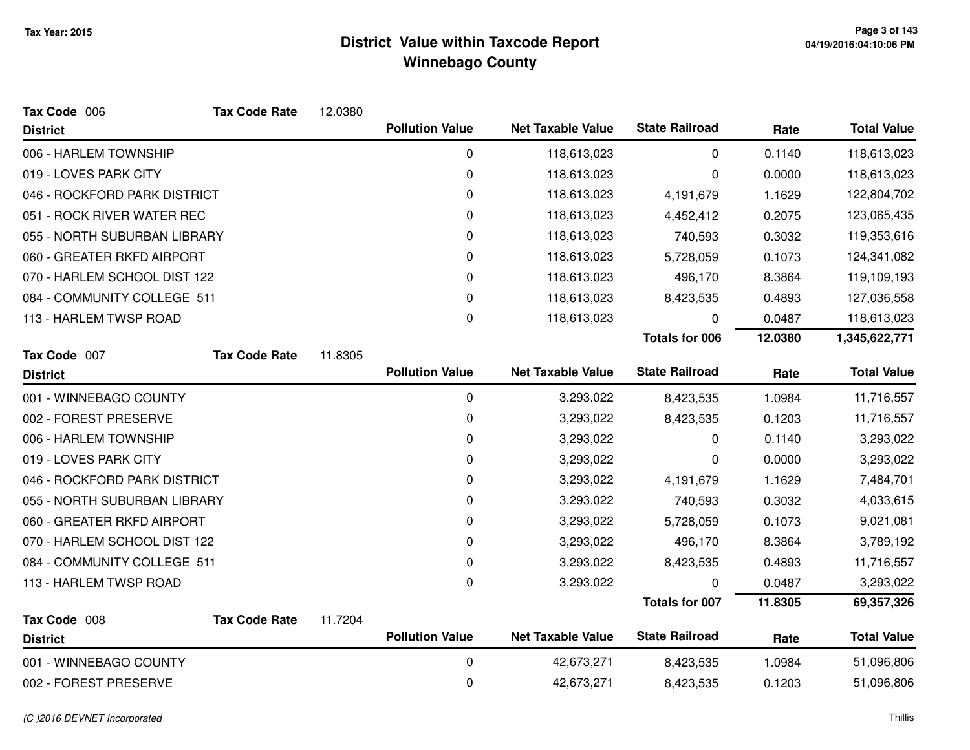| Tax Code 006                 | <b>Tax Code Rate</b> | 12.0380 |                        |                          |                       |         |                    |
|------------------------------|----------------------|---------|------------------------|--------------------------|-----------------------|---------|--------------------|
| <b>District</b>              |                      |         | <b>Pollution Value</b> | <b>Net Taxable Value</b> | <b>State Railroad</b> | Rate    | <b>Total Value</b> |
| 006 - HARLEM TOWNSHIP        |                      |         | 0                      | 118,613,023              | 0                     | 0.1140  | 118,613,023        |
| 019 - LOVES PARK CITY        |                      |         | 0                      | 118,613,023              | 0                     | 0.0000  | 118,613,023        |
| 046 - ROCKFORD PARK DISTRICT |                      |         | 0                      | 118,613,023              | 4,191,679             | 1.1629  | 122,804,702        |
| 051 - ROCK RIVER WATER REC   |                      |         | 0                      | 118,613,023              | 4,452,412             | 0.2075  | 123,065,435        |
| 055 - NORTH SUBURBAN LIBRARY |                      |         | 0                      | 118,613,023              | 740,593               | 0.3032  | 119,353,616        |
| 060 - GREATER RKFD AIRPORT   |                      |         | $\Omega$               | 118,613,023              | 5,728,059             | 0.1073  | 124,341,082        |
| 070 - HARLEM SCHOOL DIST 122 |                      |         | 0                      | 118,613,023              | 496,170               | 8.3864  | 119,109,193        |
| 084 - COMMUNITY COLLEGE 511  |                      |         | 0                      | 118,613,023              | 8,423,535             | 0.4893  | 127,036,558        |
| 113 - HARLEM TWSP ROAD       |                      |         | 0                      | 118,613,023              | 0                     | 0.0487  | 118,613,023        |
|                              |                      |         |                        |                          | <b>Totals for 006</b> | 12.0380 | 1,345,622,771      |
| Tax Code 007                 | <b>Tax Code Rate</b> | 11.8305 |                        |                          |                       |         |                    |
| <b>District</b>              |                      |         | <b>Pollution Value</b> | <b>Net Taxable Value</b> | <b>State Railroad</b> | Rate    | <b>Total Value</b> |
| 001 - WINNEBAGO COUNTY       |                      |         | 0                      | 3,293,022                | 8,423,535             | 1.0984  | 11,716,557         |
| 002 - FOREST PRESERVE        |                      |         | $\mathbf 0$            | 3,293,022                | 8,423,535             | 0.1203  | 11,716,557         |
| 006 - HARLEM TOWNSHIP        |                      |         | 0                      | 3,293,022                | 0                     | 0.1140  | 3,293,022          |
| 019 - LOVES PARK CITY        |                      |         | 0                      | 3,293,022                | 0                     | 0.0000  | 3,293,022          |
| 046 - ROCKFORD PARK DISTRICT |                      |         | 0                      | 3,293,022                | 4,191,679             | 1.1629  | 7,484,701          |
| 055 - NORTH SUBURBAN LIBRARY |                      |         | 0                      | 3,293,022                | 740,593               | 0.3032  | 4,033,615          |
| 060 - GREATER RKFD AIRPORT   |                      |         | 0                      | 3,293,022                | 5,728,059             | 0.1073  | 9,021,081          |
| 070 - HARLEM SCHOOL DIST 122 |                      |         | 0                      | 3,293,022                | 496,170               | 8.3864  | 3,789,192          |
| 084 - COMMUNITY COLLEGE 511  |                      |         | 0                      | 3,293,022                | 8,423,535             | 0.4893  | 11,716,557         |
| 113 - HARLEM TWSP ROAD       |                      |         | 0                      | 3,293,022                | 0                     | 0.0487  | 3,293,022          |
|                              |                      |         |                        |                          | <b>Totals for 007</b> | 11.8305 | 69,357,326         |
| Tax Code 008                 | <b>Tax Code Rate</b> | 11.7204 |                        |                          |                       |         |                    |
| <b>District</b>              |                      |         | <b>Pollution Value</b> | <b>Net Taxable Value</b> | <b>State Railroad</b> | Rate    | <b>Total Value</b> |
| 001 - WINNEBAGO COUNTY       |                      |         | 0                      | 42,673,271               | 8,423,535             | 1.0984  | 51,096,806         |
| 002 - FOREST PRESERVE        |                      |         | 0                      | 42,673,271               | 8,423,535             | 0.1203  | 51,096,806         |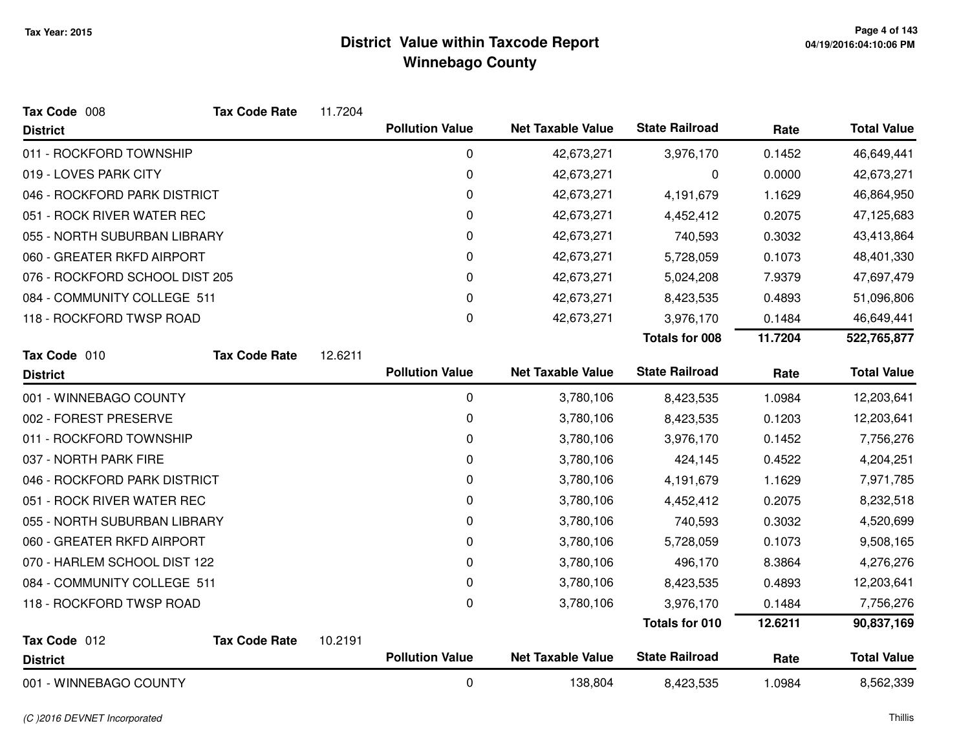| Tax Code 008                   | <b>Tax Code Rate</b> | 11.7204 |                        |                          |                       |         |                    |
|--------------------------------|----------------------|---------|------------------------|--------------------------|-----------------------|---------|--------------------|
| <b>District</b>                |                      |         | <b>Pollution Value</b> | <b>Net Taxable Value</b> | <b>State Railroad</b> | Rate    | <b>Total Value</b> |
| 011 - ROCKFORD TOWNSHIP        |                      |         | 0                      | 42,673,271               | 3,976,170             | 0.1452  | 46,649,441         |
| 019 - LOVES PARK CITY          |                      |         | 0                      | 42,673,271               | 0                     | 0.0000  | 42,673,271         |
| 046 - ROCKFORD PARK DISTRICT   |                      |         | 0                      | 42,673,271               | 4,191,679             | 1.1629  | 46,864,950         |
| 051 - ROCK RIVER WATER REC     |                      |         | 0                      | 42,673,271               | 4,452,412             | 0.2075  | 47,125,683         |
| 055 - NORTH SUBURBAN LIBRARY   |                      |         | 0                      | 42,673,271               | 740,593               | 0.3032  | 43,413,864         |
| 060 - GREATER RKFD AIRPORT     |                      |         | 0                      | 42,673,271               | 5,728,059             | 0.1073  | 48,401,330         |
| 076 - ROCKFORD SCHOOL DIST 205 |                      |         | 0                      | 42,673,271               | 5,024,208             | 7.9379  | 47,697,479         |
| 084 - COMMUNITY COLLEGE 511    |                      |         | 0                      | 42,673,271               | 8,423,535             | 0.4893  | 51,096,806         |
| 118 - ROCKFORD TWSP ROAD       |                      |         | 0                      | 42,673,271               | 3,976,170             | 0.1484  | 46,649,441         |
|                                |                      |         |                        |                          | <b>Totals for 008</b> | 11.7204 | 522,765,877        |
| Tax Code 010                   | <b>Tax Code Rate</b> | 12.6211 |                        |                          |                       |         |                    |
| <b>District</b>                |                      |         | <b>Pollution Value</b> | <b>Net Taxable Value</b> | <b>State Railroad</b> | Rate    | <b>Total Value</b> |
| 001 - WINNEBAGO COUNTY         |                      |         | $\mathbf 0$            | 3,780,106                | 8,423,535             | 1.0984  | 12,203,641         |
| 002 - FOREST PRESERVE          |                      |         | 0                      | 3,780,106                | 8,423,535             | 0.1203  | 12,203,641         |
| 011 - ROCKFORD TOWNSHIP        |                      |         | 0                      | 3,780,106                | 3,976,170             | 0.1452  | 7,756,276          |
| 037 - NORTH PARK FIRE          |                      |         | 0                      | 3,780,106                | 424,145               | 0.4522  | 4,204,251          |
| 046 - ROCKFORD PARK DISTRICT   |                      |         | 0                      | 3,780,106                | 4,191,679             | 1.1629  | 7,971,785          |
| 051 - ROCK RIVER WATER REC     |                      |         | 0                      | 3,780,106                | 4,452,412             | 0.2075  | 8,232,518          |
| 055 - NORTH SUBURBAN LIBRARY   |                      |         | 0                      | 3,780,106                | 740,593               | 0.3032  | 4,520,699          |
| 060 - GREATER RKFD AIRPORT     |                      |         | 0                      | 3,780,106                | 5,728,059             | 0.1073  | 9,508,165          |
| 070 - HARLEM SCHOOL DIST 122   |                      |         | 0                      | 3,780,106                | 496,170               | 8.3864  | 4,276,276          |
| 084 - COMMUNITY COLLEGE 511    |                      |         | 0                      | 3,780,106                | 8,423,535             | 0.4893  | 12,203,641         |
| 118 - ROCKFORD TWSP ROAD       |                      |         | 0                      | 3,780,106                | 3,976,170             | 0.1484  | 7,756,276          |
|                                |                      |         |                        |                          | <b>Totals for 010</b> | 12.6211 | 90,837,169         |
| Tax Code 012                   | <b>Tax Code Rate</b> | 10.2191 |                        |                          |                       |         |                    |
| <b>District</b>                |                      |         | <b>Pollution Value</b> | <b>Net Taxable Value</b> | <b>State Railroad</b> | Rate    | <b>Total Value</b> |
| 001 - WINNEBAGO COUNTY         |                      |         | 0                      | 138,804                  | 8,423,535             | 1.0984  | 8,562,339          |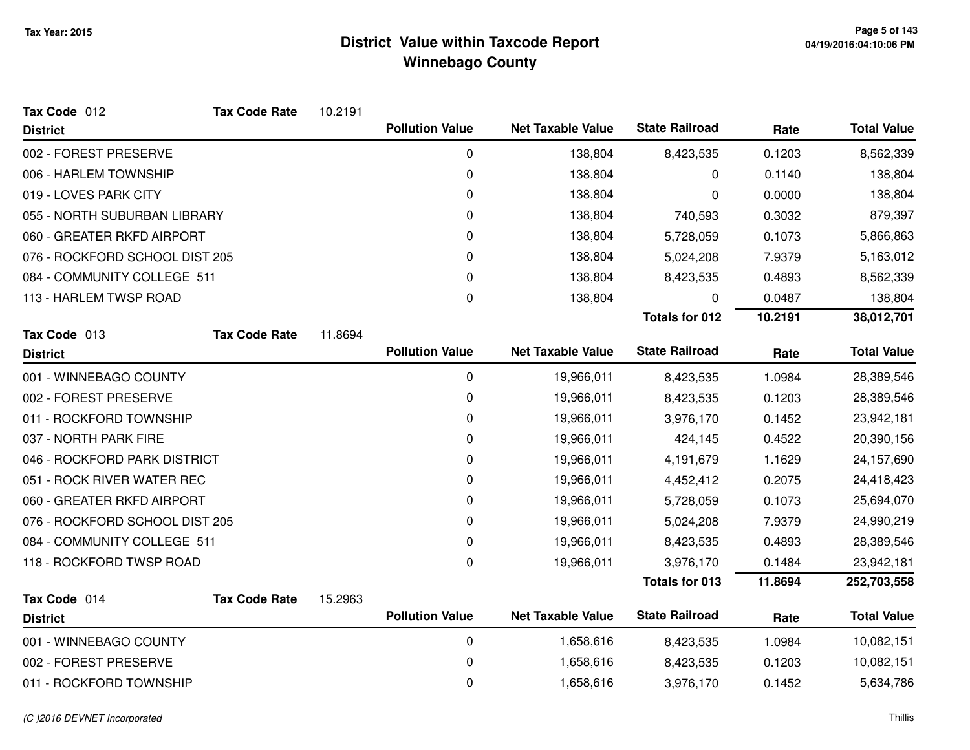| Tax Code 012                   | <b>Tax Code Rate</b> | 10.2191 |                        |                          |                       |         |                    |
|--------------------------------|----------------------|---------|------------------------|--------------------------|-----------------------|---------|--------------------|
| <b>District</b>                |                      |         | <b>Pollution Value</b> | <b>Net Taxable Value</b> | <b>State Railroad</b> | Rate    | <b>Total Value</b> |
| 002 - FOREST PRESERVE          |                      |         | 0                      | 138,804                  | 8,423,535             | 0.1203  | 8,562,339          |
| 006 - HARLEM TOWNSHIP          |                      |         | 0                      | 138,804                  | 0                     | 0.1140  | 138,804            |
| 019 - LOVES PARK CITY          |                      |         | 0                      | 138,804                  | 0                     | 0.0000  | 138,804            |
| 055 - NORTH SUBURBAN LIBRARY   |                      |         | 0                      | 138,804                  | 740,593               | 0.3032  | 879,397            |
| 060 - GREATER RKFD AIRPORT     |                      |         | 0                      | 138,804                  | 5,728,059             | 0.1073  | 5,866,863          |
| 076 - ROCKFORD SCHOOL DIST 205 |                      |         | 0                      | 138,804                  | 5,024,208             | 7.9379  | 5,163,012          |
| 084 - COMMUNITY COLLEGE 511    |                      |         | 0                      | 138,804                  | 8,423,535             | 0.4893  | 8,562,339          |
| 113 - HARLEM TWSP ROAD         |                      |         | 0                      | 138,804                  | 0                     | 0.0487  | 138,804            |
|                                |                      |         |                        |                          | <b>Totals for 012</b> | 10.2191 | 38,012,701         |
| Tax Code 013                   | <b>Tax Code Rate</b> | 11.8694 |                        |                          |                       |         |                    |
| <b>District</b>                |                      |         | <b>Pollution Value</b> | <b>Net Taxable Value</b> | <b>State Railroad</b> | Rate    | <b>Total Value</b> |
| 001 - WINNEBAGO COUNTY         |                      |         | 0                      | 19,966,011               | 8,423,535             | 1.0984  | 28,389,546         |
| 002 - FOREST PRESERVE          |                      |         | 0                      | 19,966,011               | 8,423,535             | 0.1203  | 28,389,546         |
| 011 - ROCKFORD TOWNSHIP        |                      |         | 0                      | 19,966,011               | 3,976,170             | 0.1452  | 23,942,181         |
| 037 - NORTH PARK FIRE          |                      |         | 0                      | 19,966,011               | 424,145               | 0.4522  | 20,390,156         |
| 046 - ROCKFORD PARK DISTRICT   |                      |         | 0                      | 19,966,011               | 4,191,679             | 1.1629  | 24,157,690         |
| 051 - ROCK RIVER WATER REC     |                      |         | 0                      | 19,966,011               | 4,452,412             | 0.2075  | 24,418,423         |
| 060 - GREATER RKFD AIRPORT     |                      |         | 0                      | 19,966,011               | 5,728,059             | 0.1073  | 25,694,070         |
| 076 - ROCKFORD SCHOOL DIST 205 |                      |         | 0                      | 19,966,011               | 5,024,208             | 7.9379  | 24,990,219         |
| 084 - COMMUNITY COLLEGE 511    |                      |         | 0                      | 19,966,011               | 8,423,535             | 0.4893  | 28,389,546         |
| 118 - ROCKFORD TWSP ROAD       |                      |         | 0                      | 19,966,011               | 3,976,170             | 0.1484  | 23,942,181         |
|                                |                      |         |                        |                          | <b>Totals for 013</b> | 11.8694 | 252,703,558        |
| Tax Code 014                   | <b>Tax Code Rate</b> | 15.2963 |                        |                          |                       |         |                    |
| <b>District</b>                |                      |         | <b>Pollution Value</b> | <b>Net Taxable Value</b> | <b>State Railroad</b> | Rate    | <b>Total Value</b> |
| 001 - WINNEBAGO COUNTY         |                      |         | 0                      | 1,658,616                | 8,423,535             | 1.0984  | 10,082,151         |
| 002 - FOREST PRESERVE          |                      |         | 0                      | 1,658,616                | 8,423,535             | 0.1203  | 10,082,151         |
| 011 - ROCKFORD TOWNSHIP        |                      |         | 0                      | 1,658,616                | 3,976,170             | 0.1452  | 5,634,786          |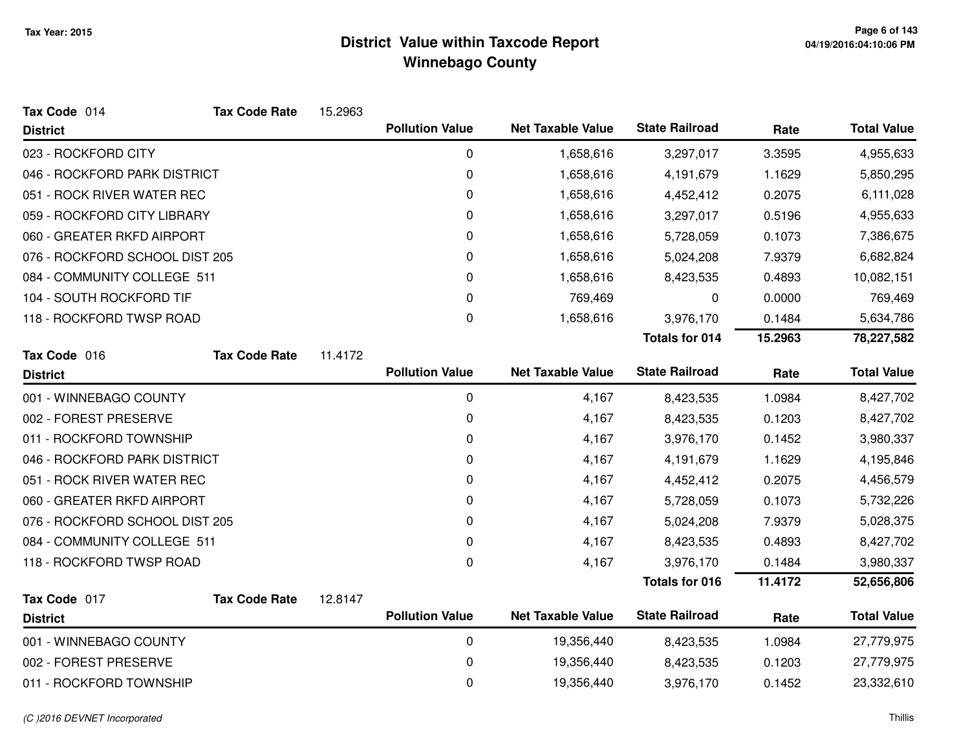| Tax Code 014                   | <b>Tax Code Rate</b> | 15.2963 |                        |                          |                       |         |                    |
|--------------------------------|----------------------|---------|------------------------|--------------------------|-----------------------|---------|--------------------|
| <b>District</b>                |                      |         | <b>Pollution Value</b> | <b>Net Taxable Value</b> | <b>State Railroad</b> | Rate    | <b>Total Value</b> |
| 023 - ROCKFORD CITY            |                      |         | 0                      | 1,658,616                | 3,297,017             | 3.3595  | 4,955,633          |
| 046 - ROCKFORD PARK DISTRICT   |                      |         | $\pmb{0}$              | 1,658,616                | 4,191,679             | 1.1629  | 5,850,295          |
| 051 - ROCK RIVER WATER REC     |                      |         | $\pmb{0}$              | 1,658,616                | 4,452,412             | 0.2075  | 6,111,028          |
| 059 - ROCKFORD CITY LIBRARY    |                      |         | 0                      | 1,658,616                | 3,297,017             | 0.5196  | 4,955,633          |
| 060 - GREATER RKFD AIRPORT     |                      |         | 0                      | 1,658,616                | 5,728,059             | 0.1073  | 7,386,675          |
| 076 - ROCKFORD SCHOOL DIST 205 |                      |         | 0                      | 1,658,616                | 5,024,208             | 7.9379  | 6,682,824          |
| 084 - COMMUNITY COLLEGE 511    |                      |         | 0                      | 1,658,616                | 8,423,535             | 0.4893  | 10,082,151         |
| 104 - SOUTH ROCKFORD TIF       |                      |         | 0                      | 769,469                  | 0                     | 0.0000  | 769,469            |
| 118 - ROCKFORD TWSP ROAD       |                      |         | 0                      | 1,658,616                | 3,976,170             | 0.1484  | 5,634,786          |
|                                |                      |         |                        |                          | <b>Totals for 014</b> | 15.2963 | 78,227,582         |
| Tax Code 016                   | <b>Tax Code Rate</b> | 11.4172 |                        |                          |                       |         |                    |
| <b>District</b>                |                      |         | <b>Pollution Value</b> | <b>Net Taxable Value</b> | <b>State Railroad</b> | Rate    | <b>Total Value</b> |
| 001 - WINNEBAGO COUNTY         |                      |         | $\pmb{0}$              | 4,167                    | 8,423,535             | 1.0984  | 8,427,702          |
| 002 - FOREST PRESERVE          |                      |         | $\pmb{0}$              | 4,167                    | 8,423,535             | 0.1203  | 8,427,702          |
| 011 - ROCKFORD TOWNSHIP        |                      |         | 0                      | 4,167                    | 3,976,170             | 0.1452  | 3,980,337          |
| 046 - ROCKFORD PARK DISTRICT   |                      |         | 0                      | 4,167                    | 4,191,679             | 1.1629  | 4,195,846          |
| 051 - ROCK RIVER WATER REC     |                      |         | 0                      | 4,167                    | 4,452,412             | 0.2075  | 4,456,579          |
| 060 - GREATER RKFD AIRPORT     |                      |         | $\pmb{0}$              | 4,167                    | 5,728,059             | 0.1073  | 5,732,226          |
| 076 - ROCKFORD SCHOOL DIST 205 |                      |         | 0                      | 4,167                    | 5,024,208             | 7.9379  | 5,028,375          |
| 084 - COMMUNITY COLLEGE 511    |                      |         | 0                      | 4,167                    | 8,423,535             | 0.4893  | 8,427,702          |
| 118 - ROCKFORD TWSP ROAD       |                      |         | $\pmb{0}$              | 4,167                    | 3,976,170             | 0.1484  | 3,980,337          |
|                                |                      |         |                        |                          | <b>Totals for 016</b> | 11.4172 | 52,656,806         |
| Tax Code 017                   | <b>Tax Code Rate</b> | 12.8147 |                        |                          |                       |         |                    |
| <b>District</b>                |                      |         | <b>Pollution Value</b> | <b>Net Taxable Value</b> | <b>State Railroad</b> | Rate    | <b>Total Value</b> |
| 001 - WINNEBAGO COUNTY         |                      |         | $\pmb{0}$              | 19,356,440               | 8,423,535             | 1.0984  | 27,779,975         |
| 002 - FOREST PRESERVE          |                      |         | 0                      | 19,356,440               | 8,423,535             | 0.1203  | 27,779,975         |
| 011 - ROCKFORD TOWNSHIP        |                      |         | 0                      | 19,356,440               | 3,976,170             | 0.1452  | 23,332,610         |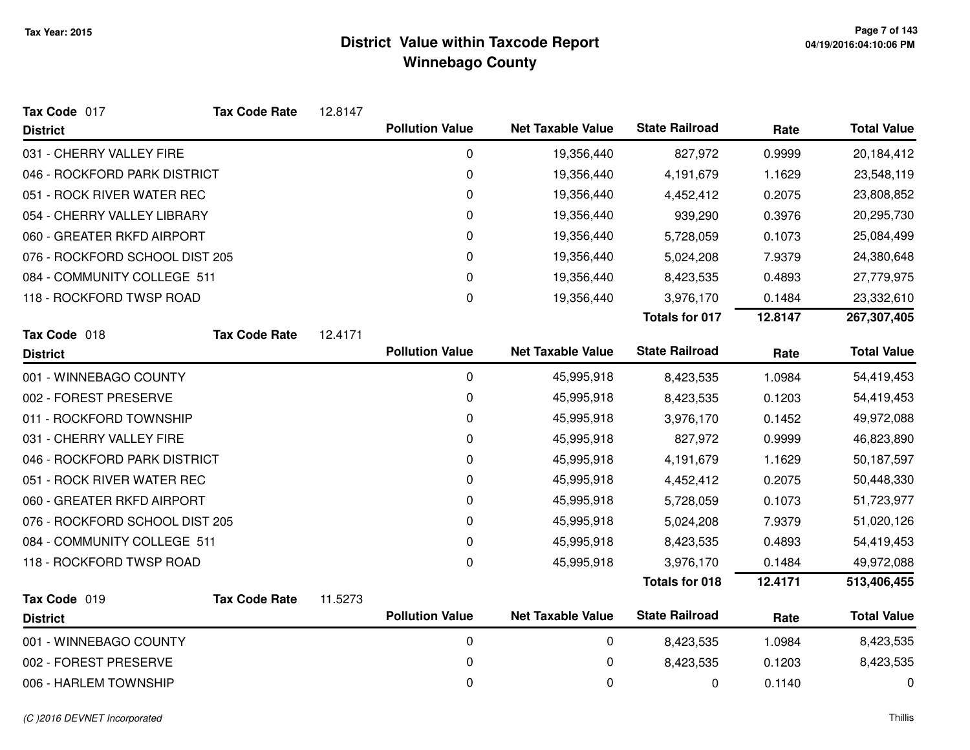| Tax Code 017                   | <b>Tax Code Rate</b> | 12.8147 |                        |                          |                       |         |                    |
|--------------------------------|----------------------|---------|------------------------|--------------------------|-----------------------|---------|--------------------|
| <b>District</b>                |                      |         | <b>Pollution Value</b> | <b>Net Taxable Value</b> | <b>State Railroad</b> | Rate    | <b>Total Value</b> |
| 031 - CHERRY VALLEY FIRE       |                      |         | 0                      | 19,356,440               | 827,972               | 0.9999  | 20,184,412         |
| 046 - ROCKFORD PARK DISTRICT   |                      |         | 0                      | 19,356,440               | 4,191,679             | 1.1629  | 23,548,119         |
| 051 - ROCK RIVER WATER REC     |                      |         | 0                      | 19,356,440               | 4,452,412             | 0.2075  | 23,808,852         |
| 054 - CHERRY VALLEY LIBRARY    |                      |         | 0                      | 19,356,440               | 939,290               | 0.3976  | 20,295,730         |
| 060 - GREATER RKFD AIRPORT     |                      |         | 0                      | 19,356,440               | 5,728,059             | 0.1073  | 25,084,499         |
| 076 - ROCKFORD SCHOOL DIST 205 |                      |         | 0                      | 19,356,440               | 5,024,208             | 7.9379  | 24,380,648         |
| 084 - COMMUNITY COLLEGE 511    |                      |         | 0                      | 19,356,440               | 8,423,535             | 0.4893  | 27,779,975         |
| 118 - ROCKFORD TWSP ROAD       |                      |         | 0                      | 19,356,440               | 3,976,170             | 0.1484  | 23,332,610         |
|                                |                      |         |                        |                          | <b>Totals for 017</b> | 12.8147 | 267,307,405        |
| Tax Code 018                   | <b>Tax Code Rate</b> | 12.4171 |                        |                          |                       |         |                    |
| <b>District</b>                |                      |         | <b>Pollution Value</b> | <b>Net Taxable Value</b> | <b>State Railroad</b> | Rate    | <b>Total Value</b> |
| 001 - WINNEBAGO COUNTY         |                      |         | 0                      | 45,995,918               | 8,423,535             | 1.0984  | 54,419,453         |
| 002 - FOREST PRESERVE          |                      |         | 0                      | 45,995,918               | 8,423,535             | 0.1203  | 54,419,453         |
| 011 - ROCKFORD TOWNSHIP        |                      |         | 0                      | 45,995,918               | 3,976,170             | 0.1452  | 49,972,088         |
| 031 - CHERRY VALLEY FIRE       |                      |         | 0                      | 45,995,918               | 827,972               | 0.9999  | 46,823,890         |
| 046 - ROCKFORD PARK DISTRICT   |                      |         | 0                      | 45,995,918               | 4,191,679             | 1.1629  | 50,187,597         |
| 051 - ROCK RIVER WATER REC     |                      |         | 0                      | 45,995,918               | 4,452,412             | 0.2075  | 50,448,330         |
| 060 - GREATER RKFD AIRPORT     |                      |         | 0                      | 45,995,918               | 5,728,059             | 0.1073  | 51,723,977         |
| 076 - ROCKFORD SCHOOL DIST 205 |                      |         | 0                      | 45,995,918               | 5,024,208             | 7.9379  | 51,020,126         |
| 084 - COMMUNITY COLLEGE 511    |                      |         | 0                      | 45,995,918               | 8,423,535             | 0.4893  | 54,419,453         |
| 118 - ROCKFORD TWSP ROAD       |                      |         | 0                      | 45,995,918               | 3,976,170             | 0.1484  | 49,972,088         |
|                                |                      |         |                        |                          | <b>Totals for 018</b> | 12.4171 | 513,406,455        |
| Tax Code 019                   | <b>Tax Code Rate</b> | 11.5273 |                        |                          |                       |         |                    |
| <b>District</b>                |                      |         | <b>Pollution Value</b> | <b>Net Taxable Value</b> | <b>State Railroad</b> | Rate    | <b>Total Value</b> |
| 001 - WINNEBAGO COUNTY         |                      |         | 0                      | 0                        | 8,423,535             | 1.0984  | 8,423,535          |
| 002 - FOREST PRESERVE          |                      |         | 0                      | 0                        | 8,423,535             | 0.1203  | 8,423,535          |
| 006 - HARLEM TOWNSHIP          |                      |         | 0                      | 0                        | 0                     | 0.1140  | 0                  |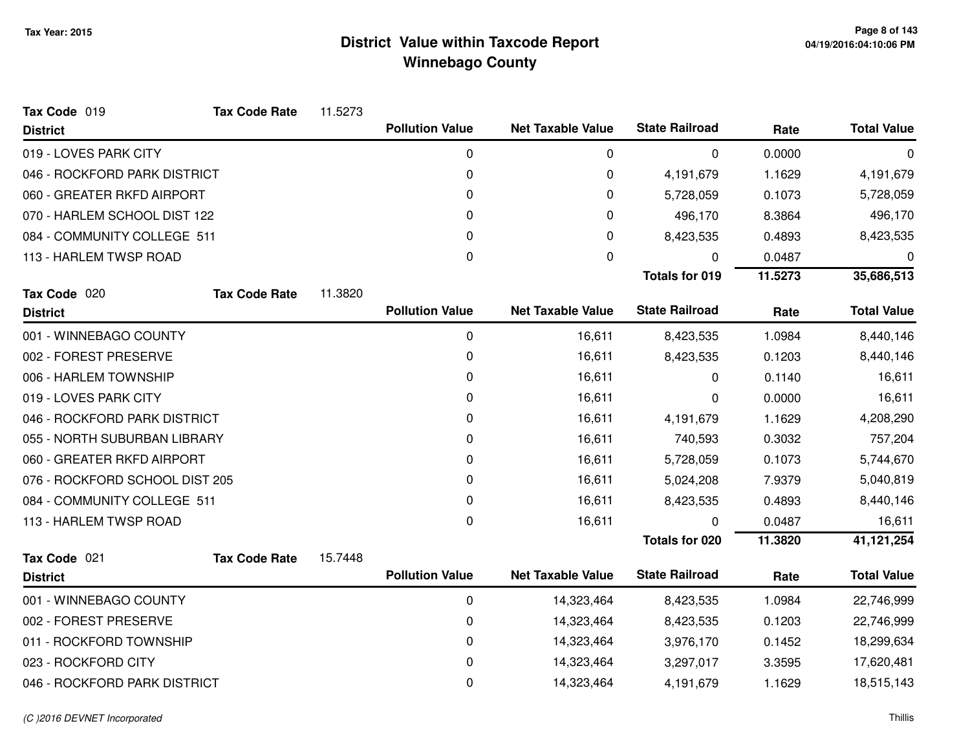| Tax Code 019                   | <b>Tax Code Rate</b> | 11.5273 |                        |                          |                       |         |                    |
|--------------------------------|----------------------|---------|------------------------|--------------------------|-----------------------|---------|--------------------|
| <b>District</b>                |                      |         | <b>Pollution Value</b> | <b>Net Taxable Value</b> | <b>State Railroad</b> | Rate    | <b>Total Value</b> |
| 019 - LOVES PARK CITY          |                      |         | 0                      | 0                        | 0                     | 0.0000  | 0                  |
| 046 - ROCKFORD PARK DISTRICT   |                      |         | 0                      | 0                        | 4,191,679             | 1.1629  | 4,191,679          |
| 060 - GREATER RKFD AIRPORT     |                      |         | 0                      | 0                        | 5,728,059             | 0.1073  | 5,728,059          |
| 070 - HARLEM SCHOOL DIST 122   |                      |         | 0                      | 0                        | 496,170               | 8.3864  | 496,170            |
| 084 - COMMUNITY COLLEGE 511    |                      |         | 0                      | 0                        | 8,423,535             | 0.4893  | 8,423,535          |
| 113 - HARLEM TWSP ROAD         |                      |         | 0                      | 0                        | 0                     | 0.0487  | 0                  |
|                                |                      |         |                        |                          | <b>Totals for 019</b> | 11.5273 | 35,686,513         |
| Tax Code 020                   | <b>Tax Code Rate</b> | 11.3820 |                        |                          |                       |         |                    |
| <b>District</b>                |                      |         | <b>Pollution Value</b> | <b>Net Taxable Value</b> | <b>State Railroad</b> | Rate    | <b>Total Value</b> |
| 001 - WINNEBAGO COUNTY         |                      |         | $\mathbf 0$            | 16,611                   | 8,423,535             | 1.0984  | 8,440,146          |
| 002 - FOREST PRESERVE          |                      |         | 0                      | 16,611                   | 8,423,535             | 0.1203  | 8,440,146          |
| 006 - HARLEM TOWNSHIP          |                      |         | 0                      | 16,611                   | 0                     | 0.1140  | 16,611             |
| 019 - LOVES PARK CITY          |                      |         | 0                      | 16,611                   | 0                     | 0.0000  | 16,611             |
| 046 - ROCKFORD PARK DISTRICT   |                      |         | 0                      | 16,611                   | 4,191,679             | 1.1629  | 4,208,290          |
| 055 - NORTH SUBURBAN LIBRARY   |                      |         | 0                      | 16,611                   | 740,593               | 0.3032  | 757,204            |
| 060 - GREATER RKFD AIRPORT     |                      |         | 0                      | 16,611                   | 5,728,059             | 0.1073  | 5,744,670          |
| 076 - ROCKFORD SCHOOL DIST 205 |                      |         | 0                      | 16,611                   | 5,024,208             | 7.9379  | 5,040,819          |
| 084 - COMMUNITY COLLEGE 511    |                      |         | 0                      | 16,611                   | 8,423,535             | 0.4893  | 8,440,146          |
| 113 - HARLEM TWSP ROAD         |                      |         | $\mathbf 0$            | 16,611                   | 0                     | 0.0487  | 16,611             |
|                                |                      |         |                        |                          | <b>Totals for 020</b> | 11.3820 | 41,121,254         |
| Tax Code 021                   | <b>Tax Code Rate</b> | 15.7448 |                        |                          |                       |         |                    |
| <b>District</b>                |                      |         | <b>Pollution Value</b> | <b>Net Taxable Value</b> | <b>State Railroad</b> | Rate    | <b>Total Value</b> |
| 001 - WINNEBAGO COUNTY         |                      |         | 0                      | 14,323,464               | 8,423,535             | 1.0984  | 22,746,999         |
| 002 - FOREST PRESERVE          |                      |         | 0                      | 14,323,464               | 8,423,535             | 0.1203  | 22,746,999         |
| 011 - ROCKFORD TOWNSHIP        |                      |         | 0                      | 14,323,464               | 3,976,170             | 0.1452  | 18,299,634         |
| 023 - ROCKFORD CITY            |                      |         | 0                      | 14,323,464               | 3,297,017             | 3.3595  | 17,620,481         |
| 046 - ROCKFORD PARK DISTRICT   |                      |         | 0                      | 14,323,464               | 4,191,679             | 1.1629  | 18,515,143         |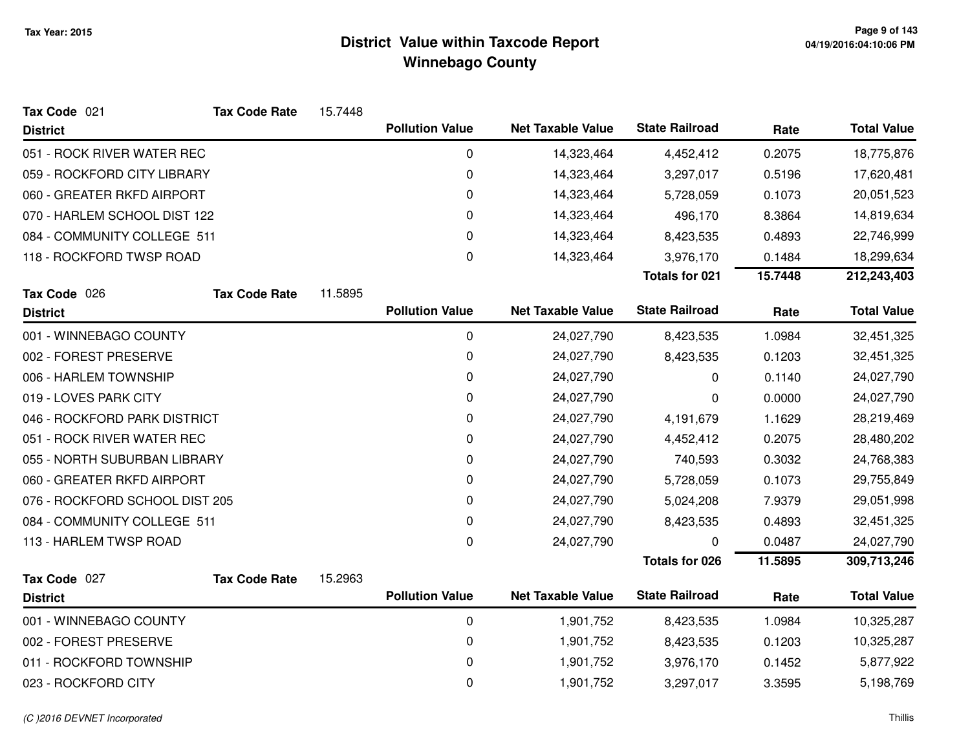| Tax Code 021                   | <b>Tax Code Rate</b> | 15.7448 |                        |                          |                       |         |                    |
|--------------------------------|----------------------|---------|------------------------|--------------------------|-----------------------|---------|--------------------|
| <b>District</b>                |                      |         | <b>Pollution Value</b> | <b>Net Taxable Value</b> | <b>State Railroad</b> | Rate    | <b>Total Value</b> |
| 051 - ROCK RIVER WATER REC     |                      |         | 0                      | 14,323,464               | 4,452,412             | 0.2075  | 18,775,876         |
| 059 - ROCKFORD CITY LIBRARY    |                      |         | $\mathbf 0$            | 14,323,464               | 3,297,017             | 0.5196  | 17,620,481         |
| 060 - GREATER RKFD AIRPORT     |                      |         | 0                      | 14,323,464               | 5,728,059             | 0.1073  | 20,051,523         |
| 070 - HARLEM SCHOOL DIST 122   |                      |         | 0                      | 14,323,464               | 496,170               | 8.3864  | 14,819,634         |
| 084 - COMMUNITY COLLEGE 511    |                      |         | 0                      | 14,323,464               | 8,423,535             | 0.4893  | 22,746,999         |
| 118 - ROCKFORD TWSP ROAD       |                      |         | 0                      | 14,323,464               | 3,976,170             | 0.1484  | 18,299,634         |
|                                |                      |         |                        |                          | <b>Totals for 021</b> | 15.7448 | 212,243,403        |
| Tax Code 026                   | <b>Tax Code Rate</b> | 11.5895 |                        |                          |                       |         |                    |
| <b>District</b>                |                      |         | <b>Pollution Value</b> | <b>Net Taxable Value</b> | <b>State Railroad</b> | Rate    | <b>Total Value</b> |
| 001 - WINNEBAGO COUNTY         |                      |         | 0                      | 24,027,790               | 8,423,535             | 1.0984  | 32,451,325         |
| 002 - FOREST PRESERVE          |                      |         | 0                      | 24,027,790               | 8,423,535             | 0.1203  | 32,451,325         |
| 006 - HARLEM TOWNSHIP          |                      |         | 0                      | 24,027,790               | 0                     | 0.1140  | 24,027,790         |
| 019 - LOVES PARK CITY          |                      |         | 0                      | 24,027,790               | 0                     | 0.0000  | 24,027,790         |
| 046 - ROCKFORD PARK DISTRICT   |                      |         | $\mathbf 0$            | 24,027,790               | 4,191,679             | 1.1629  | 28,219,469         |
| 051 - ROCK RIVER WATER REC     |                      |         | 0                      | 24,027,790               | 4,452,412             | 0.2075  | 28,480,202         |
| 055 - NORTH SUBURBAN LIBRARY   |                      |         | $\pmb{0}$              | 24,027,790               | 740,593               | 0.3032  | 24,768,383         |
| 060 - GREATER RKFD AIRPORT     |                      |         | 0                      | 24,027,790               | 5,728,059             | 0.1073  | 29,755,849         |
| 076 - ROCKFORD SCHOOL DIST 205 |                      |         | 0                      | 24,027,790               | 5,024,208             | 7.9379  | 29,051,998         |
| 084 - COMMUNITY COLLEGE 511    |                      |         | 0                      | 24,027,790               | 8,423,535             | 0.4893  | 32,451,325         |
| 113 - HARLEM TWSP ROAD         |                      |         | 0                      | 24,027,790               | 0                     | 0.0487  | 24,027,790         |
|                                |                      |         |                        |                          | <b>Totals for 026</b> | 11.5895 | 309,713,246        |
| Tax Code 027                   | <b>Tax Code Rate</b> | 15.2963 |                        |                          |                       |         |                    |
| <b>District</b>                |                      |         | <b>Pollution Value</b> | <b>Net Taxable Value</b> | <b>State Railroad</b> | Rate    | <b>Total Value</b> |
| 001 - WINNEBAGO COUNTY         |                      |         | 0                      | 1,901,752                | 8,423,535             | 1.0984  | 10,325,287         |
| 002 - FOREST PRESERVE          |                      |         | 0                      | 1,901,752                | 8,423,535             | 0.1203  | 10,325,287         |
| 011 - ROCKFORD TOWNSHIP        |                      |         | 0                      | 1,901,752                | 3,976,170             | 0.1452  | 5,877,922          |
| 023 - ROCKFORD CITY            |                      |         | 0                      | 1,901,752                | 3,297,017             | 3.3595  | 5,198,769          |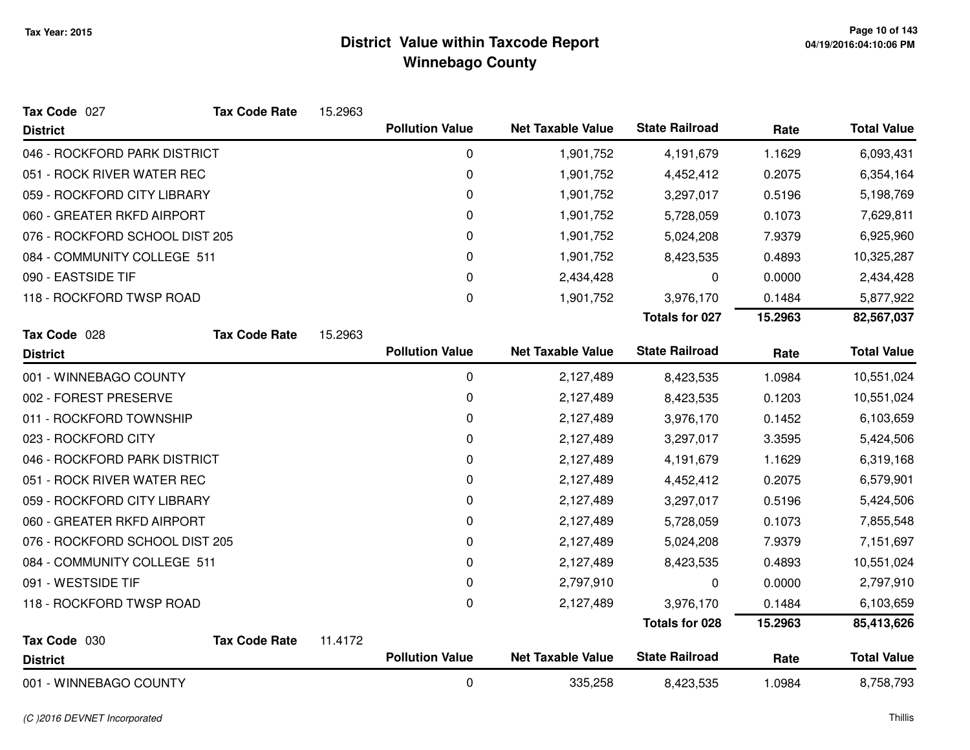| Tax Code 027                   | <b>Tax Code Rate</b> | 15.2963 |                        |                          |                       |         |                    |
|--------------------------------|----------------------|---------|------------------------|--------------------------|-----------------------|---------|--------------------|
| <b>District</b>                |                      |         | <b>Pollution Value</b> | <b>Net Taxable Value</b> | <b>State Railroad</b> | Rate    | <b>Total Value</b> |
| 046 - ROCKFORD PARK DISTRICT   |                      |         | 0                      | 1,901,752                | 4,191,679             | 1.1629  | 6,093,431          |
| 051 - ROCK RIVER WATER REC     |                      |         | 0                      | 1,901,752                | 4,452,412             | 0.2075  | 6,354,164          |
| 059 - ROCKFORD CITY LIBRARY    |                      |         | 0                      | 1,901,752                | 3,297,017             | 0.5196  | 5,198,769          |
| 060 - GREATER RKFD AIRPORT     |                      |         | 0                      | 1,901,752                | 5,728,059             | 0.1073  | 7,629,811          |
| 076 - ROCKFORD SCHOOL DIST 205 |                      |         | 0                      | 1,901,752                | 5,024,208             | 7.9379  | 6,925,960          |
| 084 - COMMUNITY COLLEGE 511    |                      |         | 0                      | 1,901,752                | 8,423,535             | 0.4893  | 10,325,287         |
| 090 - EASTSIDE TIF             |                      |         | 0                      | 2,434,428                | 0                     | 0.0000  | 2,434,428          |
| 118 - ROCKFORD TWSP ROAD       |                      |         | 0                      | 1,901,752                | 3,976,170             | 0.1484  | 5,877,922          |
|                                |                      |         |                        |                          | <b>Totals for 027</b> | 15.2963 | 82,567,037         |
| Tax Code 028                   | <b>Tax Code Rate</b> | 15.2963 |                        |                          |                       |         |                    |
| <b>District</b>                |                      |         | <b>Pollution Value</b> | <b>Net Taxable Value</b> | <b>State Railroad</b> | Rate    | <b>Total Value</b> |
| 001 - WINNEBAGO COUNTY         |                      |         | 0                      | 2,127,489                | 8,423,535             | 1.0984  | 10,551,024         |
| 002 - FOREST PRESERVE          |                      |         | 0                      | 2,127,489                | 8,423,535             | 0.1203  | 10,551,024         |
| 011 - ROCKFORD TOWNSHIP        |                      |         | 0                      | 2,127,489                | 3,976,170             | 0.1452  | 6,103,659          |
| 023 - ROCKFORD CITY            |                      |         | 0                      | 2,127,489                | 3,297,017             | 3.3595  | 5,424,506          |
| 046 - ROCKFORD PARK DISTRICT   |                      |         | 0                      | 2,127,489                | 4,191,679             | 1.1629  | 6,319,168          |
| 051 - ROCK RIVER WATER REC     |                      |         | 0                      | 2,127,489                | 4,452,412             | 0.2075  | 6,579,901          |
| 059 - ROCKFORD CITY LIBRARY    |                      |         | 0                      | 2,127,489                | 3,297,017             | 0.5196  | 5,424,506          |
| 060 - GREATER RKFD AIRPORT     |                      |         | 0                      | 2,127,489                | 5,728,059             | 0.1073  | 7,855,548          |
| 076 - ROCKFORD SCHOOL DIST 205 |                      |         | 0                      | 2,127,489                | 5,024,208             | 7.9379  | 7,151,697          |
| 084 - COMMUNITY COLLEGE 511    |                      |         | 0                      | 2,127,489                | 8,423,535             | 0.4893  | 10,551,024         |
| 091 - WESTSIDE TIF             |                      |         | 0                      | 2,797,910                | 0                     | 0.0000  | 2,797,910          |
| 118 - ROCKFORD TWSP ROAD       |                      |         | 0                      | 2,127,489                | 3,976,170             | 0.1484  | 6,103,659          |
|                                |                      |         |                        |                          | <b>Totals for 028</b> | 15.2963 | 85,413,626         |
| Tax Code 030                   | <b>Tax Code Rate</b> | 11.4172 |                        |                          |                       |         |                    |
| <b>District</b>                |                      |         | <b>Pollution Value</b> | <b>Net Taxable Value</b> | <b>State Railroad</b> | Rate    | <b>Total Value</b> |
| 001 - WINNEBAGO COUNTY         |                      |         | 0                      | 335,258                  | 8,423,535             | 1.0984  | 8,758,793          |

#### (C )2016 DEVNET Incorporated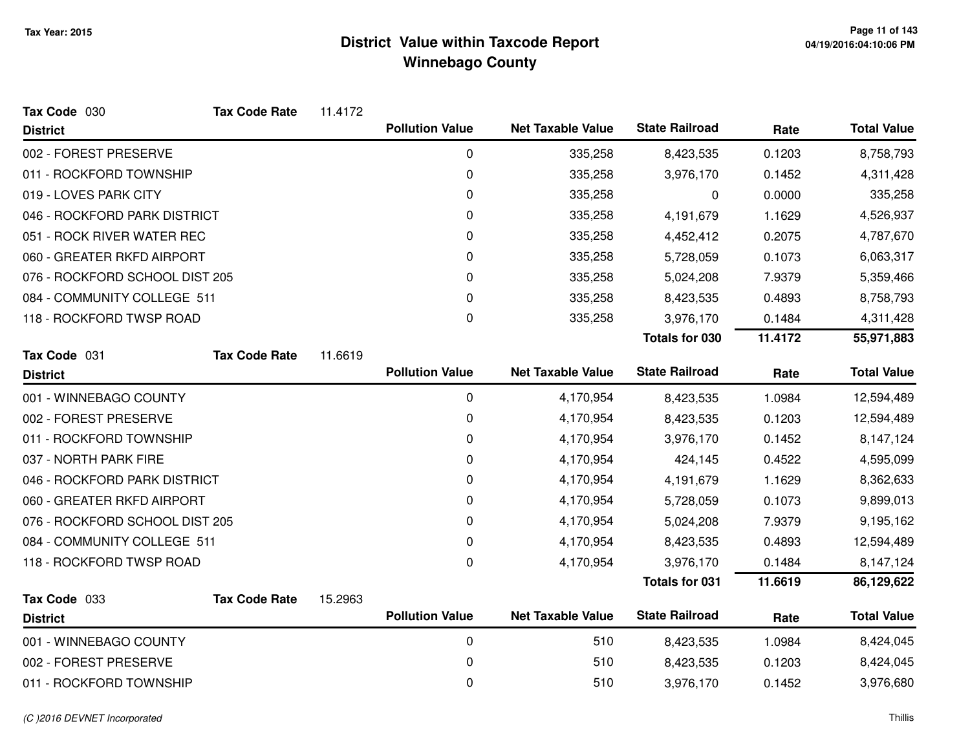| Tax Code 030                   | <b>Tax Code Rate</b> | 11.4172 |                        |                          |                       |         |                    |
|--------------------------------|----------------------|---------|------------------------|--------------------------|-----------------------|---------|--------------------|
| <b>District</b>                |                      |         | <b>Pollution Value</b> | <b>Net Taxable Value</b> | <b>State Railroad</b> | Rate    | <b>Total Value</b> |
| 002 - FOREST PRESERVE          |                      |         | 0                      | 335,258                  | 8,423,535             | 0.1203  | 8,758,793          |
| 011 - ROCKFORD TOWNSHIP        |                      |         | 0                      | 335,258                  | 3,976,170             | 0.1452  | 4,311,428          |
| 019 - LOVES PARK CITY          |                      |         | 0                      | 335,258                  | 0                     | 0.0000  | 335,258            |
| 046 - ROCKFORD PARK DISTRICT   |                      |         | 0                      | 335,258                  | 4,191,679             | 1.1629  | 4,526,937          |
| 051 - ROCK RIVER WATER REC     |                      |         | 0                      | 335,258                  | 4,452,412             | 0.2075  | 4,787,670          |
| 060 - GREATER RKFD AIRPORT     |                      |         | 0                      | 335,258                  | 5,728,059             | 0.1073  | 6,063,317          |
| 076 - ROCKFORD SCHOOL DIST 205 |                      |         | 0                      | 335,258                  | 5,024,208             | 7.9379  | 5,359,466          |
| 084 - COMMUNITY COLLEGE 511    |                      |         | 0                      | 335,258                  | 8,423,535             | 0.4893  | 8,758,793          |
| 118 - ROCKFORD TWSP ROAD       |                      |         | 0                      | 335,258                  | 3,976,170             | 0.1484  | 4,311,428          |
|                                |                      |         |                        |                          | Totals for 030        | 11.4172 | 55,971,883         |
| Tax Code 031                   | <b>Tax Code Rate</b> | 11.6619 |                        |                          |                       |         |                    |
| <b>District</b>                |                      |         | <b>Pollution Value</b> | <b>Net Taxable Value</b> | <b>State Railroad</b> | Rate    | <b>Total Value</b> |
| 001 - WINNEBAGO COUNTY         |                      |         | 0                      | 4,170,954                | 8,423,535             | 1.0984  | 12,594,489         |
| 002 - FOREST PRESERVE          |                      |         | $\mathbf 0$            | 4,170,954                | 8,423,535             | 0.1203  | 12,594,489         |
| 011 - ROCKFORD TOWNSHIP        |                      |         | 0                      | 4,170,954                | 3,976,170             | 0.1452  | 8,147,124          |
| 037 - NORTH PARK FIRE          |                      |         | 0                      | 4,170,954                | 424,145               | 0.4522  | 4,595,099          |
| 046 - ROCKFORD PARK DISTRICT   |                      |         | 0                      | 4,170,954                | 4,191,679             | 1.1629  | 8,362,633          |
| 060 - GREATER RKFD AIRPORT     |                      |         | 0                      | 4,170,954                | 5,728,059             | 0.1073  | 9,899,013          |
| 076 - ROCKFORD SCHOOL DIST 205 |                      |         | 0                      | 4,170,954                | 5,024,208             | 7.9379  | 9,195,162          |
| 084 - COMMUNITY COLLEGE 511    |                      |         | 0                      | 4,170,954                | 8,423,535             | 0.4893  | 12,594,489         |
| 118 - ROCKFORD TWSP ROAD       |                      |         | $\mathbf 0$            | 4,170,954                | 3,976,170             | 0.1484  | 8,147,124          |
|                                |                      |         |                        |                          | <b>Totals for 031</b> | 11.6619 | 86,129,622         |
| Tax Code 033                   | <b>Tax Code Rate</b> | 15.2963 |                        |                          |                       |         |                    |
| <b>District</b>                |                      |         | <b>Pollution Value</b> | <b>Net Taxable Value</b> | <b>State Railroad</b> | Rate    | <b>Total Value</b> |
| 001 - WINNEBAGO COUNTY         |                      |         | 0                      | 510                      | 8,423,535             | 1.0984  | 8,424,045          |
| 002 - FOREST PRESERVE          |                      |         | 0                      | 510                      | 8,423,535             | 0.1203  | 8,424,045          |
| 011 - ROCKFORD TOWNSHIP        |                      |         | 0                      | 510                      | 3,976,170             | 0.1452  | 3,976,680          |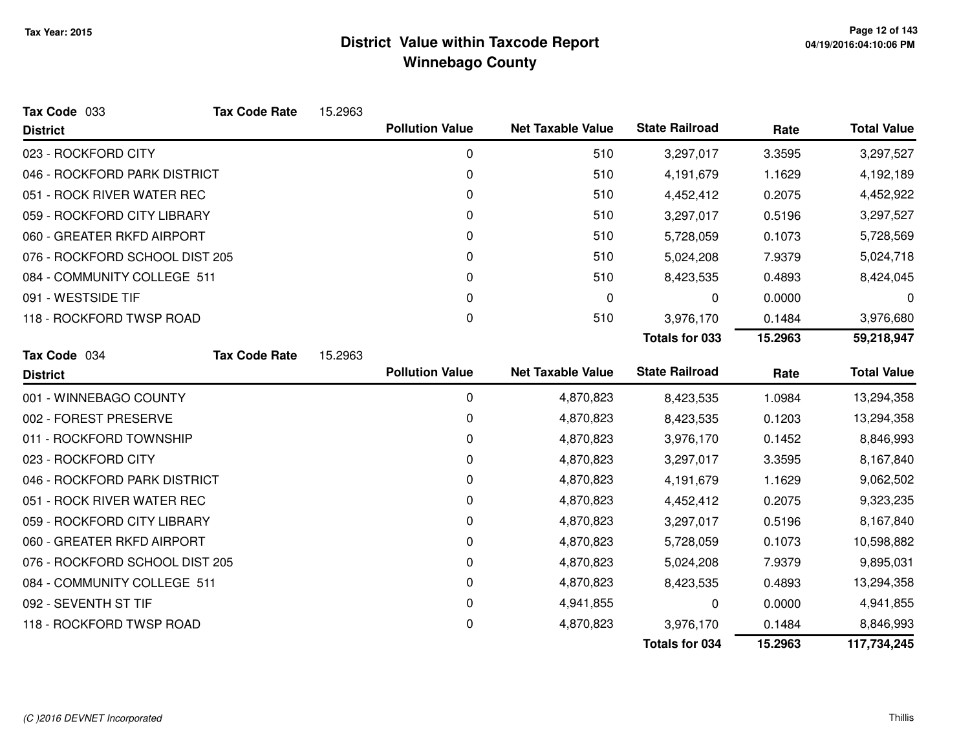| Tax Code 033                   | <b>Tax Code Rate</b> | 15.2963 |                        |                          |                       |         |                    |
|--------------------------------|----------------------|---------|------------------------|--------------------------|-----------------------|---------|--------------------|
| <b>District</b>                |                      |         | <b>Pollution Value</b> | <b>Net Taxable Value</b> | <b>State Railroad</b> | Rate    | <b>Total Value</b> |
| 023 - ROCKFORD CITY            |                      |         | 0                      | 510                      | 3,297,017             | 3.3595  | 3,297,527          |
| 046 - ROCKFORD PARK DISTRICT   |                      |         | 0                      | 510                      | 4,191,679             | 1.1629  | 4,192,189          |
| 051 - ROCK RIVER WATER REC     |                      |         | 0                      | 510                      | 4,452,412             | 0.2075  | 4,452,922          |
| 059 - ROCKFORD CITY LIBRARY    |                      |         | $\Omega$               | 510                      | 3,297,017             | 0.5196  | 3,297,527          |
| 060 - GREATER RKFD AIRPORT     |                      |         | 0                      | 510                      | 5,728,059             | 0.1073  | 5,728,569          |
| 076 - ROCKFORD SCHOOL DIST 205 |                      |         | 0                      | 510                      | 5,024,208             | 7.9379  | 5,024,718          |
| 084 - COMMUNITY COLLEGE 511    |                      |         | 0                      | 510                      | 8,423,535             | 0.4893  | 8,424,045          |
| 091 - WESTSIDE TIF             |                      |         | 0                      | 0                        | 0                     | 0.0000  | 0                  |
| 118 - ROCKFORD TWSP ROAD       |                      |         | $\Omega$               | 510                      | 3,976,170             | 0.1484  | 3,976,680          |
|                                |                      |         |                        |                          | <b>Totals for 033</b> | 15.2963 | 59,218,947         |
| Tax Code 034                   | <b>Tax Code Rate</b> | 15.2963 |                        |                          |                       |         |                    |
| <b>District</b>                |                      |         | <b>Pollution Value</b> | <b>Net Taxable Value</b> | <b>State Railroad</b> | Rate    | <b>Total Value</b> |
| 001 - WINNEBAGO COUNTY         |                      |         | 0                      | 4,870,823                | 8,423,535             | 1.0984  | 13,294,358         |
| 002 - FOREST PRESERVE          |                      |         | 0                      | 4,870,823                | 8,423,535             | 0.1203  | 13,294,358         |
| 011 - ROCKFORD TOWNSHIP        |                      |         | 0                      | 4,870,823                | 3,976,170             | 0.1452  | 8,846,993          |
| 023 - ROCKFORD CITY            |                      |         | 0                      | 4,870,823                | 3,297,017             | 3.3595  | 8,167,840          |
| 046 - ROCKFORD PARK DISTRICT   |                      |         | 0                      | 4,870,823                | 4,191,679             | 1.1629  | 9,062,502          |
| 051 - ROCK RIVER WATER REC     |                      |         | 0                      | 4,870,823                | 4,452,412             | 0.2075  | 9,323,235          |
| 059 - ROCKFORD CITY LIBRARY    |                      |         | 0                      | 4,870,823                | 3,297,017             | 0.5196  | 8,167,840          |
| 060 - GREATER RKFD AIRPORT     |                      |         | 0                      | 4,870,823                | 5,728,059             | 0.1073  | 10,598,882         |
| 076 - ROCKFORD SCHOOL DIST 205 |                      |         | 0                      | 4,870,823                | 5,024,208             | 7.9379  | 9,895,031          |
| 084 - COMMUNITY COLLEGE 511    |                      |         | 0                      | 4,870,823                | 8,423,535             | 0.4893  | 13,294,358         |
| 092 - SEVENTH ST TIF           |                      |         | 0                      | 4,941,855                | 0                     | 0.0000  | 4,941,855          |
| 118 - ROCKFORD TWSP ROAD       |                      |         | 0                      | 4,870,823                | 3,976,170             | 0.1484  | 8,846,993          |
|                                |                      |         |                        |                          | <b>Totals for 034</b> | 15.2963 | 117,734,245        |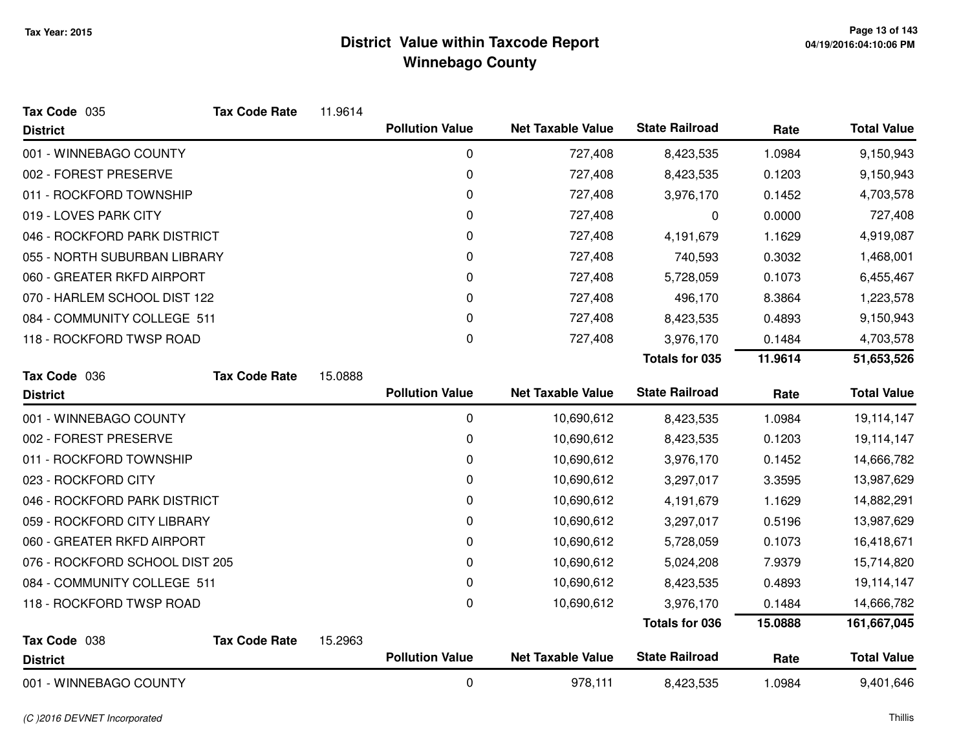| Tax Code 035                   | <b>Tax Code Rate</b> | 11.9614 |                        |                          |                       |         |                    |
|--------------------------------|----------------------|---------|------------------------|--------------------------|-----------------------|---------|--------------------|
| <b>District</b>                |                      |         | <b>Pollution Value</b> | <b>Net Taxable Value</b> | <b>State Railroad</b> | Rate    | <b>Total Value</b> |
| 001 - WINNEBAGO COUNTY         |                      |         | 0                      | 727,408                  | 8,423,535             | 1.0984  | 9,150,943          |
| 002 - FOREST PRESERVE          |                      |         | 0                      | 727,408                  | 8,423,535             | 0.1203  | 9,150,943          |
| 011 - ROCKFORD TOWNSHIP        |                      |         | 0                      | 727,408                  | 3,976,170             | 0.1452  | 4,703,578          |
| 019 - LOVES PARK CITY          |                      |         | 0                      | 727,408                  | 0                     | 0.0000  | 727,408            |
| 046 - ROCKFORD PARK DISTRICT   |                      |         | 0                      | 727,408                  | 4,191,679             | 1.1629  | 4,919,087          |
| 055 - NORTH SUBURBAN LIBRARY   |                      |         | 0                      | 727,408                  | 740,593               | 0.3032  | 1,468,001          |
| 060 - GREATER RKFD AIRPORT     |                      |         | 0                      | 727,408                  | 5,728,059             | 0.1073  | 6,455,467          |
| 070 - HARLEM SCHOOL DIST 122   |                      |         | 0                      | 727,408                  | 496,170               | 8.3864  | 1,223,578          |
| 084 - COMMUNITY COLLEGE 511    |                      |         | 0                      | 727,408                  | 8,423,535             | 0.4893  | 9,150,943          |
| 118 - ROCKFORD TWSP ROAD       |                      |         | 0                      | 727,408                  | 3,976,170             | 0.1484  | 4,703,578          |
|                                |                      |         |                        |                          | Totals for 035        | 11.9614 | 51,653,526         |
| Tax Code 036                   | <b>Tax Code Rate</b> | 15.0888 |                        |                          |                       |         |                    |
| <b>District</b>                |                      |         | <b>Pollution Value</b> | <b>Net Taxable Value</b> | <b>State Railroad</b> | Rate    | <b>Total Value</b> |
| 001 - WINNEBAGO COUNTY         |                      |         | $\mathbf 0$            | 10,690,612               | 8,423,535             | 1.0984  | 19,114,147         |
| 002 - FOREST PRESERVE          |                      |         | 0                      | 10,690,612               | 8,423,535             | 0.1203  | 19,114,147         |
| 011 - ROCKFORD TOWNSHIP        |                      |         | 0                      | 10,690,612               | 3,976,170             | 0.1452  | 14,666,782         |
| 023 - ROCKFORD CITY            |                      |         | 0                      | 10,690,612               | 3,297,017             | 3.3595  | 13,987,629         |
| 046 - ROCKFORD PARK DISTRICT   |                      |         | 0                      | 10,690,612               | 4,191,679             | 1.1629  | 14,882,291         |
| 059 - ROCKFORD CITY LIBRARY    |                      |         | 0                      | 10,690,612               | 3,297,017             | 0.5196  | 13,987,629         |
| 060 - GREATER RKFD AIRPORT     |                      |         | 0                      | 10,690,612               | 5,728,059             | 0.1073  | 16,418,671         |
| 076 - ROCKFORD SCHOOL DIST 205 |                      |         | 0                      | 10,690,612               | 5,024,208             | 7.9379  | 15,714,820         |
| 084 - COMMUNITY COLLEGE 511    |                      |         | 0                      | 10,690,612               | 8,423,535             | 0.4893  | 19,114,147         |
| 118 - ROCKFORD TWSP ROAD       |                      |         | $\Omega$               | 10,690,612               | 3,976,170             | 0.1484  | 14,666,782         |
|                                |                      |         |                        |                          | <b>Totals for 036</b> | 15.0888 | 161,667,045        |
| Tax Code 038                   | <b>Tax Code Rate</b> | 15.2963 |                        |                          |                       |         |                    |
| <b>District</b>                |                      |         | <b>Pollution Value</b> | <b>Net Taxable Value</b> | <b>State Railroad</b> | Rate    | <b>Total Value</b> |
| 001 - WINNEBAGO COUNTY         |                      |         | $\mathbf 0$            | 978,111                  | 8,423,535             | 1.0984  | 9,401,646          |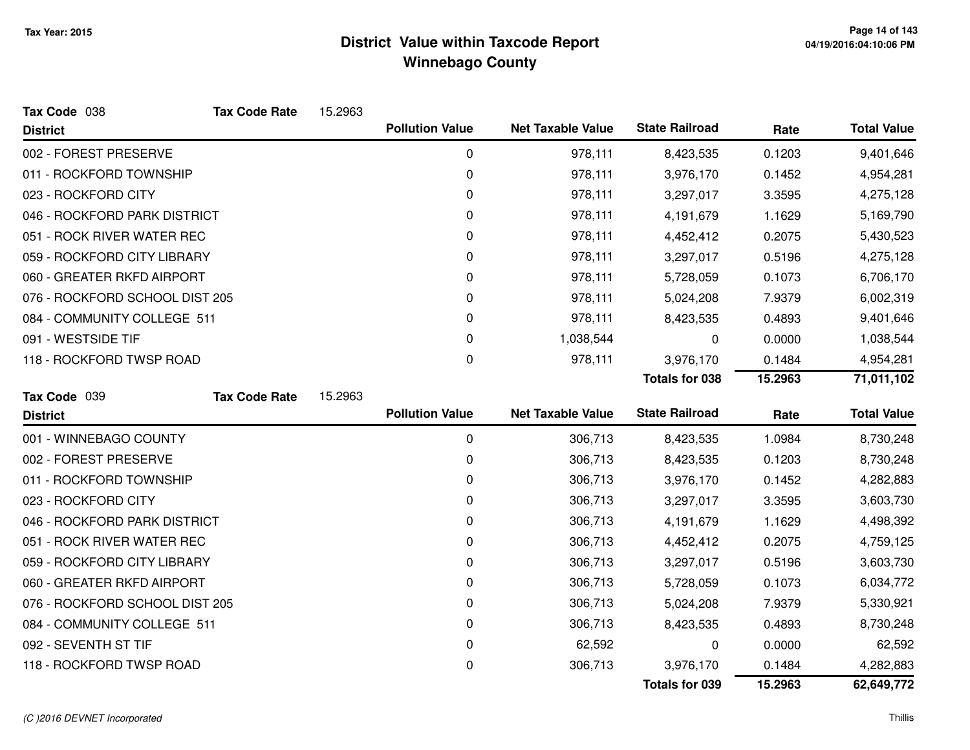| Tax Code 038                   | <b>Tax Code Rate</b> | 15.2963 |                        |                          |                       |         |                    |
|--------------------------------|----------------------|---------|------------------------|--------------------------|-----------------------|---------|--------------------|
| <b>District</b>                |                      |         | <b>Pollution Value</b> | <b>Net Taxable Value</b> | <b>State Railroad</b> | Rate    | <b>Total Value</b> |
| 002 - FOREST PRESERVE          |                      |         | $\mathbf 0$            | 978,111                  | 8,423,535             | 0.1203  | 9,401,646          |
| 011 - ROCKFORD TOWNSHIP        |                      |         | 0                      | 978,111                  | 3,976,170             | 0.1452  | 4,954,281          |
| 023 - ROCKFORD CITY            |                      |         | 0                      | 978,111                  | 3,297,017             | 3.3595  | 4,275,128          |
| 046 - ROCKFORD PARK DISTRICT   |                      |         | 0                      | 978,111                  | 4,191,679             | 1.1629  | 5,169,790          |
| 051 - ROCK RIVER WATER REC     |                      |         | 0                      | 978,111                  | 4,452,412             | 0.2075  | 5,430,523          |
| 059 - ROCKFORD CITY LIBRARY    |                      |         | 0                      | 978,111                  | 3,297,017             | 0.5196  | 4,275,128          |
| 060 - GREATER RKFD AIRPORT     |                      |         | 0                      | 978,111                  | 5,728,059             | 0.1073  | 6,706,170          |
| 076 - ROCKFORD SCHOOL DIST 205 |                      |         | 0                      | 978,111                  | 5,024,208             | 7.9379  | 6,002,319          |
| 084 - COMMUNITY COLLEGE 511    |                      |         | 0                      | 978,111                  | 8,423,535             | 0.4893  | 9,401,646          |
| 091 - WESTSIDE TIF             |                      |         | 0                      | 1,038,544                | 0                     | 0.0000  | 1,038,544          |
| 118 - ROCKFORD TWSP ROAD       |                      |         | 0                      | 978,111                  | 3,976,170             | 0.1484  | 4,954,281          |
|                                |                      |         |                        |                          | <b>Totals for 038</b> | 15.2963 | 71,011,102         |
| Tax Code 039                   | <b>Tax Code Rate</b> | 15.2963 |                        |                          |                       |         |                    |
| <b>District</b>                |                      |         | <b>Pollution Value</b> | <b>Net Taxable Value</b> | <b>State Railroad</b> | Rate    | <b>Total Value</b> |
| 001 - WINNEBAGO COUNTY         |                      |         | 0                      | 306,713                  | 8,423,535             | 1.0984  | 8,730,248          |
| 002 - FOREST PRESERVE          |                      |         | 0                      | 306,713                  | 8,423,535             | 0.1203  | 8,730,248          |
| 011 - ROCKFORD TOWNSHIP        |                      |         | 0                      | 306,713                  | 3,976,170             | 0.1452  | 4,282,883          |
| 023 - ROCKFORD CITY            |                      |         | 0                      | 306,713                  | 3,297,017             | 3.3595  | 3,603,730          |
| 046 - ROCKFORD PARK DISTRICT   |                      |         | 0                      | 306,713                  | 4,191,679             | 1.1629  | 4,498,392          |
| 051 - ROCK RIVER WATER REC     |                      |         | 0                      | 306,713                  | 4,452,412             | 0.2075  | 4,759,125          |
| 059 - ROCKFORD CITY LIBRARY    |                      |         | 0                      | 306,713                  | 3,297,017             | 0.5196  | 3,603,730          |
| 060 - GREATER RKFD AIRPORT     |                      |         | 0                      | 306,713                  | 5,728,059             | 0.1073  | 6,034,772          |
| 076 - ROCKFORD SCHOOL DIST 205 |                      |         | 0                      | 306,713                  | 5,024,208             | 7.9379  | 5,330,921          |
| 084 - COMMUNITY COLLEGE 511    |                      |         | 0                      | 306,713                  | 8,423,535             | 0.4893  | 8,730,248          |
| 092 - SEVENTH ST TIF           |                      |         | 0                      | 62,592                   | 0                     | 0.0000  | 62,592             |
|                                |                      |         |                        |                          |                       |         |                    |
| 118 - ROCKFORD TWSP ROAD       |                      |         | 0                      | 306,713                  | 3,976,170             | 0.1484  | 4,282,883          |

#### (C )2016 DEVNET Incorporated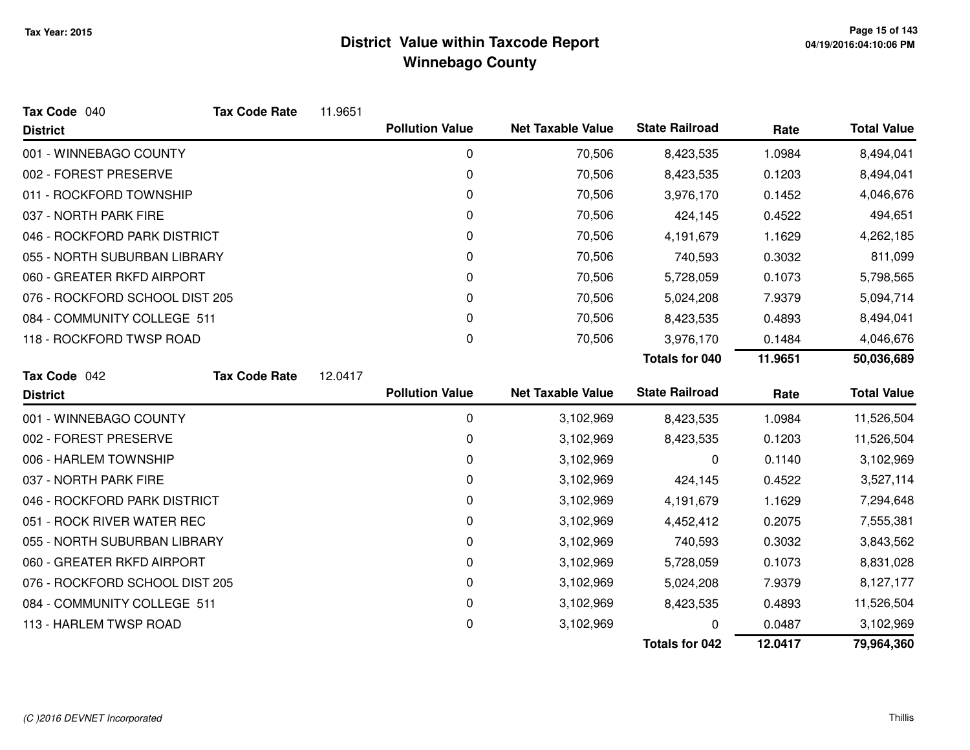| Tax Code 040                   | <b>Tax Code Rate</b> | 11.9651 |                        |                          |                       |         |                    |
|--------------------------------|----------------------|---------|------------------------|--------------------------|-----------------------|---------|--------------------|
| <b>District</b>                |                      |         | <b>Pollution Value</b> | <b>Net Taxable Value</b> | <b>State Railroad</b> | Rate    | <b>Total Value</b> |
| 001 - WINNEBAGO COUNTY         |                      |         | 0                      | 70,506                   | 8,423,535             | 1.0984  | 8,494,041          |
| 002 - FOREST PRESERVE          |                      |         | 0                      | 70,506                   | 8,423,535             | 0.1203  | 8,494,041          |
| 011 - ROCKFORD TOWNSHIP        |                      |         | 0                      | 70,506                   | 3,976,170             | 0.1452  | 4,046,676          |
| 037 - NORTH PARK FIRE          |                      |         | 0                      | 70,506                   | 424,145               | 0.4522  | 494,651            |
| 046 - ROCKFORD PARK DISTRICT   |                      |         | 0                      | 70,506                   | 4,191,679             | 1.1629  | 4,262,185          |
| 055 - NORTH SUBURBAN LIBRARY   |                      |         | 0                      | 70,506                   | 740,593               | 0.3032  | 811,099            |
| 060 - GREATER RKFD AIRPORT     |                      |         | 0                      | 70,506                   | 5,728,059             | 0.1073  | 5,798,565          |
| 076 - ROCKFORD SCHOOL DIST 205 |                      |         | 0                      | 70,506                   | 5,024,208             | 7.9379  | 5,094,714          |
| 084 - COMMUNITY COLLEGE 511    |                      |         | 0                      | 70,506                   | 8,423,535             | 0.4893  | 8,494,041          |
| 118 - ROCKFORD TWSP ROAD       |                      |         | 0                      | 70,506                   | 3,976,170             | 0.1484  | 4,046,676          |
|                                |                      |         |                        |                          | Totals for 040        | 11.9651 | 50,036,689         |
| Tax Code 042                   | <b>Tax Code Rate</b> | 12.0417 |                        |                          |                       |         |                    |
| <b>District</b>                |                      |         | <b>Pollution Value</b> | <b>Net Taxable Value</b> | <b>State Railroad</b> | Rate    | <b>Total Value</b> |
| 001 - WINNEBAGO COUNTY         |                      |         | 0                      | 3,102,969                | 8,423,535             | 1.0984  | 11,526,504         |
| 002 - FOREST PRESERVE          |                      |         | 0                      | 3,102,969                | 8,423,535             | 0.1203  | 11,526,504         |
| 006 - HARLEM TOWNSHIP          |                      |         | 0                      | 3,102,969                | 0                     | 0.1140  | 3,102,969          |
| 037 - NORTH PARK FIRE          |                      |         | 0                      | 3,102,969                | 424,145               | 0.4522  | 3,527,114          |
| 046 - ROCKFORD PARK DISTRICT   |                      |         | 0                      | 3,102,969                | 4,191,679             | 1.1629  | 7,294,648          |
| 051 - ROCK RIVER WATER REC     |                      |         | 0                      | 3,102,969                | 4,452,412             | 0.2075  | 7,555,381          |
| 055 - NORTH SUBURBAN LIBRARY   |                      |         | 0                      | 3,102,969                | 740,593               | 0.3032  | 3,843,562          |
| 060 - GREATER RKFD AIRPORT     |                      |         | 0                      | 3,102,969                | 5,728,059             | 0.1073  | 8,831,028          |
| 076 - ROCKFORD SCHOOL DIST 205 |                      |         | 0                      | 3,102,969                | 5,024,208             | 7.9379  | 8,127,177          |
| 084 - COMMUNITY COLLEGE 511    |                      |         | 0                      | 3,102,969                | 8,423,535             | 0.4893  | 11,526,504         |
| 113 - HARLEM TWSP ROAD         |                      |         | 0                      | 3,102,969                | 0                     | 0.0487  | 3,102,969          |
|                                |                      |         |                        |                          |                       |         |                    |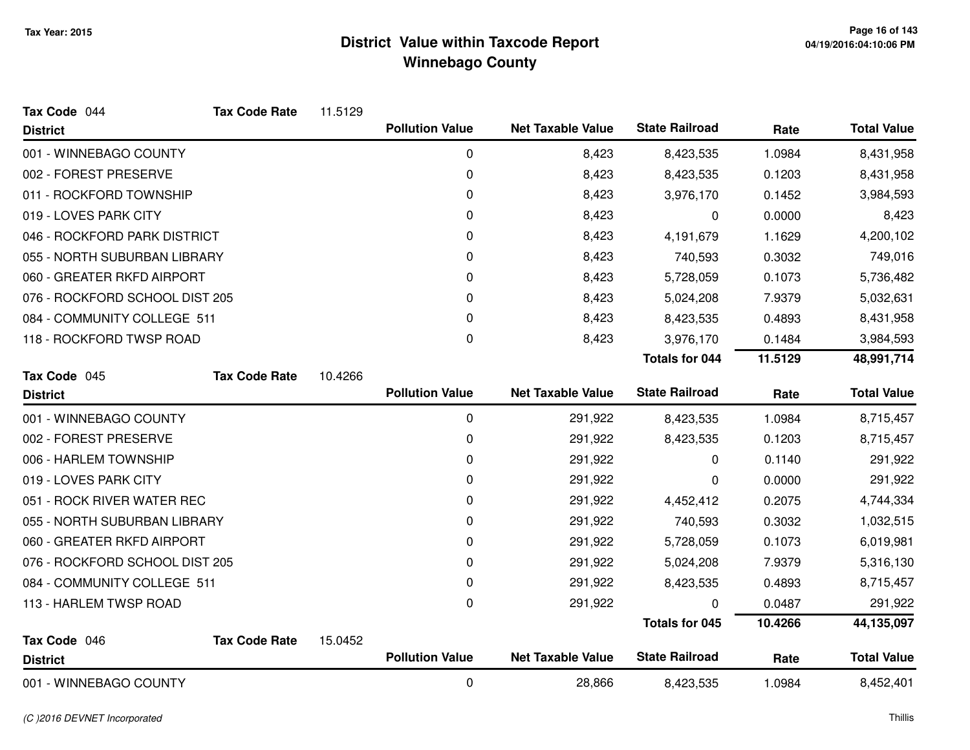| Tax Code 044                   | <b>Tax Code Rate</b> | 11.5129 |                        |                          |                       |         |                    |
|--------------------------------|----------------------|---------|------------------------|--------------------------|-----------------------|---------|--------------------|
| <b>District</b>                |                      |         | <b>Pollution Value</b> | <b>Net Taxable Value</b> | <b>State Railroad</b> | Rate    | <b>Total Value</b> |
| 001 - WINNEBAGO COUNTY         |                      |         | 0                      | 8,423                    | 8,423,535             | 1.0984  | 8,431,958          |
| 002 - FOREST PRESERVE          |                      |         | 0                      | 8,423                    | 8,423,535             | 0.1203  | 8,431,958          |
| 011 - ROCKFORD TOWNSHIP        |                      |         | 0                      | 8,423                    | 3,976,170             | 0.1452  | 3,984,593          |
| 019 - LOVES PARK CITY          |                      |         | 0                      | 8,423                    | 0                     | 0.0000  | 8,423              |
| 046 - ROCKFORD PARK DISTRICT   |                      |         | 0                      | 8,423                    | 4,191,679             | 1.1629  | 4,200,102          |
| 055 - NORTH SUBURBAN LIBRARY   |                      |         | 0                      | 8,423                    | 740,593               | 0.3032  | 749,016            |
| 060 - GREATER RKFD AIRPORT     |                      |         | 0                      | 8,423                    | 5,728,059             | 0.1073  | 5,736,482          |
| 076 - ROCKFORD SCHOOL DIST 205 |                      |         | 0                      | 8,423                    | 5,024,208             | 7.9379  | 5,032,631          |
| 084 - COMMUNITY COLLEGE 511    |                      |         | 0                      | 8,423                    | 8,423,535             | 0.4893  | 8,431,958          |
| 118 - ROCKFORD TWSP ROAD       |                      |         | 0                      | 8,423                    | 3,976,170             | 0.1484  | 3,984,593          |
|                                |                      |         |                        |                          | <b>Totals for 044</b> | 11.5129 | 48,991,714         |
| Tax Code 045                   | <b>Tax Code Rate</b> | 10.4266 |                        |                          |                       |         |                    |
| <b>District</b>                |                      |         | <b>Pollution Value</b> | <b>Net Taxable Value</b> | <b>State Railroad</b> | Rate    | <b>Total Value</b> |
| 001 - WINNEBAGO COUNTY         |                      |         | 0                      | 291,922                  | 8,423,535             | 1.0984  | 8,715,457          |
| 002 - FOREST PRESERVE          |                      |         | 0                      | 291,922                  | 8,423,535             | 0.1203  | 8,715,457          |
| 006 - HARLEM TOWNSHIP          |                      |         | 0                      | 291,922                  | 0                     | 0.1140  | 291,922            |
| 019 - LOVES PARK CITY          |                      |         | 0                      | 291,922                  | 0                     | 0.0000  | 291,922            |
| 051 - ROCK RIVER WATER REC     |                      |         | 0                      | 291,922                  | 4,452,412             | 0.2075  | 4,744,334          |
| 055 - NORTH SUBURBAN LIBRARY   |                      |         | 0                      | 291,922                  | 740,593               | 0.3032  | 1,032,515          |
| 060 - GREATER RKFD AIRPORT     |                      |         | 0                      | 291,922                  | 5,728,059             | 0.1073  | 6,019,981          |
| 076 - ROCKFORD SCHOOL DIST 205 |                      |         | 0                      | 291,922                  | 5,024,208             | 7.9379  | 5,316,130          |
| 084 - COMMUNITY COLLEGE 511    |                      |         | 0                      | 291,922                  | 8,423,535             | 0.4893  | 8,715,457          |
| 113 - HARLEM TWSP ROAD         |                      |         | 0                      | 291,922                  | 0                     | 0.0487  | 291,922            |
|                                |                      |         |                        |                          | <b>Totals for 045</b> | 10.4266 | 44,135,097         |
| Tax Code 046                   | <b>Tax Code Rate</b> | 15.0452 |                        |                          |                       |         |                    |
| <b>District</b>                |                      |         | <b>Pollution Value</b> | <b>Net Taxable Value</b> | <b>State Railroad</b> | Rate    | <b>Total Value</b> |
| 001 - WINNEBAGO COUNTY         |                      |         | 0                      | 28,866                   | 8,423,535             | 1.0984  | 8,452,401          |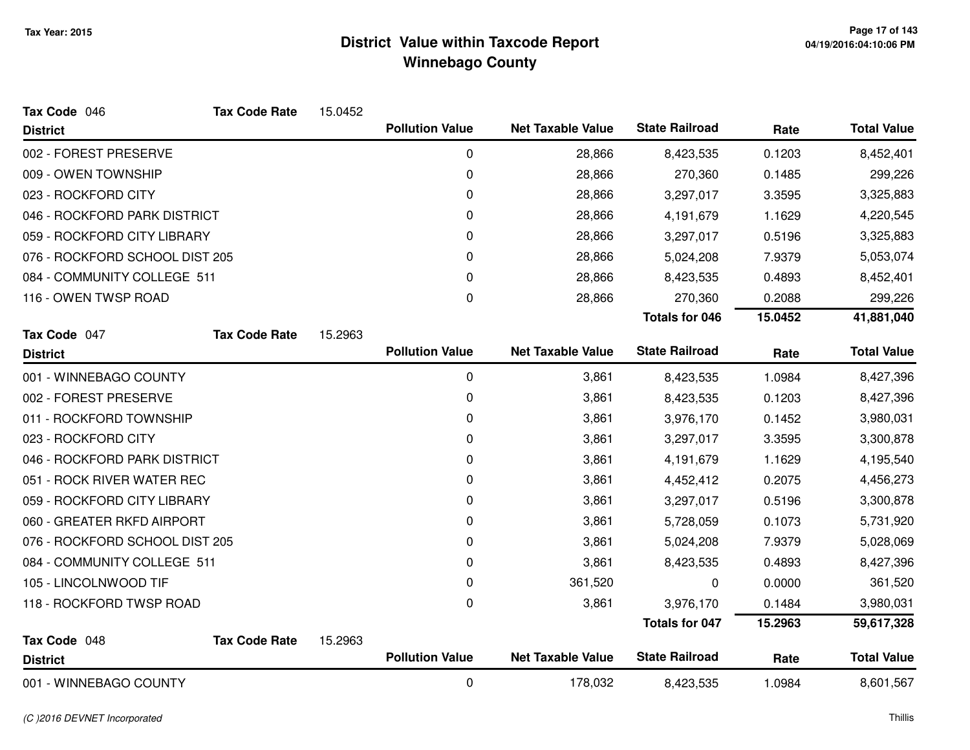| Tax Code 046                   | <b>Tax Code Rate</b> | 15.0452 |                        |                          |                       |         |                    |
|--------------------------------|----------------------|---------|------------------------|--------------------------|-----------------------|---------|--------------------|
| <b>District</b>                |                      |         | <b>Pollution Value</b> | <b>Net Taxable Value</b> | <b>State Railroad</b> | Rate    | <b>Total Value</b> |
| 002 - FOREST PRESERVE          |                      |         | 0                      | 28,866                   | 8,423,535             | 0.1203  | 8,452,401          |
| 009 - OWEN TOWNSHIP            |                      |         | 0                      | 28,866                   | 270,360               | 0.1485  | 299,226            |
| 023 - ROCKFORD CITY            |                      |         | 0                      | 28,866                   | 3,297,017             | 3.3595  | 3,325,883          |
| 046 - ROCKFORD PARK DISTRICT   |                      |         | 0                      | 28,866                   | 4,191,679             | 1.1629  | 4,220,545          |
| 059 - ROCKFORD CITY LIBRARY    |                      |         | 0                      | 28,866                   | 3,297,017             | 0.5196  | 3,325,883          |
| 076 - ROCKFORD SCHOOL DIST 205 |                      |         | 0                      | 28,866                   | 5,024,208             | 7.9379  | 5,053,074          |
| 084 - COMMUNITY COLLEGE 511    |                      |         | 0                      | 28,866                   | 8,423,535             | 0.4893  | 8,452,401          |
| 116 - OWEN TWSP ROAD           |                      |         | 0                      | 28,866                   | 270,360               | 0.2088  | 299,226            |
|                                |                      |         |                        |                          | <b>Totals for 046</b> | 15.0452 | 41,881,040         |
| Tax Code 047                   | <b>Tax Code Rate</b> | 15.2963 |                        |                          |                       |         |                    |
| <b>District</b>                |                      |         | <b>Pollution Value</b> | <b>Net Taxable Value</b> | <b>State Railroad</b> | Rate    | <b>Total Value</b> |
| 001 - WINNEBAGO COUNTY         |                      |         | 0                      | 3,861                    | 8,423,535             | 1.0984  | 8,427,396          |
| 002 - FOREST PRESERVE          |                      |         | 0                      | 3,861                    | 8,423,535             | 0.1203  | 8,427,396          |
| 011 - ROCKFORD TOWNSHIP        |                      |         | 0                      | 3,861                    | 3,976,170             | 0.1452  | 3,980,031          |
| 023 - ROCKFORD CITY            |                      |         | 0                      | 3,861                    | 3,297,017             | 3.3595  | 3,300,878          |
| 046 - ROCKFORD PARK DISTRICT   |                      |         | 0                      | 3,861                    | 4,191,679             | 1.1629  | 4,195,540          |
| 051 - ROCK RIVER WATER REC     |                      |         | 0                      | 3,861                    | 4,452,412             | 0.2075  | 4,456,273          |
| 059 - ROCKFORD CITY LIBRARY    |                      |         | 0                      | 3,861                    | 3,297,017             | 0.5196  | 3,300,878          |
| 060 - GREATER RKFD AIRPORT     |                      |         | 0                      | 3,861                    | 5,728,059             | 0.1073  | 5,731,920          |
| 076 - ROCKFORD SCHOOL DIST 205 |                      |         | 0                      | 3,861                    | 5,024,208             | 7.9379  | 5,028,069          |
| 084 - COMMUNITY COLLEGE 511    |                      |         | 0                      | 3,861                    | 8,423,535             | 0.4893  | 8,427,396          |
| 105 - LINCOLNWOOD TIF          |                      |         | 0                      | 361,520                  | 0                     | 0.0000  | 361,520            |
| 118 - ROCKFORD TWSP ROAD       |                      |         | 0                      | 3,861                    | 3,976,170             | 0.1484  | 3,980,031          |
|                                |                      |         |                        |                          | <b>Totals for 047</b> | 15.2963 | 59,617,328         |
| Tax Code 048                   | <b>Tax Code Rate</b> | 15.2963 |                        |                          |                       |         |                    |
| <b>District</b>                |                      |         | <b>Pollution Value</b> | <b>Net Taxable Value</b> | <b>State Railroad</b> | Rate    | <b>Total Value</b> |
| 001 - WINNEBAGO COUNTY         |                      |         | $\mathbf 0$            | 178,032                  | 8,423,535             | 1.0984  | 8,601,567          |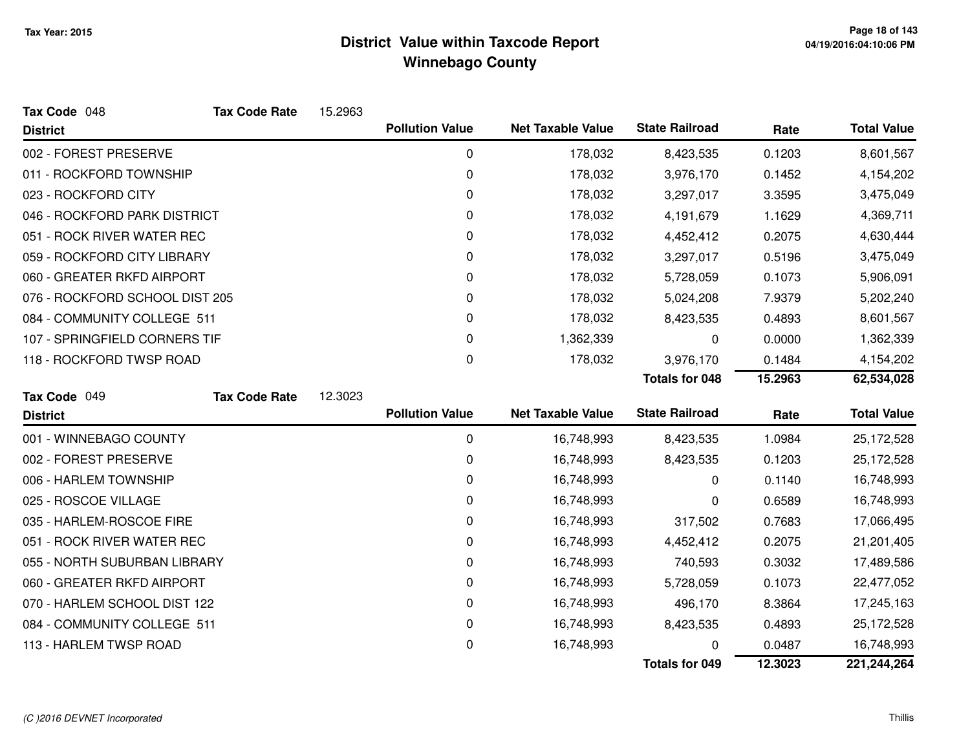| Tax Code 048                   | <b>Tax Code Rate</b> | 15.2963 |                        |                          |                       |         |                    |
|--------------------------------|----------------------|---------|------------------------|--------------------------|-----------------------|---------|--------------------|
| <b>District</b>                |                      |         | <b>Pollution Value</b> | <b>Net Taxable Value</b> | <b>State Railroad</b> | Rate    | <b>Total Value</b> |
| 002 - FOREST PRESERVE          |                      |         | 0                      | 178,032                  | 8,423,535             | 0.1203  | 8,601,567          |
| 011 - ROCKFORD TOWNSHIP        |                      |         | $\pmb{0}$              | 178,032                  | 3,976,170             | 0.1452  | 4,154,202          |
| 023 - ROCKFORD CITY            |                      |         | 0                      | 178,032                  | 3,297,017             | 3.3595  | 3,475,049          |
| 046 - ROCKFORD PARK DISTRICT   |                      |         | 0                      | 178,032                  | 4,191,679             | 1.1629  | 4,369,711          |
| 051 - ROCK RIVER WATER REC     |                      |         | 0                      | 178,032                  | 4,452,412             | 0.2075  | 4,630,444          |
| 059 - ROCKFORD CITY LIBRARY    |                      |         | 0                      | 178,032                  | 3,297,017             | 0.5196  | 3,475,049          |
| 060 - GREATER RKFD AIRPORT     |                      |         | 0                      | 178,032                  | 5,728,059             | 0.1073  | 5,906,091          |
| 076 - ROCKFORD SCHOOL DIST 205 |                      |         | 0                      | 178,032                  | 5,024,208             | 7.9379  | 5,202,240          |
| 084 - COMMUNITY COLLEGE 511    |                      |         | 0                      | 178,032                  | 8,423,535             | 0.4893  | 8,601,567          |
| 107 - SPRINGFIELD CORNERS TIF  |                      |         | 0                      | 1,362,339                | 0                     | 0.0000  | 1,362,339          |
| 118 - ROCKFORD TWSP ROAD       |                      |         | $\pmb{0}$              | 178,032                  | 3,976,170             | 0.1484  | 4,154,202          |
|                                |                      |         |                        |                          | <b>Totals for 048</b> | 15.2963 | 62,534,028         |
| Tax Code 049                   | <b>Tax Code Rate</b> | 12.3023 |                        |                          |                       |         |                    |
| <b>District</b>                |                      |         | <b>Pollution Value</b> | <b>Net Taxable Value</b> | <b>State Railroad</b> | Rate    | <b>Total Value</b> |
| 001 - WINNEBAGO COUNTY         |                      |         | 0                      | 16,748,993               | 8,423,535             | 1.0984  | 25,172,528         |
| 002 - FOREST PRESERVE          |                      |         | $\pmb{0}$              | 16,748,993               | 8,423,535             | 0.1203  | 25,172,528         |
| 006 - HARLEM TOWNSHIP          |                      |         | 0                      | 16,748,993               | 0                     | 0.1140  | 16,748,993         |
| 025 - ROSCOE VILLAGE           |                      |         | 0                      | 16,748,993               | 0                     | 0.6589  | 16,748,993         |
| 035 - HARLEM-ROSCOE FIRE       |                      |         | 0                      | 16,748,993               | 317,502               | 0.7683  | 17,066,495         |
| 051 - ROCK RIVER WATER REC     |                      |         | 0                      | 16,748,993               | 4,452,412             | 0.2075  | 21,201,405         |
| 055 - NORTH SUBURBAN LIBRARY   |                      |         | 0                      | 16,748,993               | 740,593               | 0.3032  | 17,489,586         |
| 060 - GREATER RKFD AIRPORT     |                      |         | 0                      | 16,748,993               | 5,728,059             | 0.1073  | 22,477,052         |
| 070 - HARLEM SCHOOL DIST 122   |                      |         | 0                      | 16,748,993               | 496,170               | 8.3864  | 17,245,163         |
| 084 - COMMUNITY COLLEGE 511    |                      |         | 0                      | 16,748,993               | 8,423,535             | 0.4893  | 25,172,528         |
| 113 - HARLEM TWSP ROAD         |                      |         | 0                      | 16,748,993               |                       | 0.0487  | 16,748,993         |
|                                |                      |         |                        |                          | <b>Totals for 049</b> | 12.3023 | 221,244,264        |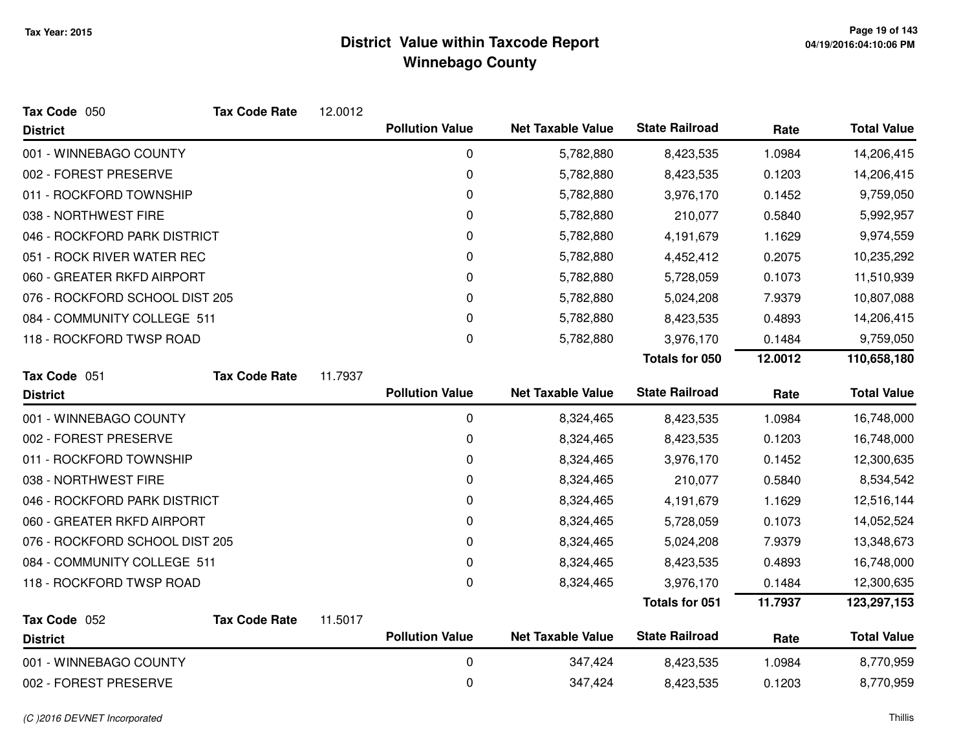| Tax Code 050                   | <b>Tax Code Rate</b> | 12.0012 |                        |                          |                       |         |                    |
|--------------------------------|----------------------|---------|------------------------|--------------------------|-----------------------|---------|--------------------|
| <b>District</b>                |                      |         | <b>Pollution Value</b> | <b>Net Taxable Value</b> | <b>State Railroad</b> | Rate    | <b>Total Value</b> |
| 001 - WINNEBAGO COUNTY         |                      |         | 0                      | 5,782,880                | 8,423,535             | 1.0984  | 14,206,415         |
| 002 - FOREST PRESERVE          |                      |         | 0                      | 5,782,880                | 8,423,535             | 0.1203  | 14,206,415         |
| 011 - ROCKFORD TOWNSHIP        |                      |         | 0                      | 5,782,880                | 3,976,170             | 0.1452  | 9,759,050          |
| 038 - NORTHWEST FIRE           |                      |         | 0                      | 5,782,880                | 210,077               | 0.5840  | 5,992,957          |
| 046 - ROCKFORD PARK DISTRICT   |                      |         | 0                      | 5,782,880                | 4,191,679             | 1.1629  | 9,974,559          |
| 051 - ROCK RIVER WATER REC     |                      |         | 0                      | 5,782,880                | 4,452,412             | 0.2075  | 10,235,292         |
| 060 - GREATER RKFD AIRPORT     |                      |         | 0                      | 5,782,880                | 5,728,059             | 0.1073  | 11,510,939         |
| 076 - ROCKFORD SCHOOL DIST 205 |                      |         | 0                      | 5,782,880                | 5,024,208             | 7.9379  | 10,807,088         |
| 084 - COMMUNITY COLLEGE 511    |                      |         | 0                      | 5,782,880                | 8,423,535             | 0.4893  | 14,206,415         |
| 118 - ROCKFORD TWSP ROAD       |                      |         | 0                      | 5,782,880                | 3,976,170             | 0.1484  | 9,759,050          |
|                                |                      |         |                        |                          | Totals for 050        | 12.0012 | 110,658,180        |
| Tax Code 051                   | <b>Tax Code Rate</b> | 11.7937 |                        |                          |                       |         |                    |
| <b>District</b>                |                      |         | <b>Pollution Value</b> | <b>Net Taxable Value</b> | <b>State Railroad</b> | Rate    | <b>Total Value</b> |
| 001 - WINNEBAGO COUNTY         |                      |         | 0                      | 8,324,465                | 8,423,535             | 1.0984  | 16,748,000         |
| 002 - FOREST PRESERVE          |                      |         | 0                      | 8,324,465                | 8,423,535             | 0.1203  | 16,748,000         |
| 011 - ROCKFORD TOWNSHIP        |                      |         | 0                      | 8,324,465                | 3,976,170             | 0.1452  | 12,300,635         |
| 038 - NORTHWEST FIRE           |                      |         | 0                      | 8,324,465                | 210,077               | 0.5840  | 8,534,542          |
| 046 - ROCKFORD PARK DISTRICT   |                      |         | 0                      | 8,324,465                | 4,191,679             | 1.1629  | 12,516,144         |
| 060 - GREATER RKFD AIRPORT     |                      |         | 0                      | 8,324,465                | 5,728,059             | 0.1073  | 14,052,524         |
| 076 - ROCKFORD SCHOOL DIST 205 |                      |         | 0                      | 8,324,465                | 5,024,208             | 7.9379  | 13,348,673         |
| 084 - COMMUNITY COLLEGE 511    |                      |         | 0                      | 8,324,465                | 8,423,535             | 0.4893  | 16,748,000         |
| 118 - ROCKFORD TWSP ROAD       |                      |         | 0                      | 8,324,465                | 3,976,170             | 0.1484  | 12,300,635         |
|                                |                      |         |                        |                          | <b>Totals for 051</b> | 11.7937 | 123,297,153        |
| Tax Code 052                   | <b>Tax Code Rate</b> | 11.5017 | <b>Pollution Value</b> | <b>Net Taxable Value</b> | <b>State Railroad</b> |         | <b>Total Value</b> |
| <b>District</b>                |                      |         |                        |                          |                       | Rate    |                    |
| 001 - WINNEBAGO COUNTY         |                      |         | 0                      | 347,424                  | 8,423,535             | 1.0984  | 8,770,959          |
| 002 - FOREST PRESERVE          |                      |         | 0                      | 347,424                  | 8,423,535             | 0.1203  | 8,770,959          |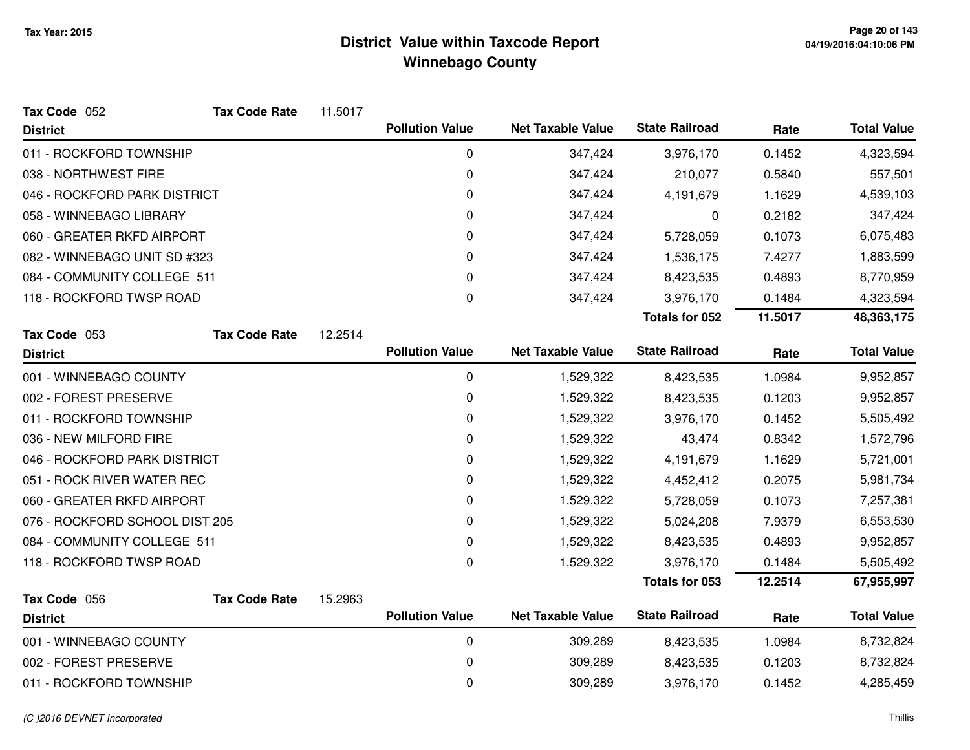| Tax Code 052                   | <b>Tax Code Rate</b> | 11.5017 |                        |                          |                       |         |                    |
|--------------------------------|----------------------|---------|------------------------|--------------------------|-----------------------|---------|--------------------|
| <b>District</b>                |                      |         | <b>Pollution Value</b> | <b>Net Taxable Value</b> | <b>State Railroad</b> | Rate    | <b>Total Value</b> |
| 011 - ROCKFORD TOWNSHIP        |                      |         | $\pmb{0}$              | 347,424                  | 3,976,170             | 0.1452  | 4,323,594          |
| 038 - NORTHWEST FIRE           |                      |         | 0                      | 347,424                  | 210,077               | 0.5840  | 557,501            |
| 046 - ROCKFORD PARK DISTRICT   |                      |         | 0                      | 347,424                  | 4,191,679             | 1.1629  | 4,539,103          |
| 058 - WINNEBAGO LIBRARY        |                      |         | 0                      | 347,424                  | 0                     | 0.2182  | 347,424            |
| 060 - GREATER RKFD AIRPORT     |                      |         | 0                      | 347,424                  | 5,728,059             | 0.1073  | 6,075,483          |
| 082 - WINNEBAGO UNIT SD #323   |                      |         | 0                      | 347,424                  | 1,536,175             | 7.4277  | 1,883,599          |
| 084 - COMMUNITY COLLEGE 511    |                      |         | 0                      | 347,424                  | 8,423,535             | 0.4893  | 8,770,959          |
| 118 - ROCKFORD TWSP ROAD       |                      |         | 0                      | 347,424                  | 3,976,170             | 0.1484  | 4,323,594          |
|                                |                      |         |                        |                          | <b>Totals for 052</b> | 11.5017 | 48,363,175         |
| Tax Code 053                   | <b>Tax Code Rate</b> | 12.2514 |                        |                          |                       |         |                    |
| <b>District</b>                |                      |         | <b>Pollution Value</b> | <b>Net Taxable Value</b> | <b>State Railroad</b> | Rate    | <b>Total Value</b> |
| 001 - WINNEBAGO COUNTY         |                      |         | 0                      | 1,529,322                | 8,423,535             | 1.0984  | 9,952,857          |
| 002 - FOREST PRESERVE          |                      |         | 0                      | 1,529,322                | 8,423,535             | 0.1203  | 9,952,857          |
| 011 - ROCKFORD TOWNSHIP        |                      |         | 0                      | 1,529,322                | 3,976,170             | 0.1452  | 5,505,492          |
| 036 - NEW MILFORD FIRE         |                      |         | 0                      | 1,529,322                | 43,474                | 0.8342  | 1,572,796          |
| 046 - ROCKFORD PARK DISTRICT   |                      |         | 0                      | 1,529,322                | 4,191,679             | 1.1629  | 5,721,001          |
| 051 - ROCK RIVER WATER REC     |                      |         | 0                      | 1,529,322                | 4,452,412             | 0.2075  | 5,981,734          |
| 060 - GREATER RKFD AIRPORT     |                      |         | 0                      | 1,529,322                | 5,728,059             | 0.1073  | 7,257,381          |
| 076 - ROCKFORD SCHOOL DIST 205 |                      |         | 0                      | 1,529,322                | 5,024,208             | 7.9379  | 6,553,530          |
| 084 - COMMUNITY COLLEGE 511    |                      |         | 0                      | 1,529,322                | 8,423,535             | 0.4893  | 9,952,857          |
| 118 - ROCKFORD TWSP ROAD       |                      |         | $\mathbf 0$            | 1,529,322                | 3,976,170             | 0.1484  | 5,505,492          |
|                                |                      |         |                        |                          | Totals for 053        | 12.2514 | 67,955,997         |
| Tax Code 056                   | <b>Tax Code Rate</b> | 15.2963 |                        |                          |                       |         |                    |
| <b>District</b>                |                      |         | <b>Pollution Value</b> | <b>Net Taxable Value</b> | <b>State Railroad</b> | Rate    | <b>Total Value</b> |
| 001 - WINNEBAGO COUNTY         |                      |         | $\pmb{0}$              | 309,289                  | 8,423,535             | 1.0984  | 8,732,824          |
| 002 - FOREST PRESERVE          |                      |         | 0                      | 309,289                  | 8,423,535             | 0.1203  | 8,732,824          |
| 011 - ROCKFORD TOWNSHIP        |                      |         | 0                      | 309,289                  | 3,976,170             | 0.1452  | 4,285,459          |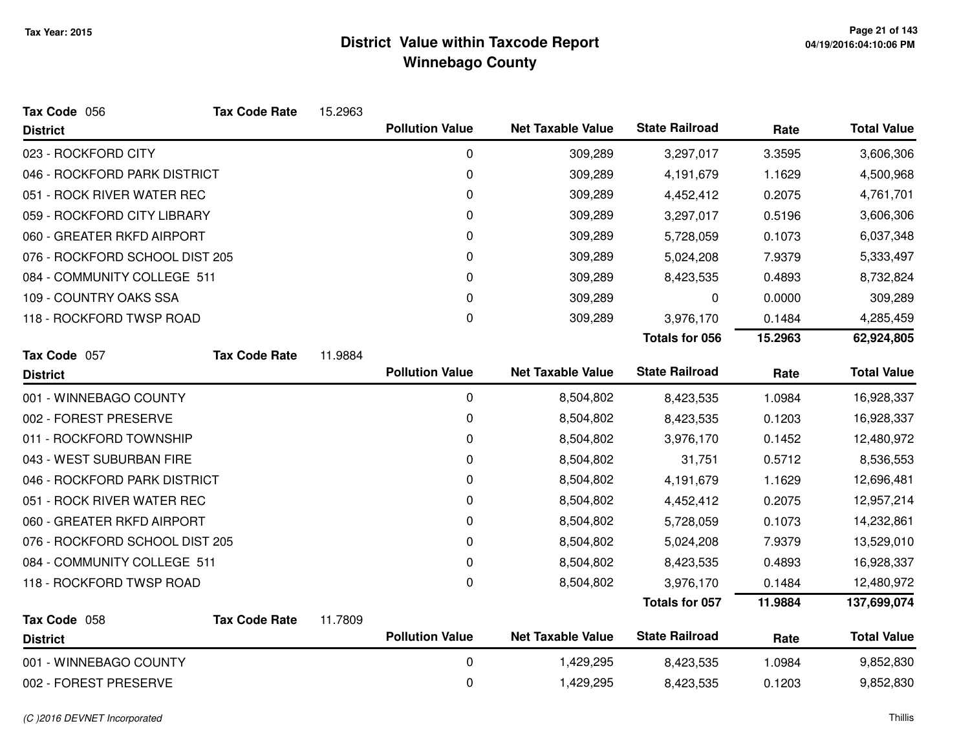| Tax Code 056                   | <b>Tax Code Rate</b> | 15.2963 |                        |                          |                       |         |                    |
|--------------------------------|----------------------|---------|------------------------|--------------------------|-----------------------|---------|--------------------|
| <b>District</b>                |                      |         | <b>Pollution Value</b> | <b>Net Taxable Value</b> | <b>State Railroad</b> | Rate    | <b>Total Value</b> |
| 023 - ROCKFORD CITY            |                      |         | 0                      | 309,289                  | 3,297,017             | 3.3595  | 3,606,306          |
| 046 - ROCKFORD PARK DISTRICT   |                      |         | 0                      | 309,289                  | 4,191,679             | 1.1629  | 4,500,968          |
| 051 - ROCK RIVER WATER REC     |                      |         | 0                      | 309,289                  | 4,452,412             | 0.2075  | 4,761,701          |
| 059 - ROCKFORD CITY LIBRARY    |                      |         | 0                      | 309,289                  | 3,297,017             | 0.5196  | 3,606,306          |
| 060 - GREATER RKFD AIRPORT     |                      |         | 0                      | 309,289                  | 5,728,059             | 0.1073  | 6,037,348          |
| 076 - ROCKFORD SCHOOL DIST 205 |                      |         | 0                      | 309,289                  | 5,024,208             | 7.9379  | 5,333,497          |
| 084 - COMMUNITY COLLEGE 511    |                      |         | 0                      | 309,289                  | 8,423,535             | 0.4893  | 8,732,824          |
| 109 - COUNTRY OAKS SSA         |                      |         | 0                      | 309,289                  | 0                     | 0.0000  | 309,289            |
| 118 - ROCKFORD TWSP ROAD       |                      |         | 0                      | 309,289                  | 3,976,170             | 0.1484  | 4,285,459          |
|                                |                      |         |                        |                          | <b>Totals for 056</b> | 15.2963 | 62,924,805         |
| Tax Code 057                   | <b>Tax Code Rate</b> | 11.9884 |                        |                          |                       |         |                    |
| <b>District</b>                |                      |         | <b>Pollution Value</b> | <b>Net Taxable Value</b> | <b>State Railroad</b> | Rate    | <b>Total Value</b> |
| 001 - WINNEBAGO COUNTY         |                      |         | 0                      | 8,504,802                | 8,423,535             | 1.0984  | 16,928,337         |
| 002 - FOREST PRESERVE          |                      |         | $\mathbf 0$            | 8,504,802                | 8,423,535             | 0.1203  | 16,928,337         |
| 011 - ROCKFORD TOWNSHIP        |                      |         | 0                      | 8,504,802                | 3,976,170             | 0.1452  | 12,480,972         |
| 043 - WEST SUBURBAN FIRE       |                      |         | 0                      | 8,504,802                | 31,751                | 0.5712  | 8,536,553          |
| 046 - ROCKFORD PARK DISTRICT   |                      |         | 0                      | 8,504,802                | 4,191,679             | 1.1629  | 12,696,481         |
| 051 - ROCK RIVER WATER REC     |                      |         | 0                      | 8,504,802                | 4,452,412             | 0.2075  | 12,957,214         |
| 060 - GREATER RKFD AIRPORT     |                      |         | 0                      | 8,504,802                | 5,728,059             | 0.1073  | 14,232,861         |
| 076 - ROCKFORD SCHOOL DIST 205 |                      |         | 0                      | 8,504,802                | 5,024,208             | 7.9379  | 13,529,010         |
| 084 - COMMUNITY COLLEGE 511    |                      |         | 0                      | 8,504,802                | 8,423,535             | 0.4893  | 16,928,337         |
| 118 - ROCKFORD TWSP ROAD       |                      |         | 0                      | 8,504,802                | 3,976,170             | 0.1484  | 12,480,972         |
|                                |                      |         |                        |                          | Totals for 057        | 11.9884 | 137,699,074        |
| Tax Code 058                   | <b>Tax Code Rate</b> | 11.7809 |                        |                          |                       |         |                    |
| <b>District</b>                |                      |         | <b>Pollution Value</b> | <b>Net Taxable Value</b> | <b>State Railroad</b> | Rate    | <b>Total Value</b> |
| 001 - WINNEBAGO COUNTY         |                      |         | $\mathbf 0$            | 1,429,295                | 8,423,535             | 1.0984  | 9,852,830          |
| 002 - FOREST PRESERVE          |                      |         | 0                      | 1,429,295                | 8,423,535             | 0.1203  | 9,852,830          |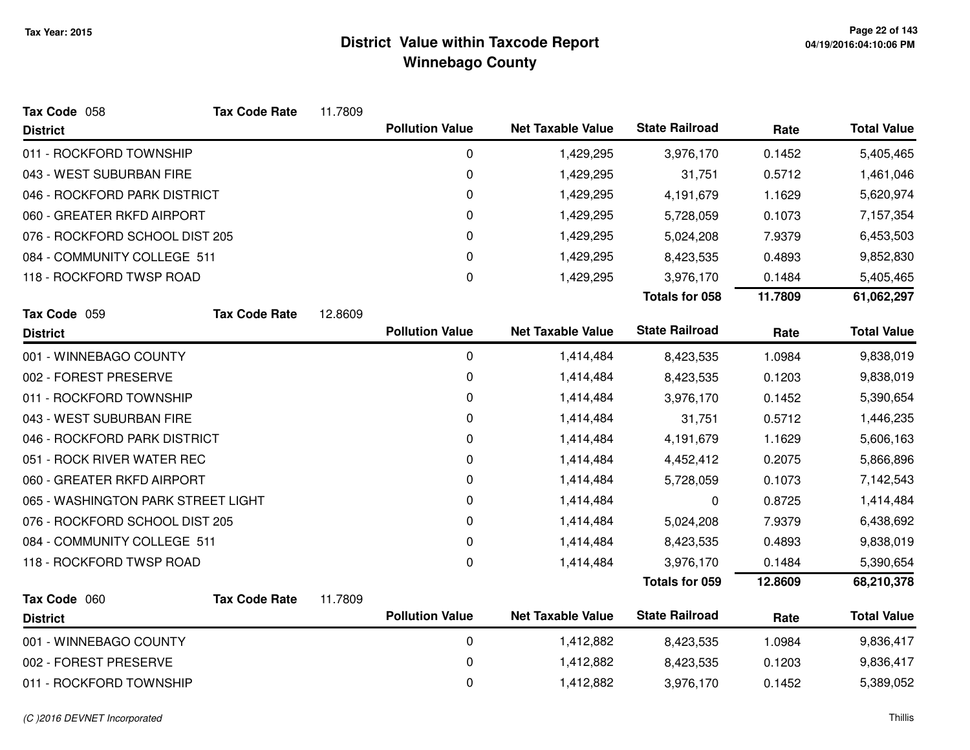| Tax Code 058                       | <b>Tax Code Rate</b> | 11.7809 |                        |                          |                       |         |                    |
|------------------------------------|----------------------|---------|------------------------|--------------------------|-----------------------|---------|--------------------|
| <b>District</b>                    |                      |         | <b>Pollution Value</b> | <b>Net Taxable Value</b> | <b>State Railroad</b> | Rate    | <b>Total Value</b> |
| 011 - ROCKFORD TOWNSHIP            |                      |         | 0                      | 1,429,295                | 3,976,170             | 0.1452  | 5,405,465          |
| 043 - WEST SUBURBAN FIRE           |                      |         | $\mathbf 0$            | 1,429,295                | 31,751                | 0.5712  | 1,461,046          |
| 046 - ROCKFORD PARK DISTRICT       |                      |         | 0                      | 1,429,295                | 4,191,679             | 1.1629  | 5,620,974          |
| 060 - GREATER RKFD AIRPORT         |                      |         | $\mathbf 0$            | 1,429,295                | 5,728,059             | 0.1073  | 7,157,354          |
| 076 - ROCKFORD SCHOOL DIST 205     |                      |         | $\mathbf 0$            | 1,429,295                | 5,024,208             | 7.9379  | 6,453,503          |
| 084 - COMMUNITY COLLEGE 511        |                      |         | 0                      | 1,429,295                | 8,423,535             | 0.4893  | 9,852,830          |
| 118 - ROCKFORD TWSP ROAD           |                      |         | $\mathbf 0$            | 1,429,295                | 3,976,170             | 0.1484  | 5,405,465          |
|                                    |                      |         |                        |                          | <b>Totals for 058</b> | 11.7809 | 61,062,297         |
| Tax Code 059                       | <b>Tax Code Rate</b> | 12.8609 |                        |                          |                       |         |                    |
| <b>District</b>                    |                      |         | <b>Pollution Value</b> | <b>Net Taxable Value</b> | <b>State Railroad</b> | Rate    | <b>Total Value</b> |
| 001 - WINNEBAGO COUNTY             |                      |         | $\mathbf 0$            | 1,414,484                | 8,423,535             | 1.0984  | 9,838,019          |
| 002 - FOREST PRESERVE              |                      |         | 0                      | 1,414,484                | 8,423,535             | 0.1203  | 9,838,019          |
| 011 - ROCKFORD TOWNSHIP            |                      |         | 0                      | 1,414,484                | 3,976,170             | 0.1452  | 5,390,654          |
| 043 - WEST SUBURBAN FIRE           |                      |         | 0                      | 1,414,484                | 31,751                | 0.5712  | 1,446,235          |
| 046 - ROCKFORD PARK DISTRICT       |                      |         | 0                      | 1,414,484                | 4,191,679             | 1.1629  | 5,606,163          |
| 051 - ROCK RIVER WATER REC         |                      |         | $\pmb{0}$              | 1,414,484                | 4,452,412             | 0.2075  | 5,866,896          |
| 060 - GREATER RKFD AIRPORT         |                      |         | 0                      | 1,414,484                | 5,728,059             | 0.1073  | 7,142,543          |
| 065 - WASHINGTON PARK STREET LIGHT |                      |         | $\mathbf 0$            | 1,414,484                | 0                     | 0.8725  | 1,414,484          |
| 076 - ROCKFORD SCHOOL DIST 205     |                      |         | 0                      | 1,414,484                | 5,024,208             | 7.9379  | 6,438,692          |
| 084 - COMMUNITY COLLEGE 511        |                      |         | $\Omega$               | 1,414,484                | 8,423,535             | 0.4893  | 9,838,019          |
| 118 - ROCKFORD TWSP ROAD           |                      |         | $\mathbf 0$            | 1,414,484                | 3,976,170             | 0.1484  | 5,390,654          |
|                                    |                      |         |                        |                          | Totals for 059        | 12.8609 | 68,210,378         |
| Tax Code 060                       | <b>Tax Code Rate</b> | 11.7809 |                        |                          |                       |         |                    |
| <b>District</b>                    |                      |         | <b>Pollution Value</b> | <b>Net Taxable Value</b> | <b>State Railroad</b> | Rate    | <b>Total Value</b> |
| 001 - WINNEBAGO COUNTY             |                      |         | $\mathbf 0$            | 1,412,882                | 8,423,535             | 1.0984  | 9,836,417          |
| 002 - FOREST PRESERVE              |                      |         | 0                      | 1,412,882                | 8,423,535             | 0.1203  | 9,836,417          |
| 011 - ROCKFORD TOWNSHIP            |                      |         | $\mathbf 0$            | 1,412,882                | 3,976,170             | 0.1452  | 5,389,052          |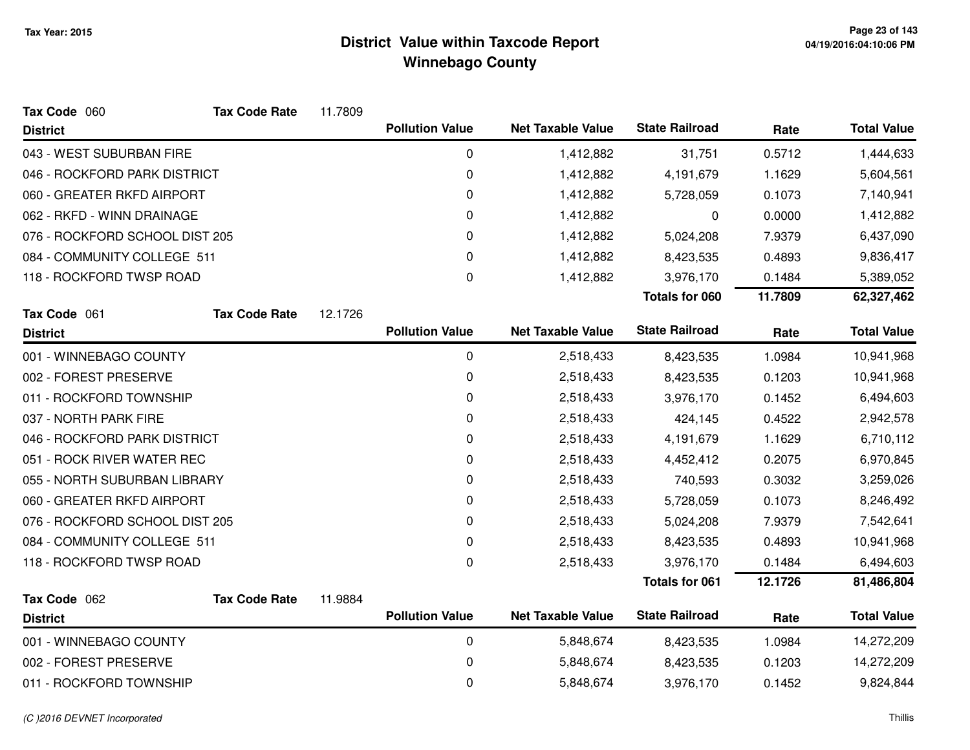| Tax Code 060                   | <b>Tax Code Rate</b> | 11.7809 |                        |                          |                       |         |                    |
|--------------------------------|----------------------|---------|------------------------|--------------------------|-----------------------|---------|--------------------|
| <b>District</b>                |                      |         | <b>Pollution Value</b> | <b>Net Taxable Value</b> | <b>State Railroad</b> | Rate    | <b>Total Value</b> |
| 043 - WEST SUBURBAN FIRE       |                      |         | 0                      | 1,412,882                | 31,751                | 0.5712  | 1,444,633          |
| 046 - ROCKFORD PARK DISTRICT   |                      |         | $\pmb{0}$              | 1,412,882                | 4,191,679             | 1.1629  | 5,604,561          |
| 060 - GREATER RKFD AIRPORT     |                      |         | $\mathbf 0$            | 1,412,882                | 5,728,059             | 0.1073  | 7,140,941          |
| 062 - RKFD - WINN DRAINAGE     |                      |         | 0                      | 1,412,882                | 0                     | 0.0000  | 1,412,882          |
| 076 - ROCKFORD SCHOOL DIST 205 |                      |         | 0                      | 1,412,882                | 5,024,208             | 7.9379  | 6,437,090          |
| 084 - COMMUNITY COLLEGE 511    |                      |         | $\Omega$               | 1,412,882                | 8,423,535             | 0.4893  | 9,836,417          |
| 118 - ROCKFORD TWSP ROAD       |                      |         | $\boldsymbol{0}$       | 1,412,882                | 3,976,170             | 0.1484  | 5,389,052          |
|                                |                      |         |                        |                          | Totals for 060        | 11.7809 | 62,327,462         |
| Tax Code 061                   | <b>Tax Code Rate</b> | 12.1726 |                        |                          |                       |         |                    |
| <b>District</b>                |                      |         | <b>Pollution Value</b> | <b>Net Taxable Value</b> | <b>State Railroad</b> | Rate    | <b>Total Value</b> |
| 001 - WINNEBAGO COUNTY         |                      |         | 0                      | 2,518,433                | 8,423,535             | 1.0984  | 10,941,968         |
| 002 - FOREST PRESERVE          |                      |         | 0                      | 2,518,433                | 8,423,535             | 0.1203  | 10,941,968         |
| 011 - ROCKFORD TOWNSHIP        |                      |         | $\mathbf 0$            | 2,518,433                | 3,976,170             | 0.1452  | 6,494,603          |
| 037 - NORTH PARK FIRE          |                      |         | $\mathbf 0$            | 2,518,433                | 424,145               | 0.4522  | 2,942,578          |
| 046 - ROCKFORD PARK DISTRICT   |                      |         | 0                      | 2,518,433                | 4,191,679             | 1.1629  | 6,710,112          |
| 051 - ROCK RIVER WATER REC     |                      |         | 0                      | 2,518,433                | 4,452,412             | 0.2075  | 6,970,845          |
| 055 - NORTH SUBURBAN LIBRARY   |                      |         | $\mathbf 0$            | 2,518,433                | 740,593               | 0.3032  | 3,259,026          |
| 060 - GREATER RKFD AIRPORT     |                      |         | $\mathbf 0$            | 2,518,433                | 5,728,059             | 0.1073  | 8,246,492          |
| 076 - ROCKFORD SCHOOL DIST 205 |                      |         | $\mathbf 0$            | 2,518,433                | 5,024,208             | 7.9379  | 7,542,641          |
| 084 - COMMUNITY COLLEGE 511    |                      |         | 0                      | 2,518,433                | 8,423,535             | 0.4893  | 10,941,968         |
| 118 - ROCKFORD TWSP ROAD       |                      |         | $\mathbf 0$            | 2,518,433                | 3,976,170             | 0.1484  | 6,494,603          |
|                                |                      |         |                        |                          | <b>Totals for 061</b> | 12.1726 | 81,486,804         |
| Tax Code 062                   | <b>Tax Code Rate</b> | 11.9884 |                        |                          |                       |         |                    |
| <b>District</b>                |                      |         | <b>Pollution Value</b> | <b>Net Taxable Value</b> | <b>State Railroad</b> | Rate    | <b>Total Value</b> |
| 001 - WINNEBAGO COUNTY         |                      |         | $\mathbf 0$            | 5,848,674                | 8,423,535             | 1.0984  | 14,272,209         |
| 002 - FOREST PRESERVE          |                      |         | 0                      | 5,848,674                | 8,423,535             | 0.1203  | 14,272,209         |
| 011 - ROCKFORD TOWNSHIP        |                      |         | $\mathbf 0$            | 5,848,674                | 3,976,170             | 0.1452  | 9,824,844          |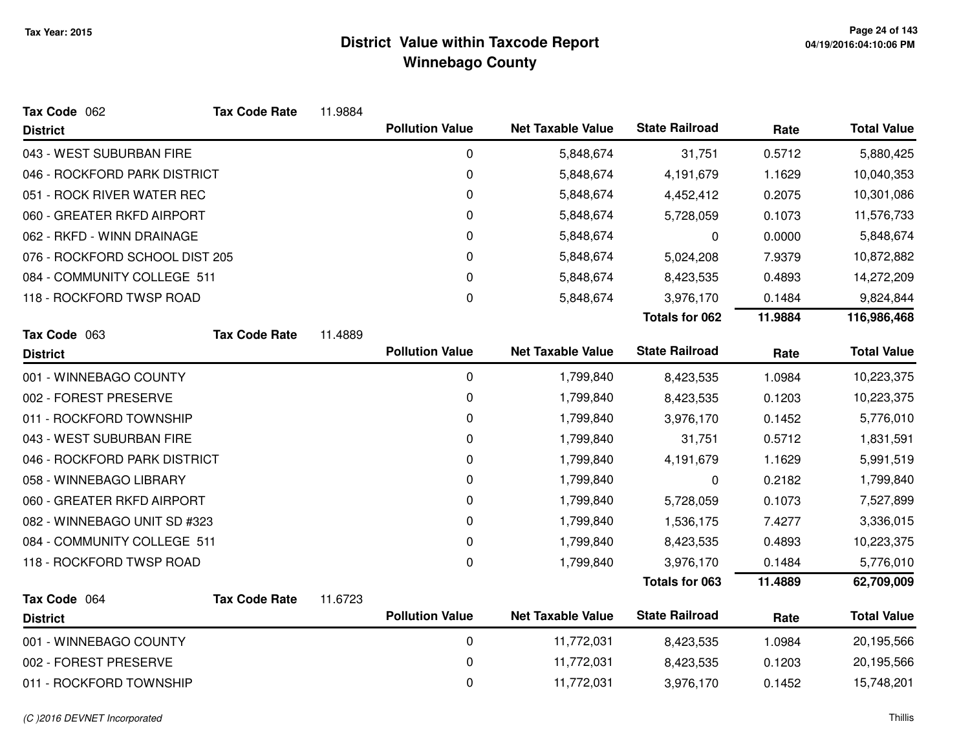| Tax Code 062                   | <b>Tax Code Rate</b> | 11.9884 |                        |                          |                       |         |                    |
|--------------------------------|----------------------|---------|------------------------|--------------------------|-----------------------|---------|--------------------|
| <b>District</b>                |                      |         | <b>Pollution Value</b> | <b>Net Taxable Value</b> | <b>State Railroad</b> | Rate    | <b>Total Value</b> |
| 043 - WEST SUBURBAN FIRE       |                      |         | 0                      | 5,848,674                | 31,751                | 0.5712  | 5,880,425          |
| 046 - ROCKFORD PARK DISTRICT   |                      |         | 0                      | 5,848,674                | 4,191,679             | 1.1629  | 10,040,353         |
| 051 - ROCK RIVER WATER REC     |                      |         | 0                      | 5,848,674                | 4,452,412             | 0.2075  | 10,301,086         |
| 060 - GREATER RKFD AIRPORT     |                      |         | 0                      | 5,848,674                | 5,728,059             | 0.1073  | 11,576,733         |
| 062 - RKFD - WINN DRAINAGE     |                      |         | 0                      | 5,848,674                | 0                     | 0.0000  | 5,848,674          |
| 076 - ROCKFORD SCHOOL DIST 205 |                      |         | 0                      | 5,848,674                | 5,024,208             | 7.9379  | 10,872,882         |
| 084 - COMMUNITY COLLEGE 511    |                      |         | 0                      | 5,848,674                | 8,423,535             | 0.4893  | 14,272,209         |
| 118 - ROCKFORD TWSP ROAD       |                      |         | 0                      | 5,848,674                | 3,976,170             | 0.1484  | 9,824,844          |
|                                |                      |         |                        |                          | <b>Totals for 062</b> | 11.9884 | 116,986,468        |
| Tax Code 063                   | <b>Tax Code Rate</b> | 11.4889 |                        |                          |                       |         |                    |
| <b>District</b>                |                      |         | <b>Pollution Value</b> | <b>Net Taxable Value</b> | <b>State Railroad</b> | Rate    | <b>Total Value</b> |
| 001 - WINNEBAGO COUNTY         |                      |         | 0                      | 1,799,840                | 8,423,535             | 1.0984  | 10,223,375         |
| 002 - FOREST PRESERVE          |                      |         | 0                      | 1,799,840                | 8,423,535             | 0.1203  | 10,223,375         |
| 011 - ROCKFORD TOWNSHIP        |                      |         | 0                      | 1,799,840                | 3,976,170             | 0.1452  | 5,776,010          |
| 043 - WEST SUBURBAN FIRE       |                      |         | 0                      | 1,799,840                | 31,751                | 0.5712  | 1,831,591          |
| 046 - ROCKFORD PARK DISTRICT   |                      |         | 0                      | 1,799,840                | 4,191,679             | 1.1629  | 5,991,519          |
| 058 - WINNEBAGO LIBRARY        |                      |         | 0                      | 1,799,840                | 0                     | 0.2182  | 1,799,840          |
| 060 - GREATER RKFD AIRPORT     |                      |         | 0                      | 1,799,840                | 5,728,059             | 0.1073  | 7,527,899          |
| 082 - WINNEBAGO UNIT SD #323   |                      |         | 0                      | 1,799,840                | 1,536,175             | 7.4277  | 3,336,015          |
| 084 - COMMUNITY COLLEGE 511    |                      |         | 0                      | 1,799,840                | 8,423,535             | 0.4893  | 10,223,375         |
| 118 - ROCKFORD TWSP ROAD       |                      |         | 0                      | 1,799,840                | 3,976,170             | 0.1484  | 5,776,010          |
|                                |                      |         |                        |                          | <b>Totals for 063</b> | 11.4889 | 62,709,009         |
| Tax Code 064                   | <b>Tax Code Rate</b> | 11.6723 |                        |                          |                       |         |                    |
| <b>District</b>                |                      |         | <b>Pollution Value</b> | <b>Net Taxable Value</b> | <b>State Railroad</b> | Rate    | <b>Total Value</b> |
| 001 - WINNEBAGO COUNTY         |                      |         | 0                      | 11,772,031               | 8,423,535             | 1.0984  | 20,195,566         |
| 002 - FOREST PRESERVE          |                      |         | 0                      | 11,772,031               | 8,423,535             | 0.1203  | 20,195,566         |
| 011 - ROCKFORD TOWNSHIP        |                      |         | 0                      | 11,772,031               | 3,976,170             | 0.1452  | 15,748,201         |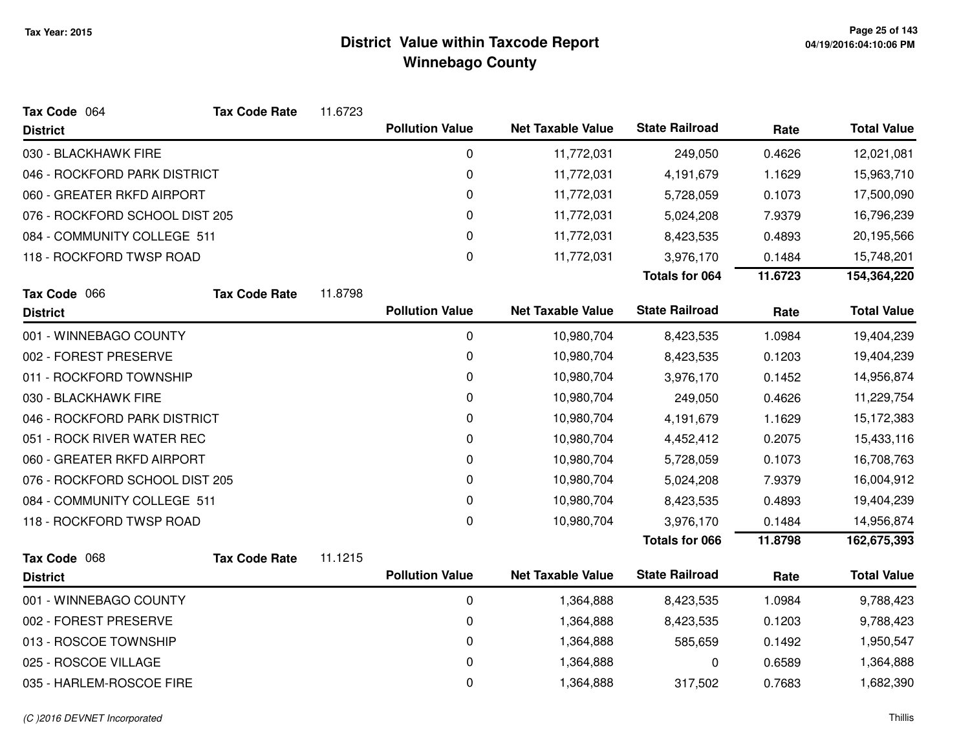| Tax Code 064                   | <b>Tax Code Rate</b> | 11.6723 |                        |                          |                       |         |                    |
|--------------------------------|----------------------|---------|------------------------|--------------------------|-----------------------|---------|--------------------|
| <b>District</b>                |                      |         | <b>Pollution Value</b> | <b>Net Taxable Value</b> | <b>State Railroad</b> | Rate    | <b>Total Value</b> |
| 030 - BLACKHAWK FIRE           |                      |         | 0                      | 11,772,031               | 249,050               | 0.4626  | 12,021,081         |
| 046 - ROCKFORD PARK DISTRICT   |                      |         | 0                      | 11,772,031               | 4,191,679             | 1.1629  | 15,963,710         |
| 060 - GREATER RKFD AIRPORT     |                      |         | 0                      | 11,772,031               | 5,728,059             | 0.1073  | 17,500,090         |
| 076 - ROCKFORD SCHOOL DIST 205 |                      |         | 0                      | 11,772,031               | 5,024,208             | 7.9379  | 16,796,239         |
| 084 - COMMUNITY COLLEGE 511    |                      |         | $\mathbf 0$            | 11,772,031               | 8,423,535             | 0.4893  | 20,195,566         |
| 118 - ROCKFORD TWSP ROAD       |                      |         | 0                      | 11,772,031               | 3,976,170             | 0.1484  | 15,748,201         |
|                                |                      |         |                        |                          | <b>Totals for 064</b> | 11.6723 | 154,364,220        |
| Tax Code 066                   | <b>Tax Code Rate</b> | 11.8798 |                        |                          |                       |         |                    |
| <b>District</b>                |                      |         | <b>Pollution Value</b> | <b>Net Taxable Value</b> | <b>State Railroad</b> | Rate    | <b>Total Value</b> |
| 001 - WINNEBAGO COUNTY         |                      |         | 0                      | 10,980,704               | 8,423,535             | 1.0984  | 19,404,239         |
| 002 - FOREST PRESERVE          |                      |         | 0                      | 10,980,704               | 8,423,535             | 0.1203  | 19,404,239         |
| 011 - ROCKFORD TOWNSHIP        |                      |         | 0                      | 10,980,704               | 3,976,170             | 0.1452  | 14,956,874         |
| 030 - BLACKHAWK FIRE           |                      |         | 0                      | 10,980,704               | 249,050               | 0.4626  | 11,229,754         |
| 046 - ROCKFORD PARK DISTRICT   |                      |         | 0                      | 10,980,704               | 4,191,679             | 1.1629  | 15,172,383         |
| 051 - ROCK RIVER WATER REC     |                      |         | 0                      | 10,980,704               | 4,452,412             | 0.2075  | 15,433,116         |
| 060 - GREATER RKFD AIRPORT     |                      |         | 0                      | 10,980,704               | 5,728,059             | 0.1073  | 16,708,763         |
| 076 - ROCKFORD SCHOOL DIST 205 |                      |         | 0                      | 10,980,704               | 5,024,208             | 7.9379  | 16,004,912         |
| 084 - COMMUNITY COLLEGE 511    |                      |         | 0                      | 10,980,704               | 8,423,535             | 0.4893  | 19,404,239         |
| 118 - ROCKFORD TWSP ROAD       |                      |         | 0                      | 10,980,704               | 3,976,170             | 0.1484  | 14,956,874         |
|                                |                      |         |                        |                          | <b>Totals for 066</b> | 11.8798 | 162,675,393        |
| Tax Code 068                   | <b>Tax Code Rate</b> | 11.1215 |                        |                          |                       |         |                    |
| <b>District</b>                |                      |         | <b>Pollution Value</b> | <b>Net Taxable Value</b> | <b>State Railroad</b> | Rate    | <b>Total Value</b> |
| 001 - WINNEBAGO COUNTY         |                      |         | 0                      | 1,364,888                | 8,423,535             | 1.0984  | 9,788,423          |
| 002 - FOREST PRESERVE          |                      |         | 0                      | 1,364,888                | 8,423,535             | 0.1203  | 9,788,423          |
| 013 - ROSCOE TOWNSHIP          |                      |         | 0                      | 1,364,888                | 585,659               | 0.1492  | 1,950,547          |
| 025 - ROSCOE VILLAGE           |                      |         | $\mathbf 0$            | 1,364,888                | 0                     | 0.6589  | 1,364,888          |
| 035 - HARLEM-ROSCOE FIRE       |                      |         | 0                      | 1,364,888                | 317,502               | 0.7683  | 1,682,390          |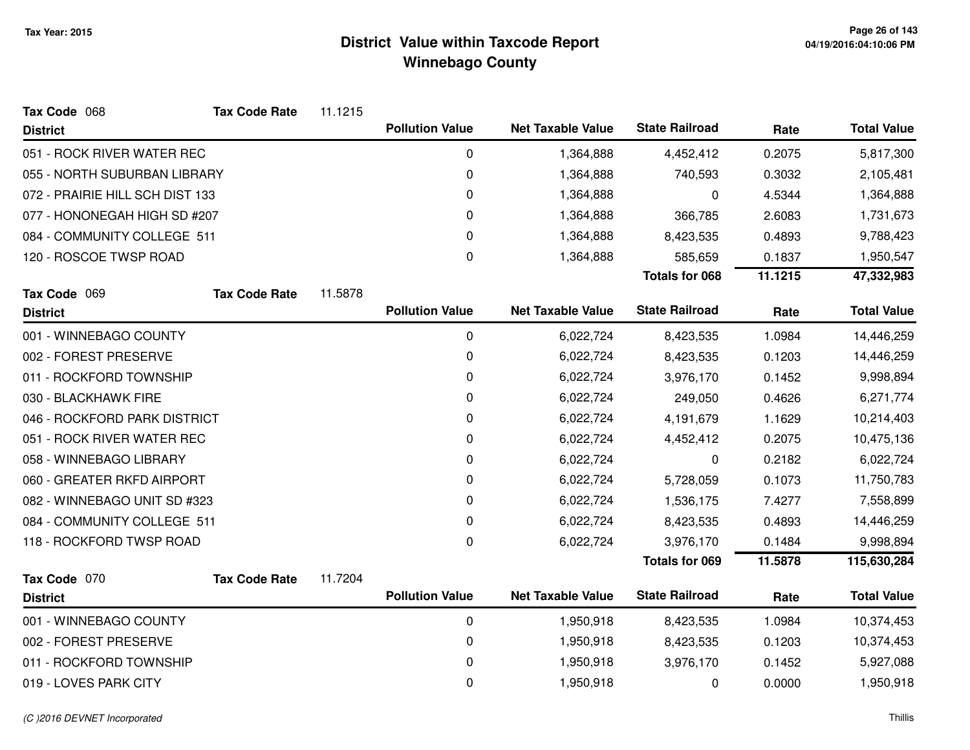| Tax Code 068                    | <b>Tax Code Rate</b> | 11.1215 |                        |                          |                       |         |                    |
|---------------------------------|----------------------|---------|------------------------|--------------------------|-----------------------|---------|--------------------|
| <b>District</b>                 |                      |         | <b>Pollution Value</b> | <b>Net Taxable Value</b> | <b>State Railroad</b> | Rate    | <b>Total Value</b> |
| 051 - ROCK RIVER WATER REC      |                      |         | 0                      | 1,364,888                | 4,452,412             | 0.2075  | 5,817,300          |
| 055 - NORTH SUBURBAN LIBRARY    |                      |         | 0                      | 1,364,888                | 740,593               | 0.3032  | 2,105,481          |
| 072 - PRAIRIE HILL SCH DIST 133 |                      |         | 0                      | 1,364,888                | 0                     | 4.5344  | 1,364,888          |
| 077 - HONONEGAH HIGH SD #207    |                      |         | 0                      | 1,364,888                | 366,785               | 2.6083  | 1,731,673          |
| 084 - COMMUNITY COLLEGE 511     |                      |         | 0                      | 1,364,888                | 8,423,535             | 0.4893  | 9,788,423          |
| 120 - ROSCOE TWSP ROAD          |                      |         | 0                      | 1,364,888                | 585,659               | 0.1837  | 1,950,547          |
|                                 |                      |         |                        |                          | <b>Totals for 068</b> | 11.1215 | 47,332,983         |
| Tax Code 069                    | <b>Tax Code Rate</b> | 11.5878 |                        |                          |                       |         |                    |
| <b>District</b>                 |                      |         | <b>Pollution Value</b> | <b>Net Taxable Value</b> | <b>State Railroad</b> | Rate    | <b>Total Value</b> |
| 001 - WINNEBAGO COUNTY          |                      |         | 0                      | 6,022,724                | 8,423,535             | 1.0984  | 14,446,259         |
| 002 - FOREST PRESERVE           |                      |         | 0                      | 6,022,724                | 8,423,535             | 0.1203  | 14,446,259         |
| 011 - ROCKFORD TOWNSHIP         |                      |         | 0                      | 6,022,724                | 3,976,170             | 0.1452  | 9,998,894          |
| 030 - BLACKHAWK FIRE            |                      |         | 0                      | 6,022,724                | 249,050               | 0.4626  | 6,271,774          |
| 046 - ROCKFORD PARK DISTRICT    |                      |         | 0                      | 6,022,724                | 4,191,679             | 1.1629  | 10,214,403         |
| 051 - ROCK RIVER WATER REC      |                      |         | 0                      | 6,022,724                | 4,452,412             | 0.2075  | 10,475,136         |
| 058 - WINNEBAGO LIBRARY         |                      |         | 0                      | 6,022,724                | 0                     | 0.2182  | 6,022,724          |
| 060 - GREATER RKFD AIRPORT      |                      |         | 0                      | 6,022,724                | 5,728,059             | 0.1073  | 11,750,783         |
| 082 - WINNEBAGO UNIT SD #323    |                      |         | 0                      | 6,022,724                | 1,536,175             | 7.4277  | 7,558,899          |
| 084 - COMMUNITY COLLEGE 511     |                      |         | 0                      | 6,022,724                | 8,423,535             | 0.4893  | 14,446,259         |
| 118 - ROCKFORD TWSP ROAD        |                      |         | 0                      | 6,022,724                | 3,976,170             | 0.1484  | 9,998,894          |
|                                 |                      |         |                        |                          | <b>Totals for 069</b> | 11.5878 | 115,630,284        |
| Tax Code 070                    | <b>Tax Code Rate</b> | 11.7204 |                        |                          |                       |         |                    |
| <b>District</b>                 |                      |         | <b>Pollution Value</b> | <b>Net Taxable Value</b> | <b>State Railroad</b> | Rate    | <b>Total Value</b> |
| 001 - WINNEBAGO COUNTY          |                      |         | 0                      | 1,950,918                | 8,423,535             | 1.0984  | 10,374,453         |
| 002 - FOREST PRESERVE           |                      |         | 0                      | 1,950,918                | 8,423,535             | 0.1203  | 10,374,453         |
| 011 - ROCKFORD TOWNSHIP         |                      |         | $\mathbf 0$            | 1,950,918                | 3,976,170             | 0.1452  | 5,927,088          |
| 019 - LOVES PARK CITY           |                      |         | 0                      | 1,950,918                | 0                     | 0.0000  | 1,950,918          |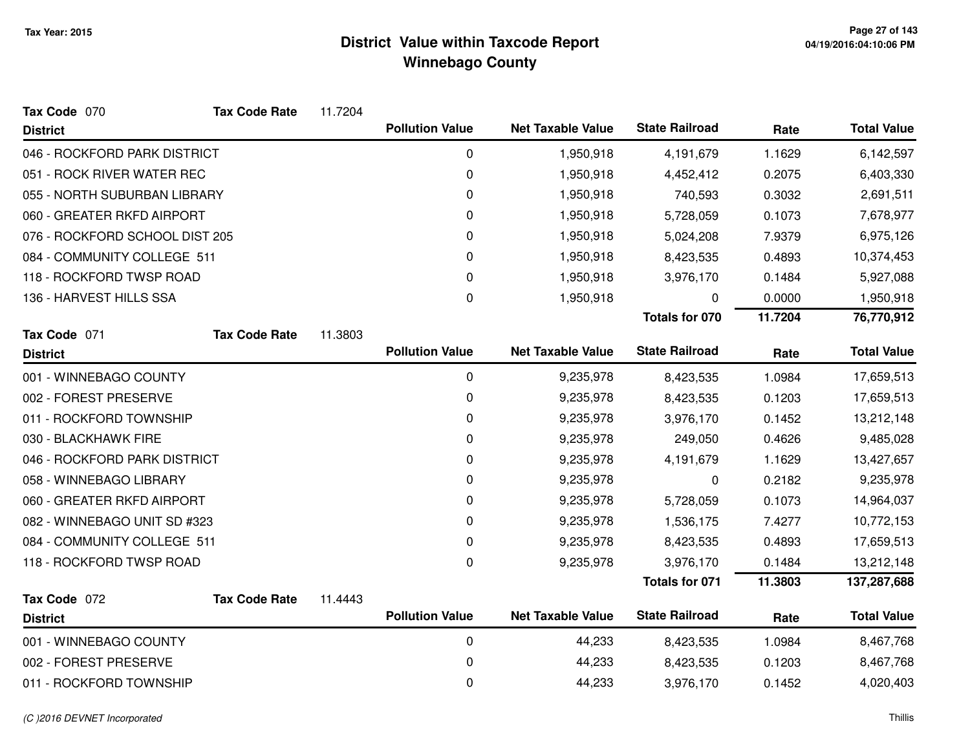| Tax Code 070                   | <b>Tax Code Rate</b> | 11.7204 |                        |                          |                       |         |                    |
|--------------------------------|----------------------|---------|------------------------|--------------------------|-----------------------|---------|--------------------|
| <b>District</b>                |                      |         | <b>Pollution Value</b> | <b>Net Taxable Value</b> | <b>State Railroad</b> | Rate    | <b>Total Value</b> |
| 046 - ROCKFORD PARK DISTRICT   |                      |         | 0                      | 1,950,918                | 4,191,679             | 1.1629  | 6,142,597          |
| 051 - ROCK RIVER WATER REC     |                      |         | 0                      | 1,950,918                | 4,452,412             | 0.2075  | 6,403,330          |
| 055 - NORTH SUBURBAN LIBRARY   |                      |         | 0                      | 1,950,918                | 740,593               | 0.3032  | 2,691,511          |
| 060 - GREATER RKFD AIRPORT     |                      |         | 0                      | 1,950,918                | 5,728,059             | 0.1073  | 7,678,977          |
| 076 - ROCKFORD SCHOOL DIST 205 |                      |         | 0                      | 1,950,918                | 5,024,208             | 7.9379  | 6,975,126          |
| 084 - COMMUNITY COLLEGE 511    |                      |         | 0                      | 1,950,918                | 8,423,535             | 0.4893  | 10,374,453         |
| 118 - ROCKFORD TWSP ROAD       |                      |         | 0                      | 1,950,918                | 3,976,170             | 0.1484  | 5,927,088          |
| 136 - HARVEST HILLS SSA        |                      |         | 0                      | 1,950,918                | 0                     | 0.0000  | 1,950,918          |
|                                |                      |         |                        |                          | <b>Totals for 070</b> | 11.7204 | 76,770,912         |
| Tax Code 071                   | <b>Tax Code Rate</b> | 11.3803 |                        |                          |                       |         |                    |
| <b>District</b>                |                      |         | <b>Pollution Value</b> | <b>Net Taxable Value</b> | <b>State Railroad</b> | Rate    | <b>Total Value</b> |
| 001 - WINNEBAGO COUNTY         |                      |         | 0                      | 9,235,978                | 8,423,535             | 1.0984  | 17,659,513         |
| 002 - FOREST PRESERVE          |                      |         | 0                      | 9,235,978                | 8,423,535             | 0.1203  | 17,659,513         |
| 011 - ROCKFORD TOWNSHIP        |                      |         | 0                      | 9,235,978                | 3,976,170             | 0.1452  | 13,212,148         |
| 030 - BLACKHAWK FIRE           |                      |         | 0                      | 9,235,978                | 249,050               | 0.4626  | 9,485,028          |
| 046 - ROCKFORD PARK DISTRICT   |                      |         | 0                      | 9,235,978                | 4,191,679             | 1.1629  | 13,427,657         |
| 058 - WINNEBAGO LIBRARY        |                      |         | 0                      | 9,235,978                | 0                     | 0.2182  | 9,235,978          |
| 060 - GREATER RKFD AIRPORT     |                      |         | 0                      | 9,235,978                | 5,728,059             | 0.1073  | 14,964,037         |
| 082 - WINNEBAGO UNIT SD #323   |                      |         | 0                      | 9,235,978                | 1,536,175             | 7.4277  | 10,772,153         |
| 084 - COMMUNITY COLLEGE 511    |                      |         | 0                      | 9,235,978                | 8,423,535             | 0.4893  | 17,659,513         |
| 118 - ROCKFORD TWSP ROAD       |                      |         | 0                      | 9,235,978                | 3,976,170             | 0.1484  | 13,212,148         |
|                                |                      |         |                        |                          | <b>Totals for 071</b> | 11.3803 | 137,287,688        |
| Tax Code 072                   | <b>Tax Code Rate</b> | 11.4443 |                        |                          |                       |         |                    |
| <b>District</b>                |                      |         | <b>Pollution Value</b> | <b>Net Taxable Value</b> | <b>State Railroad</b> | Rate    | <b>Total Value</b> |
| 001 - WINNEBAGO COUNTY         |                      |         | 0                      | 44,233                   | 8,423,535             | 1.0984  | 8,467,768          |
| 002 - FOREST PRESERVE          |                      |         | 0                      | 44,233                   | 8,423,535             | 0.1203  | 8,467,768          |
| 011 - ROCKFORD TOWNSHIP        |                      |         | 0                      | 44,233                   | 3,976,170             | 0.1452  | 4,020,403          |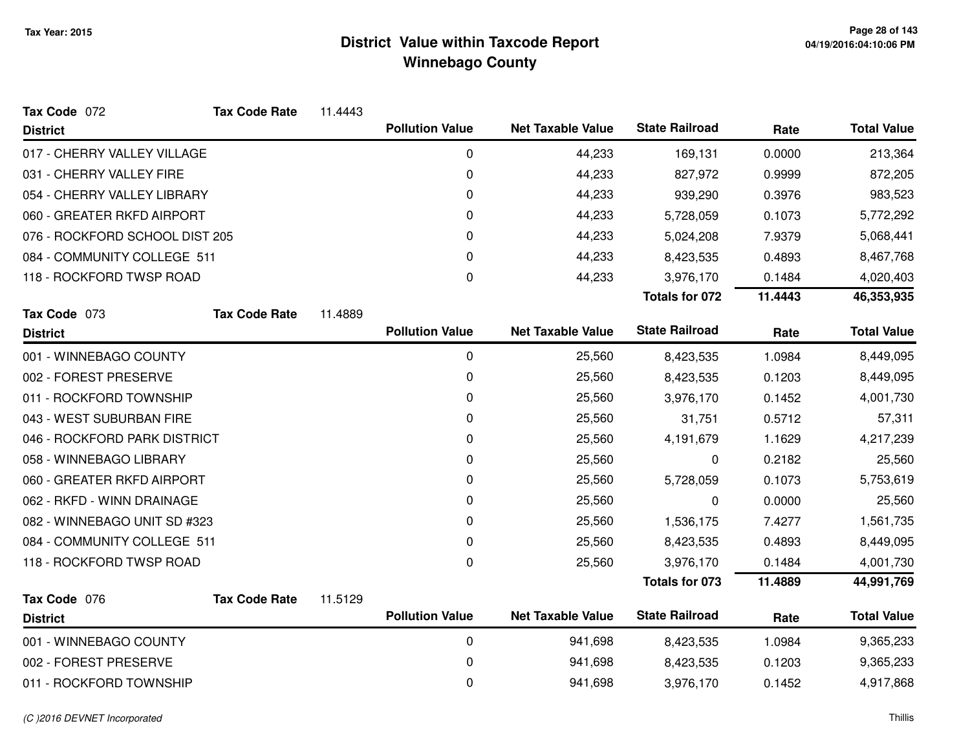| Tax Code 072                   | <b>Tax Code Rate</b> | 11.4443 |                        |                          |                       |         |                    |
|--------------------------------|----------------------|---------|------------------------|--------------------------|-----------------------|---------|--------------------|
| <b>District</b>                |                      |         | <b>Pollution Value</b> | <b>Net Taxable Value</b> | <b>State Railroad</b> | Rate    | <b>Total Value</b> |
| 017 - CHERRY VALLEY VILLAGE    |                      |         | 0                      | 44,233                   | 169,131               | 0.0000  | 213,364            |
| 031 - CHERRY VALLEY FIRE       |                      |         | $\pmb{0}$              | 44,233                   | 827,972               | 0.9999  | 872,205            |
| 054 - CHERRY VALLEY LIBRARY    |                      |         | 0                      | 44,233                   | 939,290               | 0.3976  | 983,523            |
| 060 - GREATER RKFD AIRPORT     |                      |         | 0                      | 44,233                   | 5,728,059             | 0.1073  | 5,772,292          |
| 076 - ROCKFORD SCHOOL DIST 205 |                      |         | 0                      | 44,233                   | 5,024,208             | 7.9379  | 5,068,441          |
| 084 - COMMUNITY COLLEGE 511    |                      |         | 0                      | 44,233                   | 8,423,535             | 0.4893  | 8,467,768          |
| 118 - ROCKFORD TWSP ROAD       |                      |         | 0                      | 44,233                   | 3,976,170             | 0.1484  | 4,020,403          |
|                                |                      |         |                        |                          | <b>Totals for 072</b> | 11.4443 | 46,353,935         |
| Tax Code 073                   | <b>Tax Code Rate</b> | 11.4889 |                        |                          |                       |         |                    |
| <b>District</b>                |                      |         | <b>Pollution Value</b> | <b>Net Taxable Value</b> | <b>State Railroad</b> | Rate    | <b>Total Value</b> |
| 001 - WINNEBAGO COUNTY         |                      |         | 0                      | 25,560                   | 8,423,535             | 1.0984  | 8,449,095          |
| 002 - FOREST PRESERVE          |                      |         | 0                      | 25,560                   | 8,423,535             | 0.1203  | 8,449,095          |
| 011 - ROCKFORD TOWNSHIP        |                      |         | 0                      | 25,560                   | 3,976,170             | 0.1452  | 4,001,730          |
| 043 - WEST SUBURBAN FIRE       |                      |         | 0                      | 25,560                   | 31,751                | 0.5712  | 57,311             |
| 046 - ROCKFORD PARK DISTRICT   |                      |         | 0                      | 25,560                   | 4,191,679             | 1.1629  | 4,217,239          |
| 058 - WINNEBAGO LIBRARY        |                      |         | 0                      | 25,560                   | 0                     | 0.2182  | 25,560             |
| 060 - GREATER RKFD AIRPORT     |                      |         | 0                      | 25,560                   | 5,728,059             | 0.1073  | 5,753,619          |
| 062 - RKFD - WINN DRAINAGE     |                      |         | 0                      | 25,560                   | 0                     | 0.0000  | 25,560             |
| 082 - WINNEBAGO UNIT SD #323   |                      |         | 0                      | 25,560                   | 1,536,175             | 7.4277  | 1,561,735          |
| 084 - COMMUNITY COLLEGE 511    |                      |         | 0                      | 25,560                   | 8,423,535             | 0.4893  | 8,449,095          |
| 118 - ROCKFORD TWSP ROAD       |                      |         | $\pmb{0}$              | 25,560                   | 3,976,170             | 0.1484  | 4,001,730          |
|                                |                      |         |                        |                          | Totals for 073        | 11.4889 | 44,991,769         |
| Tax Code 076                   | <b>Tax Code Rate</b> | 11.5129 |                        |                          |                       |         |                    |
| <b>District</b>                |                      |         | <b>Pollution Value</b> | <b>Net Taxable Value</b> | <b>State Railroad</b> | Rate    | <b>Total Value</b> |
| 001 - WINNEBAGO COUNTY         |                      |         | $\mathbf 0$            | 941,698                  | 8,423,535             | 1.0984  | 9,365,233          |
| 002 - FOREST PRESERVE          |                      |         | 0                      | 941,698                  | 8,423,535             | 0.1203  | 9,365,233          |
| 011 - ROCKFORD TOWNSHIP        |                      |         | 0                      | 941,698                  | 3,976,170             | 0.1452  | 4,917,868          |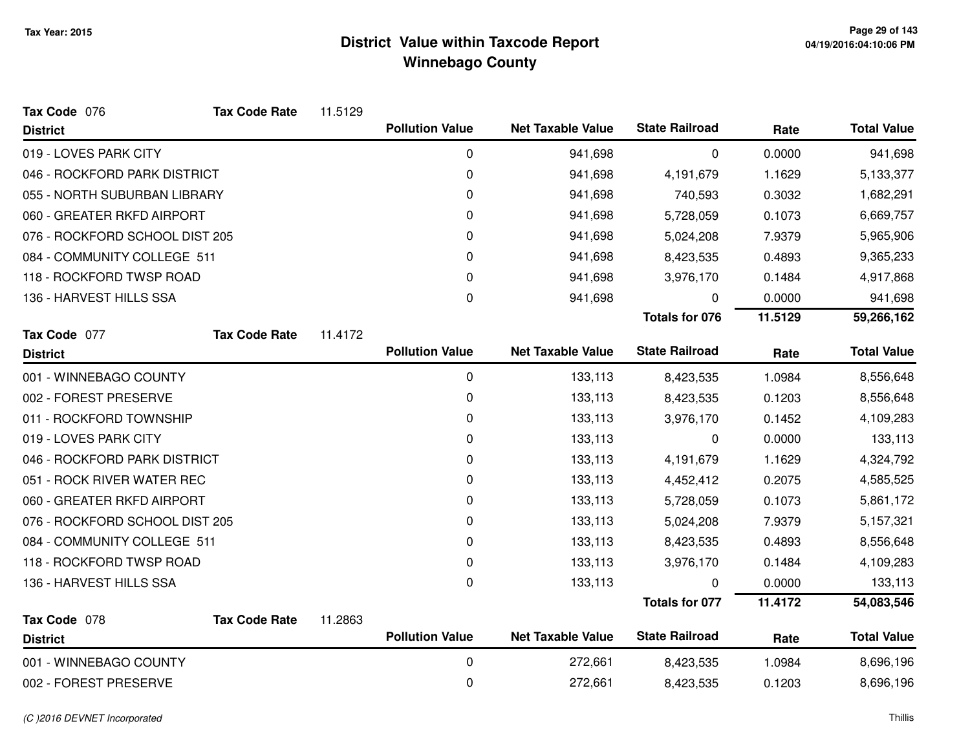| Tax Code 076                   | <b>Tax Code Rate</b> | 11.5129 |                        |                          |                       |         |                    |
|--------------------------------|----------------------|---------|------------------------|--------------------------|-----------------------|---------|--------------------|
| <b>District</b>                |                      |         | <b>Pollution Value</b> | <b>Net Taxable Value</b> | <b>State Railroad</b> | Rate    | <b>Total Value</b> |
| 019 - LOVES PARK CITY          |                      |         | 0                      | 941,698                  | 0                     | 0.0000  | 941,698            |
| 046 - ROCKFORD PARK DISTRICT   |                      |         | 0                      | 941,698                  | 4,191,679             | 1.1629  | 5,133,377          |
| 055 - NORTH SUBURBAN LIBRARY   |                      |         | 0                      | 941,698                  | 740,593               | 0.3032  | 1,682,291          |
| 060 - GREATER RKFD AIRPORT     |                      |         | 0                      | 941,698                  | 5,728,059             | 0.1073  | 6,669,757          |
| 076 - ROCKFORD SCHOOL DIST 205 |                      |         | 0                      | 941,698                  | 5,024,208             | 7.9379  | 5,965,906          |
| 084 - COMMUNITY COLLEGE 511    |                      |         | 0                      | 941,698                  | 8,423,535             | 0.4893  | 9,365,233          |
| 118 - ROCKFORD TWSP ROAD       |                      |         | 0                      | 941,698                  | 3,976,170             | 0.1484  | 4,917,868          |
| 136 - HARVEST HILLS SSA        |                      |         | 0                      | 941,698                  | 0                     | 0.0000  | 941,698            |
|                                |                      |         |                        |                          | <b>Totals for 076</b> | 11.5129 | 59,266,162         |
| Tax Code 077                   | <b>Tax Code Rate</b> | 11.4172 |                        |                          |                       |         |                    |
| <b>District</b>                |                      |         | <b>Pollution Value</b> | <b>Net Taxable Value</b> | <b>State Railroad</b> | Rate    | <b>Total Value</b> |
| 001 - WINNEBAGO COUNTY         |                      |         | 0                      | 133,113                  | 8,423,535             | 1.0984  | 8,556,648          |
| 002 - FOREST PRESERVE          |                      |         | 0                      | 133,113                  | 8,423,535             | 0.1203  | 8,556,648          |
| 011 - ROCKFORD TOWNSHIP        |                      |         | 0                      | 133,113                  | 3,976,170             | 0.1452  | 4,109,283          |
| 019 - LOVES PARK CITY          |                      |         | 0                      | 133,113                  | 0                     | 0.0000  | 133,113            |
| 046 - ROCKFORD PARK DISTRICT   |                      |         | 0                      | 133,113                  | 4,191,679             | 1.1629  | 4,324,792          |
| 051 - ROCK RIVER WATER REC     |                      |         | 0                      | 133,113                  | 4,452,412             | 0.2075  | 4,585,525          |
| 060 - GREATER RKFD AIRPORT     |                      |         | 0                      | 133,113                  | 5,728,059             | 0.1073  | 5,861,172          |
| 076 - ROCKFORD SCHOOL DIST 205 |                      |         | 0                      | 133,113                  | 5,024,208             | 7.9379  | 5,157,321          |
| 084 - COMMUNITY COLLEGE 511    |                      |         | 0                      | 133,113                  | 8,423,535             | 0.4893  | 8,556,648          |
| 118 - ROCKFORD TWSP ROAD       |                      |         | 0                      | 133,113                  | 3,976,170             | 0.1484  | 4,109,283          |
| 136 - HARVEST HILLS SSA        |                      |         | 0                      | 133,113                  | 0                     | 0.0000  | 133,113            |
|                                |                      |         |                        |                          | Totals for 077        | 11.4172 | 54,083,546         |
| Tax Code 078                   | <b>Tax Code Rate</b> | 11.2863 |                        |                          |                       |         |                    |
| <b>District</b>                |                      |         | <b>Pollution Value</b> | <b>Net Taxable Value</b> | <b>State Railroad</b> | Rate    | <b>Total Value</b> |
| 001 - WINNEBAGO COUNTY         |                      |         | 0                      | 272,661                  | 8,423,535             | 1.0984  | 8,696,196          |
| 002 - FOREST PRESERVE          |                      |         | 0                      | 272,661                  | 8,423,535             | 0.1203  | 8,696,196          |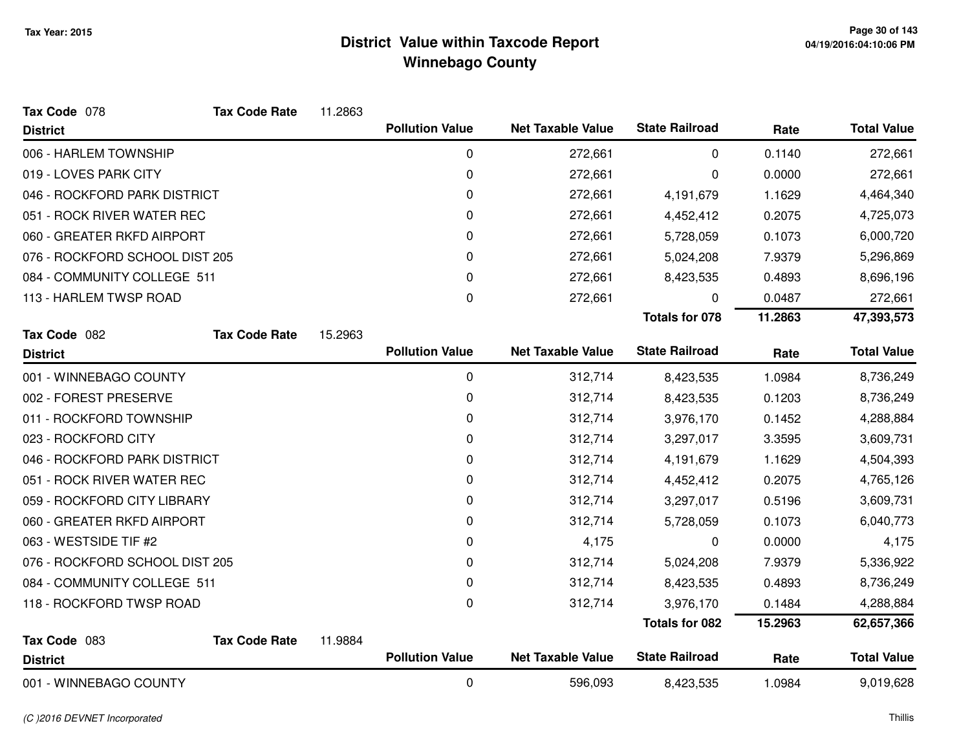| Tax Code 078                   | <b>Tax Code Rate</b> | 11.2863 |                        |                          |                       |         |                    |
|--------------------------------|----------------------|---------|------------------------|--------------------------|-----------------------|---------|--------------------|
| <b>District</b>                |                      |         | <b>Pollution Value</b> | <b>Net Taxable Value</b> | <b>State Railroad</b> | Rate    | <b>Total Value</b> |
| 006 - HARLEM TOWNSHIP          |                      |         | 0                      | 272,661                  | 0                     | 0.1140  | 272,661            |
| 019 - LOVES PARK CITY          |                      |         | 0                      | 272,661                  | 0                     | 0.0000  | 272,661            |
| 046 - ROCKFORD PARK DISTRICT   |                      |         | 0                      | 272,661                  | 4,191,679             | 1.1629  | 4,464,340          |
| 051 - ROCK RIVER WATER REC     |                      |         | 0                      | 272,661                  | 4,452,412             | 0.2075  | 4,725,073          |
| 060 - GREATER RKFD AIRPORT     |                      |         | 0                      | 272,661                  | 5,728,059             | 0.1073  | 6,000,720          |
| 076 - ROCKFORD SCHOOL DIST 205 |                      |         | 0                      | 272,661                  | 5,024,208             | 7.9379  | 5,296,869          |
| 084 - COMMUNITY COLLEGE 511    |                      |         | 0                      | 272,661                  | 8,423,535             | 0.4893  | 8,696,196          |
| 113 - HARLEM TWSP ROAD         |                      |         | 0                      | 272,661                  | 0                     | 0.0487  | 272,661            |
|                                |                      |         |                        |                          | <b>Totals for 078</b> | 11.2863 | 47,393,573         |
| Tax Code 082                   | <b>Tax Code Rate</b> | 15.2963 |                        |                          |                       |         |                    |
| <b>District</b>                |                      |         | <b>Pollution Value</b> | <b>Net Taxable Value</b> | <b>State Railroad</b> | Rate    | <b>Total Value</b> |
| 001 - WINNEBAGO COUNTY         |                      |         | 0                      | 312,714                  | 8,423,535             | 1.0984  | 8,736,249          |
| 002 - FOREST PRESERVE          |                      |         | 0                      | 312,714                  | 8,423,535             | 0.1203  | 8,736,249          |
| 011 - ROCKFORD TOWNSHIP        |                      |         | 0                      | 312,714                  | 3,976,170             | 0.1452  | 4,288,884          |
| 023 - ROCKFORD CITY            |                      |         | 0                      | 312,714                  | 3,297,017             | 3.3595  | 3,609,731          |
| 046 - ROCKFORD PARK DISTRICT   |                      |         | 0                      | 312,714                  | 4,191,679             | 1.1629  | 4,504,393          |
| 051 - ROCK RIVER WATER REC     |                      |         | 0                      | 312,714                  | 4,452,412             | 0.2075  | 4,765,126          |
| 059 - ROCKFORD CITY LIBRARY    |                      |         | 0                      | 312,714                  | 3,297,017             | 0.5196  | 3,609,731          |
| 060 - GREATER RKFD AIRPORT     |                      |         | 0                      | 312,714                  | 5,728,059             | 0.1073  | 6,040,773          |
| 063 - WESTSIDE TIF #2          |                      |         | 0                      | 4,175                    | 0                     | 0.0000  | 4,175              |
| 076 - ROCKFORD SCHOOL DIST 205 |                      |         | 0                      | 312,714                  | 5,024,208             | 7.9379  | 5,336,922          |
| 084 - COMMUNITY COLLEGE 511    |                      |         | 0                      | 312,714                  | 8,423,535             | 0.4893  | 8,736,249          |
| 118 - ROCKFORD TWSP ROAD       |                      |         | 0                      | 312,714                  | 3,976,170             | 0.1484  | 4,288,884          |
|                                |                      |         |                        |                          | <b>Totals for 082</b> | 15.2963 | 62,657,366         |
| Tax Code 083                   | <b>Tax Code Rate</b> | 11.9884 |                        |                          |                       |         |                    |
| <b>District</b>                |                      |         | <b>Pollution Value</b> | <b>Net Taxable Value</b> | <b>State Railroad</b> | Rate    | <b>Total Value</b> |
| 001 - WINNEBAGO COUNTY         |                      |         | 0                      | 596,093                  | 8,423,535             | 1.0984  | 9,019,628          |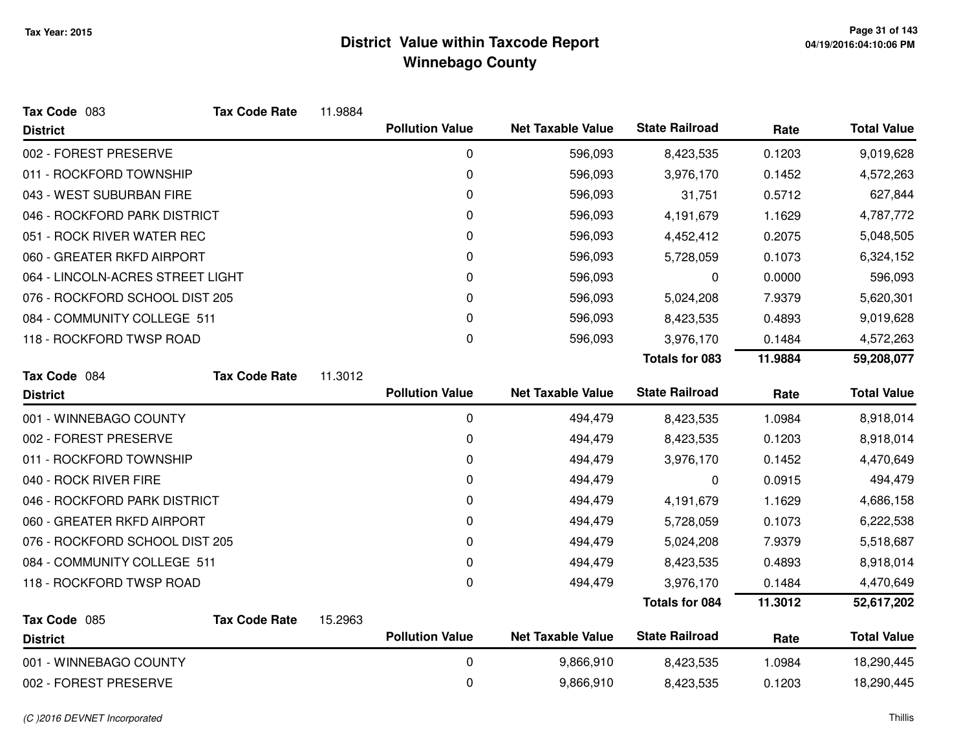| Tax Code 083                     | <b>Tax Code Rate</b> | 11.9884 |                        |                          |                       |         |                    |
|----------------------------------|----------------------|---------|------------------------|--------------------------|-----------------------|---------|--------------------|
| <b>District</b>                  |                      |         | <b>Pollution Value</b> | <b>Net Taxable Value</b> | <b>State Railroad</b> | Rate    | <b>Total Value</b> |
| 002 - FOREST PRESERVE            |                      |         | 0                      | 596,093                  | 8,423,535             | 0.1203  | 9,019,628          |
| 011 - ROCKFORD TOWNSHIP          |                      |         | 0                      | 596,093                  | 3,976,170             | 0.1452  | 4,572,263          |
| 043 - WEST SUBURBAN FIRE         |                      |         | 0                      | 596,093                  | 31,751                | 0.5712  | 627,844            |
| 046 - ROCKFORD PARK DISTRICT     |                      |         | 0                      | 596,093                  | 4,191,679             | 1.1629  | 4,787,772          |
| 051 - ROCK RIVER WATER REC       |                      |         | 0                      | 596,093                  | 4,452,412             | 0.2075  | 5,048,505          |
| 060 - GREATER RKFD AIRPORT       |                      |         | 0                      | 596,093                  | 5,728,059             | 0.1073  | 6,324,152          |
| 064 - LINCOLN-ACRES STREET LIGHT |                      |         | 0                      | 596,093                  | 0                     | 0.0000  | 596,093            |
| 076 - ROCKFORD SCHOOL DIST 205   |                      |         | 0                      | 596,093                  | 5,024,208             | 7.9379  | 5,620,301          |
| 084 - COMMUNITY COLLEGE 511      |                      |         | 0                      | 596,093                  | 8,423,535             | 0.4893  | 9,019,628          |
| 118 - ROCKFORD TWSP ROAD         |                      |         | 0                      | 596,093                  | 3,976,170             | 0.1484  | 4,572,263          |
|                                  |                      |         |                        |                          | <b>Totals for 083</b> | 11.9884 | 59,208,077         |
| Tax Code 084                     | <b>Tax Code Rate</b> | 11.3012 |                        |                          |                       |         |                    |
| <b>District</b>                  |                      |         | <b>Pollution Value</b> | <b>Net Taxable Value</b> | <b>State Railroad</b> | Rate    | <b>Total Value</b> |
| 001 - WINNEBAGO COUNTY           |                      |         | 0                      | 494,479                  | 8,423,535             | 1.0984  | 8,918,014          |
| 002 - FOREST PRESERVE            |                      |         | 0                      | 494,479                  | 8,423,535             | 0.1203  | 8,918,014          |
| 011 - ROCKFORD TOWNSHIP          |                      |         | 0                      | 494,479                  | 3,976,170             | 0.1452  | 4,470,649          |
| 040 - ROCK RIVER FIRE            |                      |         | 0                      | 494,479                  | 0                     | 0.0915  | 494,479            |
| 046 - ROCKFORD PARK DISTRICT     |                      |         | 0                      | 494,479                  | 4,191,679             | 1.1629  | 4,686,158          |
| 060 - GREATER RKFD AIRPORT       |                      |         | 0                      | 494,479                  | 5,728,059             | 0.1073  | 6,222,538          |
| 076 - ROCKFORD SCHOOL DIST 205   |                      |         | 0                      | 494,479                  | 5,024,208             | 7.9379  | 5,518,687          |
| 084 - COMMUNITY COLLEGE 511      |                      |         | 0                      | 494,479                  | 8,423,535             | 0.4893  | 8,918,014          |
| 118 - ROCKFORD TWSP ROAD         |                      |         | 0                      | 494,479                  | 3,976,170             | 0.1484  | 4,470,649          |
|                                  |                      |         |                        |                          | <b>Totals for 084</b> | 11.3012 | 52,617,202         |
| Tax Code 085<br><b>District</b>  | <b>Tax Code Rate</b> | 15.2963 | <b>Pollution Value</b> | <b>Net Taxable Value</b> | <b>State Railroad</b> | Rate    | <b>Total Value</b> |
| 001 - WINNEBAGO COUNTY           |                      |         | 0                      | 9,866,910                | 8,423,535             | 1.0984  | 18,290,445         |
| 002 - FOREST PRESERVE            |                      |         | 0                      | 9,866,910                | 8,423,535             | 0.1203  | 18,290,445         |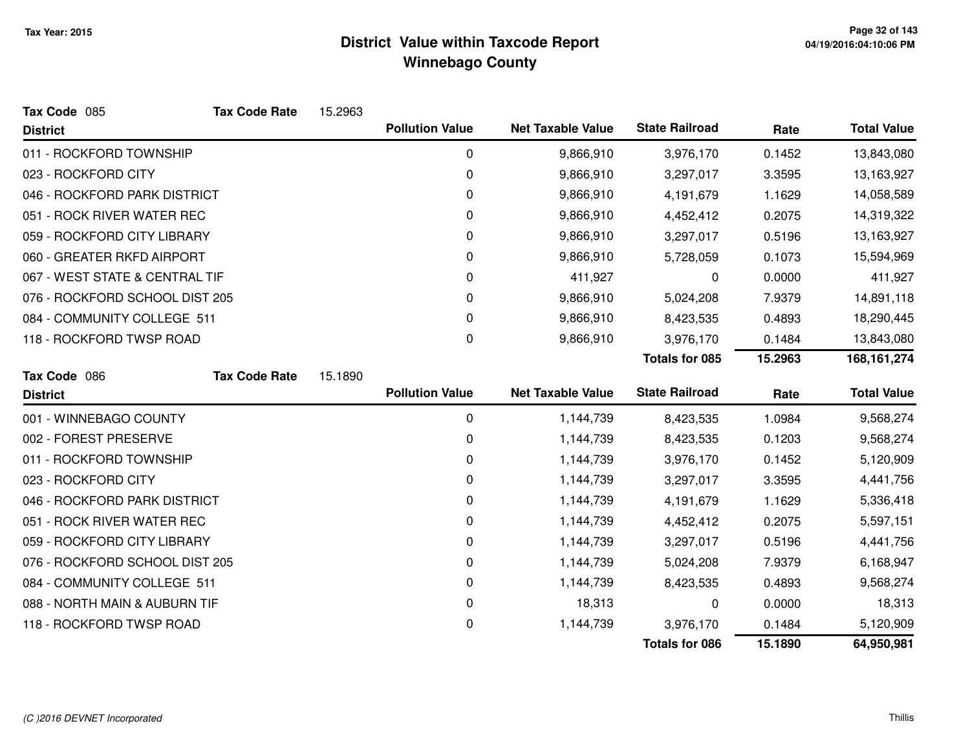| Tax Code 085                   | <b>Tax Code Rate</b> | 15.2963 |                        |                          |                       |         |                    |
|--------------------------------|----------------------|---------|------------------------|--------------------------|-----------------------|---------|--------------------|
| <b>District</b>                |                      |         | <b>Pollution Value</b> | <b>Net Taxable Value</b> | <b>State Railroad</b> | Rate    | <b>Total Value</b> |
| 011 - ROCKFORD TOWNSHIP        |                      |         | $\boldsymbol{0}$       | 9,866,910                | 3,976,170             | 0.1452  | 13,843,080         |
| 023 - ROCKFORD CITY            |                      |         | 0                      | 9,866,910                | 3,297,017             | 3.3595  | 13,163,927         |
| 046 - ROCKFORD PARK DISTRICT   |                      |         | 0                      | 9,866,910                | 4,191,679             | 1.1629  | 14,058,589         |
| 051 - ROCK RIVER WATER REC     |                      |         | 0                      | 9,866,910                | 4,452,412             | 0.2075  | 14,319,322         |
| 059 - ROCKFORD CITY LIBRARY    |                      |         | 0                      | 9,866,910                | 3,297,017             | 0.5196  | 13,163,927         |
| 060 - GREATER RKFD AIRPORT     |                      |         | 0                      | 9,866,910                | 5,728,059             | 0.1073  | 15,594,969         |
| 067 - WEST STATE & CENTRAL TIF |                      |         | 0                      | 411,927                  | 0                     | 0.0000  | 411,927            |
| 076 - ROCKFORD SCHOOL DIST 205 |                      |         | 0                      | 9,866,910                | 5,024,208             | 7.9379  | 14,891,118         |
| 084 - COMMUNITY COLLEGE 511    |                      |         | 0                      | 9,866,910                | 8,423,535             | 0.4893  | 18,290,445         |
| 118 - ROCKFORD TWSP ROAD       |                      |         | 0                      | 9,866,910                | 3,976,170             | 0.1484  | 13,843,080         |
|                                |                      |         |                        |                          | <b>Totals for 085</b> | 15.2963 | 168, 161, 274      |
| Tax Code 086                   | <b>Tax Code Rate</b> | 15.1890 |                        |                          |                       |         |                    |
| <b>District</b>                |                      |         | <b>Pollution Value</b> | <b>Net Taxable Value</b> | <b>State Railroad</b> | Rate    | <b>Total Value</b> |
| 001 - WINNEBAGO COUNTY         |                      |         | 0                      | 1,144,739                | 8,423,535             | 1.0984  | 9,568,274          |
| 002 - FOREST PRESERVE          |                      |         | 0                      | 1,144,739                | 8,423,535             | 0.1203  | 9,568,274          |
| 011 - ROCKFORD TOWNSHIP        |                      |         | 0                      | 1,144,739                | 3,976,170             | 0.1452  | 5,120,909          |
| 023 - ROCKFORD CITY            |                      |         | 0                      | 1,144,739                | 3,297,017             | 3.3595  | 4,441,756          |
| 046 - ROCKFORD PARK DISTRICT   |                      |         | 0                      | 1,144,739                | 4,191,679             | 1.1629  | 5,336,418          |
| 051 - ROCK RIVER WATER REC     |                      |         | 0                      | 1,144,739                | 4,452,412             | 0.2075  | 5,597,151          |
| 059 - ROCKFORD CITY LIBRARY    |                      |         | 0                      | 1,144,739                | 3,297,017             | 0.5196  | 4,441,756          |
| 076 - ROCKFORD SCHOOL DIST 205 |                      |         | 0                      | 1,144,739                | 5,024,208             | 7.9379  | 6,168,947          |
| 084 - COMMUNITY COLLEGE 511    |                      |         | 0                      | 1,144,739                | 8,423,535             | 0.4893  | 9,568,274          |
| 088 - NORTH MAIN & AUBURN TIF  |                      |         | 0                      | 18,313                   | 0                     | 0.0000  | 18,313             |
| 118 - ROCKFORD TWSP ROAD       |                      |         | 0                      | 1,144,739                | 3,976,170             | 0.1484  | 5,120,909          |
|                                |                      |         |                        |                          | <b>Totals for 086</b> | 15.1890 | 64,950,981         |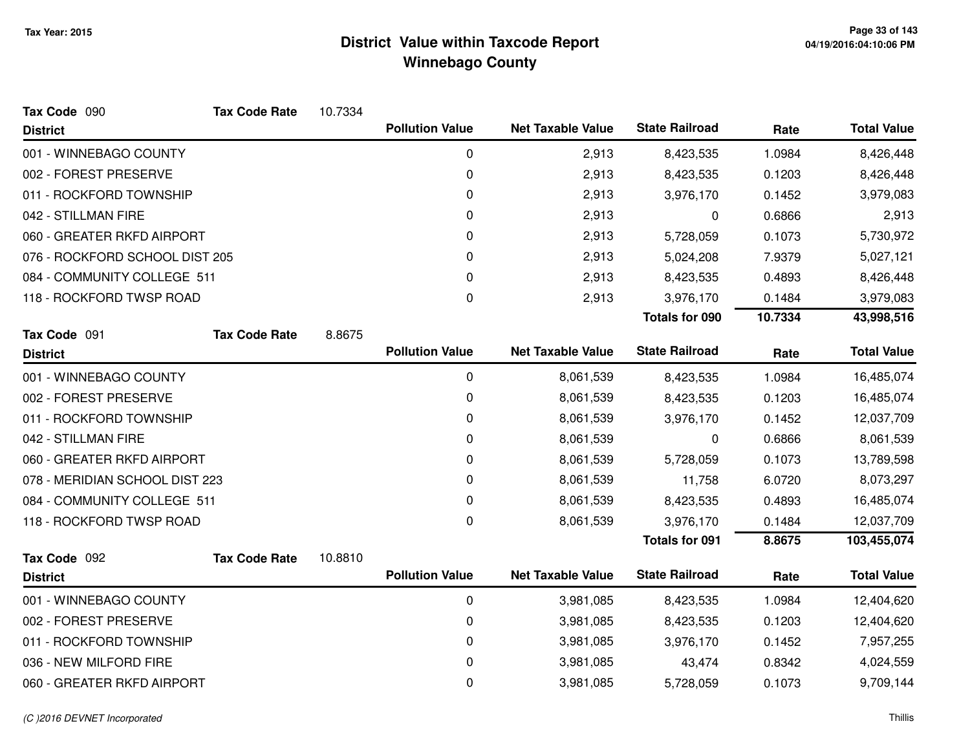| Tax Code 090                   | <b>Tax Code Rate</b> | 10.7334 |                        |                          |                       |         |                    |
|--------------------------------|----------------------|---------|------------------------|--------------------------|-----------------------|---------|--------------------|
| <b>District</b>                |                      |         | <b>Pollution Value</b> | <b>Net Taxable Value</b> | <b>State Railroad</b> | Rate    | <b>Total Value</b> |
| 001 - WINNEBAGO COUNTY         |                      |         | 0                      | 2,913                    | 8,423,535             | 1.0984  | 8,426,448          |
| 002 - FOREST PRESERVE          |                      |         | 0                      | 2,913                    | 8,423,535             | 0.1203  | 8,426,448          |
| 011 - ROCKFORD TOWNSHIP        |                      |         | 0                      | 2,913                    | 3,976,170             | 0.1452  | 3,979,083          |
| 042 - STILLMAN FIRE            |                      |         | 0                      | 2,913                    | 0                     | 0.6866  | 2,913              |
| 060 - GREATER RKFD AIRPORT     |                      |         | 0                      | 2,913                    | 5,728,059             | 0.1073  | 5,730,972          |
| 076 - ROCKFORD SCHOOL DIST 205 |                      |         | 0                      | 2,913                    | 5,024,208             | 7.9379  | 5,027,121          |
| 084 - COMMUNITY COLLEGE 511    |                      |         | 0                      | 2,913                    | 8,423,535             | 0.4893  | 8,426,448          |
| 118 - ROCKFORD TWSP ROAD       |                      |         | 0                      | 2,913                    | 3,976,170             | 0.1484  | 3,979,083          |
|                                |                      |         |                        |                          | <b>Totals for 090</b> | 10.7334 | 43,998,516         |
| Tax Code 091                   | <b>Tax Code Rate</b> | 8.8675  |                        |                          |                       |         |                    |
| <b>District</b>                |                      |         | <b>Pollution Value</b> | <b>Net Taxable Value</b> | <b>State Railroad</b> | Rate    | <b>Total Value</b> |
| 001 - WINNEBAGO COUNTY         |                      |         | $\mathbf 0$            | 8,061,539                | 8,423,535             | 1.0984  | 16,485,074         |
| 002 - FOREST PRESERVE          |                      |         | 0                      | 8,061,539                | 8,423,535             | 0.1203  | 16,485,074         |
| 011 - ROCKFORD TOWNSHIP        |                      |         | $\pmb{0}$              | 8,061,539                | 3,976,170             | 0.1452  | 12,037,709         |
| 042 - STILLMAN FIRE            |                      |         | 0                      | 8,061,539                | 0                     | 0.6866  | 8,061,539          |
| 060 - GREATER RKFD AIRPORT     |                      |         | 0                      | 8,061,539                | 5,728,059             | 0.1073  | 13,789,598         |
| 078 - MERIDIAN SCHOOL DIST 223 |                      |         | 0                      | 8,061,539                | 11,758                | 6.0720  | 8,073,297          |
| 084 - COMMUNITY COLLEGE 511    |                      |         | 0                      | 8,061,539                | 8,423,535             | 0.4893  | 16,485,074         |
| 118 - ROCKFORD TWSP ROAD       |                      |         | 0                      | 8,061,539                | 3,976,170             | 0.1484  | 12,037,709         |
|                                |                      |         |                        |                          | <b>Totals for 091</b> | 8.8675  | 103,455,074        |
| Tax Code 092                   | <b>Tax Code Rate</b> | 10.8810 |                        |                          |                       |         |                    |
| <b>District</b>                |                      |         | <b>Pollution Value</b> | <b>Net Taxable Value</b> | <b>State Railroad</b> | Rate    | <b>Total Value</b> |
| 001 - WINNEBAGO COUNTY         |                      |         | 0                      | 3,981,085                | 8,423,535             | 1.0984  | 12,404,620         |
| 002 - FOREST PRESERVE          |                      |         | 0                      | 3,981,085                | 8,423,535             | 0.1203  | 12,404,620         |
| 011 - ROCKFORD TOWNSHIP        |                      |         | 0                      | 3,981,085                | 3,976,170             | 0.1452  | 7,957,255          |
| 036 - NEW MILFORD FIRE         |                      |         | 0                      | 3,981,085                | 43,474                | 0.8342  | 4,024,559          |
| 060 - GREATER RKFD AIRPORT     |                      |         | 0                      | 3,981,085                | 5,728,059             | 0.1073  | 9,709,144          |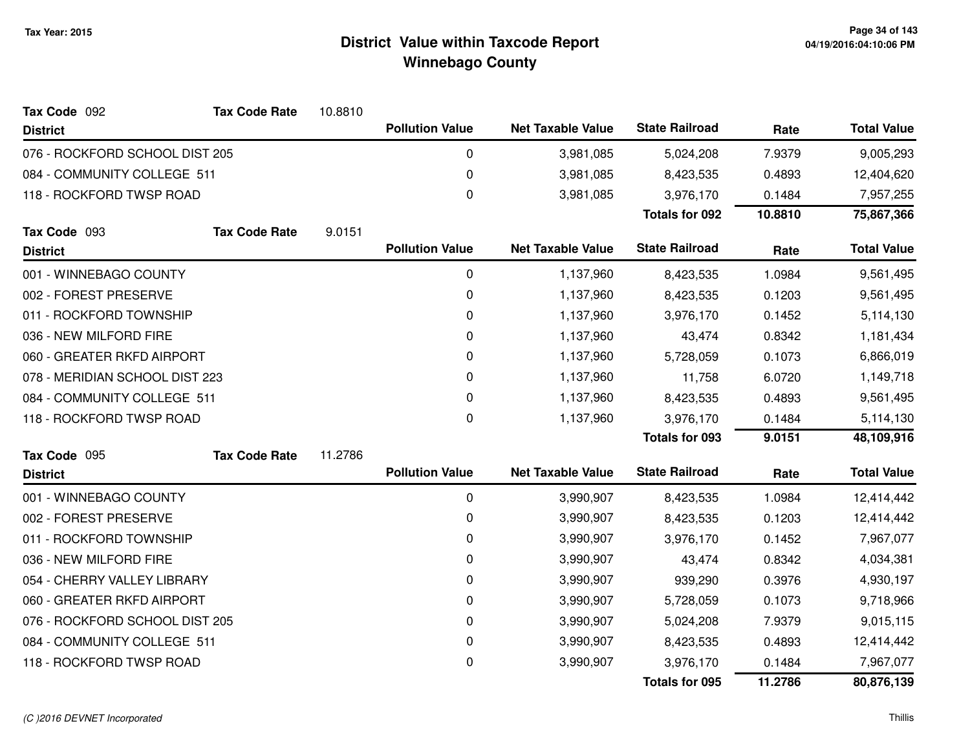| Tax Code 092                   | <b>Tax Code Rate</b>        | 10.8810     |                        |                          |                       |           |                    |
|--------------------------------|-----------------------------|-------------|------------------------|--------------------------|-----------------------|-----------|--------------------|
| <b>District</b>                |                             |             | <b>Pollution Value</b> | <b>Net Taxable Value</b> | <b>State Railroad</b> | Rate      | <b>Total Value</b> |
| 076 - ROCKFORD SCHOOL DIST 205 |                             |             | 0                      | 3,981,085                | 5,024,208             | 7.9379    | 9,005,293          |
| 084 - COMMUNITY COLLEGE 511    |                             |             | 0                      | 3,981,085                | 8,423,535             | 0.4893    | 12,404,620         |
| 118 - ROCKFORD TWSP ROAD       |                             |             | $\boldsymbol{0}$       | 3,981,085                | 3,976,170             | 0.1484    | 7,957,255          |
|                                |                             |             |                        |                          | <b>Totals for 092</b> | 10.8810   | 75,867,366         |
| Tax Code 093                   | <b>Tax Code Rate</b>        | 9.0151      |                        |                          |                       |           |                    |
| <b>District</b>                |                             |             | <b>Pollution Value</b> | <b>Net Taxable Value</b> | <b>State Railroad</b> | Rate      | <b>Total Value</b> |
| 001 - WINNEBAGO COUNTY         |                             |             | $\mathbf 0$            | 1,137,960                | 8,423,535             | 1.0984    | 9,561,495          |
| 002 - FOREST PRESERVE          |                             |             | 0                      | 1,137,960                | 8,423,535             | 0.1203    | 9,561,495          |
| 011 - ROCKFORD TOWNSHIP        |                             |             | 0                      | 1,137,960                | 3,976,170             | 0.1452    | 5,114,130          |
| 036 - NEW MILFORD FIRE         |                             |             | 0                      | 1,137,960                | 43,474                | 0.8342    | 1,181,434          |
| 060 - GREATER RKFD AIRPORT     |                             |             | 0                      | 1,137,960                | 5,728,059             | 0.1073    | 6,866,019          |
| 078 - MERIDIAN SCHOOL DIST 223 |                             | $\mathbf 0$ | 1,137,960              | 11,758                   | 6.0720                | 1,149,718 |                    |
|                                | 084 - COMMUNITY COLLEGE 511 |             | $\Omega$               | 1,137,960                | 8,423,535             | 0.4893    | 9,561,495          |
| 118 - ROCKFORD TWSP ROAD       |                             |             | 0                      | 1,137,960                | 3,976,170             | 0.1484    | 5,114,130          |
|                                |                             |             |                        |                          | Totals for 093        | 9.0151    | 48,109,916         |
| Tax Code 095                   | <b>Tax Code Rate</b>        | 11.2786     |                        |                          |                       |           |                    |
| <b>District</b>                |                             |             | <b>Pollution Value</b> | <b>Net Taxable Value</b> | <b>State Railroad</b> | Rate      | <b>Total Value</b> |
| 001 - WINNEBAGO COUNTY         |                             |             | 0                      | 3,990,907                | 8,423,535             | 1.0984    | 12,414,442         |
| 002 - FOREST PRESERVE          |                             |             | 0                      | 3,990,907                | 8,423,535             | 0.1203    | 12,414,442         |
| 011 - ROCKFORD TOWNSHIP        |                             |             | 0                      | 3,990,907                | 3,976,170             | 0.1452    | 7,967,077          |
| 036 - NEW MILFORD FIRE         |                             |             | 0                      | 3,990,907                | 43,474                | 0.8342    | 4,034,381          |
| 054 - CHERRY VALLEY LIBRARY    |                             |             | $\mathbf 0$            | 3,990,907                | 939,290               | 0.3976    | 4,930,197          |
| 060 - GREATER RKFD AIRPORT     |                             |             | $\mathbf 0$            | 3,990,907                | 5,728,059             | 0.1073    | 9,718,966          |
| 076 - ROCKFORD SCHOOL DIST 205 |                             |             | 0                      | 3,990,907                | 5,024,208             | 7.9379    | 9,015,115          |
| 084 - COMMUNITY COLLEGE 511    |                             |             | 0                      | 3,990,907                | 8,423,535             | 0.4893    | 12,414,442         |
| 118 - ROCKFORD TWSP ROAD       |                             |             | $\mathbf 0$            | 3,990,907                | 3,976,170             | 0.1484    | 7,967,077          |
|                                |                             |             |                        |                          | <b>Totals for 095</b> | 11.2786   | 80,876,139         |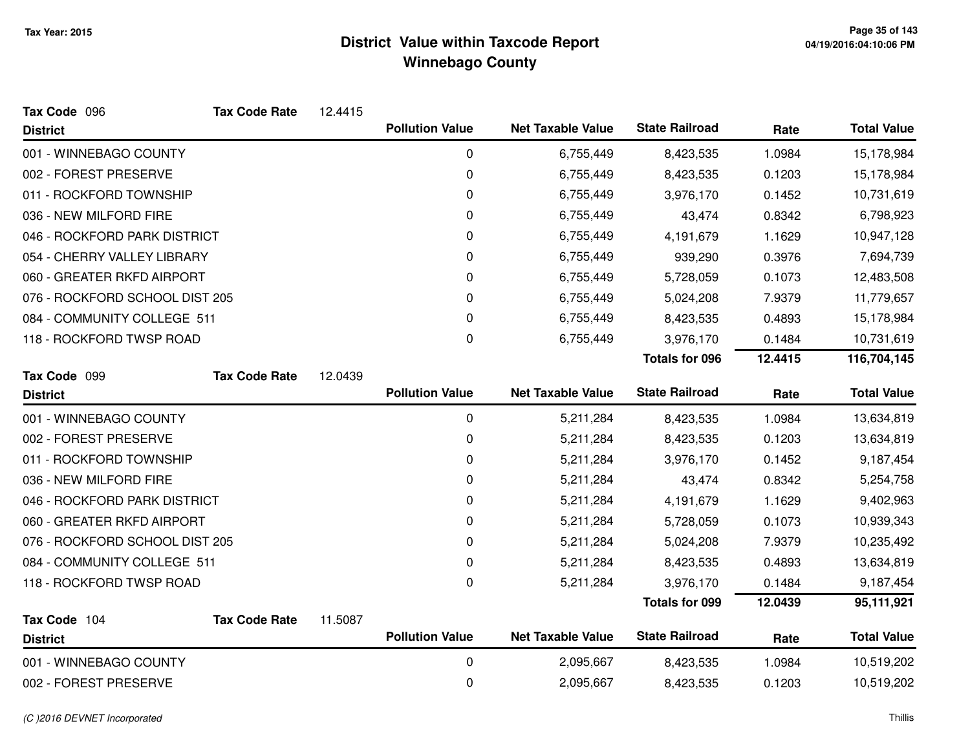| Tax Code 096                    | <b>Tax Code Rate</b> | 12.4415 |                        |                          |                       |         |                    |
|---------------------------------|----------------------|---------|------------------------|--------------------------|-----------------------|---------|--------------------|
| <b>District</b>                 |                      |         | <b>Pollution Value</b> | <b>Net Taxable Value</b> | <b>State Railroad</b> | Rate    | <b>Total Value</b> |
| 001 - WINNEBAGO COUNTY          |                      |         | 0                      | 6,755,449                | 8,423,535             | 1.0984  | 15,178,984         |
| 002 - FOREST PRESERVE           |                      |         | 0                      | 6,755,449                | 8,423,535             | 0.1203  | 15,178,984         |
| 011 - ROCKFORD TOWNSHIP         |                      |         | 0                      | 6,755,449                | 3,976,170             | 0.1452  | 10,731,619         |
| 036 - NEW MILFORD FIRE          |                      |         | 0                      | 6,755,449                | 43,474                | 0.8342  | 6,798,923          |
| 046 - ROCKFORD PARK DISTRICT    |                      |         | 0                      | 6,755,449                | 4,191,679             | 1.1629  | 10,947,128         |
| 054 - CHERRY VALLEY LIBRARY     |                      |         | 0                      | 6,755,449                | 939,290               | 0.3976  | 7,694,739          |
| 060 - GREATER RKFD AIRPORT      |                      |         | 0                      | 6,755,449                | 5,728,059             | 0.1073  | 12,483,508         |
| 076 - ROCKFORD SCHOOL DIST 205  |                      |         | 0                      | 6,755,449                | 5,024,208             | 7.9379  | 11,779,657         |
| 084 - COMMUNITY COLLEGE 511     |                      |         | 0                      | 6,755,449                | 8,423,535             | 0.4893  | 15,178,984         |
| 118 - ROCKFORD TWSP ROAD        |                      |         | 0                      | 6,755,449                | 3,976,170             | 0.1484  | 10,731,619         |
|                                 |                      |         |                        |                          | <b>Totals for 096</b> | 12.4415 | 116,704,145        |
| Tax Code 099                    | <b>Tax Code Rate</b> | 12.0439 |                        |                          |                       |         |                    |
| <b>District</b>                 |                      |         | <b>Pollution Value</b> | <b>Net Taxable Value</b> | <b>State Railroad</b> | Rate    | <b>Total Value</b> |
| 001 - WINNEBAGO COUNTY          |                      |         | $\mathbf 0$            | 5,211,284                | 8,423,535             | 1.0984  | 13,634,819         |
| 002 - FOREST PRESERVE           |                      |         | 0                      | 5,211,284                | 8,423,535             | 0.1203  | 13,634,819         |
| 011 - ROCKFORD TOWNSHIP         |                      |         | 0                      | 5,211,284                | 3,976,170             | 0.1452  | 9,187,454          |
| 036 - NEW MILFORD FIRE          |                      |         | 0                      | 5,211,284                | 43,474                | 0.8342  | 5,254,758          |
| 046 - ROCKFORD PARK DISTRICT    |                      |         | 0                      | 5,211,284                | 4,191,679             | 1.1629  | 9,402,963          |
| 060 - GREATER RKFD AIRPORT      |                      |         | 0                      | 5,211,284                | 5,728,059             | 0.1073  | 10,939,343         |
| 076 - ROCKFORD SCHOOL DIST 205  |                      |         | 0                      | 5,211,284                | 5,024,208             | 7.9379  | 10,235,492         |
| 084 - COMMUNITY COLLEGE 511     |                      |         | 0                      | 5,211,284                | 8,423,535             | 0.4893  | 13,634,819         |
| 118 - ROCKFORD TWSP ROAD        |                      |         | 0                      | 5,211,284                | 3,976,170             | 0.1484  | 9,187,454          |
|                                 |                      |         |                        |                          | <b>Totals for 099</b> | 12.0439 | 95,111,921         |
| Tax Code 104<br><b>District</b> | <b>Tax Code Rate</b> | 11.5087 | <b>Pollution Value</b> | <b>Net Taxable Value</b> | <b>State Railroad</b> | Rate    | <b>Total Value</b> |
| 001 - WINNEBAGO COUNTY          |                      |         | 0                      | 2,095,667                | 8,423,535             | 1.0984  | 10,519,202         |
| 002 - FOREST PRESERVE           |                      |         | 0                      | 2,095,667                | 8,423,535             | 0.1203  | 10,519,202         |
|                                 |                      |         |                        |                          |                       |         |                    |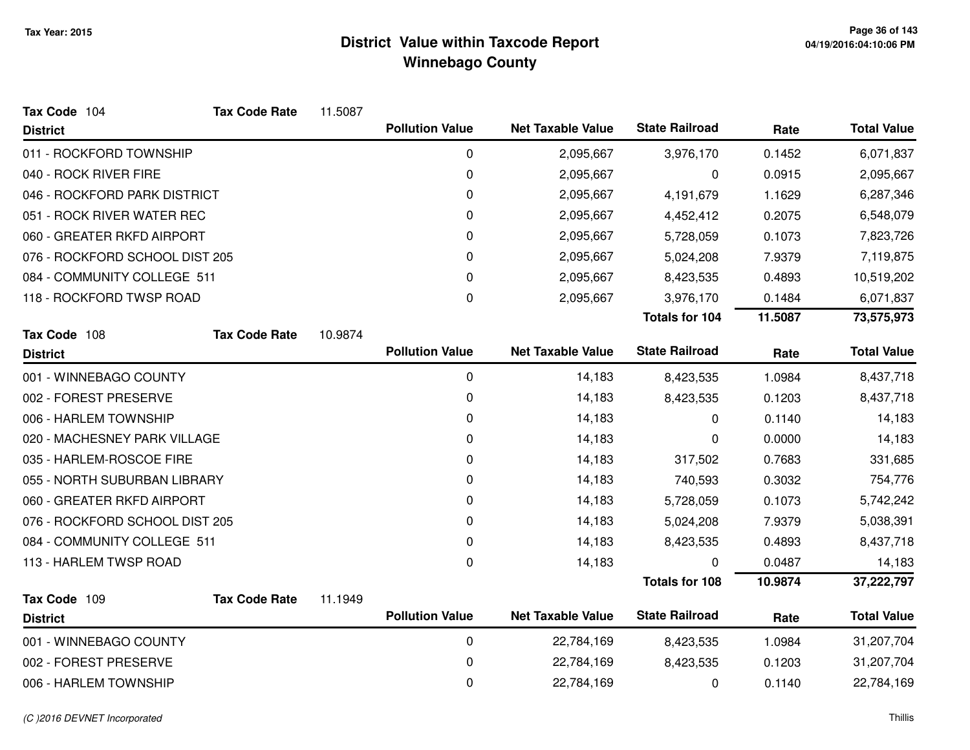| Tax Code 104                   | <b>Tax Code Rate</b> | 11.5087 |                        |                          |                       |         |                    |
|--------------------------------|----------------------|---------|------------------------|--------------------------|-----------------------|---------|--------------------|
| <b>District</b>                |                      |         | <b>Pollution Value</b> | <b>Net Taxable Value</b> | <b>State Railroad</b> | Rate    | <b>Total Value</b> |
| 011 - ROCKFORD TOWNSHIP        |                      |         | 0                      | 2,095,667                | 3,976,170             | 0.1452  | 6,071,837          |
| 040 - ROCK RIVER FIRE          |                      |         | 0                      | 2,095,667                | 0                     | 0.0915  | 2,095,667          |
| 046 - ROCKFORD PARK DISTRICT   |                      |         | 0                      | 2,095,667                | 4,191,679             | 1.1629  | 6,287,346          |
| 051 - ROCK RIVER WATER REC     |                      |         | 0                      | 2,095,667                | 4,452,412             | 0.2075  | 6,548,079          |
| 060 - GREATER RKFD AIRPORT     |                      |         | 0                      | 2,095,667                | 5,728,059             | 0.1073  | 7,823,726          |
| 076 - ROCKFORD SCHOOL DIST 205 |                      |         | 0                      | 2,095,667                | 5,024,208             | 7.9379  | 7,119,875          |
| 084 - COMMUNITY COLLEGE 511    |                      |         | $\mathbf 0$            | 2,095,667                | 8,423,535             | 0.4893  | 10,519,202         |
| 118 - ROCKFORD TWSP ROAD       |                      |         | 0                      | 2,095,667                | 3,976,170             | 0.1484  | 6,071,837          |
|                                |                      |         |                        |                          | <b>Totals for 104</b> | 11.5087 | 73,575,973         |
| Tax Code 108                   | <b>Tax Code Rate</b> | 10.9874 |                        |                          |                       |         |                    |
| <b>District</b>                |                      |         | <b>Pollution Value</b> | <b>Net Taxable Value</b> | <b>State Railroad</b> | Rate    | <b>Total Value</b> |
| 001 - WINNEBAGO COUNTY         |                      |         | 0                      | 14,183                   | 8,423,535             | 1.0984  | 8,437,718          |
| 002 - FOREST PRESERVE          |                      |         | 0                      | 14,183                   | 8,423,535             | 0.1203  | 8,437,718          |
| 006 - HARLEM TOWNSHIP          |                      |         | 0                      | 14,183                   | 0                     | 0.1140  | 14,183             |
| 020 - MACHESNEY PARK VILLAGE   |                      |         | 0                      | 14,183                   | 0                     | 0.0000  | 14,183             |
| 035 - HARLEM-ROSCOE FIRE       |                      |         | 0                      | 14,183                   | 317,502               | 0.7683  | 331,685            |
| 055 - NORTH SUBURBAN LIBRARY   |                      |         | 0                      | 14,183                   | 740,593               | 0.3032  | 754,776            |
| 060 - GREATER RKFD AIRPORT     |                      |         | 0                      | 14,183                   | 5,728,059             | 0.1073  | 5,742,242          |
| 076 - ROCKFORD SCHOOL DIST 205 |                      |         | 0                      | 14,183                   | 5,024,208             | 7.9379  | 5,038,391          |
| 084 - COMMUNITY COLLEGE 511    |                      |         | 0                      | 14,183                   | 8,423,535             | 0.4893  | 8,437,718          |
| 113 - HARLEM TWSP ROAD         |                      |         | 0                      | 14,183                   | 0                     | 0.0487  | 14,183             |
|                                |                      |         |                        |                          | <b>Totals for 108</b> | 10.9874 | 37,222,797         |
| Tax Code 109                   | <b>Tax Code Rate</b> | 11.1949 |                        |                          |                       |         |                    |
| <b>District</b>                |                      |         | <b>Pollution Value</b> | <b>Net Taxable Value</b> | <b>State Railroad</b> | Rate    | <b>Total Value</b> |
| 001 - WINNEBAGO COUNTY         |                      |         | $\mathbf 0$            | 22,784,169               | 8,423,535             | 1.0984  | 31,207,704         |
| 002 - FOREST PRESERVE          |                      |         | 0                      | 22,784,169               | 8,423,535             | 0.1203  | 31,207,704         |
| 006 - HARLEM TOWNSHIP          |                      |         | 0                      | 22,784,169               | 0                     | 0.1140  | 22,784,169         |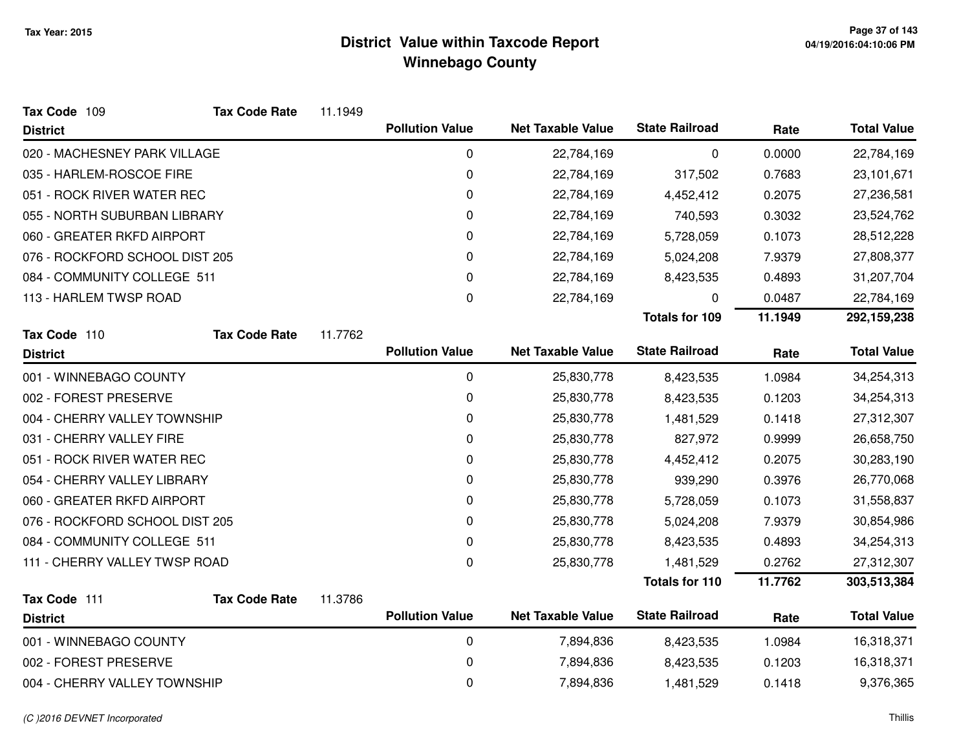| Tax Code 109                   | <b>Tax Code Rate</b> | 11.1949 |                        |                          |                       |         |                    |
|--------------------------------|----------------------|---------|------------------------|--------------------------|-----------------------|---------|--------------------|
| <b>District</b>                |                      |         | <b>Pollution Value</b> | <b>Net Taxable Value</b> | <b>State Railroad</b> | Rate    | <b>Total Value</b> |
| 020 - MACHESNEY PARK VILLAGE   |                      |         | 0                      | 22,784,169               | 0                     | 0.0000  | 22,784,169         |
| 035 - HARLEM-ROSCOE FIRE       |                      |         | 0                      | 22,784,169               | 317,502               | 0.7683  | 23,101,671         |
| 051 - ROCK RIVER WATER REC     |                      |         | 0                      | 22,784,169               | 4,452,412             | 0.2075  | 27,236,581         |
| 055 - NORTH SUBURBAN LIBRARY   |                      |         | 0                      | 22,784,169               | 740,593               | 0.3032  | 23,524,762         |
| 060 - GREATER RKFD AIRPORT     |                      |         | 0                      | 22,784,169               | 5,728,059             | 0.1073  | 28,512,228         |
| 076 - ROCKFORD SCHOOL DIST 205 |                      |         | 0                      | 22,784,169               | 5,024,208             | 7.9379  | 27,808,377         |
| 084 - COMMUNITY COLLEGE 511    |                      |         | 0                      | 22,784,169               | 8,423,535             | 0.4893  | 31,207,704         |
| 113 - HARLEM TWSP ROAD         |                      |         | 0                      | 22,784,169               | 0                     | 0.0487  | 22,784,169         |
|                                |                      |         |                        |                          | <b>Totals for 109</b> | 11.1949 | 292,159,238        |
| Tax Code 110                   | <b>Tax Code Rate</b> | 11.7762 |                        |                          |                       |         |                    |
| <b>District</b>                |                      |         | <b>Pollution Value</b> | <b>Net Taxable Value</b> | <b>State Railroad</b> | Rate    | <b>Total Value</b> |
| 001 - WINNEBAGO COUNTY         |                      |         | 0                      | 25,830,778               | 8,423,535             | 1.0984  | 34,254,313         |
| 002 - FOREST PRESERVE          |                      |         | 0                      | 25,830,778               | 8,423,535             | 0.1203  | 34,254,313         |
| 004 - CHERRY VALLEY TOWNSHIP   |                      |         | $\mathbf 0$            | 25,830,778               | 1,481,529             | 0.1418  | 27,312,307         |
| 031 - CHERRY VALLEY FIRE       |                      |         | 0                      | 25,830,778               | 827,972               | 0.9999  | 26,658,750         |
| 051 - ROCK RIVER WATER REC     |                      |         | 0                      | 25,830,778               | 4,452,412             | 0.2075  | 30,283,190         |
| 054 - CHERRY VALLEY LIBRARY    |                      |         | 0                      | 25,830,778               | 939,290               | 0.3976  | 26,770,068         |
| 060 - GREATER RKFD AIRPORT     |                      |         | 0                      | 25,830,778               | 5,728,059             | 0.1073  | 31,558,837         |
| 076 - ROCKFORD SCHOOL DIST 205 |                      |         | 0                      | 25,830,778               | 5,024,208             | 7.9379  | 30,854,986         |
| 084 - COMMUNITY COLLEGE 511    |                      |         | 0                      | 25,830,778               | 8,423,535             | 0.4893  | 34,254,313         |
| 111 - CHERRY VALLEY TWSP ROAD  |                      |         | $\mathbf 0$            | 25,830,778               | 1,481,529             | 0.2762  | 27,312,307         |
|                                |                      |         |                        |                          | Totals for 110        | 11.7762 | 303,513,384        |
| Tax Code 111                   | <b>Tax Code Rate</b> | 11.3786 |                        |                          |                       |         |                    |
| <b>District</b>                |                      |         | <b>Pollution Value</b> | <b>Net Taxable Value</b> | <b>State Railroad</b> | Rate    | <b>Total Value</b> |
| 001 - WINNEBAGO COUNTY         |                      |         | $\pmb{0}$              | 7,894,836                | 8,423,535             | 1.0984  | 16,318,371         |
| 002 - FOREST PRESERVE          |                      |         | 0                      | 7,894,836                | 8,423,535             | 0.1203  | 16,318,371         |
| 004 - CHERRY VALLEY TOWNSHIP   |                      |         | 0                      | 7,894,836                | 1,481,529             | 0.1418  | 9,376,365          |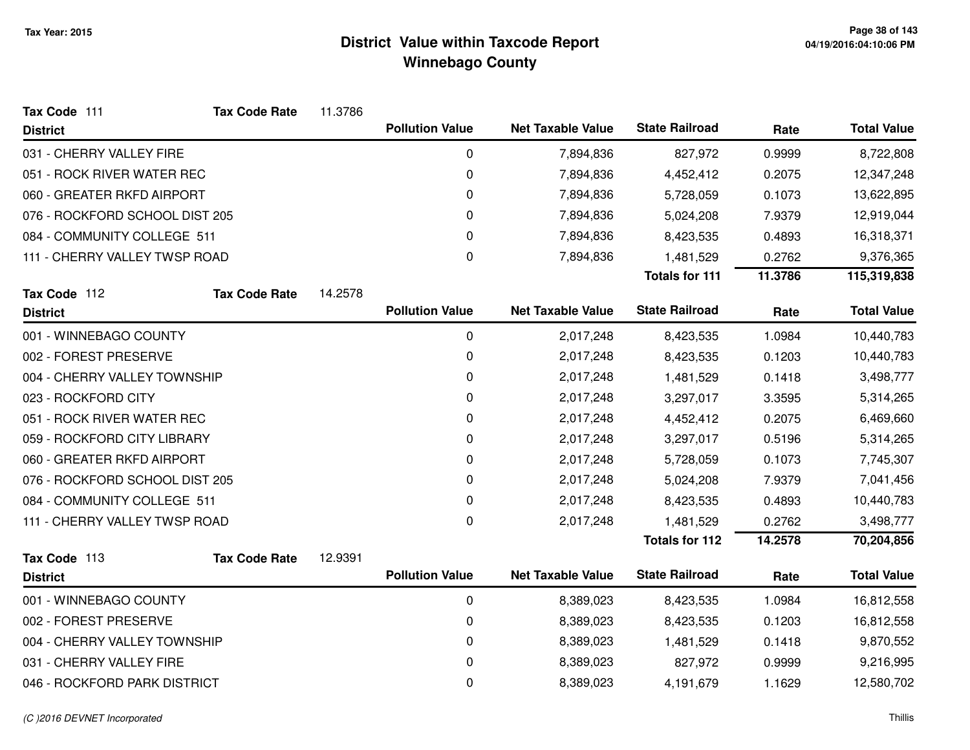| Tax Code 111                   | <b>Tax Code Rate</b> | 11.3786 |                        |                          |                       |         |                    |
|--------------------------------|----------------------|---------|------------------------|--------------------------|-----------------------|---------|--------------------|
| <b>District</b>                |                      |         | <b>Pollution Value</b> | <b>Net Taxable Value</b> | <b>State Railroad</b> | Rate    | <b>Total Value</b> |
| 031 - CHERRY VALLEY FIRE       |                      |         | $\pmb{0}$              | 7,894,836                | 827,972               | 0.9999  | 8,722,808          |
| 051 - ROCK RIVER WATER REC     |                      |         | 0                      | 7,894,836                | 4,452,412             | 0.2075  | 12,347,248         |
| 060 - GREATER RKFD AIRPORT     |                      |         | 0                      | 7,894,836                | 5,728,059             | 0.1073  | 13,622,895         |
| 076 - ROCKFORD SCHOOL DIST 205 |                      |         | 0                      | 7,894,836                | 5,024,208             | 7.9379  | 12,919,044         |
| 084 - COMMUNITY COLLEGE 511    |                      |         | 0                      | 7,894,836                | 8,423,535             | 0.4893  | 16,318,371         |
| 111 - CHERRY VALLEY TWSP ROAD  |                      |         | 0                      | 7,894,836                | 1,481,529             | 0.2762  | 9,376,365          |
|                                |                      |         |                        |                          | <b>Totals for 111</b> | 11.3786 | 115,319,838        |
| Tax Code 112                   | <b>Tax Code Rate</b> | 14.2578 |                        |                          |                       |         |                    |
| <b>District</b>                |                      |         | <b>Pollution Value</b> | <b>Net Taxable Value</b> | <b>State Railroad</b> | Rate    | <b>Total Value</b> |
| 001 - WINNEBAGO COUNTY         |                      |         | 0                      | 2,017,248                | 8,423,535             | 1.0984  | 10,440,783         |
| 002 - FOREST PRESERVE          |                      |         | 0                      | 2,017,248                | 8,423,535             | 0.1203  | 10,440,783         |
| 004 - CHERRY VALLEY TOWNSHIP   |                      |         | 0                      | 2,017,248                | 1,481,529             | 0.1418  | 3,498,777          |
| 023 - ROCKFORD CITY            |                      |         | 0                      | 2,017,248                | 3,297,017             | 3.3595  | 5,314,265          |
| 051 - ROCK RIVER WATER REC     |                      |         | $\pmb{0}$              | 2,017,248                | 4,452,412             | 0.2075  | 6,469,660          |
| 059 - ROCKFORD CITY LIBRARY    |                      |         | 0                      | 2,017,248                | 3,297,017             | 0.5196  | 5,314,265          |
| 060 - GREATER RKFD AIRPORT     |                      |         | 0                      | 2,017,248                | 5,728,059             | 0.1073  | 7,745,307          |
| 076 - ROCKFORD SCHOOL DIST 205 |                      |         | $\pmb{0}$              | 2,017,248                | 5,024,208             | 7.9379  | 7,041,456          |
| 084 - COMMUNITY COLLEGE 511    |                      |         | $\pmb{0}$              | 2,017,248                | 8,423,535             | 0.4893  | 10,440,783         |
| 111 - CHERRY VALLEY TWSP ROAD  |                      |         | $\pmb{0}$              | 2,017,248                | 1,481,529             | 0.2762  | 3,498,777          |
|                                |                      |         |                        |                          | <b>Totals for 112</b> | 14.2578 | 70,204,856         |
| Tax Code 113                   | <b>Tax Code Rate</b> | 12.9391 |                        |                          |                       |         |                    |
| <b>District</b>                |                      |         | <b>Pollution Value</b> | <b>Net Taxable Value</b> | <b>State Railroad</b> | Rate    | <b>Total Value</b> |
| 001 - WINNEBAGO COUNTY         |                      |         | 0                      | 8,389,023                | 8,423,535             | 1.0984  | 16,812,558         |
| 002 - FOREST PRESERVE          |                      |         | 0                      | 8,389,023                | 8,423,535             | 0.1203  | 16,812,558         |
| 004 - CHERRY VALLEY TOWNSHIP   |                      |         | $\pmb{0}$              | 8,389,023                | 1,481,529             | 0.1418  | 9,870,552          |
| 031 - CHERRY VALLEY FIRE       |                      |         | 0                      | 8,389,023                | 827,972               | 0.9999  | 9,216,995          |
| 046 - ROCKFORD PARK DISTRICT   |                      |         | 0                      | 8,389,023                | 4,191,679             | 1.1629  | 12,580,702         |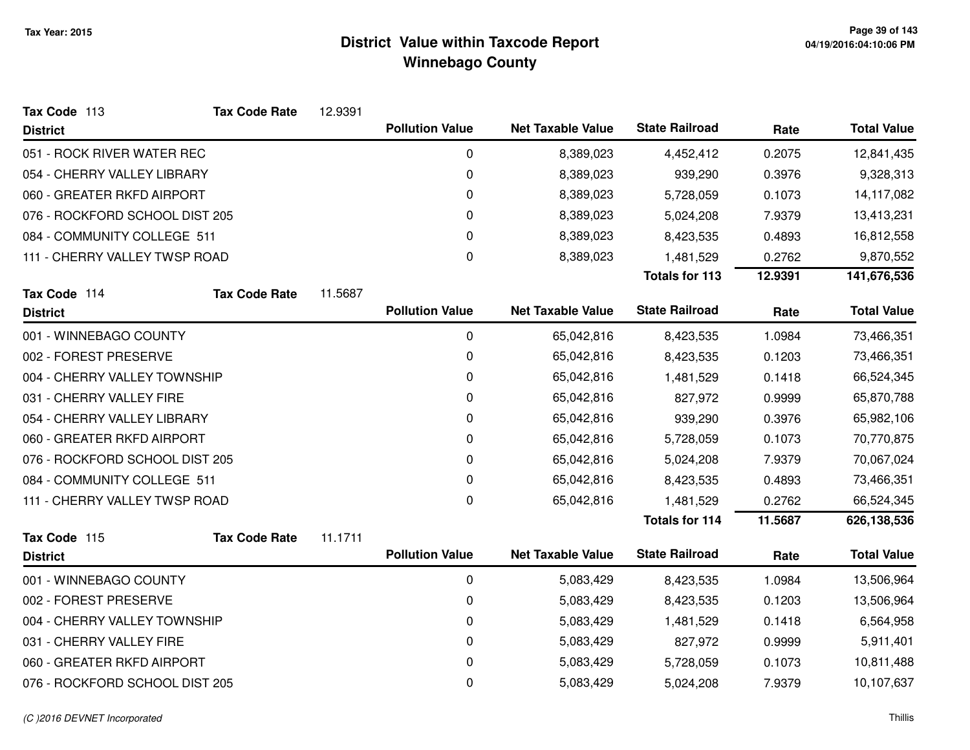| Tax Code 113                   | <b>Tax Code Rate</b> | 12.9391 |                        |                          |                       |         |                    |
|--------------------------------|----------------------|---------|------------------------|--------------------------|-----------------------|---------|--------------------|
| <b>District</b>                |                      |         | <b>Pollution Value</b> | <b>Net Taxable Value</b> | <b>State Railroad</b> | Rate    | <b>Total Value</b> |
| 051 - ROCK RIVER WATER REC     |                      |         | 0                      | 8,389,023                | 4,452,412             | 0.2075  | 12,841,435         |
| 054 - CHERRY VALLEY LIBRARY    |                      |         | 0                      | 8,389,023                | 939,290               | 0.3976  | 9,328,313          |
| 060 - GREATER RKFD AIRPORT     |                      |         | 0                      | 8,389,023                | 5,728,059             | 0.1073  | 14,117,082         |
| 076 - ROCKFORD SCHOOL DIST 205 |                      |         | 0                      | 8,389,023                | 5,024,208             | 7.9379  | 13,413,231         |
| 084 - COMMUNITY COLLEGE 511    |                      |         | 0                      | 8,389,023                | 8,423,535             | 0.4893  | 16,812,558         |
| 111 - CHERRY VALLEY TWSP ROAD  |                      |         | 0                      | 8,389,023                | 1,481,529             | 0.2762  | 9,870,552          |
|                                |                      |         |                        |                          | <b>Totals for 113</b> | 12.9391 | 141,676,536        |
| Tax Code 114                   | <b>Tax Code Rate</b> | 11.5687 |                        |                          |                       |         |                    |
| <b>District</b>                |                      |         | <b>Pollution Value</b> | <b>Net Taxable Value</b> | <b>State Railroad</b> | Rate    | <b>Total Value</b> |
| 001 - WINNEBAGO COUNTY         |                      |         | 0                      | 65,042,816               | 8,423,535             | 1.0984  | 73,466,351         |
| 002 - FOREST PRESERVE          |                      |         | 0                      | 65,042,816               | 8,423,535             | 0.1203  | 73,466,351         |
| 004 - CHERRY VALLEY TOWNSHIP   |                      |         | 0                      | 65,042,816               | 1,481,529             | 0.1418  | 66,524,345         |
| 031 - CHERRY VALLEY FIRE       |                      |         | 0                      | 65,042,816               | 827,972               | 0.9999  | 65,870,788         |
| 054 - CHERRY VALLEY LIBRARY    |                      |         | 0                      | 65,042,816               | 939,290               | 0.3976  | 65,982,106         |
| 060 - GREATER RKFD AIRPORT     |                      |         | 0                      | 65,042,816               | 5,728,059             | 0.1073  | 70,770,875         |
| 076 - ROCKFORD SCHOOL DIST 205 |                      |         | 0                      | 65,042,816               | 5,024,208             | 7.9379  | 70,067,024         |
| 084 - COMMUNITY COLLEGE 511    |                      |         | 0                      | 65,042,816               | 8,423,535             | 0.4893  | 73,466,351         |
| 111 - CHERRY VALLEY TWSP ROAD  |                      |         | 0                      | 65,042,816               | 1,481,529             | 0.2762  | 66,524,345         |
|                                |                      |         |                        |                          | <b>Totals for 114</b> | 11.5687 | 626,138,536        |
| Tax Code 115                   | <b>Tax Code Rate</b> | 11.1711 |                        |                          |                       |         |                    |
| <b>District</b>                |                      |         | <b>Pollution Value</b> | <b>Net Taxable Value</b> | <b>State Railroad</b> | Rate    | <b>Total Value</b> |
| 001 - WINNEBAGO COUNTY         |                      |         | 0                      | 5,083,429                | 8,423,535             | 1.0984  | 13,506,964         |
| 002 - FOREST PRESERVE          |                      |         | 0                      | 5,083,429                | 8,423,535             | 0.1203  | 13,506,964         |
| 004 - CHERRY VALLEY TOWNSHIP   |                      |         | 0                      | 5,083,429                | 1,481,529             | 0.1418  | 6,564,958          |
| 031 - CHERRY VALLEY FIRE       |                      |         | 0                      | 5,083,429                | 827,972               | 0.9999  | 5,911,401          |
| 060 - GREATER RKFD AIRPORT     |                      |         | 0                      | 5,083,429                | 5,728,059             | 0.1073  | 10,811,488         |
| 076 - ROCKFORD SCHOOL DIST 205 |                      |         | 0                      | 5,083,429                | 5,024,208             | 7.9379  | 10,107,637         |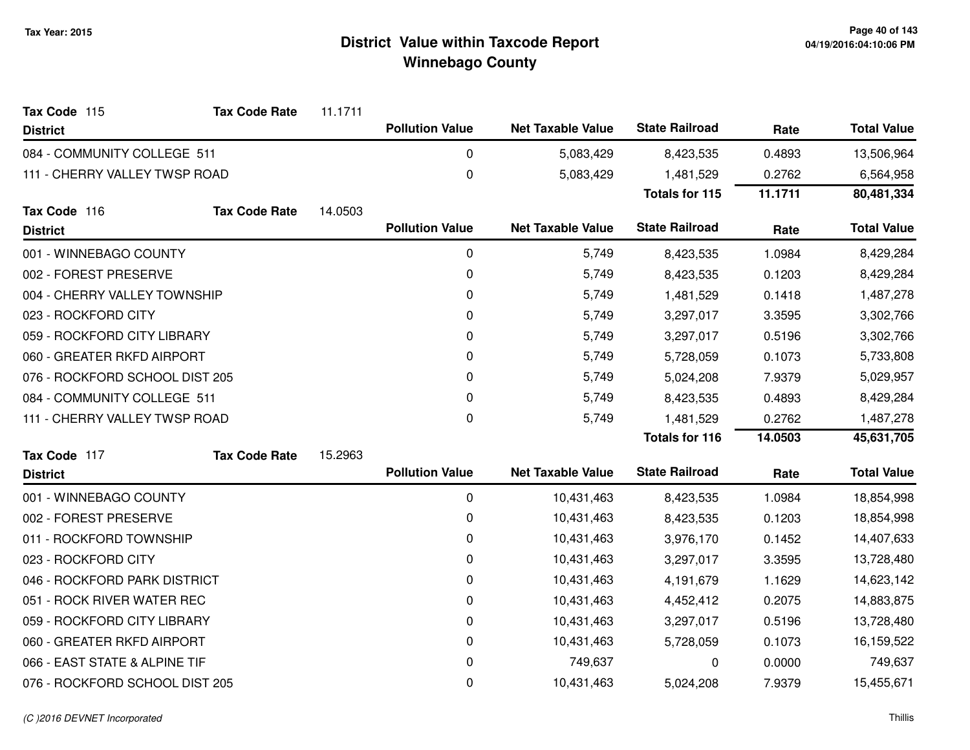| Tax Code 115                   | <b>Tax Code Rate</b> | 11.1711 |                        |                          |                       |         |                    |
|--------------------------------|----------------------|---------|------------------------|--------------------------|-----------------------|---------|--------------------|
| <b>District</b>                |                      |         | <b>Pollution Value</b> | <b>Net Taxable Value</b> | <b>State Railroad</b> | Rate    | <b>Total Value</b> |
| 084 - COMMUNITY COLLEGE 511    |                      |         | 0                      | 5,083,429                | 8,423,535             | 0.4893  | 13,506,964         |
| 111 - CHERRY VALLEY TWSP ROAD  |                      |         | $\mathbf 0$            | 5,083,429                | 1,481,529             | 0.2762  | 6,564,958          |
|                                |                      |         |                        |                          | <b>Totals for 115</b> | 11.1711 | 80,481,334         |
| Tax Code 116                   | <b>Tax Code Rate</b> | 14.0503 |                        |                          |                       |         |                    |
| <b>District</b>                |                      |         | <b>Pollution Value</b> | <b>Net Taxable Value</b> | <b>State Railroad</b> | Rate    | <b>Total Value</b> |
| 001 - WINNEBAGO COUNTY         |                      |         | 0                      | 5,749                    | 8,423,535             | 1.0984  | 8,429,284          |
| 002 - FOREST PRESERVE          |                      |         | 0                      | 5,749                    | 8,423,535             | 0.1203  | 8,429,284          |
| 004 - CHERRY VALLEY TOWNSHIP   |                      |         | 0                      | 5,749                    | 1,481,529             | 0.1418  | 1,487,278          |
| 023 - ROCKFORD CITY            |                      |         | 0                      | 5,749                    | 3,297,017             | 3.3595  | 3,302,766          |
| 059 - ROCKFORD CITY LIBRARY    |                      |         | 0                      | 5,749                    | 3,297,017             | 0.5196  | 3,302,766          |
| 060 - GREATER RKFD AIRPORT     |                      |         | 0                      | 5,749                    | 5,728,059             | 0.1073  | 5,733,808          |
| 076 - ROCKFORD SCHOOL DIST 205 |                      |         | 0                      | 5,749                    | 5,024,208             | 7.9379  | 5,029,957          |
| 084 - COMMUNITY COLLEGE 511    |                      |         | 0                      | 5,749                    | 8,423,535             | 0.4893  | 8,429,284          |
| 111 - CHERRY VALLEY TWSP ROAD  |                      |         | 0                      | 5,749                    | 1,481,529             | 0.2762  | 1,487,278          |
|                                |                      |         |                        |                          | <b>Totals for 116</b> | 14.0503 | 45,631,705         |
| Tax Code 117                   | <b>Tax Code Rate</b> | 15.2963 |                        |                          |                       |         |                    |
| <b>District</b>                |                      |         | <b>Pollution Value</b> | <b>Net Taxable Value</b> | <b>State Railroad</b> | Rate    | <b>Total Value</b> |
| 001 - WINNEBAGO COUNTY         |                      |         | $\pmb{0}$              | 10,431,463               | 8,423,535             | 1.0984  | 18,854,998         |
| 002 - FOREST PRESERVE          |                      |         | 0                      | 10,431,463               | 8,423,535             | 0.1203  | 18,854,998         |
| 011 - ROCKFORD TOWNSHIP        |                      |         | 0                      | 10,431,463               | 3,976,170             | 0.1452  | 14,407,633         |
| 023 - ROCKFORD CITY            |                      |         | 0                      | 10,431,463               | 3,297,017             | 3.3595  | 13,728,480         |
| 046 - ROCKFORD PARK DISTRICT   |                      |         | 0                      | 10,431,463               | 4,191,679             | 1.1629  | 14,623,142         |
| 051 - ROCK RIVER WATER REC     |                      |         | 0                      | 10,431,463               | 4,452,412             | 0.2075  | 14,883,875         |
| 059 - ROCKFORD CITY LIBRARY    |                      |         | 0                      | 10,431,463               | 3,297,017             | 0.5196  | 13,728,480         |
| 060 - GREATER RKFD AIRPORT     |                      |         | 0                      | 10,431,463               | 5,728,059             | 0.1073  | 16,159,522         |
| 066 - EAST STATE & ALPINE TIF  |                      |         | $\mathbf 0$            | 749,637                  | 0                     | 0.0000  | 749,637            |
| 076 - ROCKFORD SCHOOL DIST 205 |                      |         | 0                      | 10,431,463               | 5,024,208             | 7.9379  | 15,455,671         |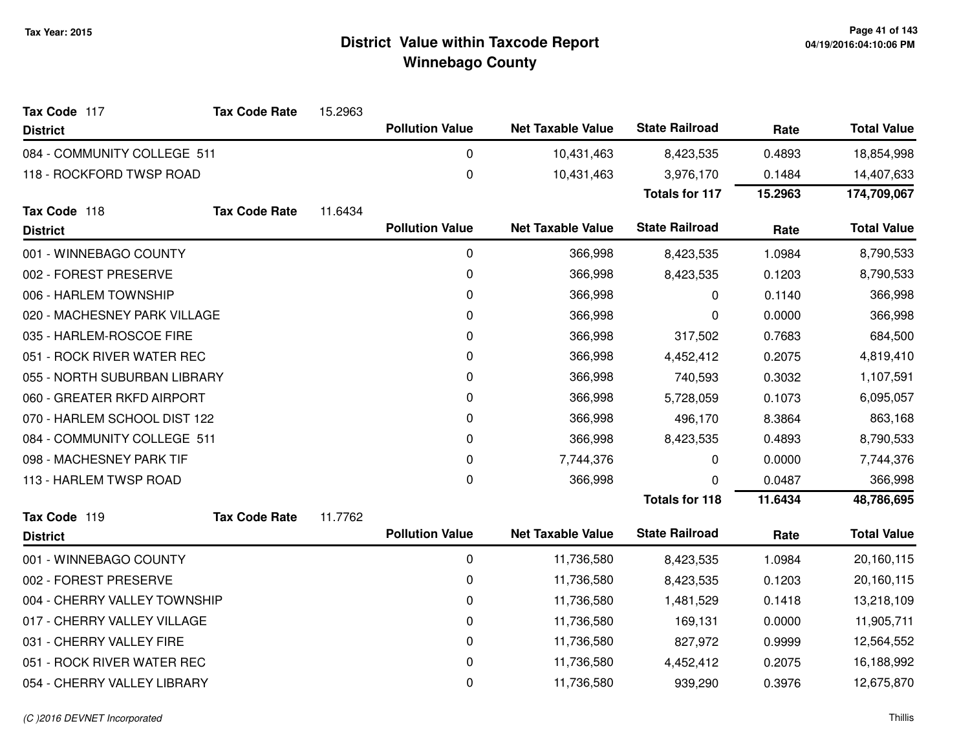| Tax Code 117                 | <b>Tax Code Rate</b> | 15.2963 |                        |                          |                       |         |                    |
|------------------------------|----------------------|---------|------------------------|--------------------------|-----------------------|---------|--------------------|
| <b>District</b>              |                      |         | <b>Pollution Value</b> | <b>Net Taxable Value</b> | <b>State Railroad</b> | Rate    | <b>Total Value</b> |
| 084 - COMMUNITY COLLEGE 511  |                      |         | 0                      | 10,431,463               | 8,423,535             | 0.4893  | 18,854,998         |
| 118 - ROCKFORD TWSP ROAD     |                      |         | $\boldsymbol{0}$       | 10,431,463               | 3,976,170             | 0.1484  | 14,407,633         |
|                              |                      |         |                        |                          | <b>Totals for 117</b> | 15.2963 | 174,709,067        |
| Tax Code 118                 | <b>Tax Code Rate</b> | 11.6434 |                        |                          |                       |         |                    |
| <b>District</b>              |                      |         | <b>Pollution Value</b> | <b>Net Taxable Value</b> | <b>State Railroad</b> | Rate    | <b>Total Value</b> |
| 001 - WINNEBAGO COUNTY       |                      |         | $\pmb{0}$              | 366,998                  | 8,423,535             | 1.0984  | 8,790,533          |
| 002 - FOREST PRESERVE        |                      |         | $\mathbf 0$            | 366,998                  | 8,423,535             | 0.1203  | 8,790,533          |
| 006 - HARLEM TOWNSHIP        |                      |         | 0                      | 366,998                  | 0                     | 0.1140  | 366,998            |
| 020 - MACHESNEY PARK VILLAGE |                      |         | 0                      | 366,998                  | 0                     | 0.0000  | 366,998            |
| 035 - HARLEM-ROSCOE FIRE     |                      |         | 0                      | 366,998                  | 317,502               | 0.7683  | 684,500            |
| 051 - ROCK RIVER WATER REC   |                      |         | $\pmb{0}$              | 366,998                  | 4,452,412             | 0.2075  | 4,819,410          |
| 055 - NORTH SUBURBAN LIBRARY |                      |         | $\mathbf 0$            | 366,998                  | 740,593               | 0.3032  | 1,107,591          |
| 060 - GREATER RKFD AIRPORT   |                      |         | 0                      | 366,998                  | 5,728,059             | 0.1073  | 6,095,057          |
| 070 - HARLEM SCHOOL DIST 122 |                      |         | $\mathbf 0$            | 366,998                  | 496,170               | 8.3864  | 863,168            |
| 084 - COMMUNITY COLLEGE 511  |                      |         | 0                      | 366,998                  | 8,423,535             | 0.4893  | 8,790,533          |
| 098 - MACHESNEY PARK TIF     |                      |         | $\mathbf 0$            | 7,744,376                | 0                     | 0.0000  | 7,744,376          |
| 113 - HARLEM TWSP ROAD       |                      |         | $\mathbf 0$            | 366,998                  | 0                     | 0.0487  | 366,998            |
|                              |                      |         |                        |                          | <b>Totals for 118</b> | 11.6434 | 48,786,695         |
| Tax Code 119                 | <b>Tax Code Rate</b> | 11.7762 |                        |                          |                       |         |                    |
| <b>District</b>              |                      |         | <b>Pollution Value</b> | <b>Net Taxable Value</b> | <b>State Railroad</b> | Rate    | <b>Total Value</b> |
| 001 - WINNEBAGO COUNTY       |                      |         | 0                      | 11,736,580               | 8,423,535             | 1.0984  | 20,160,115         |
| 002 - FOREST PRESERVE        |                      |         | 0                      | 11,736,580               | 8,423,535             | 0.1203  | 20,160,115         |
| 004 - CHERRY VALLEY TOWNSHIP |                      |         | 0                      | 11,736,580               | 1,481,529             | 0.1418  | 13,218,109         |
| 017 - CHERRY VALLEY VILLAGE  |                      |         | $\mathbf 0$            | 11,736,580               | 169,131               | 0.0000  | 11,905,711         |
| 031 - CHERRY VALLEY FIRE     |                      |         | $\pmb{0}$              | 11,736,580               | 827,972               | 0.9999  | 12,564,552         |
| 051 - ROCK RIVER WATER REC   |                      |         | 0                      | 11,736,580               | 4,452,412             | 0.2075  | 16,188,992         |
| 054 - CHERRY VALLEY LIBRARY  |                      |         | $\mathbf 0$            | 11,736,580               | 939,290               | 0.3976  | 12,675,870         |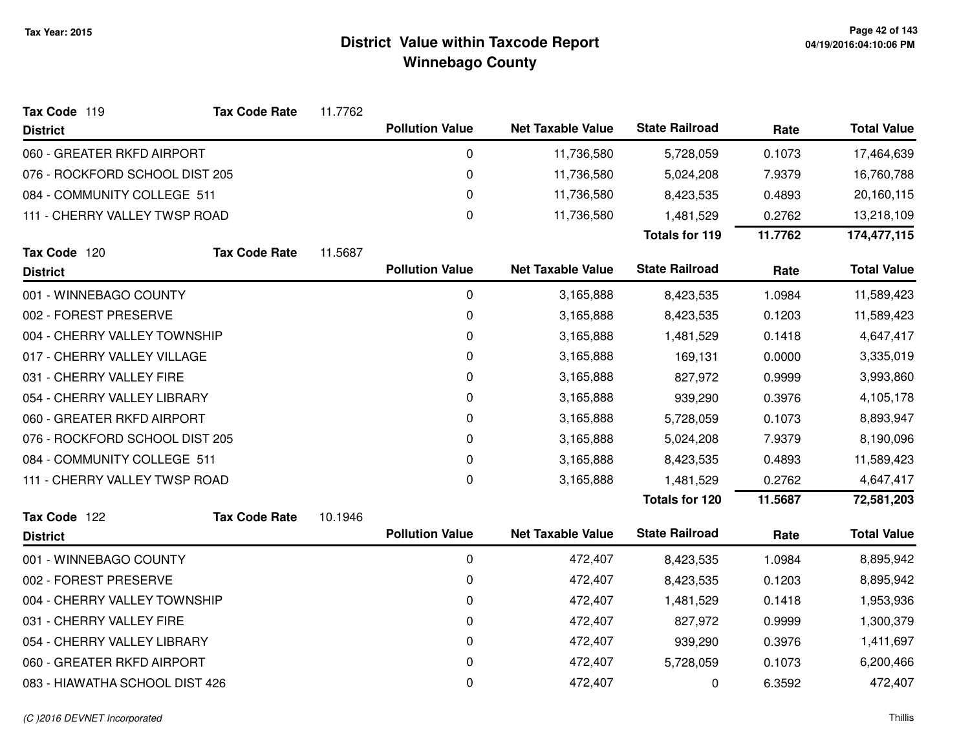| Tax Code 119                   | <b>Tax Code Rate</b> | 11.7762 |                        |                          |                       |         |                    |
|--------------------------------|----------------------|---------|------------------------|--------------------------|-----------------------|---------|--------------------|
| <b>District</b>                |                      |         | <b>Pollution Value</b> | <b>Net Taxable Value</b> | <b>State Railroad</b> | Rate    | <b>Total Value</b> |
| 060 - GREATER RKFD AIRPORT     |                      |         | 0                      | 11,736,580               | 5,728,059             | 0.1073  | 17,464,639         |
| 076 - ROCKFORD SCHOOL DIST 205 |                      |         | 0                      | 11,736,580               | 5,024,208             | 7.9379  | 16,760,788         |
| 084 - COMMUNITY COLLEGE 511    |                      |         | 0                      | 11,736,580               | 8,423,535             | 0.4893  | 20,160,115         |
| 111 - CHERRY VALLEY TWSP ROAD  |                      |         | 0                      | 11,736,580               | 1,481,529             | 0.2762  | 13,218,109         |
|                                |                      |         |                        |                          | <b>Totals for 119</b> | 11.7762 | 174,477,115        |
| Tax Code 120                   | <b>Tax Code Rate</b> | 11.5687 |                        |                          |                       |         |                    |
| <b>District</b>                |                      |         | <b>Pollution Value</b> | <b>Net Taxable Value</b> | <b>State Railroad</b> | Rate    | <b>Total Value</b> |
| 001 - WINNEBAGO COUNTY         |                      |         | 0                      | 3,165,888                | 8,423,535             | 1.0984  | 11,589,423         |
| 002 - FOREST PRESERVE          |                      |         | 0                      | 3,165,888                | 8,423,535             | 0.1203  | 11,589,423         |
| 004 - CHERRY VALLEY TOWNSHIP   |                      |         | 0                      | 3,165,888                | 1,481,529             | 0.1418  | 4,647,417          |
| 017 - CHERRY VALLEY VILLAGE    |                      |         | 0                      | 3,165,888                | 169,131               | 0.0000  | 3,335,019          |
| 031 - CHERRY VALLEY FIRE       |                      |         | 0                      | 3,165,888                | 827,972               | 0.9999  | 3,993,860          |
| 054 - CHERRY VALLEY LIBRARY    |                      |         | 0                      | 3,165,888                | 939,290               | 0.3976  | 4,105,178          |
| 060 - GREATER RKFD AIRPORT     |                      |         | 0                      | 3,165,888                | 5,728,059             | 0.1073  | 8,893,947          |
| 076 - ROCKFORD SCHOOL DIST 205 |                      |         | 0                      | 3,165,888                | 5,024,208             | 7.9379  | 8,190,096          |
| 084 - COMMUNITY COLLEGE 511    |                      |         | 0                      | 3,165,888                | 8,423,535             | 0.4893  | 11,589,423         |
| 111 - CHERRY VALLEY TWSP ROAD  |                      |         | 0                      | 3,165,888                | 1,481,529             | 0.2762  | 4,647,417          |
|                                |                      |         |                        |                          | <b>Totals for 120</b> | 11.5687 | 72,581,203         |
| Tax Code 122                   | <b>Tax Code Rate</b> | 10.1946 |                        |                          |                       |         |                    |
| <b>District</b>                |                      |         | <b>Pollution Value</b> | <b>Net Taxable Value</b> | <b>State Railroad</b> | Rate    | <b>Total Value</b> |
| 001 - WINNEBAGO COUNTY         |                      |         | 0                      | 472,407                  | 8,423,535             | 1.0984  | 8,895,942          |
| 002 - FOREST PRESERVE          |                      |         | 0                      | 472,407                  | 8,423,535             | 0.1203  | 8,895,942          |
| 004 - CHERRY VALLEY TOWNSHIP   |                      |         | 0                      | 472,407                  | 1,481,529             | 0.1418  | 1,953,936          |
| 031 - CHERRY VALLEY FIRE       |                      |         | 0                      | 472,407                  | 827,972               | 0.9999  | 1,300,379          |
| 054 - CHERRY VALLEY LIBRARY    |                      |         | 0                      | 472,407                  | 939,290               | 0.3976  | 1,411,697          |
| 060 - GREATER RKFD AIRPORT     |                      |         | 0                      | 472,407                  | 5,728,059             | 0.1073  | 6,200,466          |
| 083 - HIAWATHA SCHOOL DIST 426 |                      |         | 0                      | 472,407                  | 0                     | 6.3592  | 472,407            |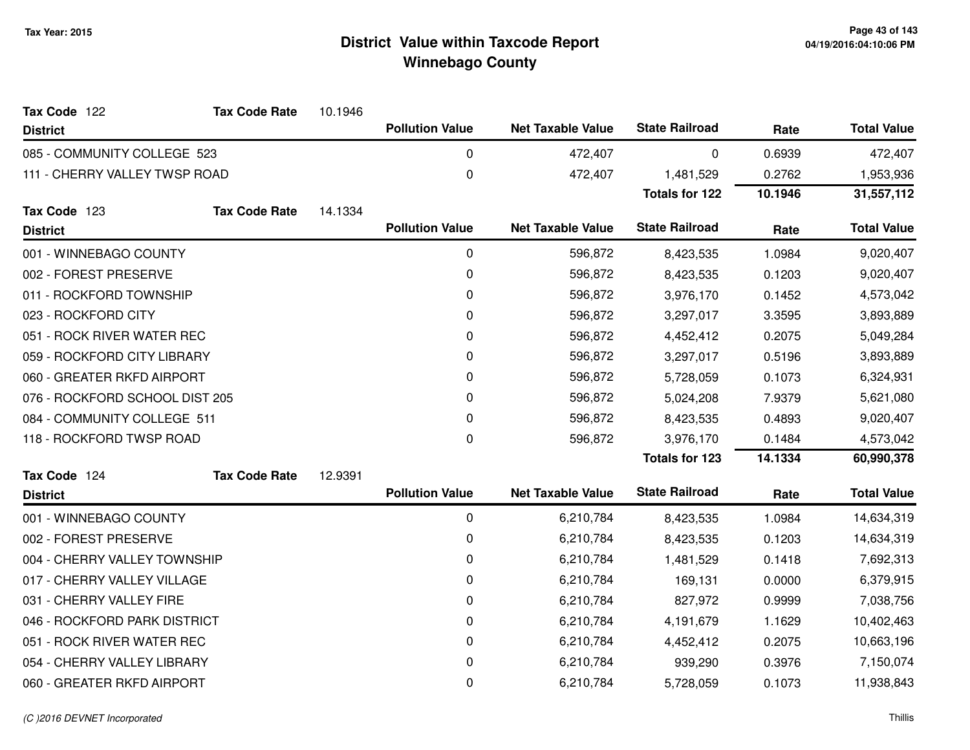| Tax Code 122                   | <b>Tax Code Rate</b> | 10.1946 |                        |                          |                       |         |                    |
|--------------------------------|----------------------|---------|------------------------|--------------------------|-----------------------|---------|--------------------|
| <b>District</b>                |                      |         | <b>Pollution Value</b> | <b>Net Taxable Value</b> | <b>State Railroad</b> | Rate    | <b>Total Value</b> |
| 085 - COMMUNITY COLLEGE 523    |                      |         | 0                      | 472,407                  | 0                     | 0.6939  | 472,407            |
| 111 - CHERRY VALLEY TWSP ROAD  |                      |         | 0                      | 472,407                  | 1,481,529             | 0.2762  | 1,953,936          |
|                                |                      |         |                        |                          | <b>Totals for 122</b> | 10.1946 | 31,557,112         |
| Tax Code 123                   | <b>Tax Code Rate</b> | 14.1334 |                        |                          |                       |         |                    |
| <b>District</b>                |                      |         | <b>Pollution Value</b> | <b>Net Taxable Value</b> | <b>State Railroad</b> | Rate    | <b>Total Value</b> |
| 001 - WINNEBAGO COUNTY         |                      |         | $\mathbf 0$            | 596,872                  | 8,423,535             | 1.0984  | 9,020,407          |
| 002 - FOREST PRESERVE          |                      |         | $\mathbf 0$            | 596,872                  | 8,423,535             | 0.1203  | 9,020,407          |
| 011 - ROCKFORD TOWNSHIP        |                      |         | $\mathbf 0$            | 596,872                  | 3,976,170             | 0.1452  | 4,573,042          |
| 023 - ROCKFORD CITY            |                      |         | 0                      | 596,872                  | 3,297,017             | 3.3595  | 3,893,889          |
| 051 - ROCK RIVER WATER REC     |                      |         | $\mathbf 0$            | 596,872                  | 4,452,412             | 0.2075  | 5,049,284          |
| 059 - ROCKFORD CITY LIBRARY    |                      |         | 0                      | 596,872                  | 3,297,017             | 0.5196  | 3,893,889          |
| 060 - GREATER RKFD AIRPORT     |                      |         | 0                      | 596,872                  | 5,728,059             | 0.1073  | 6,324,931          |
| 076 - ROCKFORD SCHOOL DIST 205 |                      |         | 0                      | 596,872                  | 5,024,208             | 7.9379  | 5,621,080          |
| 084 - COMMUNITY COLLEGE 511    |                      |         | $\mathbf 0$            | 596,872                  | 8,423,535             | 0.4893  | 9,020,407          |
| 118 - ROCKFORD TWSP ROAD       |                      |         | $\mathbf 0$            | 596,872                  | 3,976,170             | 0.1484  | 4,573,042          |
|                                |                      |         |                        |                          | <b>Totals for 123</b> | 14.1334 | 60,990,378         |
| Tax Code 124                   | <b>Tax Code Rate</b> | 12.9391 |                        |                          |                       |         |                    |
| <b>District</b>                |                      |         | <b>Pollution Value</b> | <b>Net Taxable Value</b> | <b>State Railroad</b> | Rate    | <b>Total Value</b> |
| 001 - WINNEBAGO COUNTY         |                      |         | 0                      | 6,210,784                | 8,423,535             | 1.0984  | 14,634,319         |
| 002 - FOREST PRESERVE          |                      |         | 0                      | 6,210,784                | 8,423,535             | 0.1203  | 14,634,319         |
| 004 - CHERRY VALLEY TOWNSHIP   |                      |         | $\mathbf 0$            | 6,210,784                | 1,481,529             | 0.1418  | 7,692,313          |
| 017 - CHERRY VALLEY VILLAGE    |                      |         | 0                      | 6,210,784                | 169,131               | 0.0000  | 6,379,915          |
| 031 - CHERRY VALLEY FIRE       |                      |         | $\mathbf 0$            | 6,210,784                | 827,972               | 0.9999  | 7,038,756          |
| 046 - ROCKFORD PARK DISTRICT   |                      |         | 0                      | 6,210,784                | 4,191,679             | 1.1629  | 10,402,463         |
| 051 - ROCK RIVER WATER REC     |                      |         | 0                      | 6,210,784                | 4,452,412             | 0.2075  | 10,663,196         |
| 054 - CHERRY VALLEY LIBRARY    |                      |         | 0                      | 6,210,784                | 939,290               | 0.3976  | 7,150,074          |
| 060 - GREATER RKFD AIRPORT     |                      |         | 0                      | 6,210,784                | 5,728,059             | 0.1073  | 11,938,843         |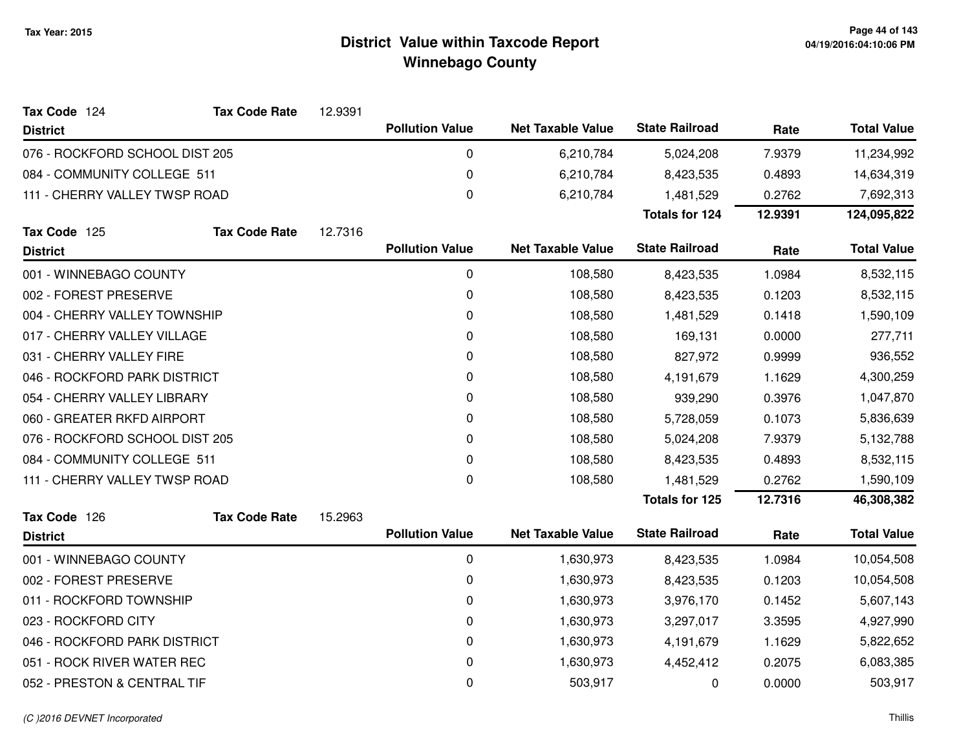| Tax Code 124                   | <b>Tax Code Rate</b> | 12.9391 |                        |                          |                       |         |                    |
|--------------------------------|----------------------|---------|------------------------|--------------------------|-----------------------|---------|--------------------|
| <b>District</b>                |                      |         | <b>Pollution Value</b> | <b>Net Taxable Value</b> | <b>State Railroad</b> | Rate    | <b>Total Value</b> |
| 076 - ROCKFORD SCHOOL DIST 205 |                      |         | 0                      | 6,210,784                | 5,024,208             | 7.9379  | 11,234,992         |
| 084 - COMMUNITY COLLEGE 511    |                      |         | 0                      | 6,210,784                | 8,423,535             | 0.4893  | 14,634,319         |
| 111 - CHERRY VALLEY TWSP ROAD  |                      |         | 0                      | 6,210,784                | 1,481,529             | 0.2762  | 7,692,313          |
|                                |                      |         |                        |                          | <b>Totals for 124</b> | 12.9391 | 124,095,822        |
| Tax Code 125                   | <b>Tax Code Rate</b> | 12.7316 |                        |                          |                       |         |                    |
| <b>District</b>                |                      |         | <b>Pollution Value</b> | <b>Net Taxable Value</b> | <b>State Railroad</b> | Rate    | <b>Total Value</b> |
| 001 - WINNEBAGO COUNTY         |                      |         | 0                      | 108,580                  | 8,423,535             | 1.0984  | 8,532,115          |
| 002 - FOREST PRESERVE          |                      |         | 0                      | 108,580                  | 8,423,535             | 0.1203  | 8,532,115          |
| 004 - CHERRY VALLEY TOWNSHIP   |                      |         | 0                      | 108,580                  | 1,481,529             | 0.1418  | 1,590,109          |
| 017 - CHERRY VALLEY VILLAGE    |                      |         | 0                      | 108,580                  | 169,131               | 0.0000  | 277,711            |
| 031 - CHERRY VALLEY FIRE       |                      |         | 0                      | 108,580                  | 827,972               | 0.9999  | 936,552            |
| 046 - ROCKFORD PARK DISTRICT   |                      |         | 0                      | 108,580                  | 4,191,679             | 1.1629  | 4,300,259          |
| 054 - CHERRY VALLEY LIBRARY    |                      |         | 0                      | 108,580                  | 939,290               | 0.3976  | 1,047,870          |
| 060 - GREATER RKFD AIRPORT     |                      |         | 0                      | 108,580                  | 5,728,059             | 0.1073  | 5,836,639          |
| 076 - ROCKFORD SCHOOL DIST 205 |                      |         | 0                      | 108,580                  | 5,024,208             | 7.9379  | 5,132,788          |
| 084 - COMMUNITY COLLEGE 511    |                      |         | 0                      | 108,580                  | 8,423,535             | 0.4893  | 8,532,115          |
| 111 - CHERRY VALLEY TWSP ROAD  |                      |         | 0                      | 108,580                  | 1,481,529             | 0.2762  | 1,590,109          |
|                                |                      |         |                        |                          | <b>Totals for 125</b> | 12.7316 | 46,308,382         |
| Tax Code 126                   | <b>Tax Code Rate</b> | 15.2963 |                        |                          |                       |         |                    |
| <b>District</b>                |                      |         | <b>Pollution Value</b> | <b>Net Taxable Value</b> | <b>State Railroad</b> | Rate    | <b>Total Value</b> |
| 001 - WINNEBAGO COUNTY         |                      |         | 0                      | 1,630,973                | 8,423,535             | 1.0984  | 10,054,508         |
| 002 - FOREST PRESERVE          |                      |         | 0                      | 1,630,973                | 8,423,535             | 0.1203  | 10,054,508         |
| 011 - ROCKFORD TOWNSHIP        |                      |         | 0                      | 1,630,973                | 3,976,170             | 0.1452  | 5,607,143          |
| 023 - ROCKFORD CITY            |                      |         | 0                      | 1,630,973                | 3,297,017             | 3.3595  | 4,927,990          |
| 046 - ROCKFORD PARK DISTRICT   |                      |         | 0                      | 1,630,973                | 4,191,679             | 1.1629  | 5,822,652          |
| 051 - ROCK RIVER WATER REC     |                      |         | 0                      | 1,630,973                | 4,452,412             | 0.2075  | 6,083,385          |
| 052 - PRESTON & CENTRAL TIF    |                      |         | 0                      | 503,917                  | 0                     | 0.0000  | 503,917            |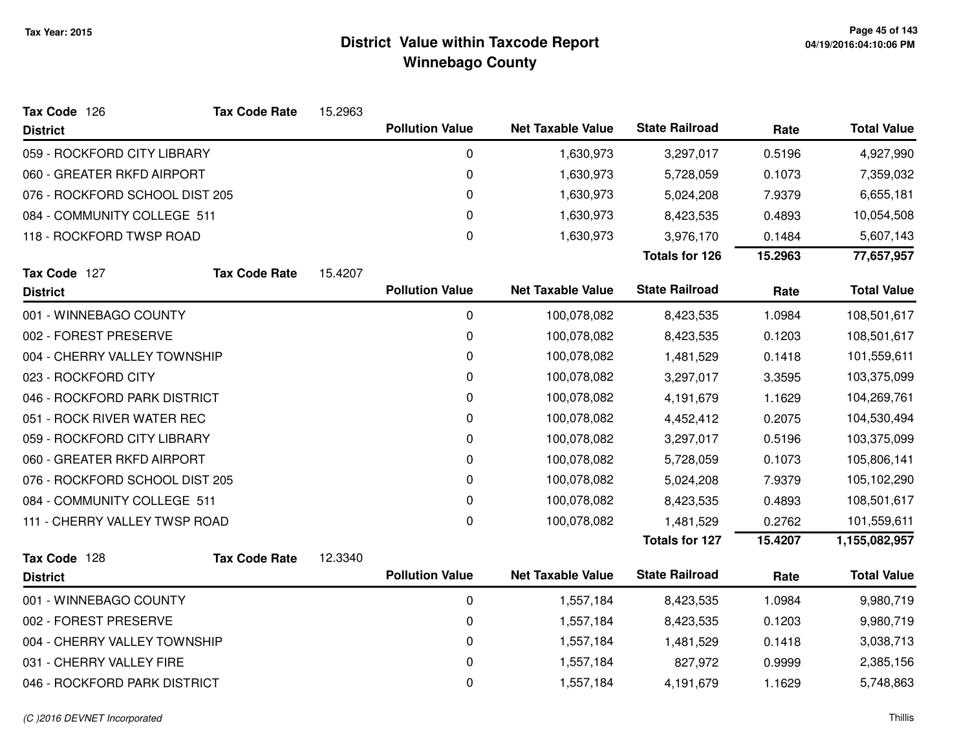| Tax Code 126                   | <b>Tax Code Rate</b> | 15.2963 |                        |                          |                       |         |                    |
|--------------------------------|----------------------|---------|------------------------|--------------------------|-----------------------|---------|--------------------|
| <b>District</b>                |                      |         | <b>Pollution Value</b> | <b>Net Taxable Value</b> | <b>State Railroad</b> | Rate    | <b>Total Value</b> |
| 059 - ROCKFORD CITY LIBRARY    |                      |         | 0                      | 1,630,973                | 3,297,017             | 0.5196  | 4,927,990          |
| 060 - GREATER RKFD AIRPORT     |                      |         | $\pmb{0}$              | 1,630,973                | 5,728,059             | 0.1073  | 7,359,032          |
| 076 - ROCKFORD SCHOOL DIST 205 |                      |         | 0                      | 1,630,973                | 5,024,208             | 7.9379  | 6,655,181          |
| 084 - COMMUNITY COLLEGE 511    |                      |         | 0                      | 1,630,973                | 8,423,535             | 0.4893  | 10,054,508         |
| 118 - ROCKFORD TWSP ROAD       |                      |         | $\pmb{0}$              | 1,630,973                | 3,976,170             | 0.1484  | 5,607,143          |
|                                |                      |         |                        |                          | <b>Totals for 126</b> | 15.2963 | 77,657,957         |
| Tax Code 127                   | <b>Tax Code Rate</b> | 15.4207 |                        |                          |                       |         |                    |
| <b>District</b>                |                      |         | <b>Pollution Value</b> | <b>Net Taxable Value</b> | <b>State Railroad</b> | Rate    | <b>Total Value</b> |
| 001 - WINNEBAGO COUNTY         |                      |         | 0                      | 100,078,082              | 8,423,535             | 1.0984  | 108,501,617        |
| 002 - FOREST PRESERVE          |                      |         | 0                      | 100,078,082              | 8,423,535             | 0.1203  | 108,501,617        |
| 004 - CHERRY VALLEY TOWNSHIP   |                      |         | 0                      | 100,078,082              | 1,481,529             | 0.1418  | 101,559,611        |
| 023 - ROCKFORD CITY            |                      |         | 0                      | 100,078,082              | 3,297,017             | 3.3595  | 103,375,099        |
| 046 - ROCKFORD PARK DISTRICT   |                      |         | 0                      | 100,078,082              | 4,191,679             | 1.1629  | 104,269,761        |
| 051 - ROCK RIVER WATER REC     |                      |         | $\pmb{0}$              | 100,078,082              | 4,452,412             | 0.2075  | 104,530,494        |
| 059 - ROCKFORD CITY LIBRARY    |                      |         | 0                      | 100,078,082              | 3,297,017             | 0.5196  | 103,375,099        |
| 060 - GREATER RKFD AIRPORT     |                      |         | 0                      | 100,078,082              | 5,728,059             | 0.1073  | 105,806,141        |
| 076 - ROCKFORD SCHOOL DIST 205 |                      |         | 0                      | 100,078,082              | 5,024,208             | 7.9379  | 105,102,290        |
| 084 - COMMUNITY COLLEGE 511    |                      |         | 0                      | 100,078,082              | 8,423,535             | 0.4893  | 108,501,617        |
| 111 - CHERRY VALLEY TWSP ROAD  |                      |         | $\pmb{0}$              | 100,078,082              | 1,481,529             | 0.2762  | 101,559,611        |
|                                |                      |         |                        |                          | <b>Totals for 127</b> | 15.4207 | 1,155,082,957      |
| Tax Code 128                   | <b>Tax Code Rate</b> | 12.3340 |                        |                          |                       |         |                    |
| <b>District</b>                |                      |         | <b>Pollution Value</b> | <b>Net Taxable Value</b> | <b>State Railroad</b> | Rate    | <b>Total Value</b> |
| 001 - WINNEBAGO COUNTY         |                      |         | $\pmb{0}$              | 1,557,184                | 8,423,535             | 1.0984  | 9,980,719          |
| 002 - FOREST PRESERVE          |                      |         | 0                      | 1,557,184                | 8,423,535             | 0.1203  | 9,980,719          |
| 004 - CHERRY VALLEY TOWNSHIP   |                      |         | 0                      | 1,557,184                | 1,481,529             | 0.1418  | 3,038,713          |
| 031 - CHERRY VALLEY FIRE       |                      |         | 0                      | 1,557,184                | 827,972               | 0.9999  | 2,385,156          |
| 046 - ROCKFORD PARK DISTRICT   |                      |         | 0                      | 1,557,184                | 4,191,679             | 1.1629  | 5,748,863          |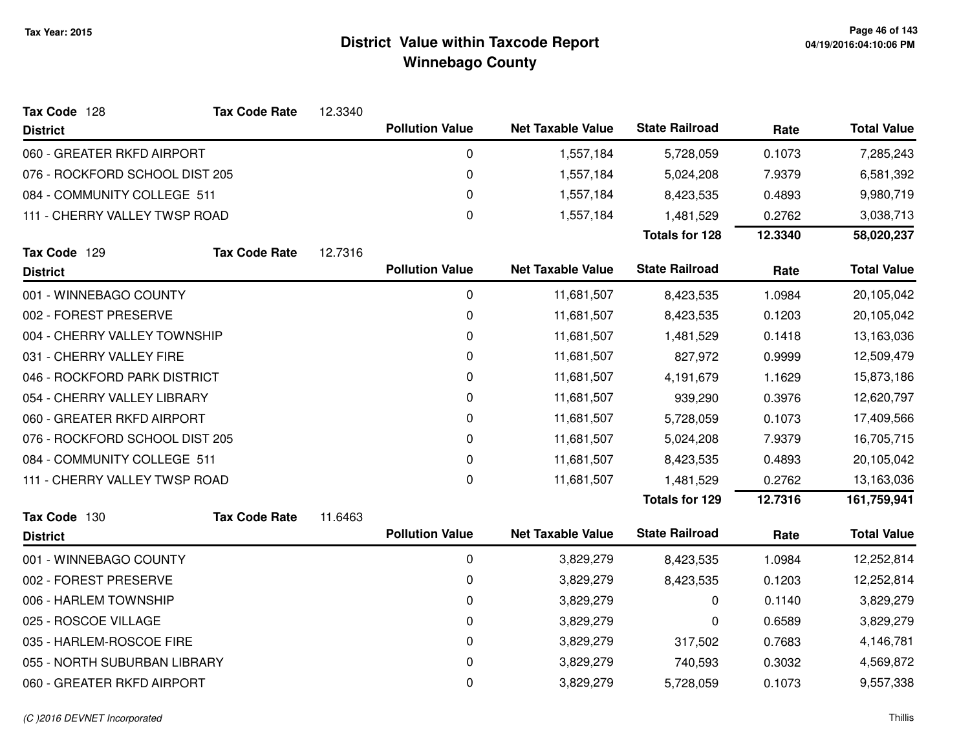| Tax Code 128                   | <b>Tax Code Rate</b> | 12.3340 |                        |                          |                       |         |                    |
|--------------------------------|----------------------|---------|------------------------|--------------------------|-----------------------|---------|--------------------|
| <b>District</b>                |                      |         | <b>Pollution Value</b> | <b>Net Taxable Value</b> | <b>State Railroad</b> | Rate    | <b>Total Value</b> |
| 060 - GREATER RKFD AIRPORT     |                      |         | 0                      | 1,557,184                | 5,728,059             | 0.1073  | 7,285,243          |
| 076 - ROCKFORD SCHOOL DIST 205 |                      |         | 0                      | 1,557,184                | 5,024,208             | 7.9379  | 6,581,392          |
| 084 - COMMUNITY COLLEGE 511    |                      |         | 0                      | 1,557,184                | 8,423,535             | 0.4893  | 9,980,719          |
| 111 - CHERRY VALLEY TWSP ROAD  |                      |         | 0                      | 1,557,184                | 1,481,529             | 0.2762  | 3,038,713          |
|                                |                      |         |                        |                          | <b>Totals for 128</b> | 12.3340 | 58,020,237         |
| Tax Code 129                   | <b>Tax Code Rate</b> | 12.7316 |                        |                          |                       |         |                    |
| <b>District</b>                |                      |         | <b>Pollution Value</b> | <b>Net Taxable Value</b> | <b>State Railroad</b> | Rate    | <b>Total Value</b> |
| 001 - WINNEBAGO COUNTY         |                      |         | 0                      | 11,681,507               | 8,423,535             | 1.0984  | 20,105,042         |
| 002 - FOREST PRESERVE          |                      |         | 0                      | 11,681,507               | 8,423,535             | 0.1203  | 20,105,042         |
| 004 - CHERRY VALLEY TOWNSHIP   |                      |         | 0                      | 11,681,507               | 1,481,529             | 0.1418  | 13,163,036         |
| 031 - CHERRY VALLEY FIRE       |                      |         | 0                      | 11,681,507               | 827,972               | 0.9999  | 12,509,479         |
| 046 - ROCKFORD PARK DISTRICT   |                      |         | 0                      | 11,681,507               | 4,191,679             | 1.1629  | 15,873,186         |
| 054 - CHERRY VALLEY LIBRARY    |                      |         | 0                      | 11,681,507               | 939,290               | 0.3976  | 12,620,797         |
| 060 - GREATER RKFD AIRPORT     |                      |         | 0                      | 11,681,507               | 5,728,059             | 0.1073  | 17,409,566         |
| 076 - ROCKFORD SCHOOL DIST 205 |                      |         | 0                      | 11,681,507               | 5,024,208             | 7.9379  | 16,705,715         |
| 084 - COMMUNITY COLLEGE 511    |                      |         | 0                      | 11,681,507               | 8,423,535             | 0.4893  | 20,105,042         |
| 111 - CHERRY VALLEY TWSP ROAD  |                      |         | 0                      | 11,681,507               | 1,481,529             | 0.2762  | 13,163,036         |
|                                |                      |         |                        |                          | <b>Totals for 129</b> | 12.7316 | 161,759,941        |
| Tax Code 130                   | <b>Tax Code Rate</b> | 11.6463 |                        |                          |                       |         |                    |
| <b>District</b>                |                      |         | <b>Pollution Value</b> | <b>Net Taxable Value</b> | <b>State Railroad</b> | Rate    | <b>Total Value</b> |
| 001 - WINNEBAGO COUNTY         |                      |         | 0                      | 3,829,279                | 8,423,535             | 1.0984  | 12,252,814         |
| 002 - FOREST PRESERVE          |                      |         | 0                      | 3,829,279                | 8,423,535             | 0.1203  | 12,252,814         |
| 006 - HARLEM TOWNSHIP          |                      |         | 0                      | 3,829,279                | 0                     | 0.1140  | 3,829,279          |
| 025 - ROSCOE VILLAGE           |                      |         | 0                      | 3,829,279                | 0                     | 0.6589  | 3,829,279          |
| 035 - HARLEM-ROSCOE FIRE       |                      |         | 0                      | 3,829,279                | 317,502               | 0.7683  | 4,146,781          |
| 055 - NORTH SUBURBAN LIBRARY   |                      |         | 0                      | 3,829,279                | 740,593               | 0.3032  | 4,569,872          |
| 060 - GREATER RKFD AIRPORT     |                      |         | 0                      | 3,829,279                | 5,728,059             | 0.1073  | 9,557,338          |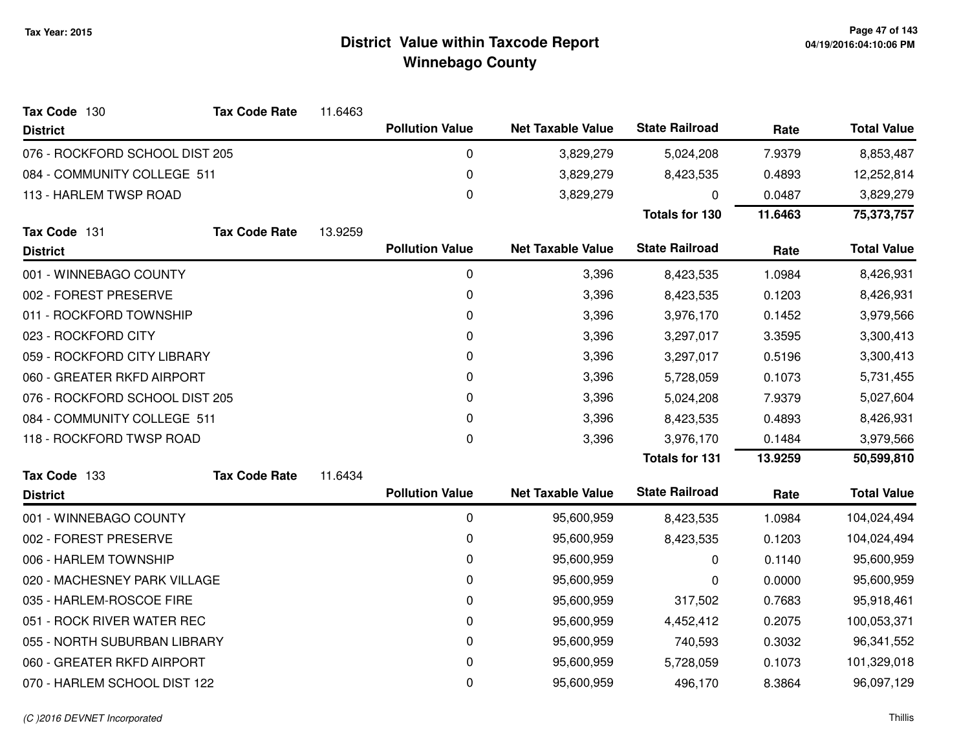| Tax Code 130                   | <b>Tax Code Rate</b> | 11.6463 |                        |                          |                       |         |                    |
|--------------------------------|----------------------|---------|------------------------|--------------------------|-----------------------|---------|--------------------|
| <b>District</b>                |                      |         | <b>Pollution Value</b> | <b>Net Taxable Value</b> | <b>State Railroad</b> | Rate    | <b>Total Value</b> |
| 076 - ROCKFORD SCHOOL DIST 205 |                      |         | 0                      | 3,829,279                | 5,024,208             | 7.9379  | 8,853,487          |
| 084 - COMMUNITY COLLEGE 511    |                      |         | $\mathbf 0$            | 3,829,279                | 8,423,535             | 0.4893  | 12,252,814         |
| 113 - HARLEM TWSP ROAD         |                      |         | 0                      | 3,829,279                | 0                     | 0.0487  | 3,829,279          |
|                                |                      |         |                        |                          | <b>Totals for 130</b> | 11.6463 | 75,373,757         |
| Tax Code 131                   | <b>Tax Code Rate</b> | 13.9259 |                        |                          |                       |         |                    |
| <b>District</b>                |                      |         | <b>Pollution Value</b> | <b>Net Taxable Value</b> | <b>State Railroad</b> | Rate    | <b>Total Value</b> |
| 001 - WINNEBAGO COUNTY         |                      |         | 0                      | 3,396                    | 8,423,535             | 1.0984  | 8,426,931          |
| 002 - FOREST PRESERVE          |                      |         | 0                      | 3,396                    | 8,423,535             | 0.1203  | 8,426,931          |
| 011 - ROCKFORD TOWNSHIP        |                      |         | 0                      | 3,396                    | 3,976,170             | 0.1452  | 3,979,566          |
| 023 - ROCKFORD CITY            |                      |         | $\mathbf 0$            | 3,396                    | 3,297,017             | 3.3595  | 3,300,413          |
| 059 - ROCKFORD CITY LIBRARY    |                      |         | 0                      | 3,396                    | 3,297,017             | 0.5196  | 3,300,413          |
| 060 - GREATER RKFD AIRPORT     |                      |         | $\Omega$               | 3,396                    | 5,728,059             | 0.1073  | 5,731,455          |
| 076 - ROCKFORD SCHOOL DIST 205 |                      |         | 0                      | 3,396                    | 5,024,208             | 7.9379  | 5,027,604          |
| 084 - COMMUNITY COLLEGE 511    |                      |         | 0                      | 3,396                    | 8,423,535             | 0.4893  | 8,426,931          |
| 118 - ROCKFORD TWSP ROAD       |                      |         | 0                      | 3,396                    | 3,976,170             | 0.1484  | 3,979,566          |
|                                |                      |         |                        |                          | <b>Totals for 131</b> | 13.9259 | 50,599,810         |
| Tax Code 133                   | <b>Tax Code Rate</b> | 11.6434 |                        |                          |                       |         |                    |
| <b>District</b>                |                      |         | <b>Pollution Value</b> | <b>Net Taxable Value</b> | <b>State Railroad</b> | Rate    | <b>Total Value</b> |
| 001 - WINNEBAGO COUNTY         |                      |         | $\mathbf 0$            | 95,600,959               | 8,423,535             | 1.0984  | 104,024,494        |
| 002 - FOREST PRESERVE          |                      |         | 0                      | 95,600,959               | 8,423,535             | 0.1203  | 104,024,494        |
| 006 - HARLEM TOWNSHIP          |                      |         | $\boldsymbol{0}$       | 95,600,959               | 0                     | 0.1140  | 95,600,959         |
| 020 - MACHESNEY PARK VILLAGE   |                      |         | 0                      | 95,600,959               | 0                     | 0.0000  | 95,600,959         |
| 035 - HARLEM-ROSCOE FIRE       |                      |         | 0                      | 95,600,959               | 317,502               | 0.7683  | 95,918,461         |
| 051 - ROCK RIVER WATER REC     |                      |         | 0                      | 95,600,959               | 4,452,412             | 0.2075  | 100,053,371        |
| 055 - NORTH SUBURBAN LIBRARY   |                      |         | 0                      | 95,600,959               | 740,593               | 0.3032  | 96,341,552         |
| 060 - GREATER RKFD AIRPORT     |                      |         | 0                      | 95,600,959               | 5,728,059             | 0.1073  | 101,329,018        |
| 070 - HARLEM SCHOOL DIST 122   |                      |         | 0                      | 95,600,959               | 496,170               | 8.3864  | 96,097,129         |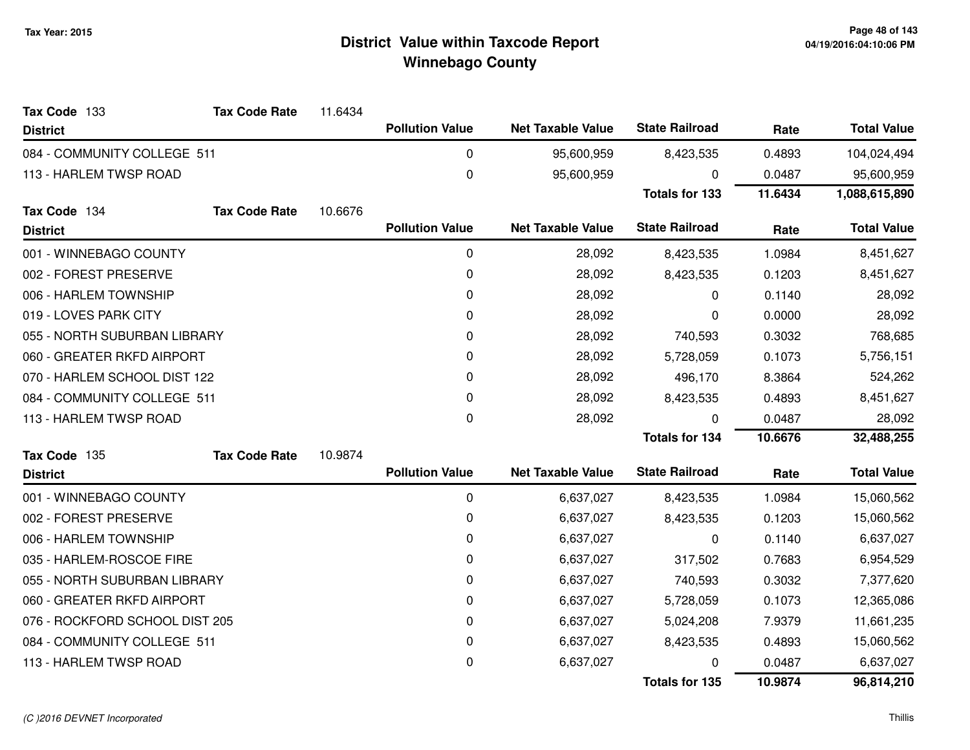| Tax Code 133                   | <b>Tax Code Rate</b> | 11.6434 |                        |                          |                       |         |                    |
|--------------------------------|----------------------|---------|------------------------|--------------------------|-----------------------|---------|--------------------|
| <b>District</b>                |                      |         | <b>Pollution Value</b> | <b>Net Taxable Value</b> | <b>State Railroad</b> | Rate    | <b>Total Value</b> |
| 084 - COMMUNITY COLLEGE 511    |                      |         | 0                      | 95,600,959               | 8,423,535             | 0.4893  | 104,024,494        |
| 113 - HARLEM TWSP ROAD         |                      |         | 0                      | 95,600,959               | $\Omega$              | 0.0487  | 95,600,959         |
|                                |                      |         |                        |                          | <b>Totals for 133</b> | 11.6434 | 1,088,615,890      |
| Tax Code 134                   | <b>Tax Code Rate</b> | 10.6676 |                        |                          |                       |         |                    |
| <b>District</b>                |                      |         | <b>Pollution Value</b> | <b>Net Taxable Value</b> | <b>State Railroad</b> | Rate    | <b>Total Value</b> |
| 001 - WINNEBAGO COUNTY         |                      |         | 0                      | 28,092                   | 8,423,535             | 1.0984  | 8,451,627          |
| 002 - FOREST PRESERVE          |                      |         | 0                      | 28,092                   | 8,423,535             | 0.1203  | 8,451,627          |
| 006 - HARLEM TOWNSHIP          |                      |         | 0                      | 28,092                   | 0                     | 0.1140  | 28,092             |
| 019 - LOVES PARK CITY          |                      |         | 0                      | 28,092                   | 0                     | 0.0000  | 28,092             |
| 055 - NORTH SUBURBAN LIBRARY   |                      |         | 0                      | 28,092                   | 740,593               | 0.3032  | 768,685            |
| 060 - GREATER RKFD AIRPORT     |                      |         | 0                      | 28,092                   | 5,728,059             | 0.1073  | 5,756,151          |
| 070 - HARLEM SCHOOL DIST 122   |                      |         | 0                      | 28,092                   | 496,170               | 8.3864  | 524,262            |
| 084 - COMMUNITY COLLEGE 511    |                      |         | 0                      | 28,092                   | 8,423,535             | 0.4893  | 8,451,627          |
| 113 - HARLEM TWSP ROAD         |                      |         | 0                      | 28,092                   | 0                     | 0.0487  | 28,092             |
|                                |                      |         |                        |                          | <b>Totals for 134</b> | 10.6676 | 32,488,255         |
| Tax Code 135                   | <b>Tax Code Rate</b> | 10.9874 |                        |                          |                       |         |                    |
| <b>District</b>                |                      |         | <b>Pollution Value</b> | <b>Net Taxable Value</b> | <b>State Railroad</b> | Rate    | <b>Total Value</b> |
| 001 - WINNEBAGO COUNTY         |                      |         | 0                      | 6,637,027                | 8,423,535             | 1.0984  | 15,060,562         |
| 002 - FOREST PRESERVE          |                      |         | 0                      | 6,637,027                | 8,423,535             | 0.1203  | 15,060,562         |
| 006 - HARLEM TOWNSHIP          |                      |         | 0                      | 6,637,027                | 0                     | 0.1140  | 6,637,027          |
| 035 - HARLEM-ROSCOE FIRE       |                      |         | 0                      | 6,637,027                | 317,502               | 0.7683  | 6,954,529          |
| 055 - NORTH SUBURBAN LIBRARY   |                      |         | 0                      | 6,637,027                | 740,593               | 0.3032  | 7,377,620          |
| 060 - GREATER RKFD AIRPORT     |                      |         | 0                      | 6,637,027                | 5,728,059             | 0.1073  | 12,365,086         |
| 076 - ROCKFORD SCHOOL DIST 205 |                      |         | 0                      | 6,637,027                | 5,024,208             | 7.9379  | 11,661,235         |
| 084 - COMMUNITY COLLEGE 511    |                      |         | 0                      | 6,637,027                | 8,423,535             | 0.4893  | 15,060,562         |
| 113 - HARLEM TWSP ROAD         |                      |         | 0                      | 6,637,027                | 0                     | 0.0487  | 6,637,027          |
|                                |                      |         |                        |                          | <b>Totals for 135</b> | 10.9874 | 96,814,210         |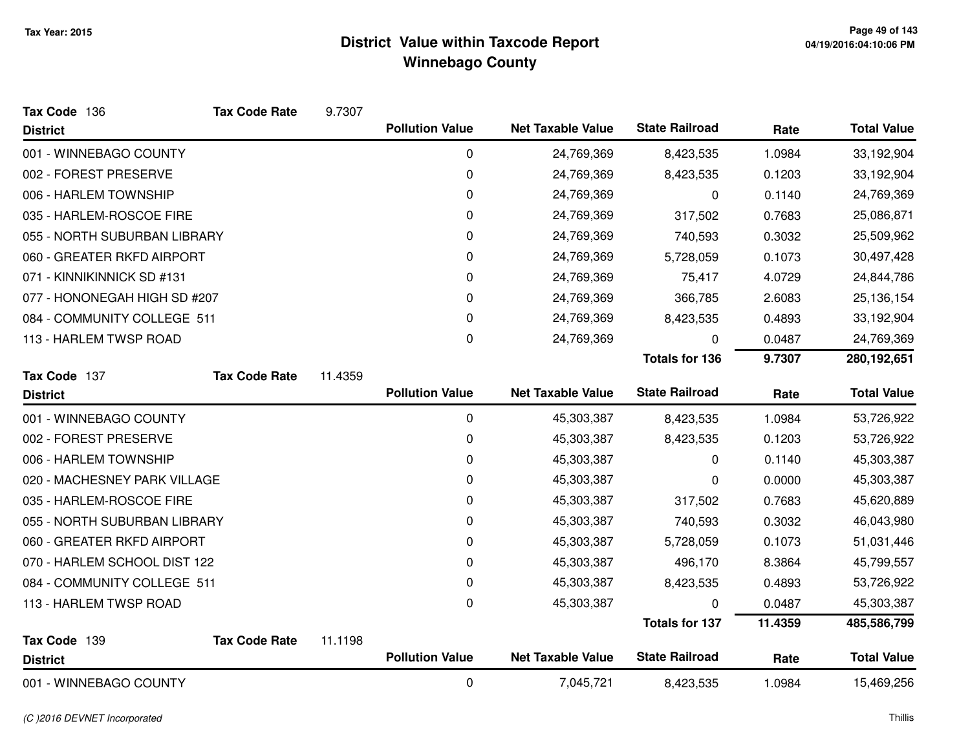| Tax Code 136                 | <b>Tax Code Rate</b> | 9.7307  |                        |                          |                       |         |                    |
|------------------------------|----------------------|---------|------------------------|--------------------------|-----------------------|---------|--------------------|
| <b>District</b>              |                      |         | <b>Pollution Value</b> | <b>Net Taxable Value</b> | <b>State Railroad</b> | Rate    | <b>Total Value</b> |
| 001 - WINNEBAGO COUNTY       |                      |         | 0                      | 24,769,369               | 8,423,535             | 1.0984  | 33,192,904         |
| 002 - FOREST PRESERVE        |                      |         | 0                      | 24,769,369               | 8,423,535             | 0.1203  | 33,192,904         |
| 006 - HARLEM TOWNSHIP        |                      |         | 0                      | 24,769,369               | 0                     | 0.1140  | 24,769,369         |
| 035 - HARLEM-ROSCOE FIRE     |                      |         | 0                      | 24,769,369               | 317,502               | 0.7683  | 25,086,871         |
| 055 - NORTH SUBURBAN LIBRARY |                      |         | 0                      | 24,769,369               | 740,593               | 0.3032  | 25,509,962         |
| 060 - GREATER RKFD AIRPORT   |                      |         | 0                      | 24,769,369               | 5,728,059             | 0.1073  | 30,497,428         |
| 071 - KINNIKINNICK SD #131   |                      |         | 0                      | 24,769,369               | 75,417                | 4.0729  | 24,844,786         |
| 077 - HONONEGAH HIGH SD #207 |                      |         | 0                      | 24,769,369               | 366,785               | 2.6083  | 25,136,154         |
| 084 - COMMUNITY COLLEGE 511  |                      |         | 0                      | 24,769,369               | 8,423,535             | 0.4893  | 33,192,904         |
| 113 - HARLEM TWSP ROAD       |                      |         | 0                      | 24,769,369               | 0                     | 0.0487  | 24,769,369         |
|                              |                      |         |                        |                          | <b>Totals for 136</b> | 9.7307  | 280,192,651        |
| Tax Code 137                 | <b>Tax Code Rate</b> | 11.4359 |                        |                          |                       |         |                    |
| <b>District</b>              |                      |         | <b>Pollution Value</b> | <b>Net Taxable Value</b> | <b>State Railroad</b> | Rate    | <b>Total Value</b> |
| 001 - WINNEBAGO COUNTY       |                      |         | $\mathbf 0$            | 45,303,387               | 8,423,535             | 1.0984  | 53,726,922         |
| 002 - FOREST PRESERVE        |                      |         | 0                      | 45,303,387               | 8,423,535             | 0.1203  | 53,726,922         |
| 006 - HARLEM TOWNSHIP        |                      |         | 0                      | 45,303,387               | 0                     | 0.1140  | 45,303,387         |
| 020 - MACHESNEY PARK VILLAGE |                      |         | 0                      | 45,303,387               | 0                     | 0.0000  | 45,303,387         |
| 035 - HARLEM-ROSCOE FIRE     |                      |         | 0                      | 45,303,387               | 317,502               | 0.7683  | 45,620,889         |
| 055 - NORTH SUBURBAN LIBRARY |                      |         | 0                      | 45,303,387               | 740,593               | 0.3032  | 46,043,980         |
| 060 - GREATER RKFD AIRPORT   |                      |         | 0                      | 45,303,387               | 5,728,059             | 0.1073  | 51,031,446         |
| 070 - HARLEM SCHOOL DIST 122 |                      |         | 0                      | 45,303,387               | 496,170               | 8.3864  | 45,799,557         |
| 084 - COMMUNITY COLLEGE 511  |                      |         | 0                      | 45,303,387               | 8,423,535             | 0.4893  | 53,726,922         |
| 113 - HARLEM TWSP ROAD       |                      |         | 0                      | 45,303,387               | O                     | 0.0487  | 45,303,387         |
|                              |                      |         |                        |                          | <b>Totals for 137</b> | 11.4359 | 485,586,799        |
| Tax Code 139                 | <b>Tax Code Rate</b> | 11.1198 |                        |                          |                       |         |                    |
| <b>District</b>              |                      |         | <b>Pollution Value</b> | <b>Net Taxable Value</b> | <b>State Railroad</b> | Rate    | <b>Total Value</b> |
| 001 - WINNEBAGO COUNTY       |                      |         | 0                      | 7,045,721                | 8,423,535             | 1.0984  | 15,469,256         |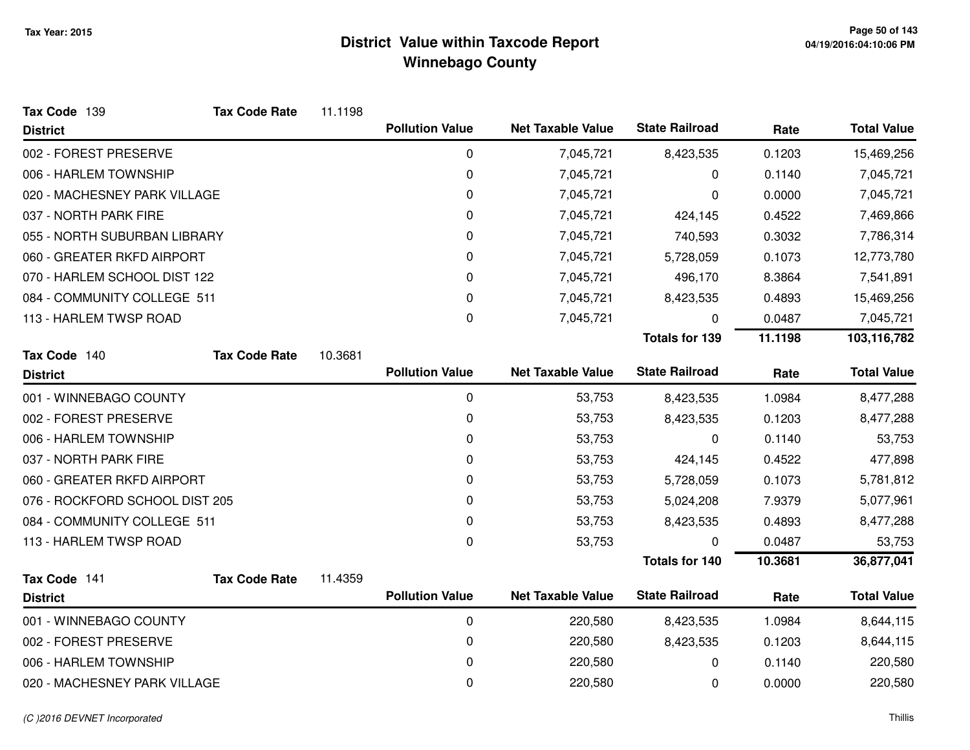| Tax Code 139                   | <b>Tax Code Rate</b> | 11.1198 |                        |                          |                       |         |                    |
|--------------------------------|----------------------|---------|------------------------|--------------------------|-----------------------|---------|--------------------|
| <b>District</b>                |                      |         | <b>Pollution Value</b> | <b>Net Taxable Value</b> | <b>State Railroad</b> | Rate    | <b>Total Value</b> |
| 002 - FOREST PRESERVE          |                      |         | 0                      | 7,045,721                | 8,423,535             | 0.1203  | 15,469,256         |
| 006 - HARLEM TOWNSHIP          |                      |         | 0                      | 7,045,721                | 0                     | 0.1140  | 7,045,721          |
| 020 - MACHESNEY PARK VILLAGE   |                      |         | 0                      | 7,045,721                | 0                     | 0.0000  | 7,045,721          |
| 037 - NORTH PARK FIRE          |                      |         | 0                      | 7,045,721                | 424,145               | 0.4522  | 7,469,866          |
| 055 - NORTH SUBURBAN LIBRARY   |                      |         | 0                      | 7,045,721                | 740,593               | 0.3032  | 7,786,314          |
| 060 - GREATER RKFD AIRPORT     |                      |         | 0                      | 7,045,721                | 5,728,059             | 0.1073  | 12,773,780         |
| 070 - HARLEM SCHOOL DIST 122   |                      |         | 0                      | 7,045,721                | 496,170               | 8.3864  | 7,541,891          |
| 084 - COMMUNITY COLLEGE 511    |                      |         | 0                      | 7,045,721                | 8,423,535             | 0.4893  | 15,469,256         |
| 113 - HARLEM TWSP ROAD         |                      |         | 0                      | 7,045,721                | 0                     | 0.0487  | 7,045,721          |
|                                |                      |         |                        |                          | <b>Totals for 139</b> | 11.1198 | 103,116,782        |
| Tax Code 140                   | <b>Tax Code Rate</b> | 10.3681 |                        |                          |                       |         |                    |
| <b>District</b>                |                      |         | <b>Pollution Value</b> | <b>Net Taxable Value</b> | <b>State Railroad</b> | Rate    | <b>Total Value</b> |
| 001 - WINNEBAGO COUNTY         |                      |         | 0                      | 53,753                   | 8,423,535             | 1.0984  | 8,477,288          |
| 002 - FOREST PRESERVE          |                      |         | 0                      | 53,753                   | 8,423,535             | 0.1203  | 8,477,288          |
| 006 - HARLEM TOWNSHIP          |                      |         | 0                      | 53,753                   | 0                     | 0.1140  | 53,753             |
| 037 - NORTH PARK FIRE          |                      |         | 0                      | 53,753                   | 424,145               | 0.4522  | 477,898            |
| 060 - GREATER RKFD AIRPORT     |                      |         | 0                      | 53,753                   | 5,728,059             | 0.1073  | 5,781,812          |
| 076 - ROCKFORD SCHOOL DIST 205 |                      |         | 0                      | 53,753                   | 5,024,208             | 7.9379  | 5,077,961          |
| 084 - COMMUNITY COLLEGE 511    |                      |         | 0                      | 53,753                   | 8,423,535             | 0.4893  | 8,477,288          |
| 113 - HARLEM TWSP ROAD         |                      |         | 0                      | 53,753                   | 0                     | 0.0487  | 53,753             |
|                                |                      |         |                        |                          | <b>Totals for 140</b> | 10.3681 | 36,877,041         |
| Tax Code 141                   | <b>Tax Code Rate</b> | 11.4359 |                        |                          |                       |         |                    |
| <b>District</b>                |                      |         | <b>Pollution Value</b> | <b>Net Taxable Value</b> | <b>State Railroad</b> | Rate    | <b>Total Value</b> |
| 001 - WINNEBAGO COUNTY         |                      |         | 0                      | 220,580                  | 8,423,535             | 1.0984  | 8,644,115          |
| 002 - FOREST PRESERVE          |                      |         | 0                      | 220,580                  | 8,423,535             | 0.1203  | 8,644,115          |
| 006 - HARLEM TOWNSHIP          |                      |         | 0                      | 220,580                  | 0                     | 0.1140  | 220,580            |
| 020 - MACHESNEY PARK VILLAGE   |                      |         | 0                      | 220,580                  | 0                     | 0.0000  | 220,580            |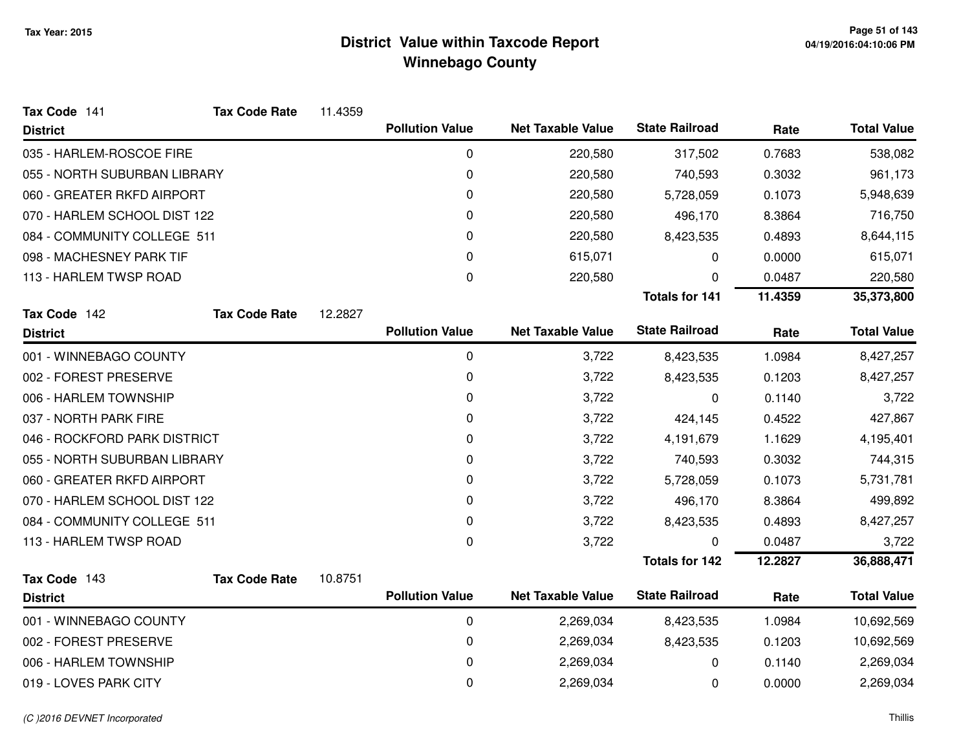| Tax Code 141                 | <b>Tax Code Rate</b> | 11.4359 |                        |                          |                       |         |                    |
|------------------------------|----------------------|---------|------------------------|--------------------------|-----------------------|---------|--------------------|
| <b>District</b>              |                      |         | <b>Pollution Value</b> | <b>Net Taxable Value</b> | <b>State Railroad</b> | Rate    | <b>Total Value</b> |
| 035 - HARLEM-ROSCOE FIRE     |                      |         | 0                      | 220,580                  | 317,502               | 0.7683  | 538,082            |
| 055 - NORTH SUBURBAN LIBRARY |                      |         | 0                      | 220,580                  | 740,593               | 0.3032  | 961,173            |
| 060 - GREATER RKFD AIRPORT   |                      |         | 0                      | 220,580                  | 5,728,059             | 0.1073  | 5,948,639          |
| 070 - HARLEM SCHOOL DIST 122 |                      |         | 0                      | 220,580                  | 496,170               | 8.3864  | 716,750            |
| 084 - COMMUNITY COLLEGE 511  |                      |         | 0                      | 220,580                  | 8,423,535             | 0.4893  | 8,644,115          |
| 098 - MACHESNEY PARK TIF     |                      |         | 0                      | 615,071                  | 0                     | 0.0000  | 615,071            |
| 113 - HARLEM TWSP ROAD       |                      |         | 0                      | 220,580                  | 0                     | 0.0487  | 220,580            |
|                              |                      |         |                        |                          | <b>Totals for 141</b> | 11.4359 | 35,373,800         |
| Tax Code 142                 | <b>Tax Code Rate</b> | 12.2827 |                        |                          |                       |         |                    |
| <b>District</b>              |                      |         | <b>Pollution Value</b> | <b>Net Taxable Value</b> | <b>State Railroad</b> | Rate    | <b>Total Value</b> |
| 001 - WINNEBAGO COUNTY       |                      |         | 0                      | 3,722                    | 8,423,535             | 1.0984  | 8,427,257          |
| 002 - FOREST PRESERVE        |                      |         | 0                      | 3,722                    | 8,423,535             | 0.1203  | 8,427,257          |
| 006 - HARLEM TOWNSHIP        |                      |         | 0                      | 3,722                    | 0                     | 0.1140  | 3,722              |
| 037 - NORTH PARK FIRE        |                      |         | 0                      | 3,722                    | 424,145               | 0.4522  | 427,867            |
| 046 - ROCKFORD PARK DISTRICT |                      |         | 0                      | 3,722                    | 4,191,679             | 1.1629  | 4,195,401          |
| 055 - NORTH SUBURBAN LIBRARY |                      |         | 0                      | 3,722                    | 740,593               | 0.3032  | 744,315            |
| 060 - GREATER RKFD AIRPORT   |                      |         | 0                      | 3,722                    | 5,728,059             | 0.1073  | 5,731,781          |
| 070 - HARLEM SCHOOL DIST 122 |                      |         | 0                      | 3,722                    | 496,170               | 8.3864  | 499,892            |
| 084 - COMMUNITY COLLEGE 511  |                      |         | 0                      | 3,722                    | 8,423,535             | 0.4893  | 8,427,257          |
| 113 - HARLEM TWSP ROAD       |                      |         | 0                      | 3,722                    | 0                     | 0.0487  | 3,722              |
|                              |                      |         |                        |                          | <b>Totals for 142</b> | 12.2827 | 36,888,471         |
| Tax Code 143                 | <b>Tax Code Rate</b> | 10.8751 |                        |                          |                       |         |                    |
| <b>District</b>              |                      |         | <b>Pollution Value</b> | <b>Net Taxable Value</b> | <b>State Railroad</b> | Rate    | <b>Total Value</b> |
| 001 - WINNEBAGO COUNTY       |                      |         | 0                      | 2,269,034                | 8,423,535             | 1.0984  | 10,692,569         |
| 002 - FOREST PRESERVE        |                      |         | 0                      | 2,269,034                | 8,423,535             | 0.1203  | 10,692,569         |
| 006 - HARLEM TOWNSHIP        |                      |         | 0                      | 2,269,034                | 0                     | 0.1140  | 2,269,034          |
| 019 - LOVES PARK CITY        |                      |         | 0                      | 2,269,034                | 0                     | 0.0000  | 2,269,034          |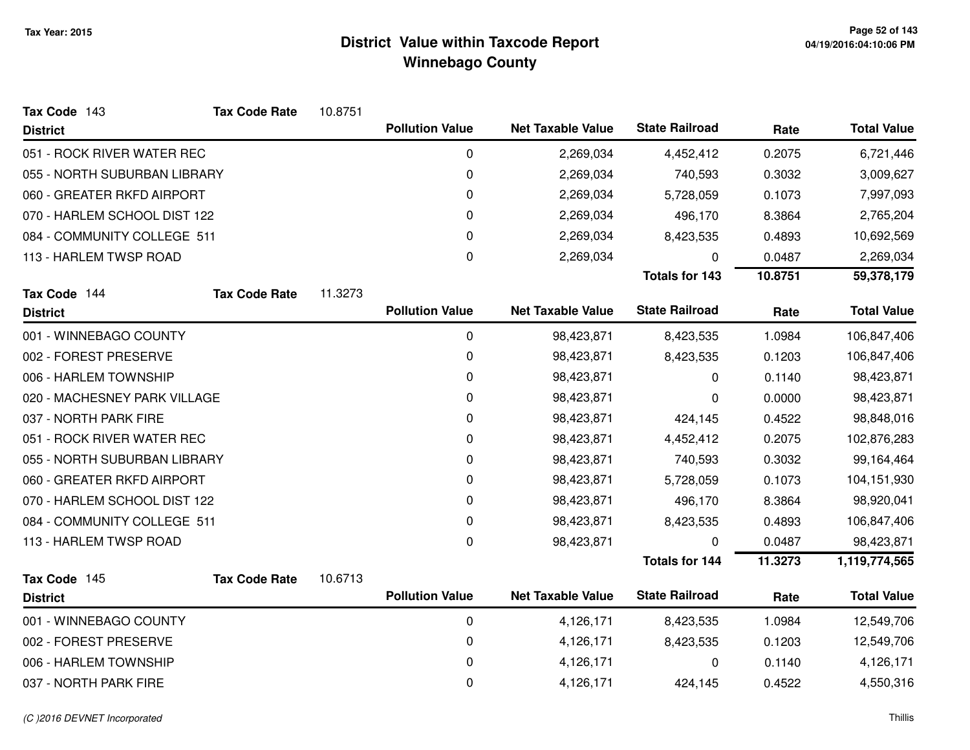| Tax Code 143                 | <b>Tax Code Rate</b> | 10.8751 |                        |                          |                       |         |                    |
|------------------------------|----------------------|---------|------------------------|--------------------------|-----------------------|---------|--------------------|
| <b>District</b>              |                      |         | <b>Pollution Value</b> | <b>Net Taxable Value</b> | <b>State Railroad</b> | Rate    | <b>Total Value</b> |
| 051 - ROCK RIVER WATER REC   |                      |         | 0                      | 2,269,034                | 4,452,412             | 0.2075  | 6,721,446          |
| 055 - NORTH SUBURBAN LIBRARY |                      |         | 0                      | 2,269,034                | 740,593               | 0.3032  | 3,009,627          |
| 060 - GREATER RKFD AIRPORT   |                      |         | 0                      | 2,269,034                | 5,728,059             | 0.1073  | 7,997,093          |
| 070 - HARLEM SCHOOL DIST 122 |                      |         | 0                      | 2,269,034                | 496,170               | 8.3864  | 2,765,204          |
| 084 - COMMUNITY COLLEGE 511  |                      |         | 0                      | 2,269,034                | 8,423,535             | 0.4893  | 10,692,569         |
| 113 - HARLEM TWSP ROAD       |                      |         | 0                      | 2,269,034                | 0                     | 0.0487  | 2,269,034          |
|                              |                      |         |                        |                          | <b>Totals for 143</b> | 10.8751 | 59,378,179         |
| Tax Code 144                 | <b>Tax Code Rate</b> | 11.3273 |                        |                          |                       |         |                    |
| <b>District</b>              |                      |         | <b>Pollution Value</b> | <b>Net Taxable Value</b> | <b>State Railroad</b> | Rate    | <b>Total Value</b> |
| 001 - WINNEBAGO COUNTY       |                      |         | 0                      | 98,423,871               | 8,423,535             | 1.0984  | 106,847,406        |
| 002 - FOREST PRESERVE        |                      |         | 0                      | 98,423,871               | 8,423,535             | 0.1203  | 106,847,406        |
| 006 - HARLEM TOWNSHIP        |                      |         | 0                      | 98,423,871               | 0                     | 0.1140  | 98,423,871         |
| 020 - MACHESNEY PARK VILLAGE |                      |         | 0                      | 98,423,871               | 0                     | 0.0000  | 98,423,871         |
| 037 - NORTH PARK FIRE        |                      |         | 0                      | 98,423,871               | 424,145               | 0.4522  | 98,848,016         |
| 051 - ROCK RIVER WATER REC   |                      |         | 0                      | 98,423,871               | 4,452,412             | 0.2075  | 102,876,283        |
| 055 - NORTH SUBURBAN LIBRARY |                      |         | 0                      | 98,423,871               | 740,593               | 0.3032  | 99,164,464         |
| 060 - GREATER RKFD AIRPORT   |                      |         | 0                      | 98,423,871               | 5,728,059             | 0.1073  | 104,151,930        |
| 070 - HARLEM SCHOOL DIST 122 |                      |         | 0                      | 98,423,871               | 496,170               | 8.3864  | 98,920,041         |
| 084 - COMMUNITY COLLEGE 511  |                      |         | 0                      | 98,423,871               | 8,423,535             | 0.4893  | 106,847,406        |
| 113 - HARLEM TWSP ROAD       |                      |         | 0                      | 98,423,871               | 0                     | 0.0487  | 98,423,871         |
|                              |                      |         |                        |                          | <b>Totals for 144</b> | 11.3273 | 1,119,774,565      |
| Tax Code 145                 | <b>Tax Code Rate</b> | 10.6713 |                        |                          |                       |         |                    |
| <b>District</b>              |                      |         | <b>Pollution Value</b> | <b>Net Taxable Value</b> | <b>State Railroad</b> | Rate    | <b>Total Value</b> |
| 001 - WINNEBAGO COUNTY       |                      |         | 0                      | 4,126,171                | 8,423,535             | 1.0984  | 12,549,706         |
| 002 - FOREST PRESERVE        |                      |         | $\pmb{0}$              | 4,126,171                | 8,423,535             | 0.1203  | 12,549,706         |
| 006 - HARLEM TOWNSHIP        |                      |         | $\mathbf 0$            | 4,126,171                | 0                     | 0.1140  | 4,126,171          |
| 037 - NORTH PARK FIRE        |                      |         | 0                      | 4,126,171                | 424,145               | 0.4522  | 4,550,316          |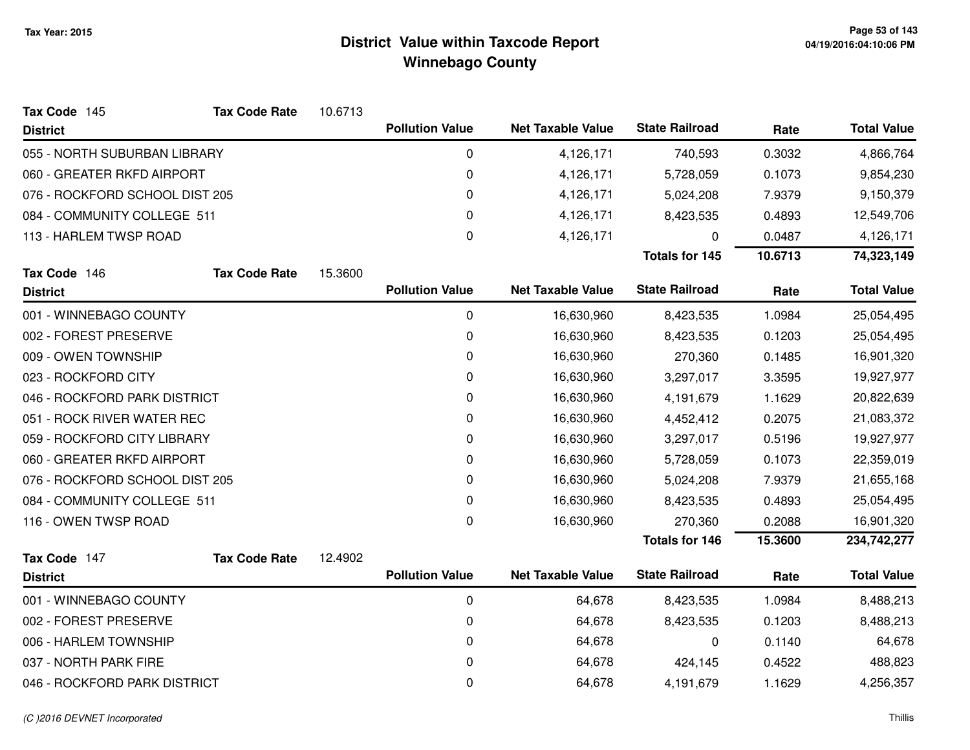| Tax Code 145                   | <b>Tax Code Rate</b> | 10.6713 |                        |                          |                       |         |                    |
|--------------------------------|----------------------|---------|------------------------|--------------------------|-----------------------|---------|--------------------|
| <b>District</b>                |                      |         | <b>Pollution Value</b> | <b>Net Taxable Value</b> | <b>State Railroad</b> | Rate    | <b>Total Value</b> |
| 055 - NORTH SUBURBAN LIBRARY   |                      |         | 0                      | 4,126,171                | 740,593               | 0.3032  | 4,866,764          |
| 060 - GREATER RKFD AIRPORT     |                      |         | 0                      | 4,126,171                | 5,728,059             | 0.1073  | 9,854,230          |
| 076 - ROCKFORD SCHOOL DIST 205 |                      |         | 0                      | 4,126,171                | 5,024,208             | 7.9379  | 9,150,379          |
| 084 - COMMUNITY COLLEGE 511    |                      |         | 0                      | 4,126,171                | 8,423,535             | 0.4893  | 12,549,706         |
| 113 - HARLEM TWSP ROAD         |                      |         | 0                      | 4,126,171                | $\mathbf 0$           | 0.0487  | 4,126,171          |
|                                |                      |         |                        |                          | <b>Totals for 145</b> | 10.6713 | 74,323,149         |
| Tax Code 146                   | <b>Tax Code Rate</b> | 15.3600 |                        |                          |                       |         |                    |
| <b>District</b>                |                      |         | <b>Pollution Value</b> | <b>Net Taxable Value</b> | <b>State Railroad</b> | Rate    | <b>Total Value</b> |
| 001 - WINNEBAGO COUNTY         |                      |         | $\boldsymbol{0}$       | 16,630,960               | 8,423,535             | 1.0984  | 25,054,495         |
| 002 - FOREST PRESERVE          |                      |         | 0                      | 16,630,960               | 8,423,535             | 0.1203  | 25,054,495         |
| 009 - OWEN TOWNSHIP            |                      |         | 0                      | 16,630,960               | 270,360               | 0.1485  | 16,901,320         |
| 023 - ROCKFORD CITY            |                      |         | 0                      | 16,630,960               | 3,297,017             | 3.3595  | 19,927,977         |
| 046 - ROCKFORD PARK DISTRICT   |                      |         | 0                      | 16,630,960               | 4,191,679             | 1.1629  | 20,822,639         |
| 051 - ROCK RIVER WATER REC     |                      |         | 0                      | 16,630,960               | 4,452,412             | 0.2075  | 21,083,372         |
| 059 - ROCKFORD CITY LIBRARY    |                      |         | 0                      | 16,630,960               | 3,297,017             | 0.5196  | 19,927,977         |
| 060 - GREATER RKFD AIRPORT     |                      |         | 0                      | 16,630,960               | 5,728,059             | 0.1073  | 22,359,019         |
| 076 - ROCKFORD SCHOOL DIST 205 |                      |         | 0                      | 16,630,960               | 5,024,208             | 7.9379  | 21,655,168         |
| 084 - COMMUNITY COLLEGE 511    |                      |         | 0                      | 16,630,960               | 8,423,535             | 0.4893  | 25,054,495         |
| 116 - OWEN TWSP ROAD           |                      |         | 0                      | 16,630,960               | 270,360               | 0.2088  | 16,901,320         |
|                                |                      |         |                        |                          | <b>Totals for 146</b> | 15.3600 | 234,742,277        |
| Tax Code 147                   | <b>Tax Code Rate</b> | 12.4902 |                        |                          |                       |         |                    |
| <b>District</b>                |                      |         | <b>Pollution Value</b> | <b>Net Taxable Value</b> | <b>State Railroad</b> | Rate    | <b>Total Value</b> |
| 001 - WINNEBAGO COUNTY         |                      |         | $\mathbf 0$            | 64,678                   | 8,423,535             | 1.0984  | 8,488,213          |
| 002 - FOREST PRESERVE          |                      |         | 0                      | 64,678                   | 8,423,535             | 0.1203  | 8,488,213          |
| 006 - HARLEM TOWNSHIP          |                      |         | 0                      | 64,678                   | 0                     | 0.1140  | 64,678             |
| 037 - NORTH PARK FIRE          |                      |         | 0                      | 64,678                   | 424,145               | 0.4522  | 488,823            |
| 046 - ROCKFORD PARK DISTRICT   |                      |         | 0                      | 64,678                   | 4,191,679             | 1.1629  | 4,256,357          |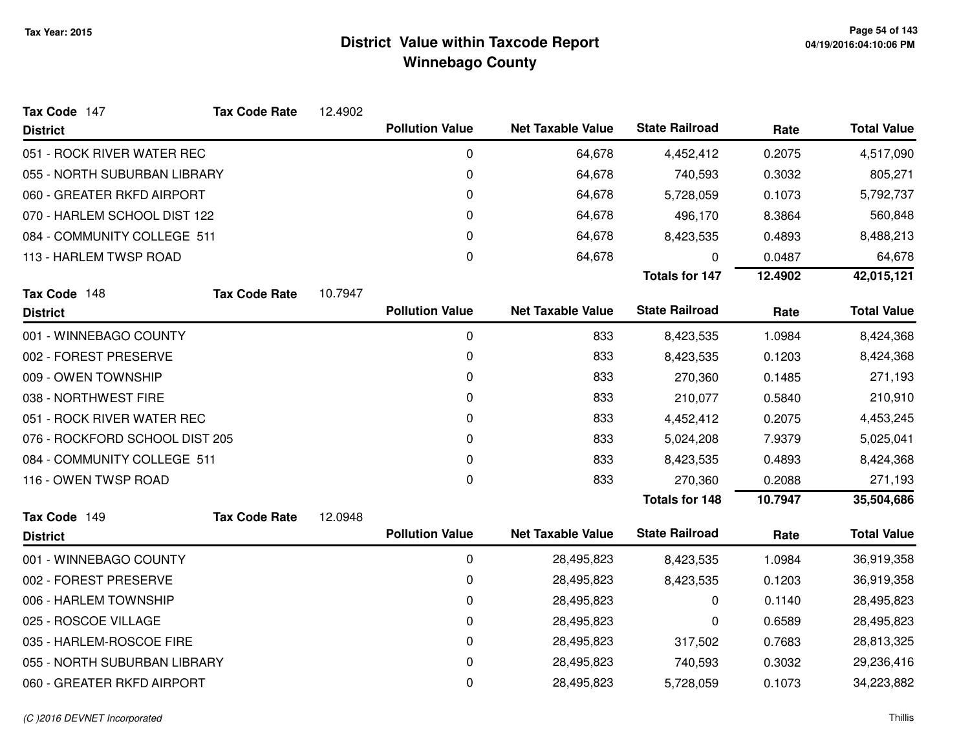| Tax Code 147                   | <b>Tax Code Rate</b> | 12.4902 |                        |                          |                       |         |                    |
|--------------------------------|----------------------|---------|------------------------|--------------------------|-----------------------|---------|--------------------|
| <b>District</b>                |                      |         | <b>Pollution Value</b> | <b>Net Taxable Value</b> | <b>State Railroad</b> | Rate    | <b>Total Value</b> |
| 051 - ROCK RIVER WATER REC     |                      |         | 0                      | 64,678                   | 4,452,412             | 0.2075  | 4,517,090          |
| 055 - NORTH SUBURBAN LIBRARY   |                      |         | $\pmb{0}$              | 64,678                   | 740,593               | 0.3032  | 805,271            |
| 060 - GREATER RKFD AIRPORT     |                      |         | $\pmb{0}$              | 64,678                   | 5,728,059             | 0.1073  | 5,792,737          |
| 070 - HARLEM SCHOOL DIST 122   |                      |         | 0                      | 64,678                   | 496,170               | 8.3864  | 560,848            |
| 084 - COMMUNITY COLLEGE 511    |                      |         | 0                      | 64,678                   | 8,423,535             | 0.4893  | 8,488,213          |
| 113 - HARLEM TWSP ROAD         |                      |         | 0                      | 64,678                   | 0                     | 0.0487  | 64,678             |
|                                |                      |         |                        |                          | <b>Totals for 147</b> | 12.4902 | 42,015,121         |
| Tax Code 148                   | <b>Tax Code Rate</b> | 10.7947 |                        |                          |                       |         |                    |
| <b>District</b>                |                      |         | <b>Pollution Value</b> | <b>Net Taxable Value</b> | <b>State Railroad</b> | Rate    | <b>Total Value</b> |
| 001 - WINNEBAGO COUNTY         |                      |         | 0                      | 833                      | 8,423,535             | 1.0984  | 8,424,368          |
| 002 - FOREST PRESERVE          |                      |         | 0                      | 833                      | 8,423,535             | 0.1203  | 8,424,368          |
| 009 - OWEN TOWNSHIP            |                      |         | $\Omega$               | 833                      | 270,360               | 0.1485  | 271,193            |
| 038 - NORTHWEST FIRE           |                      |         | 0                      | 833                      | 210,077               | 0.5840  | 210,910            |
| 051 - ROCK RIVER WATER REC     |                      |         | $\pmb{0}$              | 833                      | 4,452,412             | 0.2075  | 4,453,245          |
| 076 - ROCKFORD SCHOOL DIST 205 |                      |         | 0                      | 833                      | 5,024,208             | 7.9379  | 5,025,041          |
| 084 - COMMUNITY COLLEGE 511    |                      |         | 0                      | 833                      | 8,423,535             | 0.4893  | 8,424,368          |
| 116 - OWEN TWSP ROAD           |                      |         | 0                      | 833                      | 270,360               | 0.2088  | 271,193            |
|                                |                      |         |                        |                          | <b>Totals for 148</b> | 10.7947 | 35,504,686         |
| Tax Code 149                   | <b>Tax Code Rate</b> | 12.0948 |                        |                          |                       |         |                    |
| <b>District</b>                |                      |         | <b>Pollution Value</b> | <b>Net Taxable Value</b> | <b>State Railroad</b> | Rate    | <b>Total Value</b> |
| 001 - WINNEBAGO COUNTY         |                      |         | $\mathbf 0$            | 28,495,823               | 8,423,535             | 1.0984  | 36,919,358         |
| 002 - FOREST PRESERVE          |                      |         | 0                      | 28,495,823               | 8,423,535             | 0.1203  | 36,919,358         |
| 006 - HARLEM TOWNSHIP          |                      |         | 0                      | 28,495,823               | $\Omega$              | 0.1140  | 28,495,823         |
| 025 - ROSCOE VILLAGE           |                      |         | 0                      | 28,495,823               | 0                     | 0.6589  | 28,495,823         |
| 035 - HARLEM-ROSCOE FIRE       |                      |         | 0                      | 28,495,823               | 317,502               | 0.7683  | 28,813,325         |
| 055 - NORTH SUBURBAN LIBRARY   |                      |         | 0                      | 28,495,823               | 740,593               | 0.3032  | 29,236,416         |
| 060 - GREATER RKFD AIRPORT     |                      |         | 0                      | 28,495,823               | 5,728,059             | 0.1073  | 34,223,882         |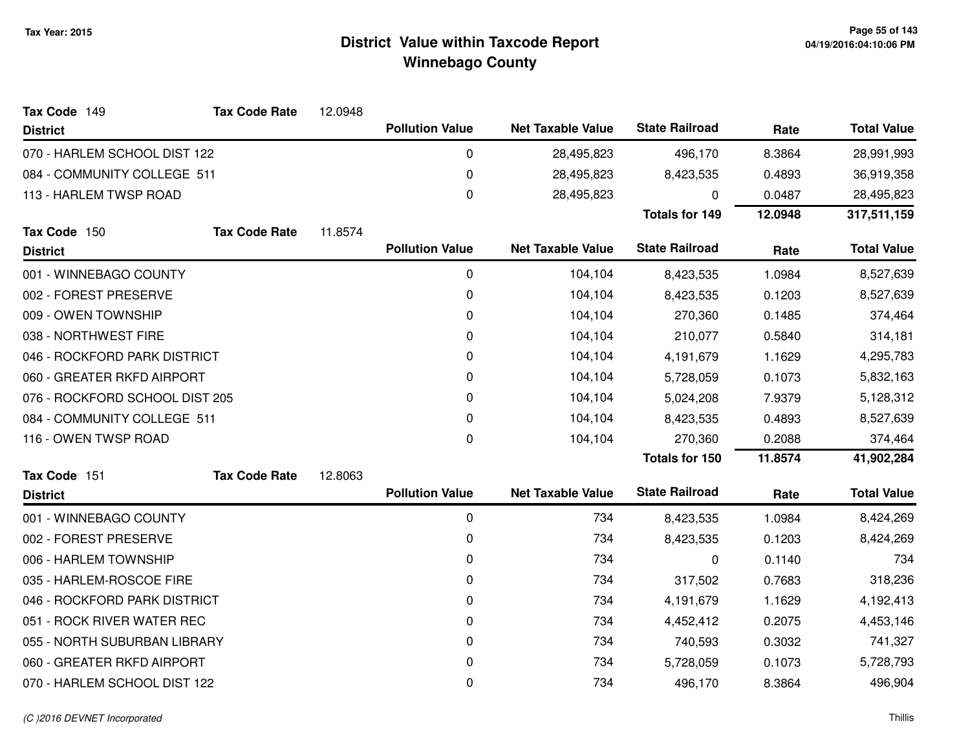| Tax Code 149                   | <b>Tax Code Rate</b> | 12.0948 |                        |                          |                       |         |                    |
|--------------------------------|----------------------|---------|------------------------|--------------------------|-----------------------|---------|--------------------|
| <b>District</b>                |                      |         | <b>Pollution Value</b> | <b>Net Taxable Value</b> | <b>State Railroad</b> | Rate    | <b>Total Value</b> |
| 070 - HARLEM SCHOOL DIST 122   |                      |         | 0                      | 28,495,823               | 496,170               | 8.3864  | 28,991,993         |
| 084 - COMMUNITY COLLEGE 511    |                      |         | 0                      | 28,495,823               | 8,423,535             | 0.4893  | 36,919,358         |
| 113 - HARLEM TWSP ROAD         |                      |         | 0                      | 28,495,823               | 0                     | 0.0487  | 28,495,823         |
|                                |                      |         |                        |                          | <b>Totals for 149</b> | 12.0948 | 317,511,159        |
| Tax Code 150                   | <b>Tax Code Rate</b> | 11.8574 |                        |                          |                       |         |                    |
| <b>District</b>                |                      |         | <b>Pollution Value</b> | <b>Net Taxable Value</b> | <b>State Railroad</b> | Rate    | <b>Total Value</b> |
| 001 - WINNEBAGO COUNTY         |                      |         | 0                      | 104,104                  | 8,423,535             | 1.0984  | 8,527,639          |
| 002 - FOREST PRESERVE          |                      |         | 0                      | 104,104                  | 8,423,535             | 0.1203  | 8,527,639          |
| 009 - OWEN TOWNSHIP            |                      |         | 0                      | 104,104                  | 270,360               | 0.1485  | 374,464            |
| 038 - NORTHWEST FIRE           |                      |         | 0                      | 104,104                  | 210,077               | 0.5840  | 314,181            |
| 046 - ROCKFORD PARK DISTRICT   |                      |         | 0                      | 104,104                  | 4,191,679             | 1.1629  | 4,295,783          |
| 060 - GREATER RKFD AIRPORT     |                      |         | 0                      | 104,104                  | 5,728,059             | 0.1073  | 5,832,163          |
| 076 - ROCKFORD SCHOOL DIST 205 |                      |         | 0                      | 104,104                  | 5,024,208             | 7.9379  | 5,128,312          |
| 084 - COMMUNITY COLLEGE 511    |                      |         | 0                      | 104,104                  | 8,423,535             | 0.4893  | 8,527,639          |
| 116 - OWEN TWSP ROAD           |                      |         | $\mathbf{0}$           | 104,104                  | 270,360               | 0.2088  | 374,464            |
|                                |                      |         |                        |                          | <b>Totals for 150</b> | 11.8574 | 41,902,284         |
| Tax Code 151                   | <b>Tax Code Rate</b> | 12.8063 |                        |                          |                       |         |                    |
| <b>District</b>                |                      |         | <b>Pollution Value</b> | <b>Net Taxable Value</b> | <b>State Railroad</b> | Rate    | <b>Total Value</b> |
| 001 - WINNEBAGO COUNTY         |                      |         | 0                      | 734                      | 8,423,535             | 1.0984  | 8,424,269          |
| 002 - FOREST PRESERVE          |                      |         | 0                      | 734                      | 8,423,535             | 0.1203  | 8,424,269          |
| 006 - HARLEM TOWNSHIP          |                      |         | 0                      | 734                      | 0                     | 0.1140  | 734                |
| 035 - HARLEM-ROSCOE FIRE       |                      |         | 0                      | 734                      | 317,502               | 0.7683  | 318,236            |
| 046 - ROCKFORD PARK DISTRICT   |                      |         | 0                      | 734                      | 4,191,679             | 1.1629  | 4,192,413          |
| 051 - ROCK RIVER WATER REC     |                      |         | 0                      | 734                      | 4,452,412             | 0.2075  | 4,453,146          |
| 055 - NORTH SUBURBAN LIBRARY   |                      |         | 0                      | 734                      | 740,593               | 0.3032  | 741,327            |
| 060 - GREATER RKFD AIRPORT     |                      |         | 0                      | 734                      | 5,728,059             | 0.1073  | 5,728,793          |
| 070 - HARLEM SCHOOL DIST 122   |                      |         | 0                      | 734                      | 496,170               | 8.3864  | 496,904            |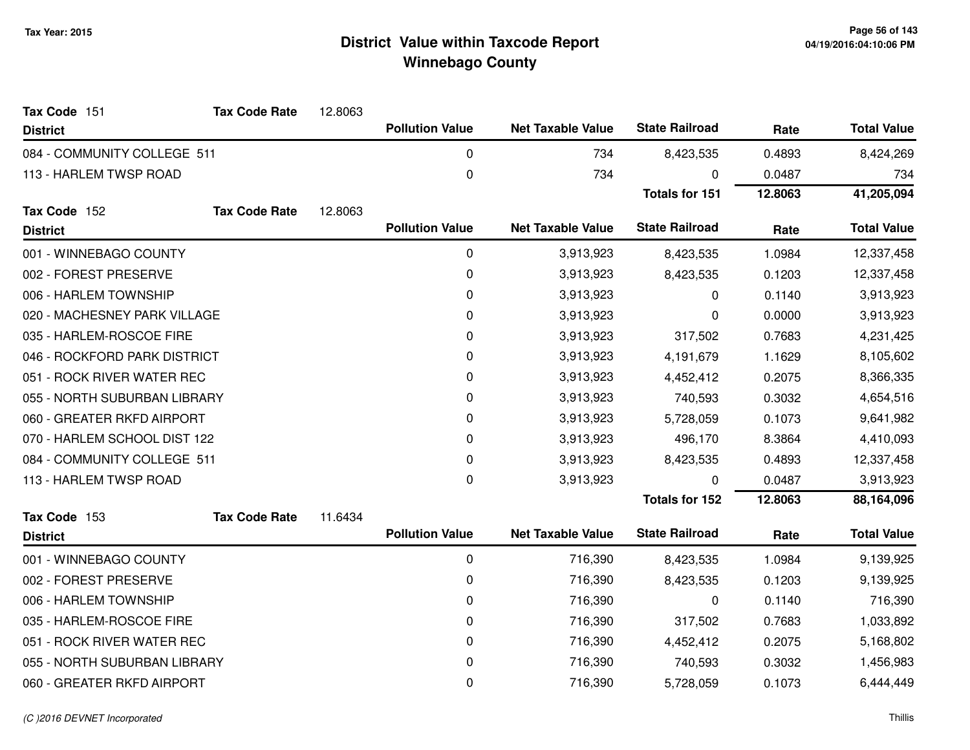| Tax Code 151                 | <b>Tax Code Rate</b> | 12.8063 |                        |                          |                       |         |                    |
|------------------------------|----------------------|---------|------------------------|--------------------------|-----------------------|---------|--------------------|
| <b>District</b>              |                      |         | <b>Pollution Value</b> | <b>Net Taxable Value</b> | <b>State Railroad</b> | Rate    | <b>Total Value</b> |
| 084 - COMMUNITY COLLEGE 511  |                      |         | 0                      | 734                      | 8,423,535             | 0.4893  | 8,424,269          |
| 113 - HARLEM TWSP ROAD       |                      |         | 0                      | 734                      | 0                     | 0.0487  | 734                |
|                              |                      |         |                        |                          | <b>Totals for 151</b> | 12.8063 | 41,205,094         |
| Tax Code 152                 | <b>Tax Code Rate</b> | 12.8063 |                        |                          |                       |         |                    |
| <b>District</b>              |                      |         | <b>Pollution Value</b> | <b>Net Taxable Value</b> | <b>State Railroad</b> | Rate    | <b>Total Value</b> |
| 001 - WINNEBAGO COUNTY       |                      |         | $\pmb{0}$              | 3,913,923                | 8,423,535             | 1.0984  | 12,337,458         |
| 002 - FOREST PRESERVE        |                      |         | 0                      | 3,913,923                | 8,423,535             | 0.1203  | 12,337,458         |
| 006 - HARLEM TOWNSHIP        |                      |         | 0                      | 3,913,923                | 0                     | 0.1140  | 3,913,923          |
| 020 - MACHESNEY PARK VILLAGE |                      |         | 0                      | 3,913,923                | 0                     | 0.0000  | 3,913,923          |
| 035 - HARLEM-ROSCOE FIRE     |                      |         | 0                      | 3,913,923                | 317,502               | 0.7683  | 4,231,425          |
| 046 - ROCKFORD PARK DISTRICT |                      |         | 0                      | 3,913,923                | 4,191,679             | 1.1629  | 8,105,602          |
| 051 - ROCK RIVER WATER REC   |                      |         | 0                      | 3,913,923                | 4,452,412             | 0.2075  | 8,366,335          |
| 055 - NORTH SUBURBAN LIBRARY |                      |         | 0                      | 3,913,923                | 740,593               | 0.3032  | 4,654,516          |
| 060 - GREATER RKFD AIRPORT   |                      |         | 0                      | 3,913,923                | 5,728,059             | 0.1073  | 9,641,982          |
| 070 - HARLEM SCHOOL DIST 122 |                      |         | 0                      | 3,913,923                | 496,170               | 8.3864  | 4,410,093          |
| 084 - COMMUNITY COLLEGE 511  |                      |         | 0                      | 3,913,923                | 8,423,535             | 0.4893  | 12,337,458         |
| 113 - HARLEM TWSP ROAD       |                      |         | $\pmb{0}$              | 3,913,923                | 0                     | 0.0487  | 3,913,923          |
|                              |                      |         |                        |                          | <b>Totals for 152</b> | 12.8063 | 88,164,096         |
| Tax Code 153                 | <b>Tax Code Rate</b> | 11.6434 |                        |                          |                       |         |                    |
| <b>District</b>              |                      |         | <b>Pollution Value</b> | <b>Net Taxable Value</b> | <b>State Railroad</b> | Rate    | <b>Total Value</b> |
| 001 - WINNEBAGO COUNTY       |                      |         | $\pmb{0}$              | 716,390                  | 8,423,535             | 1.0984  | 9,139,925          |
| 002 - FOREST PRESERVE        |                      |         | 0                      | 716,390                  | 8,423,535             | 0.1203  | 9,139,925          |
| 006 - HARLEM TOWNSHIP        |                      |         | 0                      | 716,390                  | 0                     | 0.1140  | 716,390            |
| 035 - HARLEM-ROSCOE FIRE     |                      |         | 0                      | 716,390                  | 317,502               | 0.7683  | 1,033,892          |
| 051 - ROCK RIVER WATER REC   |                      |         | 0                      | 716,390                  | 4,452,412             | 0.2075  | 5,168,802          |
| 055 - NORTH SUBURBAN LIBRARY |                      |         | 0                      | 716,390                  | 740,593               | 0.3032  | 1,456,983          |
| 060 - GREATER RKFD AIRPORT   |                      |         | 0                      | 716,390                  | 5,728,059             | 0.1073  | 6,444,449          |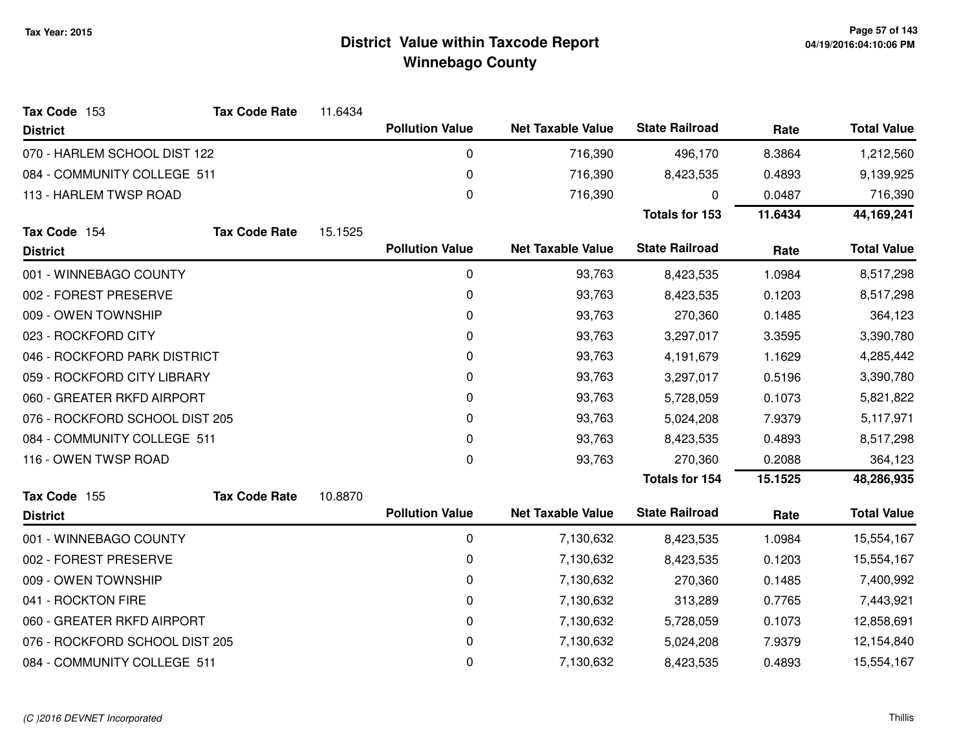| Tax Code 153                   | <b>Tax Code Rate</b> | 11.6434     |                        |                          |                       |            |                    |
|--------------------------------|----------------------|-------------|------------------------|--------------------------|-----------------------|------------|--------------------|
| <b>District</b>                |                      |             | <b>Pollution Value</b> | <b>Net Taxable Value</b> | <b>State Railroad</b> | Rate       | <b>Total Value</b> |
| 070 - HARLEM SCHOOL DIST 122   |                      |             | $\mathbf 0$            | 716,390                  | 496,170               | 8.3864     | 1,212,560          |
| 084 - COMMUNITY COLLEGE 511    |                      |             | 0                      | 716,390                  | 8,423,535             | 0.4893     | 9,139,925          |
| 113 - HARLEM TWSP ROAD         |                      |             | $\boldsymbol{0}$       | 716,390                  | 0                     | 0.0487     | 716,390            |
|                                |                      |             |                        |                          | <b>Totals for 153</b> | 11.6434    | 44, 169, 241       |
| Tax Code 154                   | <b>Tax Code Rate</b> | 15.1525     |                        |                          |                       |            |                    |
| <b>District</b>                |                      |             | <b>Pollution Value</b> | <b>Net Taxable Value</b> | <b>State Railroad</b> | Rate       | <b>Total Value</b> |
| 001 - WINNEBAGO COUNTY         |                      | $\mathbf 0$ | 93,763                 | 8,423,535                | 1.0984                | 8,517,298  |                    |
| 002 - FOREST PRESERVE          |                      |             | 0                      | 93,763                   | 8,423,535             | 0.1203     | 8,517,298          |
| 009 - OWEN TOWNSHIP            |                      |             | 0                      | 93,763                   | 270,360               | 0.1485     | 364,123            |
| 023 - ROCKFORD CITY            |                      |             | $\mathbf 0$            | 93,763                   | 3,297,017             | 3.3595     | 3,390,780          |
| 046 - ROCKFORD PARK DISTRICT   |                      | 0           | 93,763                 | 4,191,679                | 1.1629                | 4,285,442  |                    |
| 059 - ROCKFORD CITY LIBRARY    |                      |             | $\mathbf 0$            | 93,763                   | 3,297,017             | 0.5196     | 3,390,780          |
| 060 - GREATER RKFD AIRPORT     |                      |             | 0                      | 93,763                   | 5,728,059             | 0.1073     | 5,821,822          |
| 076 - ROCKFORD SCHOOL DIST 205 |                      |             | 0                      | 93,763                   | 5,024,208             | 7.9379     | 5,117,971          |
| 084 - COMMUNITY COLLEGE 511    |                      |             | $\mathbf 0$            | 93,763                   | 8,423,535             | 0.4893     | 8,517,298          |
| 116 - OWEN TWSP ROAD           |                      |             | 0                      | 93,763                   | 270,360               | 0.2088     | 364,123            |
|                                |                      |             |                        |                          | Totals for 154        | 15.1525    | 48,286,935         |
| Tax Code 155                   | <b>Tax Code Rate</b> | 10.8870     |                        |                          |                       |            |                    |
| <b>District</b>                |                      |             | <b>Pollution Value</b> | <b>Net Taxable Value</b> | <b>State Railroad</b> | Rate       | <b>Total Value</b> |
| 001 - WINNEBAGO COUNTY         |                      |             | 0                      | 7,130,632                | 8,423,535             | 1.0984     | 15,554,167         |
| 002 - FOREST PRESERVE          |                      |             | $\mathbf 0$            | 7,130,632                | 8,423,535             | 0.1203     | 15,554,167         |
| 009 - OWEN TOWNSHIP            |                      |             | 0                      | 7,130,632                | 270,360               | 0.1485     | 7,400,992          |
| 041 - ROCKTON FIRE             |                      |             | 0                      | 7,130,632                | 313,289               | 0.7765     | 7,443,921          |
| 060 - GREATER RKFD AIRPORT     |                      | $\mathbf 0$ | 7,130,632              | 5,728,059                | 0.1073                | 12,858,691 |                    |
| 076 - ROCKFORD SCHOOL DIST 205 |                      |             | 0                      | 7,130,632                | 5,024,208             | 7.9379     | 12,154,840         |
| 084 - COMMUNITY COLLEGE 511    |                      |             | $\mathbf 0$            | 7,130,632                | 8,423,535             | 0.4893     | 15,554,167         |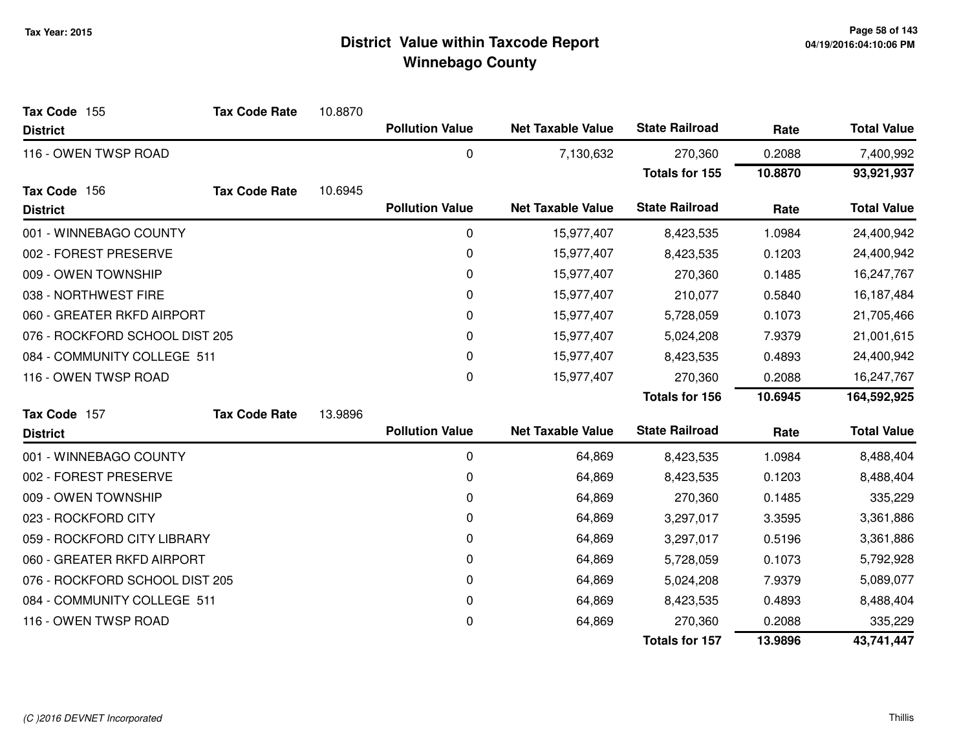| Tax Code 155                   | <b>Tax Code Rate</b> | 10.8870 |                        |                          |                       |         |                    |
|--------------------------------|----------------------|---------|------------------------|--------------------------|-----------------------|---------|--------------------|
| <b>District</b>                |                      |         | <b>Pollution Value</b> | <b>Net Taxable Value</b> | <b>State Railroad</b> | Rate    | <b>Total Value</b> |
| 116 - OWEN TWSP ROAD           |                      |         | $\mathbf 0$            | 7,130,632                | 270,360               | 0.2088  | 7,400,992          |
|                                |                      |         |                        |                          | <b>Totals for 155</b> | 10.8870 | 93,921,937         |
| Tax Code 156                   | <b>Tax Code Rate</b> | 10.6945 |                        |                          |                       |         |                    |
| <b>District</b>                |                      |         | <b>Pollution Value</b> | <b>Net Taxable Value</b> | <b>State Railroad</b> | Rate    | <b>Total Value</b> |
| 001 - WINNEBAGO COUNTY         |                      |         | 0                      | 15,977,407               | 8,423,535             | 1.0984  | 24,400,942         |
| 002 - FOREST PRESERVE          |                      |         | 0                      | 15,977,407               | 8,423,535             | 0.1203  | 24,400,942         |
| 009 - OWEN TOWNSHIP            |                      |         | 0                      | 15,977,407               | 270,360               | 0.1485  | 16,247,767         |
| 038 - NORTHWEST FIRE           |                      |         | 0                      | 15,977,407               | 210,077               | 0.5840  | 16,187,484         |
| 060 - GREATER RKFD AIRPORT     |                      |         | 0                      | 15,977,407               | 5,728,059             | 0.1073  | 21,705,466         |
| 076 - ROCKFORD SCHOOL DIST 205 |                      |         | 0                      | 15,977,407               | 5,024,208             | 7.9379  | 21,001,615         |
| 084 - COMMUNITY COLLEGE 511    |                      |         | 0                      | 15,977,407               | 8,423,535             | 0.4893  | 24,400,942         |
| 116 - OWEN TWSP ROAD           |                      |         | 0                      | 15,977,407               | 270,360               | 0.2088  | 16,247,767         |
|                                |                      |         |                        |                          | <b>Totals for 156</b> | 10.6945 | 164,592,925        |
| Tax Code 157                   | <b>Tax Code Rate</b> | 13.9896 |                        |                          |                       |         |                    |
| <b>District</b>                |                      |         | <b>Pollution Value</b> | <b>Net Taxable Value</b> | <b>State Railroad</b> | Rate    | <b>Total Value</b> |
| 001 - WINNEBAGO COUNTY         |                      |         | 0                      | 64,869                   | 8,423,535             | 1.0984  | 8,488,404          |
| 002 - FOREST PRESERVE          |                      |         | 0                      | 64,869                   | 8,423,535             | 0.1203  | 8,488,404          |
| 009 - OWEN TOWNSHIP            |                      |         | 0                      | 64,869                   | 270,360               | 0.1485  | 335,229            |
| 023 - ROCKFORD CITY            |                      |         | 0                      | 64,869                   | 3,297,017             | 3.3595  | 3,361,886          |
| 059 - ROCKFORD CITY LIBRARY    |                      |         | 0                      | 64,869                   | 3,297,017             | 0.5196  | 3,361,886          |
| 060 - GREATER RKFD AIRPORT     |                      |         | 0                      | 64,869                   | 5,728,059             | 0.1073  | 5,792,928          |
| 076 - ROCKFORD SCHOOL DIST 205 |                      |         | 0                      | 64,869                   | 5,024,208             | 7.9379  | 5,089,077          |
| 084 - COMMUNITY COLLEGE 511    |                      |         | 0                      | 64,869                   | 8,423,535             | 0.4893  | 8,488,404          |
| 116 - OWEN TWSP ROAD           |                      |         | 0                      | 64,869                   | 270,360               | 0.2088  | 335,229            |
|                                |                      |         |                        |                          | <b>Totals for 157</b> | 13.9896 | 43,741,447         |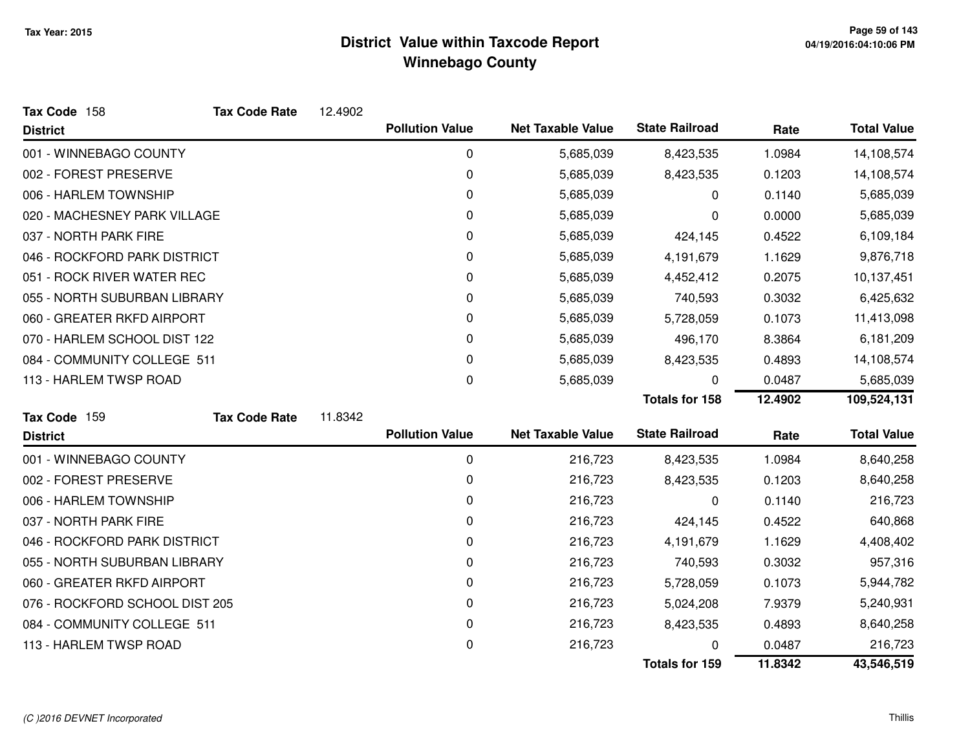| Tax Code 158                   | <b>Tax Code Rate</b> | 12.4902 |                        |                          |                       |         |                    |
|--------------------------------|----------------------|---------|------------------------|--------------------------|-----------------------|---------|--------------------|
| <b>District</b>                |                      |         | <b>Pollution Value</b> | <b>Net Taxable Value</b> | <b>State Railroad</b> | Rate    | <b>Total Value</b> |
| 001 - WINNEBAGO COUNTY         |                      |         | 0                      | 5,685,039                | 8,423,535             | 1.0984  | 14,108,574         |
| 002 - FOREST PRESERVE          |                      |         | 0                      | 5,685,039                | 8,423,535             | 0.1203  | 14,108,574         |
| 006 - HARLEM TOWNSHIP          |                      |         | 0                      | 5,685,039                | 0                     | 0.1140  | 5,685,039          |
| 020 - MACHESNEY PARK VILLAGE   |                      |         | 0                      | 5,685,039                | 0                     | 0.0000  | 5,685,039          |
| 037 - NORTH PARK FIRE          |                      |         | 0                      | 5,685,039                | 424,145               | 0.4522  | 6,109,184          |
| 046 - ROCKFORD PARK DISTRICT   |                      |         | 0                      | 5,685,039                | 4,191,679             | 1.1629  | 9,876,718          |
| 051 - ROCK RIVER WATER REC     |                      |         | 0                      | 5,685,039                | 4,452,412             | 0.2075  | 10,137,451         |
| 055 - NORTH SUBURBAN LIBRARY   |                      |         | 0                      | 5,685,039                | 740,593               | 0.3032  | 6,425,632          |
| 060 - GREATER RKFD AIRPORT     |                      |         | 0                      | 5,685,039                | 5,728,059             | 0.1073  | 11,413,098         |
| 070 - HARLEM SCHOOL DIST 122   |                      |         | 0                      | 5,685,039                | 496,170               | 8.3864  | 6,181,209          |
| 084 - COMMUNITY COLLEGE 511    |                      |         | 0                      | 5,685,039                | 8,423,535             | 0.4893  | 14,108,574         |
| 113 - HARLEM TWSP ROAD         |                      |         | 0                      | 5,685,039                | 0                     | 0.0487  | 5,685,039          |
|                                |                      |         |                        |                          | <b>Totals for 158</b> | 12.4902 | 109,524,131        |
| Tax Code 159                   | <b>Tax Code Rate</b> | 11.8342 |                        |                          |                       |         |                    |
| <b>District</b>                |                      |         | <b>Pollution Value</b> | <b>Net Taxable Value</b> | <b>State Railroad</b> | Rate    | <b>Total Value</b> |
| 001 - WINNEBAGO COUNTY         |                      |         | $\mathbf 0$            | 216,723                  | 8,423,535             | 1.0984  | 8,640,258          |
| 002 - FOREST PRESERVE          |                      |         | 0                      | 216,723                  | 8,423,535             | 0.1203  | 8,640,258          |
| 006 - HARLEM TOWNSHIP          |                      |         | 0                      | 216,723                  | 0                     | 0.1140  | 216,723            |
| 037 - NORTH PARK FIRE          |                      |         | 0                      | 216,723                  | 424,145               | 0.4522  | 640,868            |
| 046 - ROCKFORD PARK DISTRICT   |                      |         | 0                      | 216,723                  | 4,191,679             | 1.1629  | 4,408,402          |
| 055 - NORTH SUBURBAN LIBRARY   |                      |         | 0                      | 216,723                  | 740,593               | 0.3032  | 957,316            |
| 060 - GREATER RKFD AIRPORT     |                      |         | 0                      | 216,723                  | 5,728,059             | 0.1073  | 5,944,782          |
| 076 - ROCKFORD SCHOOL DIST 205 |                      |         | 0                      | 216,723                  | 5,024,208             | 7.9379  | 5,240,931          |
| 084 - COMMUNITY COLLEGE 511    |                      |         | 0                      | 216,723                  | 8,423,535             | 0.4893  | 8,640,258          |
| 113 - HARLEM TWSP ROAD         |                      |         | 0                      | 216,723                  |                       | 0.0487  | 216,723            |
|                                |                      |         |                        |                          | <b>Totals for 159</b> | 11.8342 | 43,546,519         |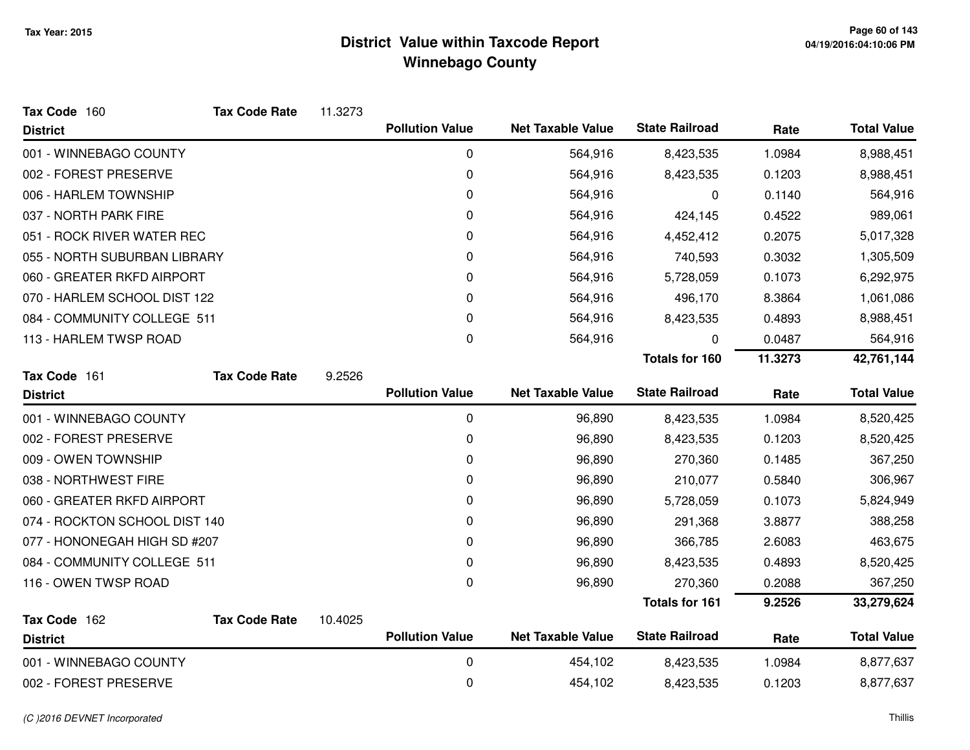| Tax Code 160                  | <b>Tax Code Rate</b> | 11.3273 |                        |                          |                       |         |                    |
|-------------------------------|----------------------|---------|------------------------|--------------------------|-----------------------|---------|--------------------|
| <b>District</b>               |                      |         | <b>Pollution Value</b> | <b>Net Taxable Value</b> | <b>State Railroad</b> | Rate    | <b>Total Value</b> |
| 001 - WINNEBAGO COUNTY        |                      |         | 0                      | 564,916                  | 8,423,535             | 1.0984  | 8,988,451          |
| 002 - FOREST PRESERVE         |                      |         | 0                      | 564,916                  | 8,423,535             | 0.1203  | 8,988,451          |
| 006 - HARLEM TOWNSHIP         |                      |         | 0                      | 564,916                  | 0                     | 0.1140  | 564,916            |
| 037 - NORTH PARK FIRE         |                      |         | 0                      | 564,916                  | 424,145               | 0.4522  | 989,061            |
| 051 - ROCK RIVER WATER REC    |                      |         | 0                      | 564,916                  | 4,452,412             | 0.2075  | 5,017,328          |
| 055 - NORTH SUBURBAN LIBRARY  |                      |         | 0                      | 564,916                  | 740,593               | 0.3032  | 1,305,509          |
| 060 - GREATER RKFD AIRPORT    |                      |         | 0                      | 564,916                  | 5,728,059             | 0.1073  | 6,292,975          |
| 070 - HARLEM SCHOOL DIST 122  |                      |         | 0                      | 564,916                  | 496,170               | 8.3864  | 1,061,086          |
| 084 - COMMUNITY COLLEGE 511   |                      |         | 0                      | 564,916                  | 8,423,535             | 0.4893  | 8,988,451          |
| 113 - HARLEM TWSP ROAD        |                      |         | 0                      | 564,916                  | 0                     | 0.0487  | 564,916            |
|                               |                      |         |                        |                          | <b>Totals for 160</b> | 11.3273 | 42,761,144         |
| Tax Code 161                  | <b>Tax Code Rate</b> | 9.2526  |                        |                          |                       |         |                    |
| <b>District</b>               |                      |         | <b>Pollution Value</b> | <b>Net Taxable Value</b> | <b>State Railroad</b> | Rate    | <b>Total Value</b> |
| 001 - WINNEBAGO COUNTY        |                      |         | 0                      | 96,890                   | 8,423,535             | 1.0984  | 8,520,425          |
| 002 - FOREST PRESERVE         |                      |         | 0                      | 96,890                   | 8,423,535             | 0.1203  | 8,520,425          |
| 009 - OWEN TOWNSHIP           |                      |         | 0                      | 96,890                   | 270,360               | 0.1485  | 367,250            |
| 038 - NORTHWEST FIRE          |                      |         | 0                      | 96,890                   | 210,077               | 0.5840  | 306,967            |
| 060 - GREATER RKFD AIRPORT    |                      |         | 0                      | 96,890                   | 5,728,059             | 0.1073  | 5,824,949          |
| 074 - ROCKTON SCHOOL DIST 140 |                      |         | 0                      | 96,890                   | 291,368               | 3.8877  | 388,258            |
| 077 - HONONEGAH HIGH SD #207  |                      |         | 0                      | 96,890                   | 366,785               | 2.6083  | 463,675            |
| 084 - COMMUNITY COLLEGE 511   |                      |         | 0                      | 96,890                   | 8,423,535             | 0.4893  | 8,520,425          |
| 116 - OWEN TWSP ROAD          |                      |         | 0                      | 96,890                   | 270,360               | 0.2088  | 367,250            |
|                               |                      |         |                        |                          | <b>Totals for 161</b> | 9.2526  | 33,279,624         |
| Tax Code 162                  | <b>Tax Code Rate</b> | 10.4025 |                        |                          |                       |         |                    |
| <b>District</b>               |                      |         | <b>Pollution Value</b> | <b>Net Taxable Value</b> | <b>State Railroad</b> | Rate    | <b>Total Value</b> |
| 001 - WINNEBAGO COUNTY        |                      |         | 0                      | 454,102                  | 8,423,535             | 1.0984  | 8,877,637          |
| 002 - FOREST PRESERVE         |                      |         | 0                      | 454,102                  | 8,423,535             | 0.1203  | 8,877,637          |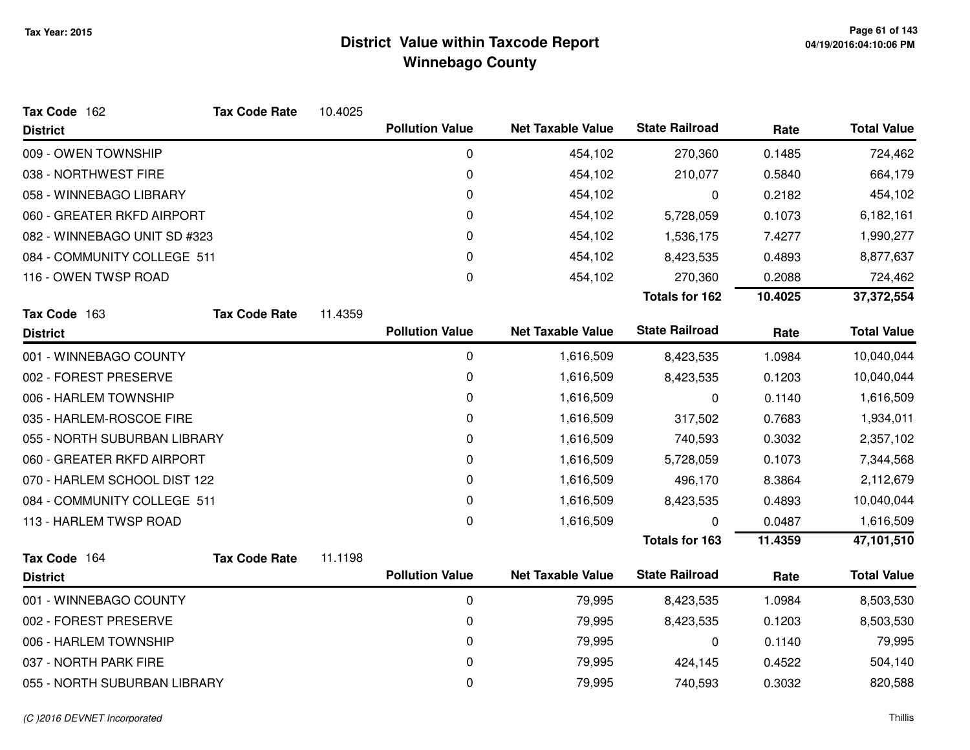| Tax Code 162                 | <b>Tax Code Rate</b> | 10.4025 |                        |                          |                       |         |                    |
|------------------------------|----------------------|---------|------------------------|--------------------------|-----------------------|---------|--------------------|
| <b>District</b>              |                      |         | <b>Pollution Value</b> | <b>Net Taxable Value</b> | <b>State Railroad</b> | Rate    | <b>Total Value</b> |
| 009 - OWEN TOWNSHIP          |                      |         | 0                      | 454,102                  | 270,360               | 0.1485  | 724,462            |
| 038 - NORTHWEST FIRE         |                      |         | 0                      | 454,102                  | 210,077               | 0.5840  | 664,179            |
| 058 - WINNEBAGO LIBRARY      |                      |         | 0                      | 454,102                  | 0                     | 0.2182  | 454,102            |
| 060 - GREATER RKFD AIRPORT   |                      |         | 0                      | 454,102                  | 5,728,059             | 0.1073  | 6,182,161          |
| 082 - WINNEBAGO UNIT SD #323 |                      |         | 0                      | 454,102                  | 1,536,175             | 7.4277  | 1,990,277          |
| 084 - COMMUNITY COLLEGE 511  |                      |         | 0                      | 454,102                  | 8,423,535             | 0.4893  | 8,877,637          |
| 116 - OWEN TWSP ROAD         |                      |         | 0                      | 454,102                  | 270,360               | 0.2088  | 724,462            |
|                              |                      |         |                        |                          | <b>Totals for 162</b> | 10.4025 | 37,372,554         |
| Tax Code 163                 | <b>Tax Code Rate</b> | 11.4359 |                        |                          |                       |         |                    |
| <b>District</b>              |                      |         | <b>Pollution Value</b> | <b>Net Taxable Value</b> | <b>State Railroad</b> | Rate    | <b>Total Value</b> |
| 001 - WINNEBAGO COUNTY       |                      |         | $\pmb{0}$              | 1,616,509                | 8,423,535             | 1.0984  | 10,040,044         |
| 002 - FOREST PRESERVE        |                      |         | 0                      | 1,616,509                | 8,423,535             | 0.1203  | 10,040,044         |
| 006 - HARLEM TOWNSHIP        |                      |         | 0                      | 1,616,509                | 0                     | 0.1140  | 1,616,509          |
| 035 - HARLEM-ROSCOE FIRE     |                      |         | 0                      | 1,616,509                | 317,502               | 0.7683  | 1,934,011          |
| 055 - NORTH SUBURBAN LIBRARY |                      |         | 0                      | 1,616,509                | 740,593               | 0.3032  | 2,357,102          |
| 060 - GREATER RKFD AIRPORT   |                      |         | 0                      | 1,616,509                | 5,728,059             | 0.1073  | 7,344,568          |
| 070 - HARLEM SCHOOL DIST 122 |                      |         | 0                      | 1,616,509                | 496,170               | 8.3864  | 2,112,679          |
| 084 - COMMUNITY COLLEGE 511  |                      |         | 0                      | 1,616,509                | 8,423,535             | 0.4893  | 10,040,044         |
| 113 - HARLEM TWSP ROAD       |                      |         | 0                      | 1,616,509                | $\mathbf 0$           | 0.0487  | 1,616,509          |
|                              |                      |         |                        |                          | <b>Totals for 163</b> | 11.4359 | 47,101,510         |
| Tax Code 164                 | <b>Tax Code Rate</b> | 11.1198 |                        |                          |                       |         |                    |
| <b>District</b>              |                      |         | <b>Pollution Value</b> | <b>Net Taxable Value</b> | <b>State Railroad</b> | Rate    | <b>Total Value</b> |
| 001 - WINNEBAGO COUNTY       |                      |         | $\mathbf 0$            | 79,995                   | 8,423,535             | 1.0984  | 8,503,530          |
| 002 - FOREST PRESERVE        |                      |         | 0                      | 79,995                   | 8,423,535             | 0.1203  | 8,503,530          |
| 006 - HARLEM TOWNSHIP        |                      |         | 0                      | 79,995                   | 0                     | 0.1140  | 79,995             |
| 037 - NORTH PARK FIRE        |                      |         | 0                      | 79,995                   | 424,145               | 0.4522  | 504,140            |
| 055 - NORTH SUBURBAN LIBRARY |                      |         | 0                      | 79,995                   | 740,593               | 0.3032  | 820,588            |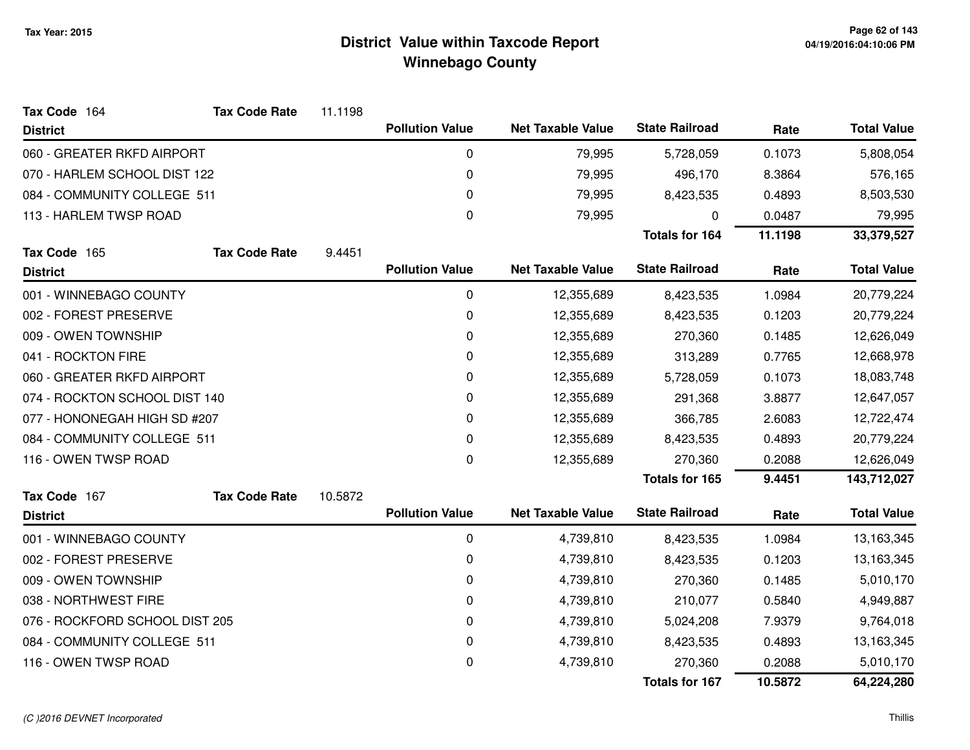| Tax Code 164                   | <b>Tax Code Rate</b> | 11.1198 |                        |                          |                       |            |                    |
|--------------------------------|----------------------|---------|------------------------|--------------------------|-----------------------|------------|--------------------|
| <b>District</b>                |                      |         | <b>Pollution Value</b> | <b>Net Taxable Value</b> | <b>State Railroad</b> | Rate       | <b>Total Value</b> |
| 060 - GREATER RKFD AIRPORT     |                      |         | 0                      | 79,995                   | 5,728,059             | 0.1073     | 5,808,054          |
| 070 - HARLEM SCHOOL DIST 122   |                      |         | 0                      | 79,995                   | 496,170               | 8.3864     | 576,165            |
| 084 - COMMUNITY COLLEGE 511    |                      |         | 0                      | 79,995                   | 8,423,535             | 0.4893     | 8,503,530          |
| 113 - HARLEM TWSP ROAD         |                      |         | 0                      | 79,995                   | 0                     | 0.0487     | 79,995             |
|                                |                      |         |                        |                          | <b>Totals for 164</b> | 11.1198    | 33,379,527         |
| Tax Code 165                   | <b>Tax Code Rate</b> | 9.4451  |                        |                          |                       |            |                    |
| <b>District</b>                |                      |         | <b>Pollution Value</b> | <b>Net Taxable Value</b> | <b>State Railroad</b> | Rate       | <b>Total Value</b> |
| 001 - WINNEBAGO COUNTY         |                      |         | 0                      | 12,355,689               | 8,423,535             | 1.0984     | 20,779,224         |
| 002 - FOREST PRESERVE          |                      |         | 0                      | 12,355,689               | 8,423,535             | 0.1203     | 20,779,224         |
| 009 - OWEN TOWNSHIP            |                      |         | 0                      | 12,355,689               | 270,360               | 0.1485     | 12,626,049         |
| 041 - ROCKTON FIRE             |                      |         | 0                      | 12,355,689               | 313,289               | 0.7765     | 12,668,978         |
| 060 - GREATER RKFD AIRPORT     |                      | 0       | 12,355,689             | 5,728,059                | 0.1073                | 18,083,748 |                    |
| 074 - ROCKTON SCHOOL DIST 140  |                      | 0       | 12,355,689             | 291,368                  | 3.8877                | 12,647,057 |                    |
| 077 - HONONEGAH HIGH SD #207   |                      |         | 0                      | 12,355,689               | 366,785               | 2.6083     | 12,722,474         |
| 084 - COMMUNITY COLLEGE 511    |                      |         | 0                      | 12,355,689               | 8,423,535             | 0.4893     | 20,779,224         |
| 116 - OWEN TWSP ROAD           |                      |         | 0                      | 12,355,689               | 270,360               | 0.2088     | 12,626,049         |
|                                |                      |         |                        |                          | <b>Totals for 165</b> | 9.4451     | 143,712,027        |
| Tax Code 167                   | <b>Tax Code Rate</b> | 10.5872 |                        |                          |                       |            |                    |
| <b>District</b>                |                      |         | <b>Pollution Value</b> | <b>Net Taxable Value</b> | <b>State Railroad</b> | Rate       | <b>Total Value</b> |
| 001 - WINNEBAGO COUNTY         |                      |         | 0                      | 4,739,810                | 8,423,535             | 1.0984     | 13,163,345         |
| 002 - FOREST PRESERVE          |                      |         | 0                      | 4,739,810                | 8,423,535             | 0.1203     | 13,163,345         |
| 009 - OWEN TOWNSHIP            |                      |         | 0                      | 4,739,810                | 270,360               | 0.1485     | 5,010,170          |
| 038 - NORTHWEST FIRE           |                      |         | 0                      | 4,739,810                | 210,077               | 0.5840     | 4,949,887          |
| 076 - ROCKFORD SCHOOL DIST 205 |                      |         | 0                      | 4,739,810                | 5,024,208             | 7.9379     | 9,764,018          |
| 084 - COMMUNITY COLLEGE 511    |                      |         | 0                      | 4,739,810                | 8,423,535             | 0.4893     | 13,163,345         |
| 116 - OWEN TWSP ROAD           |                      |         | 0                      | 4,739,810                | 270,360               | 0.2088     | 5,010,170          |
|                                |                      |         |                        |                          | <b>Totals for 167</b> | 10.5872    | 64,224,280         |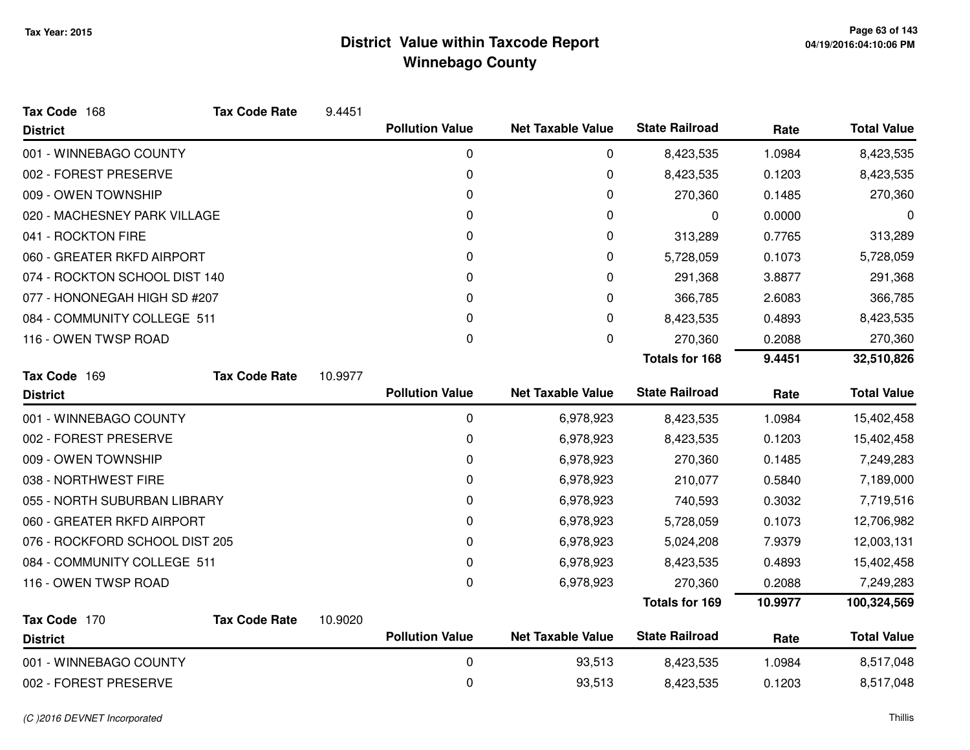| Tax Code 168                   | <b>Tax Code Rate</b> | 9.4451  |                        |                          |                       |         |                    |
|--------------------------------|----------------------|---------|------------------------|--------------------------|-----------------------|---------|--------------------|
| <b>District</b>                |                      |         | <b>Pollution Value</b> | <b>Net Taxable Value</b> | <b>State Railroad</b> | Rate    | <b>Total Value</b> |
| 001 - WINNEBAGO COUNTY         |                      |         | 0                      | 0                        | 8,423,535             | 1.0984  | 8,423,535          |
| 002 - FOREST PRESERVE          |                      |         | 0                      | $\pmb{0}$                | 8,423,535             | 0.1203  | 8,423,535          |
| 009 - OWEN TOWNSHIP            |                      |         | 0                      | 0                        | 270,360               | 0.1485  | 270,360            |
| 020 - MACHESNEY PARK VILLAGE   |                      |         | 0                      | 0                        | 0                     | 0.0000  | 0                  |
| 041 - ROCKTON FIRE             |                      |         | 0                      | 0                        | 313,289               | 0.7765  | 313,289            |
| 060 - GREATER RKFD AIRPORT     |                      |         | 0                      | 0                        | 5,728,059             | 0.1073  | 5,728,059          |
| 074 - ROCKTON SCHOOL DIST 140  |                      |         | 0                      | 0                        | 291,368               | 3.8877  | 291,368            |
| 077 - HONONEGAH HIGH SD #207   |                      |         | 0                      | 0                        | 366,785               | 2.6083  | 366,785            |
| 084 - COMMUNITY COLLEGE 511    |                      |         | 0                      | 0                        | 8,423,535             | 0.4893  | 8,423,535          |
| 116 - OWEN TWSP ROAD           |                      |         | 0                      | $\mathbf 0$              | 270,360               | 0.2088  | 270,360            |
|                                |                      |         |                        |                          | <b>Totals for 168</b> | 9.4451  | 32,510,826         |
| Tax Code 169                   | <b>Tax Code Rate</b> | 10.9977 |                        |                          |                       |         |                    |
| <b>District</b>                |                      |         | <b>Pollution Value</b> | <b>Net Taxable Value</b> | <b>State Railroad</b> | Rate    | <b>Total Value</b> |
| 001 - WINNEBAGO COUNTY         |                      |         | 0                      | 6,978,923                | 8,423,535             | 1.0984  | 15,402,458         |
| 002 - FOREST PRESERVE          |                      |         | 0                      | 6,978,923                | 8,423,535             | 0.1203  | 15,402,458         |
| 009 - OWEN TOWNSHIP            |                      |         | 0                      | 6,978,923                | 270,360               | 0.1485  | 7,249,283          |
| 038 - NORTHWEST FIRE           |                      |         | 0                      | 6,978,923                | 210,077               | 0.5840  | 7,189,000          |
| 055 - NORTH SUBURBAN LIBRARY   |                      |         | 0                      | 6,978,923                | 740,593               | 0.3032  | 7,719,516          |
| 060 - GREATER RKFD AIRPORT     |                      |         | 0                      | 6,978,923                | 5,728,059             | 0.1073  | 12,706,982         |
| 076 - ROCKFORD SCHOOL DIST 205 |                      |         | 0                      | 6,978,923                | 5,024,208             | 7.9379  | 12,003,131         |
| 084 - COMMUNITY COLLEGE 511    |                      |         | 0                      | 6,978,923                | 8,423,535             | 0.4893  | 15,402,458         |
| 116 - OWEN TWSP ROAD           |                      |         | 0                      | 6,978,923                | 270,360               | 0.2088  | 7,249,283          |
|                                |                      |         |                        |                          | Totals for 169        | 10.9977 | 100,324,569        |
| Tax Code 170                   | <b>Tax Code Rate</b> | 10.9020 |                        |                          |                       |         |                    |
| <b>District</b>                |                      |         | <b>Pollution Value</b> | <b>Net Taxable Value</b> | <b>State Railroad</b> | Rate    | <b>Total Value</b> |
| 001 - WINNEBAGO COUNTY         |                      |         | 0                      | 93,513                   | 8,423,535             | 1.0984  | 8,517,048          |
| 002 - FOREST PRESERVE          |                      |         | 0                      | 93,513                   | 8,423,535             | 0.1203  | 8,517,048          |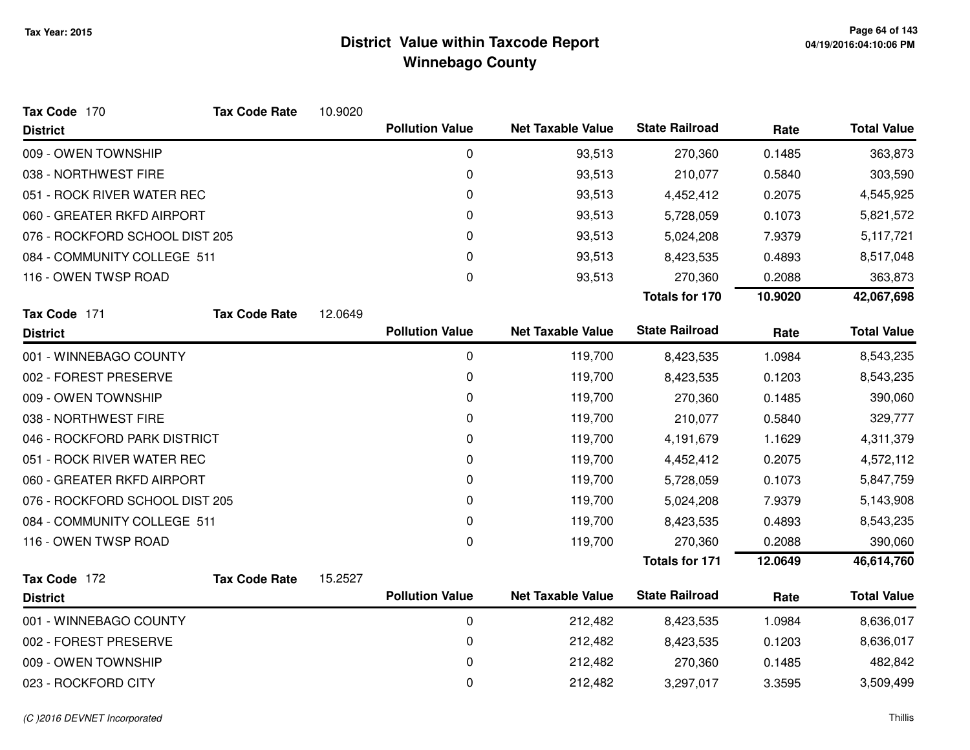| Tax Code 170                   | <b>Tax Code Rate</b> | 10.9020 |                        |                          |                       |         |                    |
|--------------------------------|----------------------|---------|------------------------|--------------------------|-----------------------|---------|--------------------|
| <b>District</b>                |                      |         | <b>Pollution Value</b> | <b>Net Taxable Value</b> | <b>State Railroad</b> | Rate    | <b>Total Value</b> |
| 009 - OWEN TOWNSHIP            |                      |         | 0                      | 93,513                   | 270,360               | 0.1485  | 363,873            |
| 038 - NORTHWEST FIRE           |                      |         | 0                      | 93,513                   | 210,077               | 0.5840  | 303,590            |
| 051 - ROCK RIVER WATER REC     |                      |         | 0                      | 93,513                   | 4,452,412             | 0.2075  | 4,545,925          |
| 060 - GREATER RKFD AIRPORT     |                      |         | 0                      | 93,513                   | 5,728,059             | 0.1073  | 5,821,572          |
| 076 - ROCKFORD SCHOOL DIST 205 |                      |         | 0                      | 93,513                   | 5,024,208             | 7.9379  | 5,117,721          |
| 084 - COMMUNITY COLLEGE 511    |                      |         | 0                      | 93,513                   | 8,423,535             | 0.4893  | 8,517,048          |
| 116 - OWEN TWSP ROAD           |                      |         | 0                      | 93,513                   | 270,360               | 0.2088  | 363,873            |
|                                |                      |         |                        |                          | <b>Totals for 170</b> | 10.9020 | 42,067,698         |
| Tax Code 171                   | <b>Tax Code Rate</b> | 12.0649 |                        |                          |                       |         |                    |
| <b>District</b>                |                      |         | <b>Pollution Value</b> | <b>Net Taxable Value</b> | <b>State Railroad</b> | Rate    | <b>Total Value</b> |
| 001 - WINNEBAGO COUNTY         |                      |         | $\mathbf 0$            | 119,700                  | 8,423,535             | 1.0984  | 8,543,235          |
| 002 - FOREST PRESERVE          |                      |         | 0                      | 119,700                  | 8,423,535             | 0.1203  | 8,543,235          |
| 009 - OWEN TOWNSHIP            |                      |         | 0                      | 119,700                  | 270,360               | 0.1485  | 390,060            |
| 038 - NORTHWEST FIRE           |                      |         | 0                      | 119,700                  | 210,077               | 0.5840  | 329,777            |
| 046 - ROCKFORD PARK DISTRICT   |                      |         | 0                      | 119,700                  | 4,191,679             | 1.1629  | 4,311,379          |
| 051 - ROCK RIVER WATER REC     |                      |         | 0                      | 119,700                  | 4,452,412             | 0.2075  | 4,572,112          |
| 060 - GREATER RKFD AIRPORT     |                      |         | 0                      | 119,700                  | 5,728,059             | 0.1073  | 5,847,759          |
| 076 - ROCKFORD SCHOOL DIST 205 |                      |         | 0                      | 119,700                  | 5,024,208             | 7.9379  | 5,143,908          |
| 084 - COMMUNITY COLLEGE 511    |                      |         | 0                      | 119,700                  | 8,423,535             | 0.4893  | 8,543,235          |
| 116 - OWEN TWSP ROAD           |                      |         | 0                      | 119,700                  | 270,360               | 0.2088  | 390,060            |
|                                |                      |         |                        |                          | <b>Totals for 171</b> | 12.0649 | 46,614,760         |
| Tax Code 172                   | <b>Tax Code Rate</b> | 15.2527 |                        |                          |                       |         |                    |
| <b>District</b>                |                      |         | <b>Pollution Value</b> | <b>Net Taxable Value</b> | <b>State Railroad</b> | Rate    | <b>Total Value</b> |
| 001 - WINNEBAGO COUNTY         |                      |         | $\mathbf 0$            | 212,482                  | 8,423,535             | 1.0984  | 8,636,017          |
| 002 - FOREST PRESERVE          |                      |         | 0                      | 212,482                  | 8,423,535             | 0.1203  | 8,636,017          |
| 009 - OWEN TOWNSHIP            |                      |         | 0                      | 212,482                  | 270,360               | 0.1485  | 482,842            |
| 023 - ROCKFORD CITY            |                      |         | 0                      | 212,482                  | 3,297,017             | 3.3595  | 3,509,499          |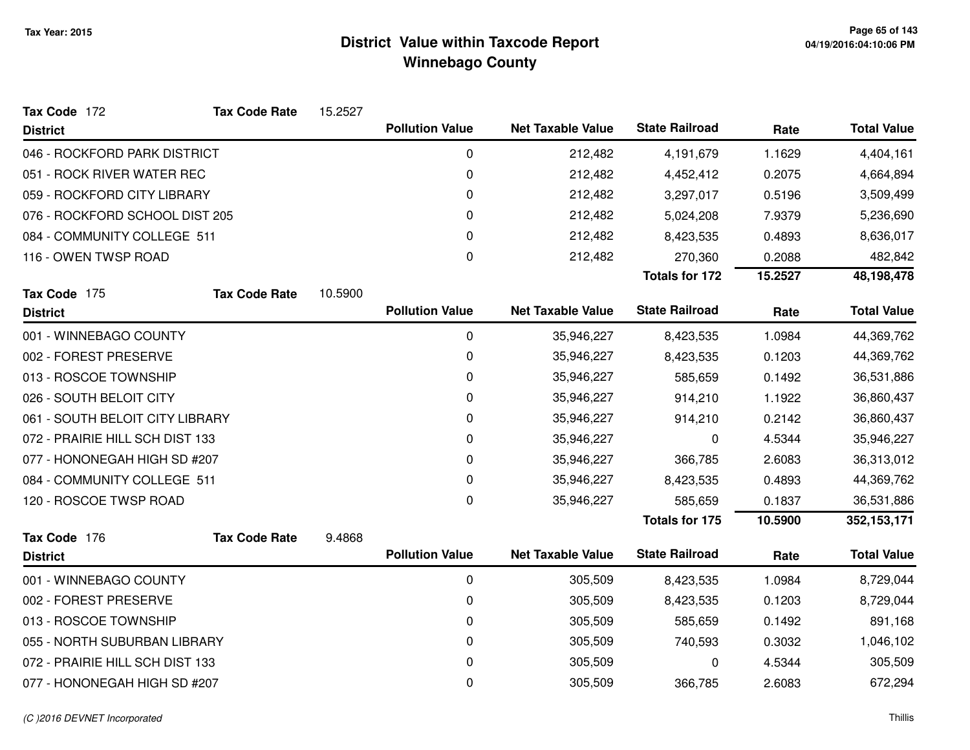| Tax Code 172                    | <b>Tax Code Rate</b> | 15.2527 |                        |                          |                       |         |                    |
|---------------------------------|----------------------|---------|------------------------|--------------------------|-----------------------|---------|--------------------|
| <b>District</b>                 |                      |         | <b>Pollution Value</b> | <b>Net Taxable Value</b> | <b>State Railroad</b> | Rate    | <b>Total Value</b> |
| 046 - ROCKFORD PARK DISTRICT    |                      |         | 0                      | 212,482                  | 4,191,679             | 1.1629  | 4,404,161          |
| 051 - ROCK RIVER WATER REC      |                      |         | 0                      | 212,482                  | 4,452,412             | 0.2075  | 4,664,894          |
| 059 - ROCKFORD CITY LIBRARY     |                      |         | 0                      | 212,482                  | 3,297,017             | 0.5196  | 3,509,499          |
| 076 - ROCKFORD SCHOOL DIST 205  |                      |         | 0                      | 212,482                  | 5,024,208             | 7.9379  | 5,236,690          |
| 084 - COMMUNITY COLLEGE 511     |                      |         | 0                      | 212,482                  | 8,423,535             | 0.4893  | 8,636,017          |
| 116 - OWEN TWSP ROAD            |                      |         | 0                      | 212,482                  | 270,360               | 0.2088  | 482,842            |
|                                 |                      |         |                        |                          | <b>Totals for 172</b> | 15.2527 | 48,198,478         |
| Tax Code 175                    | <b>Tax Code Rate</b> | 10.5900 |                        |                          |                       |         |                    |
| <b>District</b>                 |                      |         | <b>Pollution Value</b> | <b>Net Taxable Value</b> | <b>State Railroad</b> | Rate    | <b>Total Value</b> |
| 001 - WINNEBAGO COUNTY          |                      |         | 0                      | 35,946,227               | 8,423,535             | 1.0984  | 44,369,762         |
| 002 - FOREST PRESERVE           |                      |         | 0                      | 35,946,227               | 8,423,535             | 0.1203  | 44,369,762         |
| 013 - ROSCOE TOWNSHIP           |                      |         | 0                      | 35,946,227               | 585,659               | 0.1492  | 36,531,886         |
| 026 - SOUTH BELOIT CITY         |                      |         | 0                      | 35,946,227               | 914,210               | 1.1922  | 36,860,437         |
| 061 - SOUTH BELOIT CITY LIBRARY |                      |         | 0                      | 35,946,227               | 914,210               | 0.2142  | 36,860,437         |
| 072 - PRAIRIE HILL SCH DIST 133 |                      |         | 0                      | 35,946,227               | 0                     | 4.5344  | 35,946,227         |
| 077 - HONONEGAH HIGH SD #207    |                      |         | 0                      | 35,946,227               | 366,785               | 2.6083  | 36,313,012         |
| 084 - COMMUNITY COLLEGE 511     |                      |         | 0                      | 35,946,227               | 8,423,535             | 0.4893  | 44,369,762         |
| 120 - ROSCOE TWSP ROAD          |                      |         | 0                      | 35,946,227               | 585,659               | 0.1837  | 36,531,886         |
|                                 |                      |         |                        |                          | <b>Totals for 175</b> | 10.5900 | 352,153,171        |
| Tax Code 176                    | <b>Tax Code Rate</b> | 9.4868  |                        |                          |                       |         |                    |
| <b>District</b>                 |                      |         | <b>Pollution Value</b> | <b>Net Taxable Value</b> | <b>State Railroad</b> | Rate    | <b>Total Value</b> |
| 001 - WINNEBAGO COUNTY          |                      |         | 0                      | 305,509                  | 8,423,535             | 1.0984  | 8,729,044          |
| 002 - FOREST PRESERVE           |                      |         | 0                      | 305,509                  | 8,423,535             | 0.1203  | 8,729,044          |
| 013 - ROSCOE TOWNSHIP           |                      |         | 0                      | 305,509                  | 585,659               | 0.1492  | 891,168            |
| 055 - NORTH SUBURBAN LIBRARY    |                      |         | 0                      | 305,509                  | 740,593               | 0.3032  | 1,046,102          |
| 072 - PRAIRIE HILL SCH DIST 133 |                      |         | 0                      | 305,509                  | 0                     | 4.5344  | 305,509            |
| 077 - HONONEGAH HIGH SD #207    |                      |         | 0                      | 305,509                  | 366,785               | 2.6083  | 672,294            |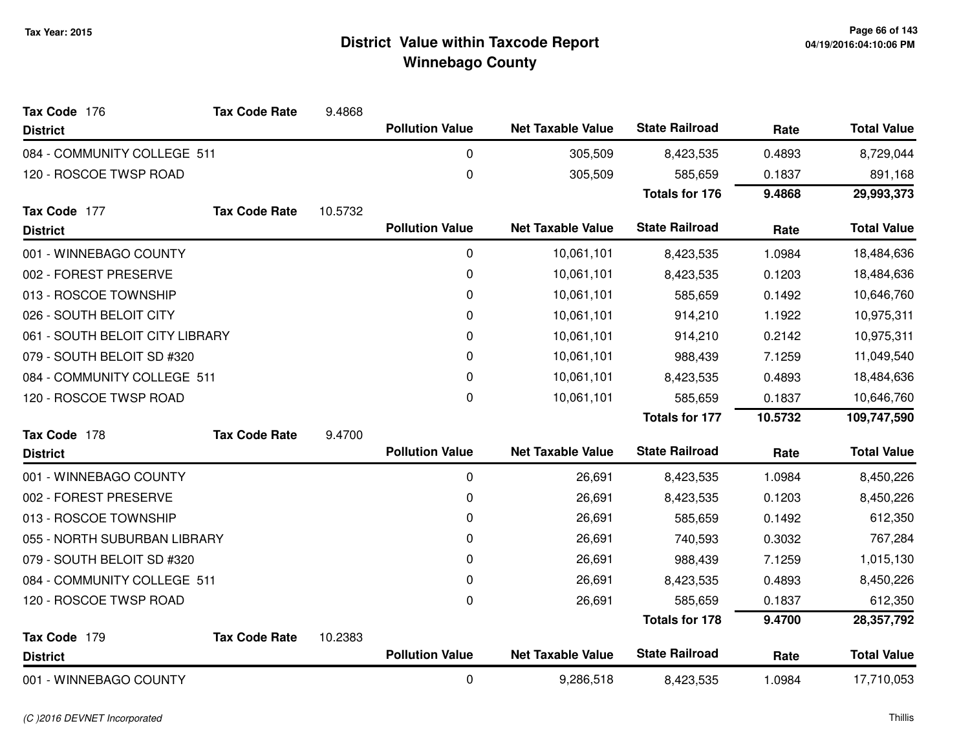| Tax Code 176                 | <b>Tax Code Rate</b>            | 9.4868  |                        |                          |                       |            |                    |
|------------------------------|---------------------------------|---------|------------------------|--------------------------|-----------------------|------------|--------------------|
| <b>District</b>              |                                 |         | <b>Pollution Value</b> | <b>Net Taxable Value</b> | <b>State Railroad</b> | Rate       | <b>Total Value</b> |
| 084 - COMMUNITY COLLEGE 511  |                                 |         | 0                      | 305,509                  | 8,423,535             | 0.4893     | 8,729,044          |
| 120 - ROSCOE TWSP ROAD       |                                 |         | $\pmb{0}$              | 305,509                  | 585,659               | 0.1837     | 891,168            |
|                              |                                 |         |                        |                          | <b>Totals for 176</b> | 9.4868     | 29,993,373         |
| Tax Code 177                 | <b>Tax Code Rate</b>            | 10.5732 |                        |                          |                       |            |                    |
| <b>District</b>              |                                 |         | <b>Pollution Value</b> | <b>Net Taxable Value</b> | <b>State Railroad</b> | Rate       | <b>Total Value</b> |
| 001 - WINNEBAGO COUNTY       |                                 |         | 0                      | 10,061,101               | 8,423,535             | 1.0984     | 18,484,636         |
| 002 - FOREST PRESERVE        |                                 |         | 0                      | 10,061,101               | 8,423,535             | 0.1203     | 18,484,636         |
| 013 - ROSCOE TOWNSHIP        |                                 |         | 0                      | 10,061,101               | 585,659               | 0.1492     | 10,646,760         |
| 026 - SOUTH BELOIT CITY      |                                 |         | 0                      | 10,061,101               | 914,210               | 1.1922     | 10,975,311         |
|                              | 061 - SOUTH BELOIT CITY LIBRARY |         |                        | 10,061,101               | 914,210               | 0.2142     | 10,975,311         |
| 079 - SOUTH BELOIT SD #320   |                                 |         | 0                      | 10,061,101               | 988,439               | 7.1259     | 11,049,540         |
| 084 - COMMUNITY COLLEGE 511  |                                 | 0       | 10,061,101             | 8,423,535                | 0.4893                | 18,484,636 |                    |
| 120 - ROSCOE TWSP ROAD       |                                 |         | 0                      | 10,061,101               | 585,659               | 0.1837     | 10,646,760         |
|                              |                                 |         |                        |                          | <b>Totals for 177</b> | 10.5732    | 109,747,590        |
| Tax Code 178                 | <b>Tax Code Rate</b>            | 9.4700  |                        |                          |                       |            |                    |
| <b>District</b>              |                                 |         | <b>Pollution Value</b> | <b>Net Taxable Value</b> | <b>State Railroad</b> | Rate       | <b>Total Value</b> |
| 001 - WINNEBAGO COUNTY       |                                 |         | 0                      | 26,691                   | 8,423,535             | 1.0984     | 8,450,226          |
| 002 - FOREST PRESERVE        |                                 |         | 0                      | 26,691                   | 8,423,535             | 0.1203     | 8,450,226          |
| 013 - ROSCOE TOWNSHIP        |                                 |         | 0                      | 26,691                   | 585,659               | 0.1492     | 612,350            |
| 055 - NORTH SUBURBAN LIBRARY |                                 |         | 0                      | 26,691                   | 740,593               | 0.3032     | 767,284            |
| 079 - SOUTH BELOIT SD #320   |                                 |         | 0                      | 26,691                   | 988,439               | 7.1259     | 1,015,130          |
| 084 - COMMUNITY COLLEGE 511  |                                 |         | 0                      | 26,691                   | 8,423,535             | 0.4893     | 8,450,226          |
| 120 - ROSCOE TWSP ROAD       |                                 |         | 0                      | 26,691                   | 585,659               | 0.1837     | 612,350            |
|                              |                                 |         |                        |                          | <b>Totals for 178</b> | 9.4700     | 28,357,792         |
| Tax Code 179                 | <b>Tax Code Rate</b>            | 10.2383 |                        |                          |                       |            |                    |
| <b>District</b>              |                                 |         | <b>Pollution Value</b> | <b>Net Taxable Value</b> | <b>State Railroad</b> | Rate       | <b>Total Value</b> |
| 001 - WINNEBAGO COUNTY       |                                 |         | 0                      | 9,286,518                | 8,423,535             | 1.0984     | 17,710,053         |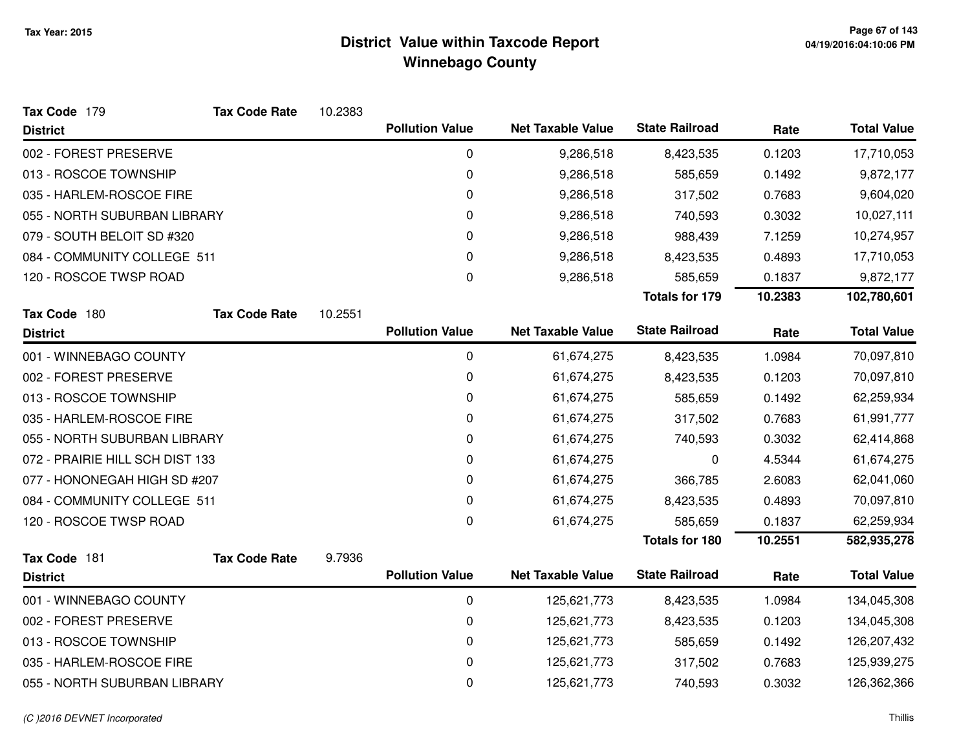| Tax Code 179                    | <b>Tax Code Rate</b> | 10.2383 |                        |                          |                       |         |                    |
|---------------------------------|----------------------|---------|------------------------|--------------------------|-----------------------|---------|--------------------|
| <b>District</b>                 |                      |         | <b>Pollution Value</b> | <b>Net Taxable Value</b> | <b>State Railroad</b> | Rate    | <b>Total Value</b> |
| 002 - FOREST PRESERVE           |                      |         | 0                      | 9,286,518                | 8,423,535             | 0.1203  | 17,710,053         |
| 013 - ROSCOE TOWNSHIP           |                      |         | 0                      | 9,286,518                | 585,659               | 0.1492  | 9,872,177          |
| 035 - HARLEM-ROSCOE FIRE        |                      |         | 0                      | 9,286,518                | 317,502               | 0.7683  | 9,604,020          |
| 055 - NORTH SUBURBAN LIBRARY    |                      |         | 0                      | 9,286,518                | 740,593               | 0.3032  | 10,027,111         |
| 079 - SOUTH BELOIT SD #320      |                      |         | 0                      | 9,286,518                | 988,439               | 7.1259  | 10,274,957         |
| 084 - COMMUNITY COLLEGE 511     |                      |         | 0                      | 9,286,518                | 8,423,535             | 0.4893  | 17,710,053         |
| 120 - ROSCOE TWSP ROAD          |                      |         | 0                      | 9,286,518                | 585,659               | 0.1837  | 9,872,177          |
|                                 |                      |         |                        |                          | <b>Totals for 179</b> | 10.2383 | 102,780,601        |
| Tax Code 180                    | <b>Tax Code Rate</b> | 10.2551 |                        |                          |                       |         |                    |
| <b>District</b>                 |                      |         | <b>Pollution Value</b> | <b>Net Taxable Value</b> | <b>State Railroad</b> | Rate    | <b>Total Value</b> |
| 001 - WINNEBAGO COUNTY          |                      |         | 0                      | 61,674,275               | 8,423,535             | 1.0984  | 70,097,810         |
| 002 - FOREST PRESERVE           |                      |         | 0                      | 61,674,275               | 8,423,535             | 0.1203  | 70,097,810         |
| 013 - ROSCOE TOWNSHIP           |                      |         | 0                      | 61,674,275               | 585,659               | 0.1492  | 62,259,934         |
| 035 - HARLEM-ROSCOE FIRE        |                      |         | 0                      | 61,674,275               | 317,502               | 0.7683  | 61,991,777         |
| 055 - NORTH SUBURBAN LIBRARY    |                      |         | 0                      | 61,674,275               | 740,593               | 0.3032  | 62,414,868         |
| 072 - PRAIRIE HILL SCH DIST 133 |                      |         | 0                      | 61,674,275               | 0                     | 4.5344  | 61,674,275         |
| 077 - HONONEGAH HIGH SD #207    |                      |         | 0                      | 61,674,275               | 366,785               | 2.6083  | 62,041,060         |
| 084 - COMMUNITY COLLEGE 511     |                      |         | 0                      | 61,674,275               | 8,423,535             | 0.4893  | 70,097,810         |
| 120 - ROSCOE TWSP ROAD          |                      |         | 0                      | 61,674,275               | 585,659               | 0.1837  | 62,259,934         |
|                                 |                      |         |                        |                          | <b>Totals for 180</b> | 10.2551 | 582,935,278        |
| Tax Code 181                    | <b>Tax Code Rate</b> | 9.7936  |                        |                          |                       |         |                    |
| <b>District</b>                 |                      |         | <b>Pollution Value</b> | <b>Net Taxable Value</b> | <b>State Railroad</b> | Rate    | <b>Total Value</b> |
| 001 - WINNEBAGO COUNTY          |                      |         | 0                      | 125,621,773              | 8,423,535             | 1.0984  | 134,045,308        |
| 002 - FOREST PRESERVE           |                      |         | 0                      | 125,621,773              | 8,423,535             | 0.1203  | 134,045,308        |
| 013 - ROSCOE TOWNSHIP           |                      |         | 0                      | 125,621,773              | 585,659               | 0.1492  | 126,207,432        |
| 035 - HARLEM-ROSCOE FIRE        |                      |         | 0                      | 125,621,773              | 317,502               | 0.7683  | 125,939,275        |
| 055 - NORTH SUBURBAN LIBRARY    |                      |         | 0                      | 125,621,773              | 740,593               | 0.3032  | 126,362,366        |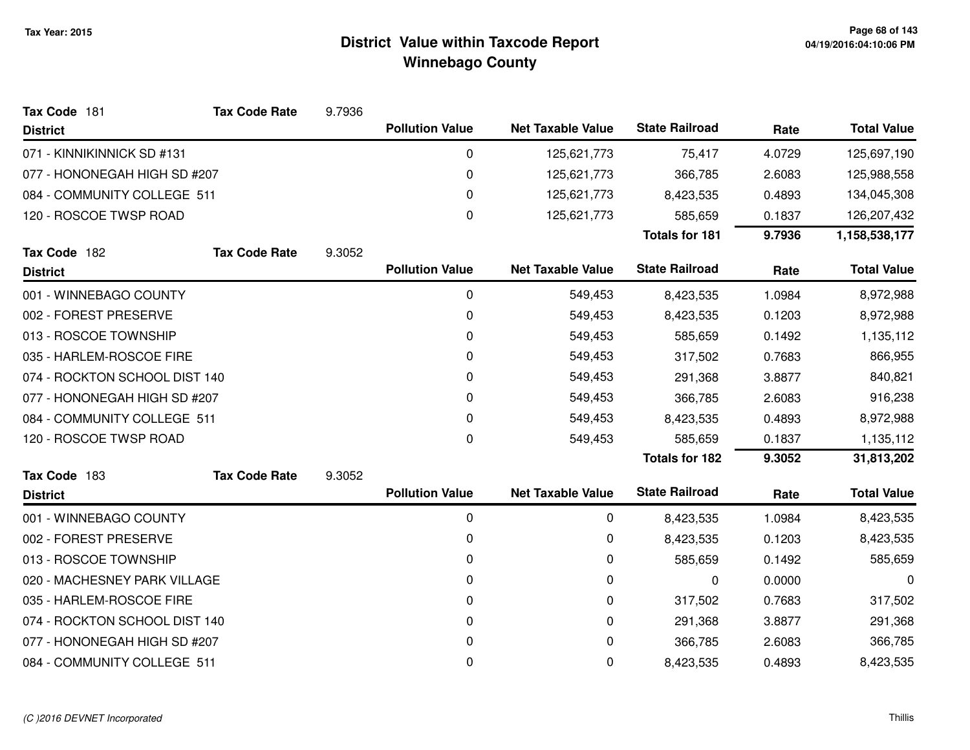| Tax Code 181                  | <b>Tax Code Rate</b> | 9.7936 |                        |                          |                       |        |                    |
|-------------------------------|----------------------|--------|------------------------|--------------------------|-----------------------|--------|--------------------|
| <b>District</b>               |                      |        | <b>Pollution Value</b> | <b>Net Taxable Value</b> | <b>State Railroad</b> | Rate   | <b>Total Value</b> |
| 071 - KINNIKINNICK SD #131    |                      |        | 0                      | 125,621,773              | 75,417                | 4.0729 | 125,697,190        |
| 077 - HONONEGAH HIGH SD #207  |                      |        | 0                      | 125,621,773              | 366,785               | 2.6083 | 125,988,558        |
| 084 - COMMUNITY COLLEGE 511   |                      |        | 0                      | 125,621,773              | 8,423,535             | 0.4893 | 134,045,308        |
| 120 - ROSCOE TWSP ROAD        |                      |        | 0                      | 125,621,773              | 585,659               | 0.1837 | 126,207,432        |
|                               |                      |        |                        |                          | <b>Totals for 181</b> | 9.7936 | 1,158,538,177      |
| Tax Code 182                  | <b>Tax Code Rate</b> | 9.3052 |                        |                          |                       |        |                    |
| <b>District</b>               |                      |        | <b>Pollution Value</b> | <b>Net Taxable Value</b> | <b>State Railroad</b> | Rate   | <b>Total Value</b> |
| 001 - WINNEBAGO COUNTY        |                      |        | 0                      | 549,453                  | 8,423,535             | 1.0984 | 8,972,988          |
| 002 - FOREST PRESERVE         |                      |        | 0                      | 549,453                  | 8,423,535             | 0.1203 | 8,972,988          |
| 013 - ROSCOE TOWNSHIP         |                      |        | 0                      | 549,453                  | 585,659               | 0.1492 | 1,135,112          |
| 035 - HARLEM-ROSCOE FIRE      |                      |        | 0                      | 549,453                  | 317,502               | 0.7683 | 866,955            |
| 074 - ROCKTON SCHOOL DIST 140 |                      |        | 0                      | 549,453                  | 291,368               | 3.8877 | 840,821            |
| 077 - HONONEGAH HIGH SD #207  |                      |        | 0                      | 549,453                  | 366,785               | 2.6083 | 916,238            |
| 084 - COMMUNITY COLLEGE 511   |                      |        | 0                      | 549,453                  | 8,423,535             | 0.4893 | 8,972,988          |
| 120 - ROSCOE TWSP ROAD        |                      |        | 0                      | 549,453                  | 585,659               | 0.1837 | 1,135,112          |
|                               |                      |        |                        |                          | <b>Totals for 182</b> | 9.3052 | 31,813,202         |
| Tax Code 183                  | <b>Tax Code Rate</b> | 9.3052 |                        |                          |                       |        |                    |
| <b>District</b>               |                      |        | <b>Pollution Value</b> | <b>Net Taxable Value</b> | <b>State Railroad</b> | Rate   | <b>Total Value</b> |
| 001 - WINNEBAGO COUNTY        |                      |        | 0                      | 0                        | 8,423,535             | 1.0984 | 8,423,535          |
| 002 - FOREST PRESERVE         |                      |        | 0                      | 0                        | 8,423,535             | 0.1203 | 8,423,535          |
| 013 - ROSCOE TOWNSHIP         |                      |        | 0                      | 0                        | 585,659               | 0.1492 | 585,659            |
| 020 - MACHESNEY PARK VILLAGE  |                      |        | 0                      | 0                        | 0                     | 0.0000 | 0                  |
| 035 - HARLEM-ROSCOE FIRE      |                      |        | 0                      | 0                        | 317,502               | 0.7683 | 317,502            |
| 074 - ROCKTON SCHOOL DIST 140 |                      |        | 0                      | 0                        | 291,368               | 3.8877 | 291,368            |
| 077 - HONONEGAH HIGH SD #207  |                      |        | 0                      | 0                        | 366,785               | 2.6083 | 366,785            |
| 084 - COMMUNITY COLLEGE 511   |                      |        | 0                      | 0                        | 8,423,535             | 0.4893 | 8,423,535          |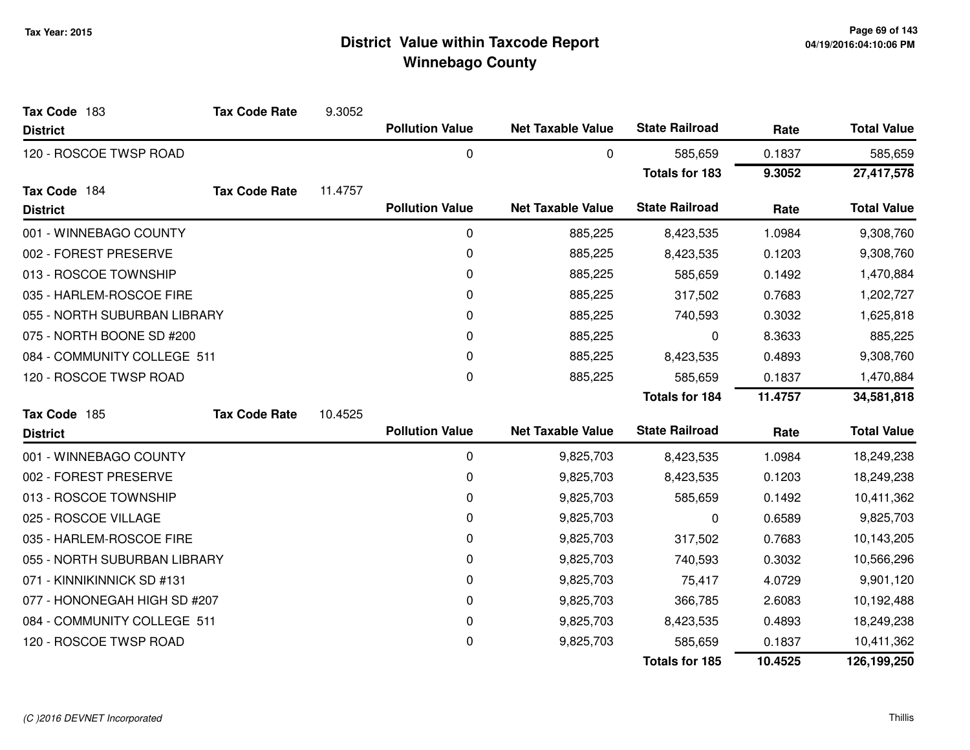| Tax Code 183                 | <b>Tax Code Rate</b> | 9.3052  |                        |                          |                       |         |                    |
|------------------------------|----------------------|---------|------------------------|--------------------------|-----------------------|---------|--------------------|
| <b>District</b>              |                      |         | <b>Pollution Value</b> | <b>Net Taxable Value</b> | <b>State Railroad</b> | Rate    | <b>Total Value</b> |
| 120 - ROSCOE TWSP ROAD       |                      |         | 0                      | 0                        | 585,659               | 0.1837  | 585,659            |
|                              |                      |         |                        |                          | <b>Totals for 183</b> | 9.3052  | 27,417,578         |
| Tax Code 184                 | <b>Tax Code Rate</b> | 11.4757 |                        |                          |                       |         |                    |
| <b>District</b>              |                      |         | <b>Pollution Value</b> | <b>Net Taxable Value</b> | <b>State Railroad</b> | Rate    | <b>Total Value</b> |
| 001 - WINNEBAGO COUNTY       |                      |         | 0                      | 885,225                  | 8,423,535             | 1.0984  | 9,308,760          |
| 002 - FOREST PRESERVE        |                      |         | 0                      | 885,225                  | 8,423,535             | 0.1203  | 9,308,760          |
| 013 - ROSCOE TOWNSHIP        |                      |         | 0                      | 885,225                  | 585,659               | 0.1492  | 1,470,884          |
| 035 - HARLEM-ROSCOE FIRE     |                      |         | 0                      | 885,225                  | 317,502               | 0.7683  | 1,202,727          |
| 055 - NORTH SUBURBAN LIBRARY |                      |         | 0                      | 885,225                  | 740,593               | 0.3032  | 1,625,818          |
| 075 - NORTH BOONE SD #200    |                      |         | 0                      | 885,225                  | 0                     | 8.3633  | 885,225            |
| 084 - COMMUNITY COLLEGE 511  |                      |         | 0                      | 885,225                  | 8,423,535             | 0.4893  | 9,308,760          |
| 120 - ROSCOE TWSP ROAD       |                      |         | 0                      | 885,225                  | 585,659               | 0.1837  | 1,470,884          |
|                              |                      |         |                        |                          | <b>Totals for 184</b> | 11.4757 | 34,581,818         |
| Tax Code 185                 | <b>Tax Code Rate</b> | 10.4525 |                        |                          |                       |         |                    |
| <b>District</b>              |                      |         | <b>Pollution Value</b> | <b>Net Taxable Value</b> | <b>State Railroad</b> | Rate    | <b>Total Value</b> |
| 001 - WINNEBAGO COUNTY       |                      |         | 0                      | 9,825,703                | 8,423,535             | 1.0984  | 18,249,238         |
| 002 - FOREST PRESERVE        |                      |         | 0                      | 9,825,703                | 8,423,535             | 0.1203  | 18,249,238         |
| 013 - ROSCOE TOWNSHIP        |                      |         | 0                      | 9,825,703                | 585,659               | 0.1492  | 10,411,362         |
| 025 - ROSCOE VILLAGE         |                      |         | 0                      | 9,825,703                | 0                     | 0.6589  | 9,825,703          |
| 035 - HARLEM-ROSCOE FIRE     |                      |         | 0                      | 9,825,703                | 317,502               | 0.7683  | 10,143,205         |
| 055 - NORTH SUBURBAN LIBRARY |                      |         | 0                      | 9,825,703                | 740,593               | 0.3032  | 10,566,296         |
| 071 - KINNIKINNICK SD #131   |                      |         | 0                      | 9,825,703                | 75,417                | 4.0729  | 9,901,120          |
| 077 - HONONEGAH HIGH SD #207 |                      |         | 0                      | 9,825,703                | 366,785               | 2.6083  | 10,192,488         |
| 084 - COMMUNITY COLLEGE 511  |                      |         | 0                      | 9,825,703                | 8,423,535             | 0.4893  | 18,249,238         |
| 120 - ROSCOE TWSP ROAD       |                      |         | 0                      | 9,825,703                | 585,659               | 0.1837  | 10,411,362         |
|                              |                      |         |                        |                          | <b>Totals for 185</b> | 10.4525 | 126,199,250        |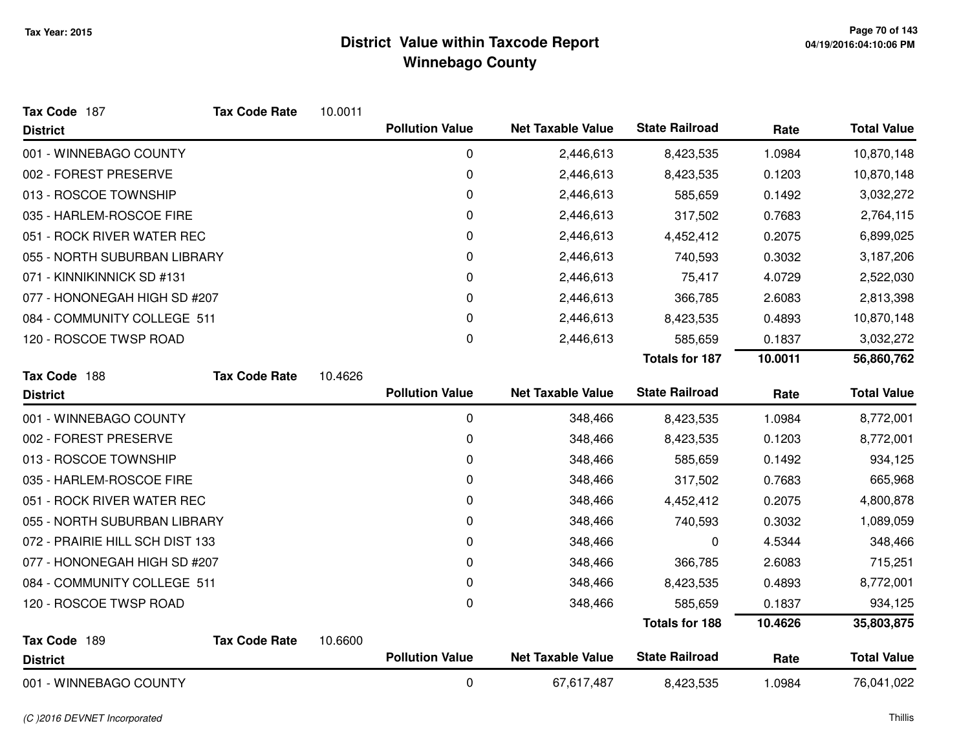| Tax Code 187                    | <b>Tax Code Rate</b> | 10.0011 |                        |                          |                       |         |                    |
|---------------------------------|----------------------|---------|------------------------|--------------------------|-----------------------|---------|--------------------|
| <b>District</b>                 |                      |         | <b>Pollution Value</b> | <b>Net Taxable Value</b> | <b>State Railroad</b> | Rate    | <b>Total Value</b> |
| 001 - WINNEBAGO COUNTY          |                      |         | 0                      | 2,446,613                | 8,423,535             | 1.0984  | 10,870,148         |
| 002 - FOREST PRESERVE           |                      |         | 0                      | 2,446,613                | 8,423,535             | 0.1203  | 10,870,148         |
| 013 - ROSCOE TOWNSHIP           |                      |         | 0                      | 2,446,613                | 585,659               | 0.1492  | 3,032,272          |
| 035 - HARLEM-ROSCOE FIRE        |                      |         | 0                      | 2,446,613                | 317,502               | 0.7683  | 2,764,115          |
| 051 - ROCK RIVER WATER REC      |                      |         | 0                      | 2,446,613                | 4,452,412             | 0.2075  | 6,899,025          |
| 055 - NORTH SUBURBAN LIBRARY    |                      |         | 0                      | 2,446,613                | 740,593               | 0.3032  | 3,187,206          |
| 071 - KINNIKINNICK SD #131      |                      |         | 0                      | 2,446,613                | 75,417                | 4.0729  | 2,522,030          |
| 077 - HONONEGAH HIGH SD #207    |                      |         | 0                      | 2,446,613                | 366,785               | 2.6083  | 2,813,398          |
| 084 - COMMUNITY COLLEGE 511     |                      |         | 0                      | 2,446,613                | 8,423,535             | 0.4893  | 10,870,148         |
| 120 - ROSCOE TWSP ROAD          |                      |         | 0                      | 2,446,613                | 585,659               | 0.1837  | 3,032,272          |
|                                 |                      |         |                        |                          | <b>Totals for 187</b> | 10.0011 | 56,860,762         |
| Tax Code 188                    | <b>Tax Code Rate</b> | 10.4626 |                        |                          |                       |         |                    |
| <b>District</b>                 |                      |         | <b>Pollution Value</b> | <b>Net Taxable Value</b> | <b>State Railroad</b> | Rate    | <b>Total Value</b> |
| 001 - WINNEBAGO COUNTY          |                      |         | 0                      | 348,466                  | 8,423,535             | 1.0984  | 8,772,001          |
| 002 - FOREST PRESERVE           |                      |         | 0                      | 348,466                  | 8,423,535             | 0.1203  | 8,772,001          |
| 013 - ROSCOE TOWNSHIP           |                      |         | 0                      | 348,466                  | 585,659               | 0.1492  | 934,125            |
| 035 - HARLEM-ROSCOE FIRE        |                      |         | 0                      | 348,466                  | 317,502               | 0.7683  | 665,968            |
| 051 - ROCK RIVER WATER REC      |                      |         | 0                      | 348,466                  | 4,452,412             | 0.2075  | 4,800,878          |
| 055 - NORTH SUBURBAN LIBRARY    |                      |         | 0                      | 348,466                  | 740,593               | 0.3032  | 1,089,059          |
| 072 - PRAIRIE HILL SCH DIST 133 |                      |         | 0                      | 348,466                  | 0                     | 4.5344  | 348,466            |
| 077 - HONONEGAH HIGH SD #207    |                      |         | 0                      | 348,466                  | 366,785               | 2.6083  | 715,251            |
| 084 - COMMUNITY COLLEGE 511     |                      |         | 0                      | 348,466                  | 8,423,535             | 0.4893  | 8,772,001          |
| 120 - ROSCOE TWSP ROAD          |                      |         | 0                      | 348,466                  | 585,659               | 0.1837  | 934,125            |
|                                 |                      |         |                        |                          | <b>Totals for 188</b> | 10.4626 | 35,803,875         |
| Tax Code 189                    | <b>Tax Code Rate</b> | 10.6600 |                        |                          |                       |         |                    |
| <b>District</b>                 |                      |         | <b>Pollution Value</b> | <b>Net Taxable Value</b> | <b>State Railroad</b> | Rate    | <b>Total Value</b> |
| 001 - WINNEBAGO COUNTY          |                      |         | 0                      | 67,617,487               | 8,423,535             | 1.0984  | 76,041,022         |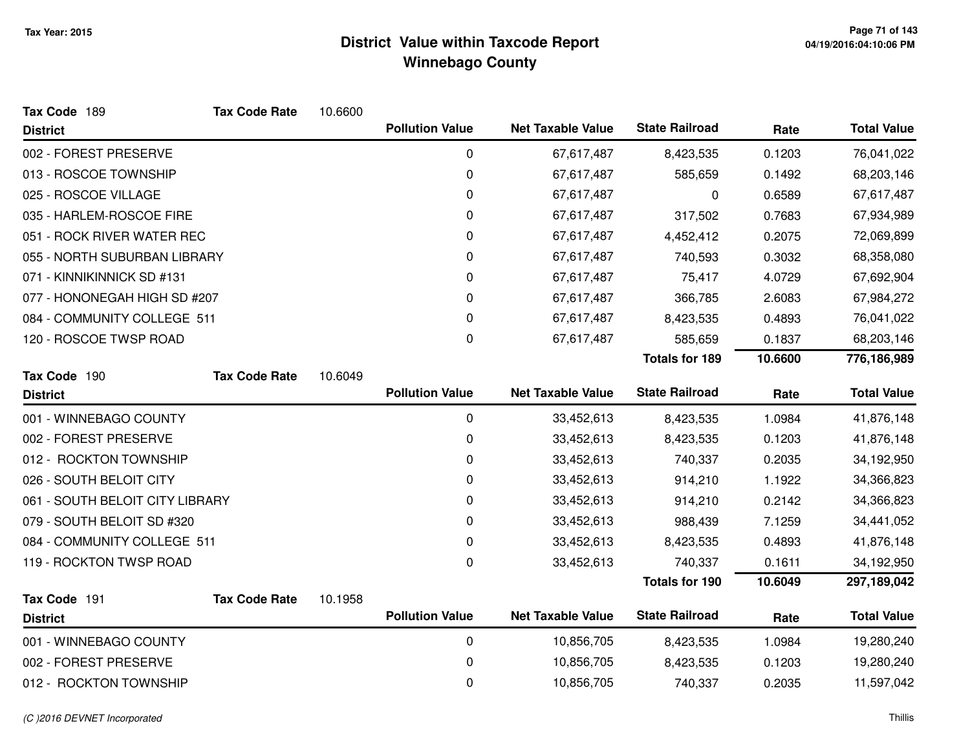| Tax Code 189                    | <b>Tax Code Rate</b> | 10.6600 |                        |                          |                       |         |                    |
|---------------------------------|----------------------|---------|------------------------|--------------------------|-----------------------|---------|--------------------|
| <b>District</b>                 |                      |         | <b>Pollution Value</b> | <b>Net Taxable Value</b> | <b>State Railroad</b> | Rate    | <b>Total Value</b> |
| 002 - FOREST PRESERVE           |                      |         | 0                      | 67,617,487               | 8,423,535             | 0.1203  | 76,041,022         |
| 013 - ROSCOE TOWNSHIP           |                      |         | 0                      | 67,617,487               | 585,659               | 0.1492  | 68,203,146         |
| 025 - ROSCOE VILLAGE            |                      |         | 0                      | 67,617,487               | 0                     | 0.6589  | 67,617,487         |
| 035 - HARLEM-ROSCOE FIRE        |                      |         | 0                      | 67,617,487               | 317,502               | 0.7683  | 67,934,989         |
| 051 - ROCK RIVER WATER REC      |                      |         | 0                      | 67,617,487               | 4,452,412             | 0.2075  | 72,069,899         |
| 055 - NORTH SUBURBAN LIBRARY    |                      |         | 0                      | 67,617,487               | 740,593               | 0.3032  | 68,358,080         |
| 071 - KINNIKINNICK SD #131      |                      |         | 0                      | 67,617,487               | 75,417                | 4.0729  | 67,692,904         |
| 077 - HONONEGAH HIGH SD #207    |                      |         | 0                      | 67,617,487               | 366,785               | 2.6083  | 67,984,272         |
| 084 - COMMUNITY COLLEGE 511     |                      |         | 0                      | 67,617,487               | 8,423,535             | 0.4893  | 76,041,022         |
| 120 - ROSCOE TWSP ROAD          |                      |         | 0                      | 67,617,487               | 585,659               | 0.1837  | 68,203,146         |
|                                 |                      |         |                        |                          | <b>Totals for 189</b> | 10.6600 | 776,186,989        |
| Tax Code 190                    | <b>Tax Code Rate</b> | 10.6049 |                        |                          |                       |         |                    |
| <b>District</b>                 |                      |         | <b>Pollution Value</b> | <b>Net Taxable Value</b> | <b>State Railroad</b> | Rate    | <b>Total Value</b> |
| 001 - WINNEBAGO COUNTY          |                      |         | $\mathbf 0$            | 33,452,613               | 8,423,535             | 1.0984  | 41,876,148         |
| 002 - FOREST PRESERVE           |                      |         | 0                      | 33,452,613               | 8,423,535             | 0.1203  | 41,876,148         |
| 012 - ROCKTON TOWNSHIP          |                      |         | 0                      | 33,452,613               | 740,337               | 0.2035  | 34,192,950         |
| 026 - SOUTH BELOIT CITY         |                      |         | 0                      | 33,452,613               | 914,210               | 1.1922  | 34,366,823         |
| 061 - SOUTH BELOIT CITY LIBRARY |                      |         | 0                      | 33,452,613               | 914,210               | 0.2142  | 34,366,823         |
| 079 - SOUTH BELOIT SD #320      |                      |         | 0                      | 33,452,613               | 988,439               | 7.1259  | 34,441,052         |
| 084 - COMMUNITY COLLEGE 511     |                      |         | 0                      | 33,452,613               | 8,423,535             | 0.4893  | 41,876,148         |
| 119 - ROCKTON TWSP ROAD         |                      |         | 0                      | 33,452,613               | 740,337               | 0.1611  | 34,192,950         |
|                                 |                      |         |                        |                          | <b>Totals for 190</b> | 10.6049 | 297,189,042        |
| Tax Code 191                    | <b>Tax Code Rate</b> | 10.1958 |                        |                          |                       |         |                    |
| <b>District</b>                 |                      |         | <b>Pollution Value</b> | <b>Net Taxable Value</b> | <b>State Railroad</b> | Rate    | <b>Total Value</b> |
| 001 - WINNEBAGO COUNTY          |                      |         | $\pmb{0}$              | 10,856,705               | 8,423,535             | 1.0984  | 19,280,240         |
| 002 - FOREST PRESERVE           |                      |         | 0                      | 10,856,705               | 8,423,535             | 0.1203  | 19,280,240         |
| 012 - ROCKTON TOWNSHIP          |                      |         | 0                      | 10,856,705               | 740,337               | 0.2035  | 11,597,042         |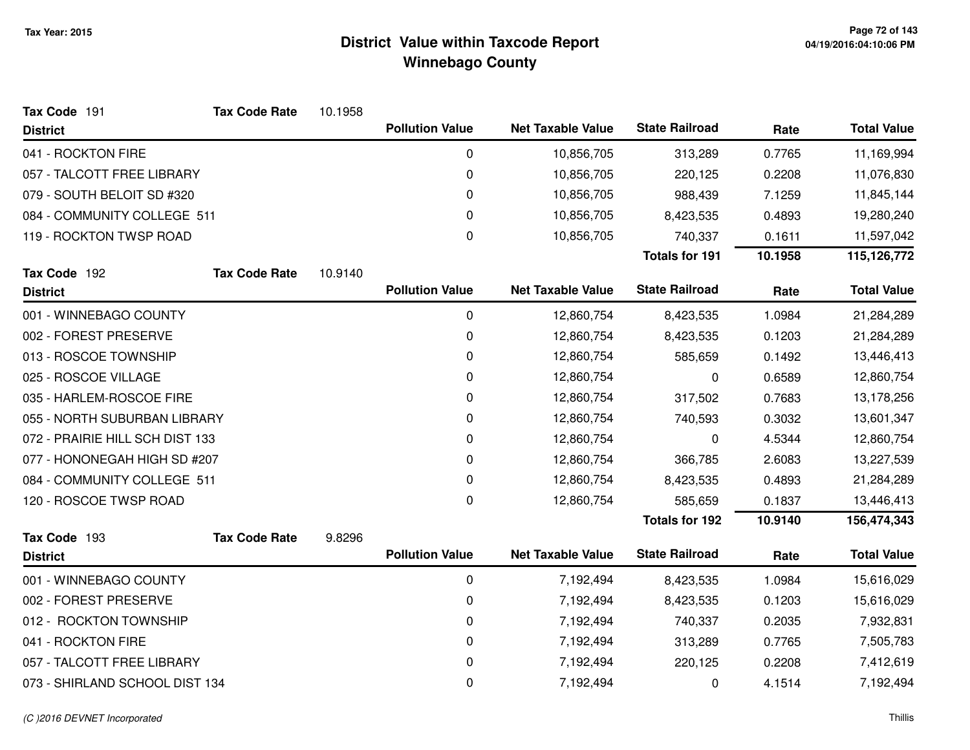| Tax Code 191                    | <b>Tax Code Rate</b> | 10.1958 |                        |                          |                       |         |                    |
|---------------------------------|----------------------|---------|------------------------|--------------------------|-----------------------|---------|--------------------|
| <b>District</b>                 |                      |         | <b>Pollution Value</b> | <b>Net Taxable Value</b> | <b>State Railroad</b> | Rate    | <b>Total Value</b> |
| 041 - ROCKTON FIRE              |                      |         | $\mathbf 0$            | 10,856,705               | 313,289               | 0.7765  | 11,169,994         |
| 057 - TALCOTT FREE LIBRARY      |                      |         | 0                      | 10,856,705               | 220,125               | 0.2208  | 11,076,830         |
| 079 - SOUTH BELOIT SD #320      |                      |         | 0                      | 10,856,705               | 988,439               | 7.1259  | 11,845,144         |
| 084 - COMMUNITY COLLEGE 511     |                      |         | 0                      | 10,856,705               | 8,423,535             | 0.4893  | 19,280,240         |
| 119 - ROCKTON TWSP ROAD         |                      |         | 0                      | 10,856,705               | 740,337               | 0.1611  | 11,597,042         |
|                                 |                      |         |                        |                          | <b>Totals for 191</b> | 10.1958 | 115,126,772        |
| Tax Code 192                    | <b>Tax Code Rate</b> | 10.9140 |                        |                          |                       |         |                    |
| <b>District</b>                 |                      |         | <b>Pollution Value</b> | <b>Net Taxable Value</b> | <b>State Railroad</b> | Rate    | <b>Total Value</b> |
| 001 - WINNEBAGO COUNTY          |                      |         | $\mathbf 0$            | 12,860,754               | 8,423,535             | 1.0984  | 21,284,289         |
| 002 - FOREST PRESERVE           |                      |         | 0                      | 12,860,754               | 8,423,535             | 0.1203  | 21,284,289         |
| 013 - ROSCOE TOWNSHIP           |                      |         | 0                      | 12,860,754               | 585,659               | 0.1492  | 13,446,413         |
| 025 - ROSCOE VILLAGE            |                      |         | 0                      | 12,860,754               | 0                     | 0.6589  | 12,860,754         |
| 035 - HARLEM-ROSCOE FIRE        |                      |         | 0                      | 12,860,754               | 317,502               | 0.7683  | 13,178,256         |
| 055 - NORTH SUBURBAN LIBRARY    |                      |         | 0                      | 12,860,754               | 740,593               | 0.3032  | 13,601,347         |
| 072 - PRAIRIE HILL SCH DIST 133 |                      |         | 0                      | 12,860,754               | 0                     | 4.5344  | 12,860,754         |
| 077 - HONONEGAH HIGH SD #207    |                      |         | 0                      | 12,860,754               | 366,785               | 2.6083  | 13,227,539         |
| 084 - COMMUNITY COLLEGE 511     |                      |         | $\mathbf 0$            | 12,860,754               | 8,423,535             | 0.4893  | 21,284,289         |
| 120 - ROSCOE TWSP ROAD          |                      |         | 0                      | 12,860,754               | 585,659               | 0.1837  | 13,446,413         |
|                                 |                      |         |                        |                          | <b>Totals for 192</b> | 10.9140 | 156,474,343        |
| Tax Code 193                    | <b>Tax Code Rate</b> | 9.8296  |                        |                          |                       |         |                    |
| <b>District</b>                 |                      |         | <b>Pollution Value</b> | <b>Net Taxable Value</b> | <b>State Railroad</b> | Rate    | <b>Total Value</b> |
| 001 - WINNEBAGO COUNTY          |                      |         | $\mathbf 0$            | 7,192,494                | 8,423,535             | 1.0984  | 15,616,029         |
| 002 - FOREST PRESERVE           |                      |         | 0                      | 7,192,494                | 8,423,535             | 0.1203  | 15,616,029         |
| 012 - ROCKTON TOWNSHIP          |                      |         | 0                      | 7,192,494                | 740,337               | 0.2035  | 7,932,831          |
| 041 - ROCKTON FIRE              |                      |         | 0                      | 7,192,494                | 313,289               | 0.7765  | 7,505,783          |
| 057 - TALCOTT FREE LIBRARY      |                      |         | 0                      | 7,192,494                | 220,125               | 0.2208  | 7,412,619          |
| 073 - SHIRLAND SCHOOL DIST 134  |                      |         | 0                      | 7,192,494                | 0                     | 4.1514  | 7,192,494          |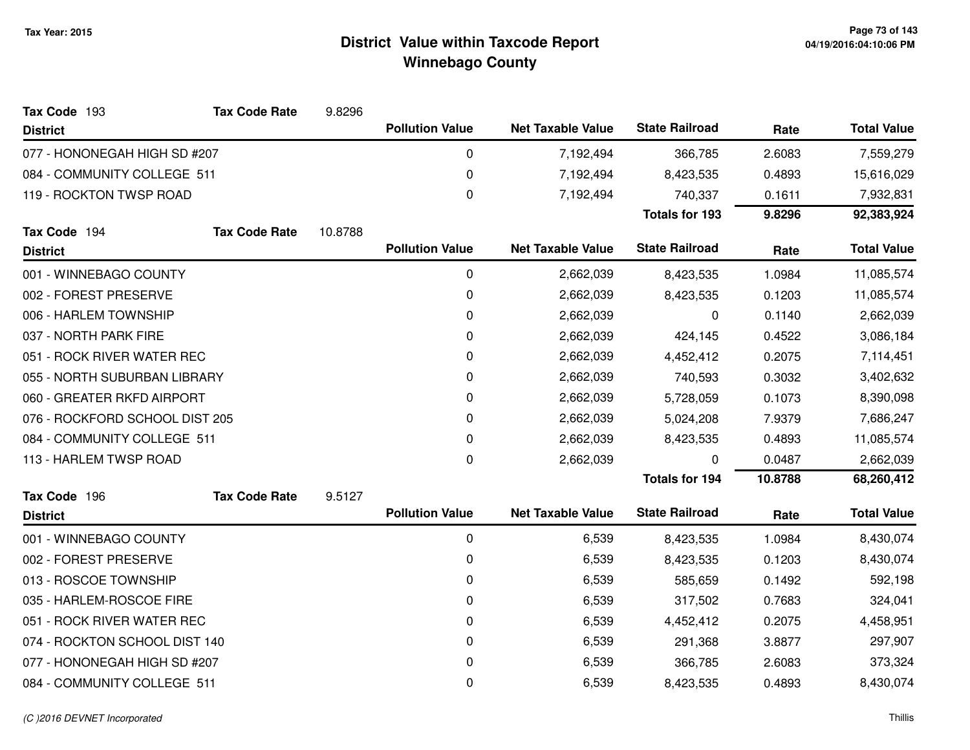| Tax Code 193                   | <b>Tax Code Rate</b> | 9.8296  |                        |                          |                       |         |                    |
|--------------------------------|----------------------|---------|------------------------|--------------------------|-----------------------|---------|--------------------|
| <b>District</b>                |                      |         | <b>Pollution Value</b> | <b>Net Taxable Value</b> | <b>State Railroad</b> | Rate    | <b>Total Value</b> |
| 077 - HONONEGAH HIGH SD #207   |                      |         | 0                      | 7,192,494                | 366,785               | 2.6083  | 7,559,279          |
| 084 - COMMUNITY COLLEGE 511    |                      |         | $\mathbf 0$            | 7,192,494                | 8,423,535             | 0.4893  | 15,616,029         |
| 119 - ROCKTON TWSP ROAD        |                      |         | 0                      | 7,192,494                | 740,337               | 0.1611  | 7,932,831          |
|                                |                      |         |                        |                          | <b>Totals for 193</b> | 9.8296  | 92,383,924         |
| Tax Code 194                   | <b>Tax Code Rate</b> | 10.8788 |                        |                          |                       |         |                    |
| <b>District</b>                |                      |         | <b>Pollution Value</b> | <b>Net Taxable Value</b> | <b>State Railroad</b> | Rate    | <b>Total Value</b> |
| 001 - WINNEBAGO COUNTY         |                      |         | $\mathbf 0$            | 2,662,039                | 8,423,535             | 1.0984  | 11,085,574         |
| 002 - FOREST PRESERVE          |                      |         | $\mathbf 0$            | 2,662,039                | 8,423,535             | 0.1203  | 11,085,574         |
| 006 - HARLEM TOWNSHIP          |                      |         | $\mathbf 0$            | 2,662,039                | 0                     | 0.1140  | 2,662,039          |
| 037 - NORTH PARK FIRE          |                      |         | 0                      | 2,662,039                | 424,145               | 0.4522  | 3,086,184          |
| 051 - ROCK RIVER WATER REC     |                      |         | 0                      | 2,662,039                | 4,452,412             | 0.2075  | 7,114,451          |
| 055 - NORTH SUBURBAN LIBRARY   |                      |         | 0                      | 2,662,039                | 740,593               | 0.3032  | 3,402,632          |
| 060 - GREATER RKFD AIRPORT     |                      |         | 0                      | 2,662,039                | 5,728,059             | 0.1073  | 8,390,098          |
| 076 - ROCKFORD SCHOOL DIST 205 |                      |         | $\mathbf 0$            | 2,662,039                | 5,024,208             | 7.9379  | 7,686,247          |
| 084 - COMMUNITY COLLEGE 511    |                      |         | 0                      | 2,662,039                | 8,423,535             | 0.4893  | 11,085,574         |
| 113 - HARLEM TWSP ROAD         |                      |         | 0                      | 2,662,039                | 0                     | 0.0487  | 2,662,039          |
|                                |                      |         |                        |                          | <b>Totals for 194</b> | 10.8788 | 68,260,412         |
| Tax Code 196                   | <b>Tax Code Rate</b> | 9.5127  |                        |                          |                       |         |                    |
| <b>District</b>                |                      |         | <b>Pollution Value</b> | <b>Net Taxable Value</b> | <b>State Railroad</b> | Rate    | <b>Total Value</b> |
| 001 - WINNEBAGO COUNTY         |                      |         | 0                      | 6,539                    | 8,423,535             | 1.0984  | 8,430,074          |
| 002 - FOREST PRESERVE          |                      |         | $\mathbf 0$            | 6,539                    | 8,423,535             | 0.1203  | 8,430,074          |
| 013 - ROSCOE TOWNSHIP          |                      |         | 0                      | 6,539                    | 585,659               | 0.1492  | 592,198            |
| 035 - HARLEM-ROSCOE FIRE       |                      |         | 0                      | 6,539                    | 317,502               | 0.7683  | 324,041            |
| 051 - ROCK RIVER WATER REC     |                      |         | 0                      | 6,539                    | 4,452,412             | 0.2075  | 4,458,951          |
| 074 - ROCKTON SCHOOL DIST 140  |                      |         | 0                      | 6,539                    | 291,368               | 3.8877  | 297,907            |
| 077 - HONONEGAH HIGH SD #207   |                      |         | 0                      | 6,539                    | 366,785               | 2.6083  | 373,324            |
| 084 - COMMUNITY COLLEGE 511    |                      |         | 0                      | 6,539                    | 8,423,535             | 0.4893  | 8,430,074          |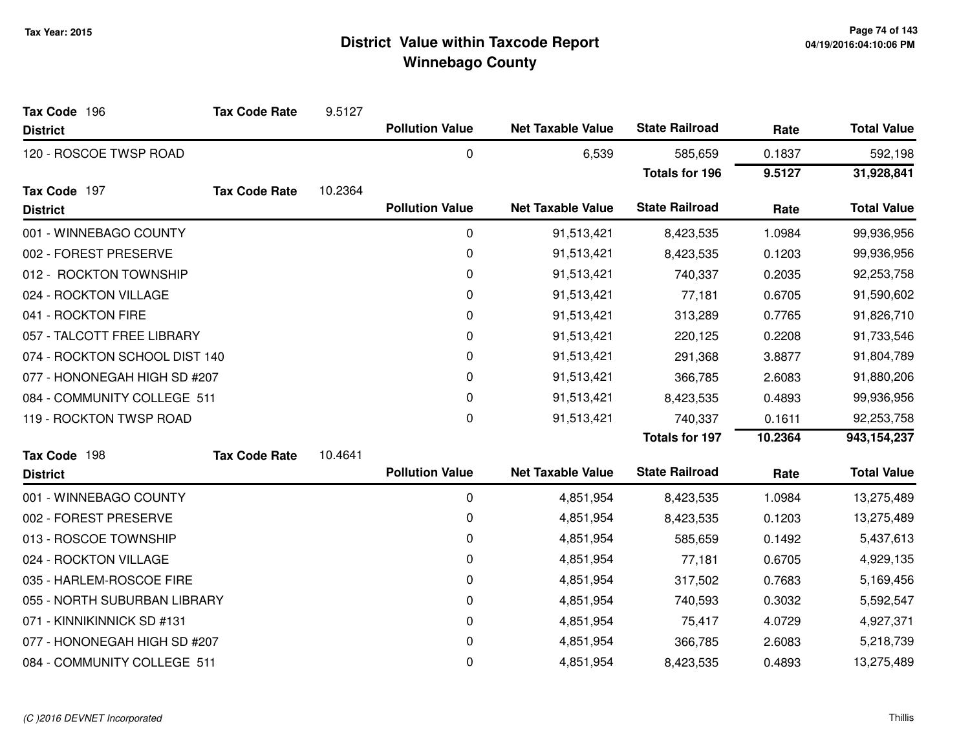| Tax Code 196                  | <b>Tax Code Rate</b> | 9.5127  |                        |                          |                       |         |                    |
|-------------------------------|----------------------|---------|------------------------|--------------------------|-----------------------|---------|--------------------|
| <b>District</b>               |                      |         | <b>Pollution Value</b> | <b>Net Taxable Value</b> | <b>State Railroad</b> | Rate    | <b>Total Value</b> |
| 120 - ROSCOE TWSP ROAD        |                      |         | 0                      | 6,539                    | 585,659               | 0.1837  | 592,198            |
|                               |                      |         |                        |                          | <b>Totals for 196</b> | 9.5127  | 31,928,841         |
| Tax Code 197                  | <b>Tax Code Rate</b> | 10.2364 |                        |                          |                       |         |                    |
| <b>District</b>               |                      |         | <b>Pollution Value</b> | <b>Net Taxable Value</b> | <b>State Railroad</b> | Rate    | <b>Total Value</b> |
| 001 - WINNEBAGO COUNTY        |                      |         | 0                      | 91,513,421               | 8,423,535             | 1.0984  | 99,936,956         |
| 002 - FOREST PRESERVE         |                      |         | 0                      | 91,513,421               | 8,423,535             | 0.1203  | 99,936,956         |
| 012 - ROCKTON TOWNSHIP        |                      |         | 0                      | 91,513,421               | 740,337               | 0.2035  | 92,253,758         |
| 024 - ROCKTON VILLAGE         |                      |         | 0                      | 91,513,421               | 77,181                | 0.6705  | 91,590,602         |
| 041 - ROCKTON FIRE            |                      |         | 0                      | 91,513,421               | 313,289               | 0.7765  | 91,826,710         |
| 057 - TALCOTT FREE LIBRARY    |                      |         | 0                      | 91,513,421               | 220,125               | 0.2208  | 91,733,546         |
| 074 - ROCKTON SCHOOL DIST 140 |                      |         | 0                      | 91,513,421               | 291,368               | 3.8877  | 91,804,789         |
| 077 - HONONEGAH HIGH SD #207  |                      |         | 0                      | 91,513,421               | 366,785               | 2.6083  | 91,880,206         |
| 084 - COMMUNITY COLLEGE 511   |                      |         | 0                      | 91,513,421               | 8,423,535             | 0.4893  | 99,936,956         |
| 119 - ROCKTON TWSP ROAD       |                      |         | 0                      | 91,513,421               | 740,337               | 0.1611  | 92,253,758         |
|                               |                      |         |                        |                          | <b>Totals for 197</b> | 10.2364 | 943,154,237        |
| Tax Code 198                  | <b>Tax Code Rate</b> | 10.4641 |                        |                          |                       |         |                    |
| <b>District</b>               |                      |         | <b>Pollution Value</b> | <b>Net Taxable Value</b> | <b>State Railroad</b> | Rate    | <b>Total Value</b> |
| 001 - WINNEBAGO COUNTY        |                      |         | $\boldsymbol{0}$       | 4,851,954                | 8,423,535             | 1.0984  | 13,275,489         |
| 002 - FOREST PRESERVE         |                      |         | 0                      | 4,851,954                | 8,423,535             | 0.1203  | 13,275,489         |
| 013 - ROSCOE TOWNSHIP         |                      |         | 0                      | 4,851,954                | 585,659               | 0.1492  | 5,437,613          |
| 024 - ROCKTON VILLAGE         |                      |         | 0                      | 4,851,954                | 77,181                | 0.6705  | 4,929,135          |
| 035 - HARLEM-ROSCOE FIRE      |                      |         | 0                      | 4,851,954                | 317,502               | 0.7683  | 5,169,456          |
| 055 - NORTH SUBURBAN LIBRARY  |                      |         | 0                      | 4,851,954                | 740,593               | 0.3032  | 5,592,547          |
| 071 - KINNIKINNICK SD #131    |                      |         | 0                      | 4,851,954                | 75,417                | 4.0729  | 4,927,371          |
| 077 - HONONEGAH HIGH SD #207  |                      |         | 0                      | 4,851,954                | 366,785               | 2.6083  | 5,218,739          |
| 084 - COMMUNITY COLLEGE 511   |                      |         | 0                      | 4,851,954                | 8,423,535             | 0.4893  | 13,275,489         |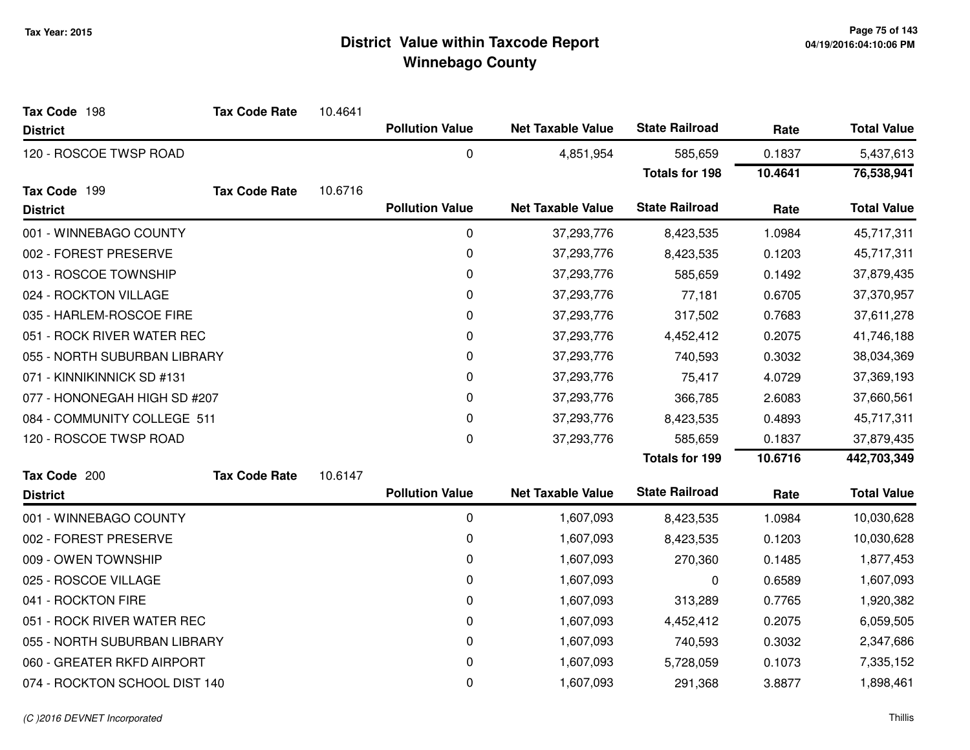| Tax Code 198                  | <b>Tax Code Rate</b> | 10.4641 |                        |                          |                       |         |                    |
|-------------------------------|----------------------|---------|------------------------|--------------------------|-----------------------|---------|--------------------|
| <b>District</b>               |                      |         | <b>Pollution Value</b> | <b>Net Taxable Value</b> | <b>State Railroad</b> | Rate    | <b>Total Value</b> |
| 120 - ROSCOE TWSP ROAD        |                      |         | 0                      | 4,851,954                | 585,659               | 0.1837  | 5,437,613          |
|                               |                      |         |                        |                          | <b>Totals for 198</b> | 10.4641 | 76,538,941         |
| Tax Code 199                  | <b>Tax Code Rate</b> | 10.6716 |                        |                          |                       |         |                    |
| <b>District</b>               |                      |         | <b>Pollution Value</b> | <b>Net Taxable Value</b> | <b>State Railroad</b> | Rate    | <b>Total Value</b> |
| 001 - WINNEBAGO COUNTY        |                      |         | $\mathbf 0$            | 37,293,776               | 8,423,535             | 1.0984  | 45,717,311         |
| 002 - FOREST PRESERVE         |                      |         | 0                      | 37,293,776               | 8,423,535             | 0.1203  | 45,717,311         |
| 013 - ROSCOE TOWNSHIP         |                      |         | $\pmb{0}$              | 37,293,776               | 585,659               | 0.1492  | 37,879,435         |
| 024 - ROCKTON VILLAGE         |                      |         | 0                      | 37,293,776               | 77,181                | 0.6705  | 37,370,957         |
| 035 - HARLEM-ROSCOE FIRE      |                      |         | 0                      | 37,293,776               | 317,502               | 0.7683  | 37,611,278         |
| 051 - ROCK RIVER WATER REC    |                      |         | 0                      | 37,293,776               | 4,452,412             | 0.2075  | 41,746,188         |
| 055 - NORTH SUBURBAN LIBRARY  |                      |         | $\pmb{0}$              | 37,293,776               | 740,593               | 0.3032  | 38,034,369         |
| 071 - KINNIKINNICK SD #131    |                      |         | 0                      | 37,293,776               | 75,417                | 4.0729  | 37,369,193         |
| 077 - HONONEGAH HIGH SD #207  |                      |         | 0                      | 37,293,776               | 366,785               | 2.6083  | 37,660,561         |
| 084 - COMMUNITY COLLEGE 511   |                      |         | $\pmb{0}$              | 37,293,776               | 8,423,535             | 0.4893  | 45,717,311         |
| 120 - ROSCOE TWSP ROAD        |                      |         | 0                      | 37,293,776               | 585,659               | 0.1837  | 37,879,435         |
|                               |                      |         |                        |                          | <b>Totals for 199</b> | 10.6716 | 442,703,349        |
| Tax Code 200                  | <b>Tax Code Rate</b> | 10.6147 |                        |                          |                       |         |                    |
| <b>District</b>               |                      |         | <b>Pollution Value</b> | <b>Net Taxable Value</b> | <b>State Railroad</b> | Rate    | <b>Total Value</b> |
| 001 - WINNEBAGO COUNTY        |                      |         | 0                      | 1,607,093                | 8,423,535             | 1.0984  | 10,030,628         |
| 002 - FOREST PRESERVE         |                      |         | 0                      | 1,607,093                | 8,423,535             | 0.1203  | 10,030,628         |
| 009 - OWEN TOWNSHIP           |                      |         | $\pmb{0}$              | 1,607,093                | 270,360               | 0.1485  | 1,877,453          |
| 025 - ROSCOE VILLAGE          |                      |         | 0                      | 1,607,093                | 0                     | 0.6589  | 1,607,093          |
| 041 - ROCKTON FIRE            |                      |         | 0                      | 1,607,093                | 313,289               | 0.7765  | 1,920,382          |
| 051 - ROCK RIVER WATER REC    |                      |         | 0                      | 1,607,093                | 4,452,412             | 0.2075  | 6,059,505          |
| 055 - NORTH SUBURBAN LIBRARY  |                      |         | 0                      | 1,607,093                | 740,593               | 0.3032  | 2,347,686          |
| 060 - GREATER RKFD AIRPORT    |                      |         | 0                      | 1,607,093                | 5,728,059             | 0.1073  | 7,335,152          |
| 074 - ROCKTON SCHOOL DIST 140 |                      |         | 0                      | 1,607,093                | 291,368               | 3.8877  | 1,898,461          |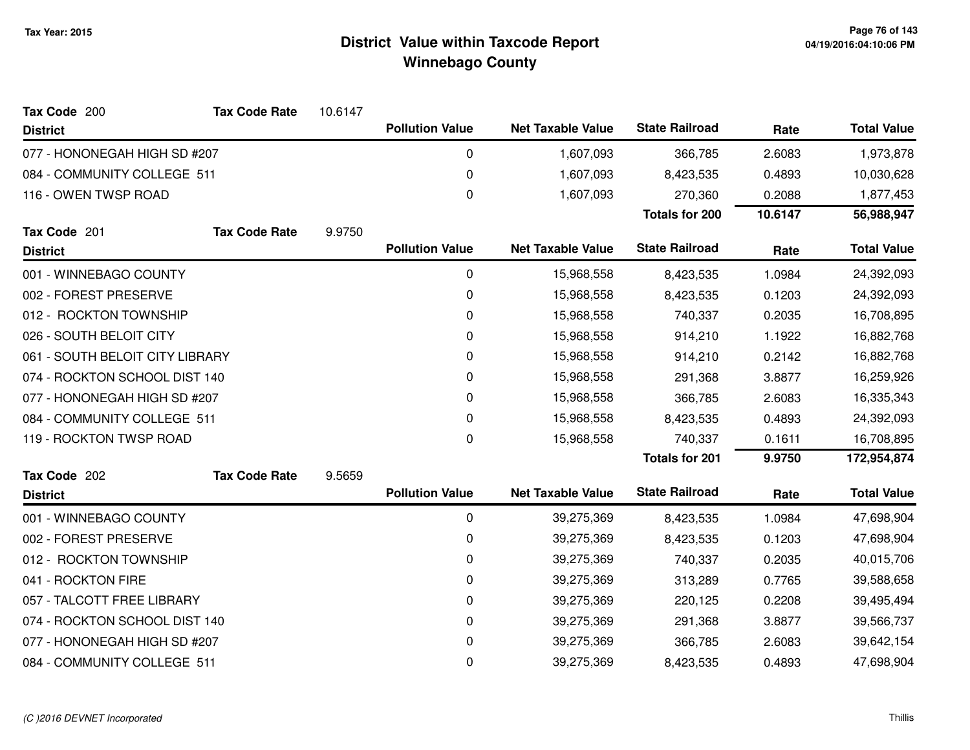| Tax Code 200                    | <b>Tax Code Rate</b> | 10.6147 |                        |                          |                       |         |                    |
|---------------------------------|----------------------|---------|------------------------|--------------------------|-----------------------|---------|--------------------|
| <b>District</b>                 |                      |         | <b>Pollution Value</b> | <b>Net Taxable Value</b> | <b>State Railroad</b> | Rate    | <b>Total Value</b> |
| 077 - HONONEGAH HIGH SD #207    |                      |         | 0                      | 1,607,093                | 366,785               | 2.6083  | 1,973,878          |
| 084 - COMMUNITY COLLEGE 511     |                      |         | 0                      | 1,607,093                | 8,423,535             | 0.4893  | 10,030,628         |
| 116 - OWEN TWSP ROAD            |                      |         | $\boldsymbol{0}$       | 1,607,093                | 270,360               | 0.2088  | 1,877,453          |
|                                 |                      |         |                        |                          | <b>Totals for 200</b> | 10.6147 | 56,988,947         |
| Tax Code 201                    | <b>Tax Code Rate</b> | 9.9750  |                        |                          |                       |         |                    |
| <b>District</b>                 |                      |         | <b>Pollution Value</b> | <b>Net Taxable Value</b> | <b>State Railroad</b> | Rate    | <b>Total Value</b> |
| 001 - WINNEBAGO COUNTY          |                      |         | 0                      | 15,968,558               | 8,423,535             | 1.0984  | 24,392,093         |
| 002 - FOREST PRESERVE           |                      |         | 0                      | 15,968,558               | 8,423,535             | 0.1203  | 24,392,093         |
| 012 - ROCKTON TOWNSHIP          |                      |         | $\mathbf 0$            | 15,968,558               | 740,337               | 0.2035  | 16,708,895         |
| 026 - SOUTH BELOIT CITY         |                      |         | 0                      | 15,968,558               | 914,210               | 1.1922  | 16,882,768         |
| 061 - SOUTH BELOIT CITY LIBRARY |                      |         | 0                      | 15,968,558               | 914,210               | 0.2142  | 16,882,768         |
| 074 - ROCKTON SCHOOL DIST 140   |                      |         | $\pmb{0}$              | 15,968,558               | 291,368               | 3.8877  | 16,259,926         |
| 077 - HONONEGAH HIGH SD #207    |                      |         | 0                      | 15,968,558               | 366,785               | 2.6083  | 16,335,343         |
| 084 - COMMUNITY COLLEGE 511     |                      |         | 0                      | 15,968,558               | 8,423,535             | 0.4893  | 24,392,093         |
| 119 - ROCKTON TWSP ROAD         |                      |         | $\pmb{0}$              | 15,968,558               | 740,337               | 0.1611  | 16,708,895         |
|                                 |                      |         |                        |                          | <b>Totals for 201</b> | 9.9750  | 172,954,874        |
| Tax Code 202                    | <b>Tax Code Rate</b> | 9.5659  |                        |                          |                       |         |                    |
| <b>District</b>                 |                      |         | <b>Pollution Value</b> | <b>Net Taxable Value</b> | <b>State Railroad</b> | Rate    | <b>Total Value</b> |
| 001 - WINNEBAGO COUNTY          |                      |         | 0                      | 39,275,369               | 8,423,535             | 1.0984  | 47,698,904         |
| 002 - FOREST PRESERVE           |                      |         | 0                      | 39,275,369               | 8,423,535             | 0.1203  | 47,698,904         |
| 012 - ROCKTON TOWNSHIP          |                      |         | 0                      | 39,275,369               | 740,337               | 0.2035  | 40,015,706         |
| 041 - ROCKTON FIRE              |                      |         | 0                      | 39,275,369               | 313,289               | 0.7765  | 39,588,658         |
| 057 - TALCOTT FREE LIBRARY      |                      |         | 0                      | 39,275,369               | 220,125               | 0.2208  | 39,495,494         |
| 074 - ROCKTON SCHOOL DIST 140   |                      |         | $\mathbf 0$            | 39,275,369               | 291,368               | 3.8877  | 39,566,737         |
| 077 - HONONEGAH HIGH SD #207    |                      |         | 0                      | 39,275,369               | 366,785               | 2.6083  | 39,642,154         |
| 084 - COMMUNITY COLLEGE 511     |                      |         | $\pmb{0}$              | 39,275,369               | 8,423,535             | 0.4893  | 47,698,904         |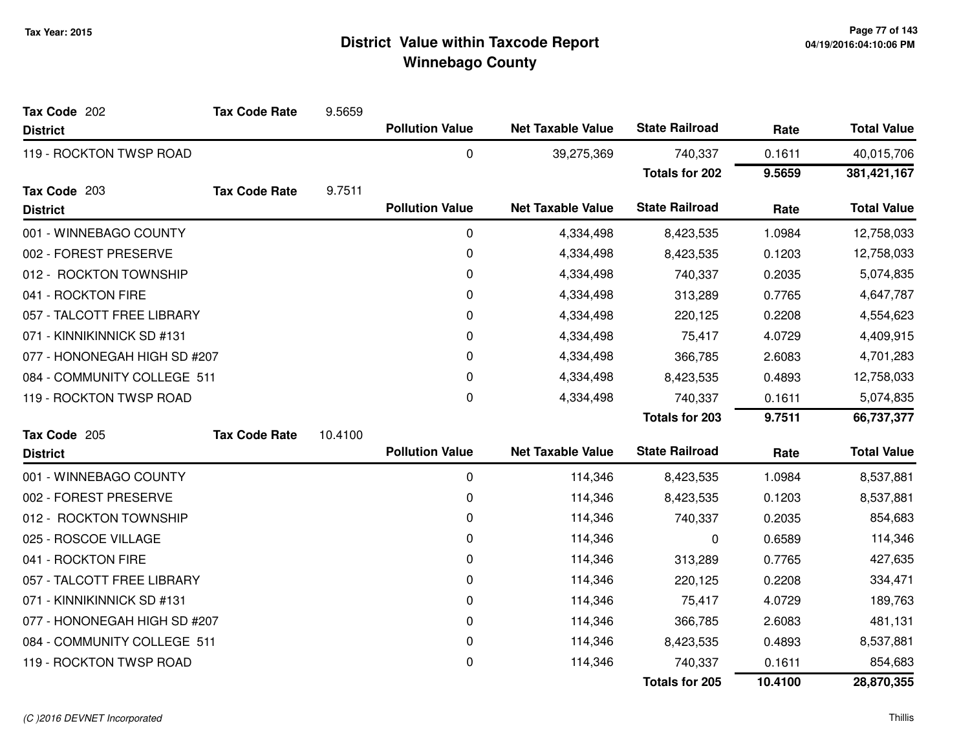| Tax Code 202                 | <b>Tax Code Rate</b> | 9.5659  |                        |                          |                       |         |                    |
|------------------------------|----------------------|---------|------------------------|--------------------------|-----------------------|---------|--------------------|
| <b>District</b>              |                      |         | <b>Pollution Value</b> | <b>Net Taxable Value</b> | <b>State Railroad</b> | Rate    | <b>Total Value</b> |
| 119 - ROCKTON TWSP ROAD      |                      |         | 0                      | 39,275,369               | 740,337               | 0.1611  | 40,015,706         |
|                              |                      |         |                        |                          | <b>Totals for 202</b> | 9.5659  | 381,421,167        |
| Tax Code 203                 | <b>Tax Code Rate</b> | 9.7511  |                        |                          |                       |         |                    |
| <b>District</b>              |                      |         | <b>Pollution Value</b> | <b>Net Taxable Value</b> | <b>State Railroad</b> | Rate    | <b>Total Value</b> |
| 001 - WINNEBAGO COUNTY       |                      |         | $\mathbf 0$            | 4,334,498                | 8,423,535             | 1.0984  | 12,758,033         |
| 002 - FOREST PRESERVE        |                      |         | 0                      | 4,334,498                | 8,423,535             | 0.1203  | 12,758,033         |
| 012 - ROCKTON TOWNSHIP       |                      |         | $\mathbf 0$            | 4,334,498                | 740,337               | 0.2035  | 5,074,835          |
| 041 - ROCKTON FIRE           |                      |         | 0                      | 4,334,498                | 313,289               | 0.7765  | 4,647,787          |
| 057 - TALCOTT FREE LIBRARY   |                      |         | 0                      | 4,334,498                | 220,125               | 0.2208  | 4,554,623          |
| 071 - KINNIKINNICK SD #131   |                      |         | 0                      | 4,334,498                | 75,417                | 4.0729  | 4,409,915          |
| 077 - HONONEGAH HIGH SD #207 |                      |         | 0                      | 4,334,498                | 366,785               | 2.6083  | 4,701,283          |
| 084 - COMMUNITY COLLEGE 511  |                      |         | 0                      | 4,334,498                | 8,423,535             | 0.4893  | 12,758,033         |
| 119 - ROCKTON TWSP ROAD      |                      |         | 0                      | 4,334,498                | 740,337               | 0.1611  | 5,074,835          |
|                              |                      |         |                        |                          | <b>Totals for 203</b> | 9.7511  | 66,737,377         |
| Tax Code 205                 | <b>Tax Code Rate</b> | 10.4100 |                        |                          |                       |         |                    |
| <b>District</b>              |                      |         | <b>Pollution Value</b> | <b>Net Taxable Value</b> | <b>State Railroad</b> | Rate    | <b>Total Value</b> |
| 001 - WINNEBAGO COUNTY       |                      |         | $\mathbf 0$            | 114,346                  | 8,423,535             | 1.0984  | 8,537,881          |
| 002 - FOREST PRESERVE        |                      |         | 0                      | 114,346                  | 8,423,535             | 0.1203  | 8,537,881          |
| 012 - ROCKTON TOWNSHIP       |                      |         | 0                      | 114,346                  | 740,337               | 0.2035  | 854,683            |
| 025 - ROSCOE VILLAGE         |                      |         | 0                      | 114,346                  | 0                     | 0.6589  | 114,346            |
| 041 - ROCKTON FIRE           |                      |         | 0                      | 114,346                  | 313,289               | 0.7765  | 427,635            |
| 057 - TALCOTT FREE LIBRARY   |                      |         | 0                      | 114,346                  | 220,125               | 0.2208  | 334,471            |
| 071 - KINNIKINNICK SD #131   |                      |         | 0                      | 114,346                  | 75,417                | 4.0729  | 189,763            |
| 077 - HONONEGAH HIGH SD #207 |                      |         | 0                      | 114,346                  | 366,785               | 2.6083  | 481,131            |
| 084 - COMMUNITY COLLEGE 511  |                      |         | 0                      | 114,346                  | 8,423,535             | 0.4893  | 8,537,881          |
| 119 - ROCKTON TWSP ROAD      |                      |         | $\mathbf 0$            | 114,346                  | 740,337               | 0.1611  | 854,683            |
|                              |                      |         |                        |                          | <b>Totals for 205</b> | 10.4100 | 28,870,355         |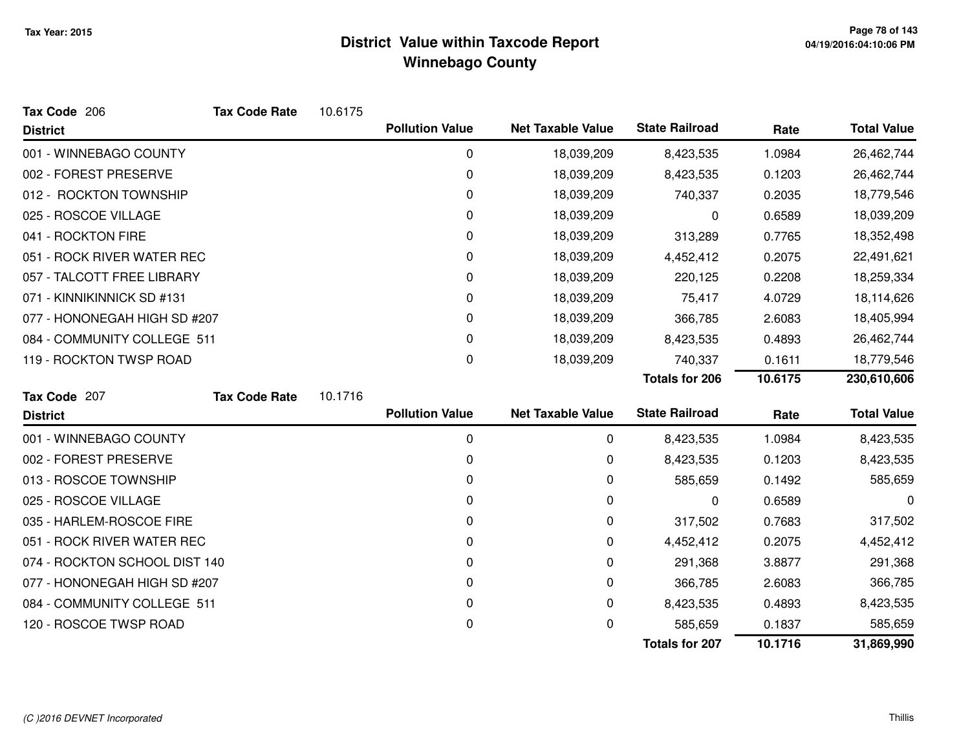| Tax Code 206                  | <b>Tax Code Rate</b> | 10.6175 |                        |                          |                       |         |                    |
|-------------------------------|----------------------|---------|------------------------|--------------------------|-----------------------|---------|--------------------|
| <b>District</b>               |                      |         | <b>Pollution Value</b> | <b>Net Taxable Value</b> | <b>State Railroad</b> | Rate    | <b>Total Value</b> |
| 001 - WINNEBAGO COUNTY        |                      |         | 0                      | 18,039,209               | 8,423,535             | 1.0984  | 26,462,744         |
| 002 - FOREST PRESERVE         |                      |         | 0                      | 18,039,209               | 8,423,535             | 0.1203  | 26,462,744         |
| 012 - ROCKTON TOWNSHIP        |                      |         | 0                      | 18,039,209               | 740,337               | 0.2035  | 18,779,546         |
| 025 - ROSCOE VILLAGE          |                      |         | 0                      | 18,039,209               | 0                     | 0.6589  | 18,039,209         |
| 041 - ROCKTON FIRE            |                      |         | 0                      | 18,039,209               | 313,289               | 0.7765  | 18,352,498         |
| 051 - ROCK RIVER WATER REC    |                      |         | 0                      | 18,039,209               | 4,452,412             | 0.2075  | 22,491,621         |
| 057 - TALCOTT FREE LIBRARY    |                      |         | 0                      | 18,039,209               | 220,125               | 0.2208  | 18,259,334         |
| 071 - KINNIKINNICK SD #131    |                      |         | 0                      | 18,039,209               | 75,417                | 4.0729  | 18,114,626         |
| 077 - HONONEGAH HIGH SD #207  |                      |         | 0                      | 18,039,209               | 366,785               | 2.6083  | 18,405,994         |
| 084 - COMMUNITY COLLEGE 511   |                      |         | 0                      | 18,039,209               | 8,423,535             | 0.4893  | 26,462,744         |
| 119 - ROCKTON TWSP ROAD       |                      |         | 0                      | 18,039,209               | 740,337               | 0.1611  | 18,779,546         |
|                               |                      |         |                        |                          | <b>Totals for 206</b> | 10.6175 | 230,610,606        |
| Tax Code 207                  | <b>Tax Code Rate</b> | 10.1716 |                        |                          |                       |         |                    |
| <b>District</b>               |                      |         | <b>Pollution Value</b> | <b>Net Taxable Value</b> | <b>State Railroad</b> | Rate    | <b>Total Value</b> |
| 001 - WINNEBAGO COUNTY        |                      |         | 0                      | 0                        | 8,423,535             | 1.0984  | 8,423,535          |
| 002 - FOREST PRESERVE         |                      |         | 0                      | 0                        | 8,423,535             | 0.1203  | 8,423,535          |
| 013 - ROSCOE TOWNSHIP         |                      |         | 0                      | 0                        | 585,659               | 0.1492  | 585,659            |
| 025 - ROSCOE VILLAGE          |                      |         | 0                      | 0                        | 0                     | 0.6589  | 0                  |
| 035 - HARLEM-ROSCOE FIRE      |                      |         | 0                      | 0                        | 317,502               | 0.7683  | 317,502            |
| 051 - ROCK RIVER WATER REC    |                      |         | 0                      | 0                        | 4,452,412             | 0.2075  | 4,452,412          |
| 074 - ROCKTON SCHOOL DIST 140 |                      |         | 0                      | 0                        | 291,368               | 3.8877  | 291,368            |
| 077 - HONONEGAH HIGH SD #207  |                      |         | 0                      | 0                        | 366,785               | 2.6083  | 366,785            |
| 084 - COMMUNITY COLLEGE 511   |                      |         | 0                      | 0                        | 8,423,535             | 0.4893  | 8,423,535          |
| 120 - ROSCOE TWSP ROAD        |                      |         | 0                      | 0                        | 585,659               | 0.1837  | 585,659            |
|                               |                      |         |                        |                          | <b>Totals for 207</b> | 10.1716 | 31,869,990         |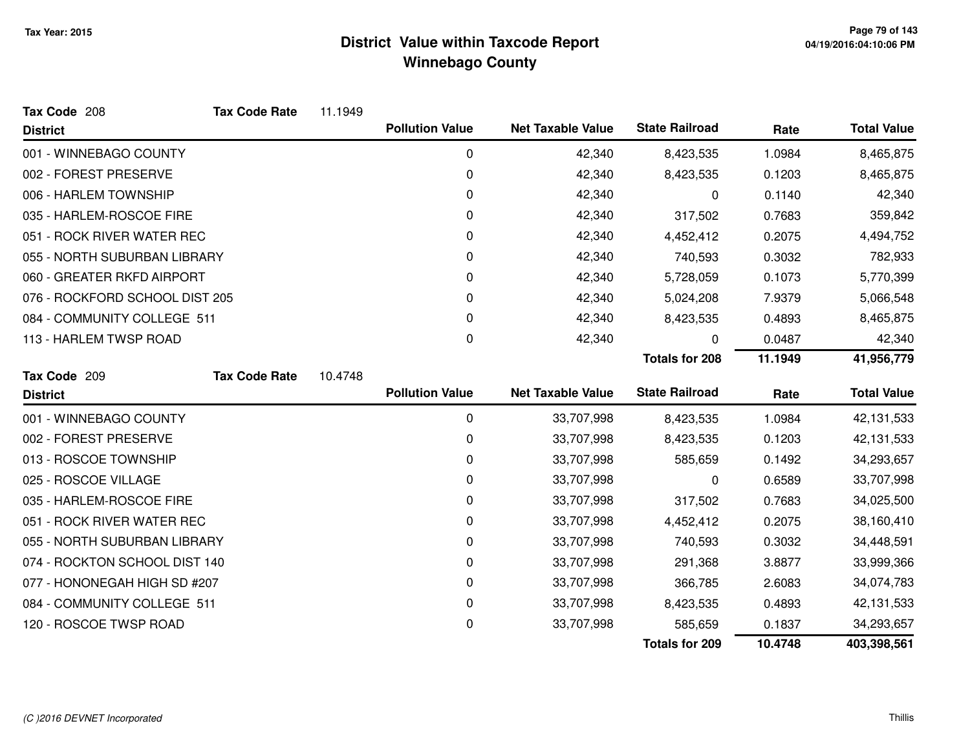| Tax Code 208                   | <b>Tax Code Rate</b> | 11.1949 |                        |                          |                       |         |                    |
|--------------------------------|----------------------|---------|------------------------|--------------------------|-----------------------|---------|--------------------|
| <b>District</b>                |                      |         | <b>Pollution Value</b> | <b>Net Taxable Value</b> | <b>State Railroad</b> | Rate    | <b>Total Value</b> |
| 001 - WINNEBAGO COUNTY         |                      |         | 0                      | 42,340                   | 8,423,535             | 1.0984  | 8,465,875          |
| 002 - FOREST PRESERVE          |                      |         | 0                      | 42,340                   | 8,423,535             | 0.1203  | 8,465,875          |
| 006 - HARLEM TOWNSHIP          |                      |         | 0                      | 42,340                   | 0                     | 0.1140  | 42,340             |
| 035 - HARLEM-ROSCOE FIRE       |                      |         | 0                      | 42,340                   | 317,502               | 0.7683  | 359,842            |
| 051 - ROCK RIVER WATER REC     |                      |         | 0                      | 42,340                   | 4,452,412             | 0.2075  | 4,494,752          |
| 055 - NORTH SUBURBAN LIBRARY   |                      |         | 0                      | 42,340                   | 740,593               | 0.3032  | 782,933            |
| 060 - GREATER RKFD AIRPORT     |                      |         | 0                      | 42,340                   | 5,728,059             | 0.1073  | 5,770,399          |
| 076 - ROCKFORD SCHOOL DIST 205 |                      |         | 0                      | 42,340                   | 5,024,208             | 7.9379  | 5,066,548          |
| 084 - COMMUNITY COLLEGE 511    |                      |         | 0                      | 42,340                   | 8,423,535             | 0.4893  | 8,465,875          |
| 113 - HARLEM TWSP ROAD         |                      |         | 0                      | 42,340                   | 0                     | 0.0487  | 42,340             |
|                                |                      |         |                        |                          | <b>Totals for 208</b> | 11.1949 | 41,956,779         |
| Tax Code 209                   | <b>Tax Code Rate</b> | 10.4748 |                        |                          |                       |         |                    |
| <b>District</b>                |                      |         | <b>Pollution Value</b> | <b>Net Taxable Value</b> | <b>State Railroad</b> | Rate    | <b>Total Value</b> |
| 001 - WINNEBAGO COUNTY         |                      |         | 0                      | 33,707,998               | 8,423,535             | 1.0984  | 42,131,533         |
| 002 - FOREST PRESERVE          |                      |         | 0                      | 33,707,998               | 8,423,535             | 0.1203  | 42,131,533         |
| 013 - ROSCOE TOWNSHIP          |                      |         | 0                      | 33,707,998               | 585,659               | 0.1492  | 34,293,657         |
| 025 - ROSCOE VILLAGE           |                      |         | 0                      | 33,707,998               | 0                     | 0.6589  | 33,707,998         |
| 035 - HARLEM-ROSCOE FIRE       |                      |         | 0                      | 33,707,998               | 317,502               | 0.7683  | 34,025,500         |
| 051 - ROCK RIVER WATER REC     |                      |         | 0                      | 33,707,998               | 4,452,412             | 0.2075  | 38,160,410         |
| 055 - NORTH SUBURBAN LIBRARY   |                      |         | 0                      | 33,707,998               | 740,593               | 0.3032  | 34,448,591         |
| 074 - ROCKTON SCHOOL DIST 140  |                      |         | 0                      | 33,707,998               | 291,368               | 3.8877  | 33,999,366         |
| 077 - HONONEGAH HIGH SD #207   |                      |         | 0                      | 33,707,998               | 366,785               | 2.6083  | 34,074,783         |
| 084 - COMMUNITY COLLEGE 511    |                      |         | $\pmb{0}$              | 33,707,998               | 8,423,535             | 0.4893  | 42,131,533         |
| 120 - ROSCOE TWSP ROAD         |                      |         | 0                      | 33,707,998               | 585,659               | 0.1837  | 34,293,657         |
|                                |                      |         |                        |                          | <b>Totals for 209</b> | 10.4748 | 403,398,561        |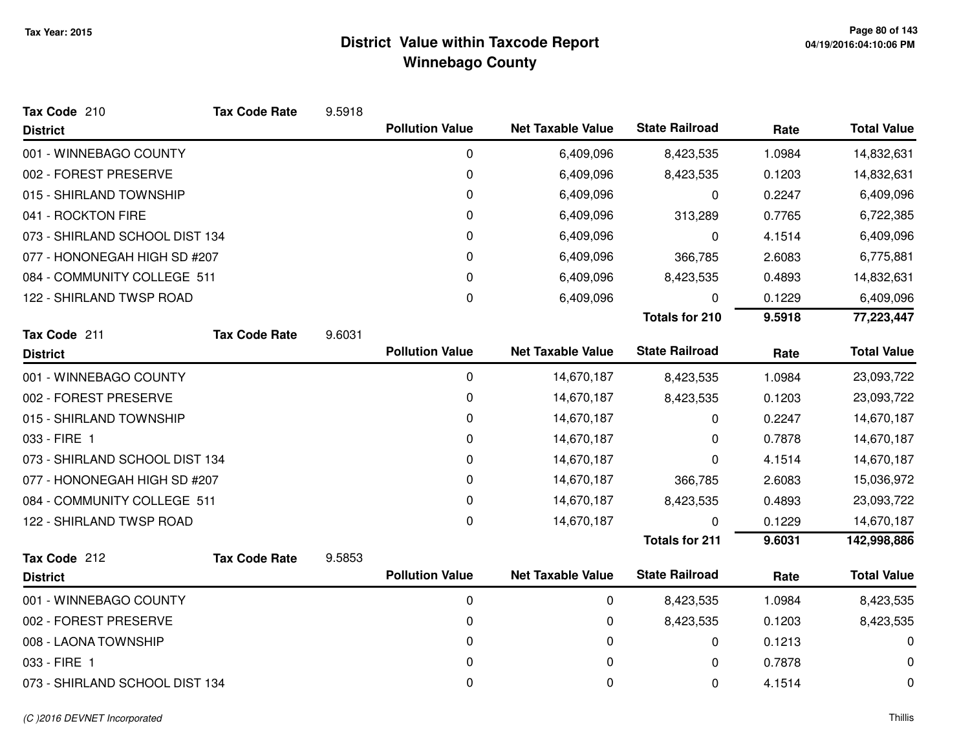| Tax Code 210                   | <b>Tax Code Rate</b> | 9.5918 |                        |                          |                       |        |                    |
|--------------------------------|----------------------|--------|------------------------|--------------------------|-----------------------|--------|--------------------|
| <b>District</b>                |                      |        | <b>Pollution Value</b> | <b>Net Taxable Value</b> | <b>State Railroad</b> | Rate   | <b>Total Value</b> |
| 001 - WINNEBAGO COUNTY         |                      |        | 0                      | 6,409,096                | 8,423,535             | 1.0984 | 14,832,631         |
| 002 - FOREST PRESERVE          |                      |        | 0                      | 6,409,096                | 8,423,535             | 0.1203 | 14,832,631         |
| 015 - SHIRLAND TOWNSHIP        |                      |        | 0                      | 6,409,096                | 0                     | 0.2247 | 6,409,096          |
| 041 - ROCKTON FIRE             |                      |        | 0                      | 6,409,096                | 313,289               | 0.7765 | 6,722,385          |
| 073 - SHIRLAND SCHOOL DIST 134 |                      |        | 0                      | 6,409,096                | 0                     | 4.1514 | 6,409,096          |
| 077 - HONONEGAH HIGH SD #207   |                      |        | 0                      | 6,409,096                | 366,785               | 2.6083 | 6,775,881          |
| 084 - COMMUNITY COLLEGE 511    |                      |        | 0                      | 6,409,096                | 8,423,535             | 0.4893 | 14,832,631         |
| 122 - SHIRLAND TWSP ROAD       |                      |        | 0                      | 6,409,096                | 0                     | 0.1229 | 6,409,096          |
|                                |                      |        |                        |                          | <b>Totals for 210</b> | 9.5918 | 77,223,447         |
| Tax Code 211                   | <b>Tax Code Rate</b> | 9.6031 |                        |                          |                       |        |                    |
| <b>District</b>                |                      |        | <b>Pollution Value</b> | <b>Net Taxable Value</b> | <b>State Railroad</b> | Rate   | <b>Total Value</b> |
| 001 - WINNEBAGO COUNTY         |                      |        | $\mathbf 0$            | 14,670,187               | 8,423,535             | 1.0984 | 23,093,722         |
| 002 - FOREST PRESERVE          |                      |        | 0                      | 14,670,187               | 8,423,535             | 0.1203 | 23,093,722         |
| 015 - SHIRLAND TOWNSHIP        |                      |        | 0                      | 14,670,187               | 0                     | 0.2247 | 14,670,187         |
| 033 - FIRE 1                   |                      |        | 0                      | 14,670,187               | 0                     | 0.7878 | 14,670,187         |
| 073 - SHIRLAND SCHOOL DIST 134 |                      |        | 0                      | 14,670,187               | 0                     | 4.1514 | 14,670,187         |
| 077 - HONONEGAH HIGH SD #207   |                      |        | 0                      | 14,670,187               | 366,785               | 2.6083 | 15,036,972         |
| 084 - COMMUNITY COLLEGE 511    |                      |        | 0                      | 14,670,187               | 8,423,535             | 0.4893 | 23,093,722         |
| 122 - SHIRLAND TWSP ROAD       |                      |        | 0                      | 14,670,187               | 0                     | 0.1229 | 14,670,187         |
|                                |                      |        |                        |                          | <b>Totals for 211</b> | 9.6031 | 142,998,886        |
| Tax Code 212                   | <b>Tax Code Rate</b> | 9.5853 |                        |                          |                       |        |                    |
| <b>District</b>                |                      |        | <b>Pollution Value</b> | <b>Net Taxable Value</b> | <b>State Railroad</b> | Rate   | <b>Total Value</b> |
| 001 - WINNEBAGO COUNTY         |                      |        | 0                      | 0                        | 8,423,535             | 1.0984 | 8,423,535          |
| 002 - FOREST PRESERVE          |                      |        | 0                      | 0                        | 8,423,535             | 0.1203 | 8,423,535          |
| 008 - LAONA TOWNSHIP           |                      |        | 0                      | 0                        | 0                     | 0.1213 | 0                  |
| 033 - FIRE 1                   |                      |        | 0                      | 0                        | 0                     | 0.7878 | 0                  |
| 073 - SHIRLAND SCHOOL DIST 134 |                      |        | 0                      | 0                        | 0                     | 4.1514 | 0                  |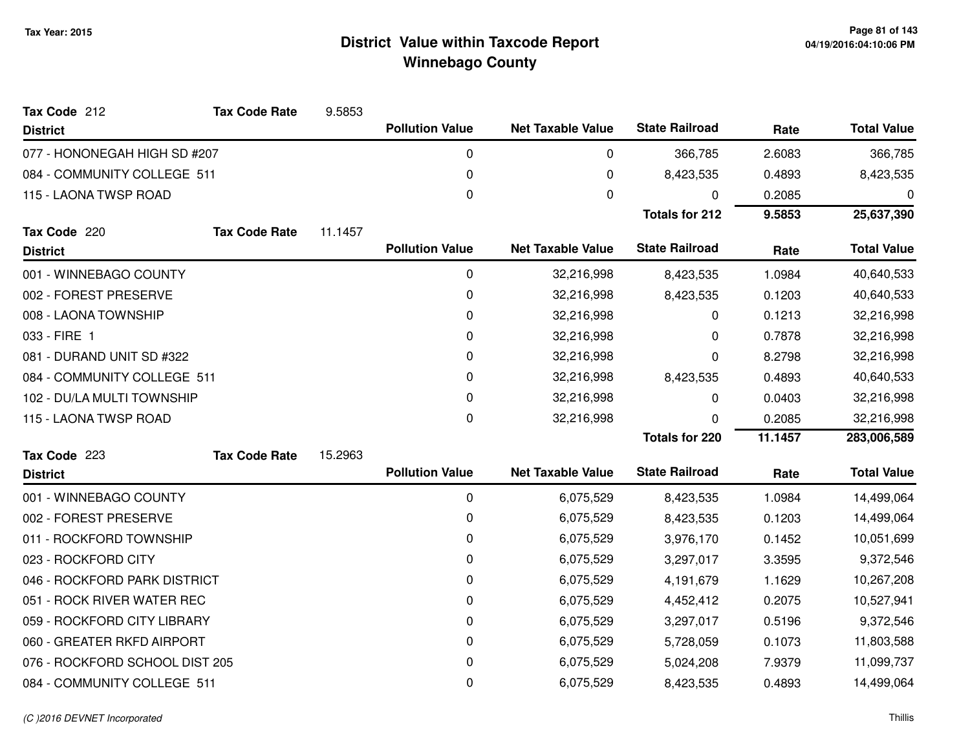| Tax Code 212                   | <b>Tax Code Rate</b> | 9.5853  |                        |                          |                       |         |                    |
|--------------------------------|----------------------|---------|------------------------|--------------------------|-----------------------|---------|--------------------|
| <b>District</b>                |                      |         | <b>Pollution Value</b> | <b>Net Taxable Value</b> | <b>State Railroad</b> | Rate    | <b>Total Value</b> |
| 077 - HONONEGAH HIGH SD #207   |                      |         | 0                      | 0                        | 366,785               | 2.6083  | 366,785            |
| 084 - COMMUNITY COLLEGE 511    |                      |         | 0                      | $\pmb{0}$                | 8,423,535             | 0.4893  | 8,423,535          |
| 115 - LAONA TWSP ROAD          |                      |         | 0                      | $\mathbf{0}$             | 0                     | 0.2085  | 0                  |
|                                |                      |         |                        |                          | <b>Totals for 212</b> | 9.5853  | 25,637,390         |
| Tax Code 220                   | <b>Tax Code Rate</b> | 11.1457 |                        |                          |                       |         |                    |
| <b>District</b>                |                      |         | <b>Pollution Value</b> | <b>Net Taxable Value</b> | <b>State Railroad</b> | Rate    | <b>Total Value</b> |
| 001 - WINNEBAGO COUNTY         |                      |         | 0                      | 32,216,998               | 8,423,535             | 1.0984  | 40,640,533         |
| 002 - FOREST PRESERVE          |                      |         | 0                      | 32,216,998               | 8,423,535             | 0.1203  | 40,640,533         |
| 008 - LAONA TOWNSHIP           |                      |         | 0                      | 32,216,998               | 0                     | 0.1213  | 32,216,998         |
| 033 - FIRE 1                   |                      |         | 0                      | 32,216,998               | 0                     | 0.7878  | 32,216,998         |
| 081 - DURAND UNIT SD #322      |                      |         | 0                      | 32,216,998               | 0                     | 8.2798  | 32,216,998         |
| 084 - COMMUNITY COLLEGE 511    |                      |         | 0                      | 32,216,998               | 8,423,535             | 0.4893  | 40,640,533         |
| 102 - DU/LA MULTI TOWNSHIP     |                      |         | 0                      | 32,216,998               | 0                     | 0.0403  | 32,216,998         |
| 115 - LAONA TWSP ROAD          |                      |         | 0                      | 32,216,998               | 0                     | 0.2085  | 32,216,998         |
|                                |                      |         |                        |                          | <b>Totals for 220</b> | 11.1457 | 283,006,589        |
| Tax Code 223                   | <b>Tax Code Rate</b> | 15.2963 |                        |                          |                       |         |                    |
| <b>District</b>                |                      |         | <b>Pollution Value</b> | <b>Net Taxable Value</b> | <b>State Railroad</b> | Rate    | <b>Total Value</b> |
| 001 - WINNEBAGO COUNTY         |                      |         | $\boldsymbol{0}$       | 6,075,529                | 8,423,535             | 1.0984  | 14,499,064         |
| 002 - FOREST PRESERVE          |                      |         | 0                      | 6,075,529                | 8,423,535             | 0.1203  | 14,499,064         |
| 011 - ROCKFORD TOWNSHIP        |                      |         | 0                      | 6,075,529                | 3,976,170             | 0.1452  | 10,051,699         |
| 023 - ROCKFORD CITY            |                      |         | 0                      | 6,075,529                | 3,297,017             | 3.3595  | 9,372,546          |
| 046 - ROCKFORD PARK DISTRICT   |                      |         | 0                      | 6,075,529                | 4,191,679             | 1.1629  | 10,267,208         |
| 051 - ROCK RIVER WATER REC     |                      |         | 0                      | 6,075,529                | 4,452,412             | 0.2075  | 10,527,941         |
| 059 - ROCKFORD CITY LIBRARY    |                      |         | 0                      | 6,075,529                | 3,297,017             | 0.5196  | 9,372,546          |
| 060 - GREATER RKFD AIRPORT     |                      |         | 0                      | 6,075,529                | 5,728,059             | 0.1073  | 11,803,588         |
| 076 - ROCKFORD SCHOOL DIST 205 |                      |         | 0                      | 6,075,529                | 5,024,208             | 7.9379  | 11,099,737         |
| 084 - COMMUNITY COLLEGE 511    |                      |         | 0                      | 6,075,529                | 8,423,535             | 0.4893  | 14,499,064         |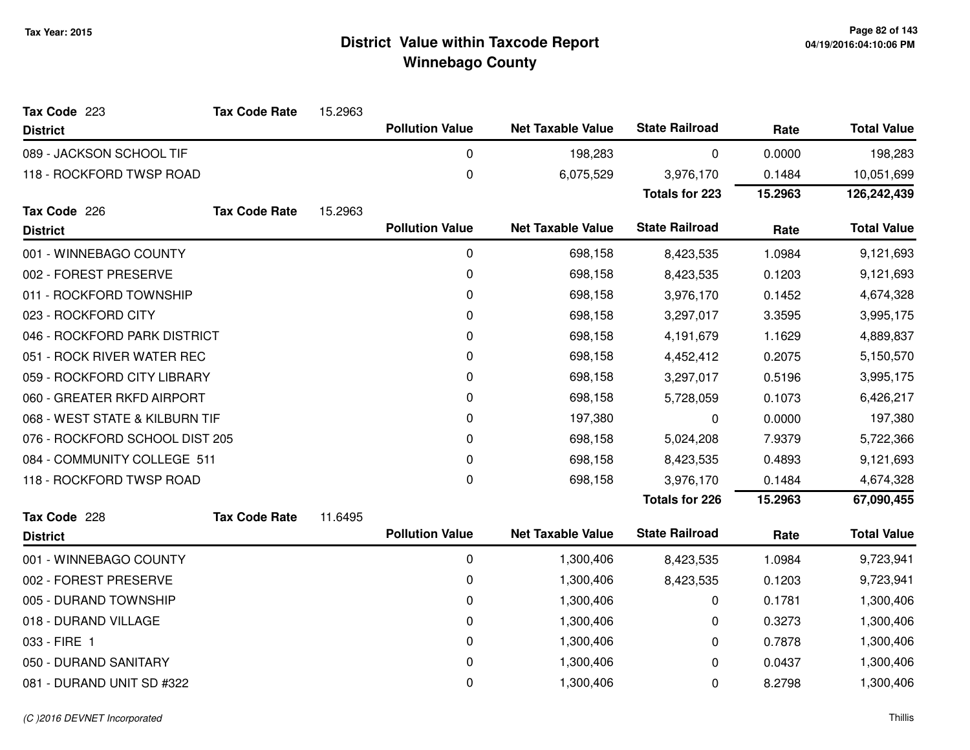| <b>Tax Code Rate</b>           | 15.2963 |                        |                                                  |                                                      |                                                |                    |
|--------------------------------|---------|------------------------|--------------------------------------------------|------------------------------------------------------|------------------------------------------------|--------------------|
|                                |         | <b>Pollution Value</b> | <b>Net Taxable Value</b>                         | <b>State Railroad</b>                                | Rate                                           | <b>Total Value</b> |
| 089 - JACKSON SCHOOL TIF       |         | 0                      | 198,283                                          | 0                                                    | 0.0000                                         | 198,283            |
| 118 - ROCKFORD TWSP ROAD       |         | 0                      | 6,075,529                                        | 3,976,170                                            | 0.1484                                         | 10,051,699         |
|                                |         |                        |                                                  | <b>Totals for 223</b>                                | 15.2963                                        | 126,242,439        |
| <b>Tax Code Rate</b>           | 15.2963 |                        |                                                  |                                                      |                                                |                    |
|                                |         |                        |                                                  |                                                      |                                                | <b>Total Value</b> |
| 001 - WINNEBAGO COUNTY         |         | $\mathbf 0$            | 698,158                                          | 8,423,535                                            | 1.0984                                         | 9,121,693          |
| 002 - FOREST PRESERVE          |         | 0                      | 698,158                                          | 8,423,535                                            | 0.1203                                         | 9,121,693          |
| 011 - ROCKFORD TOWNSHIP        |         | $\mathbf 0$            | 698,158                                          | 3,976,170                                            | 0.1452                                         | 4,674,328          |
|                                |         | 0                      | 698,158                                          | 3,297,017                                            | 3.3595                                         | 3,995,175          |
| 046 - ROCKFORD PARK DISTRICT   |         | 0                      | 698,158                                          | 4,191,679                                            | 1.1629                                         | 4,889,837          |
| 051 - ROCK RIVER WATER REC     |         | $\mathbf 0$            | 698,158                                          | 4,452,412                                            | 0.2075                                         | 5,150,570          |
| 059 - ROCKFORD CITY LIBRARY    |         | 0                      | 698,158                                          | 3,297,017                                            | 0.5196                                         | 3,995,175          |
| 060 - GREATER RKFD AIRPORT     |         | 0                      | 698,158                                          | 5,728,059                                            | 0.1073                                         | 6,426,217          |
| 068 - WEST STATE & KILBURN TIF |         | $\mathbf 0$            | 197,380                                          | 0                                                    | 0.0000                                         | 197,380            |
| 076 - ROCKFORD SCHOOL DIST 205 |         | 0                      | 698,158                                          | 5,024,208                                            | 7.9379                                         | 5,722,366          |
| 084 - COMMUNITY COLLEGE 511    |         | $\mathbf 0$            | 698,158                                          | 8,423,535                                            | 0.4893                                         | 9,121,693          |
| 118 - ROCKFORD TWSP ROAD       |         | 0                      | 698,158                                          | 3,976,170                                            | 0.1484                                         | 4,674,328          |
|                                |         |                        |                                                  | <b>Totals for 226</b>                                | 15.2963                                        | 67,090,455         |
| <b>Tax Code Rate</b>           | 11.6495 |                        |                                                  |                                                      |                                                |                    |
|                                |         |                        |                                                  |                                                      | Rate                                           | <b>Total Value</b> |
| 001 - WINNEBAGO COUNTY         |         | 0                      | 1,300,406                                        | 8,423,535                                            | 1.0984                                         | 9,723,941          |
| 002 - FOREST PRESERVE          |         | 0                      | 1,300,406                                        | 8,423,535                                            | 0.1203                                         | 9,723,941          |
| 005 - DURAND TOWNSHIP          |         | $\mathbf 0$            | 1,300,406                                        | 0                                                    | 0.1781                                         | 1,300,406          |
|                                |         | 0                      | 1,300,406                                        | 0                                                    | 0.3273                                         | 1,300,406          |
|                                |         | $\pmb{0}$              | 1,300,406                                        | 0                                                    | 0.7878                                         | 1,300,406          |
| 050 - DURAND SANITARY          |         | 0                      | 1,300,406                                        | 0                                                    | 0.0437                                         | 1,300,406          |
| 081 - DURAND UNIT SD #322      |         | 0                      | 1,300,406                                        | 0                                                    | 8.2798                                         | 1,300,406          |
|                                |         |                        | <b>Pollution Value</b><br><b>Pollution Value</b> | <b>Net Taxable Value</b><br><b>Net Taxable Value</b> | <b>State Railroad</b><br><b>State Railroad</b> | Rate               |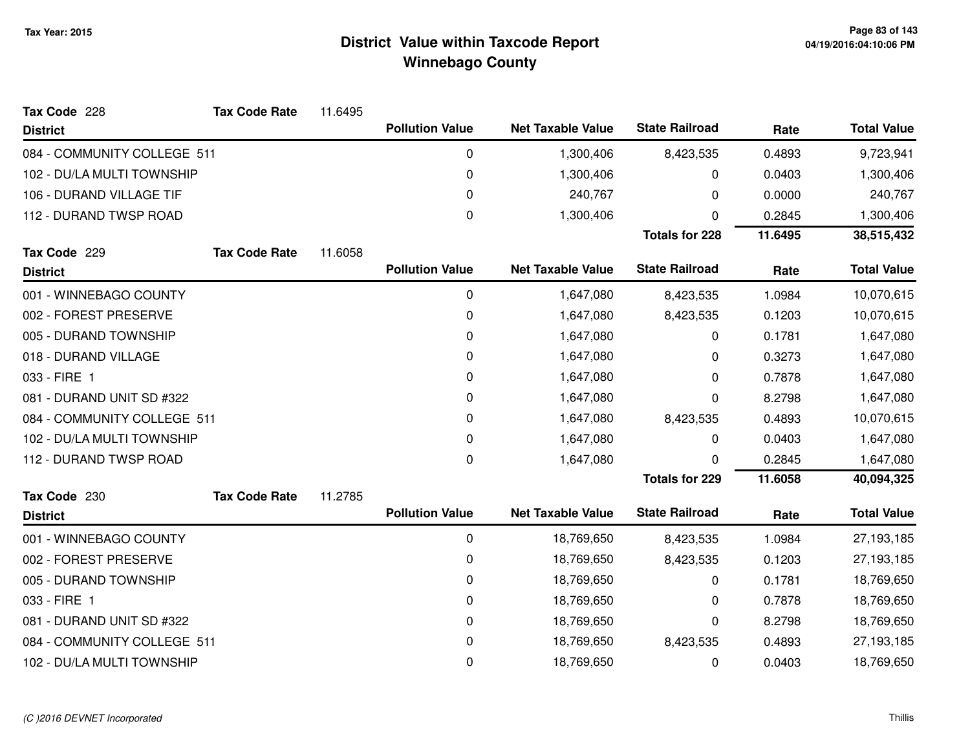| Tax Code 228                | <b>Tax Code Rate</b> | 11.6495 |                        |                          |                       |         |                    |
|-----------------------------|----------------------|---------|------------------------|--------------------------|-----------------------|---------|--------------------|
| <b>District</b>             |                      |         | <b>Pollution Value</b> | <b>Net Taxable Value</b> | <b>State Railroad</b> | Rate    | <b>Total Value</b> |
| 084 - COMMUNITY COLLEGE 511 |                      |         | 0                      | 1,300,406                | 8,423,535             | 0.4893  | 9,723,941          |
| 102 - DU/LA MULTI TOWNSHIP  |                      |         | 0                      | 1,300,406                | 0                     | 0.0403  | 1,300,406          |
| 106 - DURAND VILLAGE TIF    |                      |         | 0                      | 240,767                  | 0                     | 0.0000  | 240,767            |
| 112 - DURAND TWSP ROAD      |                      |         | 0                      | 1,300,406                | 0                     | 0.2845  | 1,300,406          |
|                             |                      |         |                        |                          | <b>Totals for 228</b> | 11.6495 | 38,515,432         |
| Tax Code 229                | <b>Tax Code Rate</b> | 11.6058 |                        |                          |                       |         |                    |
| <b>District</b>             |                      |         | <b>Pollution Value</b> | <b>Net Taxable Value</b> | <b>State Railroad</b> | Rate    | <b>Total Value</b> |
| 001 - WINNEBAGO COUNTY      |                      |         | 0                      | 1,647,080                | 8,423,535             | 1.0984  | 10,070,615         |
| 002 - FOREST PRESERVE       |                      |         | 0                      | 1,647,080                | 8,423,535             | 0.1203  | 10,070,615         |
| 005 - DURAND TOWNSHIP       |                      |         | 0                      | 1,647,080                | 0                     | 0.1781  | 1,647,080          |
| 018 - DURAND VILLAGE        |                      |         | 0                      | 1,647,080                | 0                     | 0.3273  | 1,647,080          |
| 033 - FIRE 1                |                      |         | 0                      | 1,647,080                | 0                     | 0.7878  | 1,647,080          |
| 081 - DURAND UNIT SD #322   |                      |         | 0                      | 1,647,080                | 0                     | 8.2798  | 1,647,080          |
| 084 - COMMUNITY COLLEGE 511 |                      |         | 0                      | 1,647,080                | 8,423,535             | 0.4893  | 10,070,615         |
| 102 - DU/LA MULTI TOWNSHIP  |                      |         | 0                      | 1,647,080                | 0                     | 0.0403  | 1,647,080          |
| 112 - DURAND TWSP ROAD      |                      |         | 0                      | 1,647,080                | 0                     | 0.2845  | 1,647,080          |
|                             |                      |         |                        |                          | <b>Totals for 229</b> | 11.6058 | 40,094,325         |
| Tax Code 230                | <b>Tax Code Rate</b> | 11.2785 |                        |                          |                       |         |                    |
| <b>District</b>             |                      |         | <b>Pollution Value</b> | <b>Net Taxable Value</b> | <b>State Railroad</b> | Rate    | <b>Total Value</b> |
| 001 - WINNEBAGO COUNTY      |                      |         | 0                      | 18,769,650               | 8,423,535             | 1.0984  | 27,193,185         |
| 002 - FOREST PRESERVE       |                      |         | 0                      | 18,769,650               | 8,423,535             | 0.1203  | 27,193,185         |
| 005 - DURAND TOWNSHIP       |                      |         | 0                      | 18,769,650               | 0                     | 0.1781  | 18,769,650         |
| 033 - FIRE 1                |                      |         | 0                      | 18,769,650               | 0                     | 0.7878  | 18,769,650         |
| 081 - DURAND UNIT SD #322   |                      |         | 0                      | 18,769,650               | 0                     | 8.2798  | 18,769,650         |
| 084 - COMMUNITY COLLEGE 511 |                      |         | 0                      | 18,769,650               | 8,423,535             | 0.4893  | 27,193,185         |
| 102 - DU/LA MULTI TOWNSHIP  |                      |         | 0                      | 18,769,650               | 0                     | 0.0403  | 18,769,650         |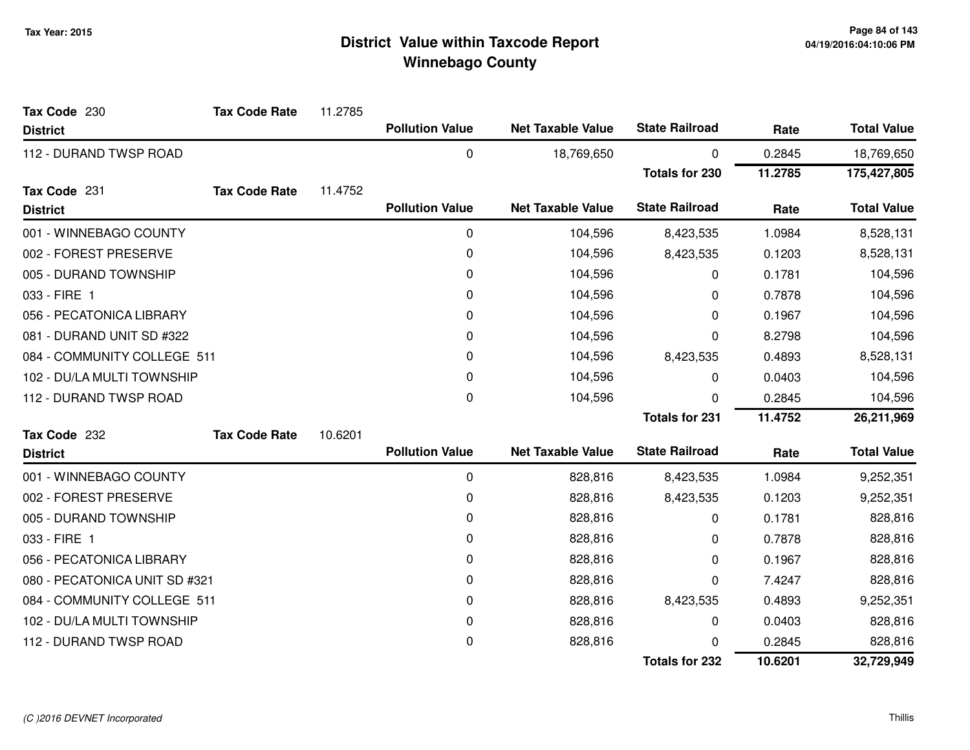| Tax Code 230                  | <b>Tax Code Rate</b> | 11.2785 |                        |                          |                       |         |                    |
|-------------------------------|----------------------|---------|------------------------|--------------------------|-----------------------|---------|--------------------|
| <b>District</b>               |                      |         | <b>Pollution Value</b> | <b>Net Taxable Value</b> | <b>State Railroad</b> | Rate    | <b>Total Value</b> |
| 112 - DURAND TWSP ROAD        |                      |         | 0                      | 18,769,650               | 0                     | 0.2845  | 18,769,650         |
|                               |                      |         |                        |                          | <b>Totals for 230</b> | 11.2785 | 175,427,805        |
| Tax Code 231                  | <b>Tax Code Rate</b> | 11.4752 |                        |                          |                       |         |                    |
| <b>District</b>               |                      |         | <b>Pollution Value</b> | <b>Net Taxable Value</b> | <b>State Railroad</b> | Rate    | <b>Total Value</b> |
| 001 - WINNEBAGO COUNTY        |                      |         | 0                      | 104,596                  | 8,423,535             | 1.0984  | 8,528,131          |
| 002 - FOREST PRESERVE         |                      |         | 0                      | 104,596                  | 8,423,535             | 0.1203  | 8,528,131          |
| 005 - DURAND TOWNSHIP         |                      |         | 0                      | 104,596                  | 0                     | 0.1781  | 104,596            |
| 033 - FIRE 1                  |                      |         | 0                      | 104,596                  | 0                     | 0.7878  | 104,596            |
| 056 - PECATONICA LIBRARY      |                      |         | 0                      | 104,596                  | 0                     | 0.1967  | 104,596            |
| 081 - DURAND UNIT SD #322     |                      |         | 0                      | 104,596                  | 0                     | 8.2798  | 104,596            |
| 084 - COMMUNITY COLLEGE 511   |                      |         | 0                      | 104,596                  | 8,423,535             | 0.4893  | 8,528,131          |
| 102 - DU/LA MULTI TOWNSHIP    |                      |         | 0                      | 104,596                  | 0                     | 0.0403  | 104,596            |
| 112 - DURAND TWSP ROAD        |                      |         | $\mathbf 0$            | 104,596                  | 0                     | 0.2845  | 104,596            |
|                               |                      |         |                        |                          | <b>Totals for 231</b> | 11.4752 | 26,211,969         |
| Tax Code 232                  | <b>Tax Code Rate</b> | 10.6201 |                        |                          |                       |         |                    |
| <b>District</b>               |                      |         | <b>Pollution Value</b> | <b>Net Taxable Value</b> | <b>State Railroad</b> | Rate    | <b>Total Value</b> |
| 001 - WINNEBAGO COUNTY        |                      |         | 0                      | 828,816                  | 8,423,535             | 1.0984  | 9,252,351          |
| 002 - FOREST PRESERVE         |                      |         | 0                      | 828,816                  | 8,423,535             | 0.1203  | 9,252,351          |
| 005 - DURAND TOWNSHIP         |                      |         | 0                      | 828,816                  | 0                     | 0.1781  | 828,816            |
| 033 - FIRE 1                  |                      |         | 0                      | 828,816                  | 0                     | 0.7878  | 828,816            |
| 056 - PECATONICA LIBRARY      |                      |         | 0                      | 828,816                  | 0                     | 0.1967  | 828,816            |
| 080 - PECATONICA UNIT SD #321 |                      |         | 0                      | 828,816                  | 0                     | 7.4247  | 828,816            |
| 084 - COMMUNITY COLLEGE 511   |                      |         | 0                      | 828,816                  | 8,423,535             | 0.4893  | 9,252,351          |
| 102 - DU/LA MULTI TOWNSHIP    |                      |         | 0                      | 828,816                  | 0                     | 0.0403  | 828,816            |
| 112 - DURAND TWSP ROAD        |                      |         | 0                      | 828,816                  | O                     | 0.2845  | 828,816            |
|                               |                      |         |                        |                          | <b>Totals for 232</b> | 10.6201 | 32,729,949         |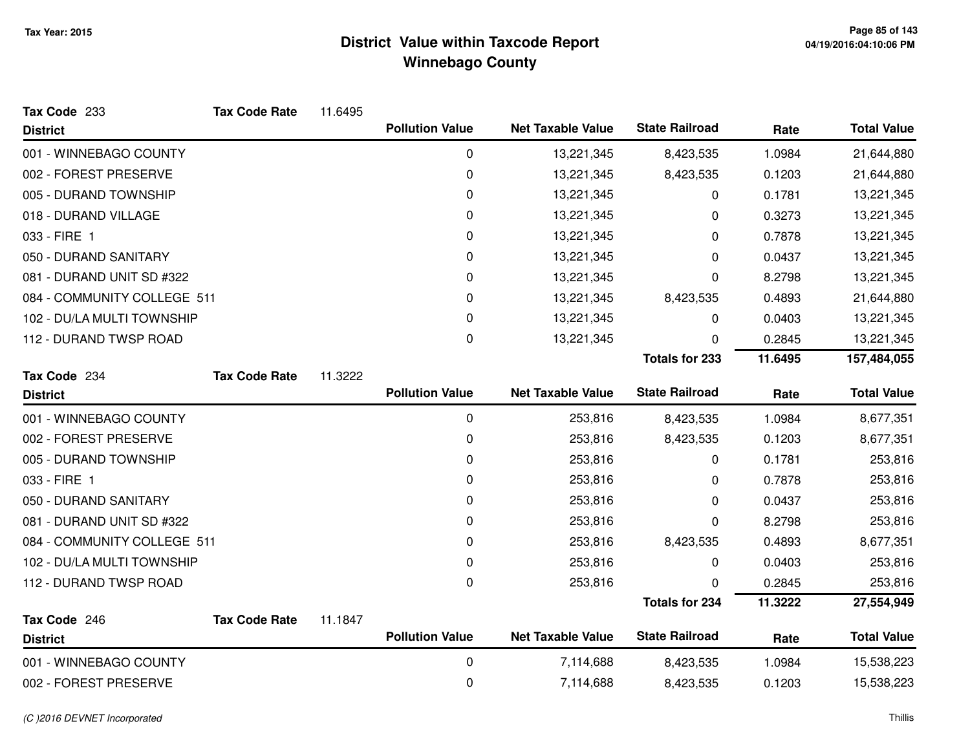| Tax Code 233                    | <b>Tax Code Rate</b> | 11.6495 |                        |                          |                       |         |                    |
|---------------------------------|----------------------|---------|------------------------|--------------------------|-----------------------|---------|--------------------|
| <b>District</b>                 |                      |         | <b>Pollution Value</b> | <b>Net Taxable Value</b> | <b>State Railroad</b> | Rate    | <b>Total Value</b> |
| 001 - WINNEBAGO COUNTY          |                      |         | 0                      | 13,221,345               | 8,423,535             | 1.0984  | 21,644,880         |
| 002 - FOREST PRESERVE           |                      |         | $\pmb{0}$              | 13,221,345               | 8,423,535             | 0.1203  | 21,644,880         |
| 005 - DURAND TOWNSHIP           |                      |         | 0                      | 13,221,345               | 0                     | 0.1781  | 13,221,345         |
| 018 - DURAND VILLAGE            |                      |         | 0                      | 13,221,345               | 0                     | 0.3273  | 13,221,345         |
| 033 - FIRE 1                    |                      |         | $\pmb{0}$              | 13,221,345               | 0                     | 0.7878  | 13,221,345         |
| 050 - DURAND SANITARY           |                      |         | 0                      | 13,221,345               | 0                     | 0.0437  | 13,221,345         |
| 081 - DURAND UNIT SD #322       |                      |         | $\pmb{0}$              | 13,221,345               | 0                     | 8.2798  | 13,221,345         |
| 084 - COMMUNITY COLLEGE 511     |                      |         | 0                      | 13,221,345               | 8,423,535             | 0.4893  | 21,644,880         |
| 102 - DU/LA MULTI TOWNSHIP      |                      |         | 0                      | 13,221,345               | 0                     | 0.0403  | 13,221,345         |
| 112 - DURAND TWSP ROAD          |                      |         | 0                      | 13,221,345               | 0                     | 0.2845  | 13,221,345         |
|                                 |                      |         |                        |                          | <b>Totals for 233</b> | 11.6495 | 157,484,055        |
| Tax Code 234                    | <b>Tax Code Rate</b> | 11.3222 |                        |                          |                       |         |                    |
| <b>District</b>                 |                      |         | <b>Pollution Value</b> | <b>Net Taxable Value</b> | <b>State Railroad</b> | Rate    | <b>Total Value</b> |
| 001 - WINNEBAGO COUNTY          |                      |         | $\pmb{0}$              | 253,816                  | 8,423,535             | 1.0984  | 8,677,351          |
| 002 - FOREST PRESERVE           |                      |         | 0                      | 253,816                  | 8,423,535             | 0.1203  | 8,677,351          |
| 005 - DURAND TOWNSHIP           |                      |         | $\pmb{0}$              | 253,816                  | 0                     | 0.1781  | 253,816            |
| 033 - FIRE 1                    |                      |         | 0                      | 253,816                  | 0                     | 0.7878  | 253,816            |
| 050 - DURAND SANITARY           |                      |         | 0                      | 253,816                  | 0                     | 0.0437  | 253,816            |
| 081 - DURAND UNIT SD #322       |                      |         | 0                      | 253,816                  | 0                     | 8.2798  | 253,816            |
| 084 - COMMUNITY COLLEGE 511     |                      |         | 0                      | 253,816                  | 8,423,535             | 0.4893  | 8,677,351          |
| 102 - DU/LA MULTI TOWNSHIP      |                      |         | 0                      | 253,816                  | 0                     | 0.0403  | 253,816            |
| 112 - DURAND TWSP ROAD          |                      |         | 0                      | 253,816                  | 0                     | 0.2845  | 253,816            |
|                                 |                      |         |                        |                          | <b>Totals for 234</b> | 11.3222 | 27,554,949         |
| Tax Code 246<br><b>District</b> | <b>Tax Code Rate</b> | 11.1847 | <b>Pollution Value</b> | <b>Net Taxable Value</b> | <b>State Railroad</b> | Rate    | <b>Total Value</b> |
| 001 - WINNEBAGO COUNTY          |                      |         | 0                      | 7,114,688                | 8,423,535             | 1.0984  | 15,538,223         |
| 002 - FOREST PRESERVE           |                      |         | 0                      | 7,114,688                | 8,423,535             | 0.1203  | 15,538,223         |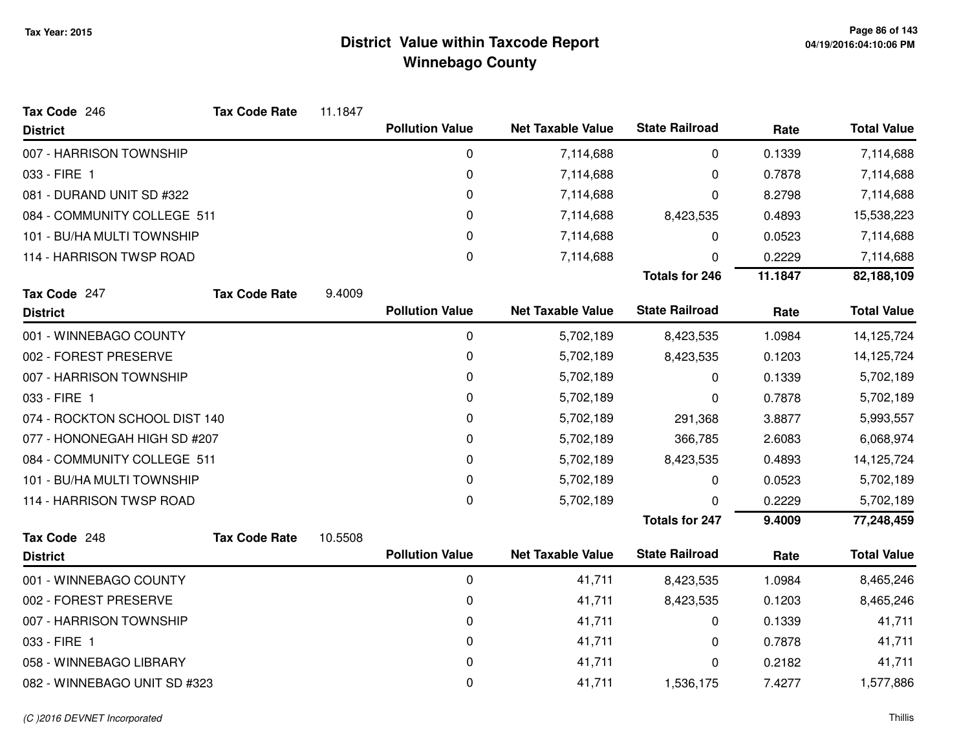| Tax Code 246                  | <b>Tax Code Rate</b>        | 11.1847 |                        |                          |                       |         |                    |
|-------------------------------|-----------------------------|---------|------------------------|--------------------------|-----------------------|---------|--------------------|
| <b>District</b>               |                             |         | <b>Pollution Value</b> | <b>Net Taxable Value</b> | <b>State Railroad</b> | Rate    | <b>Total Value</b> |
| 007 - HARRISON TOWNSHIP       |                             |         | 0                      | 7,114,688                | 0                     | 0.1339  | 7,114,688          |
| 033 - FIRE 1                  |                             |         | $\pmb{0}$              | 7,114,688                | 0                     | 0.7878  | 7,114,688          |
| 081 - DURAND UNIT SD #322     |                             |         | $\pmb{0}$              | 7,114,688                | 0                     | 8.2798  | 7,114,688          |
|                               | 084 - COMMUNITY COLLEGE 511 |         | 0                      | 7,114,688                | 8,423,535             | 0.4893  | 15,538,223         |
|                               | 101 - BU/HA MULTI TOWNSHIP  |         | 0                      | 7,114,688                | 0                     | 0.0523  | 7,114,688          |
| 114 - HARRISON TWSP ROAD      |                             |         | 0                      | 7,114,688                | 0                     | 0.2229  | 7,114,688          |
|                               |                             |         |                        |                          | <b>Totals for 246</b> | 11.1847 | 82,188,109         |
| Tax Code 247                  | <b>Tax Code Rate</b>        | 9.4009  |                        |                          |                       |         |                    |
| <b>District</b>               |                             |         | <b>Pollution Value</b> | <b>Net Taxable Value</b> | <b>State Railroad</b> | Rate    | <b>Total Value</b> |
| 001 - WINNEBAGO COUNTY        |                             |         | 0                      | 5,702,189                | 8,423,535             | 1.0984  | 14,125,724         |
| 002 - FOREST PRESERVE         |                             |         | 0                      | 5,702,189                | 8,423,535             | 0.1203  | 14,125,724         |
| 007 - HARRISON TOWNSHIP       |                             |         | 0                      | 5,702,189                | 0                     | 0.1339  | 5,702,189          |
| 033 - FIRE 1                  |                             |         | 0                      | 5,702,189                | 0                     | 0.7878  | 5,702,189          |
| 074 - ROCKTON SCHOOL DIST 140 |                             |         | 0                      | 5,702,189                | 291,368               | 3.8877  | 5,993,557          |
| 077 - HONONEGAH HIGH SD #207  |                             |         | 0                      | 5,702,189                | 366,785               | 2.6083  | 6,068,974          |
| 084 - COMMUNITY COLLEGE 511   |                             |         | 0                      | 5,702,189                | 8,423,535             | 0.4893  | 14,125,724         |
| 101 - BU/HA MULTI TOWNSHIP    |                             |         | 0                      | 5,702,189                | 0                     | 0.0523  | 5,702,189          |
| 114 - HARRISON TWSP ROAD      |                             |         | $\Omega$               | 5,702,189                | 0                     | 0.2229  | 5,702,189          |
|                               |                             |         |                        |                          | <b>Totals for 247</b> | 9.4009  | 77,248,459         |
| Tax Code 248                  | <b>Tax Code Rate</b>        | 10.5508 |                        |                          |                       |         |                    |
| <b>District</b>               |                             |         | <b>Pollution Value</b> | <b>Net Taxable Value</b> | <b>State Railroad</b> | Rate    | <b>Total Value</b> |
| 001 - WINNEBAGO COUNTY        |                             |         | 0                      | 41,711                   | 8,423,535             | 1.0984  | 8,465,246          |
| 002 - FOREST PRESERVE         |                             |         | 0                      | 41,711                   | 8,423,535             | 0.1203  | 8,465,246          |
| 007 - HARRISON TOWNSHIP       |                             |         | 0                      | 41,711                   | 0                     | 0.1339  | 41,711             |
| 033 - FIRE 1                  |                             |         | 0                      | 41,711                   | 0                     | 0.7878  | 41,711             |
| 058 - WINNEBAGO LIBRARY       |                             |         | 0                      | 41,711                   | 0                     | 0.2182  | 41,711             |
| 082 - WINNEBAGO UNIT SD #323  |                             |         | 0                      | 41,711                   | 1,536,175             | 7.4277  | 1,577,886          |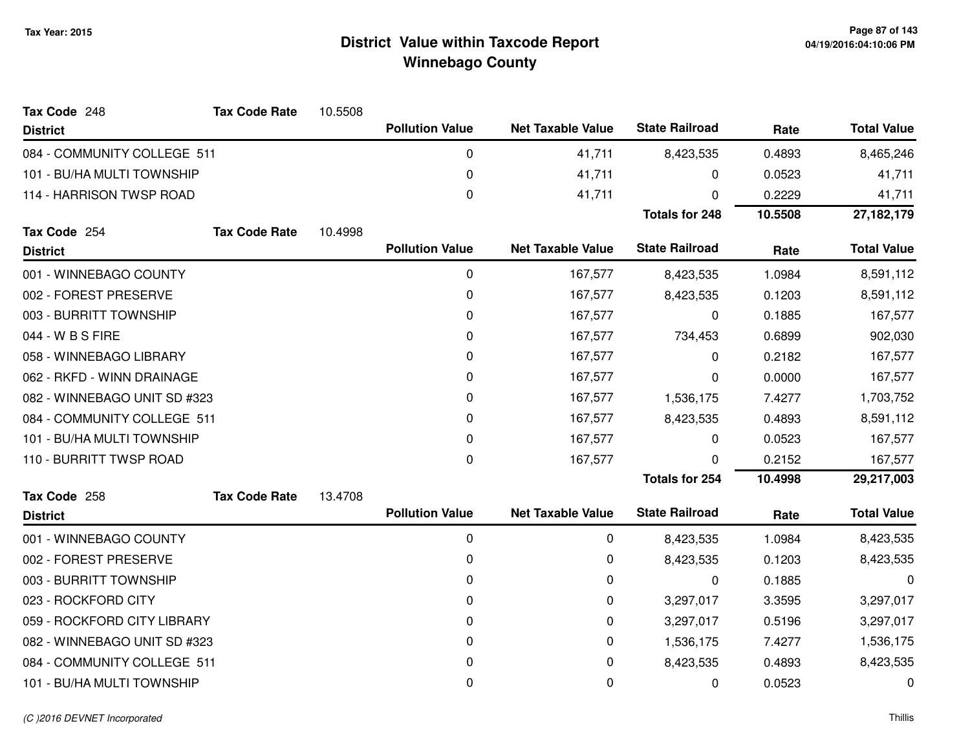| Tax Code 248                 | <b>Tax Code Rate</b> | 10.5508 |                        |                          |                       |           |                    |
|------------------------------|----------------------|---------|------------------------|--------------------------|-----------------------|-----------|--------------------|
| <b>District</b>              |                      |         | <b>Pollution Value</b> | <b>Net Taxable Value</b> | <b>State Railroad</b> | Rate      | <b>Total Value</b> |
| 084 - COMMUNITY COLLEGE 511  |                      |         | 0                      | 41,711                   | 8,423,535             | 0.4893    | 8,465,246          |
| 101 - BU/HA MULTI TOWNSHIP   |                      |         | 0                      | 41,711                   | 0                     | 0.0523    | 41,711             |
| 114 - HARRISON TWSP ROAD     |                      |         | 0                      | 41,711                   | 0                     | 0.2229    | 41,711             |
|                              |                      |         |                        |                          | <b>Totals for 248</b> | 10.5508   | 27, 182, 179       |
| Tax Code 254                 | <b>Tax Code Rate</b> | 10.4998 |                        |                          |                       |           |                    |
| <b>District</b>              |                      |         | <b>Pollution Value</b> | <b>Net Taxable Value</b> | <b>State Railroad</b> | Rate      | <b>Total Value</b> |
| 001 - WINNEBAGO COUNTY       |                      |         | 0                      | 167,577                  | 8,423,535             | 1.0984    | 8,591,112          |
| 002 - FOREST PRESERVE        |                      |         | 0                      | 167,577                  | 8,423,535             | 0.1203    | 8,591,112          |
| 003 - BURRITT TOWNSHIP       |                      |         | 0                      | 167,577                  | 0                     | 0.1885    | 167,577            |
| 044 - W B S FIRE             |                      |         | 0                      | 167,577                  | 734,453               | 0.6899    | 902,030            |
| 058 - WINNEBAGO LIBRARY      |                      |         | 0                      | 167,577                  | 0                     | 0.2182    | 167,577            |
| 062 - RKFD - WINN DRAINAGE   |                      |         | 0                      | 167,577                  | 0                     | 0.0000    | 167,577            |
| 082 - WINNEBAGO UNIT SD #323 |                      | 0       | 167,577                | 1,536,175                | 7.4277                | 1,703,752 |                    |
| 084 - COMMUNITY COLLEGE 511  |                      |         | 0                      | 167,577                  | 8,423,535             | 0.4893    | 8,591,112          |
| 101 - BU/HA MULTI TOWNSHIP   |                      |         | 0                      | 167,577                  | 0                     | 0.0523    | 167,577            |
| 110 - BURRITT TWSP ROAD      |                      |         | 0                      | 167,577                  | 0                     | 0.2152    | 167,577            |
|                              |                      |         |                        |                          | <b>Totals for 254</b> | 10.4998   | 29,217,003         |
| Tax Code 258                 | <b>Tax Code Rate</b> | 13.4708 |                        |                          |                       |           |                    |
| <b>District</b>              |                      |         | <b>Pollution Value</b> | <b>Net Taxable Value</b> | <b>State Railroad</b> | Rate      | <b>Total Value</b> |
| 001 - WINNEBAGO COUNTY       |                      |         | 0                      | 0                        | 8,423,535             | 1.0984    | 8,423,535          |
| 002 - FOREST PRESERVE        |                      |         | 0                      | 0                        | 8,423,535             | 0.1203    | 8,423,535          |
| 003 - BURRITT TOWNSHIP       |                      |         | 0                      | 0                        | 0                     | 0.1885    | 0                  |
| 023 - ROCKFORD CITY          |                      |         | 0                      | 0                        | 3,297,017             | 3.3595    | 3,297,017          |
| 059 - ROCKFORD CITY LIBRARY  |                      |         | 0                      | 0                        | 3,297,017             | 0.5196    | 3,297,017          |
| 082 - WINNEBAGO UNIT SD #323 |                      |         | 0                      | 0                        | 1,536,175             | 7.4277    | 1,536,175          |
| 084 - COMMUNITY COLLEGE 511  |                      |         | 0                      | 0                        | 8,423,535             | 0.4893    | 8,423,535          |
| 101 - BU/HA MULTI TOWNSHIP   |                      |         | 0                      | 0                        | 0                     | 0.0523    | 0                  |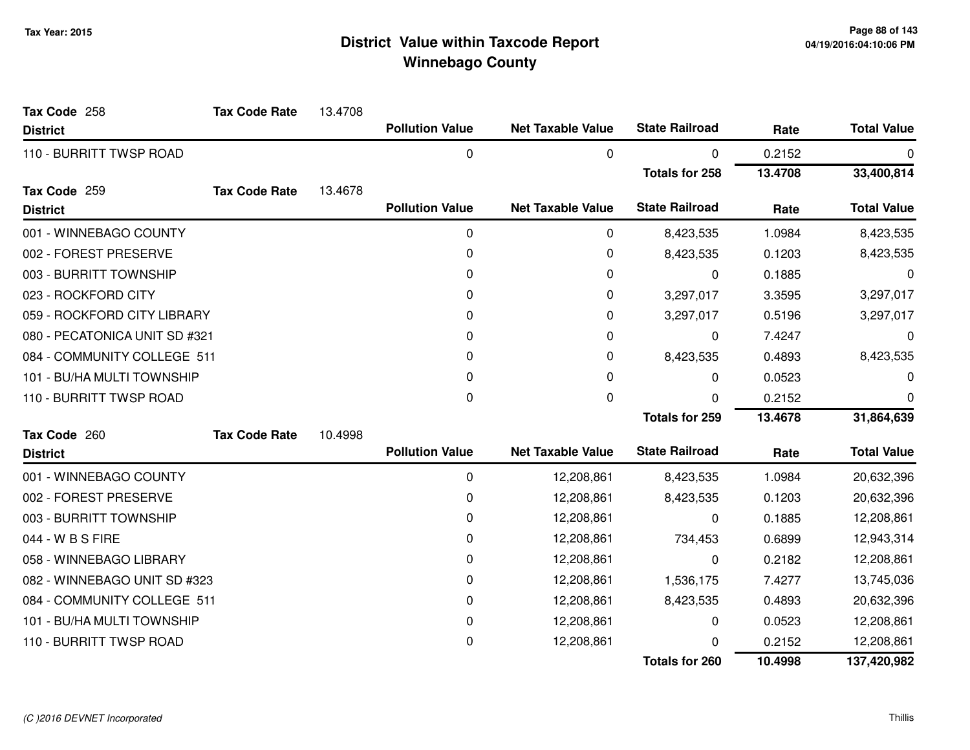| Tax Code 258                  | <b>Tax Code Rate</b> | 13.4708 |                        |                          |                       |         |                    |
|-------------------------------|----------------------|---------|------------------------|--------------------------|-----------------------|---------|--------------------|
| <b>District</b>               |                      |         | <b>Pollution Value</b> | <b>Net Taxable Value</b> | <b>State Railroad</b> | Rate    | <b>Total Value</b> |
| 110 - BURRITT TWSP ROAD       |                      |         | 0                      | 0                        | 0                     | 0.2152  | 0                  |
|                               |                      |         |                        |                          | <b>Totals for 258</b> | 13.4708 | 33,400,814         |
| Tax Code 259                  | <b>Tax Code Rate</b> | 13.4678 |                        |                          |                       |         |                    |
| <b>District</b>               |                      |         | <b>Pollution Value</b> | <b>Net Taxable Value</b> | <b>State Railroad</b> | Rate    | <b>Total Value</b> |
| 001 - WINNEBAGO COUNTY        |                      |         | $\pmb{0}$              | 0                        | 8,423,535             | 1.0984  | 8,423,535          |
| 002 - FOREST PRESERVE         |                      |         | $\mathbf 0$            | 0                        | 8,423,535             | 0.1203  | 8,423,535          |
| 003 - BURRITT TOWNSHIP        |                      |         | $\mathbf{0}$           | 0                        | 0                     | 0.1885  | 0                  |
| 023 - ROCKFORD CITY           |                      |         | $\mathbf{0}$           | 0                        | 3,297,017             | 3.3595  | 3,297,017          |
| 059 - ROCKFORD CITY LIBRARY   |                      |         | 0                      | 0                        | 3,297,017             | 0.5196  | 3,297,017          |
| 080 - PECATONICA UNIT SD #321 |                      |         | 0                      | 0                        | 0                     | 7.4247  | 0                  |
| 084 - COMMUNITY COLLEGE 511   |                      |         | 0                      | 0                        | 8,423,535             | 0.4893  | 8,423,535          |
| 101 - BU/HA MULTI TOWNSHIP    |                      |         | 0                      | 0                        | 0                     | 0.0523  | 0                  |
| 110 - BURRITT TWSP ROAD       |                      |         | 0                      | 0                        | 0                     | 0.2152  | 0                  |
|                               |                      |         |                        |                          | <b>Totals for 259</b> | 13.4678 | 31,864,639         |
| Tax Code 260                  | <b>Tax Code Rate</b> | 10.4998 |                        |                          |                       |         |                    |
| <b>District</b>               |                      |         | <b>Pollution Value</b> | <b>Net Taxable Value</b> | <b>State Railroad</b> | Rate    | <b>Total Value</b> |
| 001 - WINNEBAGO COUNTY        |                      |         | 0                      | 12,208,861               | 8,423,535             | 1.0984  | 20,632,396         |
| 002 - FOREST PRESERVE         |                      |         | 0                      | 12,208,861               | 8,423,535             | 0.1203  | 20,632,396         |
| 003 - BURRITT TOWNSHIP        |                      |         | 0                      | 12,208,861               | 0                     | 0.1885  | 12,208,861         |
| 044 - W B S FIRE              |                      |         | 0                      | 12,208,861               | 734,453               | 0.6899  | 12,943,314         |
| 058 - WINNEBAGO LIBRARY       |                      |         | 0                      | 12,208,861               | 0                     | 0.2182  | 12,208,861         |
| 082 - WINNEBAGO UNIT SD #323  |                      |         | 0                      | 12,208,861               | 1,536,175             | 7.4277  | 13,745,036         |
| 084 - COMMUNITY COLLEGE 511   |                      |         | 0                      | 12,208,861               | 8,423,535             | 0.4893  | 20,632,396         |
| 101 - BU/HA MULTI TOWNSHIP    |                      |         | 0                      | 12,208,861               | 0                     | 0.0523  | 12,208,861         |
| 110 - BURRITT TWSP ROAD       |                      |         | 0                      | 12,208,861               |                       | 0.2152  | 12,208,861         |
|                               |                      |         |                        |                          | <b>Totals for 260</b> | 10.4998 | 137,420,982        |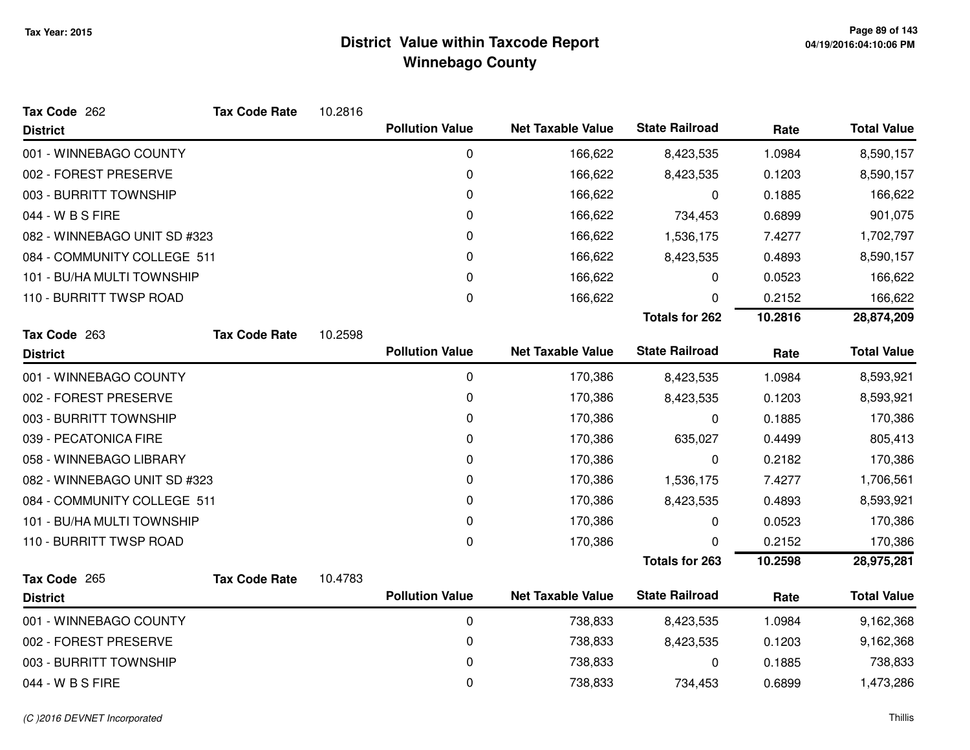| Tax Code 262                 | <b>Tax Code Rate</b> | 10.2816 |                        |                          |                       |         |                    |
|------------------------------|----------------------|---------|------------------------|--------------------------|-----------------------|---------|--------------------|
| <b>District</b>              |                      |         | <b>Pollution Value</b> | <b>Net Taxable Value</b> | <b>State Railroad</b> | Rate    | <b>Total Value</b> |
| 001 - WINNEBAGO COUNTY       |                      |         | 0                      | 166,622                  | 8,423,535             | 1.0984  | 8,590,157          |
| 002 - FOREST PRESERVE        |                      |         | 0                      | 166,622                  | 8,423,535             | 0.1203  | 8,590,157          |
| 003 - BURRITT TOWNSHIP       |                      |         | 0                      | 166,622                  | 0                     | 0.1885  | 166,622            |
| 044 - W B S FIRE             |                      |         | 0                      | 166,622                  | 734,453               | 0.6899  | 901,075            |
| 082 - WINNEBAGO UNIT SD #323 |                      |         | 0                      | 166,622                  | 1,536,175             | 7.4277  | 1,702,797          |
| 084 - COMMUNITY COLLEGE 511  |                      |         | 0                      | 166,622                  | 8,423,535             | 0.4893  | 8,590,157          |
| 101 - BU/HA MULTI TOWNSHIP   |                      |         | 0                      | 166,622                  | 0                     | 0.0523  | 166,622            |
| 110 - BURRITT TWSP ROAD      |                      |         | 0                      | 166,622                  | 0                     | 0.2152  | 166,622            |
|                              |                      |         |                        |                          | <b>Totals for 262</b> | 10.2816 | 28,874,209         |
| Tax Code 263                 | <b>Tax Code Rate</b> | 10.2598 |                        |                          |                       |         |                    |
| <b>District</b>              |                      |         | <b>Pollution Value</b> | <b>Net Taxable Value</b> | <b>State Railroad</b> | Rate    | <b>Total Value</b> |
| 001 - WINNEBAGO COUNTY       |                      |         | 0                      | 170,386                  | 8,423,535             | 1.0984  | 8,593,921          |
| 002 - FOREST PRESERVE        |                      |         | 0                      | 170,386                  | 8,423,535             | 0.1203  | 8,593,921          |
| 003 - BURRITT TOWNSHIP       |                      |         | 0                      | 170,386                  | 0                     | 0.1885  | 170,386            |
| 039 - PECATONICA FIRE        |                      |         | 0                      | 170,386                  | 635,027               | 0.4499  | 805,413            |
| 058 - WINNEBAGO LIBRARY      |                      |         | 0                      | 170,386                  | 0                     | 0.2182  | 170,386            |
| 082 - WINNEBAGO UNIT SD #323 |                      |         | 0                      | 170,386                  | 1,536,175             | 7.4277  | 1,706,561          |
| 084 - COMMUNITY COLLEGE 511  |                      |         | 0                      | 170,386                  | 8,423,535             | 0.4893  | 8,593,921          |
| 101 - BU/HA MULTI TOWNSHIP   |                      |         | 0                      | 170,386                  | 0                     | 0.0523  | 170,386            |
| 110 - BURRITT TWSP ROAD      |                      |         | 0                      | 170,386                  | 0                     | 0.2152  | 170,386            |
|                              |                      |         |                        |                          | <b>Totals for 263</b> | 10.2598 | 28,975,281         |
| Tax Code 265                 | <b>Tax Code Rate</b> | 10.4783 |                        |                          |                       |         |                    |
| <b>District</b>              |                      |         | <b>Pollution Value</b> | <b>Net Taxable Value</b> | <b>State Railroad</b> | Rate    | <b>Total Value</b> |
| 001 - WINNEBAGO COUNTY       |                      |         | 0                      | 738,833                  | 8,423,535             | 1.0984  | 9,162,368          |
| 002 - FOREST PRESERVE        |                      |         | 0                      | 738,833                  | 8,423,535             | 0.1203  | 9,162,368          |
| 003 - BURRITT TOWNSHIP       |                      |         | 0                      | 738,833                  | 0                     | 0.1885  | 738,833            |
| 044 - W B S FIRE             |                      |         | 0                      | 738,833                  | 734,453               | 0.6899  | 1,473,286          |
|                              |                      |         |                        |                          |                       |         |                    |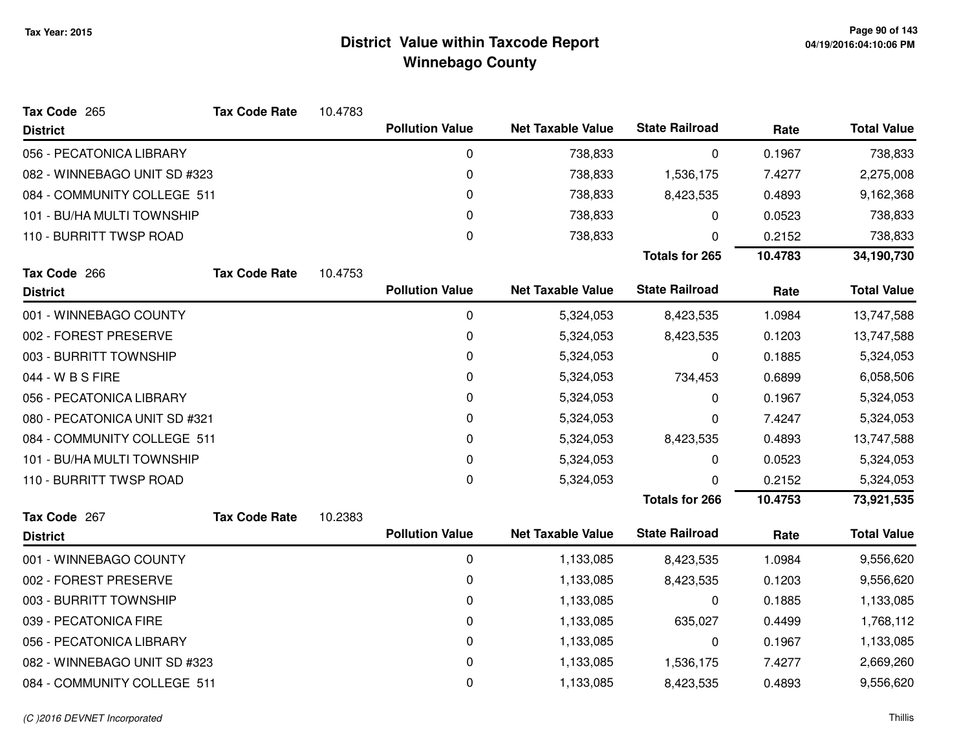| Tax Code 265                  | <b>Tax Code Rate</b> | 10.4783 |                        |                          |                       |         |                    |
|-------------------------------|----------------------|---------|------------------------|--------------------------|-----------------------|---------|--------------------|
| <b>District</b>               |                      |         | <b>Pollution Value</b> | <b>Net Taxable Value</b> | <b>State Railroad</b> | Rate    | <b>Total Value</b> |
| 056 - PECATONICA LIBRARY      |                      |         | 0                      | 738,833                  | 0                     | 0.1967  | 738,833            |
| 082 - WINNEBAGO UNIT SD #323  |                      |         | 0                      | 738,833                  | 1,536,175             | 7.4277  | 2,275,008          |
| 084 - COMMUNITY COLLEGE 511   |                      |         | 0                      | 738,833                  | 8,423,535             | 0.4893  | 9,162,368          |
| 101 - BU/HA MULTI TOWNSHIP    |                      |         | 0                      | 738,833                  | 0                     | 0.0523  | 738,833            |
| 110 - BURRITT TWSP ROAD       |                      |         | 0                      | 738,833                  | 0                     | 0.2152  | 738,833            |
|                               |                      |         |                        |                          | <b>Totals for 265</b> | 10.4783 | 34,190,730         |
| Tax Code 266                  | <b>Tax Code Rate</b> | 10.4753 |                        |                          |                       |         |                    |
| <b>District</b>               |                      |         | <b>Pollution Value</b> | <b>Net Taxable Value</b> | <b>State Railroad</b> | Rate    | <b>Total Value</b> |
| 001 - WINNEBAGO COUNTY        |                      |         | $\pmb{0}$              | 5,324,053                | 8,423,535             | 1.0984  | 13,747,588         |
| 002 - FOREST PRESERVE         |                      |         | 0                      | 5,324,053                | 8,423,535             | 0.1203  | 13,747,588         |
| 003 - BURRITT TOWNSHIP        |                      |         | 0                      | 5,324,053                | 0                     | 0.1885  | 5,324,053          |
| 044 - W B S FIRE              |                      |         | 0                      | 5,324,053                | 734,453               | 0.6899  | 6,058,506          |
| 056 - PECATONICA LIBRARY      |                      |         | 0                      | 5,324,053                | 0                     | 0.1967  | 5,324,053          |
| 080 - PECATONICA UNIT SD #321 |                      |         | 0                      | 5,324,053                | 0                     | 7.4247  | 5,324,053          |
| 084 - COMMUNITY COLLEGE 511   |                      |         | 0                      | 5,324,053                | 8,423,535             | 0.4893  | 13,747,588         |
| 101 - BU/HA MULTI TOWNSHIP    |                      |         | 0                      | 5,324,053                | 0                     | 0.0523  | 5,324,053          |
| 110 - BURRITT TWSP ROAD       |                      |         | 0                      | 5,324,053                | 0                     | 0.2152  | 5,324,053          |
|                               |                      |         |                        |                          | <b>Totals for 266</b> | 10.4753 | 73,921,535         |
| Tax Code 267                  | <b>Tax Code Rate</b> | 10.2383 |                        |                          |                       |         |                    |
| <b>District</b>               |                      |         | <b>Pollution Value</b> | <b>Net Taxable Value</b> | <b>State Railroad</b> | Rate    | <b>Total Value</b> |
| 001 - WINNEBAGO COUNTY        |                      |         | $\mathbf 0$            | 1,133,085                | 8,423,535             | 1.0984  | 9,556,620          |
| 002 - FOREST PRESERVE         |                      |         | 0                      | 1,133,085                | 8,423,535             | 0.1203  | 9,556,620          |
| 003 - BURRITT TOWNSHIP        |                      |         | 0                      | 1,133,085                | 0                     | 0.1885  | 1,133,085          |
| 039 - PECATONICA FIRE         |                      |         | 0                      | 1,133,085                | 635,027               | 0.4499  | 1,768,112          |
| 056 - PECATONICA LIBRARY      |                      |         | 0                      | 1,133,085                | 0                     | 0.1967  | 1,133,085          |
| 082 - WINNEBAGO UNIT SD #323  |                      |         | 0                      | 1,133,085                | 1,536,175             | 7.4277  | 2,669,260          |
| 084 - COMMUNITY COLLEGE 511   |                      |         | 0                      | 1,133,085                | 8,423,535             | 0.4893  | 9,556,620          |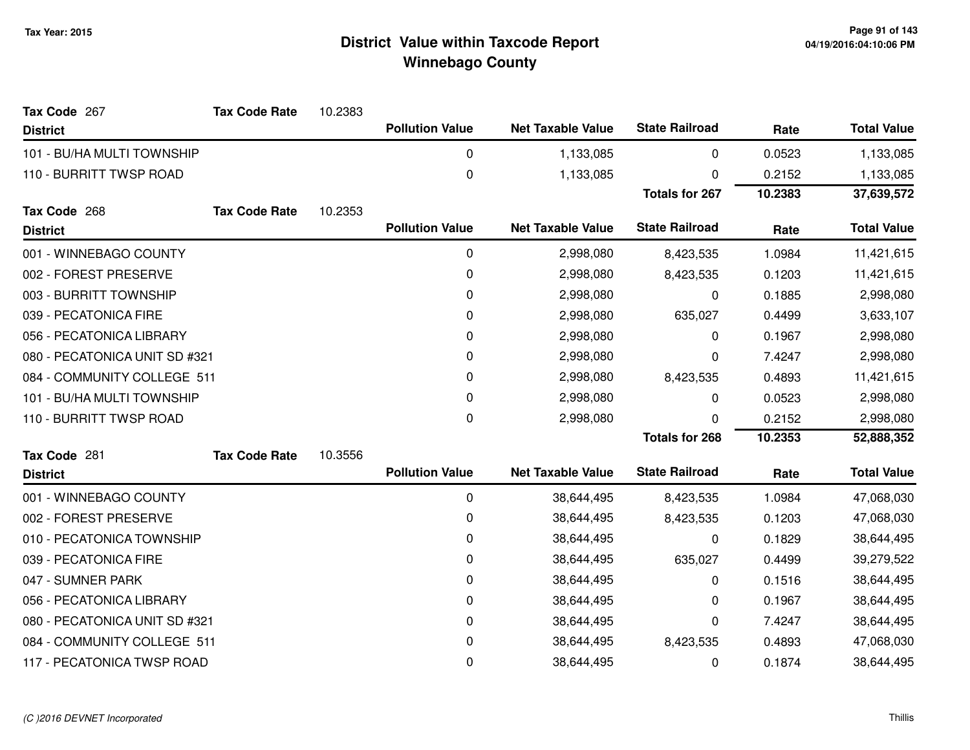| Tax Code 267                  | <b>Tax Code Rate</b> | 10.2383 |                        |                          |                       |         |                    |
|-------------------------------|----------------------|---------|------------------------|--------------------------|-----------------------|---------|--------------------|
| <b>District</b>               |                      |         | <b>Pollution Value</b> | <b>Net Taxable Value</b> | <b>State Railroad</b> | Rate    | <b>Total Value</b> |
| 101 - BU/HA MULTI TOWNSHIP    |                      |         | 0                      | 1,133,085                | 0                     | 0.0523  | 1,133,085          |
| 110 - BURRITT TWSP ROAD       |                      |         | 0                      | 1,133,085                | 0                     | 0.2152  | 1,133,085          |
|                               |                      |         |                        |                          | <b>Totals for 267</b> | 10.2383 | 37,639,572         |
| Tax Code 268                  | <b>Tax Code Rate</b> | 10.2353 |                        |                          |                       |         |                    |
| <b>District</b>               |                      |         | <b>Pollution Value</b> | <b>Net Taxable Value</b> | <b>State Railroad</b> | Rate    | <b>Total Value</b> |
| 001 - WINNEBAGO COUNTY        |                      |         | 0                      | 2,998,080                | 8,423,535             | 1.0984  | 11,421,615         |
| 002 - FOREST PRESERVE         |                      |         | 0                      | 2,998,080                | 8,423,535             | 0.1203  | 11,421,615         |
| 003 - BURRITT TOWNSHIP        |                      |         | 0                      | 2,998,080                | 0                     | 0.1885  | 2,998,080          |
| 039 - PECATONICA FIRE         |                      |         | 0                      | 2,998,080                | 635,027               | 0.4499  | 3,633,107          |
| 056 - PECATONICA LIBRARY      |                      |         | 0                      | 2,998,080                | 0                     | 0.1967  | 2,998,080          |
| 080 - PECATONICA UNIT SD #321 |                      |         | 0                      | 2,998,080                | 0                     | 7.4247  | 2,998,080          |
| 084 - COMMUNITY COLLEGE 511   |                      |         | 0                      | 2,998,080                | 8,423,535             | 0.4893  | 11,421,615         |
| 101 - BU/HA MULTI TOWNSHIP    |                      |         | 0                      | 2,998,080                | 0                     | 0.0523  | 2,998,080          |
| 110 - BURRITT TWSP ROAD       |                      |         | 0                      | 2,998,080                | <sup>0</sup>          | 0.2152  | 2,998,080          |
|                               |                      |         |                        |                          | <b>Totals for 268</b> | 10.2353 | 52,888,352         |
| Tax Code 281                  | <b>Tax Code Rate</b> | 10.3556 |                        |                          |                       |         |                    |
| <b>District</b>               |                      |         | <b>Pollution Value</b> | <b>Net Taxable Value</b> | <b>State Railroad</b> | Rate    | <b>Total Value</b> |
| 001 - WINNEBAGO COUNTY        |                      |         | 0                      | 38,644,495               | 8,423,535             | 1.0984  | 47,068,030         |
| 002 - FOREST PRESERVE         |                      |         | 0                      | 38,644,495               | 8,423,535             | 0.1203  | 47,068,030         |
| 010 - PECATONICA TOWNSHIP     |                      |         | 0                      | 38,644,495               | 0                     | 0.1829  | 38,644,495         |
| 039 - PECATONICA FIRE         |                      |         | 0                      | 38,644,495               | 635,027               | 0.4499  | 39,279,522         |
| 047 - SUMNER PARK             |                      |         | 0                      | 38,644,495               | 0                     | 0.1516  | 38,644,495         |
| 056 - PECATONICA LIBRARY      |                      |         | 0                      | 38,644,495               | 0                     | 0.1967  | 38,644,495         |
| 080 - PECATONICA UNIT SD #321 |                      |         | 0                      | 38,644,495               | 0                     | 7.4247  | 38,644,495         |
| 084 - COMMUNITY COLLEGE 511   |                      |         | 0                      | 38,644,495               | 8,423,535             | 0.4893  | 47,068,030         |
| 117 - PECATONICA TWSP ROAD    |                      |         | 0                      | 38,644,495               | 0                     | 0.1874  | 38,644,495         |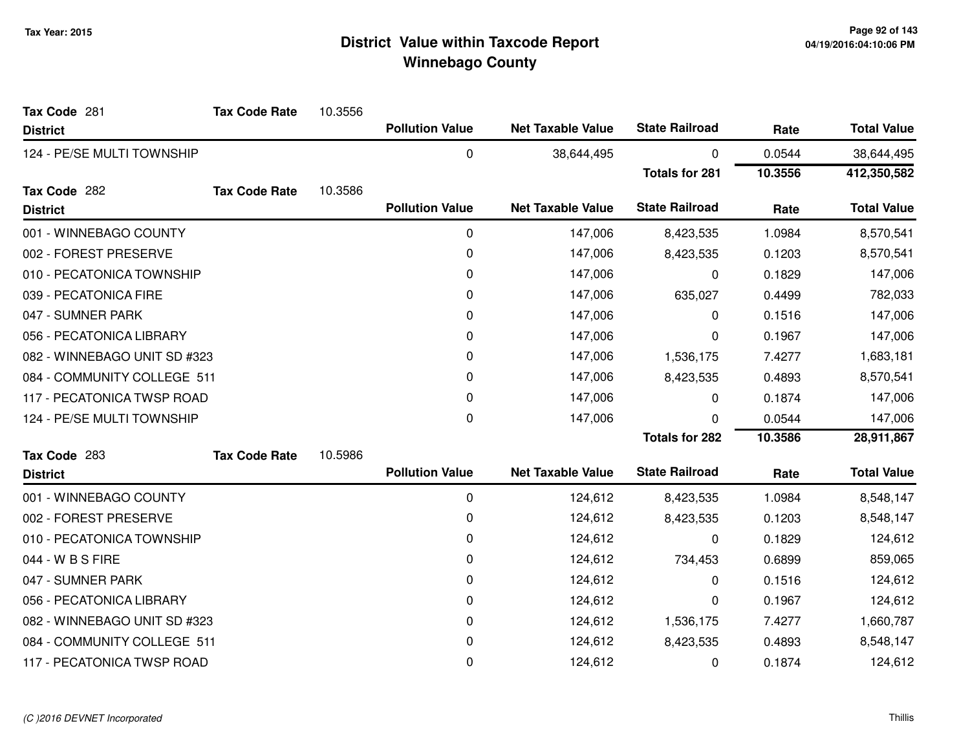| Tax Code 281                 | <b>Tax Code Rate</b> | 10.3556 |                        |                          |                       |         |                    |
|------------------------------|----------------------|---------|------------------------|--------------------------|-----------------------|---------|--------------------|
| <b>District</b>              |                      |         | <b>Pollution Value</b> | <b>Net Taxable Value</b> | <b>State Railroad</b> | Rate    | <b>Total Value</b> |
| 124 - PE/SE MULTI TOWNSHIP   |                      |         | $\mathbf 0$            | 38,644,495               | 0                     | 0.0544  | 38,644,495         |
|                              |                      |         |                        |                          | <b>Totals for 281</b> | 10.3556 | 412,350,582        |
| Tax Code 282                 | <b>Tax Code Rate</b> | 10.3586 |                        |                          |                       |         |                    |
| <b>District</b>              |                      |         | <b>Pollution Value</b> | <b>Net Taxable Value</b> | <b>State Railroad</b> | Rate    | <b>Total Value</b> |
| 001 - WINNEBAGO COUNTY       |                      |         | 0                      | 147,006                  | 8,423,535             | 1.0984  | 8,570,541          |
| 002 - FOREST PRESERVE        |                      |         | 0                      | 147,006                  | 8,423,535             | 0.1203  | 8,570,541          |
| 010 - PECATONICA TOWNSHIP    |                      |         | 0                      | 147,006                  | 0                     | 0.1829  | 147,006            |
| 039 - PECATONICA FIRE        |                      |         | 0                      | 147,006                  | 635,027               | 0.4499  | 782,033            |
| 047 - SUMNER PARK            |                      |         | 0                      | 147,006                  | 0                     | 0.1516  | 147,006            |
| 056 - PECATONICA LIBRARY     |                      |         | 0                      | 147,006                  | 0                     | 0.1967  | 147,006            |
| 082 - WINNEBAGO UNIT SD #323 |                      |         | 0                      | 147,006                  | 1,536,175             | 7.4277  | 1,683,181          |
| 084 - COMMUNITY COLLEGE 511  |                      |         | 0                      | 147,006                  | 8,423,535             | 0.4893  | 8,570,541          |
| 117 - PECATONICA TWSP ROAD   |                      |         | 0                      | 147,006                  | 0                     | 0.1874  | 147,006            |
| 124 - PE/SE MULTI TOWNSHIP   |                      |         | 0                      | 147,006                  | 0                     | 0.0544  | 147,006            |
|                              |                      |         |                        |                          | <b>Totals for 282</b> | 10.3586 | 28,911,867         |
| Tax Code 283                 | <b>Tax Code Rate</b> | 10.5986 |                        |                          |                       |         |                    |
| <b>District</b>              |                      |         | <b>Pollution Value</b> | <b>Net Taxable Value</b> | <b>State Railroad</b> | Rate    | <b>Total Value</b> |
| 001 - WINNEBAGO COUNTY       |                      |         | 0                      | 124,612                  | 8,423,535             | 1.0984  | 8,548,147          |
| 002 - FOREST PRESERVE        |                      |         | 0                      | 124,612                  | 8,423,535             | 0.1203  | 8,548,147          |
| 010 - PECATONICA TOWNSHIP    |                      |         | 0                      | 124,612                  | 0                     | 0.1829  | 124,612            |
| 044 - W B S FIRE             |                      |         | 0                      | 124,612                  | 734,453               | 0.6899  | 859,065            |
| 047 - SUMNER PARK            |                      |         | 0                      | 124,612                  | 0                     | 0.1516  | 124,612            |
| 056 - PECATONICA LIBRARY     |                      |         | 0                      | 124,612                  | 0                     | 0.1967  | 124,612            |
| 082 - WINNEBAGO UNIT SD #323 |                      |         | 0                      | 124,612                  | 1,536,175             | 7.4277  | 1,660,787          |
| 084 - COMMUNITY COLLEGE 511  |                      |         | 0                      | 124,612                  | 8,423,535             | 0.4893  | 8,548,147          |
| 117 - PECATONICA TWSP ROAD   |                      |         | 0                      | 124,612                  | 0                     | 0.1874  | 124,612            |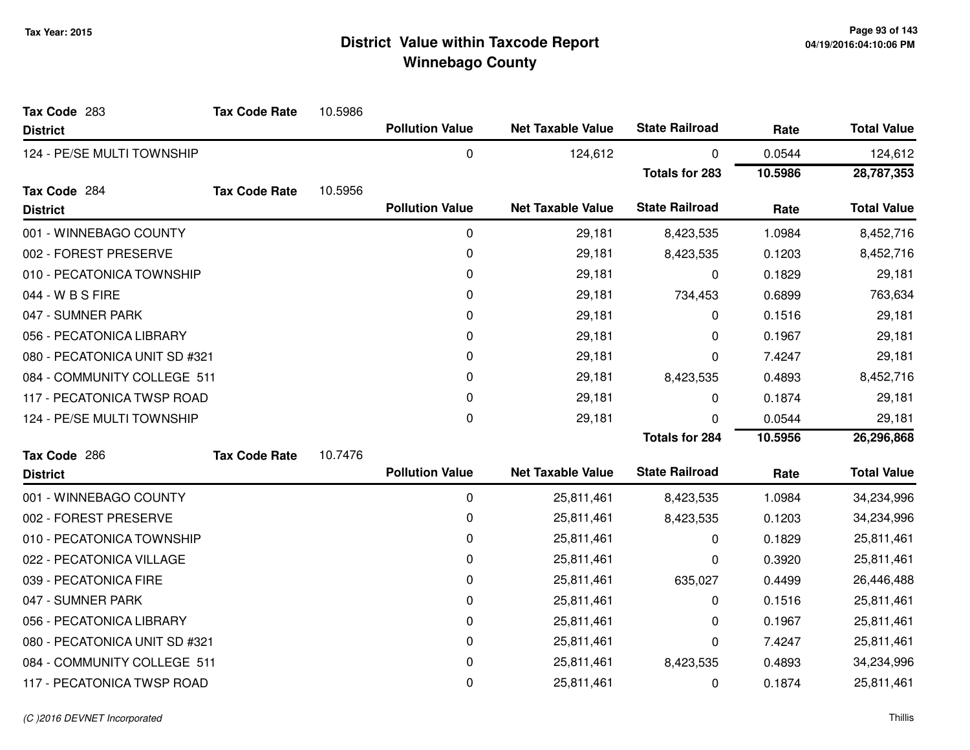| Tax Code 283                  | <b>Tax Code Rate</b> | 10.5986 |                        |                          |                       |         |                    |
|-------------------------------|----------------------|---------|------------------------|--------------------------|-----------------------|---------|--------------------|
| <b>District</b>               |                      |         | <b>Pollution Value</b> | <b>Net Taxable Value</b> | <b>State Railroad</b> | Rate    | <b>Total Value</b> |
| 124 - PE/SE MULTI TOWNSHIP    |                      |         | $\mathbf 0$            | 124,612                  | 0                     | 0.0544  | 124,612            |
|                               |                      |         |                        |                          | <b>Totals for 283</b> | 10.5986 | 28,787,353         |
| Tax Code 284                  | <b>Tax Code Rate</b> | 10.5956 |                        |                          |                       |         |                    |
| <b>District</b>               |                      |         | <b>Pollution Value</b> | <b>Net Taxable Value</b> | <b>State Railroad</b> | Rate    | <b>Total Value</b> |
| 001 - WINNEBAGO COUNTY        |                      |         | 0                      | 29,181                   | 8,423,535             | 1.0984  | 8,452,716          |
| 002 - FOREST PRESERVE         |                      |         | 0                      | 29,181                   | 8,423,535             | 0.1203  | 8,452,716          |
| 010 - PECATONICA TOWNSHIP     |                      |         | 0                      | 29,181                   | 0                     | 0.1829  | 29,181             |
| 044 - W B S FIRE              |                      |         | 0                      | 29,181                   | 734,453               | 0.6899  | 763,634            |
| 047 - SUMNER PARK             |                      |         | 0                      | 29,181                   | 0                     | 0.1516  | 29,181             |
| 056 - PECATONICA LIBRARY      |                      |         | 0                      | 29,181                   | 0                     | 0.1967  | 29,181             |
| 080 - PECATONICA UNIT SD #321 |                      |         | 0                      | 29,181                   | 0                     | 7.4247  | 29,181             |
| 084 - COMMUNITY COLLEGE 511   |                      |         | 0                      | 29,181                   | 8,423,535             | 0.4893  | 8,452,716          |
| 117 - PECATONICA TWSP ROAD    |                      |         | 0                      | 29,181                   | 0                     | 0.1874  | 29,181             |
| 124 - PE/SE MULTI TOWNSHIP    |                      |         | 0                      | 29,181                   | 0                     | 0.0544  | 29,181             |
|                               |                      |         |                        |                          | <b>Totals for 284</b> | 10.5956 | 26,296,868         |
| Tax Code 286                  | <b>Tax Code Rate</b> | 10.7476 |                        |                          |                       |         |                    |
| <b>District</b>               |                      |         | <b>Pollution Value</b> | <b>Net Taxable Value</b> | <b>State Railroad</b> | Rate    | <b>Total Value</b> |
| 001 - WINNEBAGO COUNTY        |                      |         | 0                      | 25,811,461               | 8,423,535             | 1.0984  | 34,234,996         |
| 002 - FOREST PRESERVE         |                      |         | 0                      | 25,811,461               | 8,423,535             | 0.1203  | 34,234,996         |
| 010 - PECATONICA TOWNSHIP     |                      |         | 0                      | 25,811,461               | 0                     | 0.1829  | 25,811,461         |
| 022 - PECATONICA VILLAGE      |                      |         | 0                      | 25,811,461               | 0                     | 0.3920  | 25,811,461         |
| 039 - PECATONICA FIRE         |                      |         | 0                      | 25,811,461               | 635,027               | 0.4499  | 26,446,488         |
| 047 - SUMNER PARK             |                      |         | 0                      | 25,811,461               | 0                     | 0.1516  | 25,811,461         |
| 056 - PECATONICA LIBRARY      |                      |         | 0                      | 25,811,461               | 0                     | 0.1967  | 25,811,461         |
| 080 - PECATONICA UNIT SD #321 |                      |         | 0                      | 25,811,461               | 0                     | 7.4247  | 25,811,461         |
| 084 - COMMUNITY COLLEGE 511   |                      |         | 0                      | 25,811,461               | 8,423,535             | 0.4893  | 34,234,996         |
| 117 - PECATONICA TWSP ROAD    |                      |         | 0                      | 25,811,461               | 0                     | 0.1874  | 25,811,461         |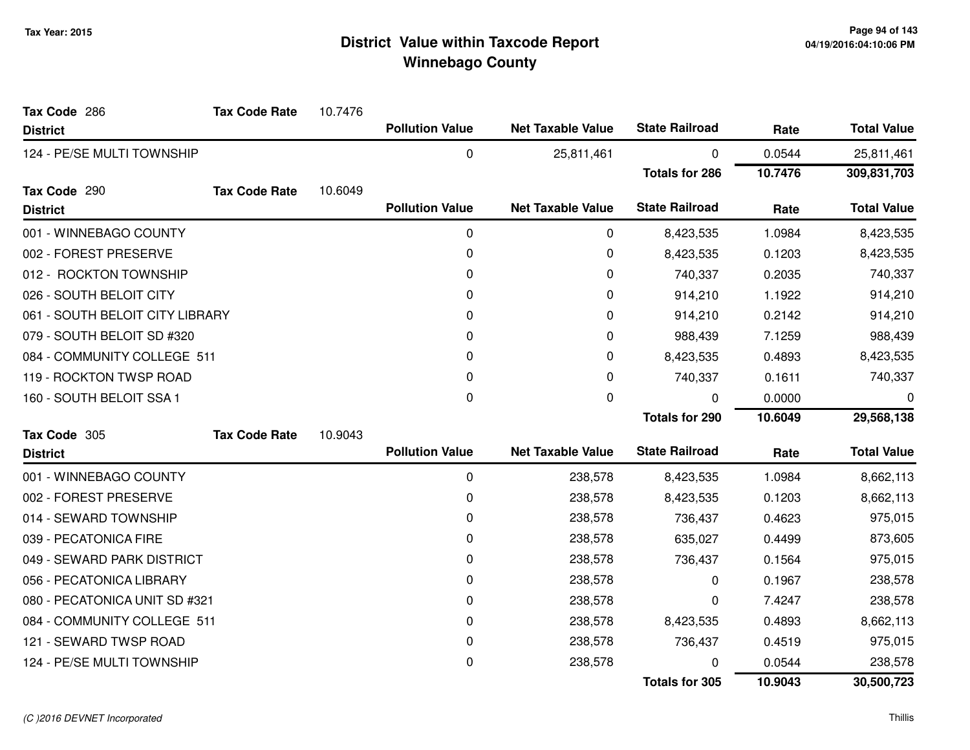| Tax Code 286                    | <b>Tax Code Rate</b> | 10.7476 |                        |                          |                       |         |                    |
|---------------------------------|----------------------|---------|------------------------|--------------------------|-----------------------|---------|--------------------|
| <b>District</b>                 |                      |         | <b>Pollution Value</b> | <b>Net Taxable Value</b> | <b>State Railroad</b> | Rate    | <b>Total Value</b> |
| 124 - PE/SE MULTI TOWNSHIP      |                      |         | 0                      | 25,811,461               | 0                     | 0.0544  | 25,811,461         |
|                                 |                      |         |                        |                          | <b>Totals for 286</b> | 10.7476 | 309,831,703        |
| Tax Code 290                    | <b>Tax Code Rate</b> | 10.6049 |                        |                          |                       |         |                    |
| <b>District</b>                 |                      |         | <b>Pollution Value</b> | <b>Net Taxable Value</b> | <b>State Railroad</b> | Rate    | <b>Total Value</b> |
| 001 - WINNEBAGO COUNTY          |                      |         | 0                      | 0                        | 8,423,535             | 1.0984  | 8,423,535          |
| 002 - FOREST PRESERVE           |                      |         | 0                      | 0                        | 8,423,535             | 0.1203  | 8,423,535          |
| 012 - ROCKTON TOWNSHIP          |                      |         | 0                      | 0                        | 740,337               | 0.2035  | 740,337            |
| 026 - SOUTH BELOIT CITY         |                      |         | 0                      | 0                        | 914,210               | 1.1922  | 914,210            |
| 061 - SOUTH BELOIT CITY LIBRARY |                      |         | 0                      | 0                        | 914,210               | 0.2142  | 914,210            |
| 079 - SOUTH BELOIT SD #320      |                      |         | $\Omega$               | 0                        | 988,439               | 7.1259  | 988,439            |
| 084 - COMMUNITY COLLEGE 511     |                      |         | 0                      | 0                        | 8,423,535             | 0.4893  | 8,423,535          |
| 119 - ROCKTON TWSP ROAD         |                      |         | $\mathbf 0$            | 0                        | 740,337               | 0.1611  | 740,337            |
| 160 - SOUTH BELOIT SSA 1        |                      |         | $\Omega$               | 0                        | 0                     | 0.0000  | 0                  |
|                                 |                      |         |                        |                          | <b>Totals for 290</b> | 10.6049 | 29,568,138         |
| Tax Code 305                    | <b>Tax Code Rate</b> | 10.9043 |                        |                          |                       |         |                    |
| <b>District</b>                 |                      |         | <b>Pollution Value</b> | <b>Net Taxable Value</b> | <b>State Railroad</b> | Rate    | <b>Total Value</b> |
| 001 - WINNEBAGO COUNTY          |                      |         | $\pmb{0}$              | 238,578                  | 8,423,535             | 1.0984  | 8,662,113          |
| 002 - FOREST PRESERVE           |                      |         | 0                      | 238,578                  | 8,423,535             | 0.1203  | 8,662,113          |
| 014 - SEWARD TOWNSHIP           |                      |         | $\mathbf 0$            | 238,578                  | 736,437               | 0.4623  | 975,015            |
| 039 - PECATONICA FIRE           |                      |         | 0                      | 238,578                  | 635,027               | 0.4499  | 873,605            |
| 049 - SEWARD PARK DISTRICT      |                      |         | 0                      | 238,578                  | 736,437               | 0.1564  | 975,015            |
| 056 - PECATONICA LIBRARY        |                      |         | 0                      | 238,578                  | 0                     | 0.1967  | 238,578            |
| 080 - PECATONICA UNIT SD #321   |                      |         | $\mathbf 0$            | 238,578                  | 0                     | 7.4247  | 238,578            |
| 084 - COMMUNITY COLLEGE 511     |                      |         | 0                      | 238,578                  | 8,423,535             | 0.4893  | 8,662,113          |
| 121 - SEWARD TWSP ROAD          |                      |         | 0                      | 238,578                  | 736,437               | 0.4519  | 975,015            |
| 124 - PE/SE MULTI TOWNSHIP      |                      |         | $\mathbf 0$            | 238,578                  | 0                     | 0.0544  | 238,578            |
|                                 |                      |         |                        |                          | <b>Totals for 305</b> | 10.9043 | 30,500,723         |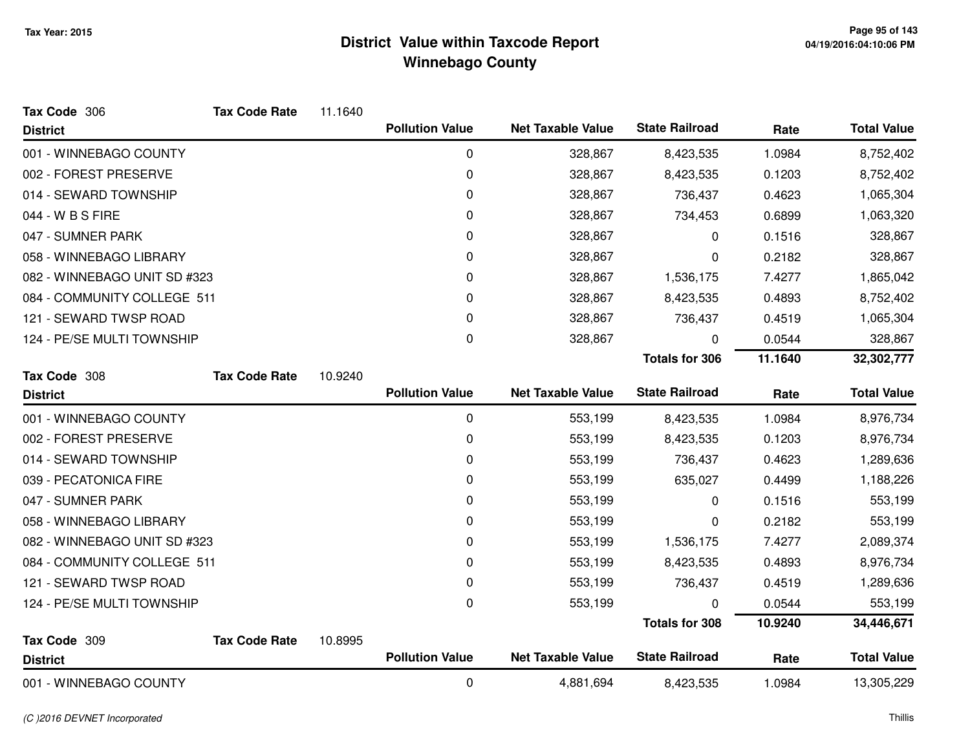| Tax Code 306                 | <b>Tax Code Rate</b> | 11.1640 |                        |                          |                       |         |                    |
|------------------------------|----------------------|---------|------------------------|--------------------------|-----------------------|---------|--------------------|
| <b>District</b>              |                      |         | <b>Pollution Value</b> | <b>Net Taxable Value</b> | <b>State Railroad</b> | Rate    | <b>Total Value</b> |
| 001 - WINNEBAGO COUNTY       |                      |         | 0                      | 328,867                  | 8,423,535             | 1.0984  | 8,752,402          |
| 002 - FOREST PRESERVE        |                      |         | 0                      | 328,867                  | 8,423,535             | 0.1203  | 8,752,402          |
| 014 - SEWARD TOWNSHIP        |                      |         | 0                      | 328,867                  | 736,437               | 0.4623  | 1,065,304          |
| 044 - W B S FIRE             |                      |         | 0                      | 328,867                  | 734,453               | 0.6899  | 1,063,320          |
| 047 - SUMNER PARK            |                      |         | 0                      | 328,867                  | 0                     | 0.1516  | 328,867            |
| 058 - WINNEBAGO LIBRARY      |                      |         | 0                      | 328,867                  | 0                     | 0.2182  | 328,867            |
| 082 - WINNEBAGO UNIT SD #323 |                      |         | 0                      | 328,867                  | 1,536,175             | 7.4277  | 1,865,042          |
| 084 - COMMUNITY COLLEGE 511  |                      |         | $\Omega$               | 328,867                  | 8,423,535             | 0.4893  | 8,752,402          |
| 121 - SEWARD TWSP ROAD       |                      |         | 0                      | 328,867                  | 736,437               | 0.4519  | 1,065,304          |
| 124 - PE/SE MULTI TOWNSHIP   |                      |         | 0                      | 328,867                  | 0                     | 0.0544  | 328,867            |
|                              |                      |         |                        |                          | <b>Totals for 306</b> | 11.1640 | 32,302,777         |
| Tax Code 308                 | <b>Tax Code Rate</b> | 10.9240 |                        |                          |                       |         |                    |
| <b>District</b>              |                      |         | <b>Pollution Value</b> | <b>Net Taxable Value</b> | <b>State Railroad</b> | Rate    | <b>Total Value</b> |
| 001 - WINNEBAGO COUNTY       |                      |         | 0                      | 553,199                  | 8,423,535             | 1.0984  | 8,976,734          |
| 002 - FOREST PRESERVE        |                      |         | 0                      | 553,199                  | 8,423,535             | 0.1203  | 8,976,734          |
| 014 - SEWARD TOWNSHIP        |                      |         | 0                      | 553,199                  | 736,437               | 0.4623  | 1,289,636          |
| 039 - PECATONICA FIRE        |                      |         | 0                      | 553,199                  | 635,027               | 0.4499  | 1,188,226          |
| 047 - SUMNER PARK            |                      |         | 0                      | 553,199                  | 0                     | 0.1516  | 553,199            |
| 058 - WINNEBAGO LIBRARY      |                      |         | 0                      | 553,199                  | 0                     | 0.2182  | 553,199            |
| 082 - WINNEBAGO UNIT SD #323 |                      |         | 0                      | 553,199                  | 1,536,175             | 7.4277  | 2,089,374          |
| 084 - COMMUNITY COLLEGE 511  |                      |         | 0                      | 553,199                  | 8,423,535             | 0.4893  | 8,976,734          |
| 121 - SEWARD TWSP ROAD       |                      |         | 0                      | 553,199                  | 736,437               | 0.4519  | 1,289,636          |
| 124 - PE/SE MULTI TOWNSHIP   |                      |         | 0                      | 553,199                  | U                     | 0.0544  | 553,199            |
|                              |                      |         |                        |                          | <b>Totals for 308</b> | 10.9240 | 34,446,671         |
| Tax Code 309                 | <b>Tax Code Rate</b> | 10.8995 |                        |                          |                       |         |                    |
| <b>District</b>              |                      |         | <b>Pollution Value</b> | <b>Net Taxable Value</b> | <b>State Railroad</b> | Rate    | <b>Total Value</b> |
| 001 - WINNEBAGO COUNTY       |                      |         | 0                      | 4,881,694                | 8,423,535             | 1.0984  | 13,305,229         |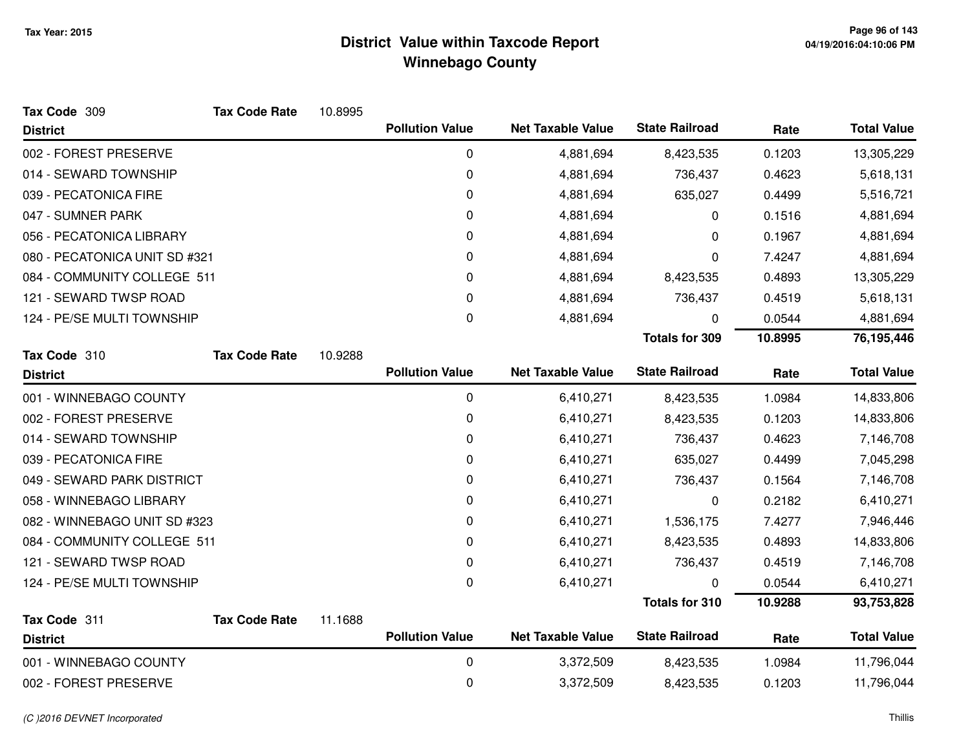| Tax Code 309                  | <b>Tax Code Rate</b> | 10.8995 |                        |                          |                       |         |                    |
|-------------------------------|----------------------|---------|------------------------|--------------------------|-----------------------|---------|--------------------|
| <b>District</b>               |                      |         | <b>Pollution Value</b> | <b>Net Taxable Value</b> | <b>State Railroad</b> | Rate    | <b>Total Value</b> |
| 002 - FOREST PRESERVE         |                      |         | 0                      | 4,881,694                | 8,423,535             | 0.1203  | 13,305,229         |
| 014 - SEWARD TOWNSHIP         |                      |         | 0                      | 4,881,694                | 736,437               | 0.4623  | 5,618,131          |
| 039 - PECATONICA FIRE         |                      |         | 0                      | 4,881,694                | 635,027               | 0.4499  | 5,516,721          |
| 047 - SUMNER PARK             |                      |         | 0                      | 4,881,694                | 0                     | 0.1516  | 4,881,694          |
| 056 - PECATONICA LIBRARY      |                      |         | 0                      | 4,881,694                | 0                     | 0.1967  | 4,881,694          |
| 080 - PECATONICA UNIT SD #321 |                      |         | 0                      | 4,881,694                | 0                     | 7.4247  | 4,881,694          |
| 084 - COMMUNITY COLLEGE 511   |                      |         | 0                      | 4,881,694                | 8,423,535             | 0.4893  | 13,305,229         |
| 121 - SEWARD TWSP ROAD        |                      |         | 0                      | 4,881,694                | 736,437               | 0.4519  | 5,618,131          |
| 124 - PE/SE MULTI TOWNSHIP    |                      |         | 0                      | 4,881,694                | 0                     | 0.0544  | 4,881,694          |
|                               |                      |         |                        |                          | <b>Totals for 309</b> | 10.8995 | 76,195,446         |
| Tax Code 310                  | <b>Tax Code Rate</b> | 10.9288 |                        |                          |                       |         |                    |
| <b>District</b>               |                      |         | <b>Pollution Value</b> | <b>Net Taxable Value</b> | <b>State Railroad</b> | Rate    | <b>Total Value</b> |
| 001 - WINNEBAGO COUNTY        |                      |         | 0                      | 6,410,271                | 8,423,535             | 1.0984  | 14,833,806         |
| 002 - FOREST PRESERVE         |                      |         | 0                      | 6,410,271                | 8,423,535             | 0.1203  | 14,833,806         |
| 014 - SEWARD TOWNSHIP         |                      |         | 0                      | 6,410,271                | 736,437               | 0.4623  | 7,146,708          |
| 039 - PECATONICA FIRE         |                      |         | $\pmb{0}$              | 6,410,271                | 635,027               | 0.4499  | 7,045,298          |
| 049 - SEWARD PARK DISTRICT    |                      |         | 0                      | 6,410,271                | 736,437               | 0.1564  | 7,146,708          |
| 058 - WINNEBAGO LIBRARY       |                      |         | 0                      | 6,410,271                | 0                     | 0.2182  | 6,410,271          |
| 082 - WINNEBAGO UNIT SD #323  |                      |         | 0                      | 6,410,271                | 1,536,175             | 7.4277  | 7,946,446          |
| 084 - COMMUNITY COLLEGE 511   |                      |         | 0                      | 6,410,271                | 8,423,535             | 0.4893  | 14,833,806         |
| 121 - SEWARD TWSP ROAD        |                      |         | $\pmb{0}$              | 6,410,271                | 736,437               | 0.4519  | 7,146,708          |
| 124 - PE/SE MULTI TOWNSHIP    |                      |         | 0                      | 6,410,271                | 0                     | 0.0544  | 6,410,271          |
|                               |                      |         |                        |                          | <b>Totals for 310</b> | 10.9288 | 93,753,828         |
| Tax Code 311                  | <b>Tax Code Rate</b> | 11.1688 |                        |                          |                       |         |                    |
| <b>District</b>               |                      |         | <b>Pollution Value</b> | <b>Net Taxable Value</b> | <b>State Railroad</b> | Rate    | <b>Total Value</b> |
| 001 - WINNEBAGO COUNTY        |                      |         | 0                      | 3,372,509                | 8,423,535             | 1.0984  | 11,796,044         |
| 002 - FOREST PRESERVE         |                      |         | 0                      | 3,372,509                | 8,423,535             | 0.1203  | 11,796,044         |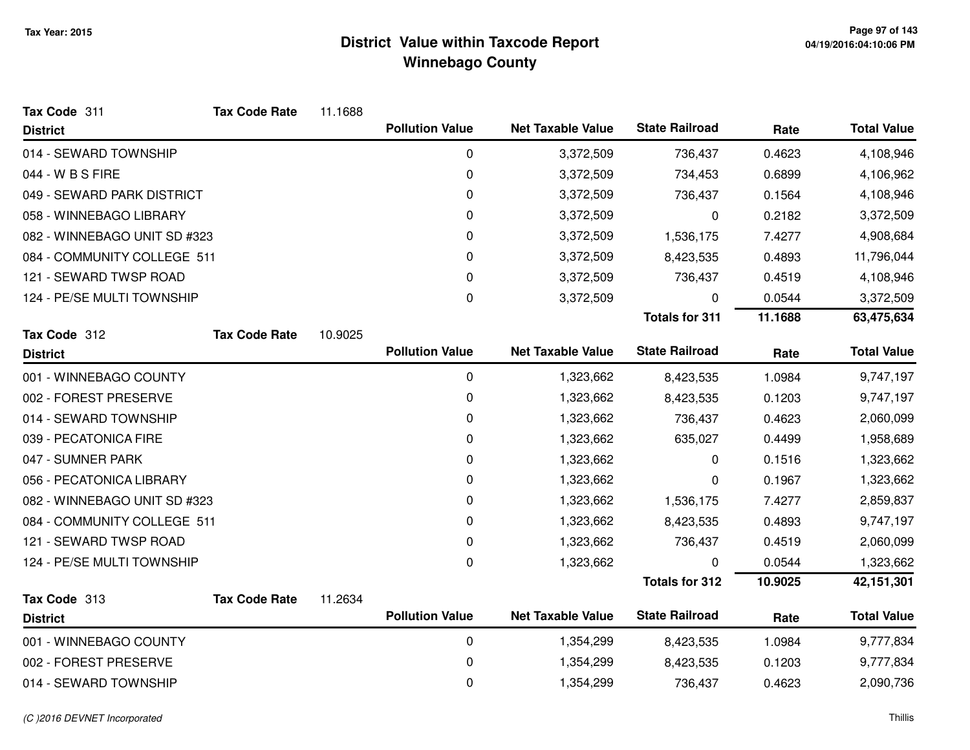| Tax Code 311                 | <b>Tax Code Rate</b> | 11.1688 |                        |                          |                       |         |                    |
|------------------------------|----------------------|---------|------------------------|--------------------------|-----------------------|---------|--------------------|
| <b>District</b>              |                      |         | <b>Pollution Value</b> | <b>Net Taxable Value</b> | <b>State Railroad</b> | Rate    | <b>Total Value</b> |
| 014 - SEWARD TOWNSHIP        |                      |         | 0                      | 3,372,509                | 736,437               | 0.4623  | 4,108,946          |
| 044 - W B S FIRE             |                      |         | 0                      | 3,372,509                | 734,453               | 0.6899  | 4,106,962          |
| 049 - SEWARD PARK DISTRICT   |                      |         | 0                      | 3,372,509                | 736,437               | 0.1564  | 4,108,946          |
| 058 - WINNEBAGO LIBRARY      |                      |         | 0                      | 3,372,509                | 0                     | 0.2182  | 3,372,509          |
| 082 - WINNEBAGO UNIT SD #323 |                      |         | 0                      | 3,372,509                | 1,536,175             | 7.4277  | 4,908,684          |
| 084 - COMMUNITY COLLEGE 511  |                      |         | 0                      | 3,372,509                | 8,423,535             | 0.4893  | 11,796,044         |
| 121 - SEWARD TWSP ROAD       |                      |         | 0                      | 3,372,509                | 736,437               | 0.4519  | 4,108,946          |
| 124 - PE/SE MULTI TOWNSHIP   |                      |         | 0                      | 3,372,509                | 0                     | 0.0544  | 3,372,509          |
|                              |                      |         |                        |                          | <b>Totals for 311</b> | 11.1688 | 63,475,634         |
| Tax Code 312                 | <b>Tax Code Rate</b> | 10.9025 |                        |                          |                       |         |                    |
| <b>District</b>              |                      |         | <b>Pollution Value</b> | <b>Net Taxable Value</b> | <b>State Railroad</b> | Rate    | <b>Total Value</b> |
| 001 - WINNEBAGO COUNTY       |                      |         | 0                      | 1,323,662                | 8,423,535             | 1.0984  | 9,747,197          |
| 002 - FOREST PRESERVE        |                      |         | 0                      | 1,323,662                | 8,423,535             | 0.1203  | 9,747,197          |
| 014 - SEWARD TOWNSHIP        |                      |         | 0                      | 1,323,662                | 736,437               | 0.4623  | 2,060,099          |
| 039 - PECATONICA FIRE        |                      |         | 0                      | 1,323,662                | 635,027               | 0.4499  | 1,958,689          |
| 047 - SUMNER PARK            |                      |         | 0                      | 1,323,662                | 0                     | 0.1516  | 1,323,662          |
| 056 - PECATONICA LIBRARY     |                      |         | 0                      | 1,323,662                | 0                     | 0.1967  | 1,323,662          |
| 082 - WINNEBAGO UNIT SD #323 |                      |         | 0                      | 1,323,662                | 1,536,175             | 7.4277  | 2,859,837          |
| 084 - COMMUNITY COLLEGE 511  |                      |         | 0                      | 1,323,662                | 8,423,535             | 0.4893  | 9,747,197          |
| 121 - SEWARD TWSP ROAD       |                      |         | 0                      | 1,323,662                | 736,437               | 0.4519  | 2,060,099          |
| 124 - PE/SE MULTI TOWNSHIP   |                      |         | 0                      | 1,323,662                | 0                     | 0.0544  | 1,323,662          |
|                              |                      |         |                        |                          | <b>Totals for 312</b> | 10.9025 | 42, 151, 301       |
| Tax Code 313                 | <b>Tax Code Rate</b> | 11.2634 |                        |                          |                       |         |                    |
| <b>District</b>              |                      |         | <b>Pollution Value</b> | <b>Net Taxable Value</b> | <b>State Railroad</b> | Rate    | <b>Total Value</b> |
| 001 - WINNEBAGO COUNTY       |                      |         | 0                      | 1,354,299                | 8,423,535             | 1.0984  | 9,777,834          |
| 002 - FOREST PRESERVE        |                      |         | 0                      | 1,354,299                | 8,423,535             | 0.1203  | 9,777,834          |
| 014 - SEWARD TOWNSHIP        |                      |         | 0                      | 1,354,299                | 736,437               | 0.4623  | 2,090,736          |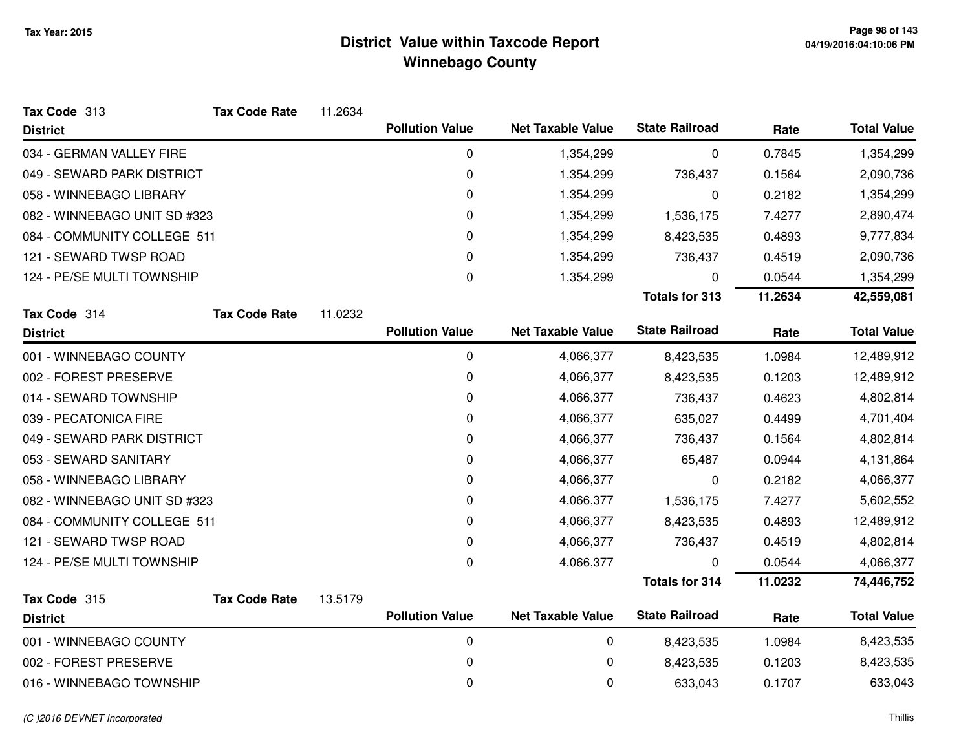| Tax Code 313                 | <b>Tax Code Rate</b> | 11.2634 |                        |                          |                       |         |                    |
|------------------------------|----------------------|---------|------------------------|--------------------------|-----------------------|---------|--------------------|
| <b>District</b>              |                      |         | <b>Pollution Value</b> | <b>Net Taxable Value</b> | <b>State Railroad</b> | Rate    | <b>Total Value</b> |
| 034 - GERMAN VALLEY FIRE     |                      |         | 0                      | 1,354,299                | 0                     | 0.7845  | 1,354,299          |
| 049 - SEWARD PARK DISTRICT   |                      |         | 0                      | 1,354,299                | 736,437               | 0.1564  | 2,090,736          |
| 058 - WINNEBAGO LIBRARY      |                      |         | 0                      | 1,354,299                | 0                     | 0.2182  | 1,354,299          |
| 082 - WINNEBAGO UNIT SD #323 |                      |         | 0                      | 1,354,299                | 1,536,175             | 7.4277  | 2,890,474          |
| 084 - COMMUNITY COLLEGE 511  |                      |         | 0                      | 1,354,299                | 8,423,535             | 0.4893  | 9,777,834          |
| 121 - SEWARD TWSP ROAD       |                      |         | 0                      | 1,354,299                | 736,437               | 0.4519  | 2,090,736          |
| 124 - PE/SE MULTI TOWNSHIP   |                      |         | 0                      | 1,354,299                | 0                     | 0.0544  | 1,354,299          |
|                              |                      |         |                        |                          | <b>Totals for 313</b> | 11.2634 | 42,559,081         |
| Tax Code 314                 | <b>Tax Code Rate</b> | 11.0232 |                        |                          |                       |         |                    |
| <b>District</b>              |                      |         | <b>Pollution Value</b> | <b>Net Taxable Value</b> | <b>State Railroad</b> | Rate    | <b>Total Value</b> |
| 001 - WINNEBAGO COUNTY       |                      |         | $\mathbf 0$            | 4,066,377                | 8,423,535             | 1.0984  | 12,489,912         |
| 002 - FOREST PRESERVE        |                      |         | 0                      | 4,066,377                | 8,423,535             | 0.1203  | 12,489,912         |
| 014 - SEWARD TOWNSHIP        |                      |         | 0                      | 4,066,377                | 736,437               | 0.4623  | 4,802,814          |
| 039 - PECATONICA FIRE        |                      |         | 0                      | 4,066,377                | 635,027               | 0.4499  | 4,701,404          |
| 049 - SEWARD PARK DISTRICT   |                      |         | 0                      | 4,066,377                | 736,437               | 0.1564  | 4,802,814          |
| 053 - SEWARD SANITARY        |                      |         | 0                      | 4,066,377                | 65,487                | 0.0944  | 4,131,864          |
| 058 - WINNEBAGO LIBRARY      |                      |         | 0                      | 4,066,377                | 0                     | 0.2182  | 4,066,377          |
| 082 - WINNEBAGO UNIT SD #323 |                      |         | 0                      | 4,066,377                | 1,536,175             | 7.4277  | 5,602,552          |
| 084 - COMMUNITY COLLEGE 511  |                      |         | 0                      | 4,066,377                | 8,423,535             | 0.4893  | 12,489,912         |
| 121 - SEWARD TWSP ROAD       |                      |         | 0                      | 4,066,377                | 736,437               | 0.4519  | 4,802,814          |
| 124 - PE/SE MULTI TOWNSHIP   |                      |         | 0                      | 4,066,377                | 0                     | 0.0544  | 4,066,377          |
|                              |                      |         |                        |                          | <b>Totals for 314</b> | 11.0232 | 74,446,752         |
| Tax Code 315                 | <b>Tax Code Rate</b> | 13.5179 |                        |                          |                       |         |                    |
| <b>District</b>              |                      |         | <b>Pollution Value</b> | <b>Net Taxable Value</b> | <b>State Railroad</b> | Rate    | <b>Total Value</b> |
| 001 - WINNEBAGO COUNTY       |                      |         | $\mathbf 0$            | 0                        | 8,423,535             | 1.0984  | 8,423,535          |
| 002 - FOREST PRESERVE        |                      |         | 0                      | 0                        | 8,423,535             | 0.1203  | 8,423,535          |
| 016 - WINNEBAGO TOWNSHIP     |                      |         | 0                      | 0                        | 633,043               | 0.1707  | 633,043            |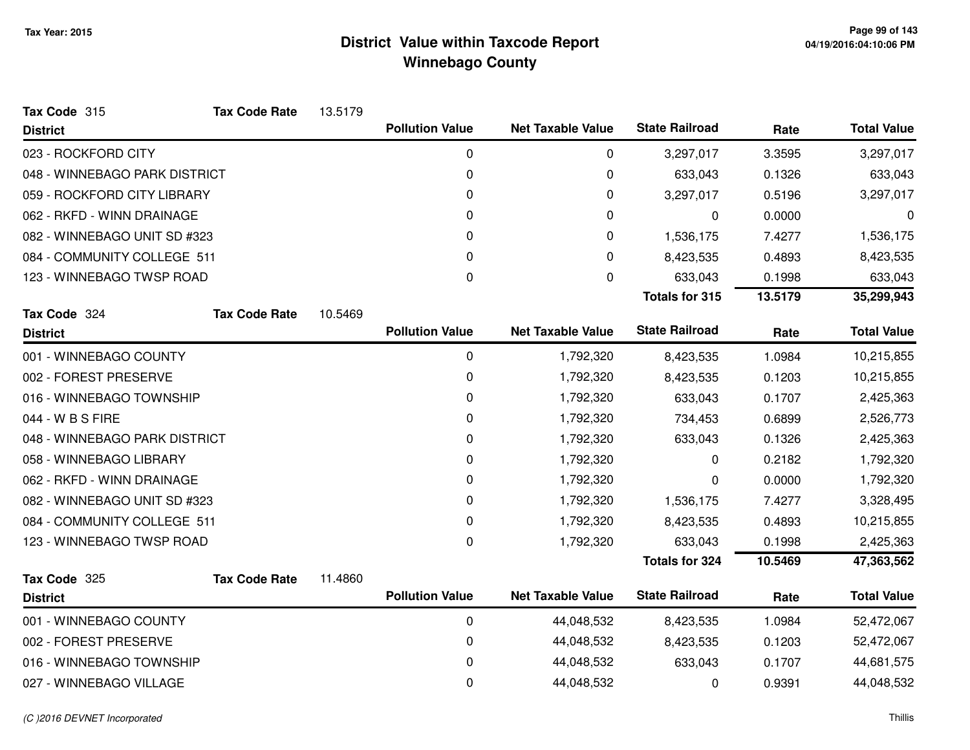| Tax Code 315                  | <b>Tax Code Rate</b> | 13.5179 |                        |                          |                       |         |                    |
|-------------------------------|----------------------|---------|------------------------|--------------------------|-----------------------|---------|--------------------|
| <b>District</b>               |                      |         | <b>Pollution Value</b> | <b>Net Taxable Value</b> | <b>State Railroad</b> | Rate    | <b>Total Value</b> |
| 023 - ROCKFORD CITY           |                      |         | 0                      | 0                        | 3,297,017             | 3.3595  | 3,297,017          |
| 048 - WINNEBAGO PARK DISTRICT |                      |         | $\pmb{0}$              | 0                        | 633,043               | 0.1326  | 633,043            |
| 059 - ROCKFORD CITY LIBRARY   |                      |         | 0                      | 0                        | 3,297,017             | 0.5196  | 3,297,017          |
| 062 - RKFD - WINN DRAINAGE    |                      |         | 0                      | 0                        | 0                     | 0.0000  | 0                  |
| 082 - WINNEBAGO UNIT SD #323  |                      |         | 0                      | 0                        | 1,536,175             | 7.4277  | 1,536,175          |
| 084 - COMMUNITY COLLEGE 511   |                      |         | $\Omega$               | 0                        | 8,423,535             | 0.4893  | 8,423,535          |
| 123 - WINNEBAGO TWSP ROAD     |                      |         | $\pmb{0}$              | 0                        | 633,043               | 0.1998  | 633,043            |
|                               |                      |         |                        |                          | <b>Totals for 315</b> | 13.5179 | 35,299,943         |
| Tax Code 324                  | <b>Tax Code Rate</b> | 10.5469 |                        |                          |                       |         |                    |
| <b>District</b>               |                      |         | <b>Pollution Value</b> | <b>Net Taxable Value</b> | <b>State Railroad</b> | Rate    | <b>Total Value</b> |
| 001 - WINNEBAGO COUNTY        |                      |         | 0                      | 1,792,320                | 8,423,535             | 1.0984  | 10,215,855         |
| 002 - FOREST PRESERVE         |                      |         | 0                      | 1,792,320                | 8,423,535             | 0.1203  | 10,215,855         |
| 016 - WINNEBAGO TOWNSHIP      |                      |         | 0                      | 1,792,320                | 633,043               | 0.1707  | 2,425,363          |
| 044 - W B S FIRE              |                      |         | $\pmb{0}$              | 1,792,320                | 734,453               | 0.6899  | 2,526,773          |
| 048 - WINNEBAGO PARK DISTRICT |                      |         | 0                      | 1,792,320                | 633,043               | 0.1326  | 2,425,363          |
| 058 - WINNEBAGO LIBRARY       |                      |         | 0                      | 1,792,320                | 0                     | 0.2182  | 1,792,320          |
| 062 - RKFD - WINN DRAINAGE    |                      |         | 0                      | 1,792,320                | 0                     | 0.0000  | 1,792,320          |
| 082 - WINNEBAGO UNIT SD #323  |                      |         | 0                      | 1,792,320                | 1,536,175             | 7.4277  | 3,328,495          |
| 084 - COMMUNITY COLLEGE 511   |                      |         | 0                      | 1,792,320                | 8,423,535             | 0.4893  | 10,215,855         |
| 123 - WINNEBAGO TWSP ROAD     |                      |         | 0                      | 1,792,320                | 633,043               | 0.1998  | 2,425,363          |
|                               |                      |         |                        |                          | <b>Totals for 324</b> | 10.5469 | 47,363,562         |
| Tax Code 325                  | <b>Tax Code Rate</b> | 11.4860 |                        |                          |                       |         |                    |
| <b>District</b>               |                      |         | <b>Pollution Value</b> | <b>Net Taxable Value</b> | <b>State Railroad</b> | Rate    | <b>Total Value</b> |
| 001 - WINNEBAGO COUNTY        |                      |         | $\mathbf 0$            | 44,048,532               | 8,423,535             | 1.0984  | 52,472,067         |
| 002 - FOREST PRESERVE         |                      |         | $\pmb{0}$              | 44,048,532               | 8,423,535             | 0.1203  | 52,472,067         |
| 016 - WINNEBAGO TOWNSHIP      |                      |         | 0                      | 44,048,532               | 633,043               | 0.1707  | 44,681,575         |
| 027 - WINNEBAGO VILLAGE       |                      |         | 0                      | 44,048,532               | 0                     | 0.9391  | 44,048,532         |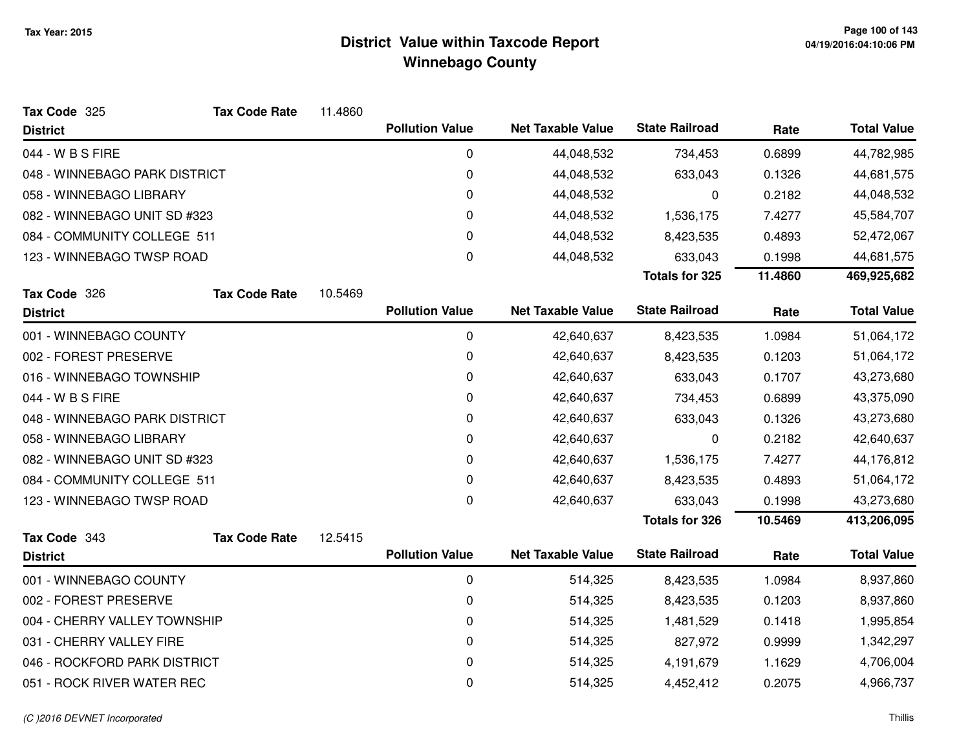| Tax Code 325                  | <b>Tax Code Rate</b>        | 11.4860 |                        |                          |                       |         |                    |
|-------------------------------|-----------------------------|---------|------------------------|--------------------------|-----------------------|---------|--------------------|
| <b>District</b>               |                             |         | <b>Pollution Value</b> | <b>Net Taxable Value</b> | <b>State Railroad</b> | Rate    | <b>Total Value</b> |
| 044 - W B S FIRE              |                             |         | 0                      | 44,048,532               | 734,453               | 0.6899  | 44,782,985         |
| 048 - WINNEBAGO PARK DISTRICT |                             |         | 0                      | 44,048,532               | 633,043               | 0.1326  | 44,681,575         |
| 058 - WINNEBAGO LIBRARY       |                             |         | 0                      | 44,048,532               | 0                     | 0.2182  | 44,048,532         |
| 082 - WINNEBAGO UNIT SD #323  |                             |         | 0                      | 44,048,532               | 1,536,175             | 7.4277  | 45,584,707         |
|                               | 084 - COMMUNITY COLLEGE 511 |         | 0                      | 44,048,532               | 8,423,535             | 0.4893  | 52,472,067         |
| 123 - WINNEBAGO TWSP ROAD     |                             |         | 0                      | 44,048,532               | 633,043               | 0.1998  | 44,681,575         |
|                               |                             |         |                        |                          | <b>Totals for 325</b> | 11.4860 | 469,925,682        |
| Tax Code 326                  | <b>Tax Code Rate</b>        | 10.5469 |                        |                          |                       |         |                    |
| <b>District</b>               |                             |         | <b>Pollution Value</b> | <b>Net Taxable Value</b> | <b>State Railroad</b> | Rate    | <b>Total Value</b> |
| 001 - WINNEBAGO COUNTY        |                             |         | 0                      | 42,640,637               | 8,423,535             | 1.0984  | 51,064,172         |
| 002 - FOREST PRESERVE         |                             |         | $\pmb{0}$              | 42,640,637               | 8,423,535             | 0.1203  | 51,064,172         |
| 016 - WINNEBAGO TOWNSHIP      |                             |         | $\pmb{0}$              | 42,640,637               | 633,043               | 0.1707  | 43,273,680         |
| 044 - W B S FIRE              |                             |         | 0                      | 42,640,637               | 734,453               | 0.6899  | 43,375,090         |
| 048 - WINNEBAGO PARK DISTRICT |                             |         | $\pmb{0}$              | 42,640,637               | 633,043               | 0.1326  | 43,273,680         |
| 058 - WINNEBAGO LIBRARY       |                             |         | 0                      | 42,640,637               | 0                     | 0.2182  | 42,640,637         |
| 082 - WINNEBAGO UNIT SD #323  |                             |         | 0                      | 42,640,637               | 1,536,175             | 7.4277  | 44,176,812         |
| 084 - COMMUNITY COLLEGE 511   |                             |         | 0                      | 42,640,637               | 8,423,535             | 0.4893  | 51,064,172         |
| 123 - WINNEBAGO TWSP ROAD     |                             |         | 0                      | 42,640,637               | 633,043               | 0.1998  | 43,273,680         |
|                               |                             |         |                        |                          | <b>Totals for 326</b> | 10.5469 | 413,206,095        |
| Tax Code 343                  | <b>Tax Code Rate</b>        | 12.5415 |                        |                          |                       |         |                    |
| <b>District</b>               |                             |         | <b>Pollution Value</b> | <b>Net Taxable Value</b> | <b>State Railroad</b> | Rate    | <b>Total Value</b> |
| 001 - WINNEBAGO COUNTY        |                             |         | $\mathbf 0$            | 514,325                  | 8,423,535             | 1.0984  | 8,937,860          |
| 002 - FOREST PRESERVE         |                             |         | 0                      | 514,325                  | 8,423,535             | 0.1203  | 8,937,860          |
| 004 - CHERRY VALLEY TOWNSHIP  |                             |         | 0                      | 514,325                  | 1,481,529             | 0.1418  | 1,995,854          |
| 031 - CHERRY VALLEY FIRE      |                             |         | 0                      | 514,325                  | 827,972               | 0.9999  | 1,342,297          |
| 046 - ROCKFORD PARK DISTRICT  |                             |         | 0                      | 514,325                  | 4,191,679             | 1.1629  | 4,706,004          |
| 051 - ROCK RIVER WATER REC    |                             |         | 0                      | 514,325                  | 4,452,412             | 0.2075  | 4,966,737          |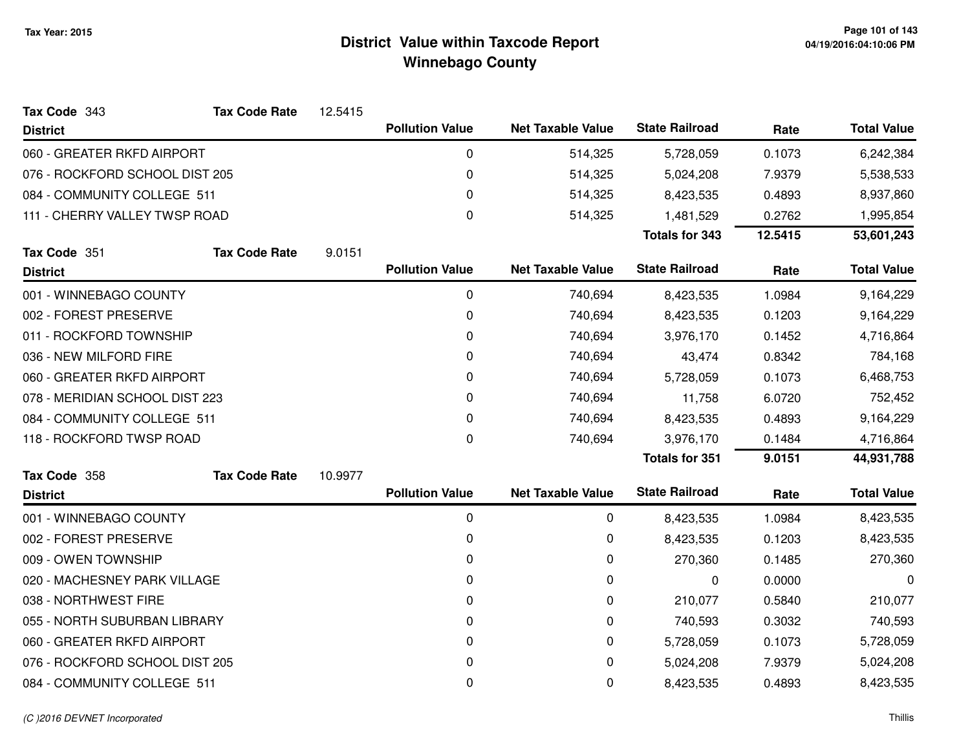| Tax Code 343                   | <b>Tax Code Rate</b> | 12.5415 |                        |                          |                       |         |                    |
|--------------------------------|----------------------|---------|------------------------|--------------------------|-----------------------|---------|--------------------|
| <b>District</b>                |                      |         | <b>Pollution Value</b> | <b>Net Taxable Value</b> | <b>State Railroad</b> | Rate    | <b>Total Value</b> |
| 060 - GREATER RKFD AIRPORT     |                      |         | 0                      | 514,325                  | 5,728,059             | 0.1073  | 6,242,384          |
| 076 - ROCKFORD SCHOOL DIST 205 |                      |         | 0                      | 514,325                  | 5,024,208             | 7.9379  | 5,538,533          |
| 084 - COMMUNITY COLLEGE 511    |                      |         | 0                      | 514,325                  | 8,423,535             | 0.4893  | 8,937,860          |
| 111 - CHERRY VALLEY TWSP ROAD  |                      |         | $\pmb{0}$              | 514,325                  | 1,481,529             | 0.2762  | 1,995,854          |
|                                |                      |         |                        |                          | <b>Totals for 343</b> | 12.5415 | 53,601,243         |
| Tax Code 351                   | <b>Tax Code Rate</b> | 9.0151  |                        |                          |                       |         |                    |
| <b>District</b>                |                      |         | <b>Pollution Value</b> | <b>Net Taxable Value</b> | <b>State Railroad</b> | Rate    | <b>Total Value</b> |
| 001 - WINNEBAGO COUNTY         |                      |         | 0                      | 740,694                  | 8,423,535             | 1.0984  | 9,164,229          |
| 002 - FOREST PRESERVE          |                      |         | 0                      | 740,694                  | 8,423,535             | 0.1203  | 9,164,229          |
| 011 - ROCKFORD TOWNSHIP        |                      |         | 0                      | 740,694                  | 3,976,170             | 0.1452  | 4,716,864          |
| 036 - NEW MILFORD FIRE         |                      |         | 0                      | 740,694                  | 43,474                | 0.8342  | 784,168            |
| 060 - GREATER RKFD AIRPORT     |                      |         | 0                      | 740,694                  | 5,728,059             | 0.1073  | 6,468,753          |
| 078 - MERIDIAN SCHOOL DIST 223 |                      |         | 0                      | 740,694                  | 11,758                | 6.0720  | 752,452            |
| 084 - COMMUNITY COLLEGE 511    |                      |         | 0                      | 740,694                  | 8,423,535             | 0.4893  | 9,164,229          |
| 118 - ROCKFORD TWSP ROAD       |                      |         | 0                      | 740,694                  | 3,976,170             | 0.1484  | 4,716,864          |
|                                |                      |         |                        |                          | <b>Totals for 351</b> | 9.0151  | 44,931,788         |
| Tax Code 358                   | <b>Tax Code Rate</b> | 10.9977 |                        |                          |                       |         |                    |
| <b>District</b>                |                      |         | <b>Pollution Value</b> | <b>Net Taxable Value</b> | <b>State Railroad</b> | Rate    | <b>Total Value</b> |
| 001 - WINNEBAGO COUNTY         |                      |         | 0                      | 0                        | 8,423,535             | 1.0984  | 8,423,535          |
| 002 - FOREST PRESERVE          |                      |         | 0                      | 0                        | 8,423,535             | 0.1203  | 8,423,535          |
| 009 - OWEN TOWNSHIP            |                      |         | 0                      | 0                        | 270,360               | 0.1485  | 270,360            |
| 020 - MACHESNEY PARK VILLAGE   |                      |         | 0                      | 0                        | 0                     | 0.0000  | 0                  |
| 038 - NORTHWEST FIRE           |                      |         | 0                      | 0                        | 210,077               | 0.5840  | 210,077            |
| 055 - NORTH SUBURBAN LIBRARY   |                      |         | 0                      | 0                        | 740,593               | 0.3032  | 740,593            |
| 060 - GREATER RKFD AIRPORT     |                      |         | 0                      | 0                        | 5,728,059             | 0.1073  | 5,728,059          |
| 076 - ROCKFORD SCHOOL DIST 205 |                      |         | 0                      | 0                        | 5,024,208             | 7.9379  | 5,024,208          |
| 084 - COMMUNITY COLLEGE 511    |                      |         | 0                      | 0                        | 8,423,535             | 0.4893  | 8,423,535          |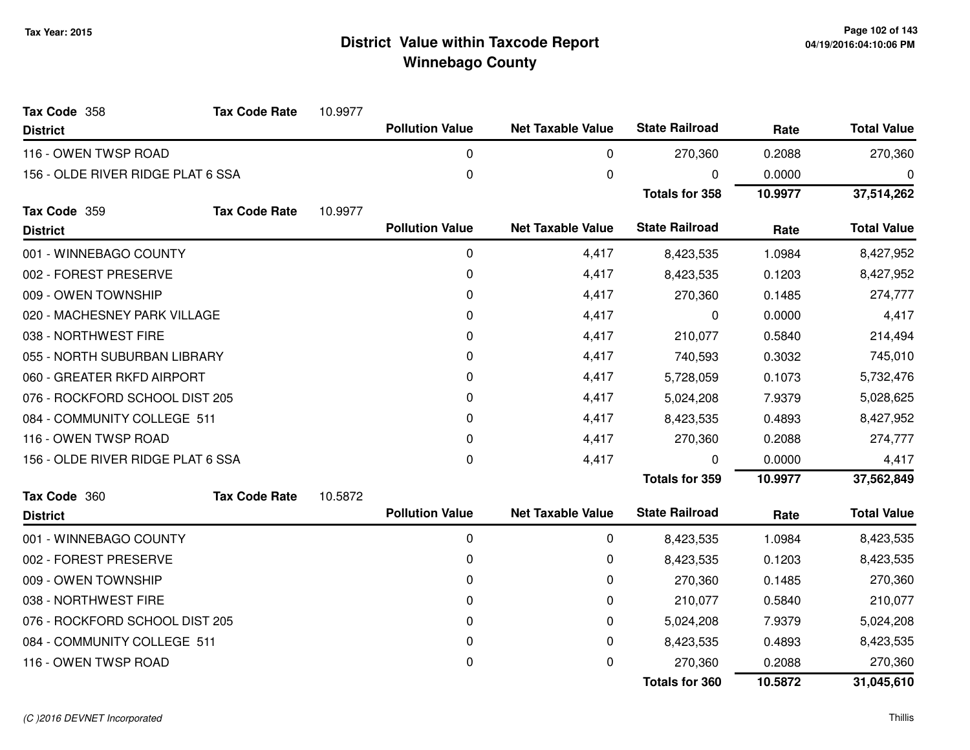| Tax Code 358                      | <b>Tax Code Rate</b> | 10.9977 |                        |                          |                       |         |                    |
|-----------------------------------|----------------------|---------|------------------------|--------------------------|-----------------------|---------|--------------------|
| <b>District</b>                   |                      |         | <b>Pollution Value</b> | <b>Net Taxable Value</b> | <b>State Railroad</b> | Rate    | <b>Total Value</b> |
| 116 - OWEN TWSP ROAD              |                      |         | 0                      | 0                        | 270,360               | 0.2088  | 270,360            |
| 156 - OLDE RIVER RIDGE PLAT 6 SSA |                      |         | 0                      | 0                        | 0                     | 0.0000  | 0                  |
|                                   |                      |         |                        |                          | <b>Totals for 358</b> | 10.9977 | 37,514,262         |
| Tax Code 359                      | <b>Tax Code Rate</b> | 10.9977 |                        |                          |                       |         |                    |
| <b>District</b>                   |                      |         | <b>Pollution Value</b> | <b>Net Taxable Value</b> | <b>State Railroad</b> | Rate    | <b>Total Value</b> |
| 001 - WINNEBAGO COUNTY            |                      |         | 0                      | 4,417                    | 8,423,535             | 1.0984  | 8,427,952          |
| 002 - FOREST PRESERVE             |                      |         | $\mathbf 0$            | 4,417                    | 8,423,535             | 0.1203  | 8,427,952          |
| 009 - OWEN TOWNSHIP               |                      |         | $\Omega$               | 4,417                    | 270,360               | 0.1485  | 274,777            |
| 020 - MACHESNEY PARK VILLAGE      |                      |         | 0                      | 4,417                    | 0                     | 0.0000  | 4,417              |
| 038 - NORTHWEST FIRE              |                      |         | 0                      | 4,417                    | 210,077               | 0.5840  | 214,494            |
| 055 - NORTH SUBURBAN LIBRARY      |                      |         | $\Omega$               | 4,417                    | 740,593               | 0.3032  | 745,010            |
| 060 - GREATER RKFD AIRPORT        |                      |         | 0                      | 4,417                    | 5,728,059             | 0.1073  | 5,732,476          |
| 076 - ROCKFORD SCHOOL DIST 205    |                      |         | 0                      | 4,417                    | 5,024,208             | 7.9379  | 5,028,625          |
| 084 - COMMUNITY COLLEGE 511       |                      |         | 0                      | 4,417                    | 8,423,535             | 0.4893  | 8,427,952          |
| 116 - OWEN TWSP ROAD              |                      |         | 0                      | 4,417                    | 270,360               | 0.2088  | 274,777            |
| 156 - OLDE RIVER RIDGE PLAT 6 SSA |                      |         | 0                      | 4,417                    | 0                     | 0.0000  | 4,417              |
|                                   |                      |         |                        |                          | <b>Totals for 359</b> | 10.9977 | 37,562,849         |
| Tax Code 360                      | <b>Tax Code Rate</b> | 10.5872 |                        |                          |                       |         |                    |
| <b>District</b>                   |                      |         | <b>Pollution Value</b> | <b>Net Taxable Value</b> | <b>State Railroad</b> | Rate    | <b>Total Value</b> |
| 001 - WINNEBAGO COUNTY            |                      |         | 0                      | 0                        | 8,423,535             | 1.0984  | 8,423,535          |
| 002 - FOREST PRESERVE             |                      |         | 0                      | 0                        | 8,423,535             | 0.1203  | 8,423,535          |
| 009 - OWEN TOWNSHIP               |                      |         | 0                      | 0                        | 270,360               | 0.1485  | 270,360            |
| 038 - NORTHWEST FIRE              |                      |         | $\mathbf{0}$           | 0                        | 210,077               | 0.5840  | 210,077            |
| 076 - ROCKFORD SCHOOL DIST 205    |                      |         | 0                      | 0                        | 5,024,208             | 7.9379  | 5,024,208          |
| 084 - COMMUNITY COLLEGE 511       |                      |         | 0                      | 0                        | 8,423,535             | 0.4893  | 8,423,535          |
| 116 - OWEN TWSP ROAD              |                      |         | $\mathbf 0$            | 0                        | 270,360               | 0.2088  | 270,360            |
|                                   |                      |         |                        |                          | <b>Totals for 360</b> | 10.5872 | 31,045,610         |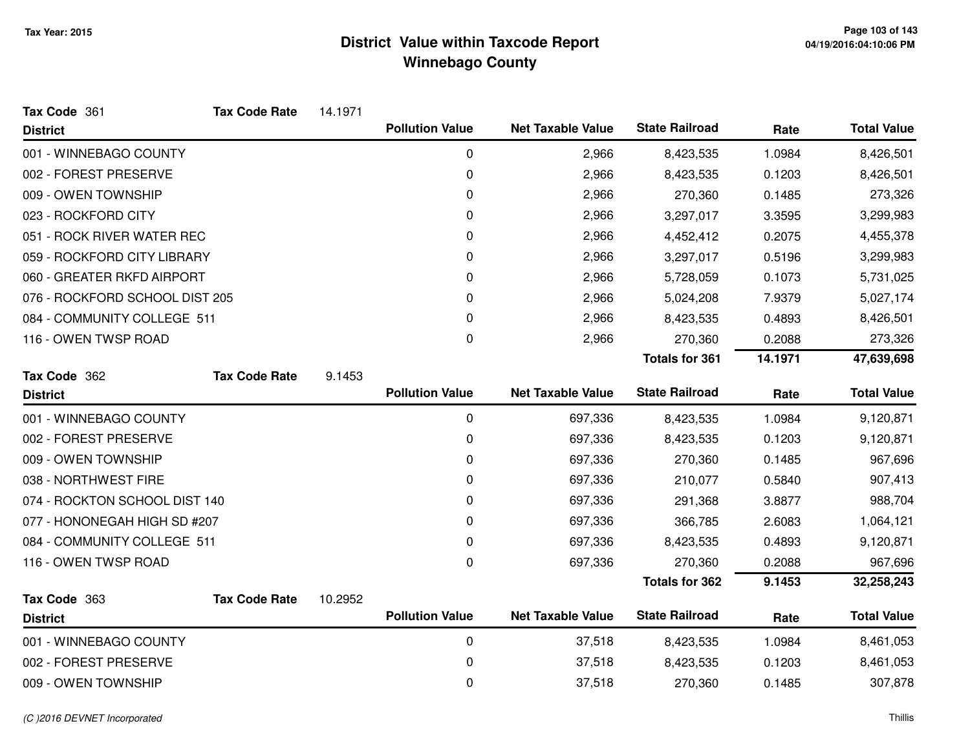| Tax Code 361                   | <b>Tax Code Rate</b> | 14.1971 |                        |                          |                       |         |                    |
|--------------------------------|----------------------|---------|------------------------|--------------------------|-----------------------|---------|--------------------|
| <b>District</b>                |                      |         | <b>Pollution Value</b> | <b>Net Taxable Value</b> | <b>State Railroad</b> | Rate    | <b>Total Value</b> |
| 001 - WINNEBAGO COUNTY         |                      |         | 0                      | 2,966                    | 8,423,535             | 1.0984  | 8,426,501          |
| 002 - FOREST PRESERVE          |                      |         | 0                      | 2,966                    | 8,423,535             | 0.1203  | 8,426,501          |
| 009 - OWEN TOWNSHIP            |                      |         | 0                      | 2,966                    | 270,360               | 0.1485  | 273,326            |
| 023 - ROCKFORD CITY            |                      |         | 0                      | 2,966                    | 3,297,017             | 3.3595  | 3,299,983          |
| 051 - ROCK RIVER WATER REC     |                      |         | 0                      | 2,966                    | 4,452,412             | 0.2075  | 4,455,378          |
| 059 - ROCKFORD CITY LIBRARY    |                      |         | 0                      | 2,966                    | 3,297,017             | 0.5196  | 3,299,983          |
| 060 - GREATER RKFD AIRPORT     |                      |         | 0                      | 2,966                    | 5,728,059             | 0.1073  | 5,731,025          |
| 076 - ROCKFORD SCHOOL DIST 205 |                      |         | 0                      | 2,966                    | 5,024,208             | 7.9379  | 5,027,174          |
| 084 - COMMUNITY COLLEGE 511    |                      |         | 0                      | 2,966                    | 8,423,535             | 0.4893  | 8,426,501          |
| 116 - OWEN TWSP ROAD           |                      |         | 0                      | 2,966                    | 270,360               | 0.2088  | 273,326            |
|                                |                      |         |                        |                          | <b>Totals for 361</b> | 14.1971 | 47,639,698         |
| Tax Code 362                   | <b>Tax Code Rate</b> | 9.1453  |                        |                          |                       |         |                    |
| <b>District</b>                |                      |         | <b>Pollution Value</b> | <b>Net Taxable Value</b> | <b>State Railroad</b> | Rate    | <b>Total Value</b> |
| 001 - WINNEBAGO COUNTY         |                      |         | $\mathbf 0$            | 697,336                  | 8,423,535             | 1.0984  | 9,120,871          |
| 002 - FOREST PRESERVE          |                      |         | 0                      | 697,336                  | 8,423,535             | 0.1203  | 9,120,871          |
| 009 - OWEN TOWNSHIP            |                      |         | 0                      | 697,336                  | 270,360               | 0.1485  | 967,696            |
| 038 - NORTHWEST FIRE           |                      |         | 0                      | 697,336                  | 210,077               | 0.5840  | 907,413            |
| 074 - ROCKTON SCHOOL DIST 140  |                      |         | 0                      | 697,336                  | 291,368               | 3.8877  | 988,704            |
| 077 - HONONEGAH HIGH SD #207   |                      |         | 0                      | 697,336                  | 366,785               | 2.6083  | 1,064,121          |
| 084 - COMMUNITY COLLEGE 511    |                      |         | 0                      | 697,336                  | 8,423,535             | 0.4893  | 9,120,871          |
| 116 - OWEN TWSP ROAD           |                      |         | 0                      | 697,336                  | 270,360               | 0.2088  | 967,696            |
|                                |                      |         |                        |                          | <b>Totals for 362</b> | 9.1453  | 32,258,243         |
| Tax Code 363                   | <b>Tax Code Rate</b> | 10.2952 |                        |                          |                       |         |                    |
| <b>District</b>                |                      |         | <b>Pollution Value</b> | <b>Net Taxable Value</b> | <b>State Railroad</b> | Rate    | <b>Total Value</b> |
| 001 - WINNEBAGO COUNTY         |                      |         | $\mathbf 0$            | 37,518                   | 8,423,535             | 1.0984  | 8,461,053          |
| 002 - FOREST PRESERVE          |                      |         | 0                      | 37,518                   | 8,423,535             | 0.1203  | 8,461,053          |
| 009 - OWEN TOWNSHIP            |                      |         | 0                      | 37,518                   | 270,360               | 0.1485  | 307,878            |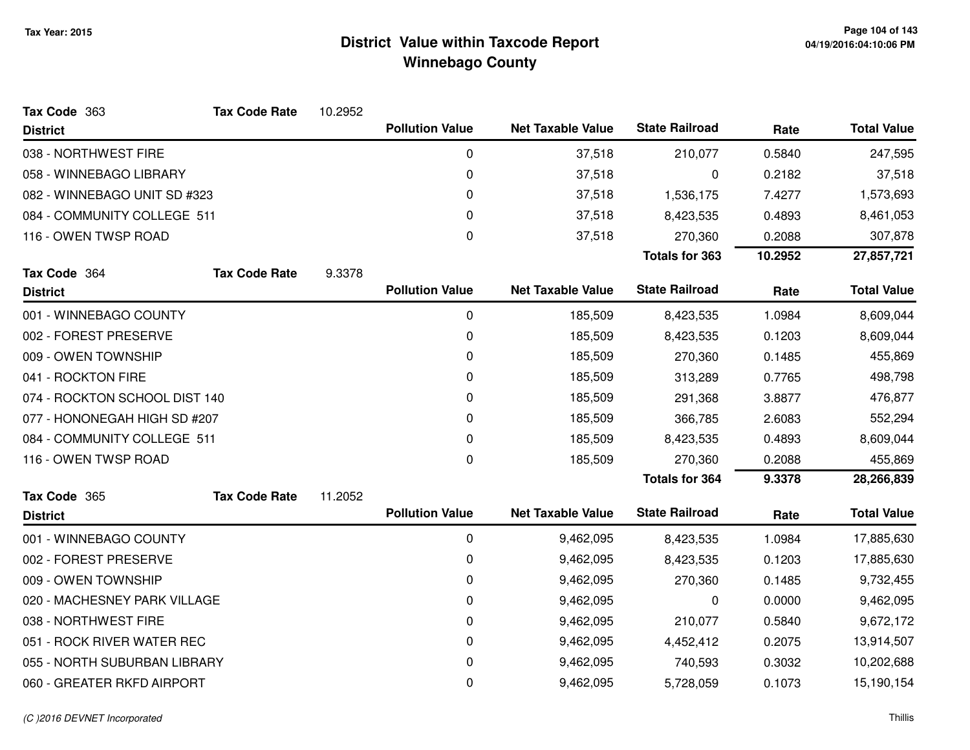| Tax Code 363                  | <b>Tax Code Rate</b> | 10.2952 |                        |                          |                       |         |                    |
|-------------------------------|----------------------|---------|------------------------|--------------------------|-----------------------|---------|--------------------|
| <b>District</b>               |                      |         | <b>Pollution Value</b> | <b>Net Taxable Value</b> | <b>State Railroad</b> | Rate    | <b>Total Value</b> |
| 038 - NORTHWEST FIRE          |                      |         | 0                      | 37,518                   | 210,077               | 0.5840  | 247,595            |
| 058 - WINNEBAGO LIBRARY       |                      |         | 0                      | 37,518                   | 0                     | 0.2182  | 37,518             |
| 082 - WINNEBAGO UNIT SD #323  |                      |         | 0                      | 37,518                   | 1,536,175             | 7.4277  | 1,573,693          |
| 084 - COMMUNITY COLLEGE 511   |                      |         | 0                      | 37,518                   | 8,423,535             | 0.4893  | 8,461,053          |
| 116 - OWEN TWSP ROAD          |                      |         | $\mathbf 0$            | 37,518                   | 270,360               | 0.2088  | 307,878            |
|                               |                      |         |                        |                          | <b>Totals for 363</b> | 10.2952 | 27,857,721         |
| Tax Code 364                  | <b>Tax Code Rate</b> | 9.3378  |                        |                          |                       |         |                    |
| <b>District</b>               |                      |         | <b>Pollution Value</b> | <b>Net Taxable Value</b> | <b>State Railroad</b> | Rate    | <b>Total Value</b> |
| 001 - WINNEBAGO COUNTY        |                      |         | 0                      | 185,509                  | 8,423,535             | 1.0984  | 8,609,044          |
| 002 - FOREST PRESERVE         |                      |         | 0                      | 185,509                  | 8,423,535             | 0.1203  | 8,609,044          |
| 009 - OWEN TOWNSHIP           |                      |         | 0                      | 185,509                  | 270,360               | 0.1485  | 455,869            |
| 041 - ROCKTON FIRE            |                      |         | 0                      | 185,509                  | 313,289               | 0.7765  | 498,798            |
| 074 - ROCKTON SCHOOL DIST 140 |                      |         | 0                      | 185,509                  | 291,368               | 3.8877  | 476,877            |
| 077 - HONONEGAH HIGH SD #207  |                      |         | 0                      | 185,509                  | 366,785               | 2.6083  | 552,294            |
| 084 - COMMUNITY COLLEGE 511   |                      |         | 0                      | 185,509                  | 8,423,535             | 0.4893  | 8,609,044          |
| 116 - OWEN TWSP ROAD          |                      |         | 0                      | 185,509                  | 270,360               | 0.2088  | 455,869            |
|                               |                      |         |                        |                          | <b>Totals for 364</b> | 9.3378  | 28,266,839         |
| Tax Code 365                  | <b>Tax Code Rate</b> | 11.2052 |                        |                          |                       |         |                    |
| <b>District</b>               |                      |         | <b>Pollution Value</b> | <b>Net Taxable Value</b> | <b>State Railroad</b> | Rate    | <b>Total Value</b> |
| 001 - WINNEBAGO COUNTY        |                      |         | 0                      | 9,462,095                | 8,423,535             | 1.0984  | 17,885,630         |
| 002 - FOREST PRESERVE         |                      |         | 0                      | 9,462,095                | 8,423,535             | 0.1203  | 17,885,630         |
| 009 - OWEN TOWNSHIP           |                      |         | 0                      | 9,462,095                | 270,360               | 0.1485  | 9,732,455          |
| 020 - MACHESNEY PARK VILLAGE  |                      |         | 0                      | 9,462,095                | 0                     | 0.0000  | 9,462,095          |
| 038 - NORTHWEST FIRE          |                      |         | 0                      | 9,462,095                | 210,077               | 0.5840  | 9,672,172          |
| 051 - ROCK RIVER WATER REC    |                      |         | 0                      | 9,462,095                | 4,452,412             | 0.2075  | 13,914,507         |
| 055 - NORTH SUBURBAN LIBRARY  |                      |         | 0                      | 9,462,095                | 740,593               | 0.3032  | 10,202,688         |
| 060 - GREATER RKFD AIRPORT    |                      |         | 0                      | 9,462,095                | 5,728,059             | 0.1073  | 15,190,154         |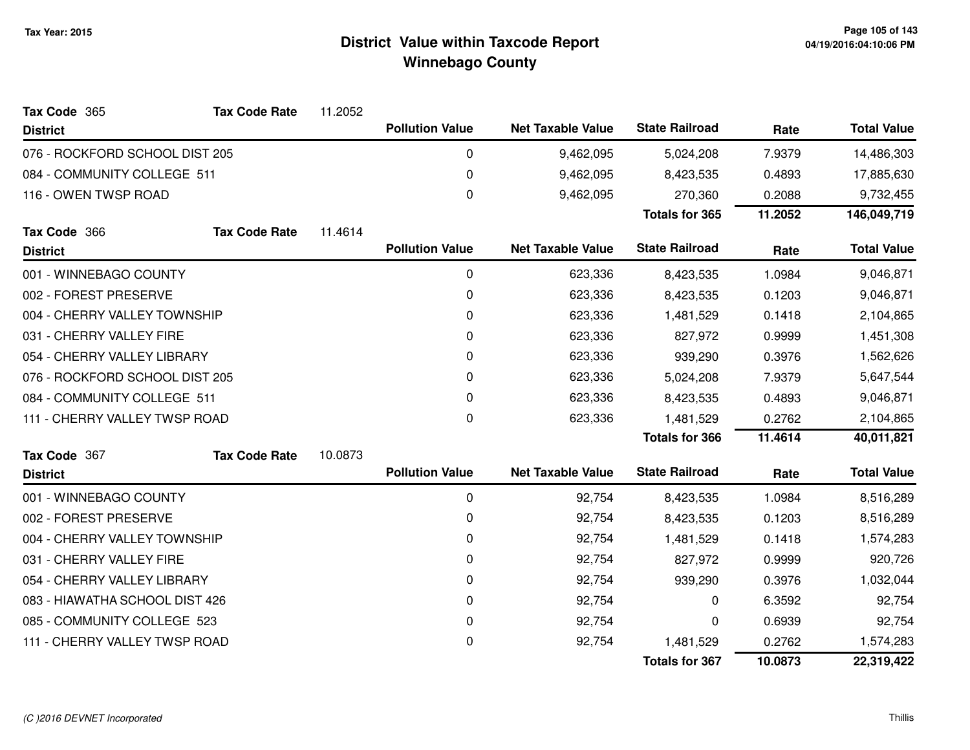| Tax Code 365                   | <b>Tax Code Rate</b> | 11.2052 |                        |                          |                       |           |                    |
|--------------------------------|----------------------|---------|------------------------|--------------------------|-----------------------|-----------|--------------------|
| <b>District</b>                |                      |         | <b>Pollution Value</b> | <b>Net Taxable Value</b> | <b>State Railroad</b> | Rate      | <b>Total Value</b> |
| 076 - ROCKFORD SCHOOL DIST 205 |                      |         | 0                      | 9,462,095                | 5,024,208             | 7.9379    | 14,486,303         |
| 084 - COMMUNITY COLLEGE 511    |                      |         | 0                      | 9,462,095                | 8,423,535             | 0.4893    | 17,885,630         |
| 116 - OWEN TWSP ROAD           |                      |         | 0                      | 9,462,095                | 270,360               | 0.2088    | 9,732,455          |
|                                |                      |         |                        |                          | Totals for 365        | 11.2052   | 146,049,719        |
| Tax Code 366                   | <b>Tax Code Rate</b> | 11.4614 |                        |                          |                       |           |                    |
| <b>District</b>                |                      |         | <b>Pollution Value</b> | <b>Net Taxable Value</b> | <b>State Railroad</b> | Rate      | <b>Total Value</b> |
| 001 - WINNEBAGO COUNTY         |                      |         | 0                      | 623,336                  | 8,423,535             | 1.0984    | 9,046,871          |
| 002 - FOREST PRESERVE          |                      |         | 0                      | 623,336                  | 8,423,535             | 0.1203    | 9,046,871          |
| 004 - CHERRY VALLEY TOWNSHIP   |                      |         | 0                      | 623,336                  | 1,481,529             | 0.1418    | 2,104,865          |
| 031 - CHERRY VALLEY FIRE       |                      |         | 0                      | 623,336                  | 827,972               | 0.9999    | 1,451,308          |
| 054 - CHERRY VALLEY LIBRARY    |                      | 0       | 623,336                | 939,290                  | 0.3976                | 1,562,626 |                    |
| 076 - ROCKFORD SCHOOL DIST 205 |                      | 0       | 623,336                | 5,024,208                | 7.9379                | 5,647,544 |                    |
| 084 - COMMUNITY COLLEGE 511    |                      |         | 0                      | 623,336                  | 8,423,535             | 0.4893    | 9,046,871          |
| 111 - CHERRY VALLEY TWSP ROAD  |                      |         | 0                      | 623,336                  | 1,481,529             | 0.2762    | 2,104,865          |
|                                |                      |         |                        |                          | <b>Totals for 366</b> | 11.4614   | 40,011,821         |
| Tax Code 367                   | <b>Tax Code Rate</b> | 10.0873 |                        |                          |                       |           |                    |
| <b>District</b>                |                      |         | <b>Pollution Value</b> | <b>Net Taxable Value</b> | <b>State Railroad</b> | Rate      | <b>Total Value</b> |
| 001 - WINNEBAGO COUNTY         |                      |         | 0                      | 92,754                   | 8,423,535             | 1.0984    | 8,516,289          |
| 002 - FOREST PRESERVE          |                      |         | 0                      | 92,754                   | 8,423,535             | 0.1203    | 8,516,289          |
| 004 - CHERRY VALLEY TOWNSHIP   |                      |         | 0                      | 92,754                   | 1,481,529             | 0.1418    | 1,574,283          |
| 031 - CHERRY VALLEY FIRE       |                      |         | 0                      | 92,754                   | 827,972               | 0.9999    | 920,726            |
| 054 - CHERRY VALLEY LIBRARY    |                      |         | 0                      | 92,754                   | 939,290               | 0.3976    | 1,032,044          |
| 083 - HIAWATHA SCHOOL DIST 426 |                      |         | 0                      | 92,754                   | 0                     | 6.3592    | 92,754             |
| 085 - COMMUNITY COLLEGE 523    |                      |         | 0                      | 92,754                   | 0                     | 0.6939    | 92,754             |
| 111 - CHERRY VALLEY TWSP ROAD  |                      |         | 0                      | 92,754                   | 1,481,529             | 0.2762    | 1,574,283          |
|                                |                      |         |                        |                          | <b>Totals for 367</b> | 10.0873   | 22,319,422         |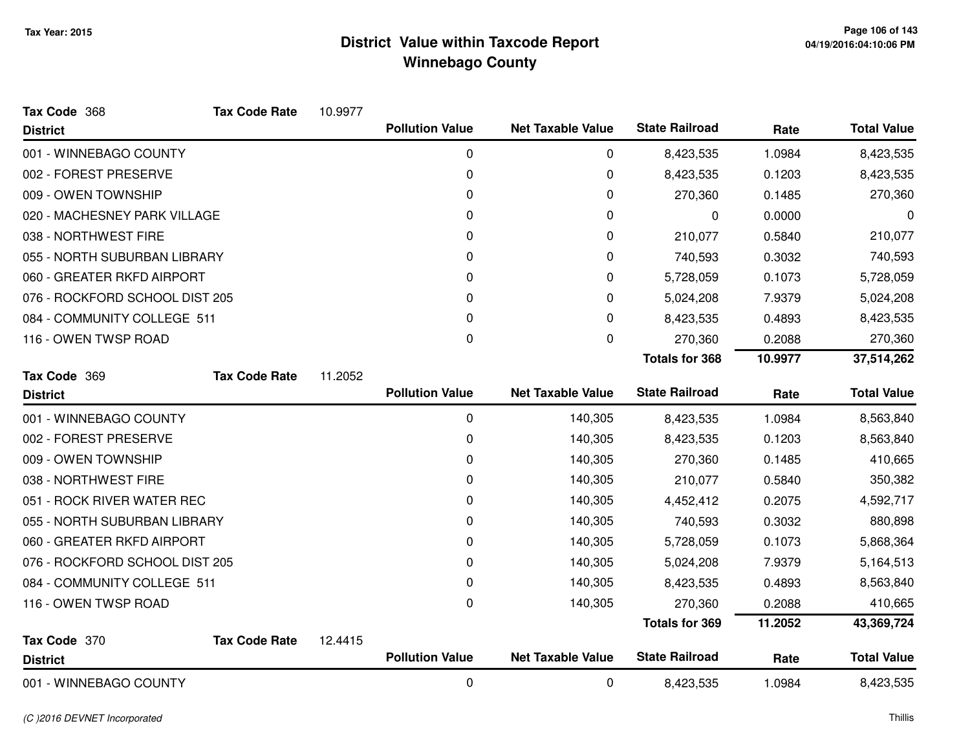| Tax Code 368                   | <b>Tax Code Rate</b> | 10.9977 |                        |                          |                       |         |                    |
|--------------------------------|----------------------|---------|------------------------|--------------------------|-----------------------|---------|--------------------|
| <b>District</b>                |                      |         | <b>Pollution Value</b> | <b>Net Taxable Value</b> | <b>State Railroad</b> | Rate    | <b>Total Value</b> |
| 001 - WINNEBAGO COUNTY         |                      |         | 0                      | 0                        | 8,423,535             | 1.0984  | 8,423,535          |
| 002 - FOREST PRESERVE          |                      |         | 0                      | 0                        | 8,423,535             | 0.1203  | 8,423,535          |
| 009 - OWEN TOWNSHIP            |                      |         | 0                      | 0                        | 270,360               | 0.1485  | 270,360            |
| 020 - MACHESNEY PARK VILLAGE   |                      |         | 0                      | 0                        | 0                     | 0.0000  | 0                  |
| 038 - NORTHWEST FIRE           |                      |         | 0                      | 0                        | 210,077               | 0.5840  | 210,077            |
| 055 - NORTH SUBURBAN LIBRARY   |                      |         | 0                      | 0                        | 740,593               | 0.3032  | 740,593            |
| 060 - GREATER RKFD AIRPORT     |                      |         | 0                      | 0                        | 5,728,059             | 0.1073  | 5,728,059          |
| 076 - ROCKFORD SCHOOL DIST 205 |                      |         | 0                      | 0                        | 5,024,208             | 7.9379  | 5,024,208          |
| 084 - COMMUNITY COLLEGE 511    |                      |         | 0                      | $\Omega$                 | 8,423,535             | 0.4893  | 8,423,535          |
| 116 - OWEN TWSP ROAD           |                      |         | 0                      | 0                        | 270,360               | 0.2088  | 270,360            |
|                                |                      |         |                        |                          | <b>Totals for 368</b> | 10.9977 | 37,514,262         |
| Tax Code 369                   | <b>Tax Code Rate</b> | 11.2052 |                        |                          |                       |         |                    |
| <b>District</b>                |                      |         | <b>Pollution Value</b> | <b>Net Taxable Value</b> | <b>State Railroad</b> | Rate    | <b>Total Value</b> |
| 001 - WINNEBAGO COUNTY         |                      |         | 0                      | 140,305                  | 8,423,535             | 1.0984  | 8,563,840          |
| 002 - FOREST PRESERVE          |                      |         | 0                      | 140,305                  | 8,423,535             | 0.1203  | 8,563,840          |
| 009 - OWEN TOWNSHIP            |                      |         | 0                      | 140,305                  | 270,360               | 0.1485  | 410,665            |
| 038 - NORTHWEST FIRE           |                      |         | 0                      | 140,305                  | 210,077               | 0.5840  | 350,382            |
| 051 - ROCK RIVER WATER REC     |                      |         | 0                      | 140,305                  | 4,452,412             | 0.2075  | 4,592,717          |
| 055 - NORTH SUBURBAN LIBRARY   |                      |         | 0                      | 140,305                  | 740,593               | 0.3032  | 880,898            |
| 060 - GREATER RKFD AIRPORT     |                      |         | 0                      | 140,305                  | 5,728,059             | 0.1073  | 5,868,364          |
| 076 - ROCKFORD SCHOOL DIST 205 |                      |         | 0                      | 140,305                  | 5,024,208             | 7.9379  | 5,164,513          |
| 084 - COMMUNITY COLLEGE 511    |                      |         | 0                      | 140,305                  | 8,423,535             | 0.4893  | 8,563,840          |
| 116 - OWEN TWSP ROAD           |                      |         | 0                      | 140,305                  | 270,360               | 0.2088  | 410,665            |
|                                |                      |         |                        |                          | <b>Totals for 369</b> | 11.2052 | 43,369,724         |
| Tax Code 370                   | <b>Tax Code Rate</b> | 12.4415 |                        |                          |                       |         |                    |
| <b>District</b>                |                      |         | <b>Pollution Value</b> | <b>Net Taxable Value</b> | <b>State Railroad</b> | Rate    | <b>Total Value</b> |
| 001 - WINNEBAGO COUNTY         |                      |         | 0                      | 0                        | 8,423,535             | 1.0984  | 8,423,535          |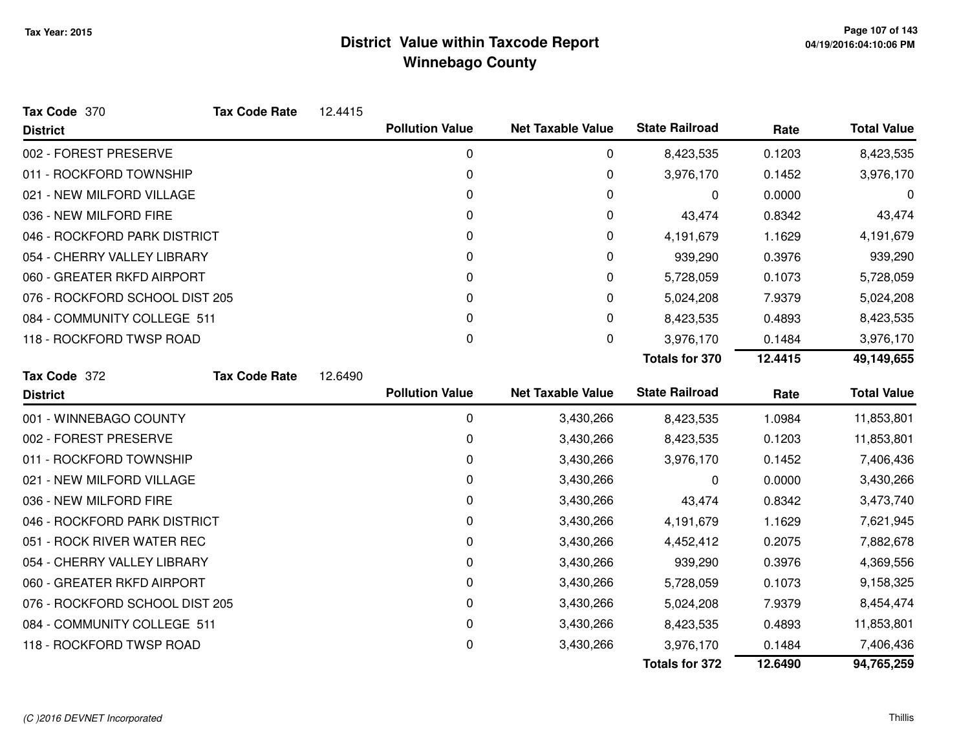| Tax Code 370                   | <b>Tax Code Rate</b> | 12.4415 |                        |                          |                       |         |                    |
|--------------------------------|----------------------|---------|------------------------|--------------------------|-----------------------|---------|--------------------|
| <b>District</b>                |                      |         | <b>Pollution Value</b> | <b>Net Taxable Value</b> | <b>State Railroad</b> | Rate    | <b>Total Value</b> |
| 002 - FOREST PRESERVE          |                      |         | 0                      | 0                        | 8,423,535             | 0.1203  | 8,423,535          |
| 011 - ROCKFORD TOWNSHIP        |                      |         | 0                      | 0                        | 3,976,170             | 0.1452  | 3,976,170          |
| 021 - NEW MILFORD VILLAGE      |                      |         | 0                      | 0                        | 0                     | 0.0000  | 0                  |
| 036 - NEW MILFORD FIRE         |                      |         | 0                      | 0                        | 43,474                | 0.8342  | 43,474             |
| 046 - ROCKFORD PARK DISTRICT   |                      |         | 0                      | 0                        | 4,191,679             | 1.1629  | 4,191,679          |
| 054 - CHERRY VALLEY LIBRARY    |                      |         | 0                      | 0                        | 939,290               | 0.3976  | 939,290            |
| 060 - GREATER RKFD AIRPORT     |                      |         | 0                      | 0                        | 5,728,059             | 0.1073  | 5,728,059          |
| 076 - ROCKFORD SCHOOL DIST 205 |                      |         | 0                      | 0                        | 5,024,208             | 7.9379  | 5,024,208          |
| 084 - COMMUNITY COLLEGE 511    |                      |         | 0                      | 0                        | 8,423,535             | 0.4893  | 8,423,535          |
| 118 - ROCKFORD TWSP ROAD       |                      |         | 0                      | 0                        | 3,976,170             | 0.1484  | 3,976,170          |
|                                |                      |         |                        |                          | <b>Totals for 370</b> | 12.4415 | 49,149,655         |
| Tax Code 372                   | <b>Tax Code Rate</b> | 12.6490 |                        |                          |                       |         |                    |
| <b>District</b>                |                      |         | <b>Pollution Value</b> | <b>Net Taxable Value</b> | <b>State Railroad</b> | Rate    | <b>Total Value</b> |
| 001 - WINNEBAGO COUNTY         |                      |         | 0                      | 3,430,266                | 8,423,535             | 1.0984  | 11,853,801         |
| 002 - FOREST PRESERVE          |                      |         | 0                      | 3,430,266                | 8,423,535             | 0.1203  | 11,853,801         |
| 011 - ROCKFORD TOWNSHIP        |                      |         | 0                      | 3,430,266                | 3,976,170             | 0.1452  | 7,406,436          |
| 021 - NEW MILFORD VILLAGE      |                      |         | 0                      | 3,430,266                | 0                     | 0.0000  | 3,430,266          |
| 036 - NEW MILFORD FIRE         |                      |         | 0                      | 3,430,266                | 43,474                | 0.8342  | 3,473,740          |
| 046 - ROCKFORD PARK DISTRICT   |                      |         | 0                      | 3,430,266                | 4,191,679             | 1.1629  | 7,621,945          |
| 051 - ROCK RIVER WATER REC     |                      |         | 0                      | 3,430,266                | 4,452,412             | 0.2075  | 7,882,678          |
| 054 - CHERRY VALLEY LIBRARY    |                      |         | 0                      | 3,430,266                | 939,290               | 0.3976  | 4,369,556          |
| 060 - GREATER RKFD AIRPORT     |                      |         | 0                      | 3,430,266                | 5,728,059             | 0.1073  | 9,158,325          |
| 076 - ROCKFORD SCHOOL DIST 205 |                      |         | 0                      | 3,430,266                | 5,024,208             | 7.9379  | 8,454,474          |
| 084 - COMMUNITY COLLEGE 511    |                      |         | 0                      | 3,430,266                | 8,423,535             | 0.4893  | 11,853,801         |
| 118 - ROCKFORD TWSP ROAD       |                      |         | 0                      | 3,430,266                | 3,976,170             | 0.1484  | 7,406,436          |
|                                |                      |         |                        |                          | <b>Totals for 372</b> | 12.6490 | 94,765,259         |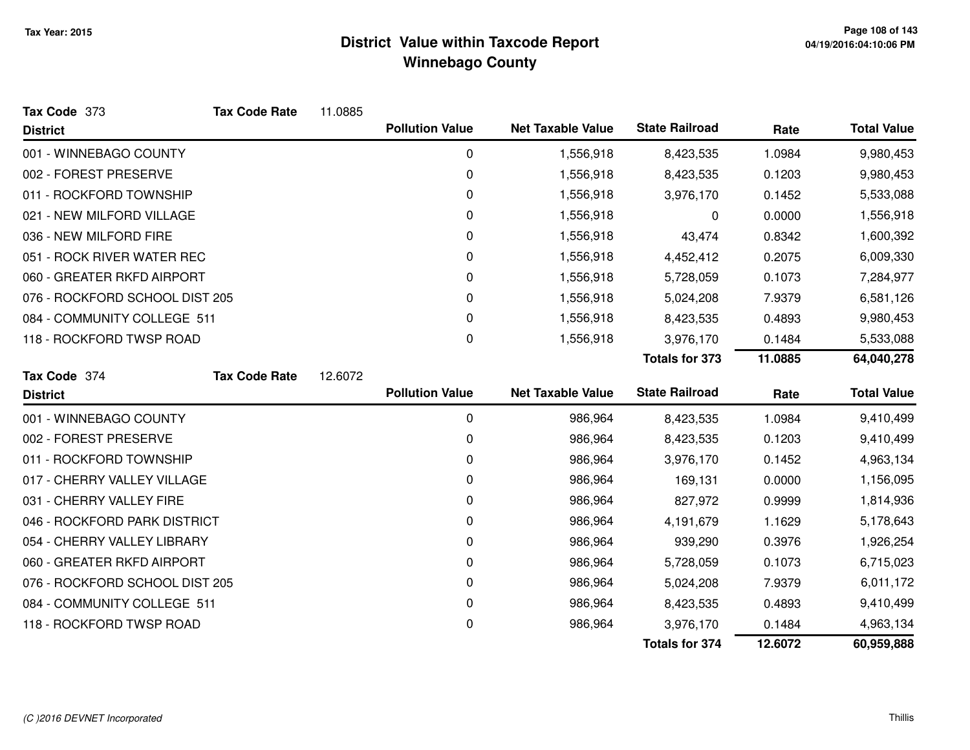| Tax Code 373                   | <b>Tax Code Rate</b> | 11.0885 |                        |                          |                       |         |                    |
|--------------------------------|----------------------|---------|------------------------|--------------------------|-----------------------|---------|--------------------|
| <b>District</b>                |                      |         | <b>Pollution Value</b> | <b>Net Taxable Value</b> | <b>State Railroad</b> | Rate    | <b>Total Value</b> |
| 001 - WINNEBAGO COUNTY         |                      |         | 0                      | 1,556,918                | 8,423,535             | 1.0984  | 9,980,453          |
| 002 - FOREST PRESERVE          |                      |         | 0                      | 1,556,918                | 8,423,535             | 0.1203  | 9,980,453          |
| 011 - ROCKFORD TOWNSHIP        |                      |         | 0                      | 1,556,918                | 3,976,170             | 0.1452  | 5,533,088          |
| 021 - NEW MILFORD VILLAGE      |                      |         | 0                      | 1,556,918                | 0                     | 0.0000  | 1,556,918          |
| 036 - NEW MILFORD FIRE         |                      |         | 0                      | 1,556,918                | 43,474                | 0.8342  | 1,600,392          |
| 051 - ROCK RIVER WATER REC     |                      |         | 0                      | 1,556,918                | 4,452,412             | 0.2075  | 6,009,330          |
| 060 - GREATER RKFD AIRPORT     |                      |         | 0                      | 1,556,918                | 5,728,059             | 0.1073  | 7,284,977          |
| 076 - ROCKFORD SCHOOL DIST 205 |                      |         | 0                      | 1,556,918                | 5,024,208             | 7.9379  | 6,581,126          |
| 084 - COMMUNITY COLLEGE 511    |                      |         | 0                      | 1,556,918                | 8,423,535             | 0.4893  | 9,980,453          |
| 118 - ROCKFORD TWSP ROAD       |                      |         | 0                      | 1,556,918                | 3,976,170             | 0.1484  | 5,533,088          |
|                                |                      |         |                        |                          | <b>Totals for 373</b> | 11.0885 | 64,040,278         |
| Tax Code 374                   | <b>Tax Code Rate</b> | 12.6072 |                        |                          |                       |         |                    |
| <b>District</b>                |                      |         | <b>Pollution Value</b> | <b>Net Taxable Value</b> | <b>State Railroad</b> | Rate    | <b>Total Value</b> |
| 001 - WINNEBAGO COUNTY         |                      |         | 0                      | 986,964                  | 8,423,535             | 1.0984  | 9,410,499          |
| 002 - FOREST PRESERVE          |                      |         | 0                      | 986,964                  | 8,423,535             | 0.1203  | 9,410,499          |
| 011 - ROCKFORD TOWNSHIP        |                      |         | 0                      | 986,964                  | 3,976,170             | 0.1452  | 4,963,134          |
| 017 - CHERRY VALLEY VILLAGE    |                      |         | 0                      | 986,964                  | 169,131               | 0.0000  | 1,156,095          |
| 031 - CHERRY VALLEY FIRE       |                      |         | 0                      | 986,964                  | 827,972               | 0.9999  | 1,814,936          |
| 046 - ROCKFORD PARK DISTRICT   |                      |         | 0                      | 986,964                  | 4,191,679             | 1.1629  | 5,178,643          |
| 054 - CHERRY VALLEY LIBRARY    |                      |         | 0                      | 986,964                  | 939,290               | 0.3976  | 1,926,254          |
| 060 - GREATER RKFD AIRPORT     |                      |         | 0                      | 986,964                  | 5,728,059             | 0.1073  | 6,715,023          |
| 076 - ROCKFORD SCHOOL DIST 205 |                      |         | 0                      | 986,964                  | 5,024,208             | 7.9379  | 6,011,172          |
| 084 - COMMUNITY COLLEGE 511    |                      |         | 0                      | 986,964                  | 8,423,535             | 0.4893  | 9,410,499          |
| 118 - ROCKFORD TWSP ROAD       |                      |         | 0                      | 986,964                  | 3,976,170             | 0.1484  | 4,963,134          |
|                                |                      |         |                        |                          | <b>Totals for 374</b> | 12.6072 | 60,959,888         |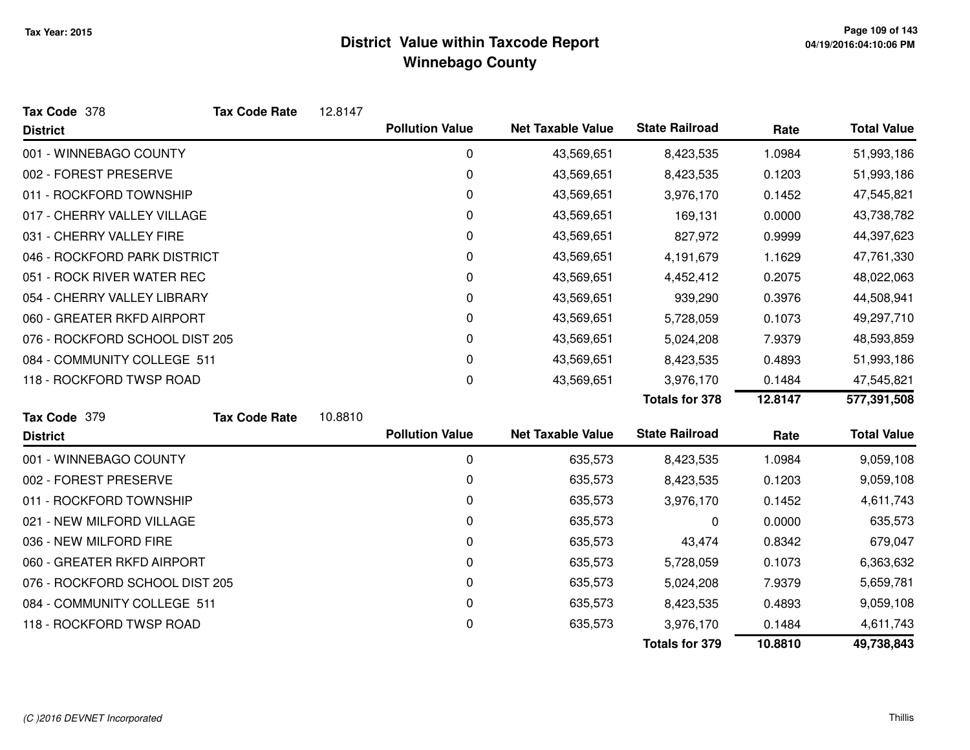| Tax Code 378                   | <b>Tax Code Rate</b> | 12.8147 |                        |                          |                       |         |                    |
|--------------------------------|----------------------|---------|------------------------|--------------------------|-----------------------|---------|--------------------|
| <b>District</b>                |                      |         | <b>Pollution Value</b> | <b>Net Taxable Value</b> | <b>State Railroad</b> | Rate    | <b>Total Value</b> |
| 001 - WINNEBAGO COUNTY         |                      |         | 0                      | 43,569,651               | 8,423,535             | 1.0984  | 51,993,186         |
| 002 - FOREST PRESERVE          |                      |         | 0                      | 43,569,651               | 8,423,535             | 0.1203  | 51,993,186         |
| 011 - ROCKFORD TOWNSHIP        |                      |         | 0                      | 43,569,651               | 3,976,170             | 0.1452  | 47,545,821         |
| 017 - CHERRY VALLEY VILLAGE    |                      |         | 0                      | 43,569,651               | 169,131               | 0.0000  | 43,738,782         |
| 031 - CHERRY VALLEY FIRE       |                      |         | 0                      | 43,569,651               | 827,972               | 0.9999  | 44,397,623         |
| 046 - ROCKFORD PARK DISTRICT   |                      |         | 0                      | 43,569,651               | 4,191,679             | 1.1629  | 47,761,330         |
| 051 - ROCK RIVER WATER REC     |                      |         | 0                      | 43,569,651               | 4,452,412             | 0.2075  | 48,022,063         |
| 054 - CHERRY VALLEY LIBRARY    |                      |         | 0                      | 43,569,651               | 939,290               | 0.3976  | 44,508,941         |
| 060 - GREATER RKFD AIRPORT     |                      |         | 0                      | 43,569,651               | 5,728,059             | 0.1073  | 49,297,710         |
| 076 - ROCKFORD SCHOOL DIST 205 |                      |         | 0                      | 43,569,651               | 5,024,208             | 7.9379  | 48,593,859         |
| 084 - COMMUNITY COLLEGE 511    |                      |         | 0                      | 43,569,651               | 8,423,535             | 0.4893  | 51,993,186         |
| 118 - ROCKFORD TWSP ROAD       |                      |         | 0                      | 43,569,651               | 3,976,170             | 0.1484  | 47,545,821         |
|                                |                      |         |                        |                          | <b>Totals for 378</b> | 12.8147 | 577,391,508        |
| Tax Code 379                   | <b>Tax Code Rate</b> | 10.8810 |                        |                          |                       |         |                    |
| <b>District</b>                |                      |         | <b>Pollution Value</b> | <b>Net Taxable Value</b> | <b>State Railroad</b> | Rate    | <b>Total Value</b> |
| 001 - WINNEBAGO COUNTY         |                      |         | 0                      | 635,573                  | 8,423,535             | 1.0984  | 9,059,108          |
| 002 - FOREST PRESERVE          |                      |         | 0                      | 635,573                  | 8,423,535             | 0.1203  | 9,059,108          |
| 011 - ROCKFORD TOWNSHIP        |                      |         | 0                      | 635,573                  | 3,976,170             | 0.1452  | 4,611,743          |
| 021 - NEW MILFORD VILLAGE      |                      |         | 0                      | 635,573                  | 0                     | 0.0000  | 635,573            |
| 036 - NEW MILFORD FIRE         |                      |         | 0                      | 635,573                  | 43,474                | 0.8342  | 679,047            |
| 060 - GREATER RKFD AIRPORT     |                      |         | 0                      | 635,573                  | 5,728,059             | 0.1073  | 6,363,632          |
| 076 - ROCKFORD SCHOOL DIST 205 |                      |         | 0                      | 635,573                  | 5,024,208             | 7.9379  | 5,659,781          |
| 084 - COMMUNITY COLLEGE 511    |                      |         | 0                      | 635,573                  | 8,423,535             | 0.4893  | 9,059,108          |
| 118 - ROCKFORD TWSP ROAD       |                      |         | 0                      | 635,573                  | 3,976,170             | 0.1484  | 4,611,743          |
|                                |                      |         |                        |                          | <b>Totals for 379</b> | 10.8810 | 49,738,843         |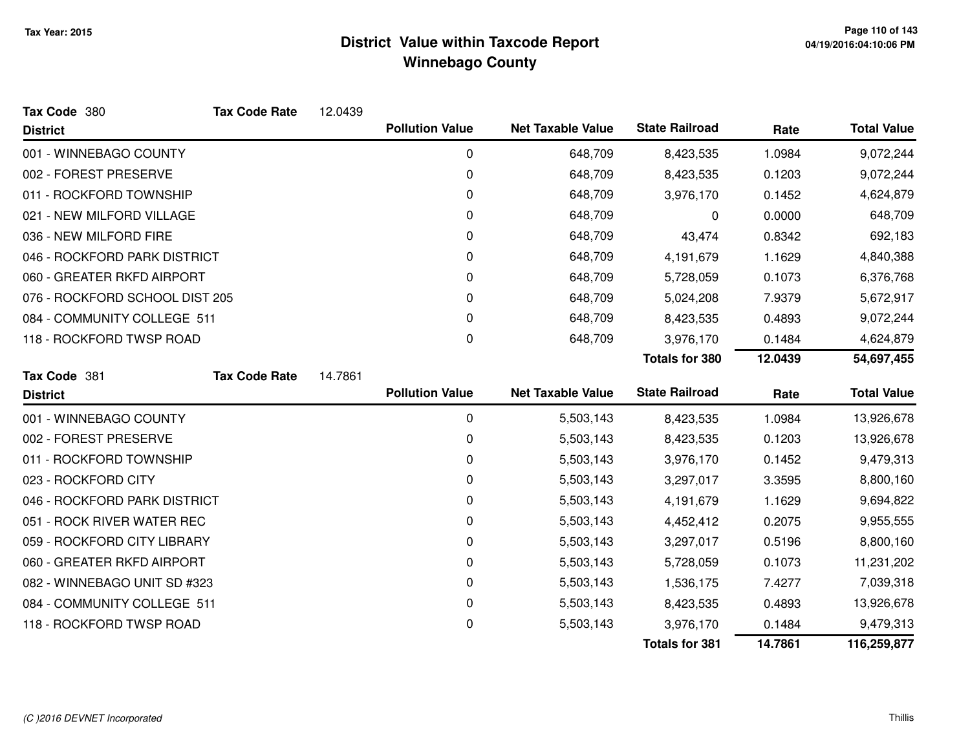| Tax Code 380                   | <b>Tax Code Rate</b> | 12.0439 |                        |                          |                       |         |                    |
|--------------------------------|----------------------|---------|------------------------|--------------------------|-----------------------|---------|--------------------|
| <b>District</b>                |                      |         | <b>Pollution Value</b> | <b>Net Taxable Value</b> | <b>State Railroad</b> | Rate    | <b>Total Value</b> |
| 001 - WINNEBAGO COUNTY         |                      |         | 0                      | 648,709                  | 8,423,535             | 1.0984  | 9,072,244          |
| 002 - FOREST PRESERVE          |                      |         | 0                      | 648,709                  | 8,423,535             | 0.1203  | 9,072,244          |
| 011 - ROCKFORD TOWNSHIP        |                      |         | 0                      | 648,709                  | 3,976,170             | 0.1452  | 4,624,879          |
| 021 - NEW MILFORD VILLAGE      |                      |         | 0                      | 648,709                  | 0                     | 0.0000  | 648,709            |
| 036 - NEW MILFORD FIRE         |                      |         | 0                      | 648,709                  | 43,474                | 0.8342  | 692,183            |
| 046 - ROCKFORD PARK DISTRICT   |                      |         | 0                      | 648,709                  | 4,191,679             | 1.1629  | 4,840,388          |
| 060 - GREATER RKFD AIRPORT     |                      |         | 0                      | 648,709                  | 5,728,059             | 0.1073  | 6,376,768          |
| 076 - ROCKFORD SCHOOL DIST 205 |                      |         | 0                      | 648,709                  | 5,024,208             | 7.9379  | 5,672,917          |
| 084 - COMMUNITY COLLEGE 511    |                      |         | 0                      | 648,709                  | 8,423,535             | 0.4893  | 9,072,244          |
| 118 - ROCKFORD TWSP ROAD       |                      |         | 0                      | 648,709                  | 3,976,170             | 0.1484  | 4,624,879          |
|                                |                      |         |                        |                          | <b>Totals for 380</b> | 12.0439 | 54,697,455         |
| Tax Code 381                   | <b>Tax Code Rate</b> | 14.7861 |                        |                          |                       |         |                    |
| <b>District</b>                |                      |         | <b>Pollution Value</b> | <b>Net Taxable Value</b> | <b>State Railroad</b> | Rate    | <b>Total Value</b> |
| 001 - WINNEBAGO COUNTY         |                      |         | 0                      | 5,503,143                | 8,423,535             | 1.0984  | 13,926,678         |
| 002 - FOREST PRESERVE          |                      |         | 0                      | 5,503,143                | 8,423,535             | 0.1203  | 13,926,678         |
| 011 - ROCKFORD TOWNSHIP        |                      |         | 0                      | 5,503,143                | 3,976,170             | 0.1452  | 9,479,313          |
| 023 - ROCKFORD CITY            |                      |         | 0                      | 5,503,143                | 3,297,017             | 3.3595  | 8,800,160          |
| 046 - ROCKFORD PARK DISTRICT   |                      |         | 0                      | 5,503,143                | 4,191,679             | 1.1629  | 9,694,822          |
| 051 - ROCK RIVER WATER REC     |                      |         | 0                      | 5,503,143                | 4,452,412             | 0.2075  | 9,955,555          |
| 059 - ROCKFORD CITY LIBRARY    |                      |         | 0                      | 5,503,143                | 3,297,017             | 0.5196  | 8,800,160          |
| 060 - GREATER RKFD AIRPORT     |                      |         | 0                      | 5,503,143                | 5,728,059             | 0.1073  | 11,231,202         |
| 082 - WINNEBAGO UNIT SD #323   |                      |         | 0                      | 5,503,143                | 1,536,175             | 7.4277  | 7,039,318          |
| 084 - COMMUNITY COLLEGE 511    |                      |         | 0                      | 5,503,143                | 8,423,535             | 0.4893  | 13,926,678         |
| 118 - ROCKFORD TWSP ROAD       |                      |         | 0                      | 5,503,143                | 3,976,170             | 0.1484  | 9,479,313          |
|                                |                      |         |                        |                          |                       | 14.7861 | 116,259,877        |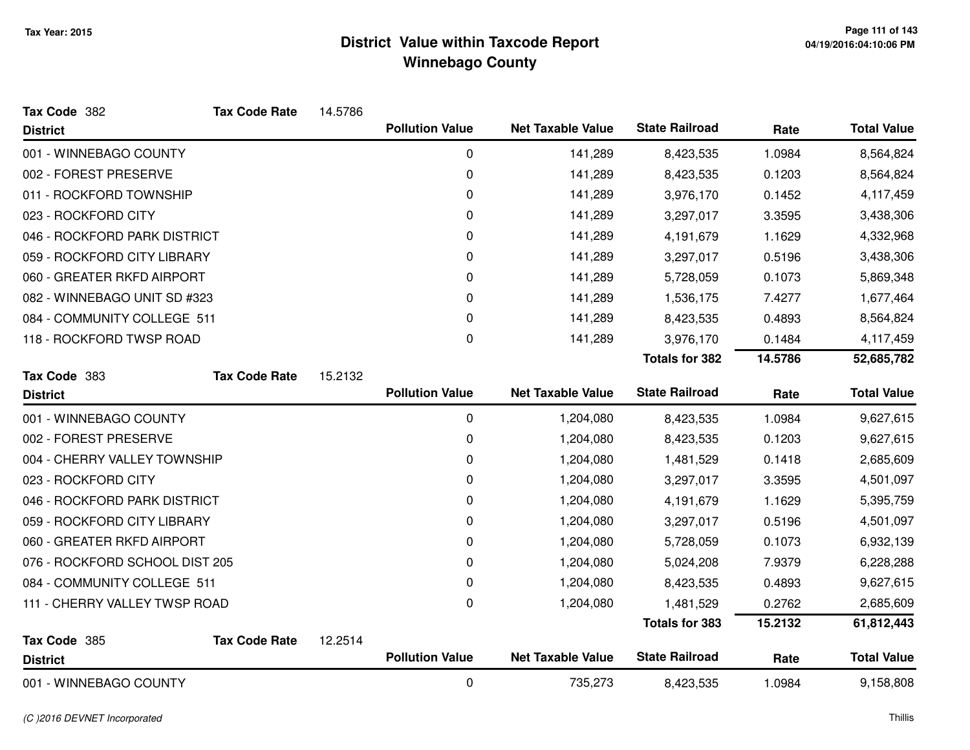| Tax Code 382                   | <b>Tax Code Rate</b> | 14.5786 |                        |                          |                       |         |                    |
|--------------------------------|----------------------|---------|------------------------|--------------------------|-----------------------|---------|--------------------|
| <b>District</b>                |                      |         | <b>Pollution Value</b> | <b>Net Taxable Value</b> | <b>State Railroad</b> | Rate    | <b>Total Value</b> |
| 001 - WINNEBAGO COUNTY         |                      |         | $\pmb{0}$              | 141,289                  | 8,423,535             | 1.0984  | 8,564,824          |
| 002 - FOREST PRESERVE          |                      |         | $\mathbf 0$            | 141,289                  | 8,423,535             | 0.1203  | 8,564,824          |
| 011 - ROCKFORD TOWNSHIP        |                      |         | 0                      | 141,289                  | 3,976,170             | 0.1452  | 4,117,459          |
| 023 - ROCKFORD CITY            |                      |         | 0                      | 141,289                  | 3,297,017             | 3.3595  | 3,438,306          |
| 046 - ROCKFORD PARK DISTRICT   |                      |         | $\mathbf 0$            | 141,289                  | 4,191,679             | 1.1629  | 4,332,968          |
| 059 - ROCKFORD CITY LIBRARY    |                      |         | 0                      | 141,289                  | 3,297,017             | 0.5196  | 3,438,306          |
| 060 - GREATER RKFD AIRPORT     |                      |         | 0                      | 141,289                  | 5,728,059             | 0.1073  | 5,869,348          |
| 082 - WINNEBAGO UNIT SD #323   |                      |         | $\mathbf 0$            | 141,289                  | 1,536,175             | 7.4277  | 1,677,464          |
| 084 - COMMUNITY COLLEGE 511    |                      |         | 0                      | 141,289                  | 8,423,535             | 0.4893  | 8,564,824          |
| 118 - ROCKFORD TWSP ROAD       |                      |         | $\mathbf 0$            | 141,289                  | 3,976,170             | 0.1484  | 4,117,459          |
|                                |                      |         |                        |                          | <b>Totals for 382</b> | 14.5786 | 52,685,782         |
| Tax Code 383                   | <b>Tax Code Rate</b> | 15.2132 |                        |                          |                       |         |                    |
| <b>District</b>                |                      |         | <b>Pollution Value</b> | <b>Net Taxable Value</b> | <b>State Railroad</b> | Rate    | <b>Total Value</b> |
| 001 - WINNEBAGO COUNTY         |                      |         | $\mathbf 0$            | 1,204,080                | 8,423,535             | 1.0984  | 9,627,615          |
| 002 - FOREST PRESERVE          |                      |         | 0                      | 1,204,080                | 8,423,535             | 0.1203  | 9,627,615          |
| 004 - CHERRY VALLEY TOWNSHIP   |                      |         | $\pmb{0}$              | 1,204,080                | 1,481,529             | 0.1418  | 2,685,609          |
| 023 - ROCKFORD CITY            |                      |         | $\mathbf 0$            | 1,204,080                | 3,297,017             | 3.3595  | 4,501,097          |
| 046 - ROCKFORD PARK DISTRICT   |                      |         | 0                      | 1,204,080                | 4,191,679             | 1.1629  | 5,395,759          |
| 059 - ROCKFORD CITY LIBRARY    |                      |         | 0                      | 1,204,080                | 3,297,017             | 0.5196  | 4,501,097          |
| 060 - GREATER RKFD AIRPORT     |                      |         | 0                      | 1,204,080                | 5,728,059             | 0.1073  | 6,932,139          |
| 076 - ROCKFORD SCHOOL DIST 205 |                      |         | $\mathbf 0$            | 1,204,080                | 5,024,208             | 7.9379  | 6,228,288          |
| 084 - COMMUNITY COLLEGE 511    |                      |         | 0                      | 1,204,080                | 8,423,535             | 0.4893  | 9,627,615          |
| 111 - CHERRY VALLEY TWSP ROAD  |                      |         | 0                      | 1,204,080                | 1,481,529             | 0.2762  | 2,685,609          |
|                                |                      |         |                        |                          | <b>Totals for 383</b> | 15.2132 | 61,812,443         |
| Tax Code 385                   | <b>Tax Code Rate</b> | 12.2514 |                        |                          |                       |         |                    |
| <b>District</b>                |                      |         | <b>Pollution Value</b> | <b>Net Taxable Value</b> | <b>State Railroad</b> | Rate    | <b>Total Value</b> |
| 001 - WINNEBAGO COUNTY         |                      |         | $\mathbf 0$            | 735,273                  | 8,423,535             | 1.0984  | 9,158,808          |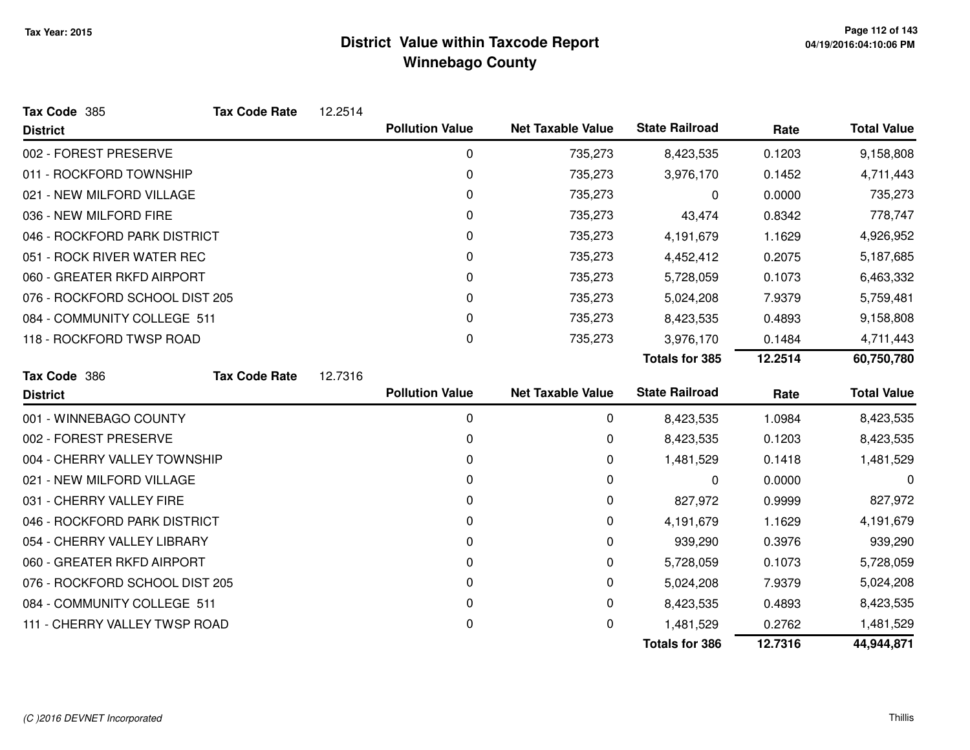| Tax Code 385                   | <b>Tax Code Rate</b> | 12.2514 |                        |                          |                       |         |                    |
|--------------------------------|----------------------|---------|------------------------|--------------------------|-----------------------|---------|--------------------|
| <b>District</b>                |                      |         | <b>Pollution Value</b> | <b>Net Taxable Value</b> | <b>State Railroad</b> | Rate    | <b>Total Value</b> |
| 002 - FOREST PRESERVE          |                      |         | $\pmb{0}$              | 735,273                  | 8,423,535             | 0.1203  | 9,158,808          |
| 011 - ROCKFORD TOWNSHIP        |                      |         | 0                      | 735,273                  | 3,976,170             | 0.1452  | 4,711,443          |
| 021 - NEW MILFORD VILLAGE      |                      |         | 0                      | 735,273                  | 0                     | 0.0000  | 735,273            |
| 036 - NEW MILFORD FIRE         |                      |         | 0                      | 735,273                  | 43,474                | 0.8342  | 778,747            |
| 046 - ROCKFORD PARK DISTRICT   |                      |         | 0                      | 735,273                  | 4,191,679             | 1.1629  | 4,926,952          |
| 051 - ROCK RIVER WATER REC     |                      |         | 0                      | 735,273                  | 4,452,412             | 0.2075  | 5,187,685          |
| 060 - GREATER RKFD AIRPORT     |                      |         | 0                      | 735,273                  | 5,728,059             | 0.1073  | 6,463,332          |
| 076 - ROCKFORD SCHOOL DIST 205 |                      |         | $\Omega$               | 735,273                  | 5,024,208             | 7.9379  | 5,759,481          |
| 084 - COMMUNITY COLLEGE 511    |                      |         | $\Omega$               | 735,273                  | 8,423,535             | 0.4893  | 9,158,808          |
| 118 - ROCKFORD TWSP ROAD       |                      |         | 0                      | 735,273                  | 3,976,170             | 0.1484  | 4,711,443          |
|                                |                      |         |                        |                          | <b>Totals for 385</b> | 12.2514 | 60,750,780         |
| Tax Code 386                   | <b>Tax Code Rate</b> | 12.7316 |                        |                          |                       |         |                    |
| <b>District</b>                |                      |         | <b>Pollution Value</b> | <b>Net Taxable Value</b> | <b>State Railroad</b> | Rate    | <b>Total Value</b> |
| 001 - WINNEBAGO COUNTY         |                      |         | 0                      | 0                        | 8,423,535             | 1.0984  | 8,423,535          |
| 002 - FOREST PRESERVE          |                      |         | 0                      | 0                        | 8,423,535             | 0.1203  | 8,423,535          |
| 004 - CHERRY VALLEY TOWNSHIP   |                      |         | 0                      | 0                        | 1,481,529             | 0.1418  | 1,481,529          |
| 021 - NEW MILFORD VILLAGE      |                      |         | 0                      | 0                        | 0                     | 0.0000  | 0                  |
| 031 - CHERRY VALLEY FIRE       |                      |         | 0                      | 0                        | 827,972               | 0.9999  | 827,972            |
| 046 - ROCKFORD PARK DISTRICT   |                      |         | 0                      | 0                        | 4,191,679             | 1.1629  | 4,191,679          |
| 054 - CHERRY VALLEY LIBRARY    |                      |         | 0                      | 0                        | 939,290               | 0.3976  | 939,290            |
| 060 - GREATER RKFD AIRPORT     |                      |         | 0                      | 0                        | 5,728,059             | 0.1073  | 5,728,059          |
| 076 - ROCKFORD SCHOOL DIST 205 |                      |         | 0                      | 0                        | 5,024,208             | 7.9379  | 5,024,208          |
| 084 - COMMUNITY COLLEGE 511    |                      |         | 0                      | 0                        | 8,423,535             | 0.4893  | 8,423,535          |
| 111 - CHERRY VALLEY TWSP ROAD  |                      |         | 0                      | 0                        | 1,481,529             | 0.2762  | 1,481,529          |
|                                |                      |         |                        |                          | <b>Totals for 386</b> | 12.7316 | 44,944,871         |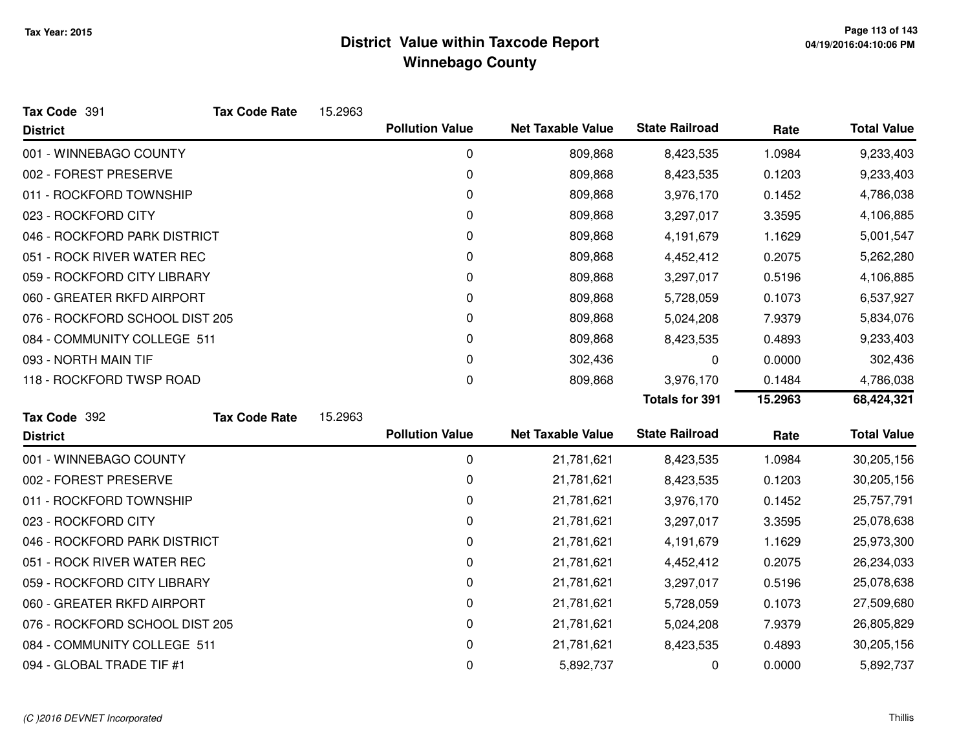| Tax Code 391                   | <b>Tax Code Rate</b> | 15.2963 |                        |                          |                       |         |                    |
|--------------------------------|----------------------|---------|------------------------|--------------------------|-----------------------|---------|--------------------|
| <b>District</b>                |                      |         | <b>Pollution Value</b> | <b>Net Taxable Value</b> | <b>State Railroad</b> | Rate    | <b>Total Value</b> |
| 001 - WINNEBAGO COUNTY         |                      |         | 0                      | 809,868                  | 8,423,535             | 1.0984  | 9,233,403          |
| 002 - FOREST PRESERVE          |                      |         | 0                      | 809,868                  | 8,423,535             | 0.1203  | 9,233,403          |
| 011 - ROCKFORD TOWNSHIP        |                      |         | 0                      | 809,868                  | 3,976,170             | 0.1452  | 4,786,038          |
| 023 - ROCKFORD CITY            |                      |         | 0                      | 809,868                  | 3,297,017             | 3.3595  | 4,106,885          |
| 046 - ROCKFORD PARK DISTRICT   |                      |         | 0                      | 809,868                  | 4,191,679             | 1.1629  | 5,001,547          |
| 051 - ROCK RIVER WATER REC     |                      |         | 0                      | 809,868                  | 4,452,412             | 0.2075  | 5,262,280          |
| 059 - ROCKFORD CITY LIBRARY    |                      |         | 0                      | 809,868                  | 3,297,017             | 0.5196  | 4,106,885          |
| 060 - GREATER RKFD AIRPORT     |                      |         | 0                      | 809,868                  | 5,728,059             | 0.1073  | 6,537,927          |
| 076 - ROCKFORD SCHOOL DIST 205 |                      |         | 0                      | 809,868                  | 5,024,208             | 7.9379  | 5,834,076          |
| 084 - COMMUNITY COLLEGE 511    |                      |         | 0                      | 809,868                  | 8,423,535             | 0.4893  | 9,233,403          |
| 093 - NORTH MAIN TIF           |                      |         | 0                      | 302,436                  | 0                     | 0.0000  | 302,436            |
| 118 - ROCKFORD TWSP ROAD       |                      |         | 0                      | 809,868                  | 3,976,170             | 0.1484  | 4,786,038          |
|                                |                      |         |                        |                          |                       |         |                    |
|                                |                      |         |                        |                          | <b>Totals for 391</b> | 15.2963 | 68,424,321         |
| Tax Code 392                   | <b>Tax Code Rate</b> | 15.2963 |                        |                          |                       |         |                    |
| <b>District</b>                |                      |         | <b>Pollution Value</b> | <b>Net Taxable Value</b> | <b>State Railroad</b> | Rate    | <b>Total Value</b> |
| 001 - WINNEBAGO COUNTY         |                      |         | 0                      | 21,781,621               | 8,423,535             | 1.0984  | 30,205,156         |
| 002 - FOREST PRESERVE          |                      |         | 0                      | 21,781,621               | 8,423,535             | 0.1203  | 30,205,156         |
| 011 - ROCKFORD TOWNSHIP        |                      |         | 0                      | 21,781,621               | 3,976,170             | 0.1452  | 25,757,791         |
| 023 - ROCKFORD CITY            |                      |         | 0                      | 21,781,621               | 3,297,017             | 3.3595  | 25,078,638         |
| 046 - ROCKFORD PARK DISTRICT   |                      |         | 0                      | 21,781,621               | 4,191,679             | 1.1629  | 25,973,300         |
| 051 - ROCK RIVER WATER REC     |                      |         | 0                      | 21,781,621               | 4,452,412             | 0.2075  | 26,234,033         |
| 059 - ROCKFORD CITY LIBRARY    |                      |         | 0                      | 21,781,621               | 3,297,017             | 0.5196  | 25,078,638         |
| 060 - GREATER RKFD AIRPORT     |                      |         | 0                      | 21,781,621               | 5,728,059             | 0.1073  | 27,509,680         |
| 076 - ROCKFORD SCHOOL DIST 205 |                      |         | 0                      | 21,781,621               | 5,024,208             | 7.9379  | 26,805,829         |
| 084 - COMMUNITY COLLEGE 511    |                      |         | 0                      | 21,781,621               | 8,423,535             | 0.4893  | 30,205,156         |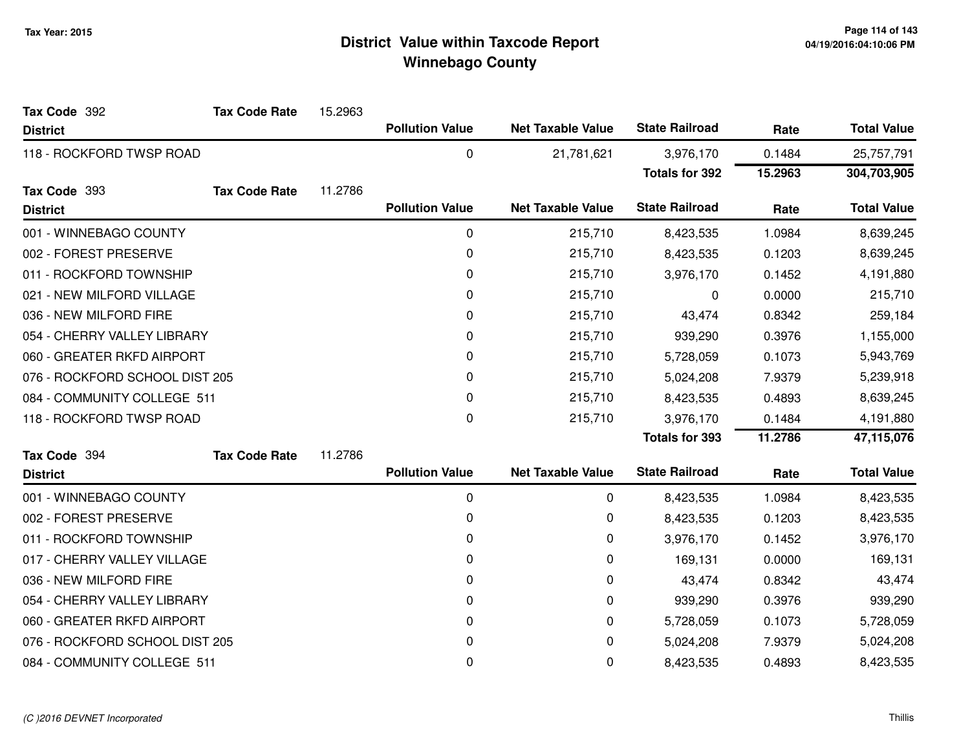| Tax Code 392                   | <b>Tax Code Rate</b> | 15.2963 |                        |                          |                       |         |                    |
|--------------------------------|----------------------|---------|------------------------|--------------------------|-----------------------|---------|--------------------|
| <b>District</b>                |                      |         | <b>Pollution Value</b> | <b>Net Taxable Value</b> | <b>State Railroad</b> | Rate    | <b>Total Value</b> |
| 118 - ROCKFORD TWSP ROAD       |                      |         | 0                      | 21,781,621               | 3,976,170             | 0.1484  | 25,757,791         |
|                                |                      |         |                        |                          | <b>Totals for 392</b> | 15.2963 | 304,703,905        |
| Tax Code 393                   | <b>Tax Code Rate</b> | 11.2786 |                        |                          |                       |         |                    |
| <b>District</b>                |                      |         | <b>Pollution Value</b> | <b>Net Taxable Value</b> | <b>State Railroad</b> | Rate    | <b>Total Value</b> |
| 001 - WINNEBAGO COUNTY         |                      |         | 0                      | 215,710                  | 8,423,535             | 1.0984  | 8,639,245          |
| 002 - FOREST PRESERVE          |                      |         | 0                      | 215,710                  | 8,423,535             | 0.1203  | 8,639,245          |
| 011 - ROCKFORD TOWNSHIP        |                      |         | 0                      | 215,710                  | 3,976,170             | 0.1452  | 4,191,880          |
| 021 - NEW MILFORD VILLAGE      |                      |         | 0                      | 215,710                  | 0                     | 0.0000  | 215,710            |
| 036 - NEW MILFORD FIRE         |                      |         | 0                      | 215,710                  | 43,474                | 0.8342  | 259,184            |
| 054 - CHERRY VALLEY LIBRARY    |                      |         | 0                      | 215,710                  | 939,290               | 0.3976  | 1,155,000          |
| 060 - GREATER RKFD AIRPORT     |                      |         | 0                      | 215,710                  | 5,728,059             | 0.1073  | 5,943,769          |
| 076 - ROCKFORD SCHOOL DIST 205 |                      |         | 0                      | 215,710                  | 5,024,208             | 7.9379  | 5,239,918          |
| 084 - COMMUNITY COLLEGE 511    |                      |         | 0                      | 215,710                  | 8,423,535             | 0.4893  | 8,639,245          |
| 118 - ROCKFORD TWSP ROAD       |                      |         | 0                      | 215,710                  | 3,976,170             | 0.1484  | 4,191,880          |
|                                |                      |         |                        |                          | <b>Totals for 393</b> | 11.2786 | 47,115,076         |
| Tax Code 394                   | <b>Tax Code Rate</b> | 11.2786 |                        |                          |                       |         |                    |
| <b>District</b>                |                      |         | <b>Pollution Value</b> | <b>Net Taxable Value</b> | <b>State Railroad</b> | Rate    | <b>Total Value</b> |
| 001 - WINNEBAGO COUNTY         |                      |         | 0                      | 0                        | 8,423,535             | 1.0984  | 8,423,535          |
| 002 - FOREST PRESERVE          |                      |         | 0                      | 0                        | 8,423,535             | 0.1203  | 8,423,535          |
| 011 - ROCKFORD TOWNSHIP        |                      |         | 0                      | 0                        | 3,976,170             | 0.1452  | 3,976,170          |
| 017 - CHERRY VALLEY VILLAGE    |                      |         | 0                      | 0                        | 169,131               | 0.0000  | 169,131            |
| 036 - NEW MILFORD FIRE         |                      |         | 0                      | 0                        | 43,474                | 0.8342  | 43,474             |
| 054 - CHERRY VALLEY LIBRARY    |                      |         | 0                      | 0                        | 939,290               | 0.3976  | 939,290            |
| 060 - GREATER RKFD AIRPORT     |                      |         | 0                      | 0                        | 5,728,059             | 0.1073  | 5,728,059          |
| 076 - ROCKFORD SCHOOL DIST 205 |                      |         | 0                      | 0                        | 5,024,208             | 7.9379  | 5,024,208          |
| 084 - COMMUNITY COLLEGE 511    |                      |         | 0                      | 0                        | 8,423,535             | 0.4893  | 8,423,535          |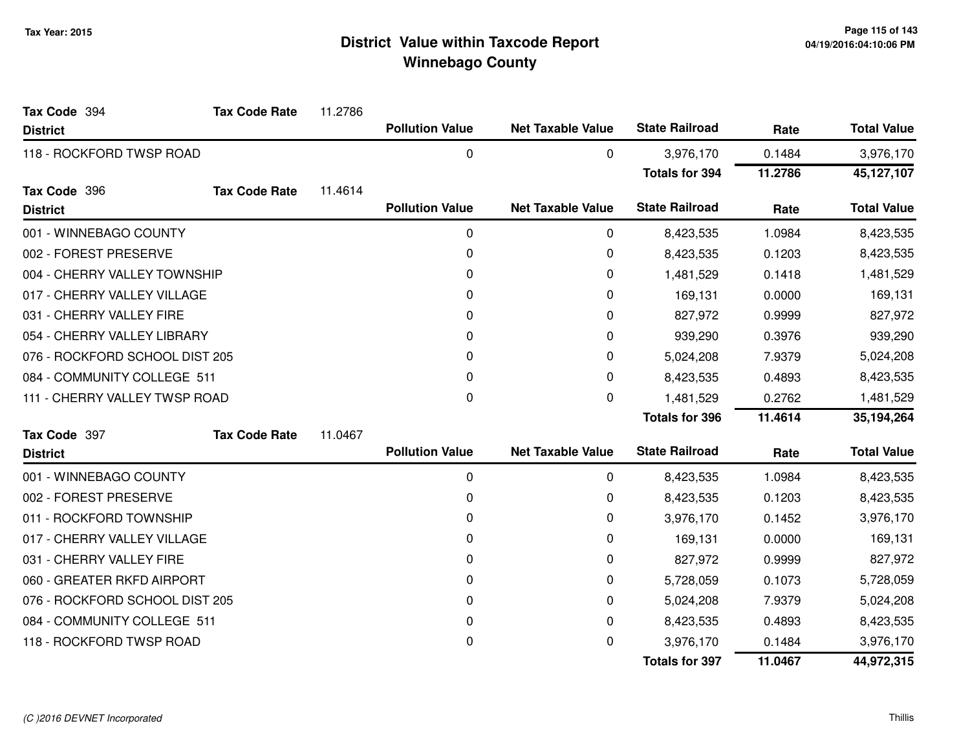| Tax Code 394                   | <b>Tax Code Rate</b> | 11.2786 |                        |                          |                       |         |                    |
|--------------------------------|----------------------|---------|------------------------|--------------------------|-----------------------|---------|--------------------|
| <b>District</b>                |                      |         | <b>Pollution Value</b> | <b>Net Taxable Value</b> | <b>State Railroad</b> | Rate    | <b>Total Value</b> |
| 118 - ROCKFORD TWSP ROAD       |                      |         | $\pmb{0}$              | 0                        | 3,976,170             | 0.1484  | 3,976,170          |
|                                |                      |         |                        |                          | <b>Totals for 394</b> | 11.2786 | 45,127,107         |
| Tax Code 396                   | <b>Tax Code Rate</b> | 11.4614 |                        |                          |                       |         |                    |
| <b>District</b>                |                      |         | <b>Pollution Value</b> | <b>Net Taxable Value</b> | <b>State Railroad</b> | Rate    | <b>Total Value</b> |
| 001 - WINNEBAGO COUNTY         |                      |         | 0                      | 0                        | 8,423,535             | 1.0984  | 8,423,535          |
| 002 - FOREST PRESERVE          |                      |         | 0                      | 0                        | 8,423,535             | 0.1203  | 8,423,535          |
| 004 - CHERRY VALLEY TOWNSHIP   |                      |         | $\Omega$               | 0                        | 1,481,529             | 0.1418  | 1,481,529          |
| 017 - CHERRY VALLEY VILLAGE    |                      |         | 0                      | 0                        | 169,131               | 0.0000  | 169,131            |
| 031 - CHERRY VALLEY FIRE       |                      |         | 0                      | 0                        | 827,972               | 0.9999  | 827,972            |
| 054 - CHERRY VALLEY LIBRARY    |                      |         | 0                      | 0                        | 939,290               | 0.3976  | 939,290            |
| 076 - ROCKFORD SCHOOL DIST 205 |                      |         | $\Omega$               | 0                        | 5,024,208             | 7.9379  | 5,024,208          |
| 084 - COMMUNITY COLLEGE 511    |                      |         | 0                      | 0                        | 8,423,535             | 0.4893  | 8,423,535          |
| 111 - CHERRY VALLEY TWSP ROAD  |                      |         | 0                      | $\Omega$                 | 1,481,529             | 0.2762  | 1,481,529          |
|                                |                      |         |                        |                          | <b>Totals for 396</b> | 11.4614 | 35,194,264         |
| Tax Code 397                   | <b>Tax Code Rate</b> | 11.0467 |                        |                          |                       |         |                    |
| <b>District</b>                |                      |         | <b>Pollution Value</b> | <b>Net Taxable Value</b> | <b>State Railroad</b> | Rate    | <b>Total Value</b> |
| 001 - WINNEBAGO COUNTY         |                      |         | 0                      | 0                        | 8,423,535             | 1.0984  | 8,423,535          |
| 002 - FOREST PRESERVE          |                      |         | 0                      | 0                        | 8,423,535             | 0.1203  | 8,423,535          |
| 011 - ROCKFORD TOWNSHIP        |                      |         | 0                      | 0                        | 3,976,170             | 0.1452  | 3,976,170          |
| 017 - CHERRY VALLEY VILLAGE    |                      |         | 0                      | 0                        | 169,131               | 0.0000  | 169,131            |
| 031 - CHERRY VALLEY FIRE       |                      |         | 0                      | 0                        | 827,972               | 0.9999  | 827,972            |
| 060 - GREATER RKFD AIRPORT     |                      |         | 0                      | 0                        | 5,728,059             | 0.1073  | 5,728,059          |
| 076 - ROCKFORD SCHOOL DIST 205 |                      |         | 0                      | 0                        | 5,024,208             | 7.9379  | 5,024,208          |
| 084 - COMMUNITY COLLEGE 511    |                      |         | 0                      | 0                        | 8,423,535             | 0.4893  | 8,423,535          |
| 118 - ROCKFORD TWSP ROAD       |                      |         | 0                      | 0                        | 3,976,170             | 0.1484  | 3,976,170          |
|                                |                      |         |                        |                          | <b>Totals for 397</b> | 11.0467 | 44,972,315         |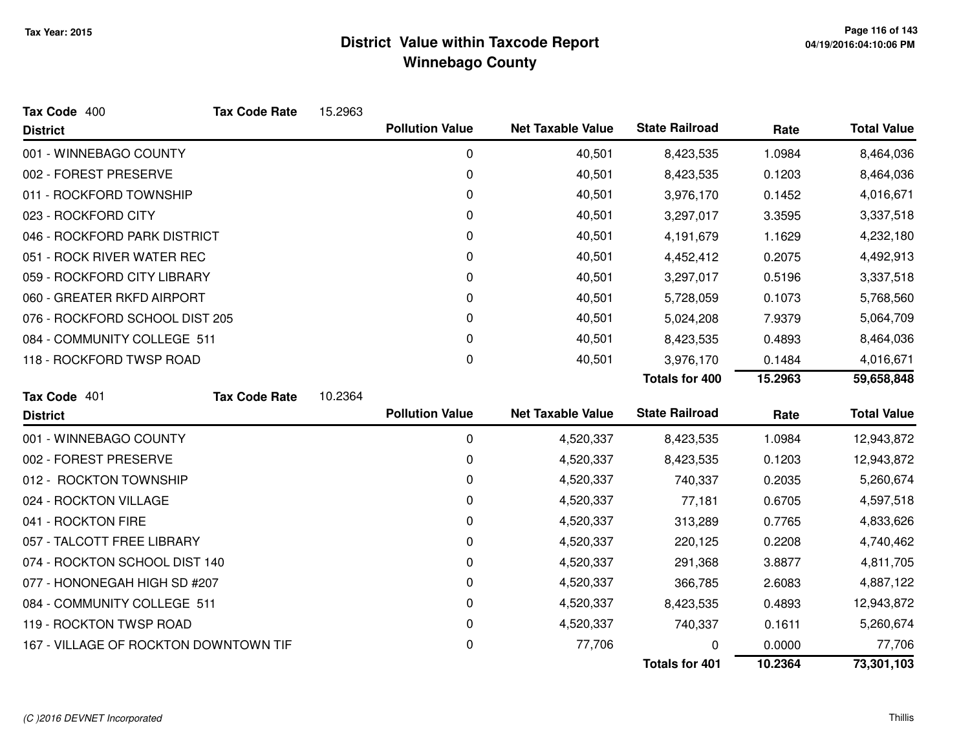| Tax Code 400                          | <b>Tax Code Rate</b> | 15.2963 |                        |                          |                       |         |                    |
|---------------------------------------|----------------------|---------|------------------------|--------------------------|-----------------------|---------|--------------------|
| <b>District</b>                       |                      |         | <b>Pollution Value</b> | <b>Net Taxable Value</b> | <b>State Railroad</b> | Rate    | <b>Total Value</b> |
| 001 - WINNEBAGO COUNTY                |                      |         | 0                      | 40,501                   | 8,423,535             | 1.0984  | 8,464,036          |
| 002 - FOREST PRESERVE                 |                      |         | 0                      | 40,501                   | 8,423,535             | 0.1203  | 8,464,036          |
| 011 - ROCKFORD TOWNSHIP               |                      |         | 0                      | 40,501                   | 3,976,170             | 0.1452  | 4,016,671          |
| 023 - ROCKFORD CITY                   |                      |         | 0                      | 40,501                   | 3,297,017             | 3.3595  | 3,337,518          |
| 046 - ROCKFORD PARK DISTRICT          |                      |         | 0                      | 40,501                   | 4,191,679             | 1.1629  | 4,232,180          |
| 051 - ROCK RIVER WATER REC            |                      |         | 0                      | 40,501                   | 4,452,412             | 0.2075  | 4,492,913          |
| 059 - ROCKFORD CITY LIBRARY           |                      |         | 0                      | 40,501                   | 3,297,017             | 0.5196  | 3,337,518          |
| 060 - GREATER RKFD AIRPORT            |                      |         | 0                      | 40,501                   | 5,728,059             | 0.1073  | 5,768,560          |
| 076 - ROCKFORD SCHOOL DIST 205        |                      |         | 0                      | 40,501                   | 5,024,208             | 7.9379  | 5,064,709          |
| 084 - COMMUNITY COLLEGE 511           |                      |         | 0                      | 40,501                   | 8,423,535             | 0.4893  | 8,464,036          |
| 118 - ROCKFORD TWSP ROAD              |                      |         | 0                      | 40,501                   | 3,976,170             | 0.1484  | 4,016,671          |
|                                       |                      |         |                        |                          | <b>Totals for 400</b> | 15.2963 | 59,658,848         |
| Tax Code 401                          | <b>Tax Code Rate</b> | 10.2364 |                        |                          |                       |         |                    |
| <b>District</b>                       |                      |         | <b>Pollution Value</b> | <b>Net Taxable Value</b> | <b>State Railroad</b> | Rate    | <b>Total Value</b> |
| 001 - WINNEBAGO COUNTY                |                      |         | 0                      | 4,520,337                | 8,423,535             | 1.0984  | 12,943,872         |
| 002 - FOREST PRESERVE                 |                      |         | 0                      | 4,520,337                | 8,423,535             | 0.1203  | 12,943,872         |
| 012 - ROCKTON TOWNSHIP                |                      |         | 0                      | 4,520,337                | 740,337               | 0.2035  | 5,260,674          |
| 024 - ROCKTON VILLAGE                 |                      |         | 0                      | 4,520,337                | 77,181                | 0.6705  | 4,597,518          |
| 041 - ROCKTON FIRE                    |                      |         | 0                      | 4,520,337                | 313,289               | 0.7765  | 4,833,626          |
| 057 - TALCOTT FREE LIBRARY            |                      |         | 0                      | 4,520,337                | 220,125               | 0.2208  | 4,740,462          |
| 074 - ROCKTON SCHOOL DIST 140         |                      |         | 0                      | 4,520,337                | 291,368               | 3.8877  | 4,811,705          |
| 077 - HONONEGAH HIGH SD #207          |                      |         | 0                      | 4,520,337                | 366,785               | 2.6083  | 4,887,122          |
| 084 - COMMUNITY COLLEGE 511           |                      |         | 0                      | 4,520,337                | 8,423,535             | 0.4893  | 12,943,872         |
| 119 - ROCKTON TWSP ROAD               |                      |         | 0                      | 4,520,337                | 740,337               | 0.1611  | 5,260,674          |
| 167 - VILLAGE OF ROCKTON DOWNTOWN TIF |                      |         | 0                      | 77,706                   |                       | 0.0000  | 77,706             |
|                                       |                      |         |                        |                          | <b>Totals for 401</b> | 10.2364 | 73,301,103         |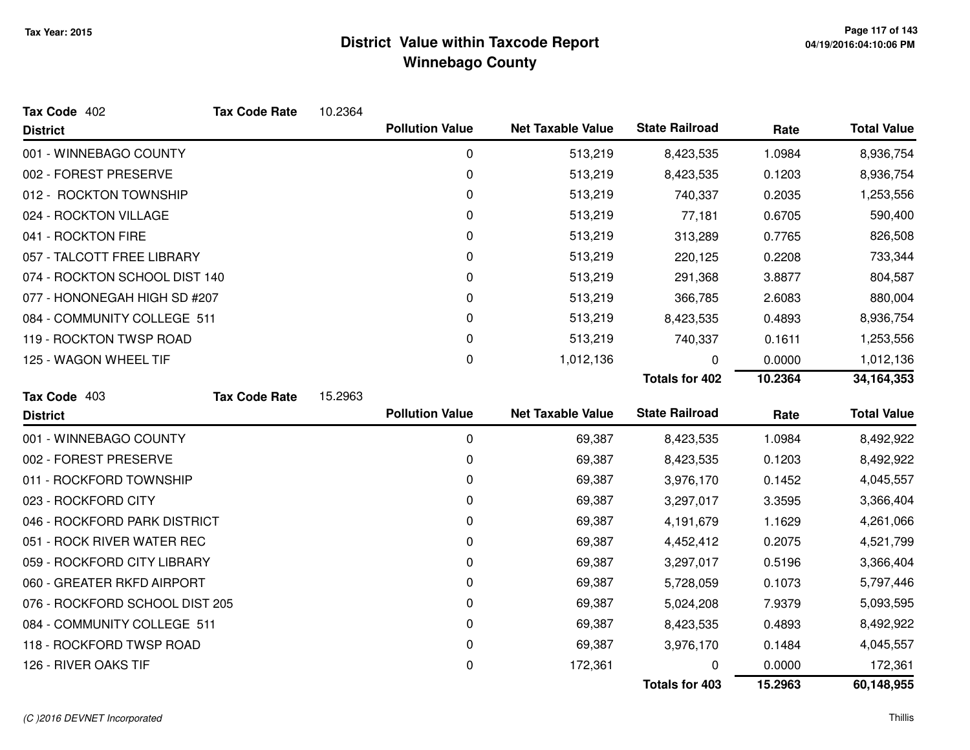| Tax Code 402                   | <b>Tax Code Rate</b> | 10.2364 |                        |                          |                       |         |                    |
|--------------------------------|----------------------|---------|------------------------|--------------------------|-----------------------|---------|--------------------|
| <b>District</b>                |                      |         | <b>Pollution Value</b> | <b>Net Taxable Value</b> | <b>State Railroad</b> | Rate    | <b>Total Value</b> |
| 001 - WINNEBAGO COUNTY         |                      |         | 0                      | 513,219                  | 8,423,535             | 1.0984  | 8,936,754          |
| 002 - FOREST PRESERVE          |                      |         | 0                      | 513,219                  | 8,423,535             | 0.1203  | 8,936,754          |
| 012 - ROCKTON TOWNSHIP         |                      |         | 0                      | 513,219                  | 740,337               | 0.2035  | 1,253,556          |
| 024 - ROCKTON VILLAGE          |                      |         | 0                      | 513,219                  | 77,181                | 0.6705  | 590,400            |
| 041 - ROCKTON FIRE             |                      |         | 0                      | 513,219                  | 313,289               | 0.7765  | 826,508            |
| 057 - TALCOTT FREE LIBRARY     |                      |         | 0                      | 513,219                  | 220,125               | 0.2208  | 733,344            |
| 074 - ROCKTON SCHOOL DIST 140  |                      |         | 0                      | 513,219                  | 291,368               | 3.8877  | 804,587            |
| 077 - HONONEGAH HIGH SD #207   |                      |         | 0                      | 513,219                  | 366,785               | 2.6083  | 880,004            |
| 084 - COMMUNITY COLLEGE 511    |                      |         | 0                      | 513,219                  | 8,423,535             | 0.4893  | 8,936,754          |
| 119 - ROCKTON TWSP ROAD        |                      |         | 0                      | 513,219                  | 740,337               | 0.1611  | 1,253,556          |
| 125 - WAGON WHEEL TIF          |                      |         | 0                      | 1,012,136                | 0                     | 0.0000  | 1,012,136          |
|                                |                      |         |                        |                          | Totals for 402        | 10.2364 | 34, 164, 353       |
| Tax Code 403                   | <b>Tax Code Rate</b> | 15.2963 |                        |                          |                       |         |                    |
|                                |                      |         |                        |                          |                       |         |                    |
| <b>District</b>                |                      |         | <b>Pollution Value</b> | <b>Net Taxable Value</b> | <b>State Railroad</b> | Rate    | <b>Total Value</b> |
| 001 - WINNEBAGO COUNTY         |                      |         | $\mathbf 0$            | 69,387                   | 8,423,535             | 1.0984  | 8,492,922          |
| 002 - FOREST PRESERVE          |                      |         | 0                      | 69,387                   | 8,423,535             | 0.1203  | 8,492,922          |
| 011 - ROCKFORD TOWNSHIP        |                      |         | 0                      | 69,387                   | 3,976,170             | 0.1452  | 4,045,557          |
| 023 - ROCKFORD CITY            |                      |         | 0                      | 69,387                   | 3,297,017             | 3.3595  | 3,366,404          |
| 046 - ROCKFORD PARK DISTRICT   |                      |         | 0                      | 69,387                   | 4,191,679             | 1.1629  | 4,261,066          |
| 051 - ROCK RIVER WATER REC     |                      |         | 0                      | 69,387                   | 4,452,412             | 0.2075  | 4,521,799          |
| 059 - ROCKFORD CITY LIBRARY    |                      |         | 0                      | 69,387                   | 3,297,017             | 0.5196  | 3,366,404          |
| 060 - GREATER RKFD AIRPORT     |                      |         | 0                      | 69,387                   | 5,728,059             | 0.1073  | 5,797,446          |
| 076 - ROCKFORD SCHOOL DIST 205 |                      |         | 0                      | 69,387                   | 5,024,208             | 7.9379  | 5,093,595          |
| 084 - COMMUNITY COLLEGE 511    |                      |         | 0                      | 69,387                   | 8,423,535             | 0.4893  | 8,492,922          |
| 118 - ROCKFORD TWSP ROAD       |                      |         | 0                      | 69,387                   | 3,976,170             | 0.1484  | 4,045,557          |
| 126 - RIVER OAKS TIF           |                      |         | 0                      | 172,361                  |                       | 0.0000  | 172,361            |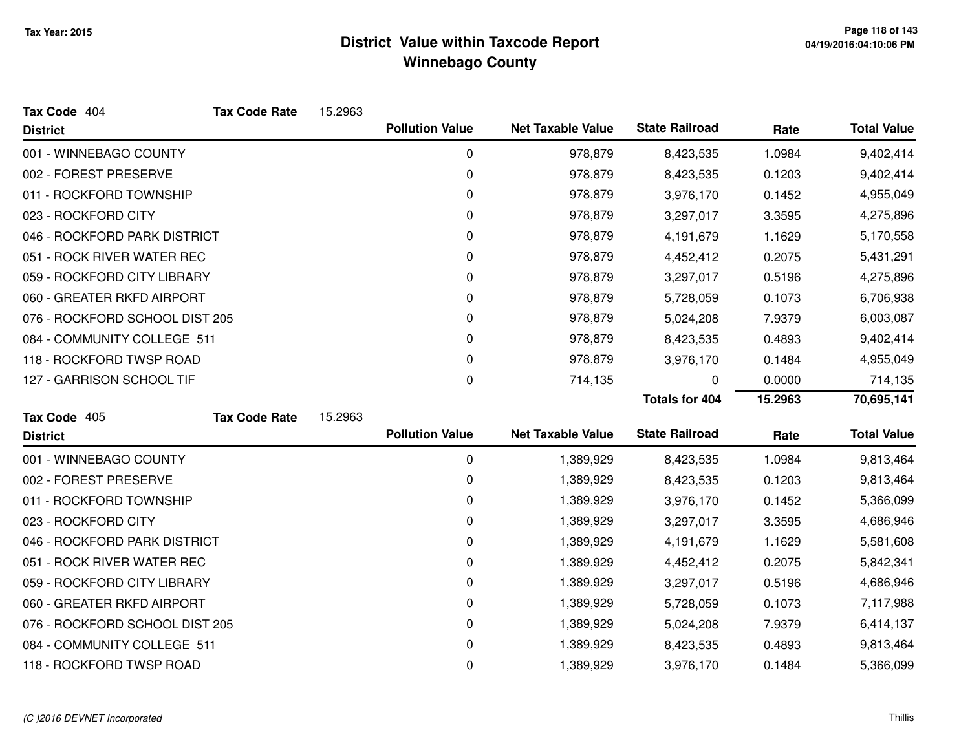| Tax Code 404                   | <b>Tax Code Rate</b> | 15.2963 |                        |                          |                       |         |                    |
|--------------------------------|----------------------|---------|------------------------|--------------------------|-----------------------|---------|--------------------|
| <b>District</b>                |                      |         | <b>Pollution Value</b> | <b>Net Taxable Value</b> | <b>State Railroad</b> | Rate    | <b>Total Value</b> |
| 001 - WINNEBAGO COUNTY         |                      |         | 0                      | 978,879                  | 8,423,535             | 1.0984  | 9,402,414          |
| 002 - FOREST PRESERVE          |                      |         | 0                      | 978,879                  | 8,423,535             | 0.1203  | 9,402,414          |
| 011 - ROCKFORD TOWNSHIP        |                      |         | 0                      | 978,879                  | 3,976,170             | 0.1452  | 4,955,049          |
| 023 - ROCKFORD CITY            |                      |         | 0                      | 978,879                  | 3,297,017             | 3.3595  | 4,275,896          |
| 046 - ROCKFORD PARK DISTRICT   |                      |         | 0                      | 978,879                  | 4,191,679             | 1.1629  | 5,170,558          |
| 051 - ROCK RIVER WATER REC     |                      |         | 0                      | 978,879                  | 4,452,412             | 0.2075  | 5,431,291          |
| 059 - ROCKFORD CITY LIBRARY    |                      |         | $\Omega$               | 978,879                  | 3,297,017             | 0.5196  | 4,275,896          |
| 060 - GREATER RKFD AIRPORT     |                      |         | 0                      | 978,879                  | 5,728,059             | 0.1073  | 6,706,938          |
| 076 - ROCKFORD SCHOOL DIST 205 |                      |         | 0                      | 978,879                  | 5,024,208             | 7.9379  | 6,003,087          |
| 084 - COMMUNITY COLLEGE 511    |                      |         | 0                      | 978,879                  | 8,423,535             | 0.4893  | 9,402,414          |
| 118 - ROCKFORD TWSP ROAD       |                      |         | 0                      | 978,879                  | 3,976,170             | 0.1484  | 4,955,049          |
| 127 - GARRISON SCHOOL TIF      |                      |         | 0                      | 714,135                  | 0                     | 0.0000  | 714,135            |
|                                |                      |         |                        |                          |                       |         |                    |
|                                |                      |         |                        |                          | <b>Totals for 404</b> | 15.2963 | 70,695,141         |
| Tax Code 405                   | <b>Tax Code Rate</b> | 15.2963 |                        |                          |                       |         |                    |
| <b>District</b>                |                      |         | <b>Pollution Value</b> | <b>Net Taxable Value</b> | <b>State Railroad</b> | Rate    | <b>Total Value</b> |
| 001 - WINNEBAGO COUNTY         |                      |         | 0                      | 1,389,929                | 8,423,535             | 1.0984  | 9,813,464          |
| 002 - FOREST PRESERVE          |                      |         | 0                      | 1,389,929                | 8,423,535             | 0.1203  | 9,813,464          |
| 011 - ROCKFORD TOWNSHIP        |                      |         | 0                      | 1,389,929                | 3,976,170             | 0.1452  | 5,366,099          |
| 023 - ROCKFORD CITY            |                      |         | 0                      | 1,389,929                | 3,297,017             | 3.3595  | 4,686,946          |
| 046 - ROCKFORD PARK DISTRICT   |                      |         | 0                      | 1,389,929                | 4,191,679             | 1.1629  | 5,581,608          |
| 051 - ROCK RIVER WATER REC     |                      |         | 0                      | 1,389,929                | 4,452,412             | 0.2075  | 5,842,341          |
| 059 - ROCKFORD CITY LIBRARY    |                      |         | 0                      | 1,389,929                | 3,297,017             | 0.5196  | 4,686,946          |
| 060 - GREATER RKFD AIRPORT     |                      |         | 0                      | 1,389,929                | 5,728,059             | 0.1073  | 7,117,988          |
| 076 - ROCKFORD SCHOOL DIST 205 |                      |         | 0                      | 1,389,929                | 5,024,208             | 7.9379  | 6,414,137          |
| 084 - COMMUNITY COLLEGE 511    |                      |         | 0                      | 1,389,929                | 8,423,535             | 0.4893  | 9,813,464          |

#### (C )2016 DEVNET Incorporated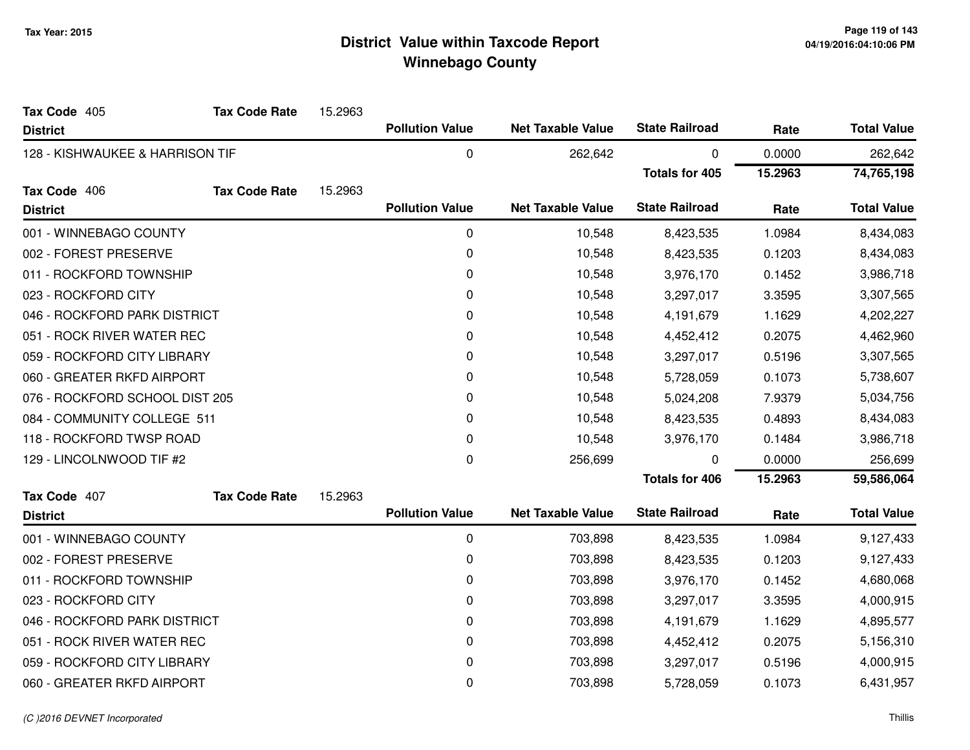| Tax Code 405                    | <b>Tax Code Rate</b> | 15.2963 |                        |                          |                       |         |                    |
|---------------------------------|----------------------|---------|------------------------|--------------------------|-----------------------|---------|--------------------|
| <b>District</b>                 |                      |         | <b>Pollution Value</b> | <b>Net Taxable Value</b> | <b>State Railroad</b> | Rate    | <b>Total Value</b> |
| 128 - KISHWAUKEE & HARRISON TIF |                      |         | 0                      | 262,642                  | 0                     | 0.0000  | 262,642            |
|                                 |                      |         |                        |                          | <b>Totals for 405</b> | 15.2963 | 74,765,198         |
| Tax Code 406                    | <b>Tax Code Rate</b> | 15.2963 |                        |                          |                       |         |                    |
| <b>District</b>                 |                      |         | <b>Pollution Value</b> | <b>Net Taxable Value</b> | <b>State Railroad</b> | Rate    | <b>Total Value</b> |
| 001 - WINNEBAGO COUNTY          |                      |         | 0                      | 10,548                   | 8,423,535             | 1.0984  | 8,434,083          |
| 002 - FOREST PRESERVE           |                      |         | $\pmb{0}$              | 10,548                   | 8,423,535             | 0.1203  | 8,434,083          |
| 011 - ROCKFORD TOWNSHIP         |                      |         | 0                      | 10,548                   | 3,976,170             | 0.1452  | 3,986,718          |
| 023 - ROCKFORD CITY             |                      |         | 0                      | 10,548                   | 3,297,017             | 3.3595  | 3,307,565          |
| 046 - ROCKFORD PARK DISTRICT    |                      |         | 0                      | 10,548                   | 4,191,679             | 1.1629  | 4,202,227          |
| 051 - ROCK RIVER WATER REC      |                      |         | 0                      | 10,548                   | 4,452,412             | 0.2075  | 4,462,960          |
| 059 - ROCKFORD CITY LIBRARY     |                      |         | 0                      | 10,548                   | 3,297,017             | 0.5196  | 3,307,565          |
| 060 - GREATER RKFD AIRPORT      |                      |         | 0                      | 10,548                   | 5,728,059             | 0.1073  | 5,738,607          |
| 076 - ROCKFORD SCHOOL DIST 205  |                      |         | 0                      | 10,548                   | 5,024,208             | 7.9379  | 5,034,756          |
| 084 - COMMUNITY COLLEGE 511     |                      |         | 0                      | 10,548                   | 8,423,535             | 0.4893  | 8,434,083          |
| 118 - ROCKFORD TWSP ROAD        |                      |         | 0                      | 10,548                   | 3,976,170             | 0.1484  | 3,986,718          |
| 129 - LINCOLNWOOD TIF #2        |                      |         | $\pmb{0}$              | 256,699                  | 0                     | 0.0000  | 256,699            |
|                                 |                      |         |                        |                          | <b>Totals for 406</b> | 15.2963 | 59,586,064         |
| Tax Code 407                    | <b>Tax Code Rate</b> | 15.2963 |                        |                          |                       |         |                    |
| <b>District</b>                 |                      |         | <b>Pollution Value</b> | <b>Net Taxable Value</b> | <b>State Railroad</b> | Rate    | <b>Total Value</b> |
| 001 - WINNEBAGO COUNTY          |                      |         | 0                      | 703,898                  | 8,423,535             | 1.0984  | 9,127,433          |
| 002 - FOREST PRESERVE           |                      |         | 0                      | 703,898                  | 8,423,535             | 0.1203  | 9,127,433          |
| 011 - ROCKFORD TOWNSHIP         |                      |         | 0                      | 703,898                  | 3,976,170             | 0.1452  | 4,680,068          |
| 023 - ROCKFORD CITY             |                      |         | 0                      | 703,898                  | 3,297,017             | 3.3595  | 4,000,915          |
| 046 - ROCKFORD PARK DISTRICT    |                      |         | 0                      | 703,898                  | 4,191,679             | 1.1629  | 4,895,577          |
| 051 - ROCK RIVER WATER REC      |                      |         | 0                      | 703,898                  | 4,452,412             | 0.2075  | 5,156,310          |
| 059 - ROCKFORD CITY LIBRARY     |                      |         | 0                      | 703,898                  | 3,297,017             | 0.5196  | 4,000,915          |
| 060 - GREATER RKFD AIRPORT      |                      |         | 0                      | 703,898                  | 5,728,059             | 0.1073  | 6,431,957          |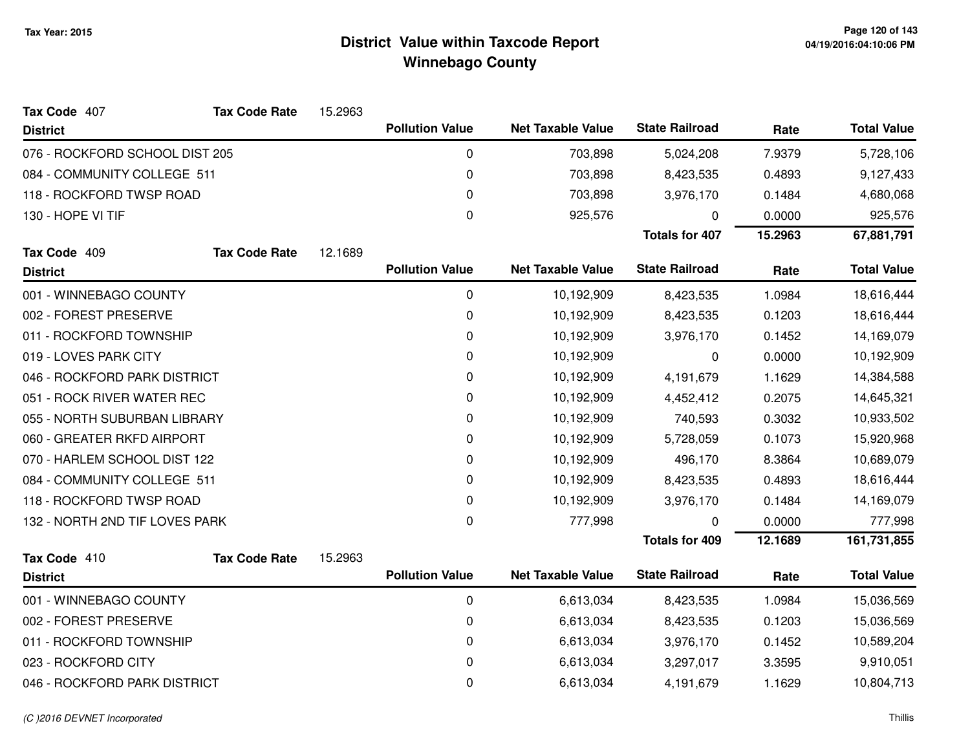| Tax Code 407                   | <b>Tax Code Rate</b> | 15.2963 |                        |                          |                       |         |                    |
|--------------------------------|----------------------|---------|------------------------|--------------------------|-----------------------|---------|--------------------|
| <b>District</b>                |                      |         | <b>Pollution Value</b> | <b>Net Taxable Value</b> | <b>State Railroad</b> | Rate    | <b>Total Value</b> |
| 076 - ROCKFORD SCHOOL DIST 205 |                      |         | 0                      | 703,898                  | 5,024,208             | 7.9379  | 5,728,106          |
| 084 - COMMUNITY COLLEGE 511    |                      |         | 0                      | 703,898                  | 8,423,535             | 0.4893  | 9,127,433          |
| 118 - ROCKFORD TWSP ROAD       |                      |         | $\mathbf{0}$           | 703,898                  | 3,976,170             | 0.1484  | 4,680,068          |
| 130 - HOPE VI TIF              |                      |         | $\boldsymbol{0}$       | 925,576                  | 0                     | 0.0000  | 925,576            |
|                                |                      |         |                        |                          | <b>Totals for 407</b> | 15.2963 | 67,881,791         |
| Tax Code 409                   | <b>Tax Code Rate</b> | 12.1689 |                        |                          |                       |         |                    |
| <b>District</b>                |                      |         | <b>Pollution Value</b> | <b>Net Taxable Value</b> | <b>State Railroad</b> | Rate    | <b>Total Value</b> |
| 001 - WINNEBAGO COUNTY         |                      |         | $\mathbf 0$            | 10,192,909               | 8,423,535             | 1.0984  | 18,616,444         |
| 002 - FOREST PRESERVE          |                      |         | 0                      | 10,192,909               | 8,423,535             | 0.1203  | 18,616,444         |
| 011 - ROCKFORD TOWNSHIP        |                      |         | 0                      | 10,192,909               | 3,976,170             | 0.1452  | 14,169,079         |
| 019 - LOVES PARK CITY          |                      |         | $\mathbf 0$            | 10,192,909               | 0                     | 0.0000  | 10,192,909         |
| 046 - ROCKFORD PARK DISTRICT   |                      |         | 0                      | 10,192,909               | 4,191,679             | 1.1629  | 14,384,588         |
| 051 - ROCK RIVER WATER REC     |                      |         | $\mathbf 0$            | 10,192,909               | 4,452,412             | 0.2075  | 14,645,321         |
| 055 - NORTH SUBURBAN LIBRARY   |                      |         | 0                      | 10,192,909               | 740,593               | 0.3032  | 10,933,502         |
| 060 - GREATER RKFD AIRPORT     |                      |         | 0                      | 10,192,909               | 5,728,059             | 0.1073  | 15,920,968         |
| 070 - HARLEM SCHOOL DIST 122   |                      |         | 0                      | 10,192,909               | 496,170               | 8.3864  | 10,689,079         |
| 084 - COMMUNITY COLLEGE 511    |                      |         | 0                      | 10,192,909               | 8,423,535             | 0.4893  | 18,616,444         |
| 118 - ROCKFORD TWSP ROAD       |                      |         | $\pmb{0}$              | 10,192,909               | 3,976,170             | 0.1484  | 14,169,079         |
| 132 - NORTH 2ND TIF LOVES PARK |                      |         | 0                      | 777,998                  | 0                     | 0.0000  | 777,998            |
|                                |                      |         |                        |                          | <b>Totals for 409</b> | 12.1689 | 161,731,855        |
| Tax Code 410                   | <b>Tax Code Rate</b> | 15.2963 |                        |                          | <b>State Railroad</b> |         |                    |
| <b>District</b>                |                      |         | <b>Pollution Value</b> | <b>Net Taxable Value</b> |                       | Rate    | <b>Total Value</b> |
| 001 - WINNEBAGO COUNTY         |                      |         | 0                      | 6,613,034                | 8,423,535             | 1.0984  | 15,036,569         |
| 002 - FOREST PRESERVE          |                      |         | 0                      | 6,613,034                | 8,423,535             | 0.1203  | 15,036,569         |
| 011 - ROCKFORD TOWNSHIP        |                      |         | $\mathbf 0$            | 6,613,034                | 3,976,170             | 0.1452  | 10,589,204         |
| 023 - ROCKFORD CITY            |                      |         | 0                      | 6,613,034                | 3,297,017             | 3.3595  | 9,910,051          |
| 046 - ROCKFORD PARK DISTRICT   |                      |         | 0                      | 6,613,034                | 4,191,679             | 1.1629  | 10,804,713         |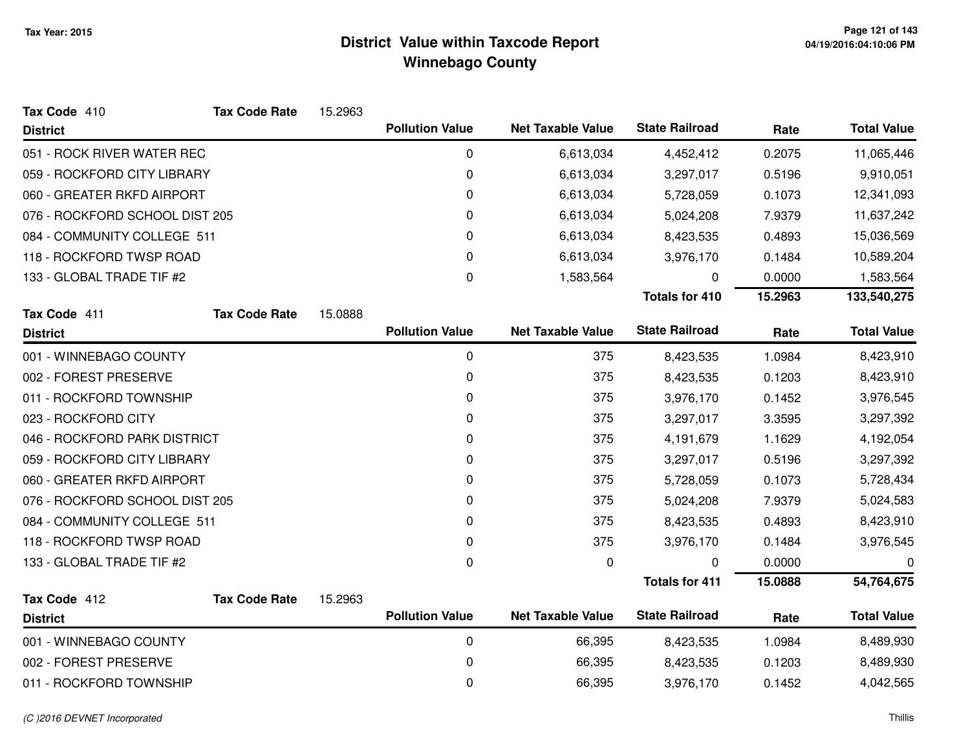| Tax Code 410                   | <b>Tax Code Rate</b> | 15.2963 |                        |                          |                       |         |                    |
|--------------------------------|----------------------|---------|------------------------|--------------------------|-----------------------|---------|--------------------|
| <b>District</b>                |                      |         | <b>Pollution Value</b> | <b>Net Taxable Value</b> | <b>State Railroad</b> | Rate    | <b>Total Value</b> |
| 051 - ROCK RIVER WATER REC     |                      |         | 0                      | 6,613,034                | 4,452,412             | 0.2075  | 11,065,446         |
| 059 - ROCKFORD CITY LIBRARY    |                      |         | 0                      | 6,613,034                | 3,297,017             | 0.5196  | 9,910,051          |
| 060 - GREATER RKFD AIRPORT     |                      |         | 0                      | 6,613,034                | 5,728,059             | 0.1073  | 12,341,093         |
| 076 - ROCKFORD SCHOOL DIST 205 |                      |         | 0                      | 6,613,034                | 5,024,208             | 7.9379  | 11,637,242         |
| 084 - COMMUNITY COLLEGE 511    |                      |         | 0                      | 6,613,034                | 8,423,535             | 0.4893  | 15,036,569         |
| 118 - ROCKFORD TWSP ROAD       |                      |         | $\Omega$               | 6,613,034                | 3,976,170             | 0.1484  | 10,589,204         |
| 133 - GLOBAL TRADE TIF #2      |                      |         | 0                      | 1,583,564                | 0                     | 0.0000  | 1,583,564          |
|                                |                      |         |                        |                          | <b>Totals for 410</b> | 15.2963 | 133,540,275        |
| Tax Code 411                   | <b>Tax Code Rate</b> | 15.0888 |                        |                          |                       |         |                    |
| <b>District</b>                |                      |         | <b>Pollution Value</b> | <b>Net Taxable Value</b> | <b>State Railroad</b> | Rate    | <b>Total Value</b> |
| 001 - WINNEBAGO COUNTY         |                      |         | $\pmb{0}$              | 375                      | 8,423,535             | 1.0984  | 8,423,910          |
| 002 - FOREST PRESERVE          |                      |         | 0                      | 375                      | 8,423,535             | 0.1203  | 8,423,910          |
| 011 - ROCKFORD TOWNSHIP        |                      |         | 0                      | 375                      | 3,976,170             | 0.1452  | 3,976,545          |
| 023 - ROCKFORD CITY            |                      |         | 0                      | 375                      | 3,297,017             | 3.3595  | 3,297,392          |
| 046 - ROCKFORD PARK DISTRICT   |                      |         | 0                      | 375                      | 4,191,679             | 1.1629  | 4,192,054          |
| 059 - ROCKFORD CITY LIBRARY    |                      |         | 0                      | 375                      | 3,297,017             | 0.5196  | 3,297,392          |
| 060 - GREATER RKFD AIRPORT     |                      |         | 0                      | 375                      | 5,728,059             | 0.1073  | 5,728,434          |
| 076 - ROCKFORD SCHOOL DIST 205 |                      |         | 0                      | 375                      | 5,024,208             | 7.9379  | 5,024,583          |
| 084 - COMMUNITY COLLEGE 511    |                      |         | 0                      | 375                      | 8,423,535             | 0.4893  | 8,423,910          |
| 118 - ROCKFORD TWSP ROAD       |                      |         | 0                      | 375                      | 3,976,170             | 0.1484  | 3,976,545          |
| 133 - GLOBAL TRADE TIF #2      |                      |         | 0                      | 0                        | 0                     | 0.0000  | 0                  |
|                                |                      |         |                        |                          | <b>Totals for 411</b> | 15.0888 | 54,764,675         |
| Tax Code 412                   | <b>Tax Code Rate</b> | 15.2963 |                        |                          |                       |         |                    |
| <b>District</b>                |                      |         | <b>Pollution Value</b> | <b>Net Taxable Value</b> | <b>State Railroad</b> | Rate    | <b>Total Value</b> |
| 001 - WINNEBAGO COUNTY         |                      |         | 0                      | 66,395                   | 8,423,535             | 1.0984  | 8,489,930          |
| 002 - FOREST PRESERVE          |                      |         | 0                      | 66,395                   | 8,423,535             | 0.1203  | 8,489,930          |
| 011 - ROCKFORD TOWNSHIP        |                      |         | 0                      | 66,395                   | 3,976,170             | 0.1452  | 4,042,565          |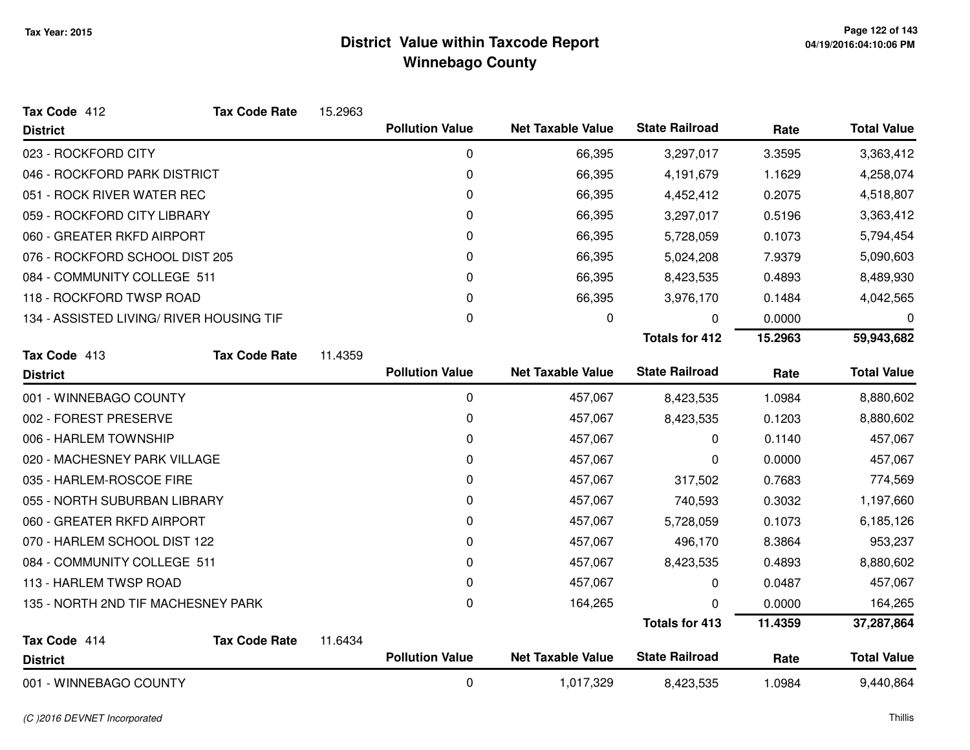| Tax Code 412                             | <b>Tax Code Rate</b> | 15.2963 |                        |                          |                       |         |                    |
|------------------------------------------|----------------------|---------|------------------------|--------------------------|-----------------------|---------|--------------------|
| <b>District</b>                          |                      |         | <b>Pollution Value</b> | <b>Net Taxable Value</b> | <b>State Railroad</b> | Rate    | <b>Total Value</b> |
| 023 - ROCKFORD CITY                      |                      |         | 0                      | 66,395                   | 3,297,017             | 3.3595  | 3,363,412          |
| 046 - ROCKFORD PARK DISTRICT             |                      |         | 0                      | 66,395                   | 4,191,679             | 1.1629  | 4,258,074          |
| 051 - ROCK RIVER WATER REC               |                      |         | 0                      | 66,395                   | 4,452,412             | 0.2075  | 4,518,807          |
| 059 - ROCKFORD CITY LIBRARY              |                      |         | 0                      | 66,395                   | 3,297,017             | 0.5196  | 3,363,412          |
| 060 - GREATER RKFD AIRPORT               |                      |         | 0                      | 66,395                   | 5,728,059             | 0.1073  | 5,794,454          |
| 076 - ROCKFORD SCHOOL DIST 205           |                      |         | 0                      | 66,395                   | 5,024,208             | 7.9379  | 5,090,603          |
| 084 - COMMUNITY COLLEGE 511              |                      |         | 0                      | 66,395                   | 8,423,535             | 0.4893  | 8,489,930          |
| 118 - ROCKFORD TWSP ROAD                 |                      |         | 0                      | 66,395                   | 3,976,170             | 0.1484  | 4,042,565          |
| 134 - ASSISTED LIVING/ RIVER HOUSING TIF |                      |         | 0                      | 0                        | $\Omega$              | 0.0000  | 0                  |
|                                          |                      |         |                        |                          | <b>Totals for 412</b> | 15.2963 | 59,943,682         |
| Tax Code 413                             | <b>Tax Code Rate</b> | 11.4359 |                        |                          |                       |         |                    |
| <b>District</b>                          |                      |         | <b>Pollution Value</b> | <b>Net Taxable Value</b> | <b>State Railroad</b> | Rate    | <b>Total Value</b> |
| 001 - WINNEBAGO COUNTY                   |                      |         | 0                      | 457,067                  | 8,423,535             | 1.0984  | 8,880,602          |
| 002 - FOREST PRESERVE                    |                      |         | 0                      | 457,067                  | 8,423,535             | 0.1203  | 8,880,602          |
| 006 - HARLEM TOWNSHIP                    |                      |         | 0                      | 457,067                  | 0                     | 0.1140  | 457,067            |
| 020 - MACHESNEY PARK VILLAGE             |                      |         | 0                      | 457,067                  | 0                     | 0.0000  | 457,067            |
| 035 - HARLEM-ROSCOE FIRE                 |                      |         | 0                      | 457,067                  | 317,502               | 0.7683  | 774,569            |
| 055 - NORTH SUBURBAN LIBRARY             |                      |         | 0                      | 457,067                  | 740,593               | 0.3032  | 1,197,660          |
| 060 - GREATER RKFD AIRPORT               |                      |         | 0                      | 457,067                  | 5,728,059             | 0.1073  | 6,185,126          |
| 070 - HARLEM SCHOOL DIST 122             |                      |         | 0                      | 457,067                  | 496,170               | 8.3864  | 953,237            |
| 084 - COMMUNITY COLLEGE 511              |                      |         | 0                      | 457,067                  | 8,423,535             | 0.4893  | 8,880,602          |
| 113 - HARLEM TWSP ROAD                   |                      |         | 0                      | 457,067                  | 0                     | 0.0487  | 457,067            |
| 135 - NORTH 2ND TIF MACHESNEY PARK       |                      |         | $\mathbf 0$            | 164,265                  | ∩                     | 0.0000  | 164,265            |
|                                          |                      |         |                        |                          | <b>Totals for 413</b> | 11.4359 | 37,287,864         |
| Tax Code 414                             | <b>Tax Code Rate</b> | 11.6434 |                        |                          |                       |         |                    |
| <b>District</b>                          |                      |         | <b>Pollution Value</b> | <b>Net Taxable Value</b> | <b>State Railroad</b> | Rate    | <b>Total Value</b> |
| 001 - WINNEBAGO COUNTY                   |                      |         | 0                      | 1,017,329                | 8,423,535             | 1.0984  | 9,440,864          |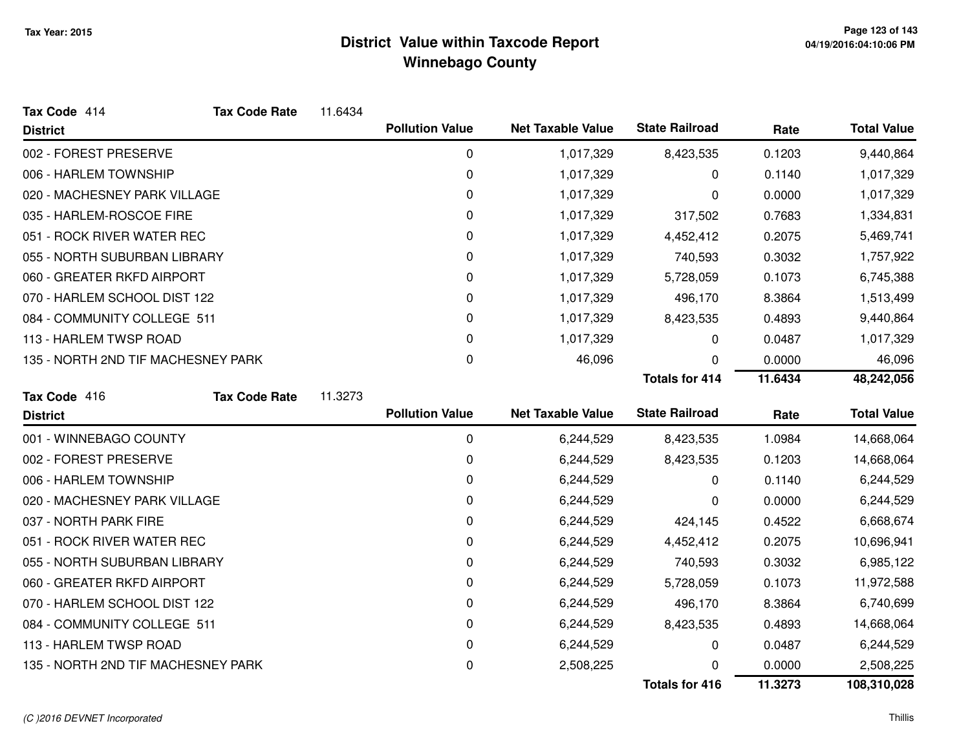| Tax Code 414                       | <b>Tax Code Rate</b>               | 11.6434 |                        |                          |                       |         |                    |
|------------------------------------|------------------------------------|---------|------------------------|--------------------------|-----------------------|---------|--------------------|
| <b>District</b>                    |                                    |         | <b>Pollution Value</b> | <b>Net Taxable Value</b> | <b>State Railroad</b> | Rate    | <b>Total Value</b> |
| 002 - FOREST PRESERVE              |                                    |         | 0                      | 1,017,329                | 8,423,535             | 0.1203  | 9,440,864          |
| 006 - HARLEM TOWNSHIP              |                                    |         | 0                      | 1,017,329                | 0                     | 0.1140  | 1,017,329          |
| 020 - MACHESNEY PARK VILLAGE       |                                    |         | 0                      | 1,017,329                | 0                     | 0.0000  | 1,017,329          |
| 035 - HARLEM-ROSCOE FIRE           |                                    |         | 0                      | 1,017,329                | 317,502               | 0.7683  | 1,334,831          |
| 051 - ROCK RIVER WATER REC         |                                    |         | 0                      | 1,017,329                | 4,452,412             | 0.2075  | 5,469,741          |
| 055 - NORTH SUBURBAN LIBRARY       |                                    |         | 0                      | 1,017,329                | 740,593               | 0.3032  | 1,757,922          |
| 060 - GREATER RKFD AIRPORT         |                                    |         | 0                      | 1,017,329                | 5,728,059             | 0.1073  | 6,745,388          |
| 070 - HARLEM SCHOOL DIST 122       |                                    |         | 0                      | 1,017,329                | 496,170               | 8.3864  | 1,513,499          |
| 084 - COMMUNITY COLLEGE 511        |                                    |         | 0                      | 1,017,329                | 8,423,535             | 0.4893  | 9,440,864          |
| 113 - HARLEM TWSP ROAD             |                                    |         | 0                      | 1,017,329                | 0                     | 0.0487  | 1,017,329          |
| 135 - NORTH 2ND TIF MACHESNEY PARK |                                    |         | 0                      | 46,096                   | 0                     | 0.0000  | 46,096             |
|                                    |                                    |         |                        |                          | <b>Totals for 414</b> | 11.6434 | 48,242,056         |
| Tax Code 416                       | <b>Tax Code Rate</b>               | 11.3273 |                        |                          |                       |         |                    |
| <b>District</b>                    |                                    |         | <b>Pollution Value</b> | <b>Net Taxable Value</b> | <b>State Railroad</b> | Rate    | <b>Total Value</b> |
| 001 - WINNEBAGO COUNTY             |                                    |         | 0                      | 6,244,529                | 8,423,535             | 1.0984  | 14,668,064         |
| 002 - FOREST PRESERVE              |                                    |         | $\mathbf 0$            | 6,244,529                | 8,423,535             | 0.1203  | 14,668,064         |
| 006 - HARLEM TOWNSHIP              |                                    |         | 0                      | 6,244,529                | 0                     | 0.1140  | 6,244,529          |
| 020 - MACHESNEY PARK VILLAGE       |                                    |         | 0                      | 6,244,529                | 0                     | 0.0000  | 6,244,529          |
| 037 - NORTH PARK FIRE              |                                    |         | 0                      | 6,244,529                | 424,145               | 0.4522  | 6,668,674          |
| 051 - ROCK RIVER WATER REC         |                                    |         | 0                      | 6,244,529                | 4,452,412             | 0.2075  | 10,696,941         |
| 055 - NORTH SUBURBAN LIBRARY       |                                    |         | 0                      | 6,244,529                | 740,593               | 0.3032  | 6,985,122          |
| 060 - GREATER RKFD AIRPORT         |                                    |         | 0                      | 6,244,529                | 5,728,059             | 0.1073  | 11,972,588         |
| 070 - HARLEM SCHOOL DIST 122       |                                    |         | 0                      | 6,244,529                | 496,170               | 8.3864  | 6,740,699          |
| 084 - COMMUNITY COLLEGE 511        |                                    |         | 0                      | 6,244,529                | 8,423,535             | 0.4893  | 14,668,064         |
| 113 - HARLEM TWSP ROAD             |                                    |         | 0                      | 6,244,529                | 0                     | 0.0487  | 6,244,529          |
|                                    |                                    |         |                        |                          |                       |         |                    |
|                                    | 135 - NORTH 2ND TIF MACHESNEY PARK |         | 0                      | 2,508,225                | 0                     | 0.0000  | 2,508,225          |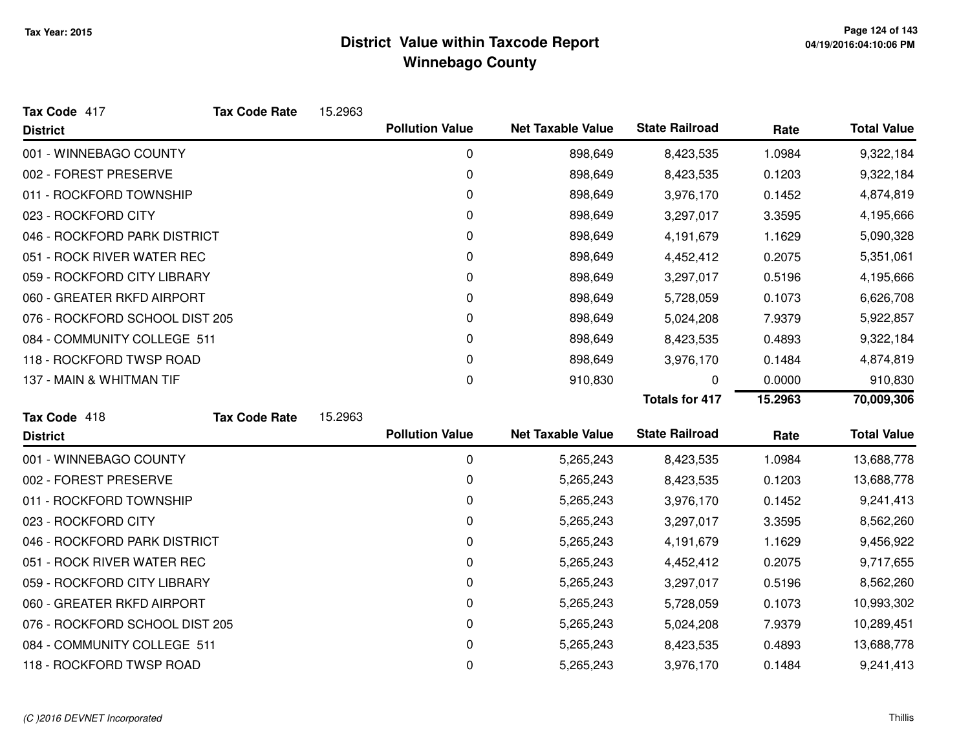| Tax Code 417                   | <b>Tax Code Rate</b> | 15.2963 |                        |                          |                       |         |                    |
|--------------------------------|----------------------|---------|------------------------|--------------------------|-----------------------|---------|--------------------|
| <b>District</b>                |                      |         | <b>Pollution Value</b> | <b>Net Taxable Value</b> | <b>State Railroad</b> | Rate    | <b>Total Value</b> |
| 001 - WINNEBAGO COUNTY         |                      |         | 0                      | 898,649                  | 8,423,535             | 1.0984  | 9,322,184          |
| 002 - FOREST PRESERVE          |                      |         | 0                      | 898,649                  | 8,423,535             | 0.1203  | 9,322,184          |
| 011 - ROCKFORD TOWNSHIP        |                      |         | 0                      | 898,649                  | 3,976,170             | 0.1452  | 4,874,819          |
| 023 - ROCKFORD CITY            |                      |         | 0                      | 898,649                  | 3,297,017             | 3.3595  | 4,195,666          |
| 046 - ROCKFORD PARK DISTRICT   |                      |         | 0                      | 898,649                  | 4,191,679             | 1.1629  | 5,090,328          |
| 051 - ROCK RIVER WATER REC     |                      |         | 0                      | 898,649                  | 4,452,412             | 0.2075  | 5,351,061          |
| 059 - ROCKFORD CITY LIBRARY    |                      |         | 0                      | 898,649                  | 3,297,017             | 0.5196  | 4,195,666          |
| 060 - GREATER RKFD AIRPORT     |                      |         | 0                      | 898,649                  | 5,728,059             | 0.1073  | 6,626,708          |
| 076 - ROCKFORD SCHOOL DIST 205 |                      |         | 0                      | 898,649                  | 5,024,208             | 7.9379  | 5,922,857          |
| 084 - COMMUNITY COLLEGE 511    |                      |         | 0                      | 898,649                  | 8,423,535             | 0.4893  | 9,322,184          |
| 118 - ROCKFORD TWSP ROAD       |                      |         | 0                      | 898,649                  | 3,976,170             | 0.1484  | 4,874,819          |
| 137 - MAIN & WHITMAN TIF       |                      |         | 0                      | 910,830                  | 0                     | 0.0000  | 910,830            |
|                                |                      |         |                        |                          | <b>Totals for 417</b> | 15.2963 | 70,009,306         |
| Tax Code 418                   | <b>Tax Code Rate</b> | 15.2963 |                        |                          |                       |         |                    |
| <b>District</b>                |                      |         | <b>Pollution Value</b> | <b>Net Taxable Value</b> | <b>State Railroad</b> | Rate    | <b>Total Value</b> |
| 001 - WINNEBAGO COUNTY         |                      |         | 0                      | 5,265,243                | 8,423,535             | 1.0984  | 13,688,778         |
| 002 - FOREST PRESERVE          |                      |         | 0                      | 5,265,243                | 8,423,535             | 0.1203  | 13,688,778         |
| 011 - ROCKFORD TOWNSHIP        |                      |         | 0                      | 5,265,243                | 3,976,170             | 0.1452  | 9,241,413          |
| 023 - ROCKFORD CITY            |                      |         | 0                      | 5,265,243                | 3,297,017             | 3.3595  | 8,562,260          |
|                                |                      |         |                        |                          |                       |         |                    |
| 046 - ROCKFORD PARK DISTRICT   |                      |         | 0                      | 5,265,243                | 4,191,679             | 1.1629  | 9,456,922          |
| 051 - ROCK RIVER WATER REC     |                      |         | 0                      | 5,265,243                | 4,452,412             | 0.2075  | 9,717,655          |
| 059 - ROCKFORD CITY LIBRARY    |                      |         | 0                      | 5,265,243                | 3,297,017             | 0.5196  | 8,562,260          |
| 060 - GREATER RKFD AIRPORT     |                      |         | 0                      | 5,265,243                | 5,728,059             | 0.1073  | 10,993,302         |
| 076 - ROCKFORD SCHOOL DIST 205 |                      |         | 0                      | 5,265,243                | 5,024,208             | 7.9379  | 10,289,451         |
| 084 - COMMUNITY COLLEGE 511    |                      |         | 0                      | 5,265,243                | 8,423,535             | 0.4893  | 13,688,778         |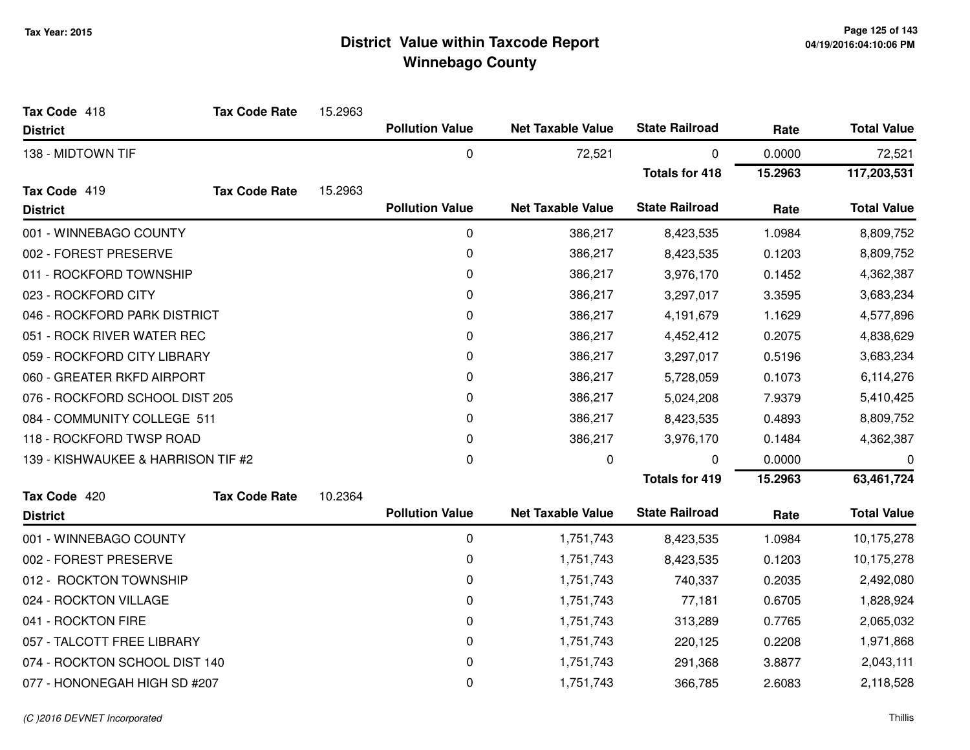| Tax Code 418                       | <b>Tax Code Rate</b> | 15.2963 |                        |                          |                       |         |                    |
|------------------------------------|----------------------|---------|------------------------|--------------------------|-----------------------|---------|--------------------|
| <b>District</b>                    |                      |         | <b>Pollution Value</b> | <b>Net Taxable Value</b> | <b>State Railroad</b> | Rate    | <b>Total Value</b> |
| 138 - MIDTOWN TIF                  |                      |         | 0                      | 72,521                   | 0                     | 0.0000  | 72,521             |
|                                    |                      |         |                        |                          | <b>Totals for 418</b> | 15.2963 | 117,203,531        |
| Tax Code 419                       | <b>Tax Code Rate</b> | 15.2963 |                        |                          |                       |         |                    |
| <b>District</b>                    |                      |         | <b>Pollution Value</b> | <b>Net Taxable Value</b> | <b>State Railroad</b> | Rate    | <b>Total Value</b> |
| 001 - WINNEBAGO COUNTY             |                      |         | 0                      | 386,217                  | 8,423,535             | 1.0984  | 8,809,752          |
| 002 - FOREST PRESERVE              |                      |         | 0                      | 386,217                  | 8,423,535             | 0.1203  | 8,809,752          |
| 011 - ROCKFORD TOWNSHIP            |                      |         | 0                      | 386,217                  | 3,976,170             | 0.1452  | 4,362,387          |
| 023 - ROCKFORD CITY                |                      |         | 0                      | 386,217                  | 3,297,017             | 3.3595  | 3,683,234          |
| 046 - ROCKFORD PARK DISTRICT       |                      |         | 0                      | 386,217                  | 4,191,679             | 1.1629  | 4,577,896          |
| 051 - ROCK RIVER WATER REC         |                      |         | 0                      | 386,217                  | 4,452,412             | 0.2075  | 4,838,629          |
| 059 - ROCKFORD CITY LIBRARY        |                      |         | 0                      | 386,217                  | 3,297,017             | 0.5196  | 3,683,234          |
| 060 - GREATER RKFD AIRPORT         |                      |         | 0                      | 386,217                  | 5,728,059             | 0.1073  | 6,114,276          |
| 076 - ROCKFORD SCHOOL DIST 205     |                      |         | 0                      | 386,217                  | 5,024,208             | 7.9379  | 5,410,425          |
| 084 - COMMUNITY COLLEGE 511        |                      |         | 0                      | 386,217                  | 8,423,535             | 0.4893  | 8,809,752          |
| 118 - ROCKFORD TWSP ROAD           |                      |         | 0                      | 386,217                  | 3,976,170             | 0.1484  | 4,362,387          |
| 139 - KISHWAUKEE & HARRISON TIF #2 |                      |         | 0                      | 0                        | 0                     | 0.0000  | 0                  |
|                                    |                      |         |                        |                          | <b>Totals for 419</b> | 15.2963 | 63,461,724         |
| Tax Code 420                       | <b>Tax Code Rate</b> | 10.2364 |                        |                          |                       |         |                    |
| <b>District</b>                    |                      |         | <b>Pollution Value</b> | <b>Net Taxable Value</b> | <b>State Railroad</b> | Rate    | <b>Total Value</b> |
| 001 - WINNEBAGO COUNTY             |                      |         | 0                      | 1,751,743                | 8,423,535             | 1.0984  | 10,175,278         |
| 002 - FOREST PRESERVE              |                      |         | $\mathbf 0$            | 1,751,743                | 8,423,535             | 0.1203  | 10,175,278         |
| 012 - ROCKTON TOWNSHIP             |                      |         | 0                      | 1,751,743                | 740,337               | 0.2035  | 2,492,080          |
| 024 - ROCKTON VILLAGE              |                      |         | 0                      | 1,751,743                | 77,181                | 0.6705  | 1,828,924          |
| 041 - ROCKTON FIRE                 |                      |         | 0                      | 1,751,743                | 313,289               | 0.7765  | 2,065,032          |
| 057 - TALCOTT FREE LIBRARY         |                      |         | 0                      | 1,751,743                | 220,125               | 0.2208  | 1,971,868          |
| 074 - ROCKTON SCHOOL DIST 140      |                      |         | 0                      | 1,751,743                | 291,368               | 3.8877  | 2,043,111          |
| 077 - HONONEGAH HIGH SD #207       |                      |         | 0                      | 1,751,743                | 366,785               | 2.6083  | 2,118,528          |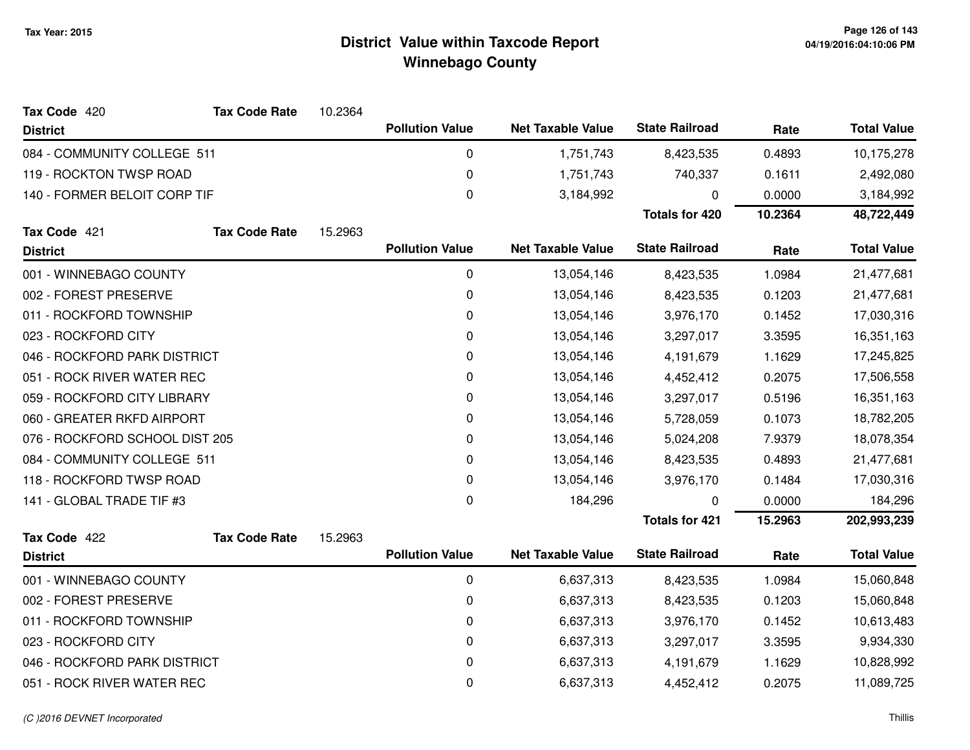| Tax Code 420                   | <b>Tax Code Rate</b> | 10.2364 |                        |                          |                       |         |                    |
|--------------------------------|----------------------|---------|------------------------|--------------------------|-----------------------|---------|--------------------|
| <b>District</b>                |                      |         | <b>Pollution Value</b> | <b>Net Taxable Value</b> | <b>State Railroad</b> | Rate    | <b>Total Value</b> |
| 084 - COMMUNITY COLLEGE 511    |                      |         | 0                      | 1,751,743                | 8,423,535             | 0.4893  | 10,175,278         |
| 119 - ROCKTON TWSP ROAD        |                      |         | 0                      | 1,751,743                | 740,337               | 0.1611  | 2,492,080          |
| 140 - FORMER BELOIT CORP TIF   |                      |         | 0                      | 3,184,992                | 0                     | 0.0000  | 3,184,992          |
|                                |                      |         |                        |                          | <b>Totals for 420</b> | 10.2364 | 48,722,449         |
| Tax Code 421                   | <b>Tax Code Rate</b> | 15.2963 |                        |                          |                       |         |                    |
| <b>District</b>                |                      |         | <b>Pollution Value</b> | <b>Net Taxable Value</b> | <b>State Railroad</b> | Rate    | <b>Total Value</b> |
| 001 - WINNEBAGO COUNTY         |                      |         | 0                      | 13,054,146               | 8,423,535             | 1.0984  | 21,477,681         |
| 002 - FOREST PRESERVE          |                      |         | 0                      | 13,054,146               | 8,423,535             | 0.1203  | 21,477,681         |
| 011 - ROCKFORD TOWNSHIP        |                      |         | 0                      | 13,054,146               | 3,976,170             | 0.1452  | 17,030,316         |
| 023 - ROCKFORD CITY            |                      |         | 0                      | 13,054,146               | 3,297,017             | 3.3595  | 16,351,163         |
| 046 - ROCKFORD PARK DISTRICT   |                      |         | 0                      | 13,054,146               | 4,191,679             | 1.1629  | 17,245,825         |
| 051 - ROCK RIVER WATER REC     |                      |         | 0                      | 13,054,146               | 4,452,412             | 0.2075  | 17,506,558         |
| 059 - ROCKFORD CITY LIBRARY    |                      |         | 0                      | 13,054,146               | 3,297,017             | 0.5196  | 16,351,163         |
| 060 - GREATER RKFD AIRPORT     |                      |         | $\pmb{0}$              | 13,054,146               | 5,728,059             | 0.1073  | 18,782,205         |
| 076 - ROCKFORD SCHOOL DIST 205 |                      |         | 0                      | 13,054,146               | 5,024,208             | 7.9379  | 18,078,354         |
| 084 - COMMUNITY COLLEGE 511    |                      |         | 0                      | 13,054,146               | 8,423,535             | 0.4893  | 21,477,681         |
| 118 - ROCKFORD TWSP ROAD       |                      |         | 0                      | 13,054,146               | 3,976,170             | 0.1484  | 17,030,316         |
| 141 - GLOBAL TRADE TIF #3      |                      |         | 0                      | 184,296                  | 0                     | 0.0000  | 184,296            |
|                                |                      |         |                        |                          | <b>Totals for 421</b> | 15.2963 | 202,993,239        |
| Tax Code 422                   | <b>Tax Code Rate</b> | 15.2963 |                        |                          |                       |         |                    |
| <b>District</b>                |                      |         | <b>Pollution Value</b> | <b>Net Taxable Value</b> | <b>State Railroad</b> | Rate    | <b>Total Value</b> |
| 001 - WINNEBAGO COUNTY         |                      |         | 0                      | 6,637,313                | 8,423,535             | 1.0984  | 15,060,848         |
| 002 - FOREST PRESERVE          |                      |         | 0                      | 6,637,313                | 8,423,535             | 0.1203  | 15,060,848         |
| 011 - ROCKFORD TOWNSHIP        |                      |         | 0                      | 6,637,313                | 3,976,170             | 0.1452  | 10,613,483         |
| 023 - ROCKFORD CITY            |                      |         | $\pmb{0}$              | 6,637,313                | 3,297,017             | 3.3595  | 9,934,330          |
| 046 - ROCKFORD PARK DISTRICT   |                      |         | 0                      | 6,637,313                | 4,191,679             | 1.1629  | 10,828,992         |
| 051 - ROCK RIVER WATER REC     |                      |         | 0                      | 6,637,313                | 4,452,412             | 0.2075  | 11,089,725         |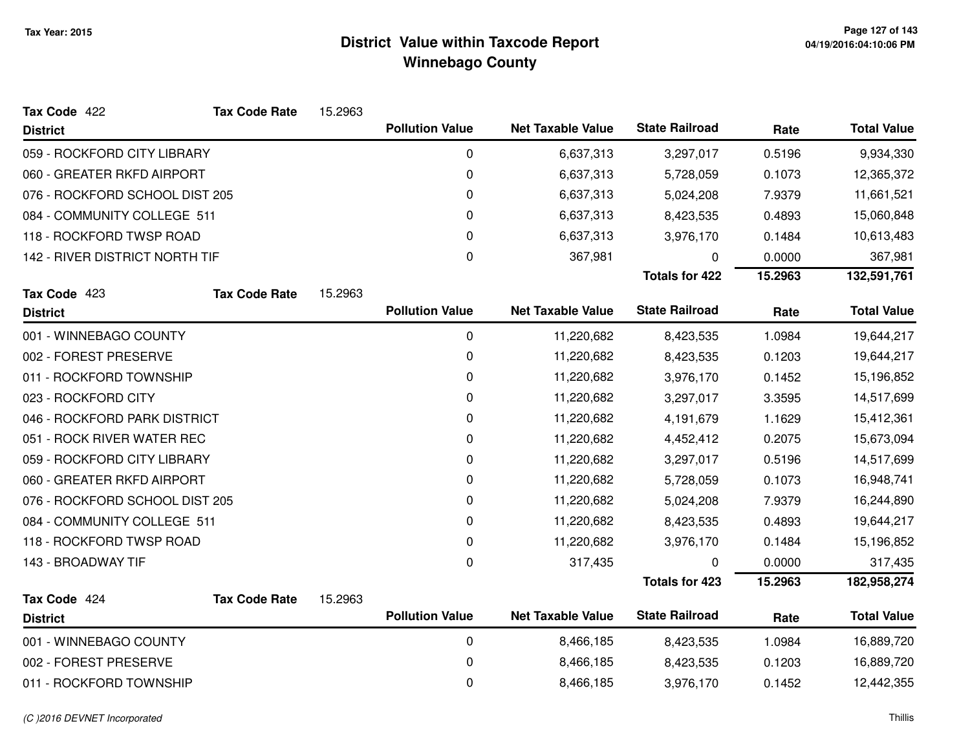| Tax Code 422                   | <b>Tax Code Rate</b> | 15.2963 |                        |                          |                       |         |                    |
|--------------------------------|----------------------|---------|------------------------|--------------------------|-----------------------|---------|--------------------|
| <b>District</b>                |                      |         | <b>Pollution Value</b> | <b>Net Taxable Value</b> | <b>State Railroad</b> | Rate    | <b>Total Value</b> |
| 059 - ROCKFORD CITY LIBRARY    |                      |         | 0                      | 6,637,313                | 3,297,017             | 0.5196  | 9,934,330          |
| 060 - GREATER RKFD AIRPORT     |                      |         | 0                      | 6,637,313                | 5,728,059             | 0.1073  | 12,365,372         |
| 076 - ROCKFORD SCHOOL DIST 205 |                      |         | 0                      | 6,637,313                | 5,024,208             | 7.9379  | 11,661,521         |
| 084 - COMMUNITY COLLEGE 511    |                      |         | 0                      | 6,637,313                | 8,423,535             | 0.4893  | 15,060,848         |
| 118 - ROCKFORD TWSP ROAD       |                      |         | 0                      | 6,637,313                | 3,976,170             | 0.1484  | 10,613,483         |
| 142 - RIVER DISTRICT NORTH TIF |                      |         | 0                      | 367,981                  | 0                     | 0.0000  | 367,981            |
|                                |                      |         |                        |                          | <b>Totals for 422</b> | 15.2963 | 132,591,761        |
| Tax Code 423                   | <b>Tax Code Rate</b> | 15.2963 |                        |                          |                       |         |                    |
| <b>District</b>                |                      |         | <b>Pollution Value</b> | <b>Net Taxable Value</b> | <b>State Railroad</b> | Rate    | <b>Total Value</b> |
| 001 - WINNEBAGO COUNTY         |                      |         | 0                      | 11,220,682               | 8,423,535             | 1.0984  | 19,644,217         |
| 002 - FOREST PRESERVE          |                      |         | 0                      | 11,220,682               | 8,423,535             | 0.1203  | 19,644,217         |
| 011 - ROCKFORD TOWNSHIP        |                      |         | 0                      | 11,220,682               | 3,976,170             | 0.1452  | 15,196,852         |
| 023 - ROCKFORD CITY            |                      |         | 0                      | 11,220,682               | 3,297,017             | 3.3595  | 14,517,699         |
| 046 - ROCKFORD PARK DISTRICT   |                      |         | 0                      | 11,220,682               | 4,191,679             | 1.1629  | 15,412,361         |
| 051 - ROCK RIVER WATER REC     |                      |         | 0                      | 11,220,682               | 4,452,412             | 0.2075  | 15,673,094         |
| 059 - ROCKFORD CITY LIBRARY    |                      |         | 0                      | 11,220,682               | 3,297,017             | 0.5196  | 14,517,699         |
| 060 - GREATER RKFD AIRPORT     |                      |         | 0                      | 11,220,682               | 5,728,059             | 0.1073  | 16,948,741         |
| 076 - ROCKFORD SCHOOL DIST 205 |                      |         | 0                      | 11,220,682               | 5,024,208             | 7.9379  | 16,244,890         |
| 084 - COMMUNITY COLLEGE 511    |                      |         | 0                      | 11,220,682               | 8,423,535             | 0.4893  | 19,644,217         |
| 118 - ROCKFORD TWSP ROAD       |                      |         | 0                      | 11,220,682               | 3,976,170             | 0.1484  | 15,196,852         |
| 143 - BROADWAY TIF             |                      |         | $\mathbf 0$            | 317,435                  | 0                     | 0.0000  | 317,435            |
|                                |                      |         |                        |                          | <b>Totals for 423</b> | 15.2963 | 182,958,274        |
| Tax Code 424                   | <b>Tax Code Rate</b> | 15.2963 |                        |                          |                       |         |                    |
| <b>District</b>                |                      |         | <b>Pollution Value</b> | <b>Net Taxable Value</b> | <b>State Railroad</b> | Rate    | <b>Total Value</b> |
| 001 - WINNEBAGO COUNTY         |                      |         | 0                      | 8,466,185                | 8,423,535             | 1.0984  | 16,889,720         |
| 002 - FOREST PRESERVE          |                      |         | 0                      | 8,466,185                | 8,423,535             | 0.1203  | 16,889,720         |
| 011 - ROCKFORD TOWNSHIP        |                      |         | 0                      | 8,466,185                | 3,976,170             | 0.1452  | 12,442,355         |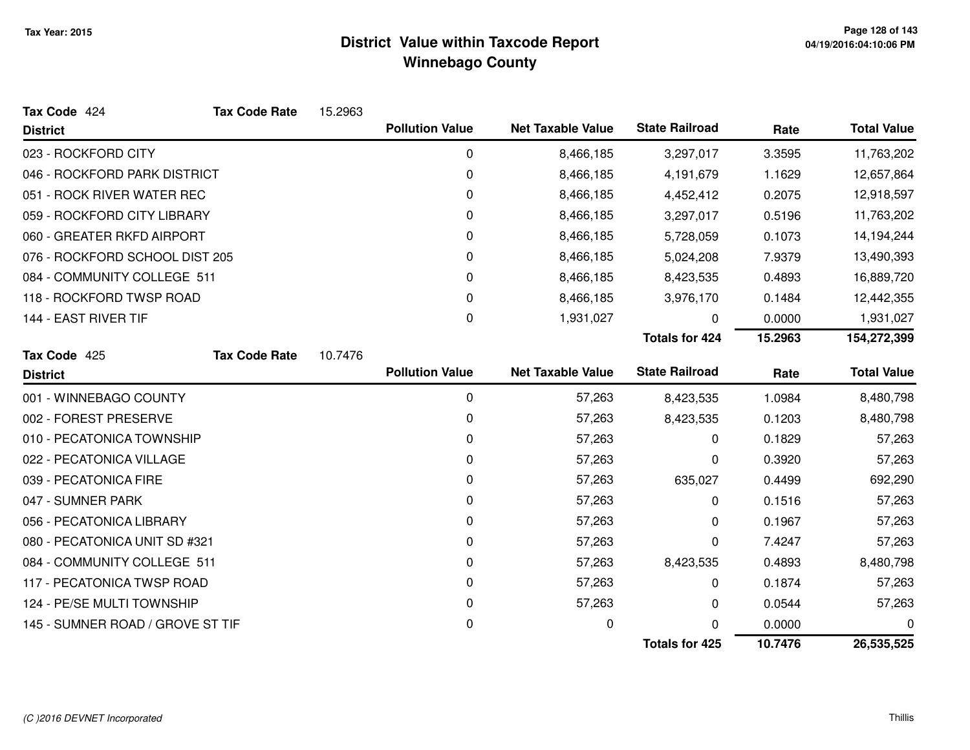| Tax Code 424                     | <b>Tax Code Rate</b> | 15.2963 |                        |                          |                       |         |                    |
|----------------------------------|----------------------|---------|------------------------|--------------------------|-----------------------|---------|--------------------|
| <b>District</b>                  |                      |         | <b>Pollution Value</b> | <b>Net Taxable Value</b> | <b>State Railroad</b> | Rate    | <b>Total Value</b> |
| 023 - ROCKFORD CITY              |                      |         | $\pmb{0}$              | 8,466,185                | 3,297,017             | 3.3595  | 11,763,202         |
| 046 - ROCKFORD PARK DISTRICT     |                      |         | 0                      | 8,466,185                | 4,191,679             | 1.1629  | 12,657,864         |
| 051 - ROCK RIVER WATER REC       |                      |         | 0                      | 8,466,185                | 4,452,412             | 0.2075  | 12,918,597         |
| 059 - ROCKFORD CITY LIBRARY      |                      |         | 0                      | 8,466,185                | 3,297,017             | 0.5196  | 11,763,202         |
| 060 - GREATER RKFD AIRPORT       |                      |         | 0                      | 8,466,185                | 5,728,059             | 0.1073  | 14,194,244         |
| 076 - ROCKFORD SCHOOL DIST 205   |                      |         | 0                      | 8,466,185                | 5,024,208             | 7.9379  | 13,490,393         |
| 084 - COMMUNITY COLLEGE 511      |                      |         | 0                      | 8,466,185                | 8,423,535             | 0.4893  | 16,889,720         |
| 118 - ROCKFORD TWSP ROAD         |                      |         | 0                      | 8,466,185                | 3,976,170             | 0.1484  | 12,442,355         |
| 144 - EAST RIVER TIF             |                      |         | $\Omega$               | 1,931,027                | 0                     | 0.0000  | 1,931,027          |
|                                  |                      |         |                        |                          | <b>Totals for 424</b> | 15.2963 | 154,272,399        |
| Tax Code 425                     | <b>Tax Code Rate</b> | 10.7476 |                        |                          |                       |         |                    |
| <b>District</b>                  |                      |         | <b>Pollution Value</b> | <b>Net Taxable Value</b> | <b>State Railroad</b> | Rate    | <b>Total Value</b> |
| 001 - WINNEBAGO COUNTY           |                      |         | 0                      | 57,263                   | 8,423,535             | 1.0984  | 8,480,798          |
| 002 - FOREST PRESERVE            |                      |         | 0                      | 57,263                   | 8,423,535             | 0.1203  | 8,480,798          |
| 010 - PECATONICA TOWNSHIP        |                      |         | 0                      | 57,263                   | 0                     | 0.1829  | 57,263             |
| 022 - PECATONICA VILLAGE         |                      |         | 0                      | 57,263                   | 0                     | 0.3920  | 57,263             |
| 039 - PECATONICA FIRE            |                      |         | 0                      | 57,263                   | 635,027               | 0.4499  | 692,290            |
| 047 - SUMNER PARK                |                      |         | 0                      | 57,263                   | 0                     | 0.1516  | 57,263             |
| 056 - PECATONICA LIBRARY         |                      |         | 0                      | 57,263                   | 0                     | 0.1967  | 57,263             |
| 080 - PECATONICA UNIT SD #321    |                      |         | 0                      | 57,263                   | 0                     | 7.4247  | 57,263             |
| 084 - COMMUNITY COLLEGE 511      |                      |         | 0                      | 57,263                   | 8,423,535             | 0.4893  | 8,480,798          |
| 117 - PECATONICA TWSP ROAD       |                      |         | 0                      | 57,263                   | 0                     | 0.1874  | 57,263             |
| 124 - PE/SE MULTI TOWNSHIP       |                      |         | 0                      | 57,263                   | 0                     | 0.0544  | 57,263             |
| 145 - SUMNER ROAD / GROVE ST TIF |                      |         | 0                      | 0                        | 0                     | 0.0000  | 0                  |
|                                  |                      |         |                        |                          | <b>Totals for 425</b> | 10.7476 | 26,535,525         |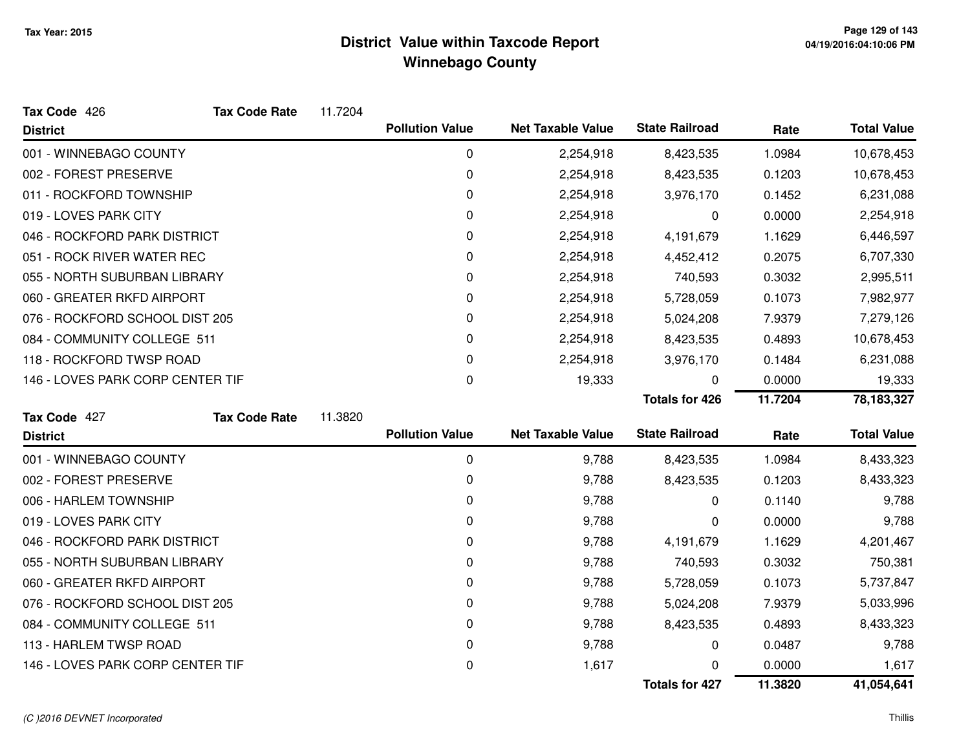| Tax Code 426                     | <b>Tax Code Rate</b> | 11.7204 |                        |                          |                       |         |                    |
|----------------------------------|----------------------|---------|------------------------|--------------------------|-----------------------|---------|--------------------|
| <b>District</b>                  |                      |         | <b>Pollution Value</b> | <b>Net Taxable Value</b> | <b>State Railroad</b> | Rate    | <b>Total Value</b> |
| 001 - WINNEBAGO COUNTY           |                      |         | 0                      | 2,254,918                | 8,423,535             | 1.0984  | 10,678,453         |
| 002 - FOREST PRESERVE            |                      |         | 0                      | 2,254,918                | 8,423,535             | 0.1203  | 10,678,453         |
| 011 - ROCKFORD TOWNSHIP          |                      |         | 0                      | 2,254,918                | 3,976,170             | 0.1452  | 6,231,088          |
| 019 - LOVES PARK CITY            |                      |         | 0                      | 2,254,918                | 0                     | 0.0000  | 2,254,918          |
| 046 - ROCKFORD PARK DISTRICT     |                      |         | 0                      | 2,254,918                | 4,191,679             | 1.1629  | 6,446,597          |
| 051 - ROCK RIVER WATER REC       |                      |         | 0                      | 2,254,918                | 4,452,412             | 0.2075  | 6,707,330          |
| 055 - NORTH SUBURBAN LIBRARY     |                      |         | 0                      | 2,254,918                | 740,593               | 0.3032  | 2,995,511          |
| 060 - GREATER RKFD AIRPORT       |                      |         | 0                      | 2,254,918                | 5,728,059             | 0.1073  | 7,982,977          |
| 076 - ROCKFORD SCHOOL DIST 205   |                      |         | 0                      | 2,254,918                | 5,024,208             | 7.9379  | 7,279,126          |
| 084 - COMMUNITY COLLEGE 511      |                      |         | 0                      | 2,254,918                | 8,423,535             | 0.4893  | 10,678,453         |
| 118 - ROCKFORD TWSP ROAD         |                      |         | 0                      | 2,254,918                | 3,976,170             | 0.1484  | 6,231,088          |
| 146 - LOVES PARK CORP CENTER TIF |                      |         | 0                      | 19,333                   | 0                     | 0.0000  | 19,333             |
|                                  |                      |         |                        |                          | <b>Totals for 426</b> | 11.7204 | 78, 183, 327       |
| Tax Code 427                     | <b>Tax Code Rate</b> | 11.3820 |                        |                          |                       |         |                    |
| <b>District</b>                  |                      |         | <b>Pollution Value</b> | <b>Net Taxable Value</b> | <b>State Railroad</b> | Rate    | <b>Total Value</b> |
| 001 - WINNEBAGO COUNTY           |                      |         | 0                      | 9,788                    | 8,423,535             | 1.0984  | 8,433,323          |
| 002 - FOREST PRESERVE            |                      |         | 0                      | 9,788                    | 8,423,535             | 0.1203  | 8,433,323          |
| 006 - HARLEM TOWNSHIP            |                      |         | 0                      | 9,788                    | $\Omega$              | 0.1140  | 9,788              |
| 019 - LOVES PARK CITY            |                      |         | 0                      | 9,788                    | 0                     | 0.0000  | 9,788              |
| 046 - ROCKFORD PARK DISTRICT     |                      |         | 0                      | 9,788                    | 4,191,679             | 1.1629  | 4,201,467          |
| 055 - NORTH SUBURBAN LIBRARY     |                      |         | 0                      | 9,788                    | 740,593               | 0.3032  | 750,381            |
| 060 - GREATER RKFD AIRPORT       |                      |         | 0                      | 9,788                    | 5,728,059             | 0.1073  | 5,737,847          |
| 076 - ROCKFORD SCHOOL DIST 205   |                      |         | 0                      | 9,788                    | 5,024,208             | 7.9379  | 5,033,996          |
| 084 - COMMUNITY COLLEGE 511      |                      |         | 0                      | 9,788                    | 8,423,535             | 0.4893  | 8,433,323          |
| 113 - HARLEM TWSP ROAD           |                      |         | 0                      | 9,788                    | 0                     | 0.0487  | 9,788              |
| 146 - LOVES PARK CORP CENTER TIF |                      |         | 0                      | 1,617                    |                       | 0.0000  | 1,617              |
|                                  |                      |         |                        |                          | <b>Totals for 427</b> | 11.3820 | 41,054,641         |

#### (C )2016 DEVNET Incorporated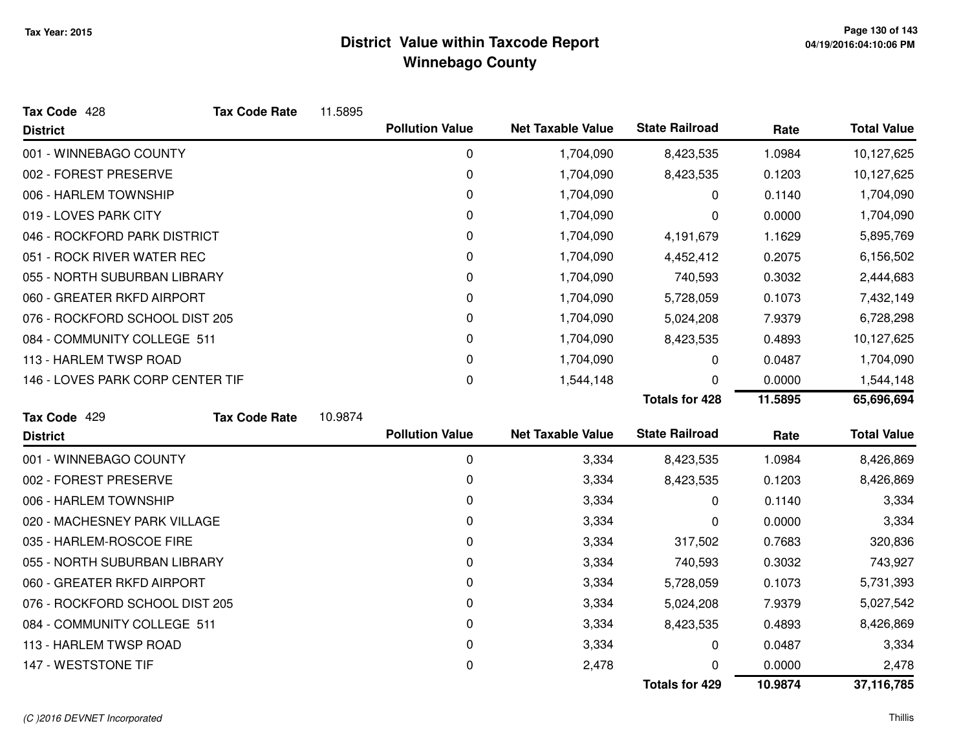| Tax Code 428                     | <b>Tax Code Rate</b> | 11.5895 |                        |                          |                       |         |                    |
|----------------------------------|----------------------|---------|------------------------|--------------------------|-----------------------|---------|--------------------|
| <b>District</b>                  |                      |         | <b>Pollution Value</b> | <b>Net Taxable Value</b> | <b>State Railroad</b> | Rate    | <b>Total Value</b> |
| 001 - WINNEBAGO COUNTY           |                      |         | 0                      | 1,704,090                | 8,423,535             | 1.0984  | 10,127,625         |
| 002 - FOREST PRESERVE            |                      |         | 0                      | 1,704,090                | 8,423,535             | 0.1203  | 10,127,625         |
| 006 - HARLEM TOWNSHIP            |                      |         | 0                      | 1,704,090                | 0                     | 0.1140  | 1,704,090          |
| 019 - LOVES PARK CITY            |                      |         | 0                      | 1,704,090                | 0                     | 0.0000  | 1,704,090          |
| 046 - ROCKFORD PARK DISTRICT     |                      |         | 0                      | 1,704,090                | 4,191,679             | 1.1629  | 5,895,769          |
| 051 - ROCK RIVER WATER REC       |                      |         | 0                      | 1,704,090                | 4,452,412             | 0.2075  | 6,156,502          |
| 055 - NORTH SUBURBAN LIBRARY     |                      |         | 0                      | 1,704,090                | 740,593               | 0.3032  | 2,444,683          |
| 060 - GREATER RKFD AIRPORT       |                      |         | 0                      | 1,704,090                | 5,728,059             | 0.1073  | 7,432,149          |
| 076 - ROCKFORD SCHOOL DIST 205   |                      |         | 0                      | 1,704,090                | 5,024,208             | 7.9379  | 6,728,298          |
| 084 - COMMUNITY COLLEGE 511      |                      |         | 0                      | 1,704,090                | 8,423,535             | 0.4893  | 10,127,625         |
| 113 - HARLEM TWSP ROAD           |                      |         | 0                      | 1,704,090                | 0                     | 0.0487  | 1,704,090          |
| 146 - LOVES PARK CORP CENTER TIF |                      |         | 0                      | 1,544,148                | U                     | 0.0000  | 1,544,148          |
|                                  |                      |         |                        |                          | <b>Totals for 428</b> | 11.5895 | 65,696,694         |
| Tax Code 429                     | <b>Tax Code Rate</b> | 10.9874 |                        |                          |                       |         |                    |
| <b>District</b>                  |                      |         | <b>Pollution Value</b> | <b>Net Taxable Value</b> | <b>State Railroad</b> | Rate    | <b>Total Value</b> |
| 001 - WINNEBAGO COUNTY           |                      |         | $\mathbf 0$            | 3,334                    | 8,423,535             | 1.0984  | 8,426,869          |
| 002 - FOREST PRESERVE            |                      |         | 0                      | 3,334                    | 8,423,535             | 0.1203  | 8,426,869          |
| 006 - HARLEM TOWNSHIP            |                      |         | 0                      | 3,334                    | 0                     | 0.1140  | 3,334              |
| 020 - MACHESNEY PARK VILLAGE     |                      |         | 0                      | 3,334                    | 0                     | 0.0000  | 3,334              |
| 035 - HARLEM-ROSCOE FIRE         |                      |         | 0                      | 3,334                    | 317,502               | 0.7683  | 320,836            |
| 055 - NORTH SUBURBAN LIBRARY     |                      |         | 0                      | 3,334                    | 740,593               | 0.3032  | 743,927            |
| 060 - GREATER RKFD AIRPORT       |                      |         | 0                      | 3,334                    | 5,728,059             | 0.1073  | 5,731,393          |
| 076 - ROCKFORD SCHOOL DIST 205   |                      |         | 0                      | 3,334                    | 5,024,208             | 7.9379  | 5,027,542          |
| 084 - COMMUNITY COLLEGE 511      |                      |         | 0                      | 3,334                    | 8,423,535             | 0.4893  | 8,426,869          |
| 113 - HARLEM TWSP ROAD           |                      |         | 0                      | 3,334                    | 0                     | 0.0487  | 3,334              |
| 147 - WESTSTONE TIF              |                      |         | 0                      | 2,478                    | O                     | 0.0000  | 2,478              |
|                                  |                      |         |                        |                          | <b>Totals for 429</b> | 10.9874 | 37,116,785         |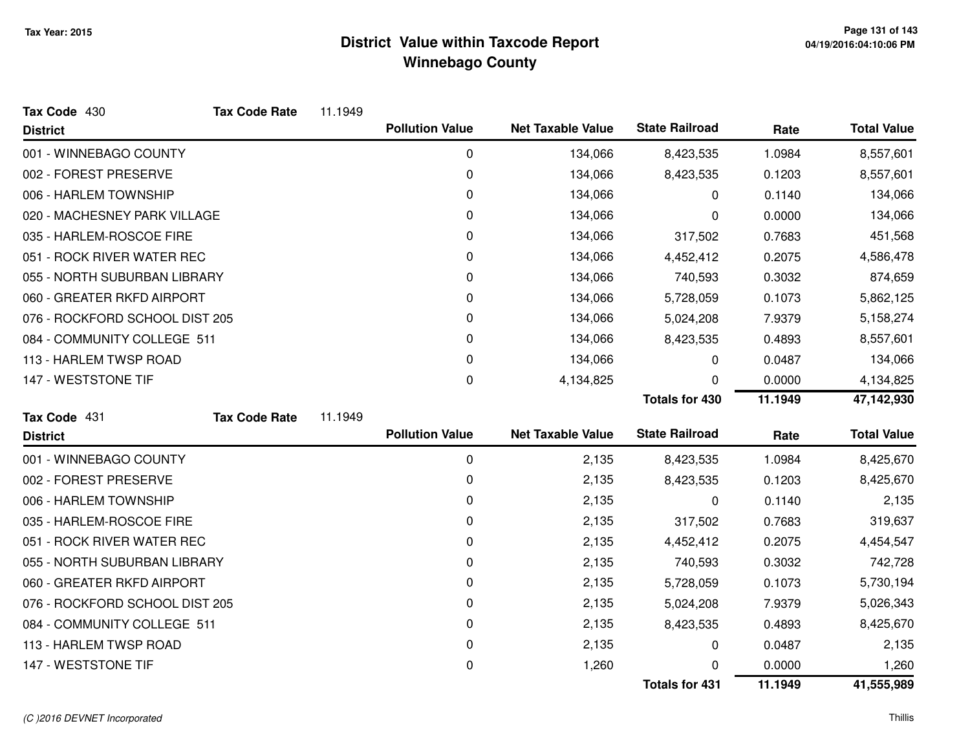| Tax Code 430                   | <b>Tax Code Rate</b> | 11.1949 |                        |                          |                       |         |                    |
|--------------------------------|----------------------|---------|------------------------|--------------------------|-----------------------|---------|--------------------|
| <b>District</b>                |                      |         | <b>Pollution Value</b> | <b>Net Taxable Value</b> | <b>State Railroad</b> | Rate    | <b>Total Value</b> |
| 001 - WINNEBAGO COUNTY         |                      |         | $\mathbf 0$            | 134,066                  | 8,423,535             | 1.0984  | 8,557,601          |
| 002 - FOREST PRESERVE          |                      |         | 0                      | 134,066                  | 8,423,535             | 0.1203  | 8,557,601          |
| 006 - HARLEM TOWNSHIP          |                      |         | 0                      | 134,066                  | 0                     | 0.1140  | 134,066            |
| 020 - MACHESNEY PARK VILLAGE   |                      |         | 0                      | 134,066                  | 0                     | 0.0000  | 134,066            |
| 035 - HARLEM-ROSCOE FIRE       |                      |         | 0                      | 134,066                  | 317,502               | 0.7683  | 451,568            |
| 051 - ROCK RIVER WATER REC     |                      |         | 0                      | 134,066                  | 4,452,412             | 0.2075  | 4,586,478          |
| 055 - NORTH SUBURBAN LIBRARY   |                      |         | 0                      | 134,066                  | 740,593               | 0.3032  | 874,659            |
| 060 - GREATER RKFD AIRPORT     |                      |         | 0                      | 134,066                  | 5,728,059             | 0.1073  | 5,862,125          |
| 076 - ROCKFORD SCHOOL DIST 205 |                      |         | 0                      | 134,066                  | 5,024,208             | 7.9379  | 5,158,274          |
| 084 - COMMUNITY COLLEGE 511    |                      |         | 0                      | 134,066                  | 8,423,535             | 0.4893  | 8,557,601          |
| 113 - HARLEM TWSP ROAD         |                      |         | 0                      | 134,066                  | 0                     | 0.0487  | 134,066            |
| 147 - WESTSTONE TIF            |                      |         | 0                      | 4,134,825                | O                     | 0.0000  | 4,134,825          |
|                                |                      |         |                        |                          | <b>Totals for 430</b> | 11.1949 | 47,142,930         |
| Tax Code 431                   | <b>Tax Code Rate</b> | 11.1949 |                        |                          |                       |         |                    |
| <b>District</b>                |                      |         | <b>Pollution Value</b> | <b>Net Taxable Value</b> | <b>State Railroad</b> | Rate    | <b>Total Value</b> |
| 001 - WINNEBAGO COUNTY         |                      |         | $\mathbf 0$            | 2,135                    | 8,423,535             | 1.0984  | 8,425,670          |
| 002 - FOREST PRESERVE          |                      |         | 0                      | 2,135                    | 8,423,535             | 0.1203  | 8,425,670          |
| 006 - HARLEM TOWNSHIP          |                      |         | 0                      | 2,135                    | 0                     | 0.1140  | 2,135              |
| 035 - HARLEM-ROSCOE FIRE       |                      |         | 0                      | 2,135                    | 317,502               | 0.7683  | 319,637            |
| 051 - ROCK RIVER WATER REC     |                      |         | 0                      | 2,135                    | 4,452,412             | 0.2075  | 4,454,547          |
| 055 - NORTH SUBURBAN LIBRARY   |                      |         | 0                      | 2,135                    | 740,593               | 0.3032  | 742,728            |
| 060 - GREATER RKFD AIRPORT     |                      |         | 0                      | 2,135                    | 5,728,059             | 0.1073  | 5,730,194          |
| 076 - ROCKFORD SCHOOL DIST 205 |                      |         | 0                      | 2,135                    | 5,024,208             | 7.9379  | 5,026,343          |
| 084 - COMMUNITY COLLEGE 511    |                      |         | 0                      | 2,135                    | 8,423,535             | 0.4893  | 8,425,670          |
| 113 - HARLEM TWSP ROAD         |                      |         | 0                      | 2,135                    | 0                     | 0.0487  | 2,135              |
| 147 - WESTSTONE TIF            |                      |         | 0                      | 1,260                    | 0                     | 0.0000  | 1,260              |
|                                |                      |         |                        |                          | <b>Totals for 431</b> | 11.1949 | 41,555,989         |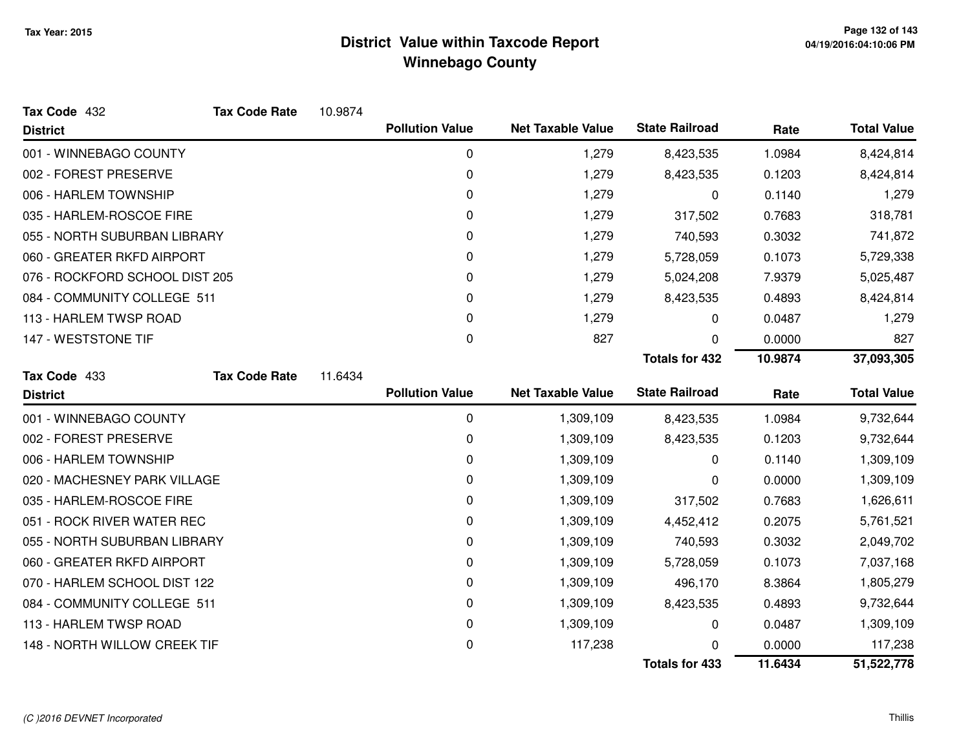| Tax Code 432                   | <b>Tax Code Rate</b> | 10.9874 |                        |                          |                       |         |                    |
|--------------------------------|----------------------|---------|------------------------|--------------------------|-----------------------|---------|--------------------|
| <b>District</b>                |                      |         | <b>Pollution Value</b> | <b>Net Taxable Value</b> | <b>State Railroad</b> | Rate    | <b>Total Value</b> |
| 001 - WINNEBAGO COUNTY         |                      |         | $\mathbf 0$            | 1,279                    | 8,423,535             | 1.0984  | 8,424,814          |
| 002 - FOREST PRESERVE          |                      |         | $\pmb{0}$              | 1,279                    | 8,423,535             | 0.1203  | 8,424,814          |
| 006 - HARLEM TOWNSHIP          |                      |         | 0                      | 1,279                    | 0                     | 0.1140  | 1,279              |
| 035 - HARLEM-ROSCOE FIRE       |                      |         | $\Omega$               | 1,279                    | 317,502               | 0.7683  | 318,781            |
| 055 - NORTH SUBURBAN LIBRARY   |                      |         | 0                      | 1,279                    | 740,593               | 0.3032  | 741,872            |
| 060 - GREATER RKFD AIRPORT     |                      |         | 0                      | 1,279                    | 5,728,059             | 0.1073  | 5,729,338          |
| 076 - ROCKFORD SCHOOL DIST 205 |                      |         | 0                      | 1,279                    | 5,024,208             | 7.9379  | 5,025,487          |
| 084 - COMMUNITY COLLEGE 511    |                      |         | 0                      | 1,279                    | 8,423,535             | 0.4893  | 8,424,814          |
| 113 - HARLEM TWSP ROAD         |                      |         | 0                      | 1,279                    | 0                     | 0.0487  | 1,279              |
| 147 - WESTSTONE TIF            |                      |         | 0                      | 827                      | 0                     | 0.0000  | 827                |
|                                |                      |         |                        |                          | <b>Totals for 432</b> | 10.9874 | 37,093,305         |
| Tax Code 433                   | <b>Tax Code Rate</b> | 11.6434 |                        |                          |                       |         |                    |
| <b>District</b>                |                      |         | <b>Pollution Value</b> | <b>Net Taxable Value</b> | <b>State Railroad</b> | Rate    | <b>Total Value</b> |
| 001 - WINNEBAGO COUNTY         |                      |         | 0                      | 1,309,109                | 8,423,535             | 1.0984  | 9,732,644          |
| 002 - FOREST PRESERVE          |                      |         | 0                      | 1,309,109                | 8,423,535             | 0.1203  | 9,732,644          |
| 006 - HARLEM TOWNSHIP          |                      |         | 0                      | 1,309,109                | 0                     | 0.1140  | 1,309,109          |
| 020 - MACHESNEY PARK VILLAGE   |                      |         | 0                      | 1,309,109                | 0                     | 0.0000  | 1,309,109          |
| 035 - HARLEM-ROSCOE FIRE       |                      |         | 0                      | 1,309,109                | 317,502               | 0.7683  | 1,626,611          |
| 051 - ROCK RIVER WATER REC     |                      |         | 0                      | 1,309,109                | 4,452,412             | 0.2075  | 5,761,521          |
| 055 - NORTH SUBURBAN LIBRARY   |                      |         | 0                      | 1,309,109                | 740,593               | 0.3032  | 2,049,702          |
| 060 - GREATER RKFD AIRPORT     |                      |         | 0                      | 1,309,109                | 5,728,059             | 0.1073  | 7,037,168          |
| 070 - HARLEM SCHOOL DIST 122   |                      |         | 0                      | 1,309,109                | 496,170               | 8.3864  | 1,805,279          |
| 084 - COMMUNITY COLLEGE 511    |                      |         | 0                      | 1,309,109                | 8,423,535             | 0.4893  | 9,732,644          |
| 113 - HARLEM TWSP ROAD         |                      |         | 0                      | 1,309,109                | 0                     | 0.0487  | 1,309,109          |
| 148 - NORTH WILLOW CREEK TIF   |                      |         | $\pmb{0}$              | 117,238                  | <sup>0</sup>          | 0.0000  | 117,238            |
|                                |                      |         |                        |                          | <b>Totals for 433</b> | 11.6434 | 51,522,778         |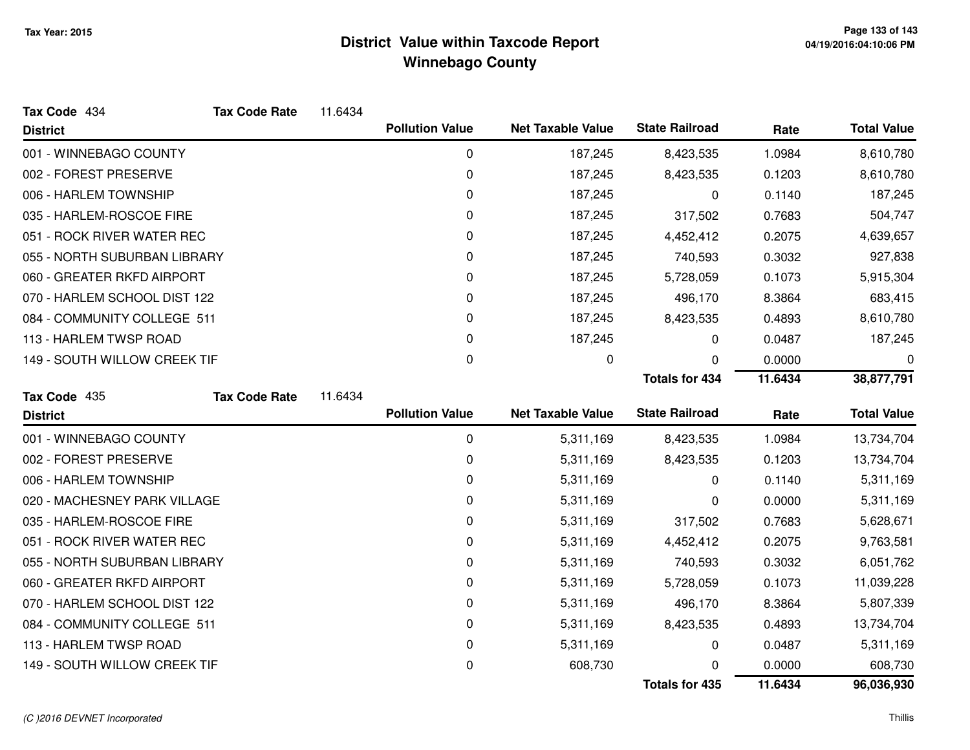| Tax Code 434                 | <b>Tax Code Rate</b> | 11.6434 |                        |                          |                       |         |                    |
|------------------------------|----------------------|---------|------------------------|--------------------------|-----------------------|---------|--------------------|
| <b>District</b>              |                      |         | <b>Pollution Value</b> | <b>Net Taxable Value</b> | <b>State Railroad</b> | Rate    | <b>Total Value</b> |
| 001 - WINNEBAGO COUNTY       |                      |         | 0                      | 187,245                  | 8,423,535             | 1.0984  | 8,610,780          |
| 002 - FOREST PRESERVE        |                      |         | 0                      | 187,245                  | 8,423,535             | 0.1203  | 8,610,780          |
| 006 - HARLEM TOWNSHIP        |                      |         | 0                      | 187,245                  | 0                     | 0.1140  | 187,245            |
| 035 - HARLEM-ROSCOE FIRE     |                      |         | 0                      | 187,245                  | 317,502               | 0.7683  | 504,747            |
| 051 - ROCK RIVER WATER REC   |                      |         | 0                      | 187,245                  | 4,452,412             | 0.2075  | 4,639,657          |
| 055 - NORTH SUBURBAN LIBRARY |                      |         | 0                      | 187,245                  | 740,593               | 0.3032  | 927,838            |
| 060 - GREATER RKFD AIRPORT   |                      |         | 0                      | 187,245                  | 5,728,059             | 0.1073  | 5,915,304          |
| 070 - HARLEM SCHOOL DIST 122 |                      |         | 0                      | 187,245                  | 496,170               | 8.3864  | 683,415            |
| 084 - COMMUNITY COLLEGE 511  |                      |         | 0                      | 187,245                  | 8,423,535             | 0.4893  | 8,610,780          |
| 113 - HARLEM TWSP ROAD       |                      |         | 0                      | 187,245                  | 0                     | 0.0487  | 187,245            |
| 149 - SOUTH WILLOW CREEK TIF |                      |         | 0                      | 0                        | 0                     | 0.0000  | 0                  |
|                              |                      |         |                        |                          | <b>Totals for 434</b> | 11.6434 | 38,877,791         |
| Tax Code 435                 | <b>Tax Code Rate</b> | 11.6434 |                        |                          |                       |         |                    |
| <b>District</b>              |                      |         | <b>Pollution Value</b> | <b>Net Taxable Value</b> | <b>State Railroad</b> | Rate    | <b>Total Value</b> |
| 001 - WINNEBAGO COUNTY       |                      |         | 0                      | 5,311,169                | 8,423,535             | 1.0984  | 13,734,704         |
| 002 - FOREST PRESERVE        |                      |         | 0                      | 5,311,169                | 8,423,535             | 0.1203  | 13,734,704         |
| 006 - HARLEM TOWNSHIP        |                      |         | 0                      | 5,311,169                | 0                     | 0.1140  | 5,311,169          |
| 020 - MACHESNEY PARK VILLAGE |                      |         |                        |                          |                       |         |                    |
|                              |                      |         | 0                      | 5,311,169                | 0                     | 0.0000  | 5,311,169          |
| 035 - HARLEM-ROSCOE FIRE     |                      |         | 0                      | 5,311,169                | 317,502               | 0.7683  | 5,628,671          |
| 051 - ROCK RIVER WATER REC   |                      |         | 0                      | 5,311,169                | 4,452,412             | 0.2075  | 9,763,581          |
| 055 - NORTH SUBURBAN LIBRARY |                      |         | 0                      | 5,311,169                | 740,593               | 0.3032  | 6,051,762          |
| 060 - GREATER RKFD AIRPORT   |                      |         | 0                      | 5,311,169                | 5,728,059             | 0.1073  | 11,039,228         |
| 070 - HARLEM SCHOOL DIST 122 |                      |         | 0                      | 5,311,169                | 496,170               | 8.3864  | 5,807,339          |
| 084 - COMMUNITY COLLEGE 511  |                      |         | 0                      | 5,311,169                | 8,423,535             | 0.4893  | 13,734,704         |
| 113 - HARLEM TWSP ROAD       |                      |         | 0                      | 5,311,169                | 0                     | 0.0487  | 5,311,169          |
| 149 - SOUTH WILLOW CREEK TIF |                      |         | 0                      | 608,730                  | O                     | 0.0000  | 608,730            |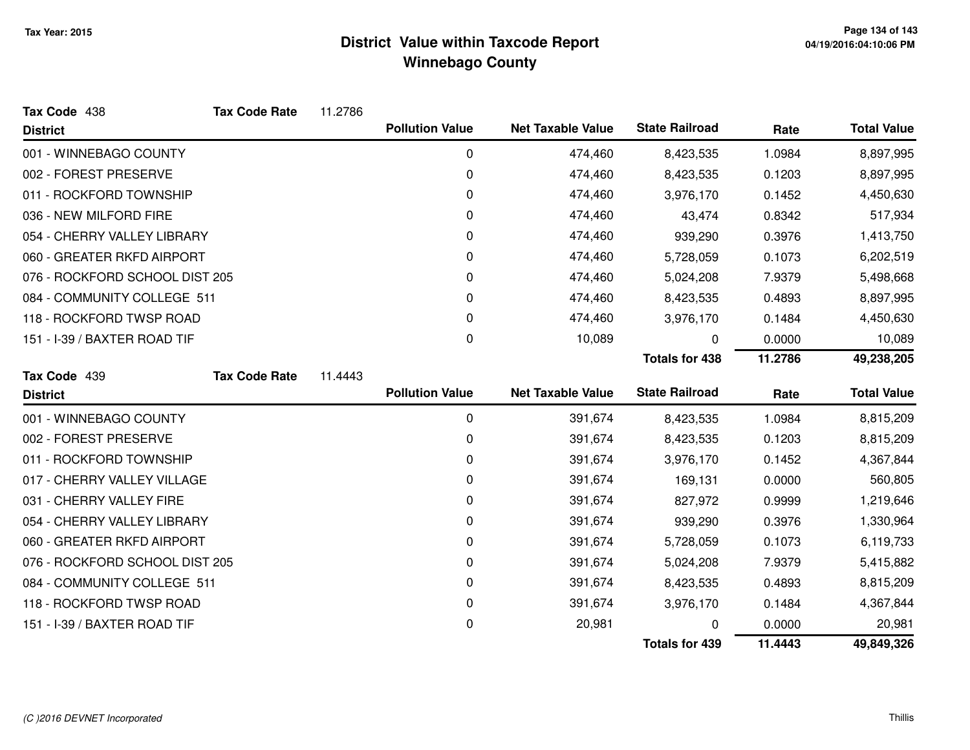| Tax Code 438                   | <b>Tax Code Rate</b>       | 11.2786                           |                        |                          |                       |         |                    |
|--------------------------------|----------------------------|-----------------------------------|------------------------|--------------------------|-----------------------|---------|--------------------|
| <b>District</b>                |                            |                                   | <b>Pollution Value</b> | <b>Net Taxable Value</b> | <b>State Railroad</b> | Rate    | <b>Total Value</b> |
| 001 - WINNEBAGO COUNTY         |                            |                                   | $\mathbf 0$            | 474,460                  | 8,423,535             | 1.0984  | 8,897,995          |
| 002 - FOREST PRESERVE          |                            |                                   | 0                      | 474,460                  | 8,423,535             | 0.1203  | 8,897,995          |
| 011 - ROCKFORD TOWNSHIP        |                            |                                   | 0                      | 474,460                  | 3,976,170             | 0.1452  | 4,450,630          |
| 036 - NEW MILFORD FIRE         |                            |                                   | 0                      | 474,460                  | 43,474                | 0.8342  | 517,934            |
| 054 - CHERRY VALLEY LIBRARY    |                            | 0<br>474,460<br>0.3976<br>939,290 |                        |                          | 1,413,750             |         |                    |
|                                | 060 - GREATER RKFD AIRPORT |                                   | 0                      | 474,460                  | 5,728,059             | 0.1073  | 6,202,519          |
| 076 - ROCKFORD SCHOOL DIST 205 |                            |                                   | 0                      | 474,460                  | 5,024,208             | 7.9379  | 5,498,668          |
| 084 - COMMUNITY COLLEGE 511    |                            |                                   | 0                      | 474,460                  | 8,423,535             | 0.4893  | 8,897,995          |
| 118 - ROCKFORD TWSP ROAD       |                            |                                   | 0                      | 474,460                  | 3,976,170             | 0.1484  | 4,450,630          |
| 151 - I-39 / BAXTER ROAD TIF   |                            |                                   | 0                      | 10,089                   | 0                     | 0.0000  | 10,089             |
|                                |                            |                                   |                        |                          | <b>Totals for 438</b> | 11.2786 | 49,238,205         |
| Tax Code 439                   | <b>Tax Code Rate</b>       | 11.4443                           |                        |                          |                       |         |                    |
| <b>District</b>                |                            |                                   | <b>Pollution Value</b> | <b>Net Taxable Value</b> | <b>State Railroad</b> | Rate    | <b>Total Value</b> |
| 001 - WINNEBAGO COUNTY         |                            |                                   | 0                      | 391,674                  | 8,423,535             | 1.0984  | 8,815,209          |
| 002 - FOREST PRESERVE          |                            |                                   | 0                      | 391,674                  | 8,423,535             | 0.1203  | 8,815,209          |
| 011 - ROCKFORD TOWNSHIP        |                            |                                   | 0                      | 391,674                  | 3,976,170             | 0.1452  | 4,367,844          |
| 017 - CHERRY VALLEY VILLAGE    |                            |                                   | 0                      | 391,674                  | 169,131               | 0.0000  | 560,805            |
| 031 - CHERRY VALLEY FIRE       |                            |                                   | 0                      | 391,674                  | 827,972               | 0.9999  | 1,219,646          |
| 054 - CHERRY VALLEY LIBRARY    |                            |                                   | 0                      | 391,674                  | 939,290               | 0.3976  | 1,330,964          |
| 060 - GREATER RKFD AIRPORT     |                            |                                   | 0                      | 391,674                  | 5,728,059             | 0.1073  | 6,119,733          |
| 076 - ROCKFORD SCHOOL DIST 205 |                            |                                   | 0                      | 391,674                  | 5,024,208             | 7.9379  | 5,415,882          |
| 084 - COMMUNITY COLLEGE 511    |                            |                                   | 0                      | 391,674                  | 8,423,535             | 0.4893  | 8,815,209          |
| 118 - ROCKFORD TWSP ROAD       |                            |                                   | 0                      | 391,674                  | 3,976,170             | 0.1484  | 4,367,844          |
| 151 - I-39 / BAXTER ROAD TIF   |                            |                                   | 0                      | 20,981                   | 0                     | 0.0000  | 20,981             |
|                                |                            |                                   |                        |                          |                       |         |                    |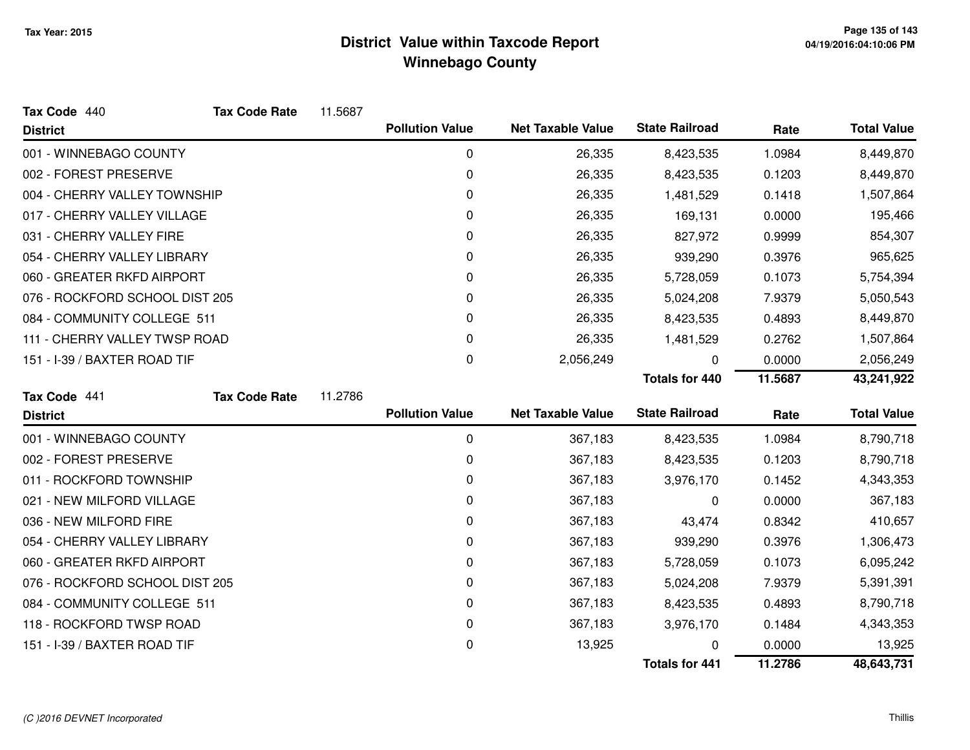| Tax Code 440                   | <b>Tax Code Rate</b> | 11.5687 |                        |                          |                       |         |                    |
|--------------------------------|----------------------|---------|------------------------|--------------------------|-----------------------|---------|--------------------|
| <b>District</b>                |                      |         | <b>Pollution Value</b> | <b>Net Taxable Value</b> | <b>State Railroad</b> | Rate    | <b>Total Value</b> |
| 001 - WINNEBAGO COUNTY         |                      |         | 0                      | 26,335                   | 8,423,535             | 1.0984  | 8,449,870          |
| 002 - FOREST PRESERVE          |                      |         | 0                      | 26,335                   | 8,423,535             | 0.1203  | 8,449,870          |
| 004 - CHERRY VALLEY TOWNSHIP   |                      |         | 0                      | 26,335                   | 1,481,529             | 0.1418  | 1,507,864          |
| 017 - CHERRY VALLEY VILLAGE    |                      |         | 0                      | 26,335                   | 169,131               | 0.0000  | 195,466            |
| 031 - CHERRY VALLEY FIRE       |                      |         | 0                      | 26,335                   | 827,972               | 0.9999  | 854,307            |
| 054 - CHERRY VALLEY LIBRARY    |                      |         | 0                      | 26,335                   | 939,290               | 0.3976  | 965,625            |
| 060 - GREATER RKFD AIRPORT     |                      |         | 0                      | 26,335                   | 5,728,059             | 0.1073  | 5,754,394          |
| 076 - ROCKFORD SCHOOL DIST 205 |                      |         | 0                      | 26,335                   | 5,024,208             | 7.9379  | 5,050,543          |
| 084 - COMMUNITY COLLEGE 511    |                      |         | 0                      | 26,335                   | 8,423,535             | 0.4893  | 8,449,870          |
| 111 - CHERRY VALLEY TWSP ROAD  |                      |         | 0                      | 26,335                   | 1,481,529             | 0.2762  | 1,507,864          |
| 151 - I-39 / BAXTER ROAD TIF   | 0<br>2,056,249       | 0       | 0.0000                 | 2,056,249                |                       |         |                    |
|                                |                      |         |                        |                          | <b>Totals for 440</b> | 11.5687 | 43,241,922         |
| Tax Code 441                   | <b>Tax Code Rate</b> | 11.2786 |                        |                          |                       |         |                    |
| <b>District</b>                |                      |         | <b>Pollution Value</b> | <b>Net Taxable Value</b> | <b>State Railroad</b> | Rate    | <b>Total Value</b> |
| 001 - WINNEBAGO COUNTY         |                      |         | 0                      | 367,183                  | 8,423,535             | 1.0984  | 8,790,718          |
| 002 - FOREST PRESERVE          |                      |         | 0                      | 367,183                  | 8,423,535             | 0.1203  | 8,790,718          |
| 011 - ROCKFORD TOWNSHIP        |                      |         | 0                      | 367,183                  | 3,976,170             | 0.1452  | 4,343,353          |
| 021 - NEW MILFORD VILLAGE      |                      |         | 0                      | 367,183                  | 0                     | 0.0000  | 367,183            |
| 036 - NEW MILFORD FIRE         |                      |         | 0                      | 367,183                  | 43,474                | 0.8342  | 410,657            |
| 054 - CHERRY VALLEY LIBRARY    |                      |         | 0                      | 367,183                  | 939,290               | 0.3976  | 1,306,473          |
| 060 - GREATER RKFD AIRPORT     |                      |         | 0                      | 367,183                  | 5,728,059             | 0.1073  | 6,095,242          |
| 076 - ROCKFORD SCHOOL DIST 205 |                      |         | 0                      | 367,183                  | 5,024,208             | 7.9379  | 5,391,391          |
| 084 - COMMUNITY COLLEGE 511    |                      |         | 0                      | 367,183                  | 8,423,535             | 0.4893  | 8,790,718          |
| 118 - ROCKFORD TWSP ROAD       |                      |         | 0                      | 367,183                  | 3,976,170             | 0.1484  | 4,343,353          |
| 151 - I-39 / BAXTER ROAD TIF   |                      |         | 0                      | 13,925                   |                       | 0.0000  | 13,925             |
|                                |                      |         |                        |                          | <b>Totals for 441</b> | 11.2786 | 48,643,731         |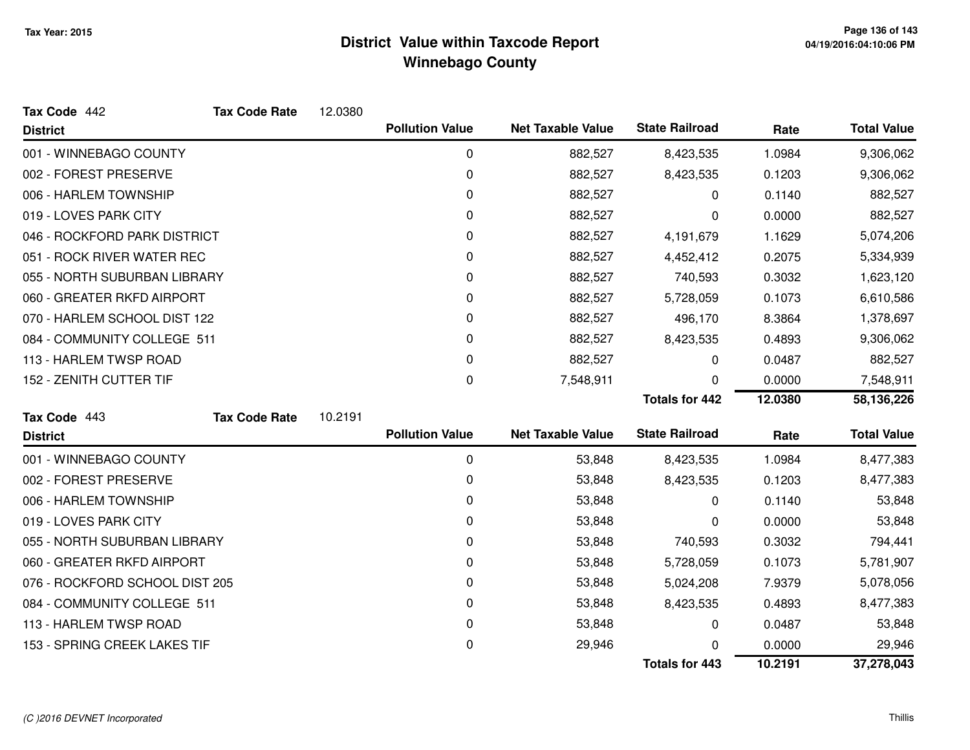| Tax Code 442                   | <b>Tax Code Rate</b> | 12.0380 |                        |                          |                       |         |                    |
|--------------------------------|----------------------|---------|------------------------|--------------------------|-----------------------|---------|--------------------|
| <b>District</b>                |                      |         | <b>Pollution Value</b> | <b>Net Taxable Value</b> | <b>State Railroad</b> | Rate    | <b>Total Value</b> |
| 001 - WINNEBAGO COUNTY         |                      |         | 0                      | 882,527                  | 8,423,535             | 1.0984  | 9,306,062          |
| 002 - FOREST PRESERVE          |                      |         | 0                      | 882,527                  | 8,423,535             | 0.1203  | 9,306,062          |
| 006 - HARLEM TOWNSHIP          |                      |         | 0                      | 882,527                  | 0                     | 0.1140  | 882,527            |
| 019 - LOVES PARK CITY          |                      |         | 0                      | 882,527                  | 0                     | 0.0000  | 882,527            |
| 046 - ROCKFORD PARK DISTRICT   |                      |         | 0                      | 882,527                  | 4,191,679             | 1.1629  | 5,074,206          |
| 051 - ROCK RIVER WATER REC     |                      |         | 0                      | 882,527                  | 4,452,412             | 0.2075  | 5,334,939          |
| 055 - NORTH SUBURBAN LIBRARY   |                      |         | 0                      | 882,527                  | 740,593               | 0.3032  | 1,623,120          |
| 060 - GREATER RKFD AIRPORT     |                      |         | 0                      | 882,527                  | 5,728,059             | 0.1073  | 6,610,586          |
| 070 - HARLEM SCHOOL DIST 122   |                      |         | 0                      | 882,527                  | 496,170               | 8.3864  | 1,378,697          |
| 084 - COMMUNITY COLLEGE 511    |                      |         | 0                      | 882,527                  | 8,423,535             | 0.4893  | 9,306,062          |
| 113 - HARLEM TWSP ROAD         |                      |         | 0                      | 882,527                  | 0                     | 0.0487  | 882,527            |
| 152 - ZENITH CUTTER TIF        |                      |         | 0                      | 7,548,911                | 0                     | 0.0000  | 7,548,911          |
|                                |                      |         |                        |                          | <b>Totals for 442</b> | 12.0380 | 58,136,226         |
| Tax Code 443                   | <b>Tax Code Rate</b> | 10.2191 |                        |                          |                       |         |                    |
| <b>District</b>                |                      |         | <b>Pollution Value</b> | <b>Net Taxable Value</b> | <b>State Railroad</b> | Rate    | <b>Total Value</b> |
| 001 - WINNEBAGO COUNTY         |                      |         | 0                      | 53,848                   | 8,423,535             | 1.0984  | 8,477,383          |
| 002 - FOREST PRESERVE          |                      |         | 0                      | 53,848                   | 8,423,535             | 0.1203  | 8,477,383          |
| 006 - HARLEM TOWNSHIP          |                      |         | 0                      | 53,848                   | 0                     | 0.1140  | 53,848             |
| 019 - LOVES PARK CITY          |                      |         | 0                      | 53,848                   | 0                     | 0.0000  | 53,848             |
| 055 - NORTH SUBURBAN LIBRARY   |                      |         | 0                      | 53,848                   | 740,593               | 0.3032  | 794,441            |
| 060 - GREATER RKFD AIRPORT     |                      |         | 0                      | 53,848                   | 5,728,059             | 0.1073  | 5,781,907          |
| 076 - ROCKFORD SCHOOL DIST 205 |                      |         | 0                      | 53,848                   | 5,024,208             | 7.9379  | 5,078,056          |
| 084 - COMMUNITY COLLEGE 511    |                      |         | 0                      | 53,848                   | 8,423,535             | 0.4893  | 8,477,383          |
| 113 - HARLEM TWSP ROAD         |                      |         | 0                      | 53,848                   | 0                     | 0.0487  | 53,848             |
| 153 - SPRING CREEK LAKES TIF   |                      |         | 0                      | 29,946                   | O                     | 0.0000  | 29,946             |
|                                |                      |         |                        |                          | <b>Totals for 443</b> | 10.2191 | 37,278,043         |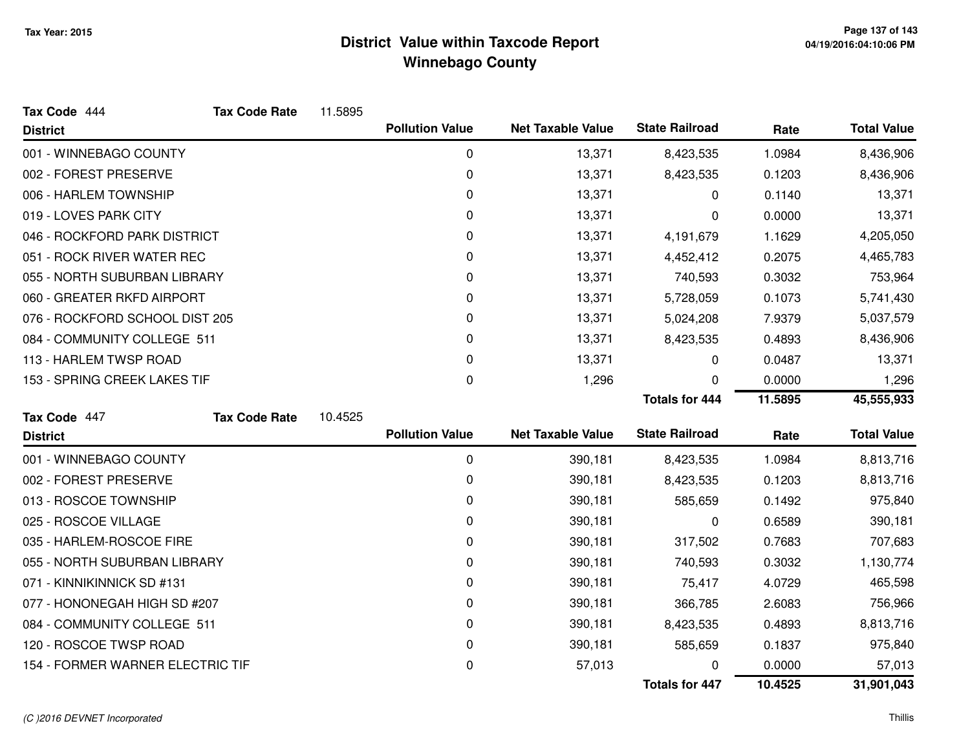| Tax Code 444                     | <b>Tax Code Rate</b> | 11.5895 |                        |                          |                       |         |                    |
|----------------------------------|----------------------|---------|------------------------|--------------------------|-----------------------|---------|--------------------|
| <b>District</b>                  |                      |         | <b>Pollution Value</b> | <b>Net Taxable Value</b> | <b>State Railroad</b> | Rate    | <b>Total Value</b> |
| 001 - WINNEBAGO COUNTY           |                      |         | $\mathbf 0$            | 13,371                   | 8,423,535             | 1.0984  | 8,436,906          |
| 002 - FOREST PRESERVE            |                      |         | 0                      | 13,371                   | 8,423,535             | 0.1203  | 8,436,906          |
| 006 - HARLEM TOWNSHIP            |                      |         | 0                      | 13,371                   | 0                     | 0.1140  | 13,371             |
| 019 - LOVES PARK CITY            |                      |         | 0                      | 13,371                   | 0                     | 0.0000  | 13,371             |
| 046 - ROCKFORD PARK DISTRICT     |                      |         | 0                      | 13,371                   | 4,191,679             | 1.1629  | 4,205,050          |
| 051 - ROCK RIVER WATER REC       |                      |         | 0                      | 13,371                   | 4,452,412             | 0.2075  | 4,465,783          |
| 055 - NORTH SUBURBAN LIBRARY     |                      |         | 0                      | 13,371                   | 740,593               | 0.3032  | 753,964            |
| 060 - GREATER RKFD AIRPORT       |                      |         | 0                      | 13,371                   | 5,728,059             | 0.1073  | 5,741,430          |
| 076 - ROCKFORD SCHOOL DIST 205   |                      |         | 0                      | 13,371                   | 5,024,208             | 7.9379  | 5,037,579          |
| 084 - COMMUNITY COLLEGE 511      |                      |         | 0                      | 13,371                   | 8,423,535             | 0.4893  | 8,436,906          |
| 113 - HARLEM TWSP ROAD           |                      |         | 0                      | 13,371                   | 0                     | 0.0487  | 13,371             |
| 153 - SPRING CREEK LAKES TIF     |                      |         | 0                      | 1,296                    | 0                     | 0.0000  | 1,296              |
|                                  |                      |         |                        |                          | <b>Totals for 444</b> | 11.5895 | 45,555,933         |
| Tax Code 447                     | <b>Tax Code Rate</b> | 10.4525 |                        |                          |                       |         |                    |
| <b>District</b>                  |                      |         | <b>Pollution Value</b> | <b>Net Taxable Value</b> | <b>State Railroad</b> | Rate    | <b>Total Value</b> |
| 001 - WINNEBAGO COUNTY           |                      |         | $\mathbf 0$            | 390,181                  | 8,423,535             | 1.0984  | 8,813,716          |
| 002 - FOREST PRESERVE            |                      |         | 0                      | 390,181                  | 8,423,535             | 0.1203  | 8,813,716          |
| 013 - ROSCOE TOWNSHIP            |                      |         | 0                      | 390,181                  | 585,659               | 0.1492  | 975,840            |
| 025 - ROSCOE VILLAGE             |                      |         | 0                      | 390,181                  | 0                     | 0.6589  | 390,181            |
| 035 - HARLEM-ROSCOE FIRE         |                      |         | 0                      | 390,181                  | 317,502               | 0.7683  | 707,683            |
| 055 - NORTH SUBURBAN LIBRARY     |                      |         | 0                      | 390,181                  | 740,593               | 0.3032  | 1,130,774          |
| 071 - KINNIKINNICK SD #131       |                      |         | 0                      | 390,181                  | 75,417                | 4.0729  | 465,598            |
| 077 - HONONEGAH HIGH SD #207     |                      |         | 0                      | 390,181                  | 366,785               | 2.6083  | 756,966            |
| 084 - COMMUNITY COLLEGE 511      |                      |         | 0                      | 390,181                  | 8,423,535             | 0.4893  | 8,813,716          |
| 120 - ROSCOE TWSP ROAD           |                      |         | 0                      | 390,181                  | 585,659               | 0.1837  | 975,840            |
| 154 - FORMER WARNER ELECTRIC TIF |                      |         | 0                      | 57,013                   |                       | 0.0000  | 57,013             |
|                                  |                      |         |                        |                          | <b>Totals for 447</b> | 10.4525 | 31,901,043         |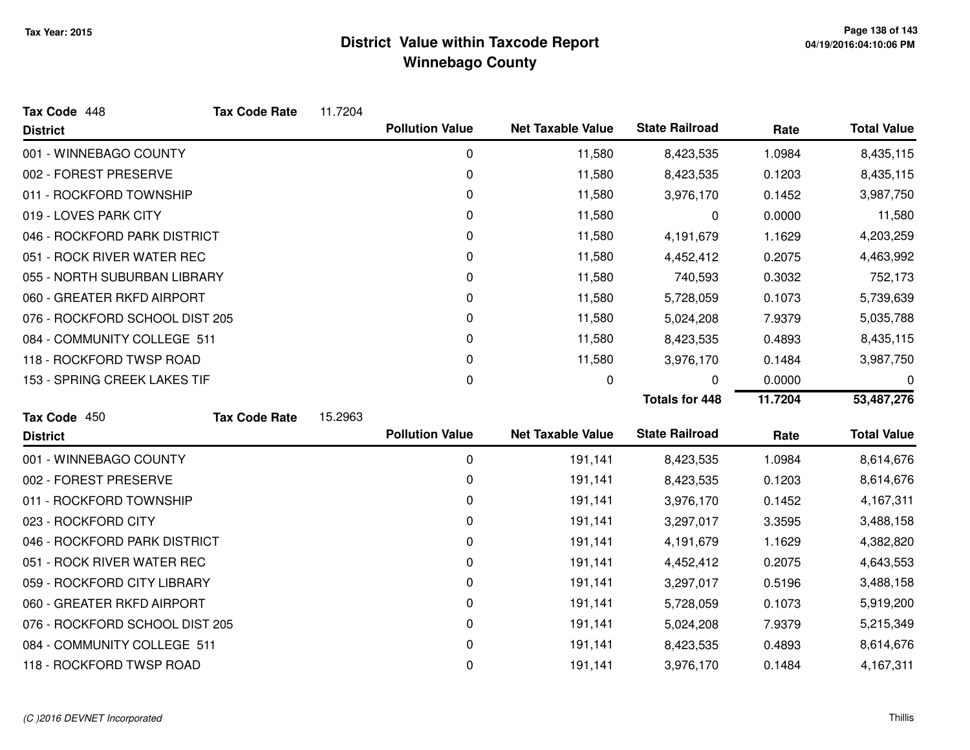| Tax Code 448                   | <b>Tax Code Rate</b> | 11.7204 |                        |                          |                       |         |                    |
|--------------------------------|----------------------|---------|------------------------|--------------------------|-----------------------|---------|--------------------|
| <b>District</b>                |                      |         | <b>Pollution Value</b> | <b>Net Taxable Value</b> | <b>State Railroad</b> | Rate    | <b>Total Value</b> |
| 001 - WINNEBAGO COUNTY         |                      |         | 0                      | 11,580                   | 8,423,535             | 1.0984  | 8,435,115          |
| 002 - FOREST PRESERVE          |                      |         | 0                      | 11,580                   | 8,423,535             | 0.1203  | 8,435,115          |
| 011 - ROCKFORD TOWNSHIP        |                      |         | 0                      | 11,580                   | 3,976,170             | 0.1452  | 3,987,750          |
| 019 - LOVES PARK CITY          |                      |         | 0                      | 11,580                   | 0                     | 0.0000  | 11,580             |
| 046 - ROCKFORD PARK DISTRICT   |                      |         | 0                      | 11,580                   | 4,191,679             | 1.1629  | 4,203,259          |
| 051 - ROCK RIVER WATER REC     |                      |         | 0                      | 11,580                   | 4,452,412             | 0.2075  | 4,463,992          |
| 055 - NORTH SUBURBAN LIBRARY   |                      |         | 0                      | 11,580                   | 740,593               | 0.3032  | 752,173            |
| 060 - GREATER RKFD AIRPORT     |                      |         | 0                      | 11,580                   | 5,728,059             | 0.1073  | 5,739,639          |
| 076 - ROCKFORD SCHOOL DIST 205 |                      |         | 0                      | 11,580                   | 5,024,208             | 7.9379  | 5,035,788          |
| 084 - COMMUNITY COLLEGE 511    |                      |         | 0                      | 11,580                   | 8,423,535             | 0.4893  | 8,435,115          |
| 118 - ROCKFORD TWSP ROAD       |                      |         | 0                      | 11,580                   | 3,976,170             | 0.1484  | 3,987,750          |
| 153 - SPRING CREEK LAKES TIF   |                      |         | 0                      | 0                        | 0                     | 0.0000  | 0                  |
|                                |                      |         |                        |                          | <b>Totals for 448</b> | 11.7204 | 53,487,276         |
| Tax Code 450                   | <b>Tax Code Rate</b> | 15.2963 |                        |                          |                       |         |                    |
| <b>District</b>                |                      |         | <b>Pollution Value</b> | <b>Net Taxable Value</b> | <b>State Railroad</b> | Rate    | <b>Total Value</b> |
| 001 - WINNEBAGO COUNTY         |                      |         |                        |                          |                       |         |                    |
|                                |                      |         | 0                      | 191,141                  | 8,423,535             | 1.0984  | 8,614,676          |
| 002 - FOREST PRESERVE          |                      |         | 0                      | 191,141                  | 8,423,535             | 0.1203  | 8,614,676          |
| 011 - ROCKFORD TOWNSHIP        |                      |         | 0                      | 191,141                  | 3,976,170             | 0.1452  | 4,167,311          |
| 023 - ROCKFORD CITY            |                      |         | 0                      | 191,141                  | 3,297,017             | 3.3595  | 3,488,158          |
| 046 - ROCKFORD PARK DISTRICT   |                      |         | 0                      | 191,141                  | 4,191,679             | 1.1629  | 4,382,820          |
| 051 - ROCK RIVER WATER REC     |                      |         | 0                      | 191,141                  | 4,452,412             | 0.2075  | 4,643,553          |
| 059 - ROCKFORD CITY LIBRARY    |                      |         | 0                      | 191,141                  | 3,297,017             | 0.5196  | 3,488,158          |
| 060 - GREATER RKFD AIRPORT     |                      |         | 0                      | 191,141                  | 5,728,059             | 0.1073  | 5,919,200          |
| 076 - ROCKFORD SCHOOL DIST 205 |                      |         | 0                      | 191,141                  | 5,024,208             | 7.9379  | 5,215,349          |
| 084 - COMMUNITY COLLEGE 511    |                      |         | 0                      | 191,141                  | 8,423,535             | 0.4893  | 8,614,676          |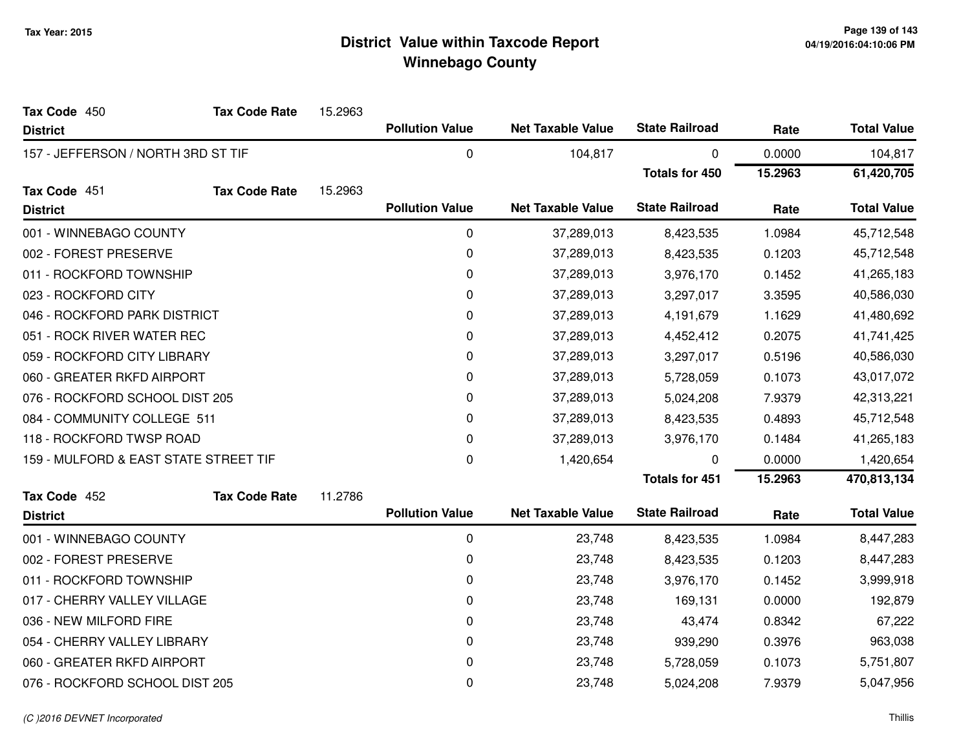| Tax Code 450                          | <b>Tax Code Rate</b> | 15.2963 |                        |                          |                       |         |                    |
|---------------------------------------|----------------------|---------|------------------------|--------------------------|-----------------------|---------|--------------------|
| <b>District</b>                       |                      |         | <b>Pollution Value</b> | <b>Net Taxable Value</b> | <b>State Railroad</b> | Rate    | <b>Total Value</b> |
| 157 - JEFFERSON / NORTH 3RD ST TIF    |                      |         | $\boldsymbol{0}$       | 104,817                  | 0                     | 0.0000  | 104,817            |
|                                       |                      |         |                        |                          | <b>Totals for 450</b> | 15.2963 | 61,420,705         |
| Tax Code 451                          | <b>Tax Code Rate</b> | 15.2963 |                        |                          |                       |         |                    |
| <b>District</b>                       |                      |         | <b>Pollution Value</b> | <b>Net Taxable Value</b> | <b>State Railroad</b> | Rate    | <b>Total Value</b> |
| 001 - WINNEBAGO COUNTY                |                      |         | $\mathbf 0$            | 37,289,013               | 8,423,535             | 1.0984  | 45,712,548         |
| 002 - FOREST PRESERVE                 |                      |         | 0                      | 37,289,013               | 8,423,535             | 0.1203  | 45,712,548         |
| 011 - ROCKFORD TOWNSHIP               |                      |         | 0                      | 37,289,013               | 3,976,170             | 0.1452  | 41,265,183         |
| 023 - ROCKFORD CITY                   |                      |         | 0                      | 37,289,013               | 3,297,017             | 3.3595  | 40,586,030         |
| 046 - ROCKFORD PARK DISTRICT          |                      |         | 0                      | 37,289,013               | 4,191,679             | 1.1629  | 41,480,692         |
| 051 - ROCK RIVER WATER REC            |                      |         | $\mathbf 0$            | 37,289,013               | 4,452,412             | 0.2075  | 41,741,425         |
| 059 - ROCKFORD CITY LIBRARY           |                      |         | $\pmb{0}$              | 37,289,013               | 3,297,017             | 0.5196  | 40,586,030         |
| 060 - GREATER RKFD AIRPORT            |                      |         | 0                      | 37,289,013               | 5,728,059             | 0.1073  | 43,017,072         |
| 076 - ROCKFORD SCHOOL DIST 205        |                      |         | 0                      | 37,289,013               | 5,024,208             | 7.9379  | 42,313,221         |
| 084 - COMMUNITY COLLEGE 511           |                      |         | $\pmb{0}$              | 37,289,013               | 8,423,535             | 0.4893  | 45,712,548         |
| 118 - ROCKFORD TWSP ROAD              |                      |         | 0                      | 37,289,013               | 3,976,170             | 0.1484  | 41,265,183         |
| 159 - MULFORD & EAST STATE STREET TIF |                      |         | $\mathbf 0$            | 1,420,654                | 0                     | 0.0000  | 1,420,654          |
|                                       |                      |         |                        |                          | <b>Totals for 451</b> | 15.2963 | 470,813,134        |
| Tax Code 452                          | <b>Tax Code Rate</b> | 11.2786 |                        |                          |                       |         |                    |
| <b>District</b>                       |                      |         | <b>Pollution Value</b> | <b>Net Taxable Value</b> | <b>State Railroad</b> | Rate    | <b>Total Value</b> |
| 001 - WINNEBAGO COUNTY                |                      |         | $\mathbf 0$            | 23,748                   | 8,423,535             | 1.0984  | 8,447,283          |
| 002 - FOREST PRESERVE                 |                      |         | 0                      | 23,748                   | 8,423,535             | 0.1203  | 8,447,283          |
| 011 - ROCKFORD TOWNSHIP               |                      |         | 0                      | 23,748                   | 3,976,170             | 0.1452  | 3,999,918          |
| 017 - CHERRY VALLEY VILLAGE           |                      |         | $\mathbf 0$            | 23,748                   | 169,131               | 0.0000  | 192,879            |
| 036 - NEW MILFORD FIRE                |                      |         | 0                      | 23,748                   | 43,474                | 0.8342  | 67,222             |
| 054 - CHERRY VALLEY LIBRARY           |                      |         | 0                      | 23,748                   | 939,290               | 0.3976  | 963,038            |
| 060 - GREATER RKFD AIRPORT            |                      |         | 0                      | 23,748                   | 5,728,059             | 0.1073  | 5,751,807          |
| 076 - ROCKFORD SCHOOL DIST 205        |                      |         | 0                      | 23,748                   | 5,024,208             | 7.9379  | 5,047,956          |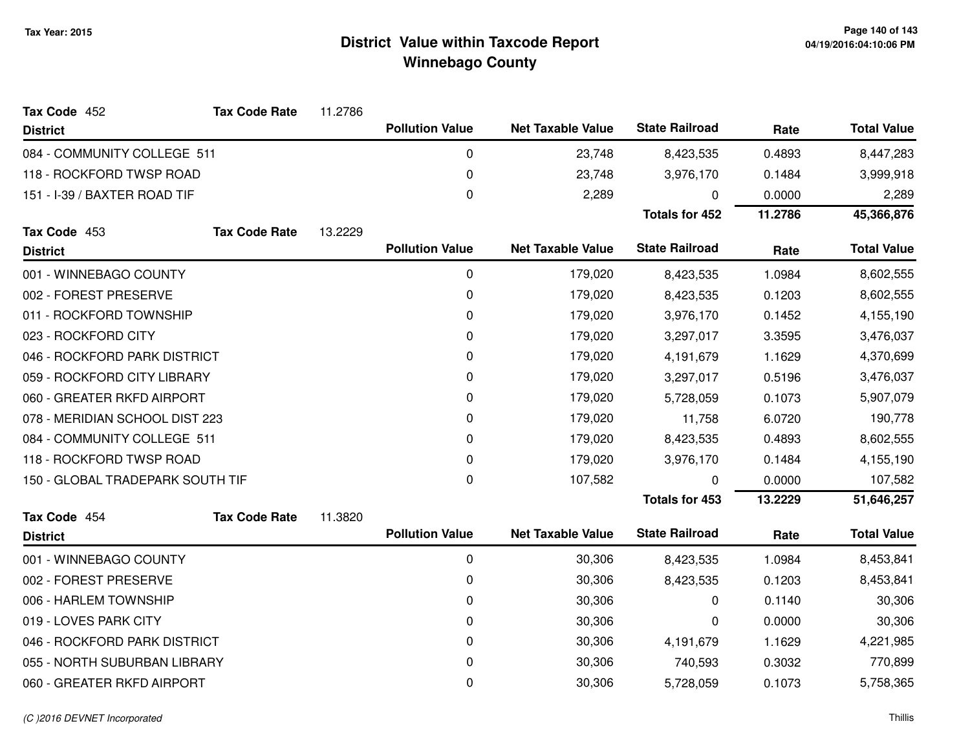| Tax Code 452                     | <b>Tax Code Rate</b> | 11.2786 |                        |                          |                       |         |                    |
|----------------------------------|----------------------|---------|------------------------|--------------------------|-----------------------|---------|--------------------|
| <b>District</b>                  |                      |         | <b>Pollution Value</b> | <b>Net Taxable Value</b> | <b>State Railroad</b> | Rate    | <b>Total Value</b> |
| 084 - COMMUNITY COLLEGE 511      |                      |         | 0                      | 23,748                   | 8,423,535             | 0.4893  | 8,447,283          |
| 118 - ROCKFORD TWSP ROAD         |                      |         | 0                      | 23,748                   | 3,976,170             | 0.1484  | 3,999,918          |
| 151 - I-39 / BAXTER ROAD TIF     |                      |         | 0                      | 2,289                    | 0                     | 0.0000  | 2,289              |
|                                  |                      |         |                        |                          | <b>Totals for 452</b> | 11.2786 | 45,366,876         |
| Tax Code 453                     | <b>Tax Code Rate</b> | 13.2229 |                        |                          |                       |         |                    |
| <b>District</b>                  |                      |         | <b>Pollution Value</b> | <b>Net Taxable Value</b> | <b>State Railroad</b> | Rate    | <b>Total Value</b> |
| 001 - WINNEBAGO COUNTY           |                      |         | 0                      | 179,020                  | 8,423,535             | 1.0984  | 8,602,555          |
| 002 - FOREST PRESERVE            |                      |         | 0                      | 179,020                  | 8,423,535             | 0.1203  | 8,602,555          |
| 011 - ROCKFORD TOWNSHIP          |                      |         | 0                      | 179,020                  | 3,976,170             | 0.1452  | 4,155,190          |
| 023 - ROCKFORD CITY              |                      |         | 0                      | 179,020                  | 3,297,017             | 3.3595  | 3,476,037          |
| 046 - ROCKFORD PARK DISTRICT     |                      |         | 0                      | 179,020                  | 4,191,679             | 1.1629  | 4,370,699          |
| 059 - ROCKFORD CITY LIBRARY      |                      |         | 0                      | 179,020                  | 3,297,017             | 0.5196  | 3,476,037          |
| 060 - GREATER RKFD AIRPORT       |                      |         | 0                      | 179,020                  | 5,728,059             | 0.1073  | 5,907,079          |
| 078 - MERIDIAN SCHOOL DIST 223   |                      |         | 0                      | 179,020                  | 11,758                | 6.0720  | 190,778            |
| 084 - COMMUNITY COLLEGE 511      |                      |         | 0                      | 179,020                  | 8,423,535             | 0.4893  | 8,602,555          |
| 118 - ROCKFORD TWSP ROAD         |                      |         | 0                      | 179,020                  | 3,976,170             | 0.1484  | 4,155,190          |
| 150 - GLOBAL TRADEPARK SOUTH TIF |                      |         | 0                      | 107,582                  | 0                     | 0.0000  | 107,582            |
|                                  |                      |         |                        |                          | <b>Totals for 453</b> | 13.2229 | 51,646,257         |
| Tax Code 454                     | <b>Tax Code Rate</b> | 11.3820 |                        |                          |                       |         |                    |
| <b>District</b>                  |                      |         | <b>Pollution Value</b> | <b>Net Taxable Value</b> | <b>State Railroad</b> | Rate    | <b>Total Value</b> |
| 001 - WINNEBAGO COUNTY           |                      |         | 0                      | 30,306                   | 8,423,535             | 1.0984  | 8,453,841          |
| 002 - FOREST PRESERVE            |                      |         | 0                      | 30,306                   | 8,423,535             | 0.1203  | 8,453,841          |
| 006 - HARLEM TOWNSHIP            |                      |         | 0                      | 30,306                   | 0                     | 0.1140  | 30,306             |
| 019 - LOVES PARK CITY            |                      |         | 0                      | 30,306                   | 0                     | 0.0000  | 30,306             |
| 046 - ROCKFORD PARK DISTRICT     |                      |         | 0                      | 30,306                   | 4,191,679             | 1.1629  | 4,221,985          |
| 055 - NORTH SUBURBAN LIBRARY     |                      |         | 0                      | 30,306                   | 740,593               | 0.3032  | 770,899            |
| 060 - GREATER RKFD AIRPORT       |                      |         | 0                      | 30,306                   | 5,728,059             | 0.1073  | 5,758,365          |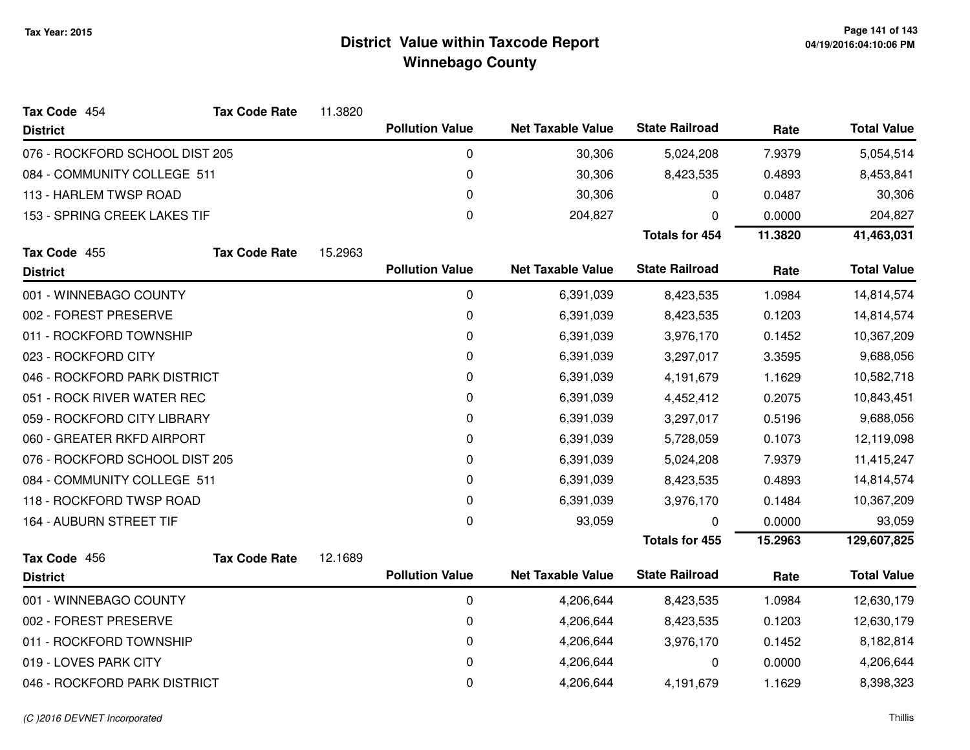| Tax Code 454                   | <b>Tax Code Rate</b> | 11.3820 |                        |                          |                       |            |                    |
|--------------------------------|----------------------|---------|------------------------|--------------------------|-----------------------|------------|--------------------|
| <b>District</b>                |                      |         | <b>Pollution Value</b> | <b>Net Taxable Value</b> | <b>State Railroad</b> | Rate       | <b>Total Value</b> |
| 076 - ROCKFORD SCHOOL DIST 205 |                      |         | 0                      | 30,306                   | 5,024,208             | 7.9379     | 5,054,514          |
| 084 - COMMUNITY COLLEGE 511    |                      |         | 0                      | 30,306                   | 8,423,535             | 0.4893     | 8,453,841          |
| 113 - HARLEM TWSP ROAD         |                      |         | 0                      | 30,306                   | 0                     | 0.0487     | 30,306             |
| 153 - SPRING CREEK LAKES TIF   |                      |         | 0                      | 204,827                  | 0                     | 0.0000     | 204,827            |
|                                |                      |         |                        |                          | <b>Totals for 454</b> | 11.3820    | 41,463,031         |
| Tax Code 455                   | <b>Tax Code Rate</b> | 15.2963 |                        |                          |                       |            |                    |
| <b>District</b>                |                      |         | <b>Pollution Value</b> | <b>Net Taxable Value</b> | <b>State Railroad</b> | Rate       | <b>Total Value</b> |
| 001 - WINNEBAGO COUNTY         |                      |         | 0                      | 6,391,039                | 8,423,535             | 1.0984     | 14,814,574         |
| 002 - FOREST PRESERVE          |                      |         | 0                      | 6,391,039                | 8,423,535             | 0.1203     | 14,814,574         |
| 011 - ROCKFORD TOWNSHIP        |                      |         | 0                      | 6,391,039                | 3,976,170             | 0.1452     | 10,367,209         |
| 023 - ROCKFORD CITY            |                      |         | 0                      | 6,391,039                | 3,297,017             | 3.3595     | 9,688,056          |
| 046 - ROCKFORD PARK DISTRICT   |                      | 0       | 6,391,039              | 4,191,679                | 1.1629                | 10,582,718 |                    |
| 051 - ROCK RIVER WATER REC     |                      |         | 0                      | 6,391,039                | 4,452,412             | 0.2075     | 10,843,451         |
| 059 - ROCKFORD CITY LIBRARY    |                      |         | 0                      | 6,391,039                | 3,297,017             | 0.5196     | 9,688,056          |
| 060 - GREATER RKFD AIRPORT     |                      |         | 0                      | 6,391,039                | 5,728,059             | 0.1073     | 12,119,098         |
| 076 - ROCKFORD SCHOOL DIST 205 |                      |         | 0                      | 6,391,039                | 5,024,208             | 7.9379     | 11,415,247         |
| 084 - COMMUNITY COLLEGE 511    |                      |         | 0                      | 6,391,039                | 8,423,535             | 0.4893     | 14,814,574         |
| 118 - ROCKFORD TWSP ROAD       |                      |         | 0                      | 6,391,039                | 3,976,170             | 0.1484     | 10,367,209         |
| 164 - AUBURN STREET TIF        |                      |         | 0                      | 93,059                   | $\mathbf 0$           | 0.0000     | 93,059             |
|                                |                      |         |                        |                          | <b>Totals for 455</b> | 15.2963    | 129,607,825        |
| Tax Code 456                   | <b>Tax Code Rate</b> | 12.1689 |                        |                          |                       |            |                    |
| <b>District</b>                |                      |         | <b>Pollution Value</b> | <b>Net Taxable Value</b> | <b>State Railroad</b> | Rate       | <b>Total Value</b> |
| 001 - WINNEBAGO COUNTY         |                      |         | 0                      | 4,206,644                | 8,423,535             | 1.0984     | 12,630,179         |
| 002 - FOREST PRESERVE          |                      |         | 0                      | 4,206,644                | 8,423,535             | 0.1203     | 12,630,179         |
| 011 - ROCKFORD TOWNSHIP        |                      |         | 0                      | 4,206,644                | 3,976,170             | 0.1452     | 8,182,814          |
| 019 - LOVES PARK CITY          |                      |         | 0                      | 4,206,644                | 0                     | 0.0000     | 4,206,644          |
| 046 - ROCKFORD PARK DISTRICT   |                      |         | 0                      | 4,206,644                | 4,191,679             | 1.1629     | 8,398,323          |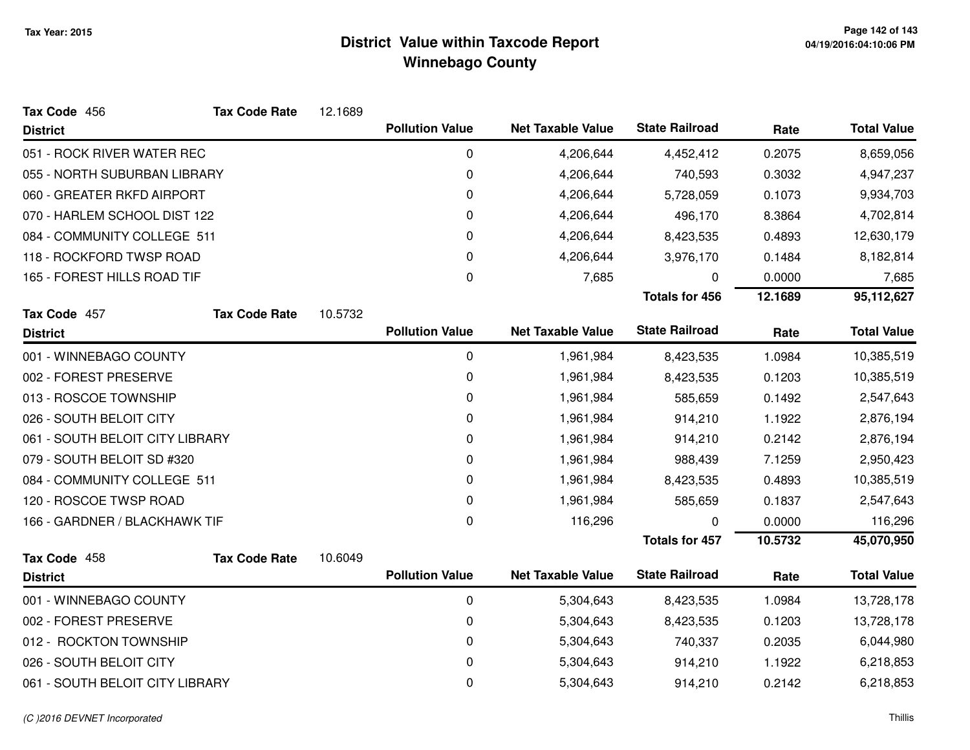| Tax Code 456                    | <b>Tax Code Rate</b> | 12.1689     |                        |                          |                       |           |                    |
|---------------------------------|----------------------|-------------|------------------------|--------------------------|-----------------------|-----------|--------------------|
| <b>District</b>                 |                      |             | <b>Pollution Value</b> | <b>Net Taxable Value</b> | <b>State Railroad</b> | Rate      | <b>Total Value</b> |
| 051 - ROCK RIVER WATER REC      |                      |             | 0                      | 4,206,644                | 4,452,412             | 0.2075    | 8,659,056          |
| 055 - NORTH SUBURBAN LIBRARY    |                      |             | $\mathbf 0$            | 4,206,644                | 740,593               | 0.3032    | 4,947,237          |
| 060 - GREATER RKFD AIRPORT      |                      | $\mathbf 0$ | 4,206,644              | 5,728,059                | 0.1073                | 9,934,703 |                    |
| 070 - HARLEM SCHOOL DIST 122    |                      |             | $\mathbf 0$            | 4,206,644                | 496,170               | 8.3864    | 4,702,814          |
| 084 - COMMUNITY COLLEGE 511     |                      |             | 0                      | 4,206,644                | 8,423,535             | 0.4893    | 12,630,179         |
| 118 - ROCKFORD TWSP ROAD        |                      |             | 0                      | 4,206,644                | 3,976,170             | 0.1484    | 8,182,814          |
| 165 - FOREST HILLS ROAD TIF     |                      |             | $\boldsymbol{0}$       | 7,685                    | 0                     | 0.0000    | 7,685              |
|                                 |                      |             |                        |                          | <b>Totals for 456</b> | 12.1689   | 95,112,627         |
| Tax Code 457                    | <b>Tax Code Rate</b> | 10.5732     |                        |                          |                       |           |                    |
| <b>District</b>                 |                      |             | <b>Pollution Value</b> | <b>Net Taxable Value</b> | <b>State Railroad</b> | Rate      | <b>Total Value</b> |
| 001 - WINNEBAGO COUNTY          |                      |             | $\mathbf 0$            | 1,961,984                | 8,423,535             | 1.0984    | 10,385,519         |
| 002 - FOREST PRESERVE           |                      |             | $\mathbf 0$            | 1,961,984                | 8,423,535             | 0.1203    | 10,385,519         |
| 013 - ROSCOE TOWNSHIP           |                      |             | 0                      | 1,961,984                | 585,659               | 0.1492    | 2,547,643          |
| 026 - SOUTH BELOIT CITY         |                      |             | $\mathbf 0$            | 1,961,984                | 914,210               | 1.1922    | 2,876,194          |
| 061 - SOUTH BELOIT CITY LIBRARY |                      |             | 0                      | 1,961,984                | 914,210               | 0.2142    | 2,876,194          |
| 079 - SOUTH BELOIT SD #320      |                      |             | $\mathbf 0$            | 1,961,984                | 988,439               | 7.1259    | 2,950,423          |
| 084 - COMMUNITY COLLEGE 511     |                      |             | $\mathbf 0$            | 1,961,984                | 8,423,535             | 0.4893    | 10,385,519         |
| 120 - ROSCOE TWSP ROAD          |                      |             | 0                      | 1,961,984                | 585,659               | 0.1837    | 2,547,643          |
| 166 - GARDNER / BLACKHAWK TIF   |                      |             | 0                      | 116,296                  | 0                     | 0.0000    | 116,296            |
|                                 |                      |             |                        |                          | <b>Totals for 457</b> | 10.5732   | 45,070,950         |
| Tax Code 458                    | <b>Tax Code Rate</b> | 10.6049     |                        |                          | <b>State Railroad</b> |           |                    |
| <b>District</b>                 |                      |             | <b>Pollution Value</b> | <b>Net Taxable Value</b> |                       | Rate      | <b>Total Value</b> |
| 001 - WINNEBAGO COUNTY          |                      |             | 0                      | 5,304,643                | 8,423,535             | 1.0984    | 13,728,178         |
| 002 - FOREST PRESERVE           |                      |             | 0                      | 5,304,643                | 8,423,535             | 0.1203    | 13,728,178         |
| 012 - ROCKTON TOWNSHIP          |                      |             | $\pmb{0}$              | 5,304,643                | 740,337               | 0.2035    | 6,044,980          |
| 026 - SOUTH BELOIT CITY         |                      |             | 0                      | 5,304,643                | 914,210               | 1.1922    | 6,218,853          |
| 061 - SOUTH BELOIT CITY LIBRARY |                      |             | $\mathbf 0$            | 5,304,643                | 914,210               | 0.2142    | 6,218,853          |